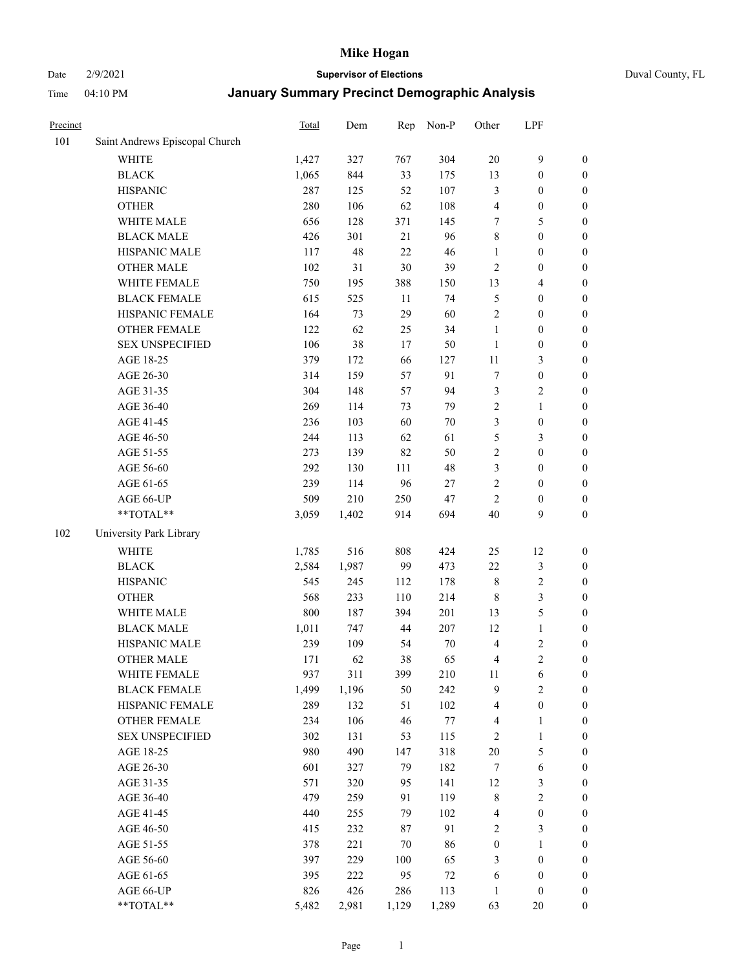Date 2/9/2021 **Supervisor of Elections** Duval County, FL

| Precinct |                                | Total | Dem   | Rep    | Non-P   | Other            | LPF                     |                  |
|----------|--------------------------------|-------|-------|--------|---------|------------------|-------------------------|------------------|
| 101      | Saint Andrews Episcopal Church |       |       |        |         |                  |                         |                  |
|          | <b>WHITE</b>                   | 1,427 | 327   | 767    | 304     | $20\,$           | $\mathbf{9}$            | 0                |
|          | <b>BLACK</b>                   | 1,065 | 844   | 33     | 175     | 13               | $\boldsymbol{0}$        | $\boldsymbol{0}$ |
|          | <b>HISPANIC</b>                | 287   | 125   | 52     | 107     | 3                | $\boldsymbol{0}$        | $\boldsymbol{0}$ |
|          | <b>OTHER</b>                   | 280   | 106   | 62     | 108     | 4                | $\boldsymbol{0}$        | $\boldsymbol{0}$ |
|          | WHITE MALE                     | 656   | 128   | 371    | 145     | 7                | 5                       | $\boldsymbol{0}$ |
|          | <b>BLACK MALE</b>              | 426   | 301   | 21     | 96      | $\,$ $\,$        | $\boldsymbol{0}$        | $\boldsymbol{0}$ |
|          | HISPANIC MALE                  | 117   | 48    | 22     | 46      | $\mathbf{1}$     | $\boldsymbol{0}$        | $\boldsymbol{0}$ |
|          | <b>OTHER MALE</b>              | 102   | 31    | $30\,$ | 39      | $\overline{c}$   | $\boldsymbol{0}$        | $\boldsymbol{0}$ |
|          | WHITE FEMALE                   | 750   | 195   | 388    | 150     | 13               | $\overline{\mathbf{4}}$ | $\boldsymbol{0}$ |
|          | <b>BLACK FEMALE</b>            | 615   | 525   | 11     | 74      | 5                | $\boldsymbol{0}$        | $\boldsymbol{0}$ |
|          | HISPANIC FEMALE                | 164   | 73    | 29     | 60      | $\sqrt{2}$       | $\boldsymbol{0}$        | $\boldsymbol{0}$ |
|          | <b>OTHER FEMALE</b>            | 122   | 62    | 25     | 34      | $\mathbf{1}$     | $\boldsymbol{0}$        | $\boldsymbol{0}$ |
|          | <b>SEX UNSPECIFIED</b>         | 106   | 38    | 17     | 50      | $\mathbf{1}$     | $\boldsymbol{0}$        | $\boldsymbol{0}$ |
|          | AGE 18-25                      | 379   | 172   | 66     | 127     | $11\,$           | $\mathfrak{Z}$          | $\boldsymbol{0}$ |
|          | AGE 26-30                      | 314   | 159   | 57     | 91      | 7                | $\boldsymbol{0}$        | $\boldsymbol{0}$ |
|          | AGE 31-35                      | 304   | 148   | 57     | 94      | 3                | $\sqrt{2}$              | $\boldsymbol{0}$ |
|          | AGE 36-40                      | 269   | 114   | 73     | 79      | 2                | $\mathbf{1}$            | $\boldsymbol{0}$ |
|          | AGE 41-45                      | 236   | 103   | 60     | $70\,$  | 3                | $\boldsymbol{0}$        | $\boldsymbol{0}$ |
|          | AGE 46-50                      | 244   | 113   | 62     | 61      | 5                | $\mathfrak{Z}$          | $\boldsymbol{0}$ |
|          | AGE 51-55                      | 273   | 139   | 82     | 50      | $\sqrt{2}$       | $\boldsymbol{0}$        | $\boldsymbol{0}$ |
|          | AGE 56-60                      | 292   | 130   | 111    | 48      | 3                | $\boldsymbol{0}$        | 0                |
|          | AGE 61-65                      | 239   | 114   | 96     | 27      | $\sqrt{2}$       | $\boldsymbol{0}$        | $\boldsymbol{0}$ |
|          | AGE 66-UP                      | 509   | 210   | 250    | 47      | $\mathbf{2}$     | $\boldsymbol{0}$        | $\boldsymbol{0}$ |
|          | $**TOTAL**$                    | 3,059 | 1,402 | 914    | 694     | 40               | 9                       | $\boldsymbol{0}$ |
| 102      | University Park Library        |       |       |        |         |                  |                         |                  |
|          | <b>WHITE</b>                   | 1,785 | 516   | 808    | 424     | 25               | 12                      | $\boldsymbol{0}$ |
|          | <b>BLACK</b>                   | 2,584 | 1,987 | 99     | 473     | 22               | $\mathfrak{Z}$          | $\boldsymbol{0}$ |
|          | <b>HISPANIC</b>                | 545   | 245   | 112    | 178     | 8                | $\sqrt{2}$              | $\boldsymbol{0}$ |
|          | <b>OTHER</b>                   | 568   | 233   | 110    | 214     | $\,$ 8 $\,$      | $\mathfrak{Z}$          | $\boldsymbol{0}$ |
|          | WHITE MALE                     | 800   | 187   | 394    | 201     | 13               | $\mathfrak{S}$          | $\boldsymbol{0}$ |
|          | <b>BLACK MALE</b>              | 1,011 | 747   | 44     | 207     | 12               | $\mathbf{1}$            | $\boldsymbol{0}$ |
|          | HISPANIC MALE                  | 239   | 109   | 54     | $70\,$  | $\overline{4}$   | $\sqrt{2}$              | $\boldsymbol{0}$ |
|          | <b>OTHER MALE</b>              | 171   | 62    | 38     | 65      | 4                | $\overline{c}$          | $\boldsymbol{0}$ |
|          | WHITE FEMALE                   | 937   | 311   | 399    | 210     | 11               | 6                       | 0                |
|          | <b>BLACK FEMALE</b>            | 1,499 | 1,196 | 50     | 242     | 9                | $\sqrt{2}$              | $\boldsymbol{0}$ |
|          | HISPANIC FEMALE                | 289   | 132   | 51     | 102     | 4                | $\boldsymbol{0}$        | $\overline{0}$   |
|          | <b>OTHER FEMALE</b>            | 234   | 106   | 46     | $77 \,$ | $\overline{4}$   | $\mathbf{1}$            | $\overline{0}$   |
|          | <b>SEX UNSPECIFIED</b>         | 302   | 131   | 53     | 115     | 2                | $\mathbf{1}$            | 0                |
|          | AGE 18-25                      | 980   | 490   | 147    | 318     | $20\,$           | $\mathfrak{S}$          | $\overline{0}$   |
|          | AGE 26-30                      | 601   | 327   | 79     | 182     | $\boldsymbol{7}$ | $\sqrt{6}$              | 0                |
|          | AGE 31-35                      | 571   | 320   | 95     | 141     | 12               | $\mathfrak{Z}$          | 0                |
|          | AGE 36-40                      | 479   | 259   | 91     | 119     | 8                | $\sqrt{2}$              | 0                |
|          | AGE 41-45                      | 440   | 255   | 79     | 102     | 4                | $\boldsymbol{0}$        | 0                |
|          | AGE 46-50                      | 415   | 232   | $87\,$ | 91      | 2                | 3                       | 0                |
|          | AGE 51-55                      | 378   | 221   | 70     | 86      | $\boldsymbol{0}$ | $\mathbf{1}$            | $\boldsymbol{0}$ |
|          | AGE 56-60                      | 397   | 229   | 100    | 65      | 3                | $\boldsymbol{0}$        | $\boldsymbol{0}$ |
|          | AGE 61-65                      | 395   | 222   | 95     | 72      | 6                | $\boldsymbol{0}$        | $\boldsymbol{0}$ |
|          | AGE 66-UP                      | 826   | 426   | 286    | 113     | $\mathbf{1}$     | $\boldsymbol{0}$        | $\boldsymbol{0}$ |
|          | **TOTAL**                      | 5,482 | 2,981 | 1,129  | 1,289   | 63               | 20                      | $\boldsymbol{0}$ |
|          |                                |       |       |        |         |                  |                         |                  |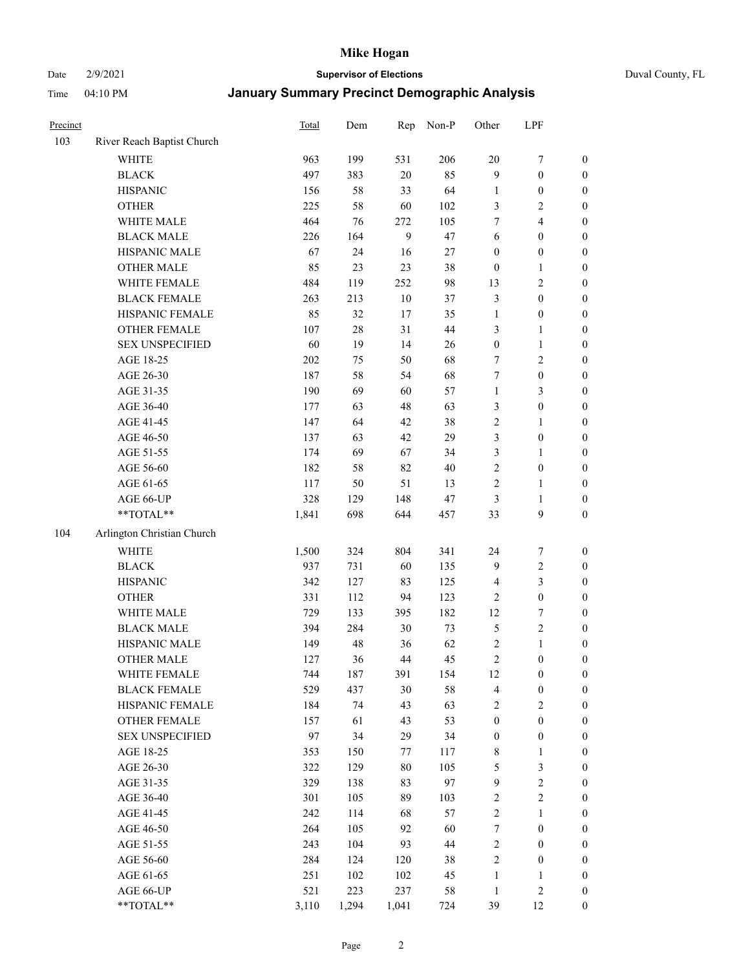Date 2/9/2021 **Supervisor of Elections** Duval County, FL

| Precinct |                            | Total | Dem    | Rep   | Non-P | Other            | LPF                     |                  |
|----------|----------------------------|-------|--------|-------|-------|------------------|-------------------------|------------------|
| 103      | River Reach Baptist Church |       |        |       |       |                  |                         |                  |
|          | <b>WHITE</b>               | 963   | 199    | 531   | 206   | $20\,$           | $\boldsymbol{7}$        | 0                |
|          | <b>BLACK</b>               | 497   | 383    | 20    | 85    | 9                | $\boldsymbol{0}$        | $\boldsymbol{0}$ |
|          | <b>HISPANIC</b>            | 156   | 58     | 33    | 64    | $\mathbf{1}$     | $\boldsymbol{0}$        | $\boldsymbol{0}$ |
|          | <b>OTHER</b>               | 225   | 58     | 60    | 102   | 3                | $\mathfrak{2}$          | $\boldsymbol{0}$ |
|          | WHITE MALE                 | 464   | 76     | 272   | 105   | 7                | $\overline{\mathbf{4}}$ | $\boldsymbol{0}$ |
|          | <b>BLACK MALE</b>          | 226   | 164    | 9     | 47    | 6                | $\boldsymbol{0}$        | $\boldsymbol{0}$ |
|          | HISPANIC MALE              | 67    | 24     | 16    | 27    | $\boldsymbol{0}$ | $\boldsymbol{0}$        | $\boldsymbol{0}$ |
|          | <b>OTHER MALE</b>          | 85    | 23     | 23    | 38    | $\boldsymbol{0}$ | $\mathbf{1}$            | $\boldsymbol{0}$ |
|          | WHITE FEMALE               | 484   | 119    | 252   | 98    | 13               | $\sqrt{2}$              | $\boldsymbol{0}$ |
|          | <b>BLACK FEMALE</b>        | 263   | 213    | 10    | 37    | 3                | $\boldsymbol{0}$        | 0                |
|          | HISPANIC FEMALE            | 85    | 32     | 17    | 35    | $\mathbf{1}$     | $\boldsymbol{0}$        | 0                |
|          | OTHER FEMALE               | 107   | $28\,$ | 31    | 44    | 3                | $\mathbf{1}$            | $\boldsymbol{0}$ |
|          | <b>SEX UNSPECIFIED</b>     | 60    | 19     | 14    | 26    | $\boldsymbol{0}$ | $\mathbf{1}$            | $\boldsymbol{0}$ |
|          | AGE 18-25                  | 202   | 75     | 50    | 68    | 7                | $\sqrt{2}$              | $\boldsymbol{0}$ |
|          | AGE 26-30                  | 187   | 58     | 54    | 68    | 7                | $\boldsymbol{0}$        | $\boldsymbol{0}$ |
|          | AGE 31-35                  | 190   | 69     | 60    | 57    | $\mathbf{1}$     | $\mathfrak{Z}$          | $\boldsymbol{0}$ |
|          | AGE 36-40                  | 177   | 63     | 48    | 63    | 3                | $\boldsymbol{0}$        | $\boldsymbol{0}$ |
|          | AGE 41-45                  | 147   | 64     | 42    | 38    | 2                | $\mathbf{1}$            | $\boldsymbol{0}$ |
|          | AGE 46-50                  | 137   | 63     | 42    | 29    | 3                | $\boldsymbol{0}$        | $\boldsymbol{0}$ |
|          | AGE 51-55                  | 174   | 69     | 67    | 34    | 3                | $\mathbf{1}$            | 0                |
|          | AGE 56-60                  | 182   | 58     | 82    | 40    | $\sqrt{2}$       | $\boldsymbol{0}$        | 0                |
|          | AGE 61-65                  | 117   | 50     | 51    | 13    | $\sqrt{2}$       | $\mathbf{1}$            | 0                |
|          | AGE 66-UP                  | 328   | 129    | 148   | 47    | 3                | $\mathbf{1}$            | $\boldsymbol{0}$ |
|          | **TOTAL**                  | 1,841 | 698    | 644   | 457   | 33               | $\boldsymbol{9}$        | $\boldsymbol{0}$ |
| 104      | Arlington Christian Church |       |        |       |       |                  |                         |                  |
|          | <b>WHITE</b>               | 1,500 | 324    | 804   | 341   | 24               | $\boldsymbol{7}$        | $\boldsymbol{0}$ |
|          | <b>BLACK</b>               | 937   | 731    | 60    | 135   | 9                | $\sqrt{2}$              | $\boldsymbol{0}$ |
|          | <b>HISPANIC</b>            | 342   | 127    | 83    | 125   | $\overline{4}$   | 3                       | $\boldsymbol{0}$ |
|          | <b>OTHER</b>               | 331   | 112    | 94    | 123   | $\sqrt{2}$       | $\boldsymbol{0}$        | $\boldsymbol{0}$ |
|          | WHITE MALE                 | 729   | 133    | 395   | 182   | 12               | $\boldsymbol{7}$        | $\boldsymbol{0}$ |
|          | <b>BLACK MALE</b>          | 394   | 284    | 30    | 73    | 5                | $\sqrt{2}$              | $\boldsymbol{0}$ |
|          | HISPANIC MALE              | 149   | 48     | 36    | 62    | $\sqrt{2}$       | $\mathbf{1}$            | $\boldsymbol{0}$ |
|          | <b>OTHER MALE</b>          | 127   | 36     | 44    | 45    | $\sqrt{2}$       | $\boldsymbol{0}$        | $\boldsymbol{0}$ |
|          | WHITE FEMALE               | 744   | 187    | 391   | 154   | 12               | $\boldsymbol{0}$        | 0                |
|          | <b>BLACK FEMALE</b>        | 529   | 437    | 30    | 58    | 4                | $\boldsymbol{0}$        | $\boldsymbol{0}$ |
|          | HISPANIC FEMALE            | 184   | 74     | 43    | 63    | $\sqrt{2}$       | $\sqrt{2}$              | $\overline{0}$   |
|          | OTHER FEMALE               | 157   | 61     | 43    | 53    | $\boldsymbol{0}$ | $\boldsymbol{0}$        | $\overline{0}$   |
|          | <b>SEX UNSPECIFIED</b>     | 97    | 34     | 29    | 34    | $\boldsymbol{0}$ | $\boldsymbol{0}$        | $\overline{0}$   |
|          | AGE 18-25                  | 353   | 150    | 77    | 117   | $\,$ 8 $\,$      | $\mathbf{1}$            | $\overline{0}$   |
|          | AGE 26-30                  | 322   | 129    | 80    | 105   | 5                | $\mathfrak{Z}$          | 0                |
|          | AGE 31-35                  | 329   | 138    | 83    | 97    | $\mathbf{9}$     | $\sqrt{2}$              | 0                |
|          | AGE 36-40                  | 301   | 105    | 89    | 103   | $\sqrt{2}$       | $\sqrt{2}$              | 0                |
|          | AGE 41-45                  | 242   | 114    | 68    | 57    | $\overline{c}$   | $\mathbf{1}$            | 0                |
|          | AGE 46-50                  | 264   | 105    | 92    | 60    | $\boldsymbol{7}$ | $\boldsymbol{0}$        | 0                |
|          | AGE 51-55                  | 243   | 104    | 93    | 44    | 2                | $\boldsymbol{0}$        | $\boldsymbol{0}$ |
|          | AGE 56-60                  | 284   | 124    | 120   | 38    | 2                | $\boldsymbol{0}$        | $\boldsymbol{0}$ |
|          | AGE 61-65                  | 251   | 102    | 102   | 45    | $\mathbf{1}$     | $\mathbf{1}$            | $\boldsymbol{0}$ |
|          | AGE 66-UP                  | 521   | 223    | 237   | 58    | $\mathbf{1}$     | $\sqrt{2}$              | $\boldsymbol{0}$ |
|          | **TOTAL**                  | 3,110 | 1,294  | 1,041 | 724   | 39               | 12                      | $\boldsymbol{0}$ |
|          |                            |       |        |       |       |                  |                         |                  |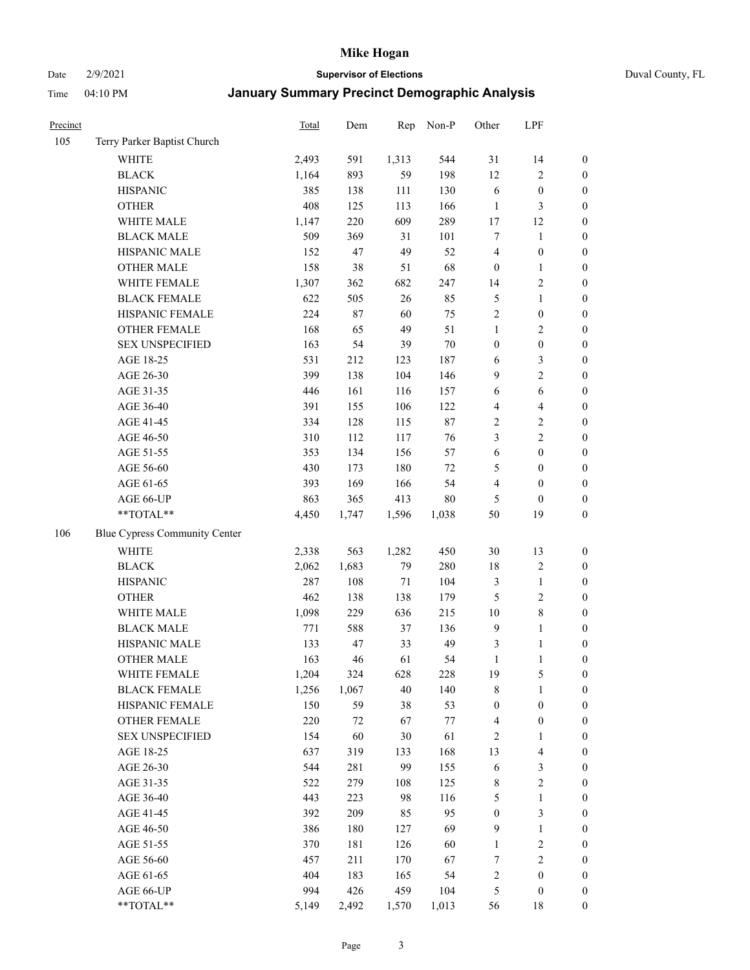Date 2/9/2021 **Supervisor of Elections** Duval County, FL

| Precinct |                               | Total | Dem   | Rep    | Non-P  | Other            | LPF                     |                  |
|----------|-------------------------------|-------|-------|--------|--------|------------------|-------------------------|------------------|
| 105      | Terry Parker Baptist Church   |       |       |        |        |                  |                         |                  |
|          | <b>WHITE</b>                  | 2,493 | 591   | 1,313  | 544    | 31               | 14                      | $\boldsymbol{0}$ |
|          | <b>BLACK</b>                  | 1,164 | 893   | 59     | 198    | 12               | $\sqrt{2}$              | $\boldsymbol{0}$ |
|          | <b>HISPANIC</b>               | 385   | 138   | 111    | 130    | 6                | $\boldsymbol{0}$        | $\boldsymbol{0}$ |
|          | <b>OTHER</b>                  | 408   | 125   | 113    | 166    | $\mathbf{1}$     | $\mathfrak{Z}$          | $\boldsymbol{0}$ |
|          | WHITE MALE                    | 1,147 | 220   | 609    | 289    | 17               | 12                      | $\boldsymbol{0}$ |
|          | <b>BLACK MALE</b>             | 509   | 369   | 31     | 101    | 7                | $\mathbf{1}$            | $\boldsymbol{0}$ |
|          | HISPANIC MALE                 | 152   | 47    | 49     | 52     | 4                | $\boldsymbol{0}$        | $\boldsymbol{0}$ |
|          | <b>OTHER MALE</b>             | 158   | 38    | 51     | 68     | $\boldsymbol{0}$ | $\mathbf{1}$            | $\boldsymbol{0}$ |
|          | WHITE FEMALE                  | 1,307 | 362   | 682    | 247    | 14               | $\sqrt{2}$              | $\boldsymbol{0}$ |
|          | <b>BLACK FEMALE</b>           | 622   | 505   | 26     | 85     | 5                | $\mathbf{1}$            | $\boldsymbol{0}$ |
|          | HISPANIC FEMALE               | 224   | 87    | 60     | 75     | $\sqrt{2}$       | $\boldsymbol{0}$        | 0                |
|          | OTHER FEMALE                  | 168   | 65    | 49     | 51     | $\mathbf{1}$     | $\sqrt{2}$              | $\boldsymbol{0}$ |
|          | <b>SEX UNSPECIFIED</b>        | 163   | 54    | 39     | $70\,$ | $\boldsymbol{0}$ | $\boldsymbol{0}$        | $\boldsymbol{0}$ |
|          | AGE 18-25                     | 531   | 212   | 123    | 187    | 6                | $\mathfrak{Z}$          | $\boldsymbol{0}$ |
|          | AGE 26-30                     | 399   | 138   | 104    | 146    | 9                | $\sqrt{2}$              | $\boldsymbol{0}$ |
|          | AGE 31-35                     | 446   | 161   | 116    | 157    | 6                | 6                       | $\boldsymbol{0}$ |
|          | AGE 36-40                     | 391   | 155   | 106    | 122    | 4                | $\overline{\mathbf{4}}$ | $\boldsymbol{0}$ |
|          | AGE 41-45                     | 334   | 128   | 115    | $87\,$ | $\sqrt{2}$       | $\sqrt{2}$              | $\boldsymbol{0}$ |
|          | AGE 46-50                     | 310   | 112   | 117    | 76     | 3                | $\overline{2}$          | $\boldsymbol{0}$ |
|          | AGE 51-55                     | 353   | 134   | 156    | 57     | 6                | $\boldsymbol{0}$        | $\boldsymbol{0}$ |
|          | AGE 56-60                     | 430   | 173   | 180    | 72     | 5                | $\boldsymbol{0}$        | 0                |
|          | AGE 61-65                     | 393   | 169   | 166    | 54     | 4                | $\boldsymbol{0}$        | $\boldsymbol{0}$ |
|          | AGE 66-UP                     | 863   | 365   | 413    | $80\,$ | 5                | $\boldsymbol{0}$        | $\boldsymbol{0}$ |
|          | $**TOTAL**$                   | 4,450 | 1,747 | 1,596  | 1,038  | 50               | 19                      | $\boldsymbol{0}$ |
| 106      | Blue Cypress Community Center |       |       |        |        |                  |                         |                  |
|          | <b>WHITE</b>                  | 2,338 | 563   | 1,282  | 450    | 30               | 13                      | $\boldsymbol{0}$ |
|          | <b>BLACK</b>                  | 2,062 | 1,683 | 79     | 280    | 18               | $\sqrt{2}$              | $\boldsymbol{0}$ |
|          | <b>HISPANIC</b>               | 287   | 108   | 71     | 104    | 3                | $\mathbf{1}$            | $\boldsymbol{0}$ |
|          | <b>OTHER</b>                  | 462   | 138   | 138    | 179    | 5                | $\sqrt{2}$              | $\boldsymbol{0}$ |
|          | WHITE MALE                    | 1,098 | 229   | 636    | 215    | 10               | $8\,$                   | $\boldsymbol{0}$ |
|          | <b>BLACK MALE</b>             | 771   | 588   | 37     | 136    | $\overline{9}$   | $\mathbf{1}$            | $\boldsymbol{0}$ |
|          | HISPANIC MALE                 | 133   | 47    | 33     | 49     | $\mathfrak{Z}$   | 1                       | $\boldsymbol{0}$ |
|          | <b>OTHER MALE</b>             | 163   | 46    | 61     | 54     | $\mathbf{1}$     | $\mathbf{1}$            | $\boldsymbol{0}$ |
|          | WHITE FEMALE                  | 1,204 | 324   | 628    | 228    | 19               | 5                       | 0                |
|          | <b>BLACK FEMALE</b>           | 1,256 | 1,067 | $40\,$ | 140    | 8                | $\mathbf{1}$            | $\boldsymbol{0}$ |
|          | HISPANIC FEMALE               | 150   | 59    | 38     | 53     | $\boldsymbol{0}$ | $\boldsymbol{0}$        | $\overline{0}$   |
|          | OTHER FEMALE                  | 220   | 72    | 67     | 77     | $\overline{4}$   | $\boldsymbol{0}$        | $\overline{0}$   |
|          | <b>SEX UNSPECIFIED</b>        | 154   | 60    | 30     | 61     | 2                | $\mathbf{1}$            | 0                |
|          | AGE 18-25                     | 637   | 319   | 133    | 168    | 13               | $\overline{\mathbf{4}}$ | 0                |
|          | AGE 26-30                     | 544   | 281   | 99     | 155    | 6                | $\mathfrak{Z}$          | 0                |
|          | AGE 31-35                     | 522   | 279   | 108    | 125    | 8                | $\sqrt{2}$              | 0                |
|          | AGE 36-40                     | 443   | 223   | 98     | 116    | 5                | $\mathbf{1}$            | 0                |
|          | AGE 41-45                     | 392   | 209   | 85     | 95     | $\boldsymbol{0}$ | $\mathfrak{Z}$          | 0                |
|          | AGE 46-50                     | 386   | 180   | 127    | 69     | $\overline{9}$   | $\mathbf{1}$            | 0                |
|          | AGE 51-55                     | 370   | 181   | 126    | 60     | $\mathbf{1}$     | $\sqrt{2}$              | 0                |
|          | AGE 56-60                     | 457   | 211   | 170    | 67     | 7                | $\sqrt{2}$              | $\boldsymbol{0}$ |
|          | AGE 61-65                     | 404   | 183   | 165    | 54     | 2                | $\boldsymbol{0}$        | $\boldsymbol{0}$ |
|          | AGE 66-UP                     | 994   | 426   | 459    | 104    | 5                | $\boldsymbol{0}$        | 0                |
|          | **TOTAL**                     | 5,149 | 2,492 | 1,570  | 1,013  | 56               | 18                      | $\boldsymbol{0}$ |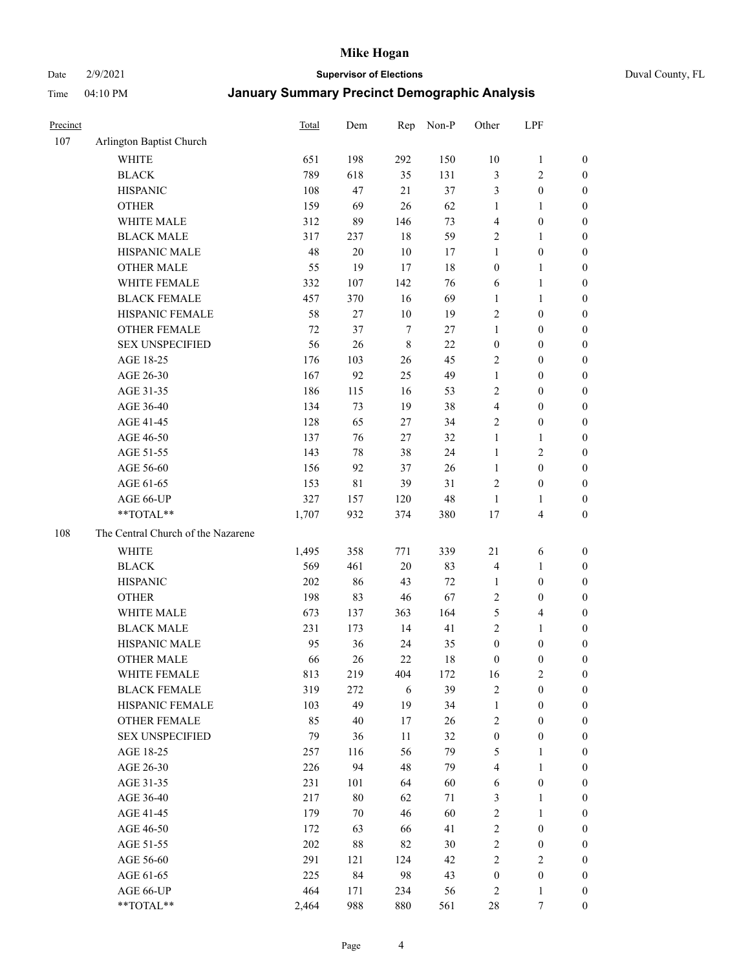Date 2/9/2021 **Supervisor of Elections** Duval County, FL

| Precinct |                                    | <b>Total</b> | Dem    | Rep         | Non-P | Other            | LPF                     |                  |
|----------|------------------------------------|--------------|--------|-------------|-------|------------------|-------------------------|------------------|
| 107      | Arlington Baptist Church           |              |        |             |       |                  |                         |                  |
|          | <b>WHITE</b>                       | 651          | 198    | 292         | 150   | 10               | $\mathbf{1}$            | 0                |
|          | <b>BLACK</b>                       | 789          | 618    | 35          | 131   | 3                | $\sqrt{2}$              | $\boldsymbol{0}$ |
|          | <b>HISPANIC</b>                    | 108          | 47     | 21          | 37    | 3                | $\boldsymbol{0}$        | $\boldsymbol{0}$ |
|          | <b>OTHER</b>                       | 159          | 69     | 26          | 62    | 1                | $\mathbf{1}$            | $\boldsymbol{0}$ |
|          | WHITE MALE                         | 312          | 89     | 146         | 73    | 4                | $\boldsymbol{0}$        | $\boldsymbol{0}$ |
|          | <b>BLACK MALE</b>                  | 317          | 237    | 18          | 59    | $\overline{c}$   | $\mathbf{1}$            | $\boldsymbol{0}$ |
|          | HISPANIC MALE                      | 48           | $20\,$ | $10\,$      | 17    | 1                | $\boldsymbol{0}$        | $\boldsymbol{0}$ |
|          | <b>OTHER MALE</b>                  | 55           | 19     | 17          | 18    | $\boldsymbol{0}$ | $\mathbf{1}$            | $\boldsymbol{0}$ |
|          | WHITE FEMALE                       | 332          | 107    | 142         | 76    | 6                | $\mathbf{1}$            | $\boldsymbol{0}$ |
|          | <b>BLACK FEMALE</b>                | 457          | 370    | 16          | 69    | $\mathbf{1}$     | $\mathbf{1}$            | 0                |
|          | HISPANIC FEMALE                    | 58           | 27     | $10\,$      | 19    | 2                | $\boldsymbol{0}$        | 0                |
|          | <b>OTHER FEMALE</b>                | 72           | 37     | $\tau$      | 27    | 1                | $\boldsymbol{0}$        | $\boldsymbol{0}$ |
|          | <b>SEX UNSPECIFIED</b>             | 56           | 26     | $\,$ 8 $\,$ | 22    | $\boldsymbol{0}$ | $\boldsymbol{0}$        | $\boldsymbol{0}$ |
|          | AGE 18-25                          | 176          | 103    | 26          | 45    | $\sqrt{2}$       | $\boldsymbol{0}$        | $\boldsymbol{0}$ |
|          | AGE 26-30                          | 167          | 92     | 25          | 49    | $\mathbf{1}$     | $\boldsymbol{0}$        | $\boldsymbol{0}$ |
|          | AGE 31-35                          | 186          | 115    | 16          | 53    | $\sqrt{2}$       | $\boldsymbol{0}$        | $\boldsymbol{0}$ |
|          | AGE 36-40                          | 134          | 73     | 19          | 38    | 4                | $\boldsymbol{0}$        | $\boldsymbol{0}$ |
|          | AGE 41-45                          | 128          | 65     | 27          | 34    | $\mathfrak{2}$   | $\boldsymbol{0}$        | $\boldsymbol{0}$ |
|          | AGE 46-50                          | 137          | 76     | 27          | 32    | $\mathbf{1}$     | $\mathbf{1}$            | $\boldsymbol{0}$ |
|          | AGE 51-55                          | 143          | 78     | 38          | 24    | $\mathbf{1}$     | $\sqrt{2}$              | $\boldsymbol{0}$ |
|          | AGE 56-60                          | 156          | 92     | 37          | 26    | $\mathbf{1}$     | $\boldsymbol{0}$        | 0                |
|          | AGE 61-65                          | 153          | 81     | 39          | 31    | $\overline{c}$   | $\boldsymbol{0}$        | 0                |
|          | AGE 66-UP                          | 327          | 157    | 120         | 48    | $\mathbf{1}$     | $\mathbf{1}$            | $\boldsymbol{0}$ |
|          | **TOTAL**                          | 1,707        | 932    | 374         | 380   | $17$             | $\overline{\mathbf{4}}$ | $\boldsymbol{0}$ |
| 108      | The Central Church of the Nazarene |              |        |             |       |                  |                         |                  |
|          | <b>WHITE</b>                       | 1,495        | 358    | 771         | 339   | $21\,$           | 6                       | $\boldsymbol{0}$ |
|          | <b>BLACK</b>                       | 569          | 461    | 20          | 83    | 4                | $\mathbf{1}$            | $\boldsymbol{0}$ |
|          | <b>HISPANIC</b>                    | 202          | 86     | 43          | 72    | $\mathbf{1}$     | $\boldsymbol{0}$        | $\boldsymbol{0}$ |
|          | <b>OTHER</b>                       | 198          | 83     | $46\,$      | 67    | $\overline{c}$   | $\boldsymbol{0}$        | $\boldsymbol{0}$ |
|          | WHITE MALE                         | 673          | 137    | 363         | 164   | 5                | $\overline{\mathbf{4}}$ | $\boldsymbol{0}$ |
|          | <b>BLACK MALE</b>                  | 231          | 173    | 14          | 41    | $\mathbf{2}$     | $\mathbf{1}$            | $\boldsymbol{0}$ |
|          | HISPANIC MALE                      | 95           | 36     | 24          | 35    | $\boldsymbol{0}$ | $\boldsymbol{0}$        | $\boldsymbol{0}$ |
|          | <b>OTHER MALE</b>                  | 66           | 26     | 22          | 18    | $\boldsymbol{0}$ | $\boldsymbol{0}$        | $\boldsymbol{0}$ |
|          | WHITE FEMALE                       | 813          | 219    | 404         | 172   | 16               | 2                       | 0                |
|          | <b>BLACK FEMALE</b>                | 319          | 272    | 6           | 39    | $\mathbf{2}$     | $\boldsymbol{0}$        | $\boldsymbol{0}$ |
|          | HISPANIC FEMALE                    | 103          | 49     | 19          | 34    | $\mathbf{1}$     | $\boldsymbol{0}$        | $\overline{0}$   |
|          | OTHER FEMALE                       | 85           | 40     | 17          | 26    | 2                | $\boldsymbol{0}$        | $\overline{0}$   |
|          | <b>SEX UNSPECIFIED</b>             | 79           | 36     | 11          | 32    | $\boldsymbol{0}$ | $\boldsymbol{0}$        | 0                |
|          | AGE 18-25                          | 257          | 116    | 56          | 79    | 5                | $\mathbf{1}$            | $\theta$         |
|          | AGE 26-30                          | 226          | 94     | 48          | 79    | 4                | $\mathbf{1}$            | 0                |
|          | AGE 31-35                          | 231          | 101    | 64          | 60    | 6                | $\boldsymbol{0}$        | 0                |
|          | AGE 36-40                          | 217          | $80\,$ | 62          | 71    | 3                | $\mathbf{1}$            | 0                |
|          | AGE 41-45                          | 179          | 70     | 46          | 60    | $\sqrt{2}$       | $\mathbf{1}$            | 0                |
|          | AGE 46-50                          | 172          | 63     | 66          | 41    | $\sqrt{2}$       | $\boldsymbol{0}$        | 0                |
|          | AGE 51-55                          | 202          | 88     | 82          | 30    | $\sqrt{2}$       | $\boldsymbol{0}$        | 0                |
|          | AGE 56-60                          | 291          | 121    | 124         | 42    | $\mathbf{2}$     | $\mathbf{2}$            | $\overline{0}$   |
|          | AGE 61-65                          | 225          | 84     | 98          | 43    | $\boldsymbol{0}$ | $\boldsymbol{0}$        | $\overline{0}$   |
|          | AGE 66-UP                          | 464          | 171    | 234         | 56    | 2                | $\mathbf{1}$            | $\boldsymbol{0}$ |
|          | **TOTAL**                          | 2,464        | 988    | 880         | 561   | 28               | $\tau$                  | $\boldsymbol{0}$ |
|          |                                    |              |        |             |       |                  |                         |                  |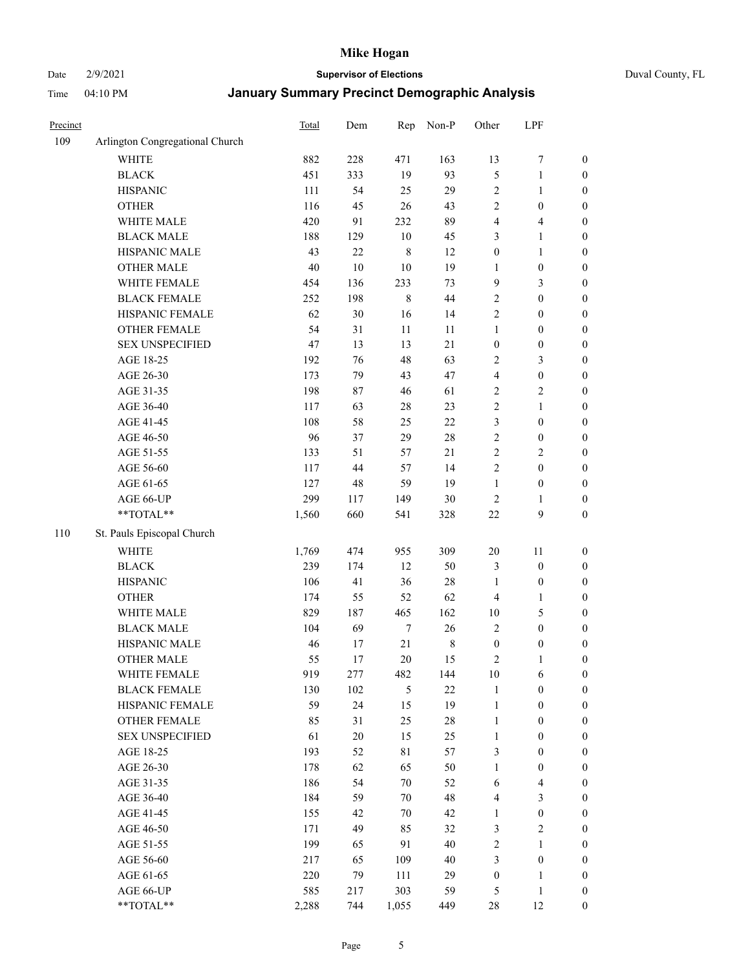#### Date 2/9/2021 **Supervisor of Elections** Duval County, FL

| Precinct |                                 | Total | Dem    | Rep              | Non-P       | Other            | LPF                     |                  |
|----------|---------------------------------|-------|--------|------------------|-------------|------------------|-------------------------|------------------|
| 109      | Arlington Congregational Church |       |        |                  |             |                  |                         |                  |
|          | <b>WHITE</b>                    | 882   | 228    | 471              | 163         | 13               | $\boldsymbol{7}$        | 0                |
|          | <b>BLACK</b>                    | 451   | 333    | 19               | 93          | 5                | $\mathbf{1}$            | $\boldsymbol{0}$ |
|          | <b>HISPANIC</b>                 | 111   | 54     | 25               | 29          | $\sqrt{2}$       | $\mathbf{1}$            | $\boldsymbol{0}$ |
|          | <b>OTHER</b>                    | 116   | 45     | 26               | 43          | $\sqrt{2}$       | $\boldsymbol{0}$        | $\boldsymbol{0}$ |
|          | WHITE MALE                      | 420   | 91     | 232              | 89          | 4                | $\overline{\mathbf{4}}$ | $\boldsymbol{0}$ |
|          | <b>BLACK MALE</b>               | 188   | 129    | $10\,$           | 45          | 3                | $\mathbf{1}$            | $\boldsymbol{0}$ |
|          | HISPANIC MALE                   | 43    | 22     | $\,$ 8 $\,$      | 12          | $\boldsymbol{0}$ | $\mathbf{1}$            | $\boldsymbol{0}$ |
|          | <b>OTHER MALE</b>               | 40    | $10\,$ | $10\,$           | 19          | $\mathbf{1}$     | $\boldsymbol{0}$        | $\boldsymbol{0}$ |
|          | WHITE FEMALE                    | 454   | 136    | 233              | 73          | 9                | $\mathfrak{Z}$          | $\boldsymbol{0}$ |
|          | <b>BLACK FEMALE</b>             | 252   | 198    | $\,$ 8 $\,$      | 44          | $\sqrt{2}$       | $\boldsymbol{0}$        | $\boldsymbol{0}$ |
|          | HISPANIC FEMALE                 | 62    | 30     | 16               | 14          | $\sqrt{2}$       | $\boldsymbol{0}$        | $\boldsymbol{0}$ |
|          | <b>OTHER FEMALE</b>             | 54    | 31     | 11               | 11          | $\mathbf{1}$     | $\boldsymbol{0}$        | $\boldsymbol{0}$ |
|          | <b>SEX UNSPECIFIED</b>          | 47    | 13     | 13               | 21          | $\boldsymbol{0}$ | $\boldsymbol{0}$        | $\boldsymbol{0}$ |
|          | AGE 18-25                       | 192   | 76     | 48               | 63          | $\sqrt{2}$       | $\mathfrak{Z}$          | $\boldsymbol{0}$ |
|          | AGE 26-30                       | 173   | 79     | 43               | 47          | 4                | $\boldsymbol{0}$        | $\boldsymbol{0}$ |
|          | AGE 31-35                       | 198   | 87     | 46               | 61          | $\sqrt{2}$       | $\sqrt{2}$              | $\boldsymbol{0}$ |
|          | AGE 36-40                       | 117   | 63     | $28\,$           | 23          | $\sqrt{2}$       | $\mathbf{1}$            | $\boldsymbol{0}$ |
|          | AGE 41-45                       | 108   | 58     | 25               | 22          | 3                | $\boldsymbol{0}$        | $\boldsymbol{0}$ |
|          | AGE 46-50                       | 96    | 37     | 29               | $28\,$      | $\sqrt{2}$       | $\boldsymbol{0}$        | $\boldsymbol{0}$ |
|          | AGE 51-55                       | 133   | 51     | 57               | $21\,$      | $\sqrt{2}$       | $\sqrt{2}$              | $\boldsymbol{0}$ |
|          | AGE 56-60                       | 117   | 44     | 57               | 14          | $\sqrt{2}$       | $\boldsymbol{0}$        | 0                |
|          | AGE 61-65                       | 127   | 48     | 59               | 19          | $\mathbf{1}$     | $\boldsymbol{0}$        | 0                |
|          | AGE 66-UP                       | 299   | 117    | 149              | $30\,$      | $\sqrt{2}$       | $\mathbf{1}$            | $\boldsymbol{0}$ |
|          | $**TOTAL**$                     | 1,560 | 660    | 541              | 328         | $22\,$           | $\boldsymbol{9}$        | $\boldsymbol{0}$ |
| 110      | St. Pauls Episcopal Church      |       |        |                  |             |                  |                         |                  |
|          | <b>WHITE</b>                    | 1,769 | 474    | 955              | 309         | $20\,$           | $11\,$                  | $\boldsymbol{0}$ |
|          | <b>BLACK</b>                    | 239   | 174    | 12               | 50          | 3                | $\boldsymbol{0}$        | $\boldsymbol{0}$ |
|          | <b>HISPANIC</b>                 | 106   | 41     | 36               | 28          | $\mathbf{1}$     | $\boldsymbol{0}$        | $\boldsymbol{0}$ |
|          | <b>OTHER</b>                    | 174   | 55     | 52               | 62          | 4                | $\mathbf{1}$            | $\boldsymbol{0}$ |
|          | WHITE MALE                      | 829   | 187    | 465              | 162         | $10\,$           | $\mathfrak{S}$          | $\boldsymbol{0}$ |
|          | <b>BLACK MALE</b>               | 104   | 69     | $\boldsymbol{7}$ | 26          | $\overline{2}$   | $\boldsymbol{0}$        | $\boldsymbol{0}$ |
|          | HISPANIC MALE                   | 46    | 17     | 21               | $\,$ 8 $\,$ | $\boldsymbol{0}$ | $\boldsymbol{0}$        | $\boldsymbol{0}$ |
|          | <b>OTHER MALE</b>               | 55    | 17     | $20\,$           | 15          | 2                | $\mathbf{1}$            | $\boldsymbol{0}$ |
|          | WHITE FEMALE                    | 919   | 277    | 482              | 144         | 10               | 6                       | 0                |
|          | <b>BLACK FEMALE</b>             | 130   | 102    | $\mathfrak{H}$   | 22          | $\mathbf{1}$     | $\boldsymbol{0}$        | $\boldsymbol{0}$ |
|          | HISPANIC FEMALE                 | 59    | 24     | 15               | 19          | $\mathbf{1}$     | $\boldsymbol{0}$        | $\overline{0}$   |
|          | <b>OTHER FEMALE</b>             | 85    | 31     | 25               | $28\,$      | $\mathbf{1}$     | $\boldsymbol{0}$        | $\overline{0}$   |
|          | <b>SEX UNSPECIFIED</b>          | 61    | $20\,$ | 15               | 25          | $\mathbf{1}$     | $\boldsymbol{0}$        | $\overline{0}$   |
|          | AGE 18-25                       | 193   | 52     | $8\sqrt{1}$      | 57          | 3                | $\boldsymbol{0}$        | $\overline{0}$   |
|          | AGE 26-30                       | 178   | 62     | 65               | 50          | $\mathbf{1}$     | $\boldsymbol{0}$        | 0                |
|          | AGE 31-35                       | 186   | 54     | 70               | 52          | 6                | $\overline{\mathbf{4}}$ | 0                |
|          | AGE 36-40                       | 184   | 59     | 70               | 48          | 4                | $\mathfrak{Z}$          | 0                |
|          | AGE 41-45                       | 155   | 42     | 70               | 42          | $\mathbf{1}$     | $\boldsymbol{0}$        | 0                |
|          | AGE 46-50                       | 171   | 49     | 85               | 32          | 3                | $\sqrt{2}$              | 0                |
|          | AGE 51-55                       | 199   | 65     | 91               | 40          | $\sqrt{2}$       | $\mathbf{1}$            | $\overline{0}$   |
|          | AGE 56-60                       | 217   | 65     | 109              | 40          | 3                | $\boldsymbol{0}$        | $\overline{0}$   |
|          | AGE 61-65                       | 220   | 79     | 111              | 29          | $\boldsymbol{0}$ | $\mathbf{1}$            | $\boldsymbol{0}$ |
|          | AGE 66-UP                       | 585   | 217    | 303              | 59          | 5                | $\mathbf{1}$            | $\boldsymbol{0}$ |
|          | **TOTAL**                       | 2,288 | 744    | 1,055            | 449         | 28               | 12                      | $\boldsymbol{0}$ |
|          |                                 |       |        |                  |             |                  |                         |                  |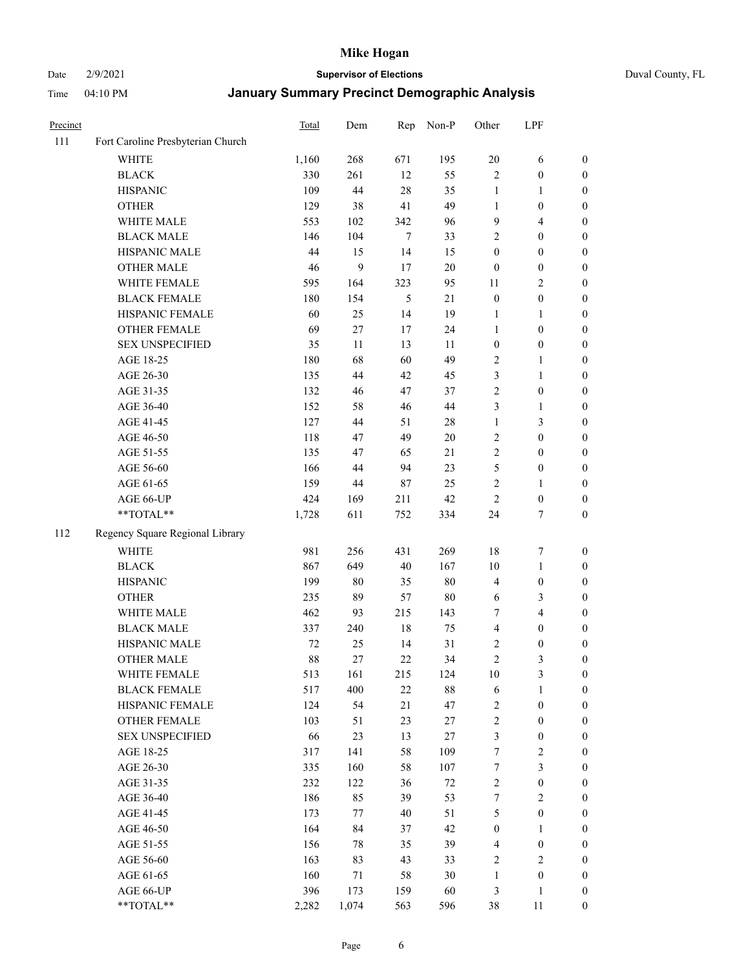#### Date 2/9/2021 **Supervisor of Elections** Duval County, FL

| Precinct |                                   | Total | Dem    | Rep    | Non-P  | Other                   | LPF                     |                  |
|----------|-----------------------------------|-------|--------|--------|--------|-------------------------|-------------------------|------------------|
| 111      | Fort Caroline Presbyterian Church |       |        |        |        |                         |                         |                  |
|          | <b>WHITE</b>                      | 1,160 | 268    | 671    | 195    | $20\,$                  | 6                       | 0                |
|          | <b>BLACK</b>                      | 330   | 261    | 12     | 55     | $\mathbf{2}$            | $\boldsymbol{0}$        | $\boldsymbol{0}$ |
|          | <b>HISPANIC</b>                   | 109   | 44     | 28     | 35     | $\mathbf{1}$            | $\mathbf{1}$            | $\boldsymbol{0}$ |
|          | <b>OTHER</b>                      | 129   | 38     | 41     | 49     | 1                       | $\boldsymbol{0}$        | $\boldsymbol{0}$ |
|          | WHITE MALE                        | 553   | 102    | 342    | 96     | 9                       | $\overline{4}$          | $\boldsymbol{0}$ |
|          | <b>BLACK MALE</b>                 | 146   | 104    | $\tau$ | 33     | 2                       | $\boldsymbol{0}$        | $\boldsymbol{0}$ |
|          | HISPANIC MALE                     | 44    | 15     | 14     | 15     | $\boldsymbol{0}$        | $\boldsymbol{0}$        | $\boldsymbol{0}$ |
|          | <b>OTHER MALE</b>                 | 46    | 9      | 17     | $20\,$ | $\boldsymbol{0}$        | $\boldsymbol{0}$        | $\boldsymbol{0}$ |
|          | WHITE FEMALE                      | 595   | 164    | 323    | 95     | 11                      | $\overline{2}$          | $\boldsymbol{0}$ |
|          | <b>BLACK FEMALE</b>               | 180   | 154    | 5      | 21     | $\boldsymbol{0}$        | $\boldsymbol{0}$        | 0                |
|          | HISPANIC FEMALE                   | 60    | 25     | 14     | 19     | 1                       | $\mathbf{1}$            | 0                |
|          | OTHER FEMALE                      | 69    | $27\,$ | 17     | 24     | $\mathbf{1}$            | $\boldsymbol{0}$        | $\boldsymbol{0}$ |
|          | <b>SEX UNSPECIFIED</b>            | 35    | 11     | 13     | 11     | $\boldsymbol{0}$        | $\boldsymbol{0}$        | $\boldsymbol{0}$ |
|          | AGE 18-25                         | 180   | 68     | 60     | 49     | $\sqrt{2}$              | 1                       | $\boldsymbol{0}$ |
|          | AGE 26-30                         | 135   | 44     | 42     | 45     | 3                       | $\mathbf{1}$            | $\boldsymbol{0}$ |
|          | AGE 31-35                         | 132   | 46     | 47     | 37     | $\sqrt{2}$              | $\boldsymbol{0}$        | $\boldsymbol{0}$ |
|          | AGE 36-40                         | 152   | 58     | 46     | 44     | 3                       | $\mathbf{1}$            | $\boldsymbol{0}$ |
|          | AGE 41-45                         | 127   | 44     | 51     | $28\,$ | $\mathbf{1}$            | 3                       | $\boldsymbol{0}$ |
|          | AGE 46-50                         | 118   | 47     | 49     | $20\,$ | 2                       | $\boldsymbol{0}$        | $\boldsymbol{0}$ |
|          | AGE 51-55                         | 135   | 47     | 65     | 21     | $\sqrt{2}$              | $\boldsymbol{0}$        | $\boldsymbol{0}$ |
|          | AGE 56-60                         | 166   | 44     | 94     | 23     | 5                       | $\boldsymbol{0}$        | 0                |
|          | AGE 61-65                         | 159   | 44     | 87     | 25     | $\mathfrak{2}$          | $\mathbf{1}$            | 0                |
|          | AGE 66-UP                         | 424   | 169    | 211    | 42     | $\mathfrak{2}$          | $\boldsymbol{0}$        | $\boldsymbol{0}$ |
|          | **TOTAL**                         | 1,728 | 611    | 752    | 334    | 24                      | $\boldsymbol{7}$        | $\boldsymbol{0}$ |
| 112      | Regency Square Regional Library   |       |        |        |        |                         |                         |                  |
|          | <b>WHITE</b>                      | 981   | 256    | 431    | 269    | 18                      | $\boldsymbol{7}$        | $\boldsymbol{0}$ |
|          | <b>BLACK</b>                      | 867   | 649    | 40     | 167    | 10                      | $\mathbf{1}$            | $\boldsymbol{0}$ |
|          | <b>HISPANIC</b>                   | 199   | $80\,$ | 35     | $80\,$ | 4                       | $\boldsymbol{0}$        | $\boldsymbol{0}$ |
|          | <b>OTHER</b>                      | 235   | 89     | 57     | $80\,$ | 6                       | $\mathfrak{Z}$          | $\boldsymbol{0}$ |
|          | WHITE MALE                        | 462   | 93     | 215    | 143    | 7                       | $\overline{\mathbf{4}}$ | $\boldsymbol{0}$ |
|          | <b>BLACK MALE</b>                 | 337   | 240    | 18     | 75     | $\overline{\mathbf{4}}$ | $\boldsymbol{0}$        | $\boldsymbol{0}$ |
|          | HISPANIC MALE                     | 72    | 25     | 14     | 31     | 2                       | $\boldsymbol{0}$        | $\boldsymbol{0}$ |
|          | <b>OTHER MALE</b>                 | 88    | 27     | 22     | 34     | $\overline{c}$          | $\mathfrak{Z}$          | $\boldsymbol{0}$ |
|          | WHITE FEMALE                      | 513   | 161    | 215    | 124    | 10                      | 3                       | 0                |
|          | <b>BLACK FEMALE</b>               | 517   | 400    | 22     | $88\,$ | 6                       | $\mathbf{1}$            | $\boldsymbol{0}$ |
|          | HISPANIC FEMALE                   | 124   | 54     | $21\,$ | 47     | $\sqrt{2}$              | $\boldsymbol{0}$        | $\overline{0}$   |
|          | OTHER FEMALE                      | 103   | 51     | 23     | 27     | $\sqrt{2}$              | $\boldsymbol{0}$        | $\overline{0}$   |
|          | <b>SEX UNSPECIFIED</b>            | 66    | 23     | 13     | $27\,$ | 3                       | $\boldsymbol{0}$        | 0                |
|          | AGE 18-25                         | 317   | 141    | 58     | 109    | 7                       | $\sqrt{2}$              | 0                |
|          | AGE 26-30                         | 335   | 160    | 58     | 107    | $\boldsymbol{7}$        | $\mathfrak{Z}$          | 0                |
|          | AGE 31-35                         | 232   | 122    | 36     | $72\,$ | $\overline{c}$          | $\boldsymbol{0}$        | 0                |
|          | AGE 36-40                         | 186   | 85     | 39     | 53     | 7                       | $\sqrt{2}$              | 0                |
|          | AGE 41-45                         | 173   | 77     | 40     | 51     | 5                       | $\boldsymbol{0}$        | 0                |
|          | AGE 46-50                         | 164   | 84     | 37     | 42     | $\boldsymbol{0}$        | $\mathbf{1}$            | 0                |
|          | AGE 51-55                         | 156   | 78     | 35     | 39     | $\overline{4}$          | $\boldsymbol{0}$        | 0                |
|          | AGE 56-60                         | 163   | 83     | 43     | 33     | $\overline{2}$          | $\mathbf{2}$            | 0                |
|          | AGE 61-65                         | 160   | 71     | 58     | 30     | $\mathbf{1}$            | $\boldsymbol{0}$        | $\overline{0}$   |
|          | AGE 66-UP                         | 396   | 173    | 159    | 60     | 3                       | $\mathbf{1}$            | $\boldsymbol{0}$ |
|          | **TOTAL**                         | 2,282 | 1,074  | 563    | 596    | 38                      | 11                      | $\boldsymbol{0}$ |
|          |                                   |       |        |        |        |                         |                         |                  |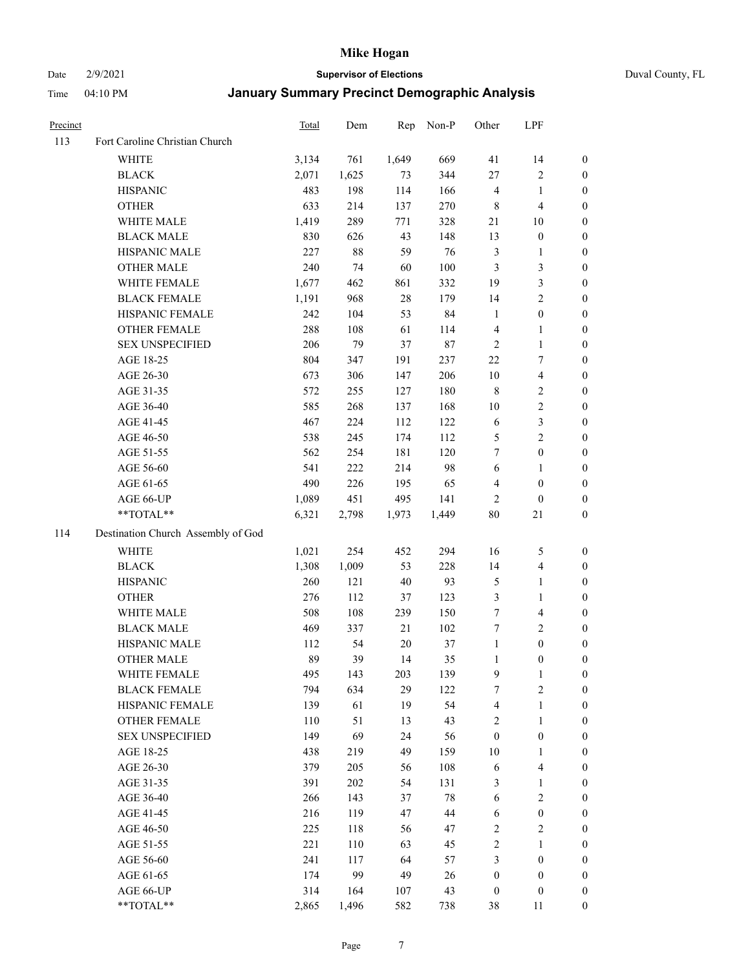Date 2/9/2021 **Supervisor of Elections** Duval County, FL

| Precinct |                                    | Total | Dem    | Rep    | Non-P   | Other            | LPF                     |                  |
|----------|------------------------------------|-------|--------|--------|---------|------------------|-------------------------|------------------|
| 113      | Fort Caroline Christian Church     |       |        |        |         |                  |                         |                  |
|          | <b>WHITE</b>                       | 3,134 | 761    | 1,649  | 669     | 41               | 14                      | 0                |
|          | <b>BLACK</b>                       | 2,071 | 1,625  | 73     | 344     | $27\,$           | $\sqrt{2}$              | 0                |
|          | <b>HISPANIC</b>                    | 483   | 198    | 114    | 166     | $\overline{4}$   | $\mathbf{1}$            | $\boldsymbol{0}$ |
|          | <b>OTHER</b>                       | 633   | 214    | 137    | 270     | 8                | $\overline{\mathbf{4}}$ | $\boldsymbol{0}$ |
|          | WHITE MALE                         | 1,419 | 289    | 771    | 328     | 21               | 10                      | $\boldsymbol{0}$ |
|          | <b>BLACK MALE</b>                  | 830   | 626    | 43     | 148     | 13               | $\boldsymbol{0}$        | $\boldsymbol{0}$ |
|          | HISPANIC MALE                      | 227   | $88\,$ | 59     | 76      | $\mathfrak z$    | $\mathbf{1}$            | $\boldsymbol{0}$ |
|          | <b>OTHER MALE</b>                  | 240   | 74     | 60     | $100\,$ | $\mathfrak{Z}$   | $\mathfrak{Z}$          | $\boldsymbol{0}$ |
|          | WHITE FEMALE                       | 1,677 | 462    | 861    | 332     | 19               | $\mathfrak{Z}$          | $\boldsymbol{0}$ |
|          | <b>BLACK FEMALE</b>                | 1,191 | 968    | $28\,$ | 179     | 14               | $\sqrt{2}$              | 0                |
|          | HISPANIC FEMALE                    | 242   | 104    | 53     | 84      | $\mathbf{1}$     | $\boldsymbol{0}$        | 0                |
|          | OTHER FEMALE                       | 288   | 108    | 61     | 114     | $\overline{4}$   | $\mathbf{1}$            | 0                |
|          | <b>SEX UNSPECIFIED</b>             | 206   | 79     | 37     | $87\,$  | $\sqrt{2}$       | $\mathbf{1}$            | $\boldsymbol{0}$ |
|          | AGE 18-25                          | 804   | 347    | 191    | 237     | $22\,$           | $\tau$                  | $\boldsymbol{0}$ |
|          | AGE 26-30                          | 673   | 306    | 147    | 206     | 10               | $\overline{\mathbf{4}}$ | $\boldsymbol{0}$ |
|          | AGE 31-35                          | 572   | 255    | 127    | 180     | $\,8\,$          | $\sqrt{2}$              | $\boldsymbol{0}$ |
|          | AGE 36-40                          | 585   | 268    | 137    | 168     | 10               | $\sqrt{2}$              | $\boldsymbol{0}$ |
|          | AGE 41-45                          | 467   | 224    | 112    | 122     | 6                | $\mathfrak{Z}$          | $\boldsymbol{0}$ |
|          | AGE 46-50                          | 538   | 245    | 174    | 112     | 5                | $\overline{2}$          | $\boldsymbol{0}$ |
|          | AGE 51-55                          | 562   | 254    | 181    | 120     | 7                | $\boldsymbol{0}$        | 0                |
|          | AGE 56-60                          | 541   | 222    | 214    | 98      | 6                | $\mathbf{1}$            | 0                |
|          | AGE 61-65                          | 490   | 226    | 195    | 65      | 4                | $\boldsymbol{0}$        | 0                |
|          | AGE 66-UP                          | 1,089 | 451    | 495    | 141     | $\overline{c}$   | $\boldsymbol{0}$        | $\boldsymbol{0}$ |
|          | $**TOTAL**$                        | 6,321 | 2,798  | 1,973  | 1,449   | $80\,$           | 21                      | $\boldsymbol{0}$ |
| 114      | Destination Church Assembly of God |       |        |        |         |                  |                         |                  |
|          | <b>WHITE</b>                       | 1,021 | 254    | 452    | 294     | 16               | 5                       | $\boldsymbol{0}$ |
|          | <b>BLACK</b>                       | 1,308 | 1,009  | 53     | 228     | 14               | $\overline{\mathbf{4}}$ | $\boldsymbol{0}$ |
|          | <b>HISPANIC</b>                    | 260   | 121    | $40\,$ | 93      | 5                | $\mathbf{1}$            | $\boldsymbol{0}$ |
|          | <b>OTHER</b>                       | 276   | 112    | 37     | 123     | 3                | $\mathbf{1}$            | $\boldsymbol{0}$ |
|          | WHITE MALE                         | 508   | 108    | 239    | 150     | $\tau$           | $\overline{4}$          | $\boldsymbol{0}$ |
|          | <b>BLACK MALE</b>                  | 469   | 337    | 21     | 102     | $\tau$           | $\overline{2}$          | $\boldsymbol{0}$ |
|          | HISPANIC MALE                      | 112   | 54     | $20\,$ | 37      | $\mathbf{1}$     | $\boldsymbol{0}$        | $\boldsymbol{0}$ |
|          | <b>OTHER MALE</b>                  | 89    | 39     | 14     | 35      | $\mathbf{1}$     | $\boldsymbol{0}$        | $\boldsymbol{0}$ |
|          | WHITE FEMALE                       | 495   | 143    | 203    | 139     | 9                | $\mathbf{1}$            | 0                |
|          | <b>BLACK FEMALE</b>                | 794   | 634    | 29     | 122     | 7                | $\sqrt{2}$              | $\overline{0}$   |
|          | HISPANIC FEMALE                    | 139   | 61     | 19     | 54      | 4                | $\mathbf{1}$            | $\overline{0}$   |
|          | OTHER FEMALE                       | 110   | 51     | 13     | 43      | 2                | $\mathbf{1}$            | $\overline{0}$   |
|          | <b>SEX UNSPECIFIED</b>             | 149   | 69     | 24     | 56      | $\boldsymbol{0}$ | $\boldsymbol{0}$        | 0                |
|          | AGE 18-25                          | 438   | 219    | 49     | 159     | 10               | $\mathbf{1}$            | 0                |
|          | AGE 26-30                          | 379   | 205    | 56     | 108     | 6                | $\overline{\mathbf{4}}$ | 0                |
|          | AGE 31-35                          | 391   | 202    | 54     | 131     | 3                | $\mathbf{1}$            | 0                |
|          | AGE 36-40                          | 266   | 143    | 37     | $78\,$  | 6                | $\sqrt{2}$              | 0                |
|          | AGE 41-45                          | 216   | 119    | 47     | 44      | 6                | $\boldsymbol{0}$        | 0                |
|          | AGE 46-50                          | 225   | 118    | 56     | 47      | $\sqrt{2}$       | $\sqrt{2}$              | 0                |
|          | AGE 51-55                          | 221   | 110    | 63     | 45      | $\sqrt{2}$       | $\mathbf{1}$            | $\overline{0}$   |
|          | AGE 56-60                          | 241   | 117    | 64     | 57      | 3                | $\boldsymbol{0}$        | $\overline{0}$   |
|          | AGE 61-65                          | 174   | 99     | 49     | 26      | $\boldsymbol{0}$ | $\boldsymbol{0}$        | $\overline{0}$   |
|          | AGE 66-UP                          | 314   | 164    | 107    | 43      | $\boldsymbol{0}$ | $\boldsymbol{0}$        | 0                |
|          | **TOTAL**                          | 2,865 | 1,496  | 582    | 738     | 38               | 11                      | $\boldsymbol{0}$ |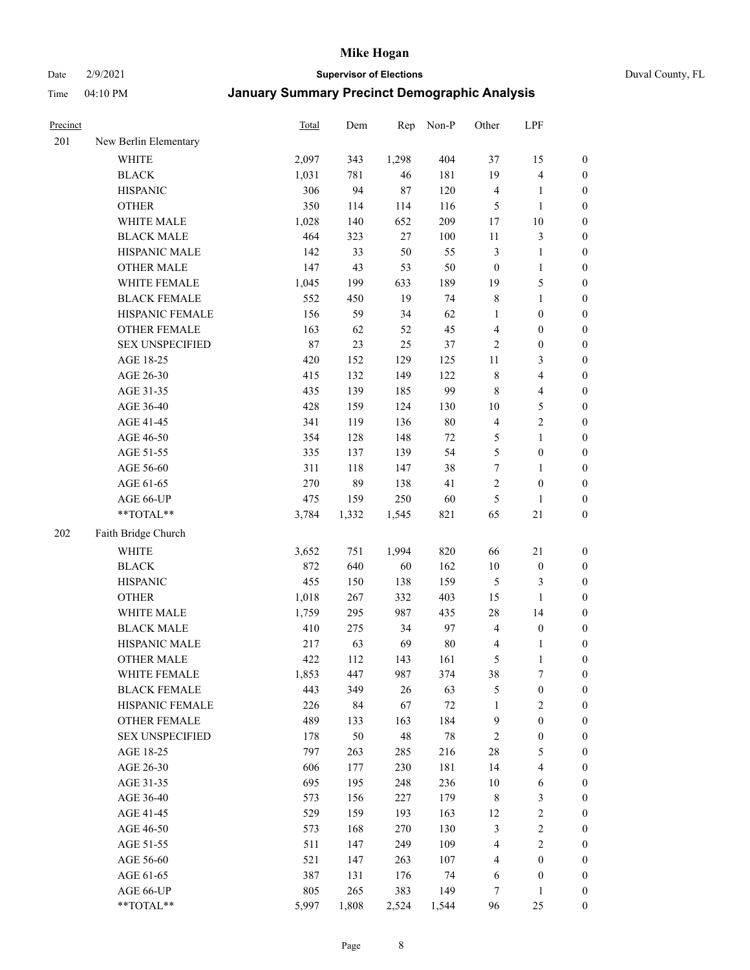#### Date 2/9/2021 **Supervisor of Elections** Duval County, FL

| Precinct |                        | Total | Dem   | Rep   | Non-P  | Other                   | LPF                     |                  |
|----------|------------------------|-------|-------|-------|--------|-------------------------|-------------------------|------------------|
| 201      | New Berlin Elementary  |       |       |       |        |                         |                         |                  |
|          | <b>WHITE</b>           | 2,097 | 343   | 1,298 | 404    | 37                      | 15                      | 0                |
|          | <b>BLACK</b>           | 1,031 | 781   | 46    | 181    | 19                      | $\overline{\mathbf{4}}$ | 0                |
|          | <b>HISPANIC</b>        | 306   | 94    | 87    | 120    | 4                       | $\mathbf{1}$            | $\boldsymbol{0}$ |
|          | <b>OTHER</b>           | 350   | 114   | 114   | 116    | 5                       | $\mathbf{1}$            | $\boldsymbol{0}$ |
|          | WHITE MALE             | 1,028 | 140   | 652   | 209    | 17                      | $10\,$                  | $\boldsymbol{0}$ |
|          | <b>BLACK MALE</b>      | 464   | 323   | 27    | 100    | 11                      | $\mathfrak{Z}$          | $\boldsymbol{0}$ |
|          | HISPANIC MALE          | 142   | 33    | 50    | 55     | $\mathfrak{Z}$          | $\mathbf{1}$            | $\boldsymbol{0}$ |
|          | <b>OTHER MALE</b>      | 147   | 43    | 53    | 50     | $\boldsymbol{0}$        | $\mathbf{1}$            | $\boldsymbol{0}$ |
|          | WHITE FEMALE           | 1,045 | 199   | 633   | 189    | 19                      | $\mathfrak s$           | $\boldsymbol{0}$ |
|          | <b>BLACK FEMALE</b>    | 552   | 450   | 19    | 74     | 8                       | $\mathbf{1}$            | $\boldsymbol{0}$ |
|          | HISPANIC FEMALE        | 156   | 59    | 34    | 62     | $\mathbf{1}$            | $\boldsymbol{0}$        | 0                |
|          | OTHER FEMALE           | 163   | 62    | 52    | 45     | 4                       | $\boldsymbol{0}$        | $\boldsymbol{0}$ |
|          | <b>SEX UNSPECIFIED</b> | 87    | 23    | 25    | 37     | $\sqrt{2}$              | $\boldsymbol{0}$        | $\boldsymbol{0}$ |
|          | AGE 18-25              | 420   | 152   | 129   | 125    | $11\,$                  | $\mathfrak{Z}$          | $\boldsymbol{0}$ |
|          | AGE 26-30              | 415   | 132   | 149   | 122    | $\,$ $\,$               | $\overline{\mathbf{4}}$ | $\boldsymbol{0}$ |
|          | AGE 31-35              | 435   | 139   | 185   | 99     | $\,$ 8 $\,$             | $\overline{\mathbf{4}}$ | $\boldsymbol{0}$ |
|          | AGE 36-40              | 428   | 159   | 124   | 130    | $10\,$                  | 5                       | $\boldsymbol{0}$ |
|          | AGE 41-45              | 341   | 119   | 136   | $80\,$ | $\overline{\mathbf{4}}$ | $\sqrt{2}$              | $\boldsymbol{0}$ |
|          | AGE 46-50              | 354   | 128   | 148   | $72\,$ | 5                       | $\mathbf{1}$            | $\boldsymbol{0}$ |
|          | AGE 51-55              | 335   | 137   | 139   | 54     | 5                       | $\boldsymbol{0}$        | $\boldsymbol{0}$ |
|          | AGE 56-60              | 311   | 118   | 147   | 38     | $\boldsymbol{7}$        | 1                       | 0                |
|          | AGE 61-65              | 270   | 89    | 138   | 41     | 2                       | $\boldsymbol{0}$        | $\boldsymbol{0}$ |
|          | AGE 66-UP              | 475   | 159   | 250   | 60     | 5                       | $\mathbf{1}$            | $\boldsymbol{0}$ |
|          | **TOTAL**              | 3,784 | 1,332 | 1,545 | 821    | 65                      | $21\,$                  | $\boldsymbol{0}$ |
| 202      | Faith Bridge Church    |       |       |       |        |                         |                         |                  |
|          | <b>WHITE</b>           | 3,652 | 751   | 1,994 | 820    | 66                      | 21                      | $\boldsymbol{0}$ |
|          | <b>BLACK</b>           | 872   | 640   | 60    | 162    | $10\,$                  | $\boldsymbol{0}$        | $\boldsymbol{0}$ |
|          | <b>HISPANIC</b>        | 455   | 150   | 138   | 159    | 5                       | $\mathfrak{Z}$          | $\boldsymbol{0}$ |
|          | <b>OTHER</b>           | 1,018 | 267   | 332   | 403    | 15                      | $\mathbf{1}$            | $\boldsymbol{0}$ |
|          | WHITE MALE             | 1,759 | 295   | 987   | 435    | $28\,$                  | 14                      | $\boldsymbol{0}$ |
|          | <b>BLACK MALE</b>      | 410   | 275   | 34    | 97     | $\overline{\mathbf{4}}$ | $\boldsymbol{0}$        | $\boldsymbol{0}$ |
|          | HISPANIC MALE          | 217   | 63    | 69    | $80\,$ | $\overline{\mathbf{4}}$ | 1                       | $\boldsymbol{0}$ |
|          | <b>OTHER MALE</b>      | 422   | 112   | 143   | 161    | 5                       | $\mathbf{1}$            | $\boldsymbol{0}$ |
|          | WHITE FEMALE           | 1,853 | 447   | 987   | 374    | 38                      | 7                       | 0                |
|          | <b>BLACK FEMALE</b>    | 443   | 349   | 26    | 63     | 5                       | $\boldsymbol{0}$        | $\boldsymbol{0}$ |
|          | HISPANIC FEMALE        | 226   | 84    | 67    | $72\,$ | $\mathbf{1}$            | $\sqrt{2}$              | $\overline{0}$   |
|          | OTHER FEMALE           | 489   | 133   | 163   | 184    | 9                       | $\boldsymbol{0}$        | $\overline{0}$   |
|          | <b>SEX UNSPECIFIED</b> | 178   | 50    | 48    | $78\,$ | $\overline{c}$          | $\boldsymbol{0}$        | 0                |
|          | AGE 18-25              | 797   | 263   | 285   | 216    | $28\,$                  | $\mathfrak{S}$          | $\theta$         |
|          | AGE 26-30              | 606   | 177   | 230   | 181    | 14                      | $\overline{\mathbf{4}}$ | 0                |
|          | AGE 31-35              | 695   | 195   | 248   | 236    | $10\,$                  | 6                       | 0                |
|          | AGE 36-40              | 573   | 156   | 227   | 179    | $\,$ 8 $\,$             | $\mathfrak{Z}$          | 0                |
|          | AGE 41-45              | 529   | 159   | 193   | 163    | 12                      | $\sqrt{2}$              | 0                |
|          | AGE 46-50              | 573   | 168   | 270   | 130    | 3                       | $\sqrt{2}$              | 0                |
|          | AGE 51-55              | 511   | 147   | 249   | 109    | 4                       | $\overline{2}$          | 0                |
|          | AGE 56-60              | 521   | 147   | 263   | 107    | 4                       | $\boldsymbol{0}$        | $\overline{0}$   |
|          | AGE 61-65              | 387   | 131   | 176   | 74     | 6                       | $\boldsymbol{0}$        | $\boldsymbol{0}$ |
|          | AGE 66-UP              | 805   | 265   | 383   | 149    | 7                       | $\mathbf{1}$            | 0                |
|          | **TOTAL**              | 5,997 | 1,808 | 2,524 | 1,544  | 96                      | 25                      | $\boldsymbol{0}$ |
|          |                        |       |       |       |        |                         |                         |                  |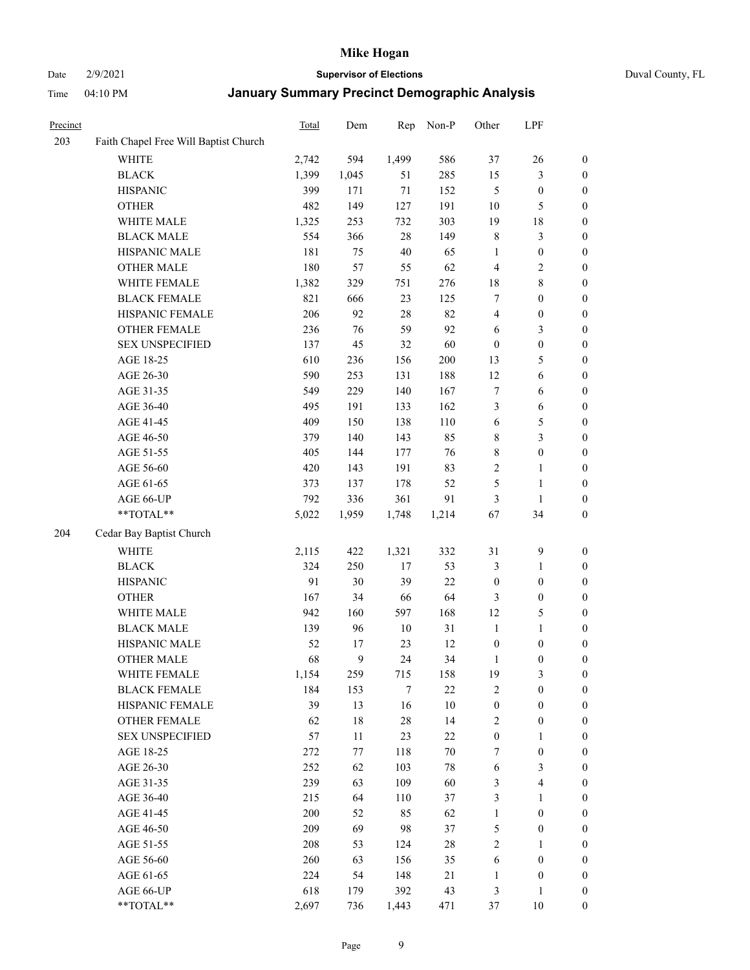#### Date 2/9/2021 **Supervisor of Elections** Duval County, FL

| Precinct |                                       | Total | Dem    | Rep    | Non-P  | Other                   | LPF              |                  |
|----------|---------------------------------------|-------|--------|--------|--------|-------------------------|------------------|------------------|
| 203      | Faith Chapel Free Will Baptist Church |       |        |        |        |                         |                  |                  |
|          | <b>WHITE</b>                          | 2,742 | 594    | 1,499  | 586    | 37                      | 26               | 0                |
|          | <b>BLACK</b>                          | 1,399 | 1,045  | 51     | 285    | 15                      | $\mathfrak{Z}$   | 0                |
|          | <b>HISPANIC</b>                       | 399   | 171    | $71\,$ | 152    | 5                       | $\boldsymbol{0}$ | $\boldsymbol{0}$ |
|          | <b>OTHER</b>                          | 482   | 149    | 127    | 191    | 10                      | 5                | $\boldsymbol{0}$ |
|          | WHITE MALE                            | 1,325 | 253    | 732    | 303    | 19                      | $18\,$           | $\boldsymbol{0}$ |
|          | <b>BLACK MALE</b>                     | 554   | 366    | 28     | 149    | 8                       | $\mathfrak{Z}$   | $\boldsymbol{0}$ |
|          | HISPANIC MALE                         | 181   | 75     | 40     | 65     | $\mathbf{1}$            | $\boldsymbol{0}$ | $\boldsymbol{0}$ |
|          | <b>OTHER MALE</b>                     | 180   | 57     | 55     | 62     | $\overline{4}$          | $\overline{2}$   | $\boldsymbol{0}$ |
|          | WHITE FEMALE                          | 1,382 | 329    | 751    | 276    | 18                      | $8\,$            | $\boldsymbol{0}$ |
|          | <b>BLACK FEMALE</b>                   | 821   | 666    | 23     | 125    | 7                       | $\boldsymbol{0}$ | 0                |
|          | HISPANIC FEMALE                       | 206   | 92     | 28     | 82     | $\overline{\mathbf{4}}$ | $\boldsymbol{0}$ | 0                |
|          | OTHER FEMALE                          | 236   | 76     | 59     | 92     | 6                       | $\mathfrak{Z}$   | $\boldsymbol{0}$ |
|          | <b>SEX UNSPECIFIED</b>                | 137   | 45     | 32     | 60     | $\boldsymbol{0}$        | $\boldsymbol{0}$ | $\boldsymbol{0}$ |
|          | AGE 18-25                             | 610   | 236    | 156    | 200    | 13                      | $\mathfrak{S}$   | $\boldsymbol{0}$ |
|          | AGE 26-30                             | 590   | 253    | 131    | 188    | 12                      | 6                | $\boldsymbol{0}$ |
|          | AGE 31-35                             | 549   | 229    | 140    | 167    | $\boldsymbol{7}$        | 6                | $\boldsymbol{0}$ |
|          | AGE 36-40                             | 495   | 191    | 133    | 162    | 3                       | 6                | $\boldsymbol{0}$ |
|          | AGE 41-45                             | 409   | 150    | 138    | 110    | 6                       | $\mathfrak{S}$   | $\boldsymbol{0}$ |
|          | AGE 46-50                             | 379   | 140    | 143    | 85     | 8                       | $\mathfrak{Z}$   | $\boldsymbol{0}$ |
|          | AGE 51-55                             | 405   | 144    | 177    | 76     | 8                       | $\boldsymbol{0}$ | $\boldsymbol{0}$ |
|          | AGE 56-60                             | 420   | 143    | 191    | 83     | $\sqrt{2}$              | $\mathbf{1}$     | 0                |
|          | AGE 61-65                             | 373   | 137    | 178    | 52     | 5                       | $\mathbf{1}$     | 0                |
|          | AGE 66-UP                             | 792   | 336    | 361    | 91     | 3                       | $\mathbf{1}$     | $\boldsymbol{0}$ |
|          | **TOTAL**                             | 5,022 | 1,959  | 1,748  | 1,214  | 67                      | 34               | $\boldsymbol{0}$ |
| 204      | Cedar Bay Baptist Church              |       |        |        |        |                         |                  |                  |
|          | <b>WHITE</b>                          | 2,115 | 422    | 1,321  | 332    | 31                      | $\mathbf{9}$     | $\boldsymbol{0}$ |
|          | <b>BLACK</b>                          | 324   | 250    | $17$   | 53     | 3                       | $\mathbf{1}$     | $\boldsymbol{0}$ |
|          | <b>HISPANIC</b>                       | 91    | 30     | 39     | 22     | $\boldsymbol{0}$        | $\boldsymbol{0}$ | $\boldsymbol{0}$ |
|          | <b>OTHER</b>                          | 167   | 34     | 66     | 64     | 3                       | $\boldsymbol{0}$ | $\boldsymbol{0}$ |
|          | WHITE MALE                            | 942   | 160    | 597    | 168    | 12                      | $\mathfrak{S}$   | $\boldsymbol{0}$ |
|          | <b>BLACK MALE</b>                     | 139   | 96     | $10\,$ | 31     | $\mathbf{1}$            | $\mathbf{1}$     | $\boldsymbol{0}$ |
|          | HISPANIC MALE                         | 52    | 17     | 23     | 12     | $\boldsymbol{0}$        | $\boldsymbol{0}$ | 0                |
|          | <b>OTHER MALE</b>                     | 68    | 9      | 24     | 34     | $\mathbf{1}$            | $\boldsymbol{0}$ | $\boldsymbol{0}$ |
|          | WHITE FEMALE                          | 1,154 | 259    | 715    | 158    | 19                      | 3                | 0                |
|          | <b>BLACK FEMALE</b>                   | 184   | 153    | 7      | 22     | 2                       | $\boldsymbol{0}$ | $\overline{0}$   |
|          | HISPANIC FEMALE                       | 39    | 13     | 16     | $10\,$ | $\boldsymbol{0}$        | $\boldsymbol{0}$ | $\overline{0}$   |
|          | <b>OTHER FEMALE</b>                   | 62    | $18\,$ | 28     | 14     | $\sqrt{2}$              | $\boldsymbol{0}$ | $\overline{0}$   |
|          | <b>SEX UNSPECIFIED</b>                | 57    | 11     | 23     | $22\,$ | $\boldsymbol{0}$        | $\mathbf{1}$     | 0                |
|          | AGE 18-25                             | 272   | 77     | 118    | $70\,$ | 7                       | $\boldsymbol{0}$ | 0                |
|          | AGE 26-30                             | 252   | 62     | 103    | $78\,$ | 6                       | $\mathfrak{Z}$   | 0                |
|          | AGE 31-35                             | 239   | 63     | 109    | 60     | 3                       | $\overline{4}$   | 0                |
|          | AGE 36-40                             | 215   | 64     | 110    | 37     | 3                       | $\mathbf{1}$     | 0                |
|          | AGE 41-45                             | 200   | 52     | 85     | 62     | $\mathbf{1}$            | $\boldsymbol{0}$ | 0                |
|          | AGE 46-50                             | 209   | 69     | 98     | 37     | 5                       | $\boldsymbol{0}$ | 0                |
|          | AGE 51-55                             | 208   | 53     | 124    | $28\,$ | 2                       | $\mathbf{1}$     | 0                |
|          | AGE 56-60                             | 260   | 63     | 156    | 35     | 6                       | $\boldsymbol{0}$ | $\overline{0}$   |
|          | AGE 61-65                             | 224   | 54     | 148    | 21     | 1                       | $\boldsymbol{0}$ | $\overline{0}$   |
|          | AGE 66-UP                             | 618   | 179    | 392    | 43     | 3                       | $\mathbf{1}$     | 0                |
|          | **TOTAL**                             | 2,697 | 736    | 1,443  | 471    | 37                      | 10               | $\boldsymbol{0}$ |
|          |                                       |       |        |        |        |                         |                  |                  |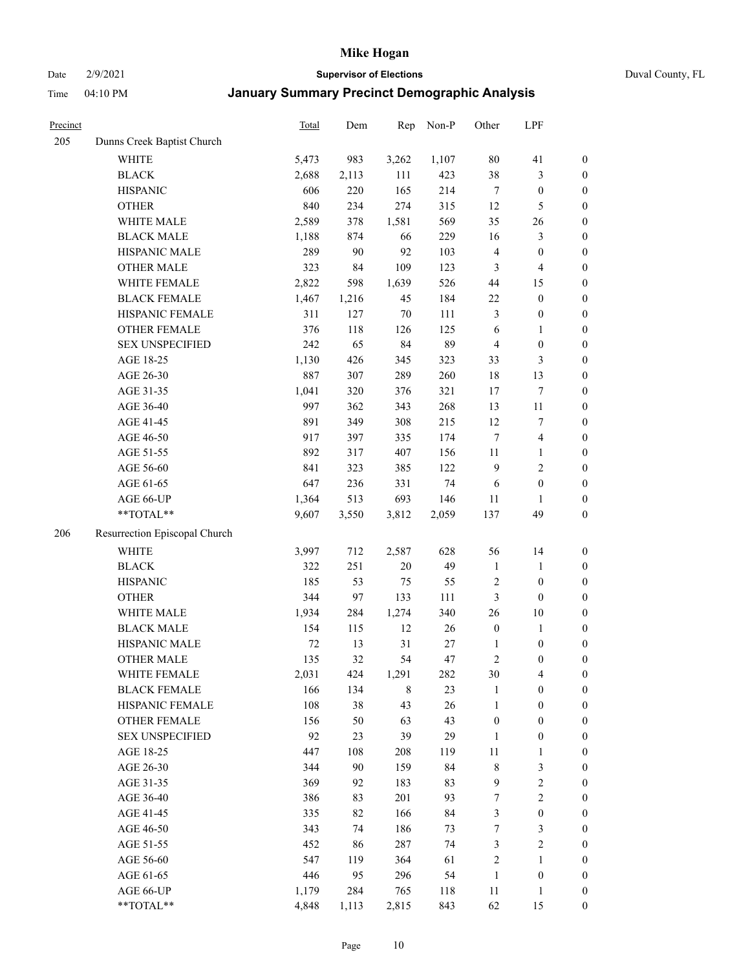Date 2/9/2021 **Supervisor of Elections** Duval County, FL

| Precinct |                               | <b>Total</b> | Dem   | Rep    | Non-P | Other            | LPF                     |                  |
|----------|-------------------------------|--------------|-------|--------|-------|------------------|-------------------------|------------------|
| 205      | Dunns Creek Baptist Church    |              |       |        |       |                  |                         |                  |
|          | <b>WHITE</b>                  | 5,473        | 983   | 3,262  | 1,107 | $80\,$           | 41                      | $\boldsymbol{0}$ |
|          | <b>BLACK</b>                  | 2,688        | 2,113 | 111    | 423   | 38               | $\mathfrak{Z}$          | $\boldsymbol{0}$ |
|          | <b>HISPANIC</b>               | 606          | 220   | 165    | 214   | $\tau$           | $\boldsymbol{0}$        | $\boldsymbol{0}$ |
|          | <b>OTHER</b>                  | 840          | 234   | 274    | 315   | 12               | $\mathfrak{S}$          | $\boldsymbol{0}$ |
|          | WHITE MALE                    | 2,589        | 378   | 1,581  | 569   | 35               | 26                      | $\boldsymbol{0}$ |
|          | <b>BLACK MALE</b>             | 1,188        | 874   | 66     | 229   | 16               | $\mathfrak{Z}$          | $\boldsymbol{0}$ |
|          | HISPANIC MALE                 | 289          | 90    | 92     | 103   | $\overline{4}$   | $\boldsymbol{0}$        | $\boldsymbol{0}$ |
|          | <b>OTHER MALE</b>             | 323          | 84    | 109    | 123   | $\mathfrak{Z}$   | $\overline{4}$          | $\boldsymbol{0}$ |
|          | WHITE FEMALE                  | 2,822        | 598   | 1,639  | 526   | 44               | 15                      | $\boldsymbol{0}$ |
|          | <b>BLACK FEMALE</b>           | 1,467        | 1,216 | 45     | 184   | 22               | $\boldsymbol{0}$        | $\boldsymbol{0}$ |
|          | HISPANIC FEMALE               | 311          | 127   | $70\,$ | 111   | 3                | $\boldsymbol{0}$        | 0                |
|          | OTHER FEMALE                  | 376          | 118   | 126    | 125   | 6                | $\mathbf{1}$            | $\boldsymbol{0}$ |
|          | <b>SEX UNSPECIFIED</b>        | 242          | 65    | 84     | 89    | $\overline{4}$   | $\boldsymbol{0}$        | $\boldsymbol{0}$ |
|          | AGE 18-25                     | 1,130        | 426   | 345    | 323   | 33               | $\mathfrak{Z}$          | $\boldsymbol{0}$ |
|          | AGE 26-30                     | 887          | 307   | 289    | 260   | 18               | 13                      | $\boldsymbol{0}$ |
|          | AGE 31-35                     | 1,041        | 320   | 376    | 321   | $17$             | $\boldsymbol{7}$        | $\boldsymbol{0}$ |
|          | AGE 36-40                     | 997          | 362   | 343    | 268   | 13               | $11\,$                  | $\boldsymbol{0}$ |
|          | AGE 41-45                     | 891          | 349   | 308    | 215   | 12               | $\boldsymbol{7}$        | $\boldsymbol{0}$ |
|          | AGE 46-50                     | 917          | 397   | 335    | 174   | $\tau$           | $\overline{\mathbf{4}}$ | $\boldsymbol{0}$ |
|          | AGE 51-55                     | 892          | 317   | 407    | 156   | 11               | $\mathbf{1}$            | $\boldsymbol{0}$ |
|          | AGE 56-60                     | 841          | 323   | 385    | 122   | 9                | $\mathbf{2}$            | 0                |
|          | AGE 61-65                     | 647          | 236   | 331    | 74    | 6                | $\boldsymbol{0}$        | $\boldsymbol{0}$ |
|          | AGE 66-UP                     | 1,364        | 513   | 693    | 146   | 11               | $\mathbf{1}$            | $\boldsymbol{0}$ |
|          | $**TOTAL**$                   | 9,607        | 3,550 | 3,812  | 2,059 | 137              | 49                      | $\boldsymbol{0}$ |
| 206      | Resurrection Episcopal Church |              |       |        |       |                  |                         |                  |
|          | <b>WHITE</b>                  | 3,997        | 712   | 2,587  | 628   | 56               | 14                      | $\boldsymbol{0}$ |
|          | <b>BLACK</b>                  | 322          | 251   | $20\,$ | 49    | $\mathbf{1}$     | $\mathbf{1}$            | $\boldsymbol{0}$ |
|          | <b>HISPANIC</b>               | 185          | 53    | 75     | 55    | $\overline{c}$   | $\boldsymbol{0}$        | $\boldsymbol{0}$ |
|          | <b>OTHER</b>                  | 344          | 97    | 133    | 111   | $\mathfrak{Z}$   | $\boldsymbol{0}$        | $\boldsymbol{0}$ |
|          | WHITE MALE                    | 1,934        | 284   | 1,274  | 340   | 26               | $10\,$                  | $\boldsymbol{0}$ |
|          | <b>BLACK MALE</b>             | 154          | 115   | 12     | 26    | $\boldsymbol{0}$ | $\mathbf{1}$            | $\boldsymbol{0}$ |
|          | HISPANIC MALE                 | 72           | 13    | 31     | 27    | 1                | $\boldsymbol{0}$        | $\boldsymbol{0}$ |
|          | <b>OTHER MALE</b>             | 135          | 32    | 54     | 47    | $\overline{c}$   | $\boldsymbol{0}$        | $\boldsymbol{0}$ |
|          | WHITE FEMALE                  | 2,031        | 424   | 1,291  | 282   | 30               | 4                       | 0                |
|          | <b>BLACK FEMALE</b>           | 166          | 134   | 8      | 23    | $\mathbf{1}$     | $\boldsymbol{0}$        | $\boldsymbol{0}$ |
|          | HISPANIC FEMALE               | 108          | 38    | 43     | 26    | $\mathbf{1}$     | $\boldsymbol{0}$        | $\overline{0}$   |
|          | OTHER FEMALE                  | 156          | 50    | 63     | 43    | $\boldsymbol{0}$ | $\boldsymbol{0}$        | $\overline{0}$   |
|          | <b>SEX UNSPECIFIED</b>        | 92           | 23    | 39     | 29    | $\mathbf{1}$     | $\boldsymbol{0}$        | 0                |
|          | AGE 18-25                     | 447          | 108   | 208    | 119   | $11\,$           | $\mathbf{1}$            | 0                |
|          | AGE 26-30                     | 344          | 90    | 159    | 84    | $\,$ 8 $\,$      | $\mathfrak{Z}$          | 0                |
|          | AGE 31-35                     | 369          | 92    | 183    | 83    | 9                | $\sqrt{2}$              | 0                |
|          | AGE 36-40                     | 386          | 83    | 201    | 93    | 7                | $\sqrt{2}$              | 0                |
|          | AGE 41-45                     | 335          | 82    | 166    | 84    | 3                | $\boldsymbol{0}$        | 0                |
|          | AGE 46-50                     | 343          | 74    | 186    | 73    | 7                | 3                       | 0                |
|          | AGE 51-55                     | 452          | 86    | 287    | 74    | 3                | $\sqrt{2}$              | 0                |
|          | AGE 56-60                     | 547          | 119   | 364    | 61    | $\overline{c}$   | 1                       | $\boldsymbol{0}$ |
|          | AGE 61-65                     | 446          | 95    | 296    | 54    | $\mathbf{1}$     | $\boldsymbol{0}$        | $\boldsymbol{0}$ |
|          | AGE 66-UP                     | 1,179        | 284   | 765    | 118   | 11               | $\mathbf{1}$            | 0                |
|          | **TOTAL**                     | 4,848        | 1,113 | 2,815  | 843   | 62               | 15                      | $\boldsymbol{0}$ |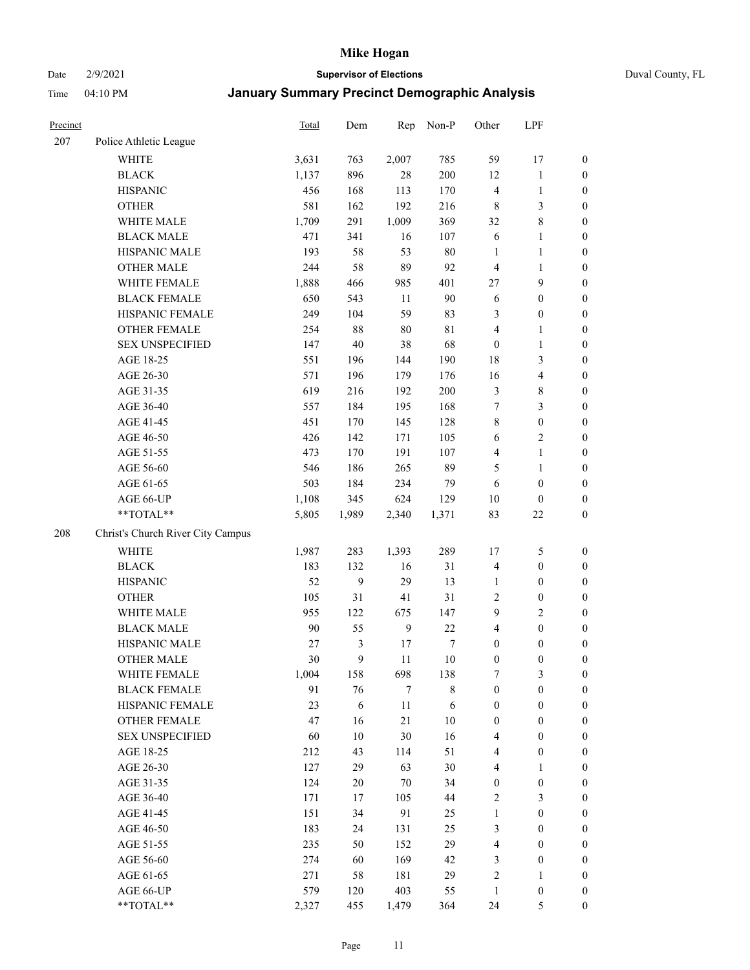#### Date 2/9/2021 **Supervisor of Elections** Duval County, FL

| Precinct |                                   | Total  | Dem    | Rep              | Non-P       | Other            | LPF                     |                  |
|----------|-----------------------------------|--------|--------|------------------|-------------|------------------|-------------------------|------------------|
| 207      | Police Athletic League            |        |        |                  |             |                  |                         |                  |
|          | <b>WHITE</b>                      | 3,631  | 763    | 2,007            | 785         | 59               | 17                      | 0                |
|          | <b>BLACK</b>                      | 1,137  | 896    | 28               | 200         | 12               | $\mathbf{1}$            | $\boldsymbol{0}$ |
|          | <b>HISPANIC</b>                   | 456    | 168    | 113              | 170         | 4                | $\mathbf{1}$            | $\boldsymbol{0}$ |
|          | <b>OTHER</b>                      | 581    | 162    | 192              | 216         | 8                | $\mathfrak{Z}$          | $\boldsymbol{0}$ |
|          | WHITE MALE                        | 1,709  | 291    | 1,009            | 369         | 32               | $\,$ 8 $\,$             | $\boldsymbol{0}$ |
|          | <b>BLACK MALE</b>                 | 471    | 341    | 16               | 107         | 6                | $\mathbf{1}$            | $\boldsymbol{0}$ |
|          | HISPANIC MALE                     | 193    | 58     | 53               | $80\,$      | $\mathbf{1}$     | $\mathbf{1}$            | $\boldsymbol{0}$ |
|          | <b>OTHER MALE</b>                 | 244    | 58     | 89               | 92          | 4                | $\mathbf{1}$            | $\boldsymbol{0}$ |
|          | WHITE FEMALE                      | 1,888  | 466    | 985              | 401         | 27               | $\mathbf{9}$            | $\boldsymbol{0}$ |
|          | <b>BLACK FEMALE</b>               | 650    | 543    | 11               | 90          | 6                | $\boldsymbol{0}$        | $\boldsymbol{0}$ |
|          | HISPANIC FEMALE                   | 249    | 104    | 59               | 83          | 3                | $\boldsymbol{0}$        | $\boldsymbol{0}$ |
|          | <b>OTHER FEMALE</b>               | 254    | $88\,$ | 80               | $8\sqrt{1}$ | 4                | $\mathbf{1}$            | $\boldsymbol{0}$ |
|          | <b>SEX UNSPECIFIED</b>            | 147    | 40     | 38               | 68          | $\boldsymbol{0}$ | $\mathbf{1}$            | $\boldsymbol{0}$ |
|          | AGE 18-25                         | 551    | 196    | 144              | 190         | 18               | $\mathfrak{Z}$          | $\boldsymbol{0}$ |
|          | AGE 26-30                         | 571    | 196    | 179              | 176         | 16               | $\overline{\mathbf{4}}$ | $\boldsymbol{0}$ |
|          | AGE 31-35                         | 619    | 216    | 192              | 200         | 3                | $\,8\,$                 | $\boldsymbol{0}$ |
|          | AGE 36-40                         | 557    | 184    | 195              | 168         | 7                | $\mathfrak{Z}$          | $\boldsymbol{0}$ |
|          | AGE 41-45                         | 451    | 170    | 145              | 128         | 8                | $\boldsymbol{0}$        | $\boldsymbol{0}$ |
|          | AGE 46-50                         | 426    | 142    | 171              | 105         | $\sqrt{6}$       | $\overline{2}$          | $\boldsymbol{0}$ |
|          | AGE 51-55                         | 473    | 170    | 191              | 107         | 4                | $\mathbf{1}$            | $\boldsymbol{0}$ |
|          | AGE 56-60                         | 546    | 186    | 265              | 89          | 5                | $\mathbf{1}$            | 0                |
|          | AGE 61-65                         | 503    | 184    | 234              | 79          | 6                | $\boldsymbol{0}$        | $\boldsymbol{0}$ |
|          | AGE 66-UP                         | 1,108  | 345    | 624              | 129         | $10\,$           | $\boldsymbol{0}$        | $\boldsymbol{0}$ |
|          | **TOTAL**                         | 5,805  | 1,989  | 2,340            | 1,371       | 83               | $22\,$                  | $\boldsymbol{0}$ |
| 208      | Christ's Church River City Campus |        |        |                  |             |                  |                         |                  |
|          | <b>WHITE</b>                      | 1,987  | 283    | 1,393            | 289         | 17               | $\mathfrak{S}$          | $\boldsymbol{0}$ |
|          | <b>BLACK</b>                      | 183    | 132    | 16               | 31          | 4                | $\boldsymbol{0}$        | $\boldsymbol{0}$ |
|          | <b>HISPANIC</b>                   | 52     | 9      | 29               | 13          | $\mathbf{1}$     | $\boldsymbol{0}$        | $\boldsymbol{0}$ |
|          | <b>OTHER</b>                      | 105    | 31     | 41               | 31          | 2                | $\boldsymbol{0}$        | $\boldsymbol{0}$ |
|          | WHITE MALE                        | 955    | 122    | 675              | 147         | 9                | $\overline{2}$          | $\boldsymbol{0}$ |
|          | <b>BLACK MALE</b>                 | $90\,$ | 55     | $\boldsymbol{9}$ | 22          | $\overline{4}$   | $\boldsymbol{0}$        | $\boldsymbol{0}$ |
|          | HISPANIC MALE                     | 27     | 3      | $17$             | 7           | $\boldsymbol{0}$ | $\boldsymbol{0}$        | $\boldsymbol{0}$ |
|          | <b>OTHER MALE</b>                 | 30     | 9      | 11               | $10\,$      | $\boldsymbol{0}$ | $\boldsymbol{0}$        | $\boldsymbol{0}$ |
|          | WHITE FEMALE                      | 1,004  | 158    | 698              | 138         | 7                | 3                       | 0                |
|          | <b>BLACK FEMALE</b>               | 91     | 76     | 7                | $8\,$       | $\boldsymbol{0}$ | $\boldsymbol{0}$        | $\boldsymbol{0}$ |
|          | HISPANIC FEMALE                   | 23     | 6      | $11\,$           | 6           | $\boldsymbol{0}$ | $\boldsymbol{0}$        | $\overline{0}$   |
|          | <b>OTHER FEMALE</b>               | 47     | 16     | 21               | $10\,$      | $\boldsymbol{0}$ | $\boldsymbol{0}$        | $\overline{0}$   |
|          | <b>SEX UNSPECIFIED</b>            | 60     | 10     | 30               | 16          | 4                | $\boldsymbol{0}$        | 0                |
|          | AGE 18-25                         | 212    | 43     | 114              | 51          | 4                | $\boldsymbol{0}$        | $\theta$         |
|          | AGE 26-30                         | 127    | 29     | 63               | $30\,$      | $\overline{4}$   | $\mathbf{1}$            | 0                |
|          | AGE 31-35                         | 124    | 20     | $70\,$           | 34          | $\boldsymbol{0}$ | $\boldsymbol{0}$        | 0                |
|          | AGE 36-40                         | 171    | 17     | 105              | 44          | 2                | $\mathfrak{Z}$          | 0                |
|          | AGE 41-45                         | 151    | 34     | 91               | 25          | $\mathbf{1}$     | $\boldsymbol{0}$        | 0                |
|          | AGE 46-50                         | 183    | 24     | 131              | 25          | 3                | $\boldsymbol{0}$        | 0                |
|          | AGE 51-55                         | 235    | 50     | 152              | 29          | 4                | $\boldsymbol{0}$        | 0                |
|          | AGE 56-60                         | 274    | 60     | 169              | 42          | 3                | $\boldsymbol{0}$        | $\overline{0}$   |
|          | AGE 61-65                         | 271    | 58     | 181              | 29          | 2                | $\mathbf{1}$            | $\overline{0}$   |
|          | AGE 66-UP                         | 579    | 120    | 403              | 55          | $\mathbf{1}$     | $\boldsymbol{0}$        | 0                |
|          | **TOTAL**                         | 2,327  | 455    | 1,479            | 364         | 24               | 5                       | $\boldsymbol{0}$ |
|          |                                   |        |        |                  |             |                  |                         |                  |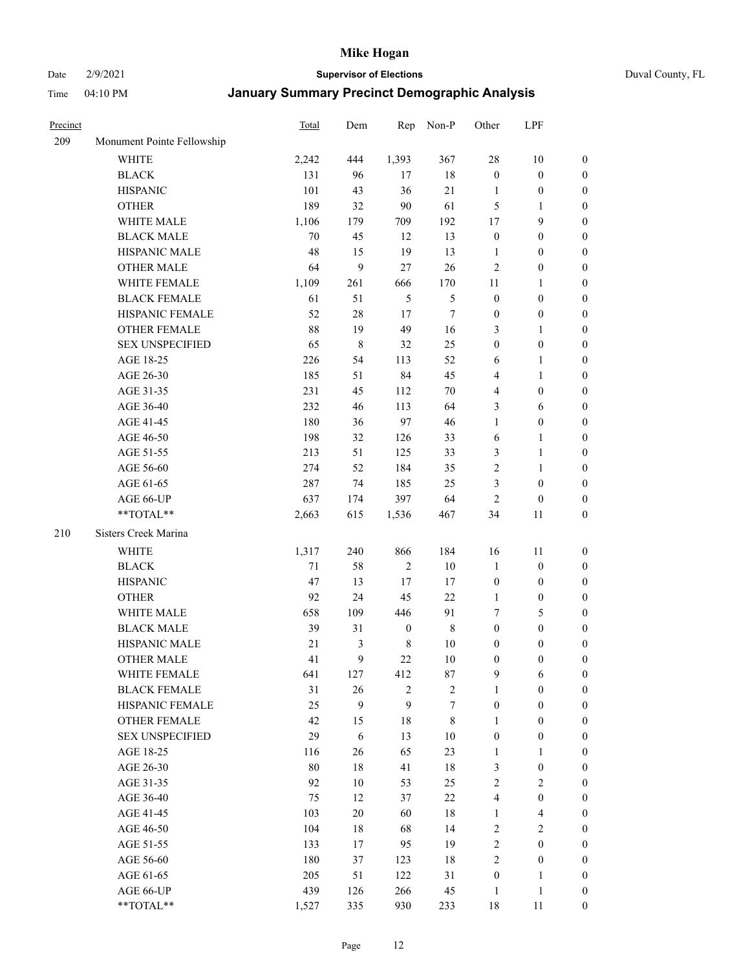Date 2/9/2021 **Supervisor of Elections** Duval County, FL

| Precinct |                            | <b>Total</b> | Dem    | Rep              | Non-P          | Other            | LPF                     |                  |
|----------|----------------------------|--------------|--------|------------------|----------------|------------------|-------------------------|------------------|
| 209      | Monument Pointe Fellowship |              |        |                  |                |                  |                         |                  |
|          | <b>WHITE</b>               | 2,242        | 444    | 1,393            | 367            | 28               | $10\,$                  | 0                |
|          | <b>BLACK</b>               | 131          | 96     | 17               | $18\,$         | $\boldsymbol{0}$ | $\boldsymbol{0}$        | 0                |
|          | <b>HISPANIC</b>            | 101          | 43     | 36               | 21             | $\mathbf{1}$     | $\boldsymbol{0}$        | $\boldsymbol{0}$ |
|          | <b>OTHER</b>               | 189          | 32     | 90               | 61             | 5                | 1                       | $\boldsymbol{0}$ |
|          | WHITE MALE                 | 1,106        | 179    | 709              | 192            | 17               | 9                       | $\boldsymbol{0}$ |
|          | <b>BLACK MALE</b>          | 70           | 45     | 12               | 13             | $\boldsymbol{0}$ | $\boldsymbol{0}$        | $\boldsymbol{0}$ |
|          | HISPANIC MALE              | 48           | 15     | 19               | 13             | $\mathbf{1}$     | $\boldsymbol{0}$        | $\boldsymbol{0}$ |
|          | <b>OTHER MALE</b>          | 64           | 9      | 27               | 26             | $\mathbf{2}$     | $\boldsymbol{0}$        | $\boldsymbol{0}$ |
|          | WHITE FEMALE               | 1,109        | 261    | 666              | 170            | 11               | $\mathbf{1}$            | $\boldsymbol{0}$ |
|          | <b>BLACK FEMALE</b>        | 61           | 51     | $\mathfrak{S}$   | $\mathfrak{S}$ | $\boldsymbol{0}$ | $\boldsymbol{0}$        | 0                |
|          | HISPANIC FEMALE            | 52           | $28\,$ | 17               | $\tau$         | $\boldsymbol{0}$ | $\boldsymbol{0}$        | 0                |
|          | OTHER FEMALE               | 88           | 19     | 49               | 16             | 3                | $\mathbf{1}$            | $\boldsymbol{0}$ |
|          | <b>SEX UNSPECIFIED</b>     | 65           | 8      | 32               | 25             | $\boldsymbol{0}$ | $\boldsymbol{0}$        | $\boldsymbol{0}$ |
|          | AGE 18-25                  | 226          | 54     | 113              | 52             | 6                | 1                       | $\boldsymbol{0}$ |
|          | AGE 26-30                  | 185          | 51     | 84               | 45             | 4                | $\mathbf{1}$            | $\boldsymbol{0}$ |
|          | AGE 31-35                  | 231          | 45     | 112              | $70\,$         | 4                | $\boldsymbol{0}$        | $\boldsymbol{0}$ |
|          | AGE 36-40                  | 232          | 46     | 113              | 64             | 3                | 6                       | $\boldsymbol{0}$ |
|          | AGE 41-45                  | 180          | 36     | 97               | 46             | $\mathbf{1}$     | $\boldsymbol{0}$        | $\boldsymbol{0}$ |
|          | AGE 46-50                  | 198          | 32     | 126              | 33             | 6                | $\mathbf{1}$            | $\boldsymbol{0}$ |
|          | AGE 51-55                  | 213          | 51     | 125              | 33             | 3                | $\mathbf{1}$            | 0                |
|          | AGE 56-60                  | 274          | 52     | 184              | 35             | 2                | 1                       | 0                |
|          | AGE 61-65                  | 287          | 74     | 185              | 25             | 3                | $\boldsymbol{0}$        | 0                |
|          | AGE 66-UP                  | 637          | 174    | 397              | 64             | $\mathbf{2}$     | $\boldsymbol{0}$        | $\boldsymbol{0}$ |
|          | **TOTAL**                  | 2,663        | 615    | 1,536            | 467            | 34               | 11                      | $\boldsymbol{0}$ |
|          |                            |              |        |                  |                |                  |                         |                  |
| 210      | Sisters Creek Marina       |              |        |                  |                |                  |                         |                  |
|          | <b>WHITE</b>               | 1,317        | 240    | 866              | 184            | 16               | 11                      | $\boldsymbol{0}$ |
|          | <b>BLACK</b>               | 71           | 58     | $\sqrt{2}$       | $10\,$         | $\mathbf{1}$     | $\boldsymbol{0}$        | $\boldsymbol{0}$ |
|          | <b>HISPANIC</b>            | 47           | 13     | $17$             | 17             | $\boldsymbol{0}$ | $\boldsymbol{0}$        | $\boldsymbol{0}$ |
|          | <b>OTHER</b>               | 92           | 24     | 45               | 22             | $\mathbf{1}$     | $\boldsymbol{0}$        | $\boldsymbol{0}$ |
|          | WHITE MALE                 | 658          | 109    | 446              | 91             | 7                | $\mathfrak{S}$          | $\boldsymbol{0}$ |
|          | <b>BLACK MALE</b>          | 39           | 31     | $\boldsymbol{0}$ | $\,$ 8 $\,$    | $\boldsymbol{0}$ | $\boldsymbol{0}$        | $\boldsymbol{0}$ |
|          | HISPANIC MALE              | $21\,$       | 3      | $\,$ 8 $\,$      | $10\,$         | $\boldsymbol{0}$ | $\boldsymbol{0}$        | 0                |
|          | OTHER MALE                 | 41           | 9      | 22               | $10\,$         | $\boldsymbol{0}$ | $\boldsymbol{0}$        | $\boldsymbol{0}$ |
|          | WHITE FEMALE               | 641          | 127    | 412              | 87             | 9                | 6                       | 0                |
|          | <b>BLACK FEMALE</b>        | 31           | 26     | $\overline{2}$   | $\sqrt{2}$     | $\mathbf{1}$     | $\boldsymbol{0}$        | $\overline{0}$   |
|          | HISPANIC FEMALE            | 25           | 9      | 9                | 7              | $\boldsymbol{0}$ | $\boldsymbol{0}$        | $\overline{0}$   |
|          | OTHER FEMALE               | 42           | 15     | 18               | $8\,$          | $\mathbf{1}$     | $\boldsymbol{0}$        | $\overline{0}$   |
|          | <b>SEX UNSPECIFIED</b>     | 29           | 6      | 13               | $10\,$         | $\boldsymbol{0}$ | $\boldsymbol{0}$        | 0                |
|          | AGE 18-25                  | 116          | 26     | 65               | 23             | $\mathbf{1}$     | $\mathbf{1}$            | 0                |
|          | AGE 26-30                  | $80\,$       | $18\,$ | 41               | 18             | 3                | $\boldsymbol{0}$        | 0                |
|          | AGE 31-35                  | 92           | $10\,$ | 53               | 25             | $\overline{2}$   | $\sqrt{2}$              | 0                |
|          | AGE 36-40                  | 75           | 12     | 37               | $22\,$         | 4                | $\boldsymbol{0}$        | 0                |
|          | AGE 41-45                  | 103          | 20     | 60               | 18             | $\mathbf{1}$     | $\overline{\mathbf{4}}$ | 0                |
|          | AGE 46-50                  | 104          | 18     | 68               | 14             | 2                | $\sqrt{2}$              | 0                |
|          | AGE 51-55                  | 133          | 17     | 95               | 19             | $\overline{c}$   | $\boldsymbol{0}$        | $\overline{0}$   |
|          | AGE 56-60                  | 180          | 37     | 123              | 18             | 2                | $\boldsymbol{0}$        | $\overline{0}$   |
|          | AGE 61-65                  | 205          | 51     | 122              | 31             | $\boldsymbol{0}$ | $\mathbf{1}$            | $\overline{0}$   |
|          | AGE 66-UP                  | 439          | 126    | 266              | 45             | $\mathbf{1}$     | $\mathbf{1}$            | 0                |
|          | **TOTAL**                  | 1,527        | 335    | 930              | 233            | $18\,$           | 11                      | $\boldsymbol{0}$ |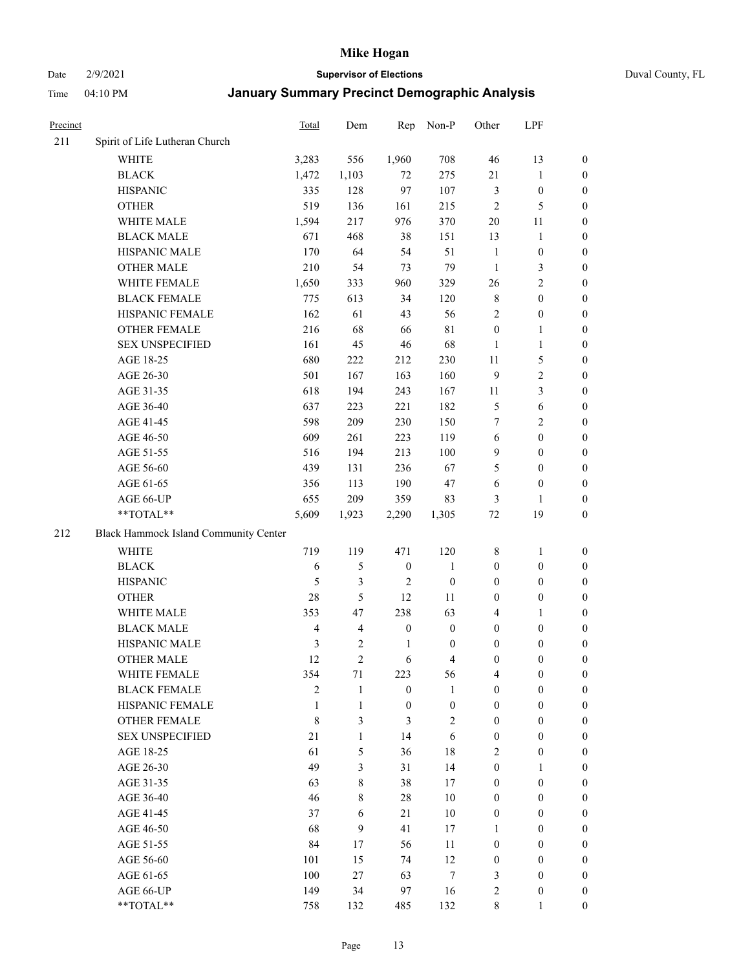Date 2/9/2021 **Supervisor of Elections** Duval County, FL

| Precinct |                                       | Total                   | Dem                     | Rep              | Non-P            | Other            | LPF              |                  |
|----------|---------------------------------------|-------------------------|-------------------------|------------------|------------------|------------------|------------------|------------------|
| 211      | Spirit of Life Lutheran Church        |                         |                         |                  |                  |                  |                  |                  |
|          | <b>WHITE</b>                          | 3,283                   | 556                     | 1,960            | 708              | 46               | 13               | 0                |
|          | <b>BLACK</b>                          | 1,472                   | 1,103                   | 72               | 275              | 21               | $\mathbf{1}$     | 0                |
|          | <b>HISPANIC</b>                       | 335                     | 128                     | 97               | 107              | 3                | $\boldsymbol{0}$ | $\boldsymbol{0}$ |
|          | <b>OTHER</b>                          | 519                     | 136                     | 161              | 215              | $\overline{2}$   | 5                | $\boldsymbol{0}$ |
|          | WHITE MALE                            | 1,594                   | 217                     | 976              | 370              | 20               | 11               | $\boldsymbol{0}$ |
|          | <b>BLACK MALE</b>                     | 671                     | 468                     | 38               | 151              | 13               | $\mathbf{1}$     | $\boldsymbol{0}$ |
|          | HISPANIC MALE                         | 170                     | 64                      | 54               | 51               | $\mathbf{1}$     | $\boldsymbol{0}$ | $\boldsymbol{0}$ |
|          | <b>OTHER MALE</b>                     | 210                     | 54                      | 73               | 79               | $\mathbf{1}$     | $\mathfrak{Z}$   | $\boldsymbol{0}$ |
|          | WHITE FEMALE                          | 1,650                   | 333                     | 960              | 329              | 26               | $\overline{2}$   | $\boldsymbol{0}$ |
|          | <b>BLACK FEMALE</b>                   | 775                     | 613                     | 34               | 120              | 8                | $\boldsymbol{0}$ | 0                |
|          | HISPANIC FEMALE                       | 162                     | 61                      | 43               | 56               | $\mathfrak{2}$   | $\boldsymbol{0}$ | 0                |
|          | OTHER FEMALE                          | 216                     | 68                      | 66               | $8\sqrt{1}$      | $\boldsymbol{0}$ | $\mathbf{1}$     | 0                |
|          | <b>SEX UNSPECIFIED</b>                | 161                     | 45                      | 46               | 68               | $\mathbf{1}$     | $\mathbf{1}$     | $\boldsymbol{0}$ |
|          | AGE 18-25                             | 680                     | 222                     | 212              | 230              | $11\,$           | $\mathfrak{S}$   | $\boldsymbol{0}$ |
|          | AGE 26-30                             | 501                     | 167                     | 163              | 160              | 9                | $\sqrt{2}$       | $\boldsymbol{0}$ |
|          | AGE 31-35                             | 618                     | 194                     | 243              | 167              | 11               | $\mathfrak{Z}$   | $\boldsymbol{0}$ |
|          | AGE 36-40                             | 637                     | 223                     | 221              | 182              | 5                | 6                | $\boldsymbol{0}$ |
|          | AGE 41-45                             | 598                     | 209                     | 230              | 150              | 7                | $\overline{2}$   | $\boldsymbol{0}$ |
|          | AGE 46-50                             | 609                     | 261                     | 223              | 119              | 6                | $\boldsymbol{0}$ | $\boldsymbol{0}$ |
|          | AGE 51-55                             | 516                     | 194                     | 213              | 100              | 9                | $\boldsymbol{0}$ | 0                |
|          | AGE 56-60                             | 439                     | 131                     | 236              | 67               | 5                | $\boldsymbol{0}$ | 0                |
|          | AGE 61-65                             | 356                     | 113                     | 190              | 47               | 6                | $\boldsymbol{0}$ | 0                |
|          | AGE 66-UP                             | 655                     | 209                     | 359              | 83               | 3                | $\mathbf{1}$     | $\boldsymbol{0}$ |
|          | $**TOTAL**$                           | 5,609                   | 1,923                   | 2,290            | 1,305            | $72\,$           | 19               | $\boldsymbol{0}$ |
| 212      | Black Hammock Island Community Center |                         |                         |                  |                  |                  |                  |                  |
|          | <b>WHITE</b>                          | 719                     | 119                     | 471              | 120              | 8                | $\mathbf{1}$     | $\boldsymbol{0}$ |
|          | <b>BLACK</b>                          | $\sqrt{6}$              | 5                       | $\boldsymbol{0}$ | $\mathbf{1}$     | $\boldsymbol{0}$ | $\boldsymbol{0}$ | $\boldsymbol{0}$ |
|          | <b>HISPANIC</b>                       | 5                       | $\mathfrak{Z}$          | $\overline{2}$   | $\boldsymbol{0}$ | $\boldsymbol{0}$ | $\boldsymbol{0}$ | $\boldsymbol{0}$ |
|          | <b>OTHER</b>                          | 28                      | 5                       | 12               | 11               | $\boldsymbol{0}$ | $\boldsymbol{0}$ | $\boldsymbol{0}$ |
|          | WHITE MALE                            | 353                     | 47                      | 238              | 63               | 4                | $\mathbf{1}$     | $\boldsymbol{0}$ |
|          | <b>BLACK MALE</b>                     | $\overline{\mathbf{4}}$ | $\overline{\mathbf{4}}$ | $\boldsymbol{0}$ | $\boldsymbol{0}$ | $\boldsymbol{0}$ | $\boldsymbol{0}$ | $\boldsymbol{0}$ |
|          | HISPANIC MALE                         | $\mathfrak{Z}$          | $\mathbf{2}$            | $\mathbf{1}$     | $\boldsymbol{0}$ | $\boldsymbol{0}$ | $\boldsymbol{0}$ | 0                |
|          | <b>OTHER MALE</b>                     | 12                      | $\overline{c}$          | 6                | $\overline{4}$   | $\boldsymbol{0}$ | $\boldsymbol{0}$ | $\boldsymbol{0}$ |
|          | WHITE FEMALE                          | 354                     | 71                      | 223              | 56               | 4                | $\boldsymbol{0}$ | 0                |
|          | <b>BLACK FEMALE</b>                   | $\overline{2}$          | $\mathbf{1}$            | $\boldsymbol{0}$ | $\mathbf{1}$     | $\boldsymbol{0}$ | $\boldsymbol{0}$ | $\overline{0}$   |
|          | HISPANIC FEMALE                       | 1                       | $\mathbf{1}$            | $\boldsymbol{0}$ | $\boldsymbol{0}$ | $\boldsymbol{0}$ | $\boldsymbol{0}$ | $\overline{0}$   |
|          | <b>OTHER FEMALE</b>                   | $\,$ 8 $\,$             | 3                       | 3                | $\mathbf{2}$     | $\boldsymbol{0}$ | $\boldsymbol{0}$ | $\overline{0}$   |
|          | <b>SEX UNSPECIFIED</b>                | 21                      | $\mathbf{1}$            | 14               | 6                | $\boldsymbol{0}$ | $\boldsymbol{0}$ | $\overline{0}$   |
|          | AGE 18-25                             | 61                      | 5                       | 36               | $18\,$           | 2                | $\boldsymbol{0}$ | $\theta$         |
|          | AGE 26-30                             | 49                      | 3                       | 31               | 14               | $\boldsymbol{0}$ | $\mathbf{1}$     | $\overline{0}$   |
|          | AGE 31-35                             | 63                      | 8                       | 38               | 17               | $\boldsymbol{0}$ | $\boldsymbol{0}$ | $\overline{0}$   |
|          | AGE 36-40                             | 46                      | 8                       | $28\,$           | $10\,$           | $\boldsymbol{0}$ | $\boldsymbol{0}$ | 0                |
|          | AGE 41-45                             | 37                      | 6                       | 21               | 10               | $\boldsymbol{0}$ | $\boldsymbol{0}$ | 0                |
|          | AGE 46-50                             | 68                      | 9                       | 41               | 17               | $\mathbf{1}$     | $\boldsymbol{0}$ | $\overline{0}$   |
|          | AGE 51-55                             | 84                      | 17                      | 56               | 11               | $\boldsymbol{0}$ | $\boldsymbol{0}$ | $\overline{0}$   |
|          | AGE 56-60                             | 101                     | 15                      | 74               | 12               | $\boldsymbol{0}$ | $\boldsymbol{0}$ | $\overline{0}$   |
|          | AGE 61-65                             | 100                     | 27                      | 63               | 7                | 3                | $\boldsymbol{0}$ | $\overline{0}$   |
|          | AGE 66-UP                             | 149                     | 34                      | 97               | 16               | $\overline{c}$   | $\boldsymbol{0}$ | $\boldsymbol{0}$ |
|          | **TOTAL**                             | 758                     | 132                     | 485              | 132              | $8\,$            | $\mathbf{1}$     | $\overline{0}$   |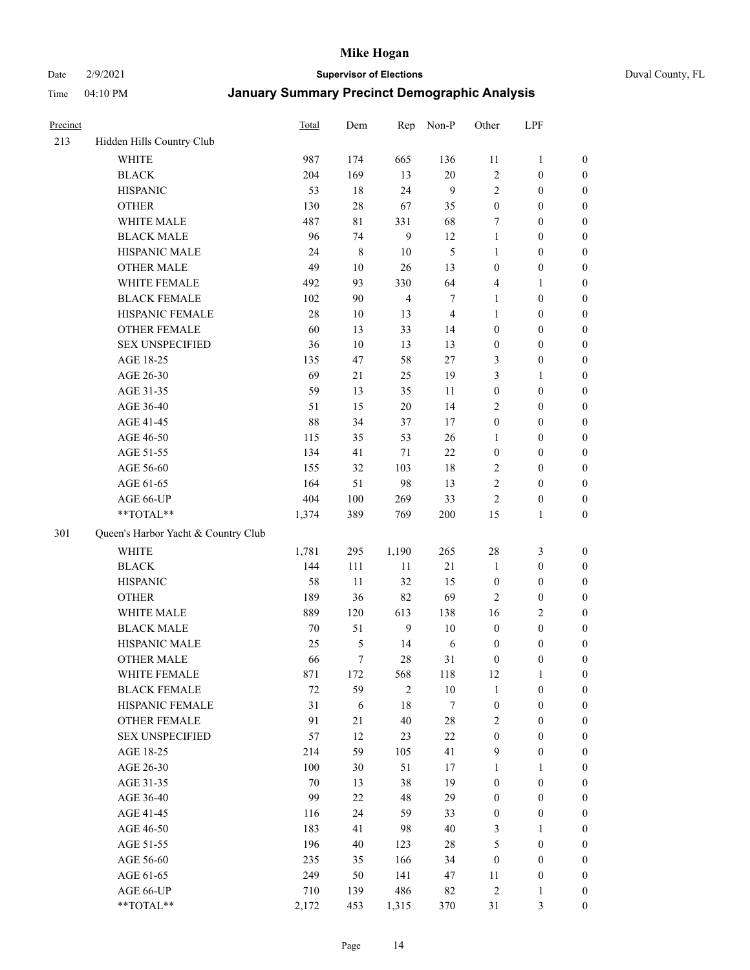Date 2/9/2021 **Supervisor of Elections** Duval County, FL

| Precinct |                                     | <b>Total</b> | Dem    | Rep            | Non-P          | Other            | LPF              |                  |
|----------|-------------------------------------|--------------|--------|----------------|----------------|------------------|------------------|------------------|
| 213      | Hidden Hills Country Club           |              |        |                |                |                  |                  |                  |
|          | <b>WHITE</b>                        | 987          | 174    | 665            | 136            | 11               | $\mathbf{1}$     | 0                |
|          | <b>BLACK</b>                        | 204          | 169    | 13             | $20\,$         | $\sqrt{2}$       | $\boldsymbol{0}$ | $\boldsymbol{0}$ |
|          | <b>HISPANIC</b>                     | 53           | 18     | 24             | 9              | $\mathbf{2}$     | $\boldsymbol{0}$ | $\boldsymbol{0}$ |
|          | <b>OTHER</b>                        | 130          | 28     | 67             | 35             | $\boldsymbol{0}$ | $\boldsymbol{0}$ | $\boldsymbol{0}$ |
|          | WHITE MALE                          | 487          | 81     | 331            | 68             | 7                | $\boldsymbol{0}$ | $\boldsymbol{0}$ |
|          | <b>BLACK MALE</b>                   | 96           | 74     | 9              | 12             | $\mathbf{1}$     | $\boldsymbol{0}$ | $\boldsymbol{0}$ |
|          | HISPANIC MALE                       | 24           | 8      | 10             | 5              | $\mathbf{1}$     | $\boldsymbol{0}$ | $\boldsymbol{0}$ |
|          | <b>OTHER MALE</b>                   | 49           | $10\,$ | 26             | 13             | $\boldsymbol{0}$ | $\boldsymbol{0}$ | $\boldsymbol{0}$ |
|          | WHITE FEMALE                        | 492          | 93     | 330            | 64             | 4                | $\mathbf{1}$     | $\boldsymbol{0}$ |
|          | <b>BLACK FEMALE</b>                 | 102          | 90     | $\overline{4}$ | 7              | $\mathbf{1}$     | $\boldsymbol{0}$ | $\boldsymbol{0}$ |
|          | HISPANIC FEMALE                     | 28           | 10     | 13             | $\overline{4}$ | $\mathbf{1}$     | $\boldsymbol{0}$ | 0                |
|          | <b>OTHER FEMALE</b>                 | 60           | 13     | 33             | 14             | $\boldsymbol{0}$ | $\boldsymbol{0}$ | $\boldsymbol{0}$ |
|          | <b>SEX UNSPECIFIED</b>              | 36           | 10     | 13             | 13             | $\boldsymbol{0}$ | $\boldsymbol{0}$ | $\boldsymbol{0}$ |
|          | AGE 18-25                           | 135          | 47     | 58             | 27             | 3                | $\boldsymbol{0}$ | $\boldsymbol{0}$ |
|          | AGE 26-30                           | 69           | 21     | 25             | 19             | 3                | $\mathbf{1}$     | $\boldsymbol{0}$ |
|          | AGE 31-35                           | 59           | 13     | 35             | 11             | $\boldsymbol{0}$ | $\boldsymbol{0}$ | $\boldsymbol{0}$ |
|          | AGE 36-40                           | 51           | 15     | 20             | 14             | $\overline{c}$   | $\boldsymbol{0}$ | $\boldsymbol{0}$ |
|          | AGE 41-45                           | 88           | 34     | 37             | 17             | $\boldsymbol{0}$ | $\boldsymbol{0}$ | $\boldsymbol{0}$ |
|          | AGE 46-50                           | 115          | 35     | 53             | 26             | $\mathbf{1}$     | $\boldsymbol{0}$ | $\boldsymbol{0}$ |
|          | AGE 51-55                           | 134          | 41     | 71             | $22\,$         | $\boldsymbol{0}$ | $\boldsymbol{0}$ | $\boldsymbol{0}$ |
|          | AGE 56-60                           | 155          | 32     | 103            | 18             | $\overline{c}$   | $\boldsymbol{0}$ | 0                |
|          | AGE 61-65                           | 164          | 51     | 98             | 13             | $\mathbf{2}$     | $\boldsymbol{0}$ | 0                |
|          | AGE 66-UP                           | 404          | 100    | 269            | 33             | $\sqrt{2}$       | $\boldsymbol{0}$ | $\boldsymbol{0}$ |
|          | $**TOTAL**$                         | 1,374        | 389    | 769            | 200            | 15               | $\mathbf{1}$     | $\boldsymbol{0}$ |
| 301      | Queen's Harbor Yacht & Country Club |              |        |                |                |                  |                  |                  |
|          | <b>WHITE</b>                        | 1,781        | 295    | 1,190          | 265            | $28\,$           | $\mathfrak{Z}$   | $\boldsymbol{0}$ |
|          | <b>BLACK</b>                        | 144          | 111    | 11             | 21             | $\mathbf{1}$     | $\boldsymbol{0}$ | $\boldsymbol{0}$ |
|          | <b>HISPANIC</b>                     | 58           | 11     | 32             | 15             | $\boldsymbol{0}$ | $\boldsymbol{0}$ | $\boldsymbol{0}$ |
|          | <b>OTHER</b>                        | 189          | 36     | 82             | 69             | $\overline{c}$   | $\boldsymbol{0}$ | $\boldsymbol{0}$ |
|          | WHITE MALE                          | 889          | 120    | 613            | 138            | 16               | $\overline{2}$   | $\boldsymbol{0}$ |
|          | <b>BLACK MALE</b>                   | 70           | 51     | 9              | $10\,$         | $\boldsymbol{0}$ | $\boldsymbol{0}$ | $\boldsymbol{0}$ |
|          | HISPANIC MALE                       | 25           | 5      | 14             | 6              | $\boldsymbol{0}$ | $\boldsymbol{0}$ | $\boldsymbol{0}$ |
|          | <b>OTHER MALE</b>                   | 66           | $\tau$ | 28             | 31             | $\boldsymbol{0}$ | $\boldsymbol{0}$ | $\boldsymbol{0}$ |
|          | WHITE FEMALE                        | 871          | 172    | 568            | 118            | 12               | 1                | 0                |
|          | <b>BLACK FEMALE</b>                 | $72\,$       | 59     | $\overline{2}$ | $10\,$         | $\mathbf{1}$     | $\boldsymbol{0}$ | $\boldsymbol{0}$ |
|          | HISPANIC FEMALE                     | 31           | 6      | $18\,$         | 7              | $\boldsymbol{0}$ | $\boldsymbol{0}$ | $\overline{0}$   |
|          | OTHER FEMALE                        | 91           | 21     | 40             | $28\,$         | $\overline{c}$   | $\boldsymbol{0}$ | $\overline{0}$   |
|          | <b>SEX UNSPECIFIED</b>              | 57           | 12     | 23             | 22             | $\boldsymbol{0}$ | $\boldsymbol{0}$ | 0                |
|          | AGE 18-25                           | 214          | 59     | 105            | 41             | 9                | $\boldsymbol{0}$ | $\overline{0}$   |
|          | AGE 26-30                           | 100          | 30     | 51             | 17             | $\mathbf{1}$     | $\mathbf{1}$     | $\overline{0}$   |
|          | AGE 31-35                           | $70\,$       | 13     | 38             | 19             | $\boldsymbol{0}$ | $\boldsymbol{0}$ | 0                |
|          | AGE 36-40                           | 99           | $22\,$ | 48             | 29             | $\boldsymbol{0}$ | $\boldsymbol{0}$ | 0                |
|          | AGE 41-45                           | 116          | 24     | 59             | 33             | $\boldsymbol{0}$ | $\boldsymbol{0}$ | 0                |
|          | AGE 46-50                           | 183          | 41     | 98             | 40             | 3                | $\mathbf{1}$     | 0                |
|          | AGE 51-55                           | 196          | 40     | 123            | $28\,$         | 5                | $\boldsymbol{0}$ | $\overline{0}$   |
|          | AGE 56-60                           | 235          | 35     | 166            | 34             | $\boldsymbol{0}$ | $\boldsymbol{0}$ | $\overline{0}$   |
|          | AGE 61-65                           | 249          | 50     | 141            | 47             | 11               | $\boldsymbol{0}$ | $\boldsymbol{0}$ |
|          | AGE 66-UP                           | 710          | 139    | 486            | 82             | 2                | $\mathbf{1}$     | $\boldsymbol{0}$ |
|          | **TOTAL**                           | 2,172        | 453    | 1,315          | 370            | 31               | $\mathfrak{Z}$   | $\boldsymbol{0}$ |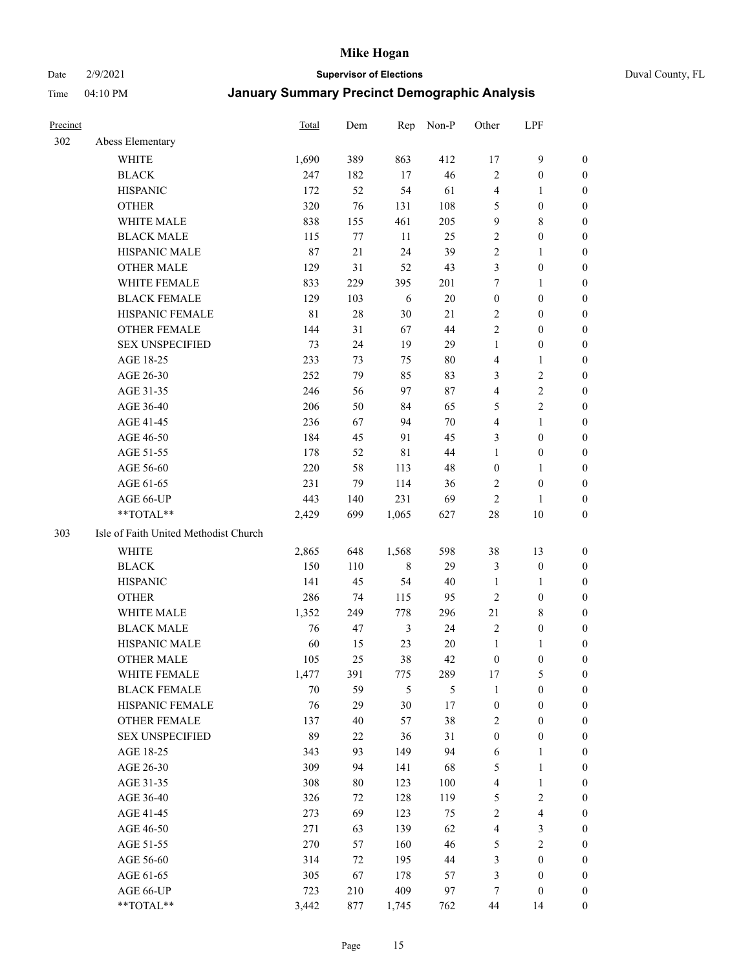#### Date 2/9/2021 **Supervisor of Elections** Duval County, FL

| Precinct |                                       | Total  | Dem    | Rep         | Non-P          | Other            | LPF              |                  |
|----------|---------------------------------------|--------|--------|-------------|----------------|------------------|------------------|------------------|
| 302      | Abess Elementary                      |        |        |             |                |                  |                  |                  |
|          | <b>WHITE</b>                          | 1,690  | 389    | 863         | 412            | 17               | $\boldsymbol{9}$ | $\boldsymbol{0}$ |
|          | <b>BLACK</b>                          | 247    | 182    | 17          | 46             | 2                | $\boldsymbol{0}$ | 0                |
|          | <b>HISPANIC</b>                       | 172    | 52     | 54          | 61             | 4                | 1                | 0                |
|          | <b>OTHER</b>                          | 320    | 76     | 131         | 108            | 5                | $\boldsymbol{0}$ | $\boldsymbol{0}$ |
|          | WHITE MALE                            | 838    | 155    | 461         | 205            | 9                | $\,$ 8 $\,$      | $\boldsymbol{0}$ |
|          | <b>BLACK MALE</b>                     | 115    | 77     | 11          | 25             | 2                | $\boldsymbol{0}$ | $\boldsymbol{0}$ |
|          | HISPANIC MALE                         | 87     | $21\,$ | 24          | 39             | 2                | $\mathbf{1}$     | $\boldsymbol{0}$ |
|          | <b>OTHER MALE</b>                     | 129    | 31     | 52          | 43             | 3                | $\boldsymbol{0}$ | $\boldsymbol{0}$ |
|          | WHITE FEMALE                          | 833    | 229    | 395         | 201            | 7                | $\mathbf{1}$     | $\boldsymbol{0}$ |
|          | <b>BLACK FEMALE</b>                   | 129    | 103    | $\sqrt{6}$  | $20\,$         | $\boldsymbol{0}$ | $\boldsymbol{0}$ | $\boldsymbol{0}$ |
|          | HISPANIC FEMALE                       | 81     | 28     | 30          | 21             | 2                | $\boldsymbol{0}$ | 0                |
|          | OTHER FEMALE                          | 144    | 31     | 67          | 44             | $\overline{c}$   | $\boldsymbol{0}$ | 0                |
|          | <b>SEX UNSPECIFIED</b>                | 73     | 24     | 19          | 29             | $\mathbf{1}$     | $\boldsymbol{0}$ | 0                |
|          | AGE 18-25                             | 233    | 73     | 75          | 80             | 4                | 1                | 0                |
|          | AGE 26-30                             | 252    | 79     | 85          | 83             | 3                | $\sqrt{2}$       | $\boldsymbol{0}$ |
|          | AGE 31-35                             | 246    | 56     | 97          | 87             | 4                | $\sqrt{2}$       | $\boldsymbol{0}$ |
|          | AGE 36-40                             | 206    | 50     | 84          | 65             | 5                | $\mathfrak{2}$   | $\boldsymbol{0}$ |
|          | AGE 41-45                             | 236    | 67     | 94          | 70             | 4                | $\mathbf{1}$     | $\boldsymbol{0}$ |
|          | AGE 46-50                             | 184    | 45     | 91          | 45             | 3                | $\boldsymbol{0}$ | $\boldsymbol{0}$ |
|          | AGE 51-55                             | 178    | 52     | $8\sqrt{1}$ | 44             | $\mathbf{1}$     | $\boldsymbol{0}$ | $\boldsymbol{0}$ |
|          | AGE 56-60                             | 220    | 58     | 113         | 48             | 0                | 1                | 0                |
|          | AGE 61-65                             | 231    | 79     | 114         | 36             | 2                | $\boldsymbol{0}$ | 0                |
|          | AGE 66-UP                             | 443    | 140    | 231         | 69             | 2                | 1                | 0                |
|          | **TOTAL**                             | 2,429  | 699    | 1,065       | 627            | 28               | 10               | $\boldsymbol{0}$ |
| 303      | Isle of Faith United Methodist Church |        |        |             |                |                  |                  |                  |
|          | <b>WHITE</b>                          | 2,865  | 648    | 1,568       | 598            | 38               | 13               | $\boldsymbol{0}$ |
|          | <b>BLACK</b>                          | 150    | 110    | $\,$ 8 $\,$ | 29             | 3                | $\boldsymbol{0}$ | $\boldsymbol{0}$ |
|          | <b>HISPANIC</b>                       | 141    | 45     | 54          | 40             | $\mathbf{1}$     | 1                | $\boldsymbol{0}$ |
|          | <b>OTHER</b>                          | 286    | 74     | 115         | 95             | $\overline{c}$   | $\boldsymbol{0}$ | $\boldsymbol{0}$ |
|          | WHITE MALE                            | 1,352  | 249    | 778         | 296            | 21               | 8                | $\boldsymbol{0}$ |
|          | <b>BLACK MALE</b>                     | 76     | 47     | 3           | 24             | 2                | $\boldsymbol{0}$ | $\boldsymbol{0}$ |
|          | HISPANIC MALE                         | 60     | 15     | 23          | 20             | $\mathbf{1}$     | 1                | 0                |
|          | <b>OTHER MALE</b>                     | 105    | 25     | 38          | 42             | 0                | $\boldsymbol{0}$ | $\boldsymbol{0}$ |
|          | WHITE FEMALE                          | 1,477  | 391    | 775         | 289            | 17               | $\mathfrak s$    | 0                |
|          | <b>BLACK FEMALE</b>                   | $70\,$ | 59     | 5           | $\mathfrak{S}$ | $\mathbf{1}$     | $\boldsymbol{0}$ | 0                |
|          | HISPANIC FEMALE                       | 76     | 29     | 30          | 17             | $\boldsymbol{0}$ | $\boldsymbol{0}$ | 0                |
|          | OTHER FEMALE                          | 137    | 40     | 57          | 38             | 2                | $\boldsymbol{0}$ | 0                |
|          | <b>SEX UNSPECIFIED</b>                | 89     | 22     | 36          | 31             | 0                | $\boldsymbol{0}$ | $\overline{0}$   |
|          | AGE 18-25                             | 343    | 93     | 149         | 94             | 6                | $\mathbf{1}$     | 0                |
|          | AGE 26-30                             | 309    | 94     | 141         | 68             | 5                | $\mathbf{1}$     | 0                |
|          | AGE 31-35                             | 308    | 80     | 123         | 100            | 4                | $\mathbf{1}$     | 0                |
|          | AGE 36-40                             | 326    | 72     | 128         | 119            | 5                | $\sqrt{2}$       | 0                |
|          | AGE 41-45                             | 273    | 69     | 123         | 75             | $\overline{c}$   | $\overline{4}$   | 0                |
|          | AGE 46-50                             | 271    | 63     | 139         | 62             | 4                | $\mathfrak{Z}$   | 0                |
|          | AGE 51-55                             | 270    | 57     | 160         | 46             | 5                | $\sqrt{2}$       | $\boldsymbol{0}$ |
|          | AGE 56-60                             | 314    | 72     | 195         | 44             | 3                | $\boldsymbol{0}$ | $\overline{0}$   |
|          | AGE 61-65                             | 305    | 67     | 178         | 57             | 3                | $\boldsymbol{0}$ | $\boldsymbol{0}$ |
|          | AGE 66-UP                             | 723    | 210    | 409         | 97             | 7                | $\boldsymbol{0}$ | $\boldsymbol{0}$ |
|          | **TOTAL**                             | 3,442  | 877    | 1,745       | 762            | 44               | 14               | $\boldsymbol{0}$ |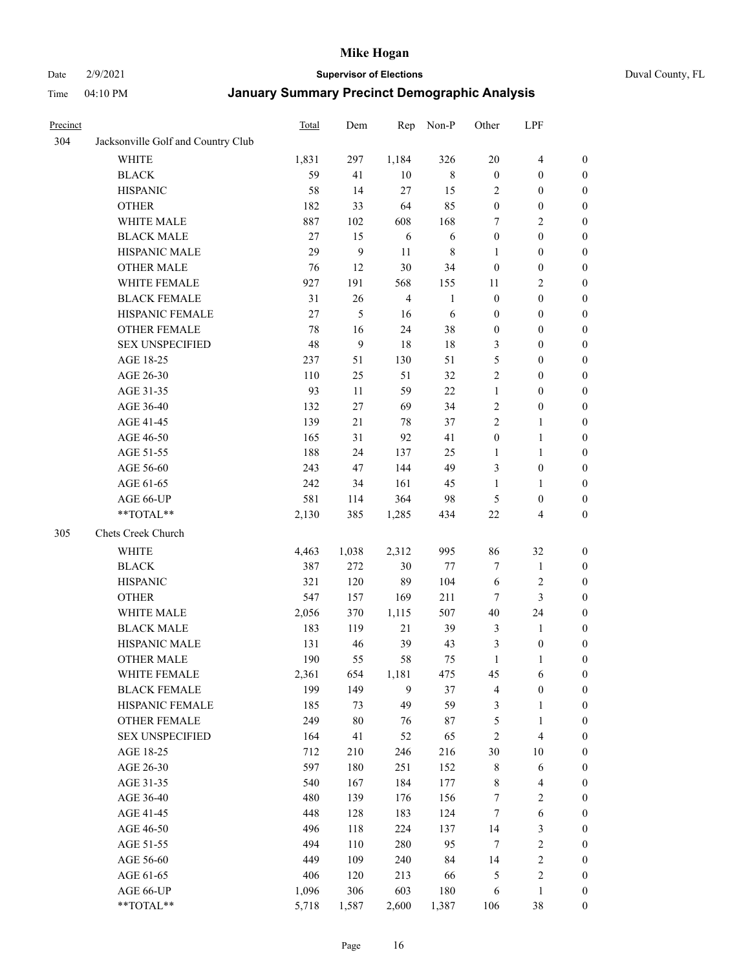Date 2/9/2021 **Supervisor of Elections** Duval County, FL

| Precinct |                                    | Total | Dem    | Rep            | Non-P        | Other            | LPF                     |                  |
|----------|------------------------------------|-------|--------|----------------|--------------|------------------|-------------------------|------------------|
| 304      | Jacksonville Golf and Country Club |       |        |                |              |                  |                         |                  |
|          | <b>WHITE</b>                       | 1,831 | 297    | 1,184          | 326          | 20               | $\overline{4}$          | 0                |
|          | <b>BLACK</b>                       | 59    | 41     | 10             | $8\,$        | $\boldsymbol{0}$ | $\boldsymbol{0}$        | 0                |
|          | <b>HISPANIC</b>                    | 58    | 14     | 27             | 15           | $\overline{2}$   | $\boldsymbol{0}$        | $\boldsymbol{0}$ |
|          | <b>OTHER</b>                       | 182   | 33     | 64             | 85           | $\boldsymbol{0}$ | $\boldsymbol{0}$        | $\boldsymbol{0}$ |
|          | WHITE MALE                         | 887   | 102    | 608            | 168          | 7                | $\sqrt{2}$              | $\boldsymbol{0}$ |
|          | <b>BLACK MALE</b>                  | 27    | 15     | 6              | 6            | $\boldsymbol{0}$ | $\boldsymbol{0}$        | $\boldsymbol{0}$ |
|          | HISPANIC MALE                      | 29    | 9      | 11             | $\,$ 8 $\,$  | $\mathbf{1}$     | $\boldsymbol{0}$        | $\boldsymbol{0}$ |
|          | <b>OTHER MALE</b>                  | 76    | 12     | $30\,$         | 34           | $\boldsymbol{0}$ | $\boldsymbol{0}$        | $\boldsymbol{0}$ |
|          | WHITE FEMALE                       | 927   | 191    | 568            | 155          | 11               | $\mathfrak{2}$          | $\boldsymbol{0}$ |
|          | <b>BLACK FEMALE</b>                | 31    | 26     | $\overline{4}$ | $\mathbf{1}$ | $\boldsymbol{0}$ | $\boldsymbol{0}$        | $\boldsymbol{0}$ |
|          | HISPANIC FEMALE                    | 27    | 5      | 16             | 6            | $\boldsymbol{0}$ | $\boldsymbol{0}$        | 0                |
|          | <b>OTHER FEMALE</b>                | 78    | 16     | 24             | 38           | $\boldsymbol{0}$ | $\boldsymbol{0}$        | 0                |
|          | <b>SEX UNSPECIFIED</b>             | 48    | 9      | 18             | $18\,$       | 3                | $\boldsymbol{0}$        | $\boldsymbol{0}$ |
|          | AGE 18-25                          | 237   | 51     | 130            | 51           | 5                | $\boldsymbol{0}$        | $\boldsymbol{0}$ |
|          | AGE 26-30                          | 110   | 25     | 51             | 32           | 2                | $\boldsymbol{0}$        | $\boldsymbol{0}$ |
|          | AGE 31-35                          | 93    | 11     | 59             | 22           | $\mathbf{1}$     | $\boldsymbol{0}$        | $\boldsymbol{0}$ |
|          | AGE 36-40                          | 132   | 27     | 69             | 34           | 2                | $\boldsymbol{0}$        | $\boldsymbol{0}$ |
|          | AGE 41-45                          | 139   | 21     | 78             | 37           | $\mathbf{2}$     | $\mathbf{1}$            | $\boldsymbol{0}$ |
|          | AGE 46-50                          | 165   | 31     | 92             | 41           | $\boldsymbol{0}$ | $\mathbf{1}$            | $\boldsymbol{0}$ |
|          | AGE 51-55                          | 188   | 24     | 137            | 25           | 1                | $\mathbf{1}$            | 0                |
|          | AGE 56-60                          | 243   | 47     | 144            | 49           | 3                | $\boldsymbol{0}$        | 0                |
|          | AGE 61-65                          | 242   | 34     | 161            | 45           | $\mathbf{1}$     | $\mathbf{1}$            | 0                |
|          | AGE 66-UP                          | 581   | 114    | 364            | 98           | $\mathfrak{S}$   | $\boldsymbol{0}$        | $\boldsymbol{0}$ |
|          | **TOTAL**                          | 2,130 | 385    | 1,285          | 434          | $22\,$           | $\overline{\mathbf{4}}$ | $\boldsymbol{0}$ |
| 305      | Chets Creek Church                 |       |        |                |              |                  |                         |                  |
|          | <b>WHITE</b>                       | 4,463 | 1,038  | 2,312          | 995          | 86               | 32                      | $\boldsymbol{0}$ |
|          | <b>BLACK</b>                       | 387   | 272    | $30\,$         | $77 \,$      | 7                | $\mathbf{1}$            | $\boldsymbol{0}$ |
|          | <b>HISPANIC</b>                    | 321   | 120    | 89             | 104          | 6                | $\sqrt{2}$              | $\boldsymbol{0}$ |
|          | <b>OTHER</b>                       | 547   | 157    | 169            | 211          | 7                | $\mathfrak{Z}$          | $\boldsymbol{0}$ |
|          | WHITE MALE                         | 2,056 | 370    | 1,115          | 507          | 40               | 24                      | $\boldsymbol{0}$ |
|          | <b>BLACK MALE</b>                  | 183   | 119    | 21             | 39           | $\mathfrak{Z}$   | $\mathbf{1}$            | $\boldsymbol{0}$ |
|          | HISPANIC MALE                      | 131   | 46     | 39             | 43           | 3                | $\boldsymbol{0}$        | 0                |
|          | <b>OTHER MALE</b>                  | 190   | 55     | 58             | 75           | $\mathbf{1}$     | $\mathbf{1}$            | $\boldsymbol{0}$ |
|          | WHITE FEMALE                       | 2,361 | 654    | 1,181          | 475          | 45               | 6                       | 0                |
|          | <b>BLACK FEMALE</b>                | 199   | 149    | 9              | 37           | 4                | $\boldsymbol{0}$        | $\boldsymbol{0}$ |
|          | HISPANIC FEMALE                    | 185   | 73     | 49             | 59           | 3                | $\mathbf{1}$            | $\boldsymbol{0}$ |
|          | OTHER FEMALE                       | 249   | $80\,$ | 76             | 87           | 5                | $\mathbf{1}$            | $\overline{0}$   |
|          | <b>SEX UNSPECIFIED</b>             | 164   | 41     | 52             | 65           | $\overline{c}$   | $\overline{\mathbf{4}}$ | 0                |
|          | AGE 18-25                          | 712   | 210    | 246            | 216          | 30               | $10\,$                  | 0                |
|          | AGE 26-30                          | 597   | 180    | 251            | 152          | $\,$ 8 $\,$      | 6                       | 0                |
|          | AGE 31-35                          | 540   | 167    | 184            | 177          | 8                | $\overline{\mathbf{4}}$ | 0                |
|          | AGE 36-40                          | 480   | 139    | 176            | 156          | 7                | $\sqrt{2}$              | 0                |
|          | AGE 41-45                          | 448   | 128    | 183            | 124          | $\boldsymbol{7}$ | $\sqrt{6}$              | 0                |
|          | AGE 46-50                          | 496   | 118    | 224            | 137          | 14               | $\mathfrak{Z}$          | 0                |
|          | AGE 51-55                          | 494   | 110    | 280            | 95           | $\tau$           | $\sqrt{2}$              | 0                |
|          | AGE 56-60                          | 449   | 109    | 240            | 84           | 14               | $\sqrt{2}$              | $\boldsymbol{0}$ |
|          | AGE 61-65                          | 406   | 120    | 213            | 66           | 5                | $\sqrt{2}$              | $\boldsymbol{0}$ |
|          | AGE 66-UP                          | 1,096 | 306    | 603            | 180          | 6                | $\mathbf{1}$            | $\boldsymbol{0}$ |
|          | **TOTAL**                          | 5,718 | 1,587  | 2,600          | 1,387        | 106              | 38                      | $\boldsymbol{0}$ |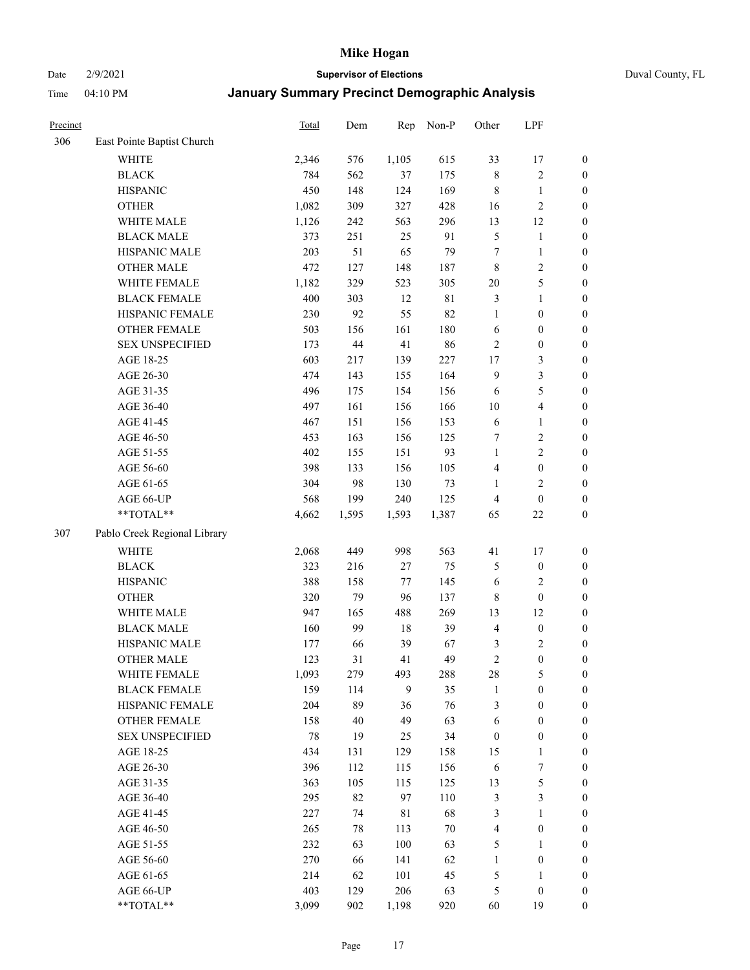Date 2/9/2021 **Supervisor of Elections** Duval County, FL

| Precinct |                              | Total | Dem   | Rep         | Non-P  | Other            | LPF                     |                  |
|----------|------------------------------|-------|-------|-------------|--------|------------------|-------------------------|------------------|
| 306      | East Pointe Baptist Church   |       |       |             |        |                  |                         |                  |
|          | <b>WHITE</b>                 | 2,346 | 576   | 1,105       | 615    | 33               | 17                      | 0                |
|          | <b>BLACK</b>                 | 784   | 562   | 37          | 175    | $\,$ 8 $\,$      | $\sqrt{2}$              | $\boldsymbol{0}$ |
|          | <b>HISPANIC</b>              | 450   | 148   | 124         | 169    | $\,$ 8 $\,$      | $\mathbf{1}$            | $\boldsymbol{0}$ |
|          | <b>OTHER</b>                 | 1,082 | 309   | 327         | 428    | 16               | $\sqrt{2}$              | $\boldsymbol{0}$ |
|          | WHITE MALE                   | 1,126 | 242   | 563         | 296    | 13               | 12                      | $\boldsymbol{0}$ |
|          | <b>BLACK MALE</b>            | 373   | 251   | 25          | 91     | 5                | $\mathbf{1}$            | $\boldsymbol{0}$ |
|          | HISPANIC MALE                | 203   | 51    | 65          | 79     | 7                | $\mathbf{1}$            | $\boldsymbol{0}$ |
|          | <b>OTHER MALE</b>            | 472   | 127   | 148         | 187    | 8                | $\overline{2}$          | $\boldsymbol{0}$ |
|          | WHITE FEMALE                 | 1,182 | 329   | 523         | 305    | $20\,$           | $\mathfrak s$           | $\boldsymbol{0}$ |
|          | <b>BLACK FEMALE</b>          | 400   | 303   | 12          | 81     | 3                | $\mathbf{1}$            | $\boldsymbol{0}$ |
|          | HISPANIC FEMALE              | 230   | 92    | 55          | 82     | $\mathbf{1}$     | $\boldsymbol{0}$        | 0                |
|          | OTHER FEMALE                 | 503   | 156   | 161         | 180    | $\sqrt{6}$       | $\boldsymbol{0}$        | $\boldsymbol{0}$ |
|          | <b>SEX UNSPECIFIED</b>       | 173   | 44    | 41          | 86     | $\sqrt{2}$       | $\boldsymbol{0}$        | $\boldsymbol{0}$ |
|          | AGE 18-25                    | 603   | 217   | 139         | 227    | $17$             | $\mathfrak{Z}$          | $\boldsymbol{0}$ |
|          | AGE 26-30                    | 474   | 143   | 155         | 164    | 9                | $\mathfrak{Z}$          | $\boldsymbol{0}$ |
|          | AGE 31-35                    | 496   | 175   | 154         | 156    | 6                | $\mathfrak s$           | $\boldsymbol{0}$ |
|          | AGE 36-40                    | 497   | 161   | 156         | 166    | 10               | $\overline{\mathbf{4}}$ | $\boldsymbol{0}$ |
|          | AGE 41-45                    | 467   | 151   | 156         | 153    | 6                | $\mathbf{1}$            | $\boldsymbol{0}$ |
|          | AGE 46-50                    | 453   | 163   | 156         | 125    | 7                | $\sqrt{2}$              | $\boldsymbol{0}$ |
|          | AGE 51-55                    | 402   | 155   | 151         | 93     | $\mathbf{1}$     | $\sqrt{2}$              | $\boldsymbol{0}$ |
|          | AGE 56-60                    | 398   | 133   | 156         | 105    | $\overline{4}$   | $\boldsymbol{0}$        | 0                |
|          | AGE 61-65                    | 304   | 98    | 130         | 73     | $\mathbf{1}$     | $\mathbf{2}$            | $\boldsymbol{0}$ |
|          | AGE 66-UP                    | 568   | 199   | 240         | 125    | $\overline{4}$   | $\boldsymbol{0}$        | $\boldsymbol{0}$ |
|          | $**TOTAL**$                  | 4,662 | 1,595 | 1,593       | 1,387  | 65               | $22\,$                  | $\boldsymbol{0}$ |
| 307      | Pablo Creek Regional Library |       |       |             |        |                  |                         |                  |
|          | <b>WHITE</b>                 | 2,068 | 449   | 998         | 563    | 41               | 17                      | $\boldsymbol{0}$ |
|          | <b>BLACK</b>                 | 323   | 216   | $27\,$      | 75     | 5                | $\boldsymbol{0}$        | $\boldsymbol{0}$ |
|          | <b>HISPANIC</b>              | 388   | 158   | 77          | 145    | 6                | $\mathbf{2}$            | $\boldsymbol{0}$ |
|          | <b>OTHER</b>                 | 320   | 79    | 96          | 137    | $\,$ 8 $\,$      | $\boldsymbol{0}$        | $\boldsymbol{0}$ |
|          | WHITE MALE                   | 947   | 165   | 488         | 269    | 13               | 12                      | $\boldsymbol{0}$ |
|          | <b>BLACK MALE</b>            | 160   | 99    | 18          | 39     | $\overline{4}$   | $\boldsymbol{0}$        | $\boldsymbol{0}$ |
|          | HISPANIC MALE                | 177   | 66    | 39          | 67     | 3                | $\sqrt{2}$              | $\boldsymbol{0}$ |
|          | <b>OTHER MALE</b>            | 123   | 31    | 41          | 49     | $\mathfrak{2}$   | $\boldsymbol{0}$        | $\boldsymbol{0}$ |
|          | WHITE FEMALE                 | 1,093 | 279   | 493         | 288    | 28               | 5                       | 0                |
|          | <b>BLACK FEMALE</b>          | 159   | 114   | 9           | 35     | $\mathbf{1}$     | $\boldsymbol{0}$        | $\boldsymbol{0}$ |
|          | HISPANIC FEMALE              | 204   | 89    | 36          | 76     | 3                | $\boldsymbol{0}$        | $\overline{0}$   |
|          | OTHER FEMALE                 | 158   | 40    | 49          | 63     | 6                | $\boldsymbol{0}$        | $\overline{0}$   |
|          | <b>SEX UNSPECIFIED</b>       | 78    | 19    | 25          | 34     | $\boldsymbol{0}$ | $\boldsymbol{0}$        | 0                |
|          | AGE 18-25                    | 434   | 131   | 129         | 158    | 15               | $\mathbf{1}$            | 0                |
|          | AGE 26-30                    | 396   | 112   | 115         | 156    | 6                | $\boldsymbol{7}$        | 0                |
|          | AGE 31-35                    | 363   | 105   | 115         | 125    | 13               | $\mathfrak s$           | 0                |
|          | AGE 36-40                    | 295   | 82    | 97          | 110    | $\mathfrak{Z}$   | $\mathfrak{Z}$          | 0                |
|          | AGE 41-45                    | 227   | 74    | $8\sqrt{1}$ | 68     | 3                | $\mathbf{1}$            | 0                |
|          | AGE 46-50                    | 265   | 78    | 113         | $70\,$ | 4                | $\boldsymbol{0}$        | 0                |
|          | AGE 51-55                    | 232   | 63    | 100         | 63     | 5                | $\mathbf{1}$            | 0                |
|          | AGE 56-60                    | 270   | 66    | 141         | 62     | $\mathbf{1}$     | $\boldsymbol{0}$        | $\boldsymbol{0}$ |
|          | AGE 61-65                    | 214   | 62    | 101         | 45     | 5                | 1                       | $\boldsymbol{0}$ |
|          | AGE 66-UP                    | 403   | 129   | 206         | 63     | 5                | $\boldsymbol{0}$        | $\boldsymbol{0}$ |
|          | **TOTAL**                    | 3,099 | 902   | 1,198       | 920    | 60               | 19                      | $\boldsymbol{0}$ |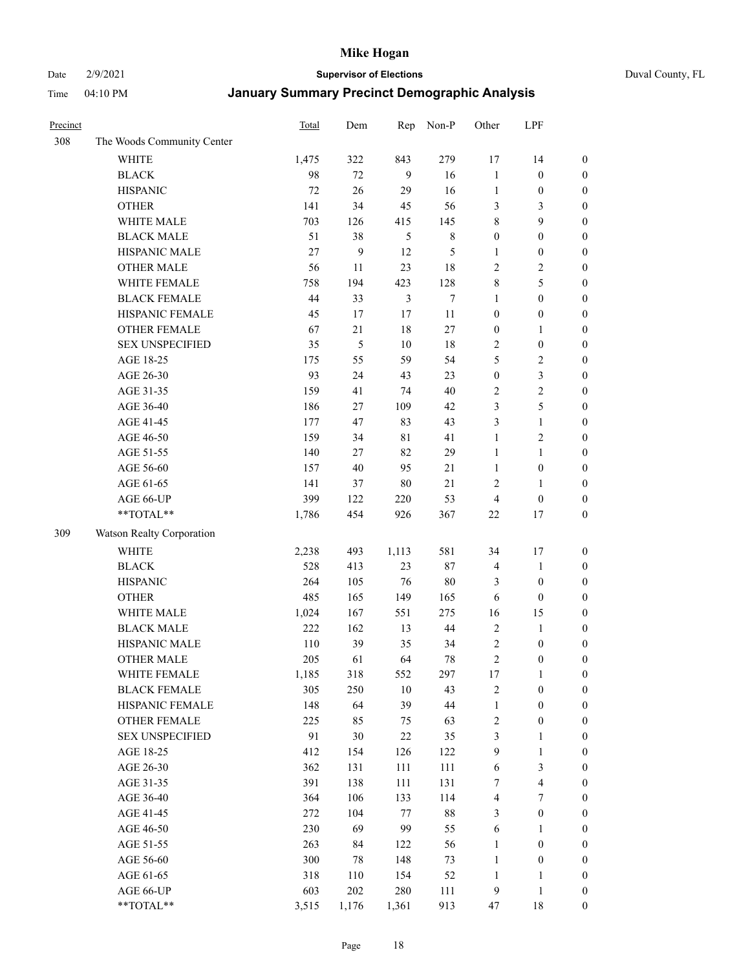Date 2/9/2021 **Supervisor of Elections** Duval County, FL

| Precinct |                            | Total  | Dem   | Rep            | Non-P  | Other            | LPF                     |                  |
|----------|----------------------------|--------|-------|----------------|--------|------------------|-------------------------|------------------|
| 308      | The Woods Community Center |        |       |                |        |                  |                         |                  |
|          | <b>WHITE</b>               | 1,475  | 322   | 843            | 279    | 17               | 14                      | $\boldsymbol{0}$ |
|          | <b>BLACK</b>               | 98     | 72    | 9              | 16     | $\mathbf{1}$     | $\boldsymbol{0}$        | $\boldsymbol{0}$ |
|          | <b>HISPANIC</b>            | 72     | 26    | 29             | 16     | $\mathbf{1}$     | $\boldsymbol{0}$        | $\boldsymbol{0}$ |
|          | <b>OTHER</b>               | 141    | 34    | 45             | 56     | 3                | 3                       | $\boldsymbol{0}$ |
|          | WHITE MALE                 | 703    | 126   | 415            | 145    | 8                | 9                       | $\boldsymbol{0}$ |
|          | <b>BLACK MALE</b>          | 51     | 38    | 5              | $8\,$  | $\boldsymbol{0}$ | $\boldsymbol{0}$        | $\boldsymbol{0}$ |
|          | HISPANIC MALE              | $27\,$ | 9     | 12             | 5      | $\mathbf{1}$     | $\boldsymbol{0}$        | $\boldsymbol{0}$ |
|          | <b>OTHER MALE</b>          | 56     | 11    | 23             | 18     | $\mathbf{2}$     | $\overline{2}$          | $\boldsymbol{0}$ |
|          | WHITE FEMALE               | 758    | 194   | 423            | 128    | $\,$ $\,$        | 5                       | $\boldsymbol{0}$ |
|          | <b>BLACK FEMALE</b>        | 44     | 33    | $\mathfrak{Z}$ | $\tau$ | $\mathbf{1}$     | $\boldsymbol{0}$        | $\boldsymbol{0}$ |
|          | HISPANIC FEMALE            | 45     | 17    | 17             | 11     | $\boldsymbol{0}$ | $\boldsymbol{0}$        | 0                |
|          | <b>OTHER FEMALE</b>        | 67     | 21    | $18\,$         | 27     | $\boldsymbol{0}$ | $\mathbf{1}$            | $\boldsymbol{0}$ |
|          | <b>SEX UNSPECIFIED</b>     | 35     | 5     | 10             | 18     | $\sqrt{2}$       | $\boldsymbol{0}$        | $\boldsymbol{0}$ |
|          | AGE 18-25                  | 175    | 55    | 59             | 54     | 5                | $\sqrt{2}$              | $\boldsymbol{0}$ |
|          | AGE 26-30                  | 93     | 24    | 43             | 23     | $\boldsymbol{0}$ | $\mathfrak{Z}$          | $\boldsymbol{0}$ |
|          | AGE 31-35                  | 159    | 41    | 74             | 40     | $\sqrt{2}$       | $\sqrt{2}$              | $\boldsymbol{0}$ |
|          | AGE 36-40                  | 186    | 27    | 109            | 42     | 3                | $\mathfrak s$           | $\boldsymbol{0}$ |
|          | AGE 41-45                  | 177    | 47    | 83             | 43     | 3                | $\mathbf{1}$            | $\boldsymbol{0}$ |
|          | AGE 46-50                  | 159    | 34    | $8\sqrt{1}$    | 41     | $\mathbf{1}$     | $\overline{c}$          | $\boldsymbol{0}$ |
|          | AGE 51-55                  | 140    | 27    | 82             | 29     | $\mathbf{1}$     | $\mathbf{1}$            | $\boldsymbol{0}$ |
|          | AGE 56-60                  | 157    | 40    | 95             | 21     | $\mathbf{1}$     | $\boldsymbol{0}$        | 0                |
|          | AGE 61-65                  | 141    | 37    | $80\,$         | 21     | $\overline{c}$   | $\mathbf{1}$            | 0                |
|          | AGE 66-UP                  | 399    | 122   | 220            | 53     | $\overline{4}$   | $\boldsymbol{0}$        | $\boldsymbol{0}$ |
|          | $**TOTAL**$                | 1,786  | 454   | 926            | 367    | 22               | 17                      | $\boldsymbol{0}$ |
| 309      | Watson Realty Corporation  |        |       |                |        |                  |                         |                  |
|          | <b>WHITE</b>               | 2,238  | 493   | 1,113          | 581    | 34               | 17                      | $\boldsymbol{0}$ |
|          | <b>BLACK</b>               | 528    | 413   | 23             | 87     | 4                | $\mathbf{1}$            | $\boldsymbol{0}$ |
|          | <b>HISPANIC</b>            | 264    | 105   | 76             | 80     | 3                | $\boldsymbol{0}$        | $\boldsymbol{0}$ |
|          | <b>OTHER</b>               | 485    | 165   | 149            | 165    | 6                | $\boldsymbol{0}$        | $\boldsymbol{0}$ |
|          | WHITE MALE                 | 1,024  | 167   | 551            | 275    | 16               | 15                      | $\boldsymbol{0}$ |
|          | <b>BLACK MALE</b>          | 222    | 162   | 13             | 44     | $\overline{2}$   | $\mathbf{1}$            | $\boldsymbol{0}$ |
|          | HISPANIC MALE              | 110    | 39    | 35             | 34     | $\overline{c}$   | $\boldsymbol{0}$        | $\boldsymbol{0}$ |
|          | <b>OTHER MALE</b>          | 205    | 61    | 64             | 78     | $\overline{c}$   | $\boldsymbol{0}$        | $\boldsymbol{0}$ |
|          | WHITE FEMALE               | 1,185  | 318   | 552            | 297    | 17               | $\mathbf{1}$            | 0                |
|          | <b>BLACK FEMALE</b>        | 305    | 250   | 10             | 43     | $\overline{c}$   | $\boldsymbol{0}$        | $\boldsymbol{0}$ |
|          | HISPANIC FEMALE            | 148    | 64    | 39             | 44     | $\mathbf{1}$     | $\boldsymbol{0}$        | $\overline{0}$   |
|          | OTHER FEMALE               | 225    | 85    | 75             | 63     | $\overline{c}$   | $\boldsymbol{0}$        | $\overline{0}$   |
|          | <b>SEX UNSPECIFIED</b>     | 91     | 30    | $22\,$         | 35     | 3                | $\mathbf{1}$            | 0                |
|          | AGE 18-25                  | 412    | 154   | 126            | 122    | 9                | $\mathbf{1}$            | 0                |
|          | AGE 26-30                  | 362    | 131   | 111            | 111    | 6                | $\mathfrak{Z}$          | 0                |
|          | AGE 31-35                  | 391    | 138   | 111            | 131    | 7                | $\overline{\mathbf{4}}$ | 0                |
|          | AGE 36-40                  | 364    | 106   | 133            | 114    | 4                | 7                       | 0                |
|          | AGE 41-45                  | 272    | 104   | $77\,$         | $88\,$ | 3                | $\boldsymbol{0}$        | 0                |
|          | AGE 46-50                  | 230    | 69    | 99             | 55     | 6                | $\mathbf{1}$            | 0                |
|          | AGE 51-55                  | 263    | 84    | 122            | 56     | $\mathbf{1}$     | $\boldsymbol{0}$        | 0                |
|          | AGE 56-60                  | 300    | 78    | 148            | 73     | $\mathbf{1}$     | $\boldsymbol{0}$        | $\boldsymbol{0}$ |
|          | AGE 61-65                  | 318    | 110   | 154            | 52     | $\mathbf{1}$     | 1                       | $\boldsymbol{0}$ |
|          | AGE 66-UP                  | 603    | 202   | 280            | 111    | $\overline{9}$   | $\mathbf{1}$            | $\boldsymbol{0}$ |
|          | **TOTAL**                  | 3,515  | 1,176 | 1,361          | 913    | 47               | 18                      | $\boldsymbol{0}$ |
|          |                            |        |       |                |        |                  |                         |                  |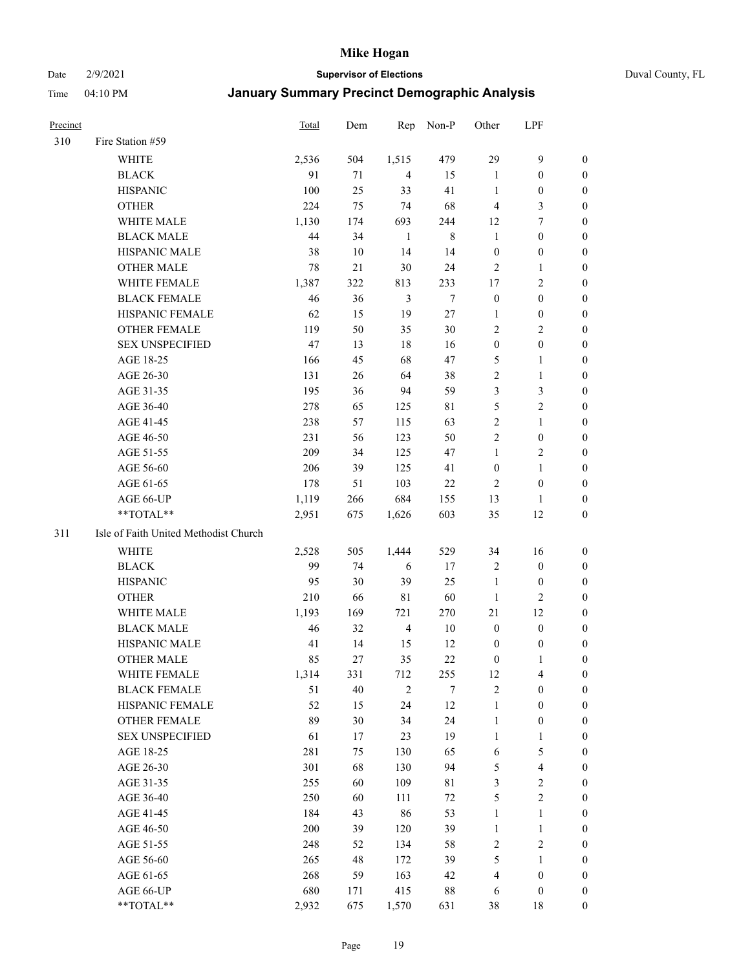#### Date 2/9/2021 **Supervisor of Elections** Duval County, FL

| Precinct |                                       | <b>Total</b> | Dem    |                | Rep Non-P | Other                   | LPF              |                  |
|----------|---------------------------------------|--------------|--------|----------------|-----------|-------------------------|------------------|------------------|
| 310      | Fire Station #59                      |              |        |                |           |                         |                  |                  |
|          | WHITE                                 | 2,536        | 504    | 1,515          | 479       | 29                      | $\boldsymbol{9}$ | 0                |
|          | <b>BLACK</b>                          | 91           | 71     | $\overline{4}$ | 15        | $\mathbf{1}$            | $\boldsymbol{0}$ | 0                |
|          | <b>HISPANIC</b>                       | 100          | 25     | 33             | 41        | $\mathbf{1}$            | $\boldsymbol{0}$ | $\boldsymbol{0}$ |
|          | <b>OTHER</b>                          | 224          | 75     | 74             | 68        | $\overline{4}$          | $\mathfrak{Z}$   | $\boldsymbol{0}$ |
|          | WHITE MALE                            | 1,130        | 174    | 693            | 244       | 12                      | $\tau$           | $\boldsymbol{0}$ |
|          | <b>BLACK MALE</b>                     | 44           | 34     | $\mathbf{1}$   | $\,$ $\,$ | $\mathbf{1}$            | $\boldsymbol{0}$ | $\boldsymbol{0}$ |
|          | HISPANIC MALE                         | 38           | 10     | 14             | 14        | $\boldsymbol{0}$        | $\boldsymbol{0}$ | $\boldsymbol{0}$ |
|          | <b>OTHER MALE</b>                     | 78           | $21\,$ | 30             | 24        | 2                       | $\mathbf{1}$     | $\boldsymbol{0}$ |
|          | WHITE FEMALE                          | 1,387        | 322    | 813            | 233       | 17                      | $\sqrt{2}$       | 0                |
|          | <b>BLACK FEMALE</b>                   | 46           | 36     | $\mathfrak{Z}$ | $\tau$    | $\boldsymbol{0}$        | $\boldsymbol{0}$ | 0                |
|          | HISPANIC FEMALE                       | 62           | 15     | 19             | $27\,$    | 1                       | $\boldsymbol{0}$ | 0                |
|          | OTHER FEMALE                          | 119          | 50     | 35             | 30        | 2                       | $\overline{2}$   | 0                |
|          | <b>SEX UNSPECIFIED</b>                | 47           | 13     | 18             | 16        | $\boldsymbol{0}$        | $\boldsymbol{0}$ | $\boldsymbol{0}$ |
|          | AGE 18-25                             | 166          | 45     | 68             | 47        | 5                       | 1                | $\boldsymbol{0}$ |
|          | AGE 26-30                             | 131          | 26     | 64             | 38        | $\overline{\mathbf{c}}$ | $\mathbf{1}$     | $\boldsymbol{0}$ |
|          | AGE 31-35                             | 195          | 36     | 94             | 59        | 3                       | $\mathfrak{Z}$   | 0                |
|          | AGE 36-40                             | 278          | 65     | 125            | 81        | 5                       | $\sqrt{2}$       | $\boldsymbol{0}$ |
|          | AGE 41-45                             | 238          | 57     | 115            | 63        | 2                       | $\mathbf{1}$     | $\boldsymbol{0}$ |
|          | AGE 46-50                             | 231          | 56     | 123            | 50        | $\overline{c}$          | $\boldsymbol{0}$ | 0                |
|          | AGE 51-55                             | 209          | 34     | 125            | 47        | $\mathbf{1}$            | $\sqrt{2}$       | 0                |
|          | AGE 56-60                             | 206          | 39     | 125            | 41        | $\boldsymbol{0}$        | $\mathbf{1}$     | 0                |
|          | AGE 61-65                             | 178          | 51     | 103            | 22        | 2                       | $\boldsymbol{0}$ | 0                |
|          | AGE 66-UP                             | 1,119        | 266    | 684            | 155       | 13                      | $\mathbf{1}$     | 0                |
|          | **TOTAL**                             | 2,951        | 675    | 1,626          | 603       | 35                      | 12               | $\boldsymbol{0}$ |
| 311      | Isle of Faith United Methodist Church |              |        |                |           |                         |                  |                  |
|          | WHITE                                 | 2,528        | 505    | 1,444          | 529       | 34                      | 16               | $\boldsymbol{0}$ |
|          | <b>BLACK</b>                          | 99           | 74     | 6              | 17        | 2                       | $\boldsymbol{0}$ | $\boldsymbol{0}$ |
|          | <b>HISPANIC</b>                       | 95           | 30     | 39             | 25        | $\mathbf{1}$            | $\boldsymbol{0}$ | $\boldsymbol{0}$ |
|          | <b>OTHER</b>                          | 210          | 66     | 81             | 60        | $\mathbf{1}$            | $\overline{2}$   | $\boldsymbol{0}$ |
|          | WHITE MALE                            | 1,193        | 169    | 721            | 270       | 21                      | 12               | $\boldsymbol{0}$ |
|          | <b>BLACK MALE</b>                     | 46           | 32     | $\overline{4}$ | 10        | $\boldsymbol{0}$        | $\boldsymbol{0}$ | $\boldsymbol{0}$ |
|          | HISPANIC MALE                         | 41           | 14     | 15             | 12        | 0                       | 0                | 0                |
|          | <b>OTHER MALE</b>                     | 85           | 27     | 35             | 22        | 0                       | 1                | $\boldsymbol{0}$ |
|          | WHITE FEMALE                          | 1,314        | 331    | 712            | 255       | 12                      | $\overline{4}$   | 0                |
|          | <b>BLACK FEMALE</b>                   | 51           | 40     | $\sqrt{2}$     | 7         | 2                       | $\boldsymbol{0}$ | 0                |
|          | HISPANIC FEMALE                       | 52           | 15     | 24             | 12        | $\mathbf{1}$            | $\boldsymbol{0}$ | $\boldsymbol{0}$ |
|          | OTHER FEMALE                          | 89           | 30     | 34             | 24        | $\mathbf{1}$            | $\boldsymbol{0}$ | 0                |
|          | <b>SEX UNSPECIFIED</b>                | 61           | 17     | 23             | 19        | $\mathbf{1}$            | $\mathbf{1}$     | 0                |
|          | AGE 18-25                             | 281          | 75     | 130            | 65        | 6                       | $\mathfrak s$    | 0                |
|          | AGE 26-30                             | 301          | 68     | 130            | 94        | 5                       | $\overline{4}$   | 0                |
|          | AGE 31-35                             | 255          | 60     | 109            | 81        | 3                       | $\sqrt{2}$       | 0                |
|          | AGE 36-40                             | 250          | 60     | 111            | $72\,$    | 5                       | $\sqrt{2}$       | 0                |
|          | AGE 41-45                             | 184          | 43     | 86             | 53        | $\mathbf{1}$            | $\mathbf{1}$     | 0                |
|          | AGE 46-50                             | 200          | 39     | 120            | 39        | $\mathbf{1}$            | $\mathbf{1}$     | 0                |
|          | AGE 51-55                             | 248          | 52     | 134            | 58        | $\mathbf{2}$            | $\sqrt{2}$       | $\boldsymbol{0}$ |
|          | AGE 56-60                             | 265          | 48     | 172            | 39        | 5                       | $\mathbf{1}$     | $\boldsymbol{0}$ |
|          | AGE 61-65                             | 268          | 59     | 163            | 42        | 4                       | $\boldsymbol{0}$ | $\overline{0}$   |
|          | AGE 66-UP                             | 680          | 171    | 415            | $88\,$    | 6                       | $\boldsymbol{0}$ | 0                |
|          | **TOTAL**                             | 2,932        | 675    | 1,570          | 631       | 38                      | 18               | $\overline{0}$   |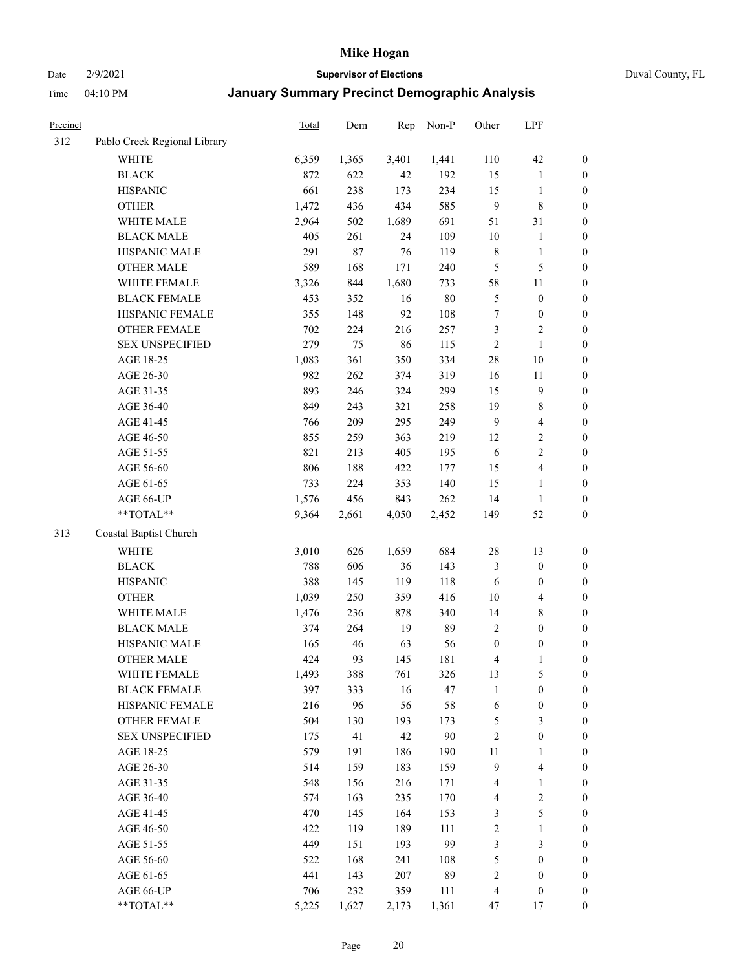Date 2/9/2021 **Supervisor of Elections** Duval County, FL

| <b>Precinct</b> |                              | Total | Dem   | Rep   | Non-P  | Other            | LPF                     |                  |
|-----------------|------------------------------|-------|-------|-------|--------|------------------|-------------------------|------------------|
| 312             | Pablo Creek Regional Library |       |       |       |        |                  |                         |                  |
|                 | <b>WHITE</b>                 | 6,359 | 1,365 | 3,401 | 1,441  | 110              | 42                      | 0                |
|                 | <b>BLACK</b>                 | 872   | 622   | 42    | 192    | 15               | $\mathbf{1}$            | $\boldsymbol{0}$ |
|                 | <b>HISPANIC</b>              | 661   | 238   | 173   | 234    | 15               | $\mathbf{1}$            | $\boldsymbol{0}$ |
|                 | <b>OTHER</b>                 | 1,472 | 436   | 434   | 585    | $\overline{9}$   | 8                       | $\boldsymbol{0}$ |
|                 | WHITE MALE                   | 2,964 | 502   | 1,689 | 691    | 51               | 31                      | $\boldsymbol{0}$ |
|                 | <b>BLACK MALE</b>            | 405   | 261   | 24    | 109    | 10               | $\mathbf{1}$            | $\boldsymbol{0}$ |
|                 | HISPANIC MALE                | 291   | 87    | 76    | 119    | $\,$ 8 $\,$      | $\mathbf{1}$            | $\boldsymbol{0}$ |
|                 | <b>OTHER MALE</b>            | 589   | 168   | 171   | 240    | $\mathfrak{S}$   | $\mathfrak{S}$          | $\boldsymbol{0}$ |
|                 | WHITE FEMALE                 | 3,326 | 844   | 1,680 | 733    | 58               | $11\,$                  | $\boldsymbol{0}$ |
|                 | <b>BLACK FEMALE</b>          | 453   | 352   | 16    | $80\,$ | 5                | $\boldsymbol{0}$        | $\boldsymbol{0}$ |
|                 | HISPANIC FEMALE              | 355   | 148   | 92    | 108    | $\boldsymbol{7}$ | $\boldsymbol{0}$        | 0                |
|                 | OTHER FEMALE                 | 702   | 224   | 216   | 257    | 3                | $\sqrt{2}$              | $\boldsymbol{0}$ |
|                 | <b>SEX UNSPECIFIED</b>       | 279   | 75    | 86    | 115    | $\sqrt{2}$       | $\mathbf{1}$            | $\boldsymbol{0}$ |
|                 | AGE 18-25                    | 1,083 | 361   | 350   | 334    | $28\,$           | $10\,$                  | $\boldsymbol{0}$ |
|                 | AGE 26-30                    | 982   | 262   | 374   | 319    | 16               | $11\,$                  | $\boldsymbol{0}$ |
|                 | AGE 31-35                    | 893   | 246   | 324   | 299    | 15               | $\boldsymbol{9}$        | $\boldsymbol{0}$ |
|                 | AGE 36-40                    | 849   | 243   | 321   | 258    | 19               | $\,$ 8 $\,$             | $\boldsymbol{0}$ |
|                 | AGE 41-45                    | 766   | 209   | 295   | 249    | $\overline{9}$   | $\overline{4}$          | $\boldsymbol{0}$ |
|                 | AGE 46-50                    | 855   | 259   | 363   | 219    | 12               | $\sqrt{2}$              | $\boldsymbol{0}$ |
|                 | AGE 51-55                    | 821   | 213   | 405   | 195    | 6                | $\sqrt{2}$              | $\boldsymbol{0}$ |
|                 | AGE 56-60                    | 806   | 188   | 422   | 177    | 15               | $\overline{\mathbf{4}}$ | 0                |
|                 | AGE 61-65                    | 733   | 224   | 353   | 140    | 15               | $\mathbf{1}$            | 0                |
|                 | AGE 66-UP                    | 1,576 | 456   | 843   | 262    | 14               | $\mathbf{1}$            | $\boldsymbol{0}$ |
|                 | $**TOTAL**$                  | 9,364 | 2,661 | 4,050 | 2,452  | 149              | 52                      | $\boldsymbol{0}$ |
| 313             | Coastal Baptist Church       |       |       |       |        |                  |                         |                  |
|                 | <b>WHITE</b>                 | 3,010 | 626   | 1,659 | 684    | 28               | 13                      | $\boldsymbol{0}$ |
|                 | <b>BLACK</b>                 | 788   | 606   | 36    | 143    | 3                | $\boldsymbol{0}$        | $\boldsymbol{0}$ |
|                 | <b>HISPANIC</b>              | 388   | 145   | 119   | 118    | 6                | $\boldsymbol{0}$        | $\boldsymbol{0}$ |
|                 | <b>OTHER</b>                 | 1,039 | 250   | 359   | 416    | 10               | $\overline{\mathbf{4}}$ | $\boldsymbol{0}$ |
|                 | WHITE MALE                   | 1,476 | 236   | 878   | 340    | 14               | $\,$ 8 $\,$             | $\boldsymbol{0}$ |
|                 | <b>BLACK MALE</b>            | 374   | 264   | 19    | 89     | $\overline{2}$   | $\boldsymbol{0}$        | $\boldsymbol{0}$ |
|                 | HISPANIC MALE                | 165   | 46    | 63    | 56     | $\boldsymbol{0}$ | $\boldsymbol{0}$        | $\boldsymbol{0}$ |
|                 | <b>OTHER MALE</b>            | 424   | 93    | 145   | 181    | 4                | $\mathbf{1}$            | $\boldsymbol{0}$ |
|                 | WHITE FEMALE                 | 1,493 | 388   | 761   | 326    | 13               | 5                       | 0                |
|                 | <b>BLACK FEMALE</b>          | 397   | 333   | 16    | 47     | $\mathbf{1}$     | $\boldsymbol{0}$        | $\boldsymbol{0}$ |
|                 | HISPANIC FEMALE              | 216   | 96    | 56    | 58     | 6                | $\boldsymbol{0}$        | $\overline{0}$   |
|                 | OTHER FEMALE                 | 504   | 130   | 193   | 173    | 5                | $\mathfrak{Z}$          | $\overline{0}$   |
|                 | <b>SEX UNSPECIFIED</b>       | 175   | 41    | 42    | $90\,$ | 2                | $\boldsymbol{0}$        | 0                |
|                 | AGE 18-25                    | 579   | 191   | 186   | 190    | 11               | $\mathbf{1}$            | 0                |
|                 | AGE 26-30                    | 514   | 159   | 183   | 159    | $\overline{9}$   | $\overline{\mathbf{4}}$ | 0                |
|                 | AGE 31-35                    | 548   | 156   | 216   | 171    | 4                | $\mathbf{1}$            | 0                |
|                 | AGE 36-40                    | 574   | 163   | 235   | 170    | 4                | $\sqrt{2}$              | 0                |
|                 | AGE 41-45                    | 470   | 145   | 164   | 153    | 3                | $\mathfrak{S}$          | 0                |
|                 | AGE 46-50                    | 422   | 119   | 189   | 111    | $\overline{c}$   | $\mathbf{1}$            | 0                |
|                 | AGE 51-55                    | 449   | 151   | 193   | 99     | 3                | $\mathfrak{Z}$          | $\boldsymbol{0}$ |
|                 | AGE 56-60                    | 522   | 168   | 241   | 108    | 5                | $\boldsymbol{0}$        | $\boldsymbol{0}$ |
|                 | AGE 61-65                    | 441   | 143   | 207   | 89     | $\overline{c}$   | $\boldsymbol{0}$        | $\boldsymbol{0}$ |
|                 | AGE 66-UP                    | 706   | 232   | 359   | 111    | $\overline{4}$   | $\boldsymbol{0}$        | 0                |
|                 | **TOTAL**                    | 5,225 | 1,627 | 2,173 | 1,361  | 47               | 17                      | $\boldsymbol{0}$ |
|                 |                              |       |       |       |        |                  |                         |                  |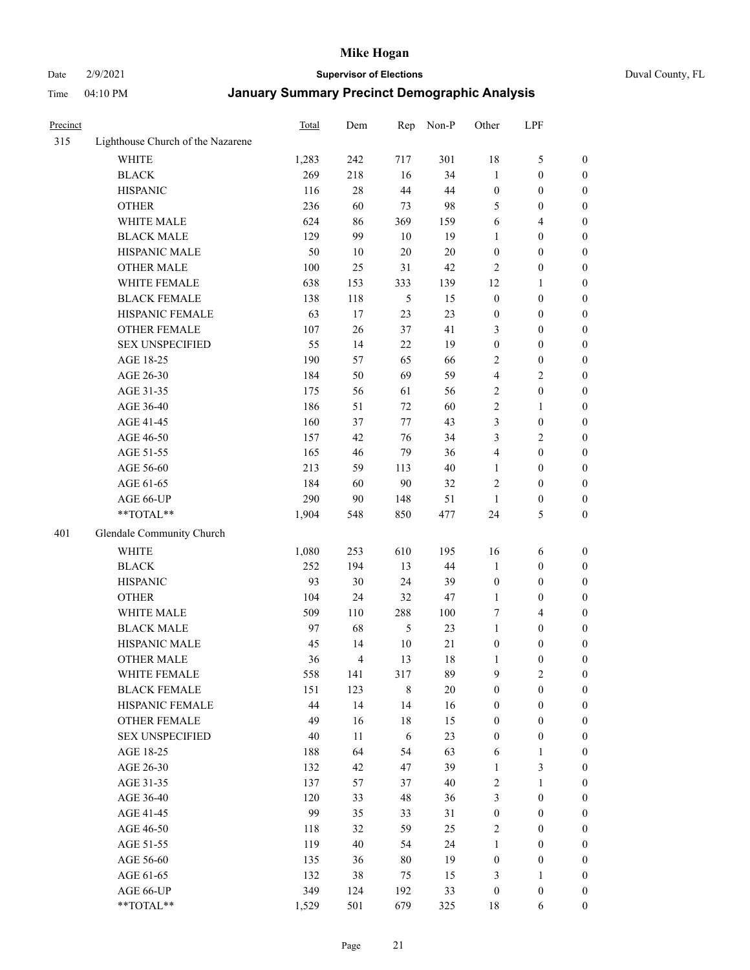#### Date 2/9/2021 **Supervisor of Elections** Duval County, FL

| Precinct |                                   | Total  | Dem            | Rep         | Non-P  | Other                   | LPF              |                  |
|----------|-----------------------------------|--------|----------------|-------------|--------|-------------------------|------------------|------------------|
| 315      | Lighthouse Church of the Nazarene |        |                |             |        |                         |                  |                  |
|          | <b>WHITE</b>                      | 1,283  | 242            | 717         | 301    | 18                      | $\mathfrak{S}$   | 0                |
|          | <b>BLACK</b>                      | 269    | 218            | 16          | 34     | $\mathbf{1}$            | $\boldsymbol{0}$ | 0                |
|          | <b>HISPANIC</b>                   | 116    | 28             | 44          | 44     | $\boldsymbol{0}$        | $\boldsymbol{0}$ | $\boldsymbol{0}$ |
|          | <b>OTHER</b>                      | 236    | 60             | 73          | 98     | 5                       | $\boldsymbol{0}$ | $\boldsymbol{0}$ |
|          | WHITE MALE                        | 624    | 86             | 369         | 159    | 6                       | $\overline{4}$   | $\boldsymbol{0}$ |
|          | <b>BLACK MALE</b>                 | 129    | 99             | 10          | 19     | $\mathbf{1}$            | $\boldsymbol{0}$ | $\boldsymbol{0}$ |
|          | HISPANIC MALE                     | 50     | 10             | 20          | $20\,$ | $\boldsymbol{0}$        | $\boldsymbol{0}$ | $\boldsymbol{0}$ |
|          | <b>OTHER MALE</b>                 | 100    | 25             | 31          | 42     | $\mathbf{2}$            | $\boldsymbol{0}$ | $\boldsymbol{0}$ |
|          | WHITE FEMALE                      | 638    | 153            | 333         | 139    | 12                      | $\mathbf{1}$     | $\boldsymbol{0}$ |
|          | <b>BLACK FEMALE</b>               | 138    | 118            | 5           | 15     | $\boldsymbol{0}$        | $\boldsymbol{0}$ | 0                |
|          | HISPANIC FEMALE                   | 63     | 17             | 23          | 23     | $\boldsymbol{0}$        | $\boldsymbol{0}$ | 0                |
|          | <b>OTHER FEMALE</b>               | 107    | 26             | 37          | 41     | 3                       | $\boldsymbol{0}$ | $\boldsymbol{0}$ |
|          | <b>SEX UNSPECIFIED</b>            | 55     | 14             | 22          | 19     | $\boldsymbol{0}$        | $\boldsymbol{0}$ | $\boldsymbol{0}$ |
|          | AGE 18-25                         | 190    | 57             | 65          | 66     | 2                       | $\boldsymbol{0}$ | $\boldsymbol{0}$ |
|          | AGE 26-30                         | 184    | 50             | 69          | 59     | 4                       | $\sqrt{2}$       | $\boldsymbol{0}$ |
|          | AGE 31-35                         | 175    | 56             | 61          | 56     | $\sqrt{2}$              | $\boldsymbol{0}$ | $\boldsymbol{0}$ |
|          | AGE 36-40                         | 186    | 51             | 72          | 60     | $\overline{c}$          | $\mathbf{1}$     | $\boldsymbol{0}$ |
|          | AGE 41-45                         | 160    | 37             | 77          | 43     | 3                       | $\boldsymbol{0}$ | $\boldsymbol{0}$ |
|          | AGE 46-50                         | 157    | 42             | 76          | 34     | 3                       | $\overline{2}$   | $\boldsymbol{0}$ |
|          | AGE 51-55                         | 165    | 46             | 79          | 36     | $\overline{\mathbf{4}}$ | $\boldsymbol{0}$ | $\boldsymbol{0}$ |
|          | AGE 56-60                         | 213    | 59             | 113         | 40     | $\mathbf{1}$            | $\boldsymbol{0}$ | 0                |
|          | AGE 61-65                         | 184    | 60             | 90          | 32     | $\overline{c}$          | $\boldsymbol{0}$ | 0                |
|          | AGE 66-UP                         | 290    | 90             | 148         | 51     | $\mathbf{1}$            | $\boldsymbol{0}$ | $\boldsymbol{0}$ |
|          | **TOTAL**                         | 1,904  | 548            | 850         | 477    | 24                      | $\mathfrak{S}$   | $\boldsymbol{0}$ |
| 401      | Glendale Community Church         |        |                |             |        |                         |                  |                  |
|          |                                   |        |                |             |        |                         |                  |                  |
|          | <b>WHITE</b>                      | 1,080  | 253            | 610         | 195    | 16                      | 6                | $\boldsymbol{0}$ |
|          | <b>BLACK</b>                      | 252    | 194            | 13          | 44     | $\mathbf{1}$            | $\boldsymbol{0}$ | $\boldsymbol{0}$ |
|          | <b>HISPANIC</b>                   | 93     | 30             | 24          | 39     | $\boldsymbol{0}$        | $\boldsymbol{0}$ | $\boldsymbol{0}$ |
|          | <b>OTHER</b>                      | 104    | 24             | 32          | 47     | $\mathbf{1}$            | $\boldsymbol{0}$ | $\boldsymbol{0}$ |
|          | WHITE MALE                        | 509    | 110            | 288         | 100    | 7                       | $\overline{4}$   | $\boldsymbol{0}$ |
|          | <b>BLACK MALE</b>                 | 97     | 68             | 5           | 23     | $\mathbf{1}$            | $\boldsymbol{0}$ | $\boldsymbol{0}$ |
|          | HISPANIC MALE                     | 45     | 14             | 10          | 21     | $\boldsymbol{0}$        | $\boldsymbol{0}$ | 0                |
|          | <b>OTHER MALE</b>                 | 36     | $\overline{4}$ | 13          | 18     | $\mathbf{1}$            | $\boldsymbol{0}$ | $\boldsymbol{0}$ |
|          | WHITE FEMALE                      | 558    | 141            | 317         | 89     | 9                       | 2                | 0                |
|          | <b>BLACK FEMALE</b>               | 151    | 123            | $\,$ 8 $\,$ | $20\,$ | $\boldsymbol{0}$        | $\boldsymbol{0}$ | $\boldsymbol{0}$ |
|          | HISPANIC FEMALE                   | 44     | 14             | 14          | 16     | $\boldsymbol{0}$        | $\boldsymbol{0}$ | $\overline{0}$   |
|          | OTHER FEMALE                      | 49     | 16             | 18          | 15     | $\boldsymbol{0}$        | $\boldsymbol{0}$ | $\overline{0}$   |
|          | <b>SEX UNSPECIFIED</b>            | $40\,$ | 11             | 6           | 23     | $\boldsymbol{0}$        | $\boldsymbol{0}$ | 0                |
|          | AGE 18-25                         | 188    | 64             | 54          | 63     | 6                       | $\mathbf{1}$     | $\theta$         |
|          | AGE 26-30                         | 132    | 42             | 47          | 39     | $\mathbf{1}$            | $\mathfrak{Z}$   | 0                |
|          | AGE 31-35                         | 137    | 57             | 37          | 40     | $\overline{c}$          | $\mathbf{1}$     | 0                |
|          | AGE 36-40                         | 120    | 33             | 48          | 36     | 3                       | $\boldsymbol{0}$ | 0                |
|          | AGE 41-45                         | 99     | 35             | 33          | 31     | $\boldsymbol{0}$        | $\boldsymbol{0}$ | 0                |
|          | AGE 46-50                         | 118    | 32             | 59          | 25     | $\overline{c}$          | $\boldsymbol{0}$ | 0                |
|          | AGE 51-55                         | 119    | 40             | 54          | 24     | $\mathbf{1}$            | $\boldsymbol{0}$ | $\boldsymbol{0}$ |
|          | AGE 56-60                         | 135    | 36             | 80          | 19     | $\boldsymbol{0}$        | $\boldsymbol{0}$ | $\overline{0}$   |
|          | AGE 61-65                         | 132    | 38             | 75          | 15     | 3                       | $\mathbf{1}$     | $\overline{0}$   |
|          | AGE 66-UP                         | 349    | 124            | 192         | 33     | $\boldsymbol{0}$        | $\boldsymbol{0}$ | $\boldsymbol{0}$ |
|          | **TOTAL**                         | 1,529  | 501            | 679         | 325    | 18                      | 6                | $\boldsymbol{0}$ |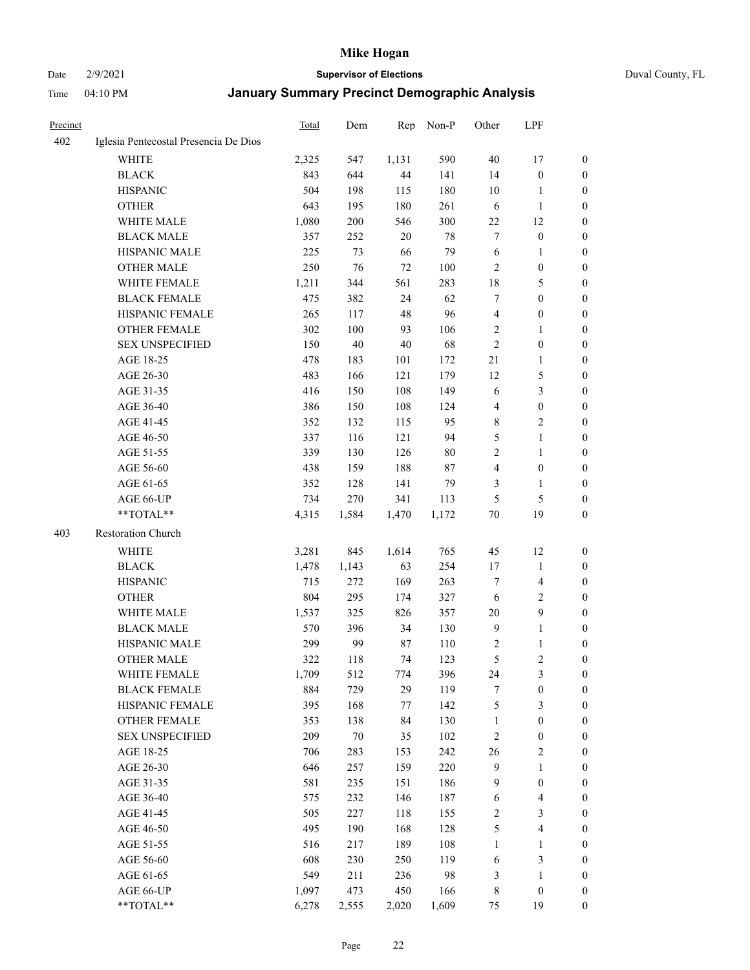#### Date 2/9/2021 **Supervisor of Elections** Duval County, FL

| <b>Precinct</b> |                                       | Total | Dem    | Rep     | Non-P  | Other          | LPF                     |                  |
|-----------------|---------------------------------------|-------|--------|---------|--------|----------------|-------------------------|------------------|
| 402             | Iglesia Pentecostal Presencia De Dios |       |        |         |        |                |                         |                  |
|                 | <b>WHITE</b>                          | 2,325 | 547    | 1,131   | 590    | 40             | 17                      | 0                |
|                 | <b>BLACK</b>                          | 843   | 644    | 44      | 141    | 14             | $\boldsymbol{0}$        | 0                |
|                 | <b>HISPANIC</b>                       | 504   | 198    | 115     | 180    | 10             | 1                       | 0                |
|                 | <b>OTHER</b>                          | 643   | 195    | 180     | 261    | 6              | $\mathbf{1}$            | $\boldsymbol{0}$ |
|                 | WHITE MALE                            | 1,080 | 200    | 546     | 300    | $22\,$         | 12                      | $\boldsymbol{0}$ |
|                 | <b>BLACK MALE</b>                     | 357   | 252    | 20      | 78     | 7              | $\boldsymbol{0}$        | $\boldsymbol{0}$ |
|                 | HISPANIC MALE                         | 225   | 73     | 66      | 79     | 6              | $\mathbf{1}$            | $\boldsymbol{0}$ |
|                 | <b>OTHER MALE</b>                     | 250   | 76     | 72      | 100    | $\mathbf{2}$   | $\boldsymbol{0}$        | 0                |
|                 | WHITE FEMALE                          | 1,211 | 344    | 561     | 283    | 18             | $\mathfrak{S}$          | $\boldsymbol{0}$ |
|                 | <b>BLACK FEMALE</b>                   | 475   | 382    | 24      | 62     | 7              | $\boldsymbol{0}$        | 0                |
|                 | HISPANIC FEMALE                       | 265   | 117    | 48      | 96     | $\overline{4}$ | $\boldsymbol{0}$        | 0                |
|                 | <b>OTHER FEMALE</b>                   | 302   | 100    | 93      | 106    | $\overline{2}$ | $\mathbf{1}$            | 0                |
|                 | <b>SEX UNSPECIFIED</b>                | 150   | $40\,$ | $40\,$  | 68     | $\sqrt{2}$     | $\boldsymbol{0}$        | $\boldsymbol{0}$ |
|                 | AGE 18-25                             | 478   | 183    | 101     | 172    | $21\,$         | $\mathbf{1}$            | $\boldsymbol{0}$ |
|                 | AGE 26-30                             | 483   | 166    | 121     | 179    | 12             | $\mathfrak{S}$          | $\boldsymbol{0}$ |
|                 | AGE 31-35                             | 416   | 150    | 108     | 149    | 6              | $\mathfrak{Z}$          | $\boldsymbol{0}$ |
|                 | AGE 36-40                             | 386   | 150    | 108     | 124    | 4              | $\boldsymbol{0}$        | $\boldsymbol{0}$ |
|                 | AGE 41-45                             | 352   | 132    | 115     | 95     | 8              | $\overline{2}$          | $\boldsymbol{0}$ |
|                 | AGE 46-50                             | 337   | 116    | 121     | 94     | 5              | $\mathbf{1}$            | $\boldsymbol{0}$ |
|                 | AGE 51-55                             | 339   | 130    | 126     | $80\,$ | 2              | $\mathbf{1}$            | 0                |
|                 | AGE 56-60                             | 438   | 159    | 188     | 87     | $\overline{4}$ | $\boldsymbol{0}$        | 0                |
|                 | AGE 61-65                             | 352   | 128    | 141     | 79     | 3              | $\mathbf{1}$            | 0                |
|                 | AGE 66-UP                             | 734   | 270    | 341     | 113    | 5              | $\mathfrak{S}$          | 0                |
|                 | **TOTAL**                             | 4,315 | 1,584  | 1,470   | 1,172  | $70\,$         | 19                      | $\boldsymbol{0}$ |
| 403             | Restoration Church                    |       |        |         |        |                |                         |                  |
|                 | <b>WHITE</b>                          |       |        |         | 765    |                |                         |                  |
|                 |                                       | 3,281 | 845    | 1,614   |        | 45             | 12                      | $\boldsymbol{0}$ |
|                 | <b>BLACK</b>                          | 1,478 | 1,143  | 63      | 254    | 17             | $\mathbf{1}$            | $\boldsymbol{0}$ |
|                 | <b>HISPANIC</b>                       | 715   | 272    | 169     | 263    | 7              | $\overline{4}$          | $\boldsymbol{0}$ |
|                 | <b>OTHER</b>                          | 804   | 295    | 174     | 327    | 6              | $\sqrt{2}$              | $\boldsymbol{0}$ |
|                 | WHITE MALE                            | 1,537 | 325    | 826     | 357    | 20             | $\boldsymbol{9}$        | $\overline{0}$   |
|                 | <b>BLACK MALE</b>                     | 570   | 396    | 34      | 130    | $\overline{9}$ | $\mathbf{1}$            | 0                |
|                 | HISPANIC MALE                         | 299   | 99     | 87      | 110    | 2              | 1                       | 0                |
|                 | <b>OTHER MALE</b>                     | 322   | 118    | 74      | 123    | 5              | $\mathbf{2}$            | 0                |
|                 | WHITE FEMALE                          | 1,709 | 512    | 774     | 396    | 24             | 3                       | 0                |
|                 | <b>BLACK FEMALE</b>                   | 884   | 729    | 29      | 119    | 7              | $\boldsymbol{0}$        | $\boldsymbol{0}$ |
|                 | HISPANIC FEMALE                       | 395   | 168    | $77 \,$ | 142    | 5              | $\mathfrak{Z}$          | $\overline{0}$   |
|                 | OTHER FEMALE                          | 353   | 138    | 84      | 130    | $\mathbf{1}$   | $\boldsymbol{0}$        | $\overline{0}$   |
|                 | <b>SEX UNSPECIFIED</b>                | 209   | $70\,$ | 35      | 102    | 2              | $\boldsymbol{0}$        | 0                |
|                 | AGE 18-25                             | 706   | 283    | 153     | 242    | 26             | $\sqrt{2}$              | 0                |
|                 | AGE 26-30                             | 646   | 257    | 159     | 220    | $\overline{9}$ | $\mathbf{1}$            | 0                |
|                 | AGE 31-35                             | 581   | 235    | 151     | 186    | 9              | $\boldsymbol{0}$        | 0                |
|                 | AGE 36-40                             | 575   | 232    | 146     | 187    | 6              | $\overline{\mathbf{4}}$ | 0                |
|                 | AGE 41-45                             | 505   | 227    | 118     | 155    | $\overline{c}$ | $\mathfrak{Z}$          | 0                |
|                 | AGE 46-50                             | 495   | 190    | 168     | 128    | $\mathfrak s$  | $\overline{\mathbf{4}}$ | 0                |
|                 | AGE 51-55                             | 516   | 217    | 189     | 108    | $\mathbf{1}$   | $\mathbf{1}$            | 0                |
|                 | AGE 56-60                             | 608   | 230    | 250     | 119    | 6              | $\mathfrak{Z}$          | $\boldsymbol{0}$ |
|                 | AGE 61-65                             | 549   | 211    | 236     | 98     | 3              | $\mathbf{1}$            | $\boldsymbol{0}$ |
|                 | AGE 66-UP                             | 1,097 | 473    | 450     | 166    | 8              | $\boldsymbol{0}$        | $\boldsymbol{0}$ |
|                 | **TOTAL**                             | 6,278 | 2,555  | 2,020   | 1,609  | 75             | 19                      | $\boldsymbol{0}$ |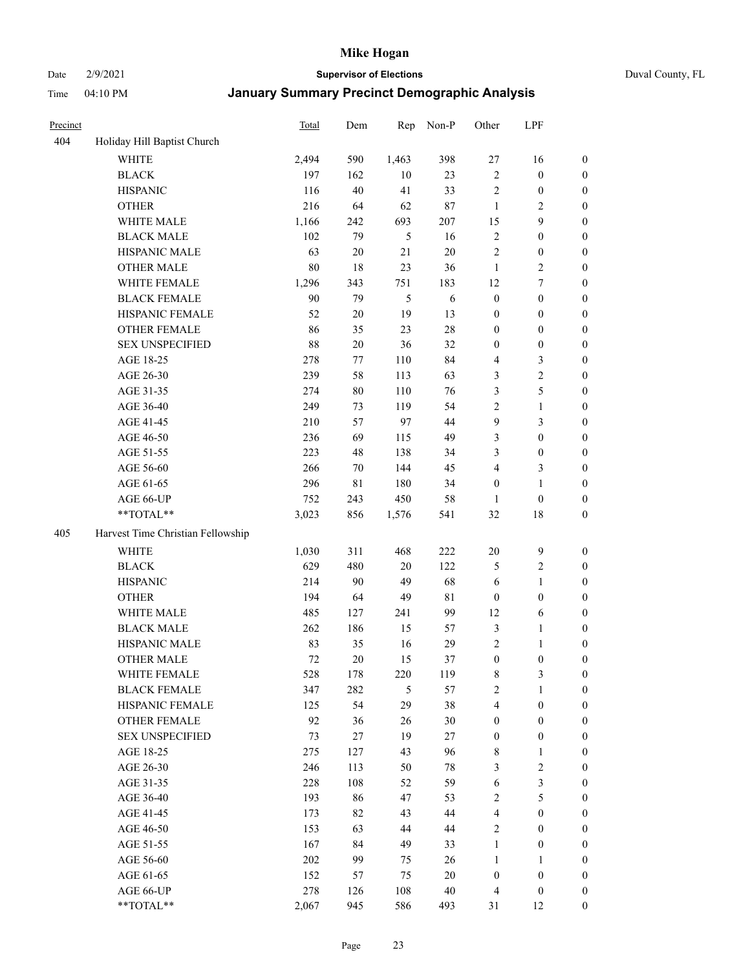#### Date 2/9/2021 **Supervisor of Elections** Duval County, FL

| Precinct |                                   | Total  | Dem    | Rep   | Non-P      | Other            | LPF              |                  |
|----------|-----------------------------------|--------|--------|-------|------------|------------------|------------------|------------------|
| 404      | Holiday Hill Baptist Church       |        |        |       |            |                  |                  |                  |
|          | <b>WHITE</b>                      | 2,494  | 590    | 1,463 | 398        | 27               | 16               | 0                |
|          | <b>BLACK</b>                      | 197    | 162    | 10    | 23         | $\sqrt{2}$       | $\boldsymbol{0}$ | 0                |
|          | <b>HISPANIC</b>                   | 116    | 40     | 41    | 33         | $\sqrt{2}$       | $\boldsymbol{0}$ | $\boldsymbol{0}$ |
|          | <b>OTHER</b>                      | 216    | 64     | 62    | $87\,$     | 1                | $\mathbf{2}$     | $\boldsymbol{0}$ |
|          | WHITE MALE                        | 1,166  | 242    | 693   | 207        | 15               | 9                | $\boldsymbol{0}$ |
|          | <b>BLACK MALE</b>                 | 102    | 79     | 5     | 16         | $\sqrt{2}$       | $\boldsymbol{0}$ | $\boldsymbol{0}$ |
|          | HISPANIC MALE                     | 63     | $20\,$ | 21    | $20\,$     | $\mathfrak{2}$   | $\boldsymbol{0}$ | $\boldsymbol{0}$ |
|          | <b>OTHER MALE</b>                 | $80\,$ | 18     | 23    | 36         | $\mathbf{1}$     | $\overline{2}$   | $\boldsymbol{0}$ |
|          | WHITE FEMALE                      | 1,296  | 343    | 751   | 183        | 12               | $\boldsymbol{7}$ | $\boldsymbol{0}$ |
|          | <b>BLACK FEMALE</b>               | 90     | 79     | 5     | $\sqrt{6}$ | $\boldsymbol{0}$ | $\boldsymbol{0}$ | 0                |
|          | HISPANIC FEMALE                   | 52     | $20\,$ | 19    | 13         | $\boldsymbol{0}$ | $\boldsymbol{0}$ | 0                |
|          | OTHER FEMALE                      | 86     | 35     | 23    | $28\,$     | $\boldsymbol{0}$ | $\boldsymbol{0}$ | $\boldsymbol{0}$ |
|          | <b>SEX UNSPECIFIED</b>            | 88     | $20\,$ | 36    | 32         | $\boldsymbol{0}$ | $\boldsymbol{0}$ | $\boldsymbol{0}$ |
|          | AGE 18-25                         | 278    | 77     | 110   | 84         | 4                | $\mathfrak{Z}$   | $\boldsymbol{0}$ |
|          | AGE 26-30                         | 239    | 58     | 113   | 63         | 3                | $\sqrt{2}$       | $\boldsymbol{0}$ |
|          | AGE 31-35                         | 274    | $80\,$ | 110   | 76         | 3                | $\mathfrak s$    | $\boldsymbol{0}$ |
|          | AGE 36-40                         | 249    | 73     | 119   | 54         | $\sqrt{2}$       | $\mathbf{1}$     | $\boldsymbol{0}$ |
|          | AGE 41-45                         | 210    | 57     | 97    | 44         | 9                | $\mathfrak{Z}$   | $\boldsymbol{0}$ |
|          | AGE 46-50                         | 236    | 69     | 115   | 49         | 3                | $\boldsymbol{0}$ | $\boldsymbol{0}$ |
|          | AGE 51-55                         | 223    | 48     | 138   | 34         | 3                | $\boldsymbol{0}$ | 0                |
|          | AGE 56-60                         | 266    | 70     | 144   | 45         | 4                | $\mathfrak{Z}$   | 0                |
|          | AGE 61-65                         | 296    | 81     | 180   | 34         | $\boldsymbol{0}$ | $\mathbf{1}$     | 0                |
|          | AGE 66-UP                         | 752    | 243    | 450   | 58         | $\mathbf{1}$     | $\boldsymbol{0}$ | $\boldsymbol{0}$ |
|          | **TOTAL**                         | 3,023  | 856    | 1,576 | 541        | 32               | $18\,$           | $\boldsymbol{0}$ |
| 405      | Harvest Time Christian Fellowship |        |        |       |            |                  |                  |                  |
|          | <b>WHITE</b>                      | 1,030  | 311    | 468   | 222        | $20\,$           | $\mathbf{9}$     | $\boldsymbol{0}$ |
|          | <b>BLACK</b>                      | 629    | 480    | 20    | 122        | 5                | $\sqrt{2}$       | $\boldsymbol{0}$ |
|          | <b>HISPANIC</b>                   | 214    | 90     | 49    | 68         | 6                | $\mathbf{1}$     | $\boldsymbol{0}$ |
|          | <b>OTHER</b>                      | 194    | 64     | 49    | 81         | $\boldsymbol{0}$ | $\boldsymbol{0}$ | $\boldsymbol{0}$ |
|          | WHITE MALE                        | 485    | 127    | 241   | 99         | 12               | $\sqrt{6}$       | $\boldsymbol{0}$ |
|          | <b>BLACK MALE</b>                 | 262    | 186    | 15    | 57         | 3                | $\mathbf{1}$     | $\boldsymbol{0}$ |
|          | HISPANIC MALE                     | 83     | 35     | 16    | 29         | $\overline{c}$   | 1                | 0                |
|          | <b>OTHER MALE</b>                 | 72     | 20     | 15    | 37         | $\boldsymbol{0}$ | $\boldsymbol{0}$ | $\boldsymbol{0}$ |
|          | WHITE FEMALE                      | 528    | 178    | 220   | 119        | 8                | 3                | 0                |
|          | <b>BLACK FEMALE</b>               | 347    | 282    | 5     | 57         | 2                | $\mathbf{1}$     | $\boldsymbol{0}$ |
|          | HISPANIC FEMALE                   | 125    | 54     | 29    | 38         | 4                | $\boldsymbol{0}$ | $\overline{0}$   |
|          | OTHER FEMALE                      | 92     | 36     | 26    | 30         | $\boldsymbol{0}$ | $\boldsymbol{0}$ | $\overline{0}$   |
|          | <b>SEX UNSPECIFIED</b>            | 73     | 27     | 19    | 27         | $\boldsymbol{0}$ | $\boldsymbol{0}$ | 0                |
|          | AGE 18-25                         | 275    | 127    | 43    | 96         | $\,$ 8 $\,$      | $\mathbf{1}$     | 0                |
|          | AGE 26-30                         | 246    | 113    | 50    | 78         | 3                | $\sqrt{2}$       | 0                |
|          | AGE 31-35                         | 228    | 108    | 52    | 59         | 6                | $\mathfrak{Z}$   | 0                |
|          | AGE 36-40                         | 193    | 86     | 47    | 53         | $\sqrt{2}$       | $\mathfrak{S}$   | 0                |
|          | AGE 41-45                         | 173    | 82     | 43    | 44         | $\overline{4}$   | $\boldsymbol{0}$ | 0                |
|          | AGE 46-50                         | 153    | 63     | 44    | 44         | 2                | $\boldsymbol{0}$ | 0                |
|          | AGE 51-55                         | 167    | 84     | 49    | 33         | $\mathbf{1}$     | $\boldsymbol{0}$ | 0                |
|          | AGE 56-60                         | 202    | 99     | 75    | 26         | 1                | 1                | $\overline{0}$   |
|          | AGE 61-65                         | 152    | 57     | 75    | $20\,$     | $\boldsymbol{0}$ | $\boldsymbol{0}$ | $\overline{0}$   |
|          | AGE 66-UP                         | 278    | 126    | 108   | $40\,$     | $\overline{4}$   | $\boldsymbol{0}$ | 0                |
|          | **TOTAL**                         | 2,067  | 945    | 586   | 493        | 31               | 12               | $\boldsymbol{0}$ |
|          |                                   |        |        |       |            |                  |                  |                  |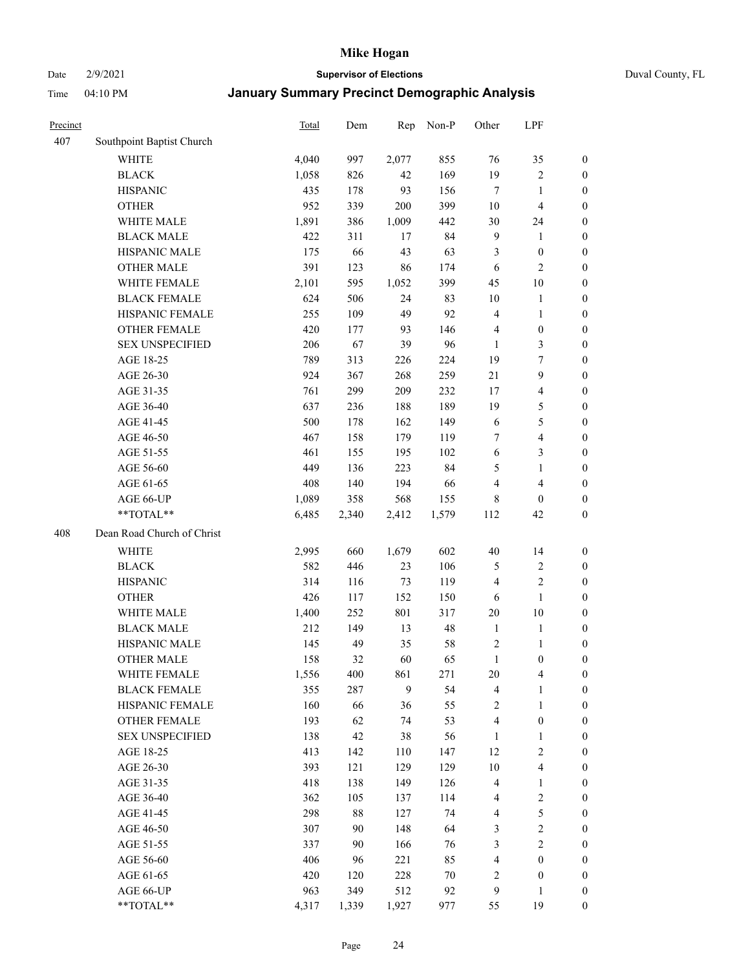Date 2/9/2021 **Supervisor of Elections** Duval County, FL

| Precinct |                            | Total | Dem   | Rep   | Non-P | Other                   | LPF                     |                  |
|----------|----------------------------|-------|-------|-------|-------|-------------------------|-------------------------|------------------|
| 407      | Southpoint Baptist Church  |       |       |       |       |                         |                         |                  |
|          | <b>WHITE</b>               | 4,040 | 997   | 2,077 | 855   | 76                      | 35                      | 0                |
|          | <b>BLACK</b>               | 1,058 | 826   | 42    | 169   | 19                      | $\sqrt{2}$              | 0                |
|          | <b>HISPANIC</b>            | 435   | 178   | 93    | 156   | $\tau$                  | $\mathbf{1}$            | $\boldsymbol{0}$ |
|          | <b>OTHER</b>               | 952   | 339   | 200   | 399   | 10                      | $\overline{\mathbf{4}}$ | $\boldsymbol{0}$ |
|          | WHITE MALE                 | 1,891 | 386   | 1,009 | 442   | 30                      | 24                      | $\boldsymbol{0}$ |
|          | <b>BLACK MALE</b>          | 422   | 311   | 17    | 84    | $\overline{9}$          | $\mathbf{1}$            | $\boldsymbol{0}$ |
|          | HISPANIC MALE              | 175   | 66    | 43    | 63    | 3                       | $\boldsymbol{0}$        | $\boldsymbol{0}$ |
|          | <b>OTHER MALE</b>          | 391   | 123   | 86    | 174   | 6                       | $\mathbf{2}$            | $\boldsymbol{0}$ |
|          | WHITE FEMALE               | 2,101 | 595   | 1,052 | 399   | 45                      | $10\,$                  | $\boldsymbol{0}$ |
|          | <b>BLACK FEMALE</b>        | 624   | 506   | 24    | 83    | $10\,$                  | $\mathbf{1}$            | 0                |
|          | HISPANIC FEMALE            | 255   | 109   | 49    | 92    | $\overline{4}$          | $\mathbf{1}$            | 0                |
|          | OTHER FEMALE               | 420   | 177   | 93    | 146   | 4                       | $\boldsymbol{0}$        | $\boldsymbol{0}$ |
|          | <b>SEX UNSPECIFIED</b>     | 206   | 67    | 39    | 96    | $\mathbf{1}$            | $\mathfrak{Z}$          | $\boldsymbol{0}$ |
|          | AGE 18-25                  | 789   | 313   | 226   | 224   | 19                      | $\boldsymbol{7}$        | $\boldsymbol{0}$ |
|          | AGE 26-30                  | 924   | 367   | 268   | 259   | $21\,$                  | $\boldsymbol{9}$        | $\boldsymbol{0}$ |
|          | AGE 31-35                  | 761   | 299   | 209   | 232   | 17                      | $\overline{\mathbf{4}}$ | $\boldsymbol{0}$ |
|          | AGE 36-40                  | 637   | 236   | 188   | 189   | 19                      | $\mathfrak{S}$          | $\boldsymbol{0}$ |
|          | AGE 41-45                  | 500   | 178   | 162   | 149   | 6                       | $\mathfrak{S}$          | $\boldsymbol{0}$ |
|          | AGE 46-50                  | 467   | 158   | 179   | 119   | 7                       | $\overline{\mathbf{4}}$ | $\boldsymbol{0}$ |
|          | AGE 51-55                  | 461   | 155   | 195   | 102   | 6                       | $\mathfrak{Z}$          | $\boldsymbol{0}$ |
|          | AGE 56-60                  | 449   | 136   | 223   | 84    | 5                       | $\mathbf{1}$            | 0                |
|          | AGE 61-65                  | 408   | 140   | 194   | 66    | 4                       | $\overline{4}$          | 0                |
|          | AGE 66-UP                  | 1,089 | 358   | 568   | 155   | 8                       | $\boldsymbol{0}$        | $\boldsymbol{0}$ |
|          | **TOTAL**                  | 6,485 | 2,340 | 2,412 | 1,579 | 112                     | 42                      | $\boldsymbol{0}$ |
| 408      | Dean Road Church of Christ |       |       |       |       |                         |                         |                  |
|          | <b>WHITE</b>               | 2,995 | 660   | 1,679 | 602   | $40\,$                  | 14                      | $\boldsymbol{0}$ |
|          | <b>BLACK</b>               | 582   | 446   | 23    | 106   | 5                       | $\sqrt{2}$              | $\boldsymbol{0}$ |
|          | <b>HISPANIC</b>            | 314   | 116   | 73    | 119   | 4                       | $\mathbf{2}$            | $\boldsymbol{0}$ |
|          | <b>OTHER</b>               | 426   | 117   | 152   | 150   | 6                       | $\mathbf{1}$            | $\boldsymbol{0}$ |
|          | WHITE MALE                 | 1,400 | 252   | 801   | 317   | $20\,$                  | $10\,$                  | $\boldsymbol{0}$ |
|          | <b>BLACK MALE</b>          | 212   | 149   | 13    | 48    | $\mathbf{1}$            | $\mathbf{1}$            | $\boldsymbol{0}$ |
|          | HISPANIC MALE              | 145   | 49    | 35    | 58    | 2                       | 1                       | 0                |
|          | <b>OTHER MALE</b>          | 158   | 32    | 60    | 65    | $\mathbf{1}$            | $\boldsymbol{0}$        | $\boldsymbol{0}$ |
|          | WHITE FEMALE               | 1,556 | 400   | 861   | 271   | 20                      | 4                       | 0                |
|          | <b>BLACK FEMALE</b>        | 355   | 287   | 9     | 54    | 4                       | $\mathbf{1}$            | $\boldsymbol{0}$ |
|          | HISPANIC FEMALE            | 160   | 66    | 36    | 55    | $\sqrt{2}$              | $\mathbf{1}$            | $\boldsymbol{0}$ |
|          | OTHER FEMALE               | 193   | 62    | 74    | 53    | 4                       | $\boldsymbol{0}$        | $\overline{0}$   |
|          | <b>SEX UNSPECIFIED</b>     | 138   | 42    | 38    | 56    | $\mathbf{1}$            | $\mathbf{1}$            | 0                |
|          | AGE 18-25                  | 413   | 142   | 110   | 147   | 12                      | $\sqrt{2}$              | 0                |
|          | AGE 26-30                  | 393   | 121   | 129   | 129   | $10\,$                  | $\overline{\mathbf{4}}$ | 0                |
|          | AGE 31-35                  | 418   | 138   | 149   | 126   | 4                       | $\mathbf{1}$            | 0                |
|          | AGE 36-40                  | 362   | 105   | 137   | 114   | 4                       | $\sqrt{2}$              | 0                |
|          | AGE 41-45                  | 298   | 88    | 127   | 74    | $\overline{\mathbf{4}}$ | $\mathfrak{S}$          | 0                |
|          | AGE 46-50                  | 307   | 90    | 148   | 64    | 3                       | $\sqrt{2}$              | 0                |
|          | AGE 51-55                  | 337   | 90    | 166   | 76    | 3                       | $\overline{2}$          | $\overline{0}$   |
|          | AGE 56-60                  | 406   | 96    | 221   | 85    | 4                       | $\boldsymbol{0}$        | $\boldsymbol{0}$ |
|          | AGE 61-65                  | 420   | 120   | 228   | 70    | 2                       | $\boldsymbol{0}$        | $\boldsymbol{0}$ |
|          | AGE 66-UP                  | 963   | 349   | 512   | 92    | 9                       | $\mathbf{1}$            | $\boldsymbol{0}$ |
|          | **TOTAL**                  | 4,317 | 1,339 | 1,927 | 977   | 55                      | 19                      | $\boldsymbol{0}$ |
|          |                            |       |       |       |       |                         |                         |                  |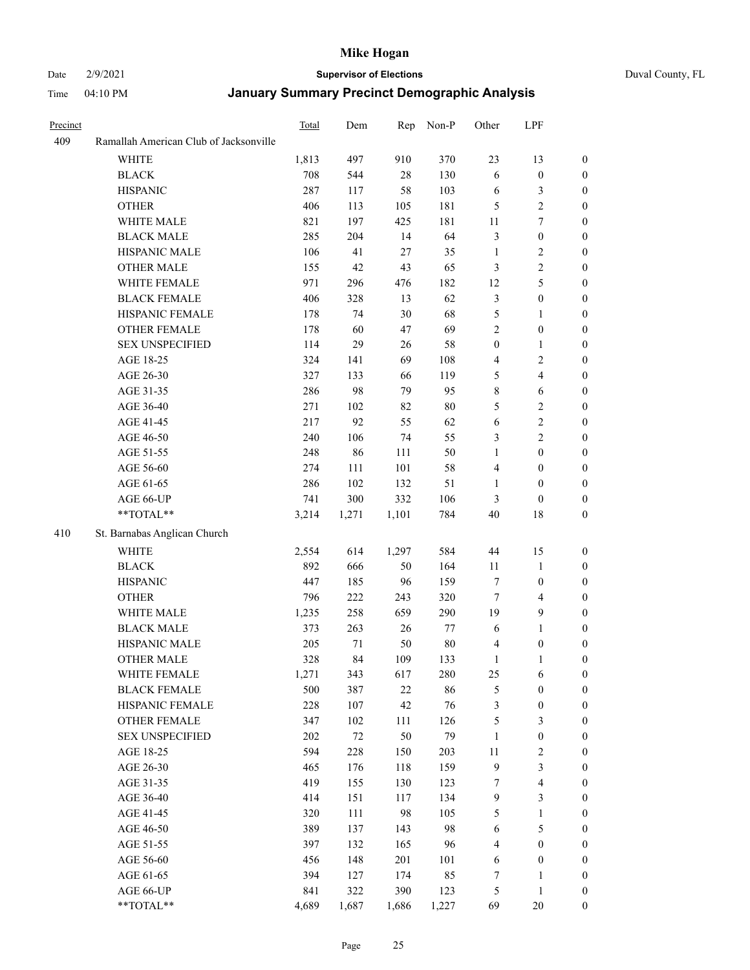#### Date 2/9/2021 **Supervisor of Elections** Duval County, FL

| Precinct |                                        | Total | Dem    | Rep    | Non-P  | Other            | LPF                     |                  |
|----------|----------------------------------------|-------|--------|--------|--------|------------------|-------------------------|------------------|
| 409      | Ramallah American Club of Jacksonville |       |        |        |        |                  |                         |                  |
|          | <b>WHITE</b>                           | 1,813 | 497    | 910    | 370    | 23               | 13                      | $\boldsymbol{0}$ |
|          | <b>BLACK</b>                           | 708   | 544    | $28\,$ | 130    | 6                | $\boldsymbol{0}$        | $\boldsymbol{0}$ |
|          | <b>HISPANIC</b>                        | 287   | 117    | 58     | 103    | 6                | $\mathfrak{Z}$          | $\boldsymbol{0}$ |
|          | <b>OTHER</b>                           | 406   | 113    | 105    | 181    | 5                | $\sqrt{2}$              | $\boldsymbol{0}$ |
|          | WHITE MALE                             | 821   | 197    | 425    | 181    | 11               | $\boldsymbol{7}$        | $\boldsymbol{0}$ |
|          | <b>BLACK MALE</b>                      | 285   | 204    | 14     | 64     | 3                | $\boldsymbol{0}$        | $\boldsymbol{0}$ |
|          | HISPANIC MALE                          | 106   | 41     | $27\,$ | 35     | $\mathbf{1}$     | $\overline{2}$          | $\boldsymbol{0}$ |
|          | <b>OTHER MALE</b>                      | 155   | 42     | 43     | 65     | 3                | $\sqrt{2}$              | 0                |
|          | WHITE FEMALE                           | 971   | 296    | 476    | 182    | 12               | 5                       | 0                |
|          | <b>BLACK FEMALE</b>                    | 406   | 328    | 13     | 62     | 3                | $\boldsymbol{0}$        | 0                |
|          | HISPANIC FEMALE                        | 178   | 74     | 30     | 68     | 5                | $\mathbf{1}$            | $\boldsymbol{0}$ |
|          | OTHER FEMALE                           | 178   | 60     | 47     | 69     | $\overline{2}$   | $\boldsymbol{0}$        | $\boldsymbol{0}$ |
|          | <b>SEX UNSPECIFIED</b>                 | 114   | 29     | 26     | 58     | $\boldsymbol{0}$ | $\mathbf{1}$            | $\boldsymbol{0}$ |
|          | AGE 18-25                              | 324   | 141    | 69     | 108    | 4                | $\sqrt{2}$              | $\boldsymbol{0}$ |
|          | AGE 26-30                              | 327   | 133    | 66     | 119    | 5                | $\overline{\mathbf{4}}$ | $\boldsymbol{0}$ |
|          | AGE 31-35                              | 286   | 98     | 79     | 95     | $\,$ $\,$        | $\sqrt{6}$              | $\boldsymbol{0}$ |
|          | AGE 36-40                              | 271   | 102    | 82     | $80\,$ | 5                | $\sqrt{2}$              | $\boldsymbol{0}$ |
|          | AGE 41-45                              | 217   | 92     | 55     | 62     | 6                | $\sqrt{2}$              | $\boldsymbol{0}$ |
|          | AGE 46-50                              | 240   | 106    | 74     | 55     | 3                | $\sqrt{2}$              | 0                |
|          | AGE 51-55                              | 248   | 86     | 111    | 50     | $\mathbf{1}$     | $\boldsymbol{0}$        | 0                |
|          | AGE 56-60                              | 274   | 111    | 101    | 58     | 4                | $\boldsymbol{0}$        | $\boldsymbol{0}$ |
|          | AGE 61-65                              | 286   | 102    | 132    | 51     | 1                | $\boldsymbol{0}$        | $\boldsymbol{0}$ |
|          | AGE 66-UP                              | 741   | 300    | 332    | 106    | 3                | $\boldsymbol{0}$        | $\boldsymbol{0}$ |
|          | **TOTAL**                              | 3,214 | 1,271  | 1,101  | 784    | 40               | $18\,$                  | $\boldsymbol{0}$ |
| 410      |                                        |       |        |        |        |                  |                         |                  |
|          | St. Barnabas Anglican Church           |       |        |        |        |                  |                         |                  |
|          | <b>WHITE</b>                           | 2,554 | 614    | 1,297  | 584    | 44               | 15                      | $\boldsymbol{0}$ |
|          | <b>BLACK</b>                           | 892   | 666    | 50     | 164    | 11               | $\mathbf{1}$            | $\boldsymbol{0}$ |
|          | <b>HISPANIC</b>                        | 447   | 185    | 96     | 159    | 7                | $\boldsymbol{0}$        | $\boldsymbol{0}$ |
|          | <b>OTHER</b>                           | 796   | 222    | 243    | 320    | $\tau$           | $\overline{4}$          | $\boldsymbol{0}$ |
|          | WHITE MALE                             | 1,235 | 258    | 659    | 290    | 19               | $\mathbf{9}$            | $\boldsymbol{0}$ |
|          | <b>BLACK MALE</b>                      | 373   | 263    | 26     | 77     | 6                | $\mathbf{1}$            | 0                |
|          | HISPANIC MALE                          | 205   | 71     | 50     | $80\,$ | 4                | $\boldsymbol{0}$        | 0                |
|          | <b>OTHER MALE</b>                      | 328   | 84     | 109    | 133    | $\mathbf{1}$     | $\mathbf{1}$            | $\boldsymbol{0}$ |
|          | WHITE FEMALE                           | 1,271 | 343    | 617    | 280    | 25               | 6                       | 0                |
|          | <b>BLACK FEMALE</b>                    | 500   | 387    | $22\,$ | 86     | 5                | $\boldsymbol{0}$        | $\boldsymbol{0}$ |
|          | HISPANIC FEMALE                        | 228   | 107    | 42     | 76     | 3                | $\boldsymbol{0}$        | $\overline{0}$   |
|          | <b>OTHER FEMALE</b>                    | 347   | 102    | 111    | 126    | 5                | $\mathfrak{Z}$          | 0                |
|          | <b>SEX UNSPECIFIED</b>                 | 202   | $72\,$ | 50     | 79     | $\mathbf{1}$     | $\boldsymbol{0}$        | 0                |
|          | AGE 18-25                              | 594   | 228    | 150    | 203    | $11\,$           | $\sqrt{2}$              | 0                |
|          | AGE 26-30                              | 465   | 176    | 118    | 159    | 9                | $\mathfrak{Z}$          | 0                |
|          | AGE 31-35                              | 419   | 155    | 130    | 123    | 7                | $\overline{\mathbf{4}}$ | 0                |
|          | AGE 36-40                              | 414   | 151    | 117    | 134    | 9                | $\mathfrak{Z}$          | 0                |
|          | AGE 41-45                              | 320   | 111    | 98     | 105    | 5                | $\mathbf{1}$            | 0                |
|          | AGE 46-50                              | 389   | 137    | 143    | 98     | 6                | $\mathfrak{S}$          | 0                |
|          | AGE 51-55                              | 397   | 132    | 165    | 96     | 4                | $\boldsymbol{0}$        | $\boldsymbol{0}$ |
|          | AGE 56-60                              | 456   | 148    | 201    | 101    | 6                | $\boldsymbol{0}$        | $\overline{0}$   |
|          | AGE 61-65                              | 394   | 127    | 174    | 85     | 7                | 1                       | 0                |
|          | AGE 66-UP                              | 841   | 322    | 390    | 123    | $\mathfrak{S}$   | $\mathbf{1}$            | 0                |
|          | **TOTAL**                              | 4,689 | 1,687  | 1,686  | 1,227  | 69               | $20\,$                  | $\boldsymbol{0}$ |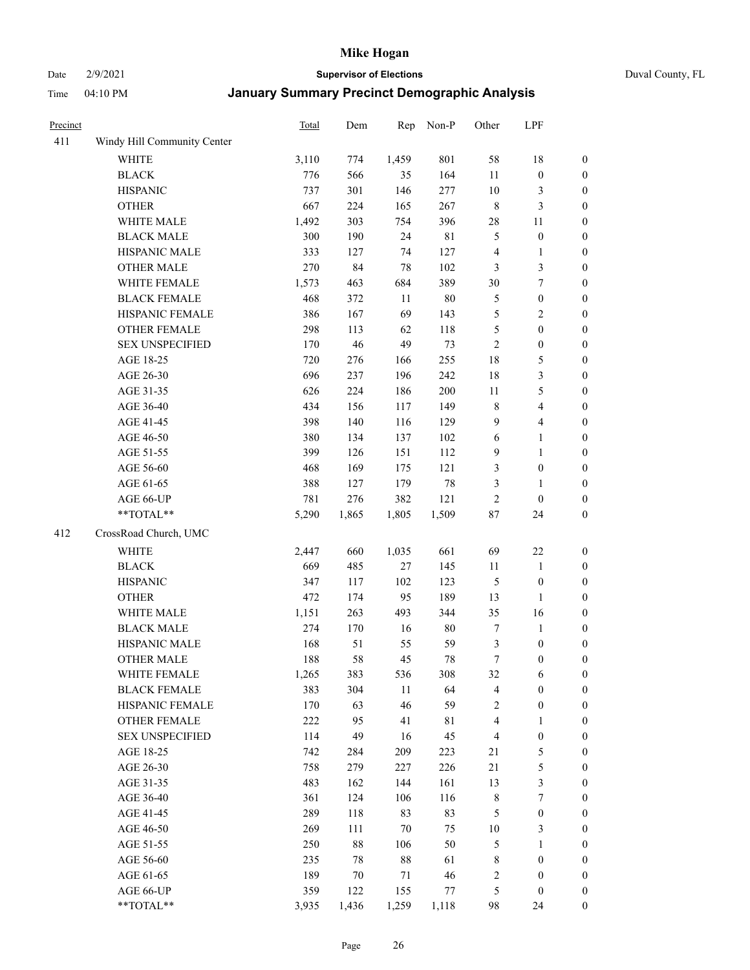### Date 2/9/2021 **Supervisor of Elections** Duval County, FL

| Precinct |                             | <b>Total</b> | Dem    | Rep    | Non-P       | Other            | LPF                     |                  |
|----------|-----------------------------|--------------|--------|--------|-------------|------------------|-------------------------|------------------|
| 411      | Windy Hill Community Center |              |        |        |             |                  |                         |                  |
|          | <b>WHITE</b>                | 3,110        | 774    | 1,459  | 801         | 58               | 18                      | 0                |
|          | <b>BLACK</b>                | 776          | 566    | 35     | 164         | 11               | $\boldsymbol{0}$        | 0                |
|          | <b>HISPANIC</b>             | 737          | 301    | 146    | 277         | $10\,$           | 3                       | $\boldsymbol{0}$ |
|          | <b>OTHER</b>                | 667          | 224    | 165    | 267         | $\,$ 8 $\,$      | $\mathfrak{Z}$          | $\boldsymbol{0}$ |
|          | WHITE MALE                  | 1,492        | 303    | 754    | 396         | $28\,$           | 11                      | $\boldsymbol{0}$ |
|          | <b>BLACK MALE</b>           | 300          | 190    | 24     | 81          | 5                | $\boldsymbol{0}$        | $\boldsymbol{0}$ |
|          | HISPANIC MALE               | 333          | 127    | 74     | 127         | 4                | $\mathbf{1}$            | $\boldsymbol{0}$ |
|          | <b>OTHER MALE</b>           | 270          | 84     | 78     | 102         | 3                | $\mathfrak{Z}$          | $\boldsymbol{0}$ |
|          | WHITE FEMALE                | 1,573        | 463    | 684    | 389         | 30               | $\boldsymbol{7}$        | $\boldsymbol{0}$ |
|          | <b>BLACK FEMALE</b>         | 468          | 372    | $11\,$ | $80\,$      | 5                | $\boldsymbol{0}$        | $\boldsymbol{0}$ |
|          | HISPANIC FEMALE             | 386          | 167    | 69     | 143         | 5                | $\sqrt{2}$              | $\boldsymbol{0}$ |
|          | OTHER FEMALE                | 298          | 113    | 62     | 118         | 5                | $\boldsymbol{0}$        | $\boldsymbol{0}$ |
|          | <b>SEX UNSPECIFIED</b>      | 170          | 46     | 49     | 73          | $\mathfrak{2}$   | $\boldsymbol{0}$        | $\boldsymbol{0}$ |
|          | AGE 18-25                   | 720          | 276    | 166    | 255         | 18               | $\mathfrak{S}$          | $\boldsymbol{0}$ |
|          | AGE 26-30                   | 696          | 237    | 196    | 242         | 18               | $\mathfrak{Z}$          | $\boldsymbol{0}$ |
|          | AGE 31-35                   | 626          | 224    | 186    | 200         | 11               | $\mathfrak s$           | $\boldsymbol{0}$ |
|          | AGE 36-40                   | 434          | 156    | 117    | 149         | $\,$ 8 $\,$      | $\overline{\mathbf{4}}$ | $\boldsymbol{0}$ |
|          | AGE 41-45                   | 398          | 140    | 116    | 129         | 9                | $\overline{4}$          | $\boldsymbol{0}$ |
|          | AGE 46-50                   | 380          | 134    | 137    | 102         | $\sqrt{6}$       | $\mathbf{1}$            | $\boldsymbol{0}$ |
|          | AGE 51-55                   | 399          | 126    | 151    | 112         | $\mathbf{9}$     | $\mathbf{1}$            | $\boldsymbol{0}$ |
|          | AGE 56-60                   | 468          | 169    | 175    | 121         | 3                | $\boldsymbol{0}$        | 0                |
|          | AGE 61-65                   | 388          | 127    | 179    | $78\,$      | 3                | $\mathbf{1}$            | $\boldsymbol{0}$ |
|          | AGE 66-UP                   | 781          | 276    | 382    | 121         | $\sqrt{2}$       | $\boldsymbol{0}$        | $\boldsymbol{0}$ |
|          | **TOTAL**                   | 5,290        | 1,865  | 1,805  | 1,509       | $87\,$           | 24                      | $\boldsymbol{0}$ |
| 412      | CrossRoad Church, UMC       |              |        |        |             |                  |                         |                  |
|          | <b>WHITE</b>                | 2,447        | 660    | 1,035  | 661         | 69               | $22\,$                  | $\boldsymbol{0}$ |
|          | <b>BLACK</b>                | 669          | 485    | 27     | 145         | $11\,$           | $\mathbf{1}$            | $\boldsymbol{0}$ |
|          | <b>HISPANIC</b>             | 347          | 117    | 102    | 123         | 5                | $\boldsymbol{0}$        | $\boldsymbol{0}$ |
|          | <b>OTHER</b>                | 472          | 174    | 95     | 189         | 13               | $\mathbf{1}$            | $\boldsymbol{0}$ |
|          | WHITE MALE                  | 1,151        | 263    | 493    | 344         | 35               | 16                      | $\boldsymbol{0}$ |
|          | <b>BLACK MALE</b>           | 274          | 170    | 16     | $80\,$      | $\boldsymbol{7}$ | $\mathbf{1}$            | $\boldsymbol{0}$ |
|          | HISPANIC MALE               | 168          | 51     | 55     | 59          | 3                | $\boldsymbol{0}$        | 0                |
|          | <b>OTHER MALE</b>           | 188          | 58     | 45     | 78          | $\tau$           | $\boldsymbol{0}$        | $\boldsymbol{0}$ |
|          | WHITE FEMALE                | 1,265        | 383    | 536    | 308         | 32               | 6                       | 0                |
|          | <b>BLACK FEMALE</b>         | 383          | 304    | 11     | 64          | 4                | $\boldsymbol{0}$        | $\boldsymbol{0}$ |
|          | HISPANIC FEMALE             | 170          | 63     | 46     | 59          | 2                | $\boldsymbol{0}$        | $\overline{0}$   |
|          | <b>OTHER FEMALE</b>         | 222          | 95     | 41     | $8\sqrt{1}$ | 4                | $\mathbf{1}$            | $\overline{0}$   |
|          | <b>SEX UNSPECIFIED</b>      | 114          | 49     | 16     | 45          | 4                | $\boldsymbol{0}$        | 0                |
|          | AGE 18-25                   | 742          | 284    | 209    | 223         | $21\,$           | $\mathfrak{S}$          | 0                |
|          | AGE 26-30                   | 758          | 279    | 227    | 226         | 21               | $\mathfrak{S}$          | 0                |
|          | AGE 31-35                   | 483          | 162    | 144    | 161         | 13               | $\mathfrak{Z}$          | 0                |
|          | AGE 36-40                   | 361          | 124    | 106    | 116         | 8                | $\boldsymbol{7}$        | 0                |
|          | AGE 41-45                   | 289          | 118    | 83     | 83          | 5                | $\boldsymbol{0}$        | 0                |
|          | AGE 46-50                   | 269          | 111    | $70\,$ | 75          | $10\,$           | 3                       | 0                |
|          | AGE 51-55                   | 250          | $88\,$ | 106    | 50          | 5                | $\mathbf{1}$            | 0                |
|          | AGE 56-60                   | 235          | 78     | $88\,$ | 61          | 8                | $\boldsymbol{0}$        | $\overline{0}$   |
|          | AGE 61-65                   | 189          | 70     | 71     | 46          | 2                | $\boldsymbol{0}$        | $\overline{0}$   |
|          | AGE 66-UP                   | 359          | 122    | 155    | 77          | 5                | $\boldsymbol{0}$        | 0                |
|          | $**TOTAL**$                 | 3,935        | 1,436  | 1,259  | 1,118       | 98               | 24                      | $\boldsymbol{0}$ |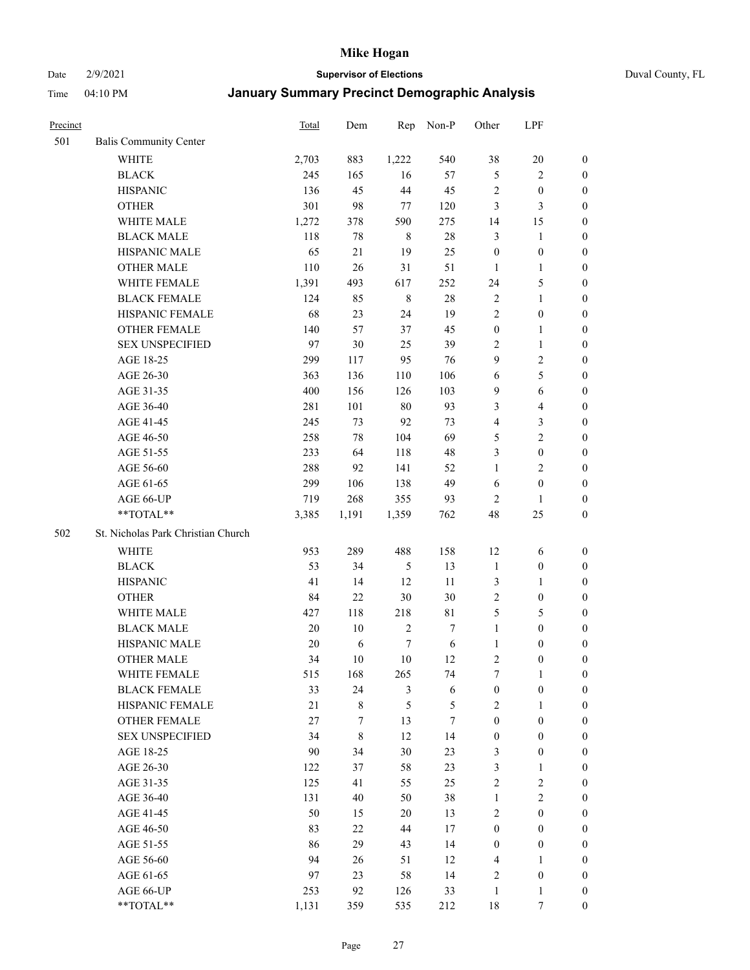Date 2/9/2021 **Supervisor of Elections** Duval County, FL

| Precinct |                                    | Total  | Dem   | Rep         | Non-P  | Other            | LPF                     |                  |
|----------|------------------------------------|--------|-------|-------------|--------|------------------|-------------------------|------------------|
| 501      | <b>Balis Community Center</b>      |        |       |             |        |                  |                         |                  |
|          | <b>WHITE</b>                       | 2,703  | 883   | 1,222       | 540    | 38               | $20\,$                  | 0                |
|          | <b>BLACK</b>                       | 245    | 165   | 16          | 57     | $\mathfrak{S}$   | $\sqrt{2}$              | 0                |
|          | <b>HISPANIC</b>                    | 136    | 45    | 44          | 45     | $\sqrt{2}$       | $\boldsymbol{0}$        | $\boldsymbol{0}$ |
|          | <b>OTHER</b>                       | 301    | 98    | 77          | 120    | 3                | $\mathfrak{Z}$          | $\boldsymbol{0}$ |
|          | WHITE MALE                         | 1,272  | 378   | 590         | 275    | 14               | 15                      | $\boldsymbol{0}$ |
|          | <b>BLACK MALE</b>                  | 118    | 78    | $\,8\,$     | $28\,$ | 3                | $\mathbf{1}$            | $\boldsymbol{0}$ |
|          | HISPANIC MALE                      | 65     | 21    | 19          | 25     | $\boldsymbol{0}$ | $\boldsymbol{0}$        | $\boldsymbol{0}$ |
|          | OTHER MALE                         | 110    | 26    | 31          | 51     | $\mathbf{1}$     | $\mathbf{1}$            | $\boldsymbol{0}$ |
|          | WHITE FEMALE                       | 1,391  | 493   | 617         | 252    | 24               | $\mathfrak{S}$          | $\boldsymbol{0}$ |
|          | <b>BLACK FEMALE</b>                | 124    | 85    | $\,$ 8 $\,$ | $28\,$ | 2                | $\mathbf{1}$            | 0                |
|          | HISPANIC FEMALE                    | 68     | 23    | 24          | 19     | $\mathbf{2}$     | $\boldsymbol{0}$        | 0                |
|          | OTHER FEMALE                       | 140    | 57    | 37          | 45     | $\boldsymbol{0}$ | $\mathbf{1}$            | 0                |
|          | <b>SEX UNSPECIFIED</b>             | 97     | 30    | 25          | 39     | $\mathbf{2}$     | $\mathbf{1}$            | $\boldsymbol{0}$ |
|          | AGE 18-25                          | 299    | 117   | 95          | 76     | 9                | $\sqrt{2}$              | $\boldsymbol{0}$ |
|          | AGE 26-30                          | 363    | 136   | 110         | 106    | 6                | $\mathfrak{S}$          | $\boldsymbol{0}$ |
|          | AGE 31-35                          | 400    | 156   | 126         | 103    | $\overline{9}$   | 6                       | $\boldsymbol{0}$ |
|          | AGE 36-40                          | 281    | 101   | $80\,$      | 93     | 3                | $\overline{\mathbf{4}}$ | $\boldsymbol{0}$ |
|          | AGE 41-45                          | 245    | 73    | 92          | 73     | 4                | $\mathfrak{Z}$          | $\boldsymbol{0}$ |
|          | AGE 46-50                          | 258    | 78    | 104         | 69     | 5                | $\overline{2}$          | $\boldsymbol{0}$ |
|          | AGE 51-55                          | 233    | 64    | 118         | 48     | 3                | $\boldsymbol{0}$        | $\boldsymbol{0}$ |
|          | AGE 56-60                          | 288    | 92    | 141         | 52     | $\mathbf{1}$     | $\overline{2}$          | 0                |
|          | AGE 61-65                          | 299    | 106   | 138         | 49     | $\sqrt{6}$       | $\boldsymbol{0}$        | 0                |
|          | AGE 66-UP                          | 719    | 268   | 355         | 93     | $\overline{2}$   | $\mathbf{1}$            | $\boldsymbol{0}$ |
|          | $**TOTAL**$                        | 3,385  | 1,191 | 1,359       | 762    | 48               | 25                      | $\boldsymbol{0}$ |
| 502      | St. Nicholas Park Christian Church |        |       |             |        |                  |                         |                  |
|          | <b>WHITE</b>                       | 953    | 289   | 488         | 158    | 12               | 6                       | $\boldsymbol{0}$ |
|          | <b>BLACK</b>                       | 53     | 34    | $\sqrt{5}$  | 13     | $\mathbf{1}$     | $\boldsymbol{0}$        | $\boldsymbol{0}$ |
|          | <b>HISPANIC</b>                    | 41     | 14    | 12          | 11     | 3                | $\mathbf{1}$            | $\boldsymbol{0}$ |
|          | <b>OTHER</b>                       | 84     | 22    | $30\,$      | 30     | $\mathfrak{2}$   | $\boldsymbol{0}$        | $\boldsymbol{0}$ |
|          | WHITE MALE                         | 427    | 118   | 218         | 81     | 5                | $\mathfrak{S}$          | $\boldsymbol{0}$ |
|          | <b>BLACK MALE</b>                  | $20\,$ | 10    | $\sqrt{2}$  | $\tau$ | $\mathbf{1}$     | $\boldsymbol{0}$        | $\boldsymbol{0}$ |
|          | HISPANIC MALE                      | 20     | 6     | $\tau$      | 6      | $\mathbf{1}$     | $\boldsymbol{0}$        | 0                |
|          | <b>OTHER MALE</b>                  | 34     | 10    | $10\,$      | 12     | $\overline{c}$   | $\boldsymbol{0}$        | 0                |
|          | WHITE FEMALE                       | 515    | 168   | 265         | 74     | 7                | 1                       | 0                |
|          | <b>BLACK FEMALE</b>                | 33     | 24    | 3           | 6      | $\boldsymbol{0}$ | $\boldsymbol{0}$        | $\boldsymbol{0}$ |
|          | HISPANIC FEMALE                    | 21     | 8     | 5           | 5      | $\mathbf{2}$     | $\mathbf{1}$            | $\overline{0}$   |
|          | <b>OTHER FEMALE</b>                | 27     | 7     | 13          | 7      | $\boldsymbol{0}$ | $\boldsymbol{0}$        | $\overline{0}$   |
|          | <b>SEX UNSPECIFIED</b>             | 34     | 8     | 12          | 14     | $\boldsymbol{0}$ | $\boldsymbol{0}$        | 0                |
|          | AGE 18-25                          | 90     | 34    | 30          | 23     | 3                | $\boldsymbol{0}$        | $\theta$         |
|          | AGE 26-30                          | 122    | 37    | 58          | 23     | 3                | $\mathbf{1}$            | 0                |
|          | AGE 31-35                          | 125    | 41    | 55          | 25     | $\overline{c}$   | $\sqrt{2}$              | 0                |
|          | AGE 36-40                          | 131    | 40    | 50          | 38     | $\mathbf{1}$     | $\sqrt{2}$              | 0                |
|          | AGE 41-45                          | 50     | 15    | 20          | 13     | $\mathbf{2}$     | $\boldsymbol{0}$        | 0                |
|          | AGE 46-50                          | 83     | 22    | 44          | 17     | $\boldsymbol{0}$ | $\boldsymbol{0}$        | 0                |
|          | AGE 51-55                          | 86     | 29    | 43          | 14     | $\boldsymbol{0}$ | $\boldsymbol{0}$        | $\overline{0}$   |
|          | AGE 56-60                          | 94     | 26    | 51          | 12     | 4                | $\mathbf{1}$            | $\overline{0}$   |
|          | AGE 61-65                          | 97     | 23    | 58          | 14     | $\overline{c}$   | $\boldsymbol{0}$        | $\overline{0}$   |
|          | AGE 66-UP                          | 253    | 92    | 126         | 33     | $\mathbf{1}$     | $\mathbf{1}$            | $\boldsymbol{0}$ |
|          | **TOTAL**                          | 1,131  | 359   | 535         | 212    | $18\,$           | 7                       | $\boldsymbol{0}$ |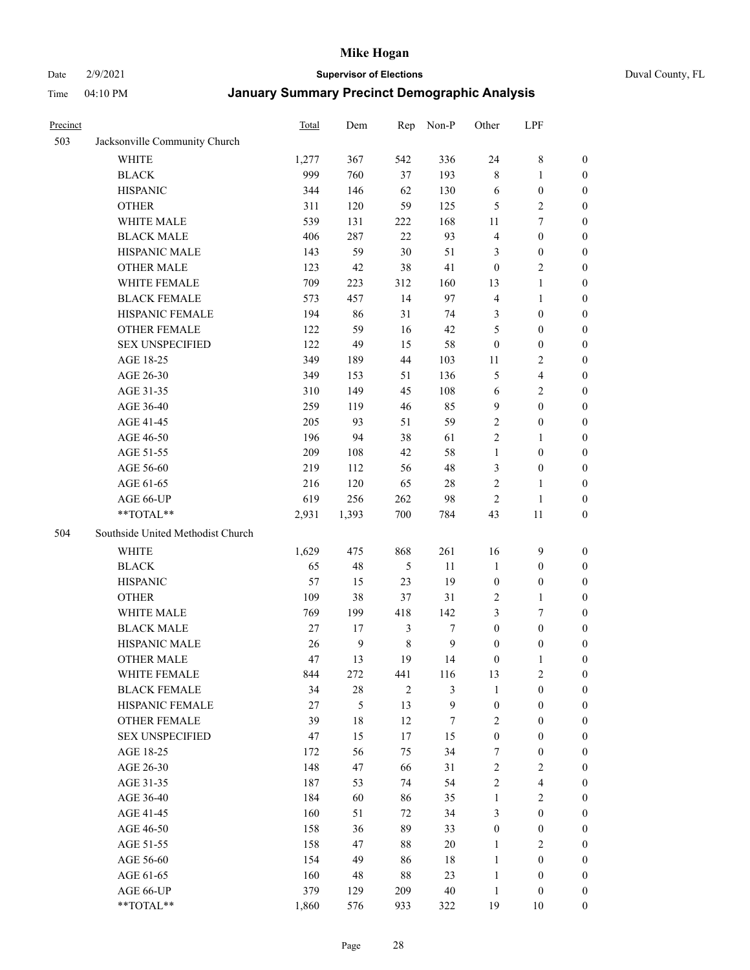#### Date 2/9/2021 **Supervisor of Elections** Duval County, FL

| Precinct |                                   | Total | Dem          | Rep            | Non-P            | Other            | LPF                     |                  |
|----------|-----------------------------------|-------|--------------|----------------|------------------|------------------|-------------------------|------------------|
| 503      | Jacksonville Community Church     |       |              |                |                  |                  |                         |                  |
|          | <b>WHITE</b>                      | 1,277 | 367          | 542            | 336              | 24               | $8\,$                   | 0                |
|          | <b>BLACK</b>                      | 999   | 760          | 37             | 193              | 8                | $\mathbf{1}$            | 0                |
|          | <b>HISPANIC</b>                   | 344   | 146          | 62             | 130              | 6                | $\boldsymbol{0}$        | $\boldsymbol{0}$ |
|          | <b>OTHER</b>                      | 311   | 120          | 59             | 125              | 5                | $\sqrt{2}$              | $\boldsymbol{0}$ |
|          | WHITE MALE                        | 539   | 131          | 222            | 168              | 11               | $\tau$                  | $\boldsymbol{0}$ |
|          | <b>BLACK MALE</b>                 | 406   | 287          | 22             | 93               | 4                | $\boldsymbol{0}$        | $\boldsymbol{0}$ |
|          | HISPANIC MALE                     | 143   | 59           | 30             | 51               | 3                | $\boldsymbol{0}$        | $\boldsymbol{0}$ |
|          | <b>OTHER MALE</b>                 | 123   | 42           | 38             | 41               | $\boldsymbol{0}$ | $\overline{2}$          | $\boldsymbol{0}$ |
|          | WHITE FEMALE                      | 709   | 223          | 312            | 160              | 13               | $\mathbf{1}$            | $\boldsymbol{0}$ |
|          | <b>BLACK FEMALE</b>               | 573   | 457          | 14             | 97               | 4                | $\mathbf{1}$            | 0                |
|          | HISPANIC FEMALE                   | 194   | 86           | 31             | 74               | 3                | $\boldsymbol{0}$        | 0                |
|          | OTHER FEMALE                      | 122   | 59           | 16             | 42               | 5                | $\boldsymbol{0}$        | 0                |
|          | <b>SEX UNSPECIFIED</b>            | 122   | 49           | 15             | 58               | $\boldsymbol{0}$ | $\boldsymbol{0}$        | $\boldsymbol{0}$ |
|          | AGE 18-25                         | 349   | 189          | 44             | 103              | 11               | $\sqrt{2}$              | $\boldsymbol{0}$ |
|          | AGE 26-30                         | 349   | 153          | 51             | 136              | 5                | $\overline{\mathbf{4}}$ | $\boldsymbol{0}$ |
|          | AGE 31-35                         | 310   | 149          | 45             | 108              | 6                | $\sqrt{2}$              | $\boldsymbol{0}$ |
|          | AGE 36-40                         | 259   | 119          | 46             | 85               | 9                | $\boldsymbol{0}$        | $\boldsymbol{0}$ |
|          | AGE 41-45                         | 205   | 93           | 51             | 59               | $\sqrt{2}$       | $\boldsymbol{0}$        | $\boldsymbol{0}$ |
|          | AGE 46-50                         | 196   | 94           | 38             | 61               | $\overline{c}$   | $\mathbf{1}$            | $\boldsymbol{0}$ |
|          | AGE 51-55                         | 209   | 108          | 42             | 58               | $\mathbf{1}$     | $\boldsymbol{0}$        | 0                |
|          | AGE 56-60                         | 219   | 112          | 56             | 48               | 3                | $\boldsymbol{0}$        | 0                |
|          | AGE 61-65                         | 216   | 120          | 65             | $28\,$           | $\mathbf{2}$     | $\mathbf{1}$            | 0                |
|          | AGE 66-UP                         | 619   | 256          | 262            | 98               | $\sqrt{2}$       | $\mathbf{1}$            | $\boldsymbol{0}$ |
|          | **TOTAL**                         | 2,931 | 1,393        | 700            | 784              | 43               | $11\,$                  | $\boldsymbol{0}$ |
| 504      | Southside United Methodist Church |       |              |                |                  |                  |                         |                  |
|          | <b>WHITE</b>                      | 1,629 | 475          | 868            | 261              | 16               | $\mathbf{9}$            | $\boldsymbol{0}$ |
|          | <b>BLACK</b>                      | 65    | 48           | $\mathfrak s$  | 11               | $\mathbf{1}$     | $\boldsymbol{0}$        | $\boldsymbol{0}$ |
|          | <b>HISPANIC</b>                   | 57    | 15           | 23             | 19               | $\boldsymbol{0}$ | $\boldsymbol{0}$        | $\boldsymbol{0}$ |
|          | <b>OTHER</b>                      | 109   | 38           | 37             | 31               | $\sqrt{2}$       | $\mathbf{1}$            | $\boldsymbol{0}$ |
|          | WHITE MALE                        | 769   | 199          | 418            | 142              | 3                | $\tau$                  | $\overline{0}$   |
|          | <b>BLACK MALE</b>                 | 27    | 17           | $\mathfrak{Z}$ | $\boldsymbol{7}$ | $\boldsymbol{0}$ | $\boldsymbol{0}$        | $\overline{0}$   |
|          | HISPANIC MALE                     | 26    | $\mathbf{9}$ | $\,$ 8 $\,$    | $\mathbf{9}$     | $\boldsymbol{0}$ | $\boldsymbol{0}$        | 0                |
|          | <b>OTHER MALE</b>                 | 47    | 13           | 19             | 14               | $\boldsymbol{0}$ | $\mathbf{1}$            | 0                |
|          | WHITE FEMALE                      | 844   | 272          | 441            | 116              | 13               | 2                       | 0                |
|          | <b>BLACK FEMALE</b>               | 34    | $28\,$       | $\mathfrak{2}$ | $\mathfrak{Z}$   | $\mathbf{1}$     | $\boldsymbol{0}$        | $\boldsymbol{0}$ |
|          | HISPANIC FEMALE                   | 27    | 5            | 13             | $\boldsymbol{9}$ | $\boldsymbol{0}$ | $\boldsymbol{0}$        | $\overline{0}$   |
|          | OTHER FEMALE                      | 39    | $18\,$       | 12             | $\tau$           | 2                | $\boldsymbol{0}$        | $\overline{0}$   |
|          | <b>SEX UNSPECIFIED</b>            | 47    | 15           | 17             | 15               | $\boldsymbol{0}$ | $\boldsymbol{0}$        | 0                |
|          | AGE 18-25                         | 172   | 56           | 75             | 34               | 7                | $\boldsymbol{0}$        | $\theta$         |
|          | AGE 26-30                         | 148   | 47           | 66             | 31               | $\overline{c}$   | $\overline{2}$          | 0                |
|          | AGE 31-35                         | 187   | 53           | 74             | 54               | $\overline{c}$   | $\overline{\mathbf{4}}$ | 0                |
|          | AGE 36-40                         | 184   | 60           | 86             | 35               | $\mathbf{1}$     | $\sqrt{2}$              | 0                |
|          | AGE 41-45                         | 160   | 51           | 72             | 34               | 3                | $\boldsymbol{0}$        | 0                |
|          | AGE 46-50                         | 158   | 36           | 89             | 33               | $\boldsymbol{0}$ | $\boldsymbol{0}$        | 0                |
|          | AGE 51-55                         | 158   | 47           | 88             | $20\,$           | $\mathbf{1}$     | $\overline{2}$          | 0                |
|          | AGE 56-60                         | 154   | 49           | 86             | $18\,$           | $\mathbf{1}$     | $\boldsymbol{0}$        | $\overline{0}$   |
|          | AGE 61-65                         | 160   | 48           | 88             | 23               | $\mathbf{1}$     | $\boldsymbol{0}$        | $\overline{0}$   |
|          | AGE 66-UP                         | 379   | 129          | 209            | $40\,$           | $\mathbf{1}$     | $\boldsymbol{0}$        | 0                |
|          | **TOTAL**                         | 1,860 | 576          | 933            | 322              | 19               | 10                      | $\boldsymbol{0}$ |
|          |                                   |       |              |                |                  |                  |                         |                  |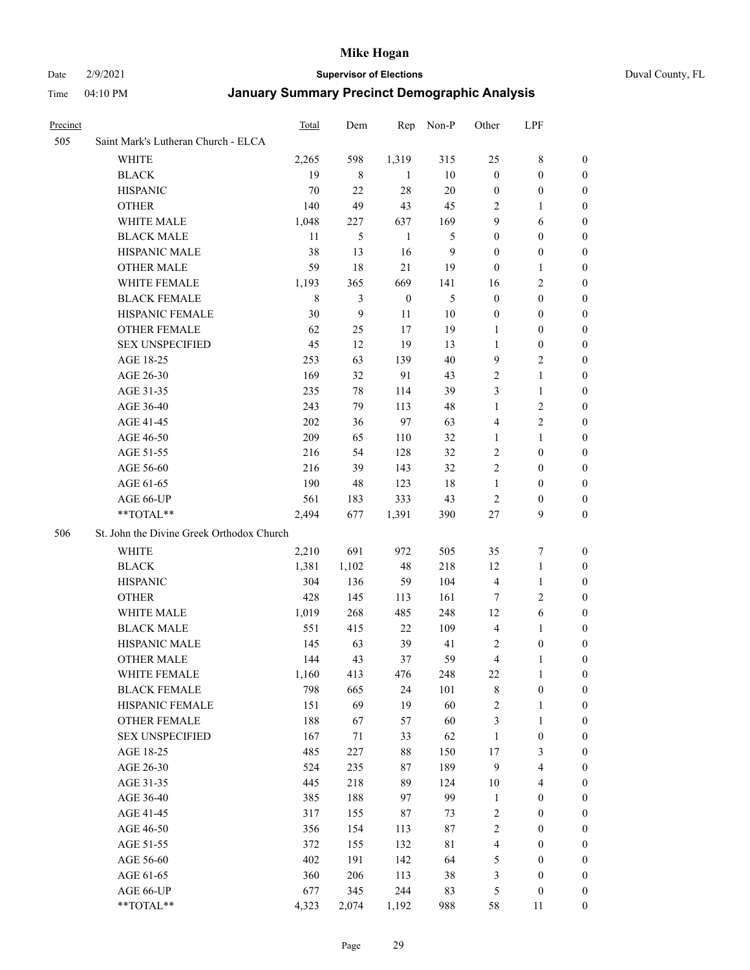Date 2/9/2021 **Supervisor of Elections** Duval County, FL

| Precinct |                                           | Total       | Dem              | Rep              | Non-P       | Other            | LPF                     |                  |
|----------|-------------------------------------------|-------------|------------------|------------------|-------------|------------------|-------------------------|------------------|
| 505      | Saint Mark's Lutheran Church - ELCA       |             |                  |                  |             |                  |                         |                  |
|          | <b>WHITE</b>                              | 2,265       | 598              | 1,319            | 315         | 25               | $8\,$                   | 0                |
|          | <b>BLACK</b>                              | 19          | 8                | -1               | 10          | $\boldsymbol{0}$ | $\boldsymbol{0}$        | 0                |
|          | <b>HISPANIC</b>                           | 70          | 22               | 28               | $20\,$      | $\boldsymbol{0}$ | $\boldsymbol{0}$        | 0                |
|          | <b>OTHER</b>                              | 140         | 49               | 43               | 45          | 2                | $\mathbf{1}$            | 0                |
|          | WHITE MALE                                | 1,048       | 227              | 637              | 169         | 9                | 6                       | $\boldsymbol{0}$ |
|          | <b>BLACK MALE</b>                         | 11          | 5                | $\mathbf{1}$     | 5           | $\boldsymbol{0}$ | $\boldsymbol{0}$        | 0                |
|          | HISPANIC MALE                             | 38          | 13               | 16               | 9           | $\boldsymbol{0}$ | $\boldsymbol{0}$        | 0                |
|          | <b>OTHER MALE</b>                         | 59          | 18               | 21               | 19          | $\boldsymbol{0}$ | $\mathbf{1}$            | 0                |
|          | WHITE FEMALE                              | 1,193       | 365              | 669              | 141         | 16               | $\mathbf{2}$            | 0                |
|          | <b>BLACK FEMALE</b>                       | $\,$ 8 $\,$ | 3                | $\boldsymbol{0}$ | 5           | $\boldsymbol{0}$ | $\boldsymbol{0}$        | 0                |
|          | HISPANIC FEMALE                           | 30          | $\boldsymbol{9}$ | 11               | $10\,$      | $\boldsymbol{0}$ | $\boldsymbol{0}$        | 0                |
|          | OTHER FEMALE                              | 62          | 25               | 17               | 19          | 1                | $\boldsymbol{0}$        | 0                |
|          | <b>SEX UNSPECIFIED</b>                    | 45          | 12               | 19               | 13          | $\mathbf{1}$     | $\boldsymbol{0}$        | 0                |
|          | AGE 18-25                                 | 253         | 63               | 139              | 40          | 9                | $\sqrt{2}$              | 0                |
|          | AGE 26-30                                 | 169         | 32               | 91               | 43          | $\overline{c}$   | $\mathbf{1}$            | $\boldsymbol{0}$ |
|          | AGE 31-35                                 | 235         | 78               | 114              | 39          | 3                | $\mathbf{1}$            | $\boldsymbol{0}$ |
|          | AGE 36-40                                 | 243         | 79               | 113              | 48          | 1                | $\sqrt{2}$              | $\overline{0}$   |
|          | AGE 41-45                                 | 202         | 36               | 97               | 63          | 4                | $\overline{2}$          | $\boldsymbol{0}$ |
|          | AGE 46-50                                 | 209         | 65               | 110              | 32          | 1                | $\mathbf{1}$            | $\boldsymbol{0}$ |
|          | AGE 51-55                                 | 216         | 54               | 128              | 32          | $\overline{c}$   | $\boldsymbol{0}$        | 0                |
|          | AGE 56-60                                 | 216         | 39               | 143              | 32          | $\mathbf{2}$     | $\boldsymbol{0}$        | 0                |
|          | AGE 61-65                                 | 190         | 48               | 123              | 18          | $\mathbf{1}$     | $\boldsymbol{0}$        | 0                |
|          | AGE 66-UP                                 | 561         | 183              | 333              | 43          | $\overline{2}$   | $\boldsymbol{0}$        | 0                |
|          | **TOTAL**                                 | 2,494       | 677              | 1,391            | 390         | 27               | 9                       | $\boldsymbol{0}$ |
| 506      | St. John the Divine Greek Orthodox Church |             |                  |                  |             |                  |                         |                  |
|          | <b>WHITE</b>                              | 2,210       | 691              | 972              | 505         | 35               | $\boldsymbol{7}$        | $\boldsymbol{0}$ |
|          | <b>BLACK</b>                              | 1,381       | 1,102            | 48               | 218         | 12               | $\mathbf{1}$            | $\boldsymbol{0}$ |
|          | <b>HISPANIC</b>                           | 304         | 136              | 59               | 104         | $\overline{4}$   | $\mathbf{1}$            | $\boldsymbol{0}$ |
|          | <b>OTHER</b>                              | 428         | 145              | 113              | 161         | 7                | $\mathbf{2}$            | $\boldsymbol{0}$ |
|          | WHITE MALE                                | 1,019       | 268              | 485              | 248         | 12               | $\sqrt{6}$              | 0                |
|          | <b>BLACK MALE</b>                         | 551         | 415              | 22               | 109         | $\overline{4}$   | $\mathbf{1}$            | 0                |
|          | HISPANIC MALE                             | 145         | 63               | 39               | 41          | 2                | $\boldsymbol{0}$        | 0                |
|          | <b>OTHER MALE</b>                         | 144         | 43               | 37               | 59          | 4                | 1                       | 0                |
|          | WHITE FEMALE                              | 1,160       | 413              | 476              | 248         | 22               | 1                       | 0                |
|          | <b>BLACK FEMALE</b>                       | 798         | 665              | 24               | 101         | 8                | $\boldsymbol{0}$        | $\boldsymbol{0}$ |
|          | HISPANIC FEMALE                           | 151         | 69               | 19               | 60          | $\sqrt{2}$       | $\mathbf{1}$            | $\overline{0}$   |
|          | <b>OTHER FEMALE</b>                       | 188         | 67               | 57               | 60          | 3                | $\mathbf{1}$            | $\overline{0}$   |
|          | <b>SEX UNSPECIFIED</b>                    | 167         | 71               | 33               | 62          | $\mathbf{1}$     | $\boldsymbol{0}$        | 0                |
|          | AGE 18-25                                 | 485         | 227              | 88               | 150         | 17               | $\mathfrak{Z}$          | $\theta$         |
|          | AGE 26-30                                 | 524         | 235              | $87\,$           | 189         | $\overline{9}$   | $\overline{\mathbf{4}}$ | 0                |
|          | AGE 31-35                                 | 445         | 218              | 89               | 124         | $10\,$           | $\overline{\mathbf{4}}$ | 0                |
|          | AGE 36-40                                 | 385         | 188              | 97               | 99          | $\mathbf{1}$     | $\boldsymbol{0}$        | 0                |
|          | AGE 41-45                                 | 317         | 155              | 87               | 73          | $\sqrt{2}$       | $\boldsymbol{0}$        | 0                |
|          | AGE 46-50                                 | 356         | 154              | 113              | $87\,$      | $\sqrt{2}$       | $\boldsymbol{0}$        | 0                |
|          | AGE 51-55                                 | 372         | 155              | 132              | $8\sqrt{1}$ | 4                | $\boldsymbol{0}$        | $\overline{0}$   |
|          | AGE 56-60                                 | 402         | 191              | 142              | 64          | 5                | $\boldsymbol{0}$        | $\overline{0}$   |
|          | AGE 61-65                                 | 360         | 206              | 113              | 38          | 3                | $\boldsymbol{0}$        | $\overline{0}$   |
|          | AGE 66-UP                                 | 677         | 345              | 244              | 83          | 5                | $\boldsymbol{0}$        | $\boldsymbol{0}$ |
|          | **TOTAL**                                 | 4,323       | 2,074            | 1,192            | 988         | 58               | 11                      | $\boldsymbol{0}$ |
|          |                                           |             |                  |                  |             |                  |                         |                  |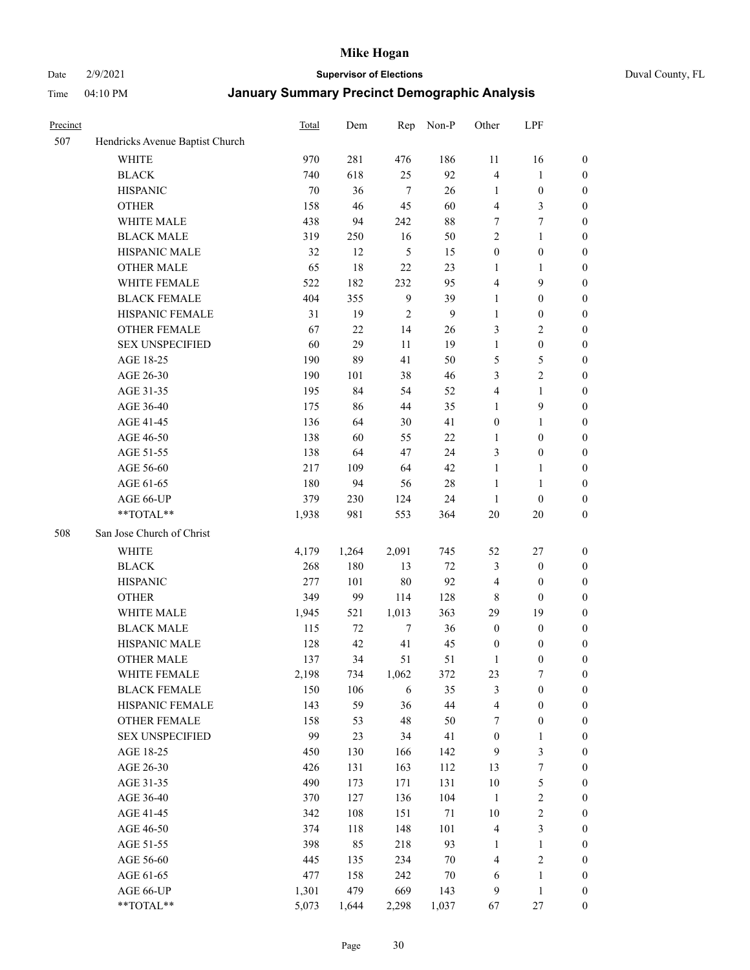Date 2/9/2021 **Supervisor of Elections** Duval County, FL

| Precinct |                                 | Total | Dem   | Rep            | Non-P          | Other            | LPF              |                  |
|----------|---------------------------------|-------|-------|----------------|----------------|------------------|------------------|------------------|
| 507      | Hendricks Avenue Baptist Church |       |       |                |                |                  |                  |                  |
|          | <b>WHITE</b>                    | 970   | 281   | 476            | 186            | 11               | 16               | 0                |
|          | $\operatorname{BLACK}$          | 740   | 618   | 25             | 92             | 4                | $\mathbf{1}$     | 0                |
|          | <b>HISPANIC</b>                 | 70    | 36    | $\tau$         | 26             | $\mathbf{1}$     | $\boldsymbol{0}$ | $\boldsymbol{0}$ |
|          | <b>OTHER</b>                    | 158   | 46    | 45             | 60             | 4                | $\mathfrak{Z}$   | $\boldsymbol{0}$ |
|          | WHITE MALE                      | 438   | 94    | 242            | $88\,$         | 7                | $\tau$           | $\boldsymbol{0}$ |
|          | <b>BLACK MALE</b>               | 319   | 250   | 16             | 50             | $\mathfrak{2}$   | $\mathbf{1}$     | $\boldsymbol{0}$ |
|          | HISPANIC MALE                   | 32    | 12    | $\mathfrak s$  | 15             | $\boldsymbol{0}$ | $\boldsymbol{0}$ | $\boldsymbol{0}$ |
|          | <b>OTHER MALE</b>               | 65    | 18    | 22             | 23             | $\mathbf{1}$     | $\mathbf{1}$     | $\boldsymbol{0}$ |
|          | WHITE FEMALE                    | 522   | 182   | 232            | 95             | 4                | $\mathbf{9}$     | $\boldsymbol{0}$ |
|          | <b>BLACK FEMALE</b>             | 404   | 355   | $\overline{9}$ | 39             | $\mathbf{1}$     | $\boldsymbol{0}$ | $\boldsymbol{0}$ |
|          | HISPANIC FEMALE                 | 31    | 19    | $\mathfrak{2}$ | $\overline{9}$ | $\mathbf{1}$     | $\boldsymbol{0}$ | 0                |
|          | <b>OTHER FEMALE</b>             | 67    | 22    | 14             | 26             | 3                | $\sqrt{2}$       | $\boldsymbol{0}$ |
|          | <b>SEX UNSPECIFIED</b>          | 60    | 29    | 11             | 19             | $\mathbf{1}$     | $\boldsymbol{0}$ | $\boldsymbol{0}$ |
|          | AGE 18-25                       | 190   | 89    | 41             | 50             | 5                | $\mathfrak{S}$   | $\boldsymbol{0}$ |
|          | AGE 26-30                       | 190   | 101   | 38             | 46             | 3                | $\sqrt{2}$       | $\boldsymbol{0}$ |
|          | AGE 31-35                       | 195   | 84    | 54             | 52             | 4                | $\mathbf{1}$     | $\boldsymbol{0}$ |
|          | AGE 36-40                       | 175   | 86    | 44             | 35             | $\mathbf{1}$     | $\mathbf{9}$     | $\boldsymbol{0}$ |
|          | AGE 41-45                       | 136   | 64    | 30             | 41             | $\boldsymbol{0}$ | $\mathbf{1}$     | $\boldsymbol{0}$ |
|          | AGE 46-50                       | 138   | 60    | 55             | 22             | $\mathbf{1}$     | $\boldsymbol{0}$ | $\boldsymbol{0}$ |
|          | AGE 51-55                       | 138   | 64    | 47             | 24             | 3                | $\boldsymbol{0}$ | 0                |
|          | AGE 56-60                       | 217   | 109   | 64             | 42             | $\mathbf{1}$     | $\mathbf{1}$     | 0                |
|          | AGE 61-65                       | 180   | 94    | 56             | $28\,$         | $\mathbf{1}$     | $\mathbf{1}$     | 0                |
|          | AGE 66-UP                       | 379   | 230   | 124            | 24             | $\mathbf{1}$     | $\boldsymbol{0}$ | $\boldsymbol{0}$ |
|          | $**TOTAL**$                     | 1,938 | 981   | 553            | 364            | 20               | $20\,$           | $\boldsymbol{0}$ |
| 508      | San Jose Church of Christ       |       |       |                |                |                  |                  |                  |
|          | <b>WHITE</b>                    | 4,179 | 1,264 | 2,091          | 745            | 52               | $27\,$           | $\boldsymbol{0}$ |
|          | <b>BLACK</b>                    | 268   | 180   | 13             | $72\,$         | 3                | $\boldsymbol{0}$ | $\boldsymbol{0}$ |
|          | <b>HISPANIC</b>                 | 277   | 101   | 80             | 92             | 4                | $\boldsymbol{0}$ | $\boldsymbol{0}$ |
|          | <b>OTHER</b>                    | 349   | 99    | 114            | 128            | $\,$ 8 $\,$      | $\boldsymbol{0}$ | $\boldsymbol{0}$ |
|          | WHITE MALE                      | 1,945 | 521   | 1,013          | 363            | 29               | 19               | $\boldsymbol{0}$ |
|          | <b>BLACK MALE</b>               | 115   | 72    | $\tau$         | 36             | $\boldsymbol{0}$ | $\boldsymbol{0}$ | $\boldsymbol{0}$ |
|          | HISPANIC MALE                   | 128   | 42    | 41             | 45             | $\boldsymbol{0}$ | $\boldsymbol{0}$ | 0                |
|          | <b>OTHER MALE</b>               | 137   | 34    | 51             | 51             | $\mathbf{1}$     | $\boldsymbol{0}$ | $\boldsymbol{0}$ |
|          | WHITE FEMALE                    | 2,198 | 734   | 1,062          | 372            | 23               | 7                | 0                |
|          | <b>BLACK FEMALE</b>             | 150   | 106   | 6              | 35             | 3                | $\boldsymbol{0}$ | $\boldsymbol{0}$ |
|          | HISPANIC FEMALE                 | 143   | 59    | 36             | 44             | 4                | $\boldsymbol{0}$ | $\boldsymbol{0}$ |
|          | OTHER FEMALE                    | 158   | 53    | 48             | 50             | 7                | $\boldsymbol{0}$ | $\overline{0}$   |
|          | <b>SEX UNSPECIFIED</b>          | 99    | 23    | 34             | 41             | $\boldsymbol{0}$ | $\mathbf{1}$     | 0                |
|          | AGE 18-25                       | 450   | 130   | 166            | 142            | 9                | $\mathfrak{Z}$   | 0                |
|          | AGE 26-30                       | 426   | 131   | 163            | 112            | 13               | $\boldsymbol{7}$ | 0                |
|          | AGE 31-35                       | 490   | 173   | 171            | 131            | $10\,$           | $\mathfrak s$    | 0                |
|          | AGE 36-40                       | 370   | 127   | 136            | 104            | $\mathbf{1}$     | $\sqrt{2}$       | 0                |
|          | AGE 41-45                       | 342   | 108   | 151            | 71             | 10               | $\sqrt{2}$       | 0                |
|          | AGE 46-50                       | 374   | 118   | 148            | 101            | 4                | $\mathfrak{Z}$   | 0                |
|          | AGE 51-55                       | 398   | 85    | 218            | 93             | 1                | $\mathbf{1}$     | 0                |
|          | AGE 56-60                       | 445   | 135   | 234            | $70\,$         | 4                | $\sqrt{2}$       | $\boldsymbol{0}$ |
|          | AGE 61-65                       | 477   | 158   | 242            | $70\,$         | 6                | $\mathbf{1}$     | $\boldsymbol{0}$ |
|          | AGE 66-UP                       | 1,301 | 479   | 669            | 143            | 9                | $\mathbf{1}$     | 0                |
|          | **TOTAL**                       | 5,073 | 1,644 | 2,298          | 1,037          | 67               | $27\,$           | $\boldsymbol{0}$ |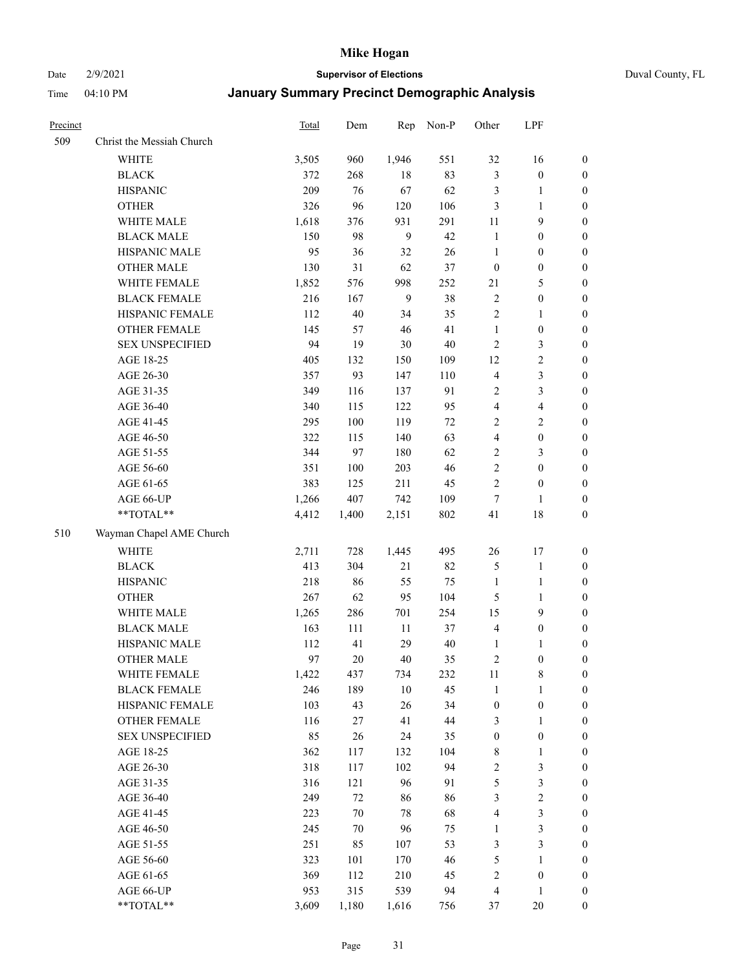Date 2/9/2021 **Supervisor of Elections** Duval County, FL

| Precinct |                           | Total | Dem    | Rep    | Non-P  | Other                   | LPF              |                  |
|----------|---------------------------|-------|--------|--------|--------|-------------------------|------------------|------------------|
| 509      | Christ the Messiah Church |       |        |        |        |                         |                  |                  |
|          | WHITE                     | 3,505 | 960    | 1,946  | 551    | 32                      | 16               | 0                |
|          | <b>BLACK</b>              | 372   | 268    | 18     | 83     | 3                       | $\boldsymbol{0}$ | 0                |
|          | <b>HISPANIC</b>           | 209   | 76     | 67     | 62     | 3                       | $\mathbf{1}$     | $\boldsymbol{0}$ |
|          | <b>OTHER</b>              | 326   | 96     | 120    | 106    | 3                       | $\mathbf{1}$     | $\boldsymbol{0}$ |
|          | WHITE MALE                | 1,618 | 376    | 931    | 291    | 11                      | 9                | $\boldsymbol{0}$ |
|          | <b>BLACK MALE</b>         | 150   | 98     | 9      | 42     | $\mathbf{1}$            | $\boldsymbol{0}$ | $\boldsymbol{0}$ |
|          | HISPANIC MALE             | 95    | 36     | 32     | 26     | $\mathbf{1}$            | $\boldsymbol{0}$ | $\boldsymbol{0}$ |
|          | <b>OTHER MALE</b>         | 130   | 31     | 62     | 37     | $\boldsymbol{0}$        | $\boldsymbol{0}$ | $\boldsymbol{0}$ |
|          | WHITE FEMALE              | 1,852 | 576    | 998    | 252    | 21                      | $\mathfrak{S}$   | $\boldsymbol{0}$ |
|          | <b>BLACK FEMALE</b>       | 216   | 167    | 9      | 38     | $\sqrt{2}$              | $\boldsymbol{0}$ | 0                |
|          | HISPANIC FEMALE           | 112   | 40     | 34     | 35     | $\sqrt{2}$              | $\mathbf{1}$     | 0                |
|          | OTHER FEMALE              | 145   | 57     | 46     | 41     | $\mathbf{1}$            | $\boldsymbol{0}$ | 0                |
|          | <b>SEX UNSPECIFIED</b>    | 94    | 19     | 30     | $40\,$ | $\sqrt{2}$              | 3                | $\boldsymbol{0}$ |
|          | AGE 18-25                 | 405   | 132    | 150    | 109    | 12                      | $\sqrt{2}$       | $\boldsymbol{0}$ |
|          | AGE 26-30                 | 357   | 93     | 147    | 110    | 4                       | $\mathfrak{Z}$   | $\boldsymbol{0}$ |
|          | AGE 31-35                 | 349   | 116    | 137    | 91     | $\sqrt{2}$              | $\mathfrak{Z}$   | $\boldsymbol{0}$ |
|          | AGE 36-40                 | 340   | 115    | 122    | 95     | $\overline{4}$          | $\overline{4}$   | $\boldsymbol{0}$ |
|          | AGE 41-45                 | 295   | 100    | 119    | $72\,$ | $\overline{c}$          | $\overline{2}$   | $\boldsymbol{0}$ |
|          | AGE 46-50                 | 322   | 115    | 140    | 63     | $\overline{4}$          | $\boldsymbol{0}$ | $\boldsymbol{0}$ |
|          | AGE 51-55                 | 344   | 97     | 180    | 62     | $\sqrt{2}$              | $\mathfrak{Z}$   | $\boldsymbol{0}$ |
|          | AGE 56-60                 | 351   | 100    | 203    | 46     | $\sqrt{2}$              | $\boldsymbol{0}$ | 0                |
|          | AGE 61-65                 | 383   | 125    | 211    | 45     | $\overline{2}$          | $\boldsymbol{0}$ | 0                |
|          | AGE 66-UP                 | 1,266 | 407    | 742    | 109    | $\tau$                  | $\mathbf{1}$     | $\boldsymbol{0}$ |
|          | **TOTAL**                 | 4,412 | 1,400  | 2,151  | 802    | 41                      | $18\,$           | $\boldsymbol{0}$ |
| 510      | Wayman Chapel AME Church  |       |        |        |        |                         |                  |                  |
|          | <b>WHITE</b>              | 2,711 | 728    | 1,445  | 495    | 26                      | 17               | $\boldsymbol{0}$ |
|          | <b>BLACK</b>              | 413   | 304    | $21\,$ | 82     | 5                       | $\mathbf{1}$     | $\boldsymbol{0}$ |
|          | <b>HISPANIC</b>           | 218   | 86     | 55     | 75     | $\mathbf{1}$            | $\mathbf{1}$     | $\boldsymbol{0}$ |
|          | <b>OTHER</b>              | 267   | 62     | 95     | 104    | 5                       | $\mathbf{1}$     | $\boldsymbol{0}$ |
|          | WHITE MALE                | 1,265 | 286    | 701    | 254    | 15                      | 9                | $\boldsymbol{0}$ |
|          | <b>BLACK MALE</b>         | 163   | 111    | $11\,$ | 37     | $\overline{4}$          | $\boldsymbol{0}$ | $\boldsymbol{0}$ |
|          | HISPANIC MALE             | 112   | 41     | 29     | 40     | 1                       | $\mathbf{1}$     | 0                |
|          | <b>OTHER MALE</b>         | 97    | 20     | 40     | 35     | $\sqrt{2}$              | $\boldsymbol{0}$ | $\boldsymbol{0}$ |
|          | WHITE FEMALE              | 1,422 | 437    | 734    | 232    | 11                      | 8                | 0                |
|          | <b>BLACK FEMALE</b>       | 246   | 189    | 10     | 45     | $\mathbf{1}$            | $\mathbf{1}$     | $\boldsymbol{0}$ |
|          | HISPANIC FEMALE           | 103   | 43     | 26     | 34     | $\boldsymbol{0}$        | $\boldsymbol{0}$ | $\overline{0}$   |
|          | <b>OTHER FEMALE</b>       | 116   | 27     | 41     | 44     | 3                       | $\mathbf{1}$     | 0                |
|          | <b>SEX UNSPECIFIED</b>    | 85    | 26     | 24     | 35     | $\boldsymbol{0}$        | $\boldsymbol{0}$ | 0                |
|          | AGE 18-25                 | 362   | 117    | 132    | 104    | $\,$ 8 $\,$             | $\mathbf{1}$     | 0                |
|          | AGE 26-30                 | 318   | 117    | 102    | 94     | 2                       | $\mathfrak{Z}$   | 0                |
|          | AGE 31-35                 | 316   | 121    | 96     | 91     | 5                       | $\mathfrak{Z}$   | 0                |
|          | AGE 36-40                 | 249   | 72     | 86     | 86     | 3                       | $\sqrt{2}$       | 0                |
|          | AGE 41-45                 | 223   | 70     | 78     | 68     | 4                       | $\mathfrak{Z}$   | 0                |
|          | AGE 46-50                 | 245   | $70\,$ | 96     | 75     | $\mathbf{1}$            | $\mathfrak{Z}$   | 0                |
|          | AGE 51-55                 | 251   | 85     | 107    | 53     | 3                       | $\mathfrak{Z}$   | 0                |
|          | AGE 56-60                 | 323   | 101    | 170    | 46     | 5                       | 1                | 0                |
|          | AGE 61-65                 | 369   | 112    | 210    | 45     | 2                       | $\boldsymbol{0}$ | 0                |
|          | AGE 66-UP                 | 953   | 315    | 539    | 94     | $\overline{\mathbf{4}}$ | $\mathbf{1}$     | 0                |
|          | **TOTAL**                 | 3,609 | 1,180  | 1,616  | 756    | 37                      | $20\,$           | $\boldsymbol{0}$ |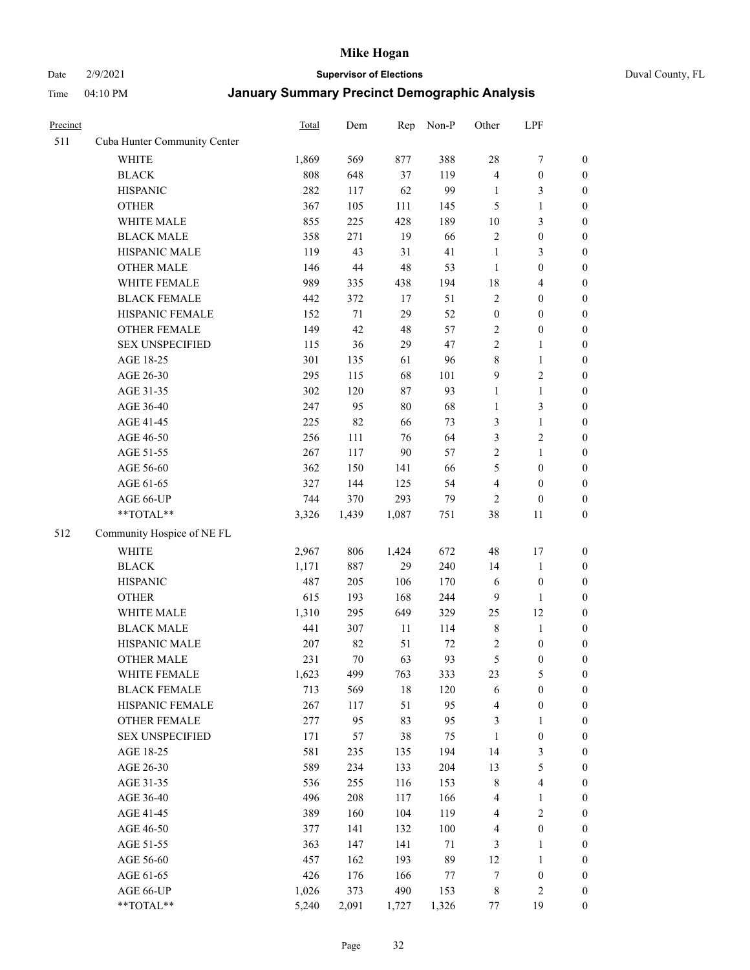# Date 2/9/2021 **Supervisor of Elections** Duval County, FL

| Precinct |                              | Total | Dem    | Rep    | Non-P | Other            | LPF                     |                  |
|----------|------------------------------|-------|--------|--------|-------|------------------|-------------------------|------------------|
| 511      | Cuba Hunter Community Center |       |        |        |       |                  |                         |                  |
|          | <b>WHITE</b>                 | 1,869 | 569    | 877    | 388   | 28               | $\boldsymbol{7}$        | 0                |
|          | <b>BLACK</b>                 | 808   | 648    | 37     | 119   | $\overline{4}$   | $\boldsymbol{0}$        | $\boldsymbol{0}$ |
|          | <b>HISPANIC</b>              | 282   | 117    | 62     | 99    | $\mathbf{1}$     | 3                       | $\boldsymbol{0}$ |
|          | <b>OTHER</b>                 | 367   | 105    | 111    | 145   | 5                | $\mathbf{1}$            | $\boldsymbol{0}$ |
|          | WHITE MALE                   | 855   | 225    | 428    | 189   | 10               | $\mathfrak{Z}$          | $\boldsymbol{0}$ |
|          | <b>BLACK MALE</b>            | 358   | 271    | 19     | 66    | $\overline{c}$   | $\boldsymbol{0}$        | $\boldsymbol{0}$ |
|          | HISPANIC MALE                | 119   | 43     | 31     | 41    | $\mathbf{1}$     | $\mathfrak{Z}$          | $\boldsymbol{0}$ |
|          | <b>OTHER MALE</b>            | 146   | $44\,$ | 48     | 53    | $\mathbf{1}$     | $\boldsymbol{0}$        | $\boldsymbol{0}$ |
|          | WHITE FEMALE                 | 989   | 335    | 438    | 194   | 18               | $\overline{\mathbf{4}}$ | $\boldsymbol{0}$ |
|          | <b>BLACK FEMALE</b>          | 442   | 372    | 17     | 51    | $\sqrt{2}$       | $\boldsymbol{0}$        | $\boldsymbol{0}$ |
|          | HISPANIC FEMALE              | 152   | $71\,$ | 29     | 52    | $\boldsymbol{0}$ | $\boldsymbol{0}$        | 0                |
|          | OTHER FEMALE                 | 149   | 42     | $48\,$ | 57    | $\overline{c}$   | $\boldsymbol{0}$        | $\boldsymbol{0}$ |
|          | <b>SEX UNSPECIFIED</b>       | 115   | 36     | 29     | 47    | $\overline{2}$   | $\mathbf{1}$            | $\boldsymbol{0}$ |
|          | AGE 18-25                    | 301   | 135    | 61     | 96    | 8                | $\mathbf{1}$            | $\boldsymbol{0}$ |
|          | AGE 26-30                    | 295   | 115    | 68     | 101   | 9                | $\sqrt{2}$              | $\boldsymbol{0}$ |
|          | AGE 31-35                    | 302   | 120    | $87\,$ | 93    | $\mathbf{1}$     | $\mathbf{1}$            | $\boldsymbol{0}$ |
|          | AGE 36-40                    | 247   | 95     | $80\,$ | 68    | $\mathbf{1}$     | $\mathfrak{Z}$          | $\boldsymbol{0}$ |
|          | AGE 41-45                    | 225   | 82     | 66     | 73    | 3                | $\mathbf{1}$            | $\boldsymbol{0}$ |
|          | AGE 46-50                    | 256   | 111    | 76     | 64    | $\mathfrak{Z}$   | $\sqrt{2}$              | $\boldsymbol{0}$ |
|          | AGE 51-55                    | 267   | 117    | $90\,$ | 57    | $\sqrt{2}$       | $\mathbf{1}$            | $\boldsymbol{0}$ |
|          | AGE 56-60                    | 362   | 150    | 141    | 66    | 5                | $\boldsymbol{0}$        | 0                |
|          | AGE 61-65                    | 327   | 144    | 125    | 54    | 4                | $\boldsymbol{0}$        | 0                |
|          | AGE 66-UP                    | 744   | 370    | 293    | 79    | $\overline{2}$   | $\boldsymbol{0}$        | $\boldsymbol{0}$ |
|          | $**TOTAL**$                  | 3,326 | 1,439  | 1,087  | 751   | 38               | 11                      | $\boldsymbol{0}$ |
| 512      | Community Hospice of NE FL   |       |        |        |       |                  |                         |                  |
|          | <b>WHITE</b>                 | 2,967 | 806    | 1,424  | 672   | 48               | 17                      | $\boldsymbol{0}$ |
|          | <b>BLACK</b>                 | 1,171 | 887    | 29     | 240   | 14               | $\mathbf{1}$            | $\boldsymbol{0}$ |
|          | <b>HISPANIC</b>              | 487   | 205    | 106    | 170   | 6                | $\boldsymbol{0}$        | $\boldsymbol{0}$ |
|          | <b>OTHER</b>                 | 615   | 193    | 168    | 244   | $\overline{9}$   | $\mathbf{1}$            | $\boldsymbol{0}$ |
|          | WHITE MALE                   | 1,310 | 295    | 649    | 329   | 25               | 12                      | $\boldsymbol{0}$ |
|          | <b>BLACK MALE</b>            | 441   | 307    | $11\,$ | 114   | $\,$ 8 $\,$      | $\mathbf{1}$            | $\boldsymbol{0}$ |
|          | HISPANIC MALE                | 207   | 82     | 51     | 72    | 2                | $\boldsymbol{0}$        | 0                |
|          | <b>OTHER MALE</b>            | 231   | 70     | 63     | 93    | $\mathfrak s$    | $\boldsymbol{0}$        | $\boldsymbol{0}$ |
|          | WHITE FEMALE                 | 1,623 | 499    | 763    | 333   | 23               | 5                       | 0                |
|          | <b>BLACK FEMALE</b>          | 713   | 569    | $18\,$ | 120   | 6                | $\boldsymbol{0}$        | $\boldsymbol{0}$ |
|          | HISPANIC FEMALE              | 267   | 117    | 51     | 95    | 4                | $\boldsymbol{0}$        | $\overline{0}$   |
|          | OTHER FEMALE                 | 277   | 95     | 83     | 95    | 3                | $\mathbf{1}$            | $\overline{0}$   |
|          | <b>SEX UNSPECIFIED</b>       | 171   | 57     | 38     | 75    | $\mathbf{1}$     | $\boldsymbol{0}$        | 0                |
|          | AGE 18-25                    | 581   | 235    | 135    | 194   | 14               | $\mathfrak{Z}$          | 0                |
|          | AGE 26-30                    | 589   | 234    | 133    | 204   | 13               | $\mathfrak s$           | 0                |
|          | AGE 31-35                    | 536   | 255    | 116    | 153   | 8                | $\overline{\mathbf{4}}$ | 0                |
|          | AGE 36-40                    | 496   | 208    | 117    | 166   | 4                | $\mathbf{1}$            | 0                |
|          | AGE 41-45                    | 389   | 160    | 104    | 119   | $\overline{4}$   | $\mathbf{2}$            | 0                |
|          | AGE 46-50                    | 377   | 141    | 132    | 100   | 4                | $\boldsymbol{0}$        | 0                |
|          | AGE 51-55                    | 363   | 147    | 141    | 71    | 3                | $\mathbf{1}$            | 0                |
|          | AGE 56-60                    | 457   | 162    | 193    | 89    | 12               | $\mathbf{1}$            | 0                |
|          | AGE 61-65                    | 426   | 176    | 166    | 77    | 7                | $\boldsymbol{0}$        | 0                |
|          | AGE 66-UP                    | 1,026 | 373    | 490    | 153   | 8                | $\mathbf{2}$            | $\boldsymbol{0}$ |
|          | **TOTAL**                    | 5,240 | 2,091  | 1,727  | 1,326 | 77               | 19                      | $\boldsymbol{0}$ |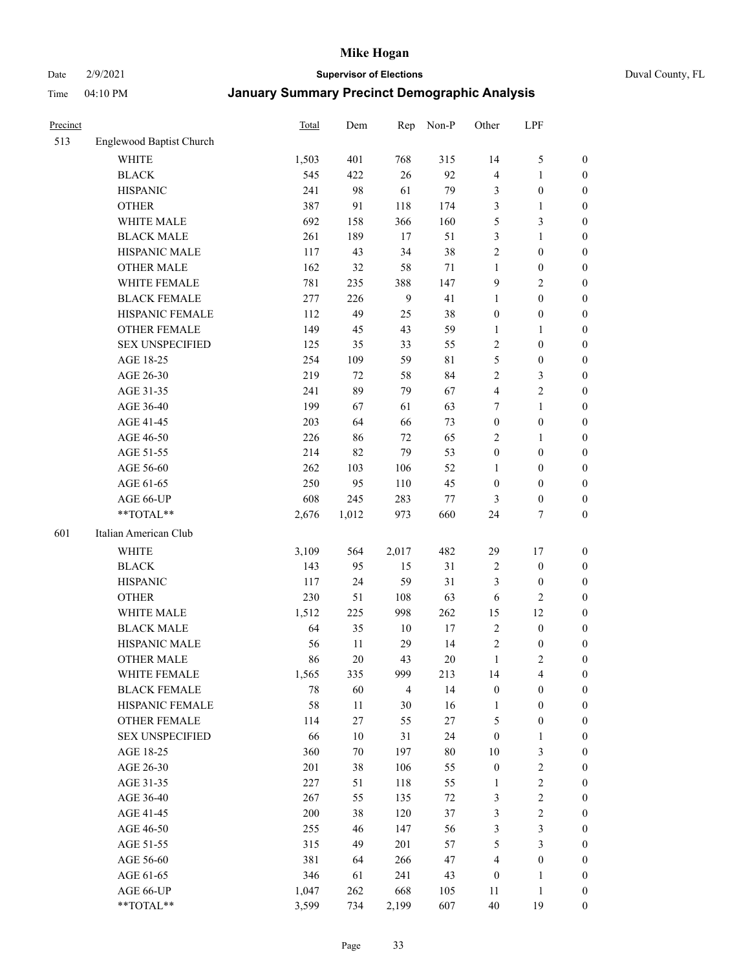Date 2/9/2021 **Supervisor of Elections** Duval County, FL

| Precinct |                          | <b>Total</b> | Dem    | Rep          | Non-P       | Other            | LPF              |                  |
|----------|--------------------------|--------------|--------|--------------|-------------|------------------|------------------|------------------|
| 513      | Englewood Baptist Church |              |        |              |             |                  |                  |                  |
|          | <b>WHITE</b>             | 1,503        | 401    | 768          | 315         | 14               | $\mathfrak{S}$   | 0                |
|          | <b>BLACK</b>             | 545          | 422    | 26           | 92          | 4                | $\mathbf{1}$     | 0                |
|          | <b>HISPANIC</b>          | 241          | 98     | 61           | 79          | 3                | $\boldsymbol{0}$ | $\boldsymbol{0}$ |
|          | <b>OTHER</b>             | 387          | 91     | 118          | 174         | 3                | $\mathbf{1}$     | $\boldsymbol{0}$ |
|          | WHITE MALE               | 692          | 158    | 366          | 160         | 5                | $\mathfrak{Z}$   | $\boldsymbol{0}$ |
|          | <b>BLACK MALE</b>        | 261          | 189    | 17           | 51          | 3                | $\mathbf{1}$     | $\boldsymbol{0}$ |
|          | HISPANIC MALE            | 117          | 43     | 34           | 38          | $\overline{c}$   | $\boldsymbol{0}$ | $\boldsymbol{0}$ |
|          | <b>OTHER MALE</b>        | 162          | 32     | 58           | 71          | $\mathbf{1}$     | $\boldsymbol{0}$ | $\boldsymbol{0}$ |
|          | WHITE FEMALE             | 781          | 235    | 388          | 147         | 9                | $\overline{2}$   | $\boldsymbol{0}$ |
|          | <b>BLACK FEMALE</b>      | 277          | 226    | $\mathbf{9}$ | 41          | $\mathbf{1}$     | $\boldsymbol{0}$ | $\boldsymbol{0}$ |
|          | HISPANIC FEMALE          | 112          | 49     | 25           | 38          | $\boldsymbol{0}$ | $\boldsymbol{0}$ | 0                |
|          | <b>OTHER FEMALE</b>      | 149          | 45     | 43           | 59          | $\mathbf{1}$     | $\mathbf{1}$     | $\boldsymbol{0}$ |
|          | <b>SEX UNSPECIFIED</b>   | 125          | 35     | 33           | 55          | $\sqrt{2}$       | $\boldsymbol{0}$ | $\boldsymbol{0}$ |
|          | AGE 18-25                | 254          | 109    | 59           | $8\sqrt{1}$ | 5                | $\boldsymbol{0}$ | $\boldsymbol{0}$ |
|          | AGE 26-30                | 219          | 72     | 58           | 84          | $\overline{c}$   | $\mathfrak{Z}$   | $\boldsymbol{0}$ |
|          | AGE 31-35                | 241          | 89     | 79           | 67          | 4                | $\sqrt{2}$       | $\boldsymbol{0}$ |
|          | AGE 36-40                | 199          | 67     | 61           | 63          | 7                | $\mathbf{1}$     | $\boldsymbol{0}$ |
|          | AGE 41-45                | 203          | 64     | 66           | 73          | $\boldsymbol{0}$ | $\boldsymbol{0}$ | $\boldsymbol{0}$ |
|          | AGE 46-50                | 226          | 86     | $72\,$       | 65          | $\mathfrak{2}$   | $\mathbf{1}$     | $\boldsymbol{0}$ |
|          | AGE 51-55                | 214          | 82     | 79           | 53          | $\boldsymbol{0}$ | $\boldsymbol{0}$ | $\boldsymbol{0}$ |
|          | AGE 56-60                | 262          | 103    | 106          | 52          | 1                | $\boldsymbol{0}$ | 0                |
|          | AGE 61-65                | 250          | 95     | 110          | 45          | $\boldsymbol{0}$ | $\boldsymbol{0}$ | 0                |
|          | AGE 66-UP                | 608          | 245    | 283          | 77          | 3                | $\boldsymbol{0}$ | $\boldsymbol{0}$ |
|          | **TOTAL**                | 2,676        | 1,012  | 973          | 660         | 24               | $\tau$           | $\boldsymbol{0}$ |
| 601      | Italian American Club    |              |        |              |             |                  |                  |                  |
|          | <b>WHITE</b>             | 3,109        | 564    | 2,017        | 482         | 29               | $17\,$           | $\boldsymbol{0}$ |
|          | <b>BLACK</b>             | 143          | 95     | 15           | 31          | $\overline{c}$   | $\boldsymbol{0}$ | $\boldsymbol{0}$ |
|          | <b>HISPANIC</b>          | 117          | 24     | 59           | 31          | 3                | $\boldsymbol{0}$ | $\boldsymbol{0}$ |
|          | <b>OTHER</b>             | 230          | 51     | 108          | 63          | 6                | $\sqrt{2}$       | $\boldsymbol{0}$ |
|          | WHITE MALE               | 1,512        | 225    | 998          | 262         | 15               | 12               | $\boldsymbol{0}$ |
|          | <b>BLACK MALE</b>        | 64           | 35     | $10\,$       | $17\,$      | $\mathbf{2}$     | $\boldsymbol{0}$ | $\boldsymbol{0}$ |
|          | HISPANIC MALE            | 56           | $11\,$ | 29           | 14          | $\overline{c}$   | $\boldsymbol{0}$ | 0                |
|          | <b>OTHER MALE</b>        | 86           | 20     | 43           | 20          | $\mathbf{1}$     | $\mathbf{2}$     | $\boldsymbol{0}$ |
|          | WHITE FEMALE             | 1,565        | 335    | 999          | 213         | 14               | 4                | 0                |
|          | <b>BLACK FEMALE</b>      | 78           | 60     | 4            | 14          | $\boldsymbol{0}$ | $\boldsymbol{0}$ | $\boldsymbol{0}$ |
|          | HISPANIC FEMALE          | 58           | $11\,$ | 30           | 16          | $\mathbf{1}$     | $\boldsymbol{0}$ | $\overline{0}$   |
|          | <b>OTHER FEMALE</b>      | 114          | 27     | 55           | 27          | 5                | $\boldsymbol{0}$ | $\overline{0}$   |
|          | <b>SEX UNSPECIFIED</b>   | 66           | $10\,$ | 31           | 24          | $\boldsymbol{0}$ | $\mathbf{1}$     | 0                |
|          | AGE 18-25                | 360          | 70     | 197          | $80\,$      | 10               | $\mathfrak{Z}$   | $\overline{0}$   |
|          | AGE 26-30                | 201          | 38     | 106          | 55          | $\boldsymbol{0}$ | $\sqrt{2}$       | 0                |
|          | AGE 31-35                | 227          | 51     | 118          | 55          | $\mathbf{1}$     | $\sqrt{2}$       | 0                |
|          | AGE 36-40                | 267          | 55     | 135          | $72\,$      | 3                | $\sqrt{2}$       | 0                |
|          | AGE 41-45                | 200          | 38     | 120          | 37          | 3                | $\sqrt{2}$       | 0                |
|          | AGE 46-50                | 255          | 46     | 147          | 56          | 3                | $\mathfrak{Z}$   | 0                |
|          | AGE 51-55                | 315          | 49     | 201          | 57          | 5                | $\mathfrak{Z}$   | $\overline{0}$   |
|          | AGE 56-60                | 381          | 64     | 266          | 47          | 4                | $\boldsymbol{0}$ | $\overline{0}$   |
|          | AGE 61-65                | 346          | 61     | 241          | 43          | $\boldsymbol{0}$ | $\mathbf{1}$     | $\boldsymbol{0}$ |
|          | AGE 66-UP                | 1,047        | 262    | 668          | 105         | 11               | $\mathbf{1}$     | $\boldsymbol{0}$ |
|          | **TOTAL**                | 3,599        | 734    | 2,199        | 607         | $40\,$           | 19               | $\boldsymbol{0}$ |
|          |                          |              |        |              |             |                  |                  |                  |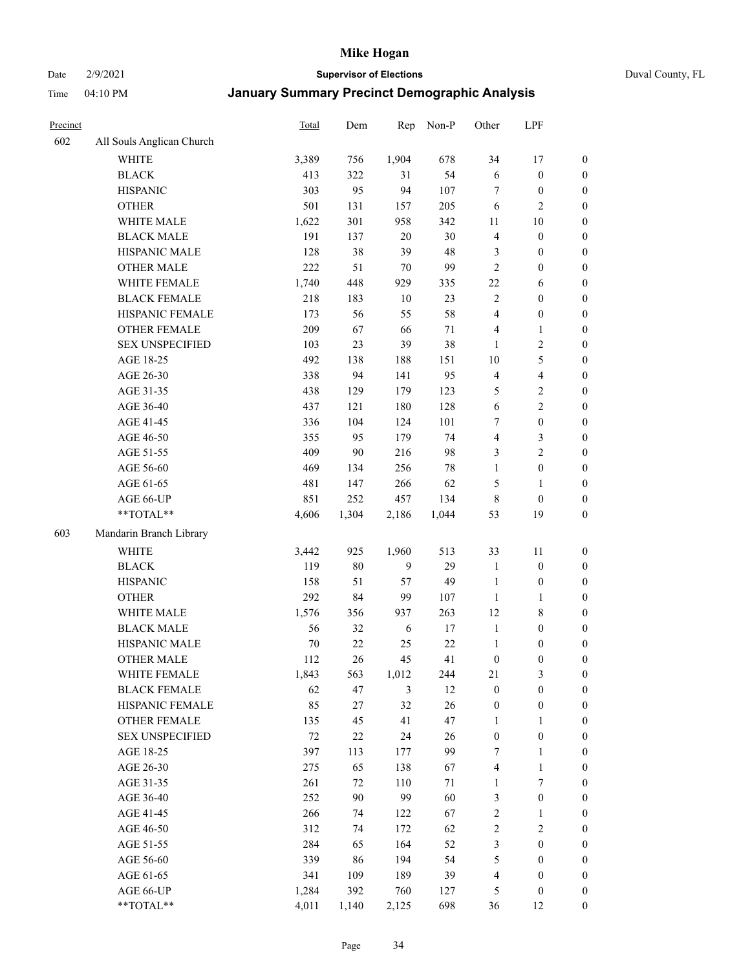Date 2/9/2021 **Supervisor of Elections** Duval County, FL

| Precinct |                           | Total  | Dem    | Rep    | Non-P  | Other            | LPF                     |                  |
|----------|---------------------------|--------|--------|--------|--------|------------------|-------------------------|------------------|
| 602      | All Souls Anglican Church |        |        |        |        |                  |                         |                  |
|          | <b>WHITE</b>              | 3,389  | 756    | 1,904  | 678    | 34               | 17                      | 0                |
|          | <b>BLACK</b>              | 413    | 322    | 31     | 54     | $\sqrt{6}$       | $\boldsymbol{0}$        | 0                |
|          | <b>HISPANIC</b>           | 303    | 95     | 94     | 107    | $\tau$           | $\boldsymbol{0}$        | $\boldsymbol{0}$ |
|          | <b>OTHER</b>              | 501    | 131    | 157    | 205    | 6                | $\mathbf{2}$            | $\boldsymbol{0}$ |
|          | WHITE MALE                | 1,622  | 301    | 958    | 342    | 11               | $10\,$                  | $\boldsymbol{0}$ |
|          | <b>BLACK MALE</b>         | 191    | 137    | 20     | 30     | $\overline{4}$   | $\boldsymbol{0}$        | $\boldsymbol{0}$ |
|          | HISPANIC MALE             | 128    | 38     | 39     | 48     | 3                | $\boldsymbol{0}$        | $\boldsymbol{0}$ |
|          | <b>OTHER MALE</b>         | 222    | 51     | 70     | 99     | $\mathbf{2}$     | $\boldsymbol{0}$        | $\boldsymbol{0}$ |
|          | WHITE FEMALE              | 1,740  | 448    | 929    | 335    | 22               | 6                       | $\boldsymbol{0}$ |
|          | <b>BLACK FEMALE</b>       | 218    | 183    | $10\,$ | 23     | $\sqrt{2}$       | $\boldsymbol{0}$        | 0                |
|          | HISPANIC FEMALE           | 173    | 56     | 55     | 58     | $\overline{4}$   | $\boldsymbol{0}$        | 0                |
|          | <b>OTHER FEMALE</b>       | 209    | 67     | 66     | $71\,$ | 4                | $\mathbf{1}$            | $\boldsymbol{0}$ |
|          | <b>SEX UNSPECIFIED</b>    | 103    | 23     | 39     | 38     | $\mathbf{1}$     | $\sqrt{2}$              | $\boldsymbol{0}$ |
|          | AGE 18-25                 | 492    | 138    | 188    | 151    | 10               | $\mathfrak{S}$          | $\boldsymbol{0}$ |
|          | AGE 26-30                 | 338    | 94     | 141    | 95     | 4                | $\overline{\mathbf{4}}$ | $\boldsymbol{0}$ |
|          | AGE 31-35                 | 438    | 129    | 179    | 123    | 5                | $\sqrt{2}$              | $\boldsymbol{0}$ |
|          | AGE 36-40                 | 437    | 121    | 180    | 128    | $\sqrt{6}$       | $\sqrt{2}$              | $\boldsymbol{0}$ |
|          | AGE 41-45                 | 336    | 104    | 124    | 101    | 7                | $\boldsymbol{0}$        | $\boldsymbol{0}$ |
|          | AGE 46-50                 | 355    | 95     | 179    | 74     | 4                | $\mathfrak{Z}$          | $\boldsymbol{0}$ |
|          | AGE 51-55                 | 409    | 90     | 216    | 98     | 3                | $\sqrt{2}$              | $\boldsymbol{0}$ |
|          | AGE 56-60                 | 469    | 134    | 256    | $78\,$ | $\mathbf{1}$     | $\boldsymbol{0}$        | 0                |
|          | AGE 61-65                 | 481    | 147    | 266    | 62     | 5                | $\mathbf{1}$            | 0                |
|          | AGE 66-UP                 | 851    | 252    | 457    | 134    | 8                | $\boldsymbol{0}$        | $\boldsymbol{0}$ |
|          | $**TOTAL**$               | 4,606  | 1,304  | 2,186  | 1,044  | 53               | 19                      | $\boldsymbol{0}$ |
| 603      | Mandarin Branch Library   |        |        |        |        |                  |                         |                  |
|          | WHITE                     | 3,442  | 925    | 1,960  | 513    | 33               | 11                      | $\boldsymbol{0}$ |
|          | <b>BLACK</b>              | 119    | $80\,$ | 9      | 29     | $\mathbf{1}$     | $\boldsymbol{0}$        | $\boldsymbol{0}$ |
|          | <b>HISPANIC</b>           | 158    | 51     | 57     | 49     | $\mathbf{1}$     | $\boldsymbol{0}$        | $\boldsymbol{0}$ |
|          | <b>OTHER</b>              | 292    | 84     | 99     | 107    | $\mathbf{1}$     | $\mathbf{1}$            | $\boldsymbol{0}$ |
|          | WHITE MALE                | 1,576  | 356    | 937    | 263    | 12               | $8\,$                   | $\boldsymbol{0}$ |
|          | <b>BLACK MALE</b>         | 56     | 32     | 6      | $17\,$ | $\mathbf{1}$     | $\boldsymbol{0}$        | $\boldsymbol{0}$ |
|          | HISPANIC MALE             | 70     | $22\,$ | 25     | 22     | $\mathbf{1}$     | $\boldsymbol{0}$        | $\boldsymbol{0}$ |
|          | <b>OTHER MALE</b>         | 112    | 26     | 45     | 41     | $\boldsymbol{0}$ | $\boldsymbol{0}$        | $\boldsymbol{0}$ |
|          | WHITE FEMALE              | 1,843  | 563    | 1,012  | 244    | 21               | 3                       | 0                |
|          | <b>BLACK FEMALE</b>       | 62     | 47     | 3      | 12     | $\boldsymbol{0}$ | $\boldsymbol{0}$        | $\boldsymbol{0}$ |
|          | HISPANIC FEMALE           | 85     | 27     | 32     | 26     | $\boldsymbol{0}$ | $\boldsymbol{0}$        | $\overline{0}$   |
|          | OTHER FEMALE              | 135    | 45     | 41     | 47     | $\mathbf{1}$     | $\mathbf{1}$            | $\overline{0}$   |
|          | <b>SEX UNSPECIFIED</b>    | $72\,$ | $22\,$ | 24     | 26     | $\boldsymbol{0}$ | $\boldsymbol{0}$        | 0                |
|          | AGE 18-25                 | 397    | 113    | 177    | 99     | 7                | $\mathbf{1}$            | 0                |
|          | AGE 26-30                 | 275    | 65     | 138    | 67     | 4                | $\mathbf{1}$            | 0                |
|          | AGE 31-35                 | 261    | 72     | 110    | $71\,$ | $\mathbf{1}$     | $\boldsymbol{7}$        | 0                |
|          | AGE 36-40                 | 252    | 90     | 99     | 60     | 3                | $\boldsymbol{0}$        | 0                |
|          | AGE 41-45                 | 266    | 74     | 122    | 67     | $\sqrt{2}$       | $\mathbf{1}$            | 0                |
|          | AGE 46-50                 | 312    | 74     | 172    | 62     | $\sqrt{2}$       | $\sqrt{2}$              | 0                |
|          | AGE 51-55                 | 284    | 65     | 164    | 52     | 3                | $\boldsymbol{0}$        | $\boldsymbol{0}$ |
|          | AGE 56-60                 | 339    | 86     | 194    | 54     | 5                | $\boldsymbol{0}$        | $\boldsymbol{0}$ |
|          | AGE 61-65                 | 341    | 109    | 189    | 39     | 4                | $\boldsymbol{0}$        | $\boldsymbol{0}$ |
|          | AGE 66-UP                 | 1,284  | 392    | 760    | 127    | 5                | $\boldsymbol{0}$        | 0                |
|          | **TOTAL**                 | 4,011  | 1,140  | 2,125  | 698    | 36               | 12                      | $\boldsymbol{0}$ |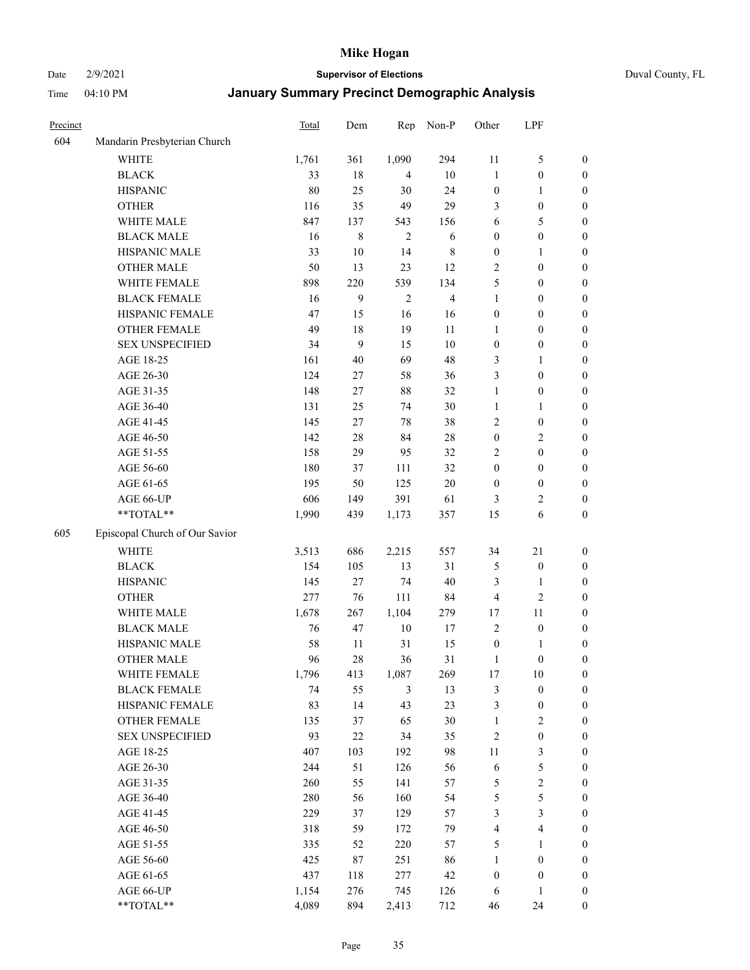#### Date 2/9/2021 **Supervisor of Elections** Duval County, FL

| Precinct |                                | Total | Dem    | Rep            | Non-P          | Other            | LPF                     |                  |
|----------|--------------------------------|-------|--------|----------------|----------------|------------------|-------------------------|------------------|
| 604      | Mandarin Presbyterian Church   |       |        |                |                |                  |                         |                  |
|          | <b>WHITE</b>                   | 1,761 | 361    | 1,090          | 294            | 11               | $\mathfrak{S}$          | 0                |
|          | <b>BLACK</b>                   | 33    | 18     | 4              | 10             | $\mathbf{1}$     | $\boldsymbol{0}$        | $\boldsymbol{0}$ |
|          | <b>HISPANIC</b>                | 80    | 25     | 30             | 24             | $\boldsymbol{0}$ | $\mathbf{1}$            | $\boldsymbol{0}$ |
|          | <b>OTHER</b>                   | 116   | 35     | 49             | 29             | 3                | $\boldsymbol{0}$        | $\boldsymbol{0}$ |
|          | WHITE MALE                     | 847   | 137    | 543            | 156            | 6                | 5                       | $\boldsymbol{0}$ |
|          | <b>BLACK MALE</b>              | 16    | 8      | $\overline{2}$ | 6              | $\boldsymbol{0}$ | $\boldsymbol{0}$        | $\boldsymbol{0}$ |
|          | HISPANIC MALE                  | 33    | $10\,$ | 14             | $\,$ 8 $\,$    | $\boldsymbol{0}$ | $\mathbf{1}$            | $\boldsymbol{0}$ |
|          | <b>OTHER MALE</b>              | 50    | 13     | 23             | 12             | $\mathbf{2}$     | $\boldsymbol{0}$        | $\boldsymbol{0}$ |
|          | WHITE FEMALE                   | 898   | 220    | 539            | 134            | 5                | $\boldsymbol{0}$        | $\boldsymbol{0}$ |
|          | <b>BLACK FEMALE</b>            | 16    | 9      | $\sqrt{2}$     | $\overline{4}$ | $\mathbf{1}$     | $\boldsymbol{0}$        | 0                |
|          | HISPANIC FEMALE                | 47    | 15     | 16             | 16             | $\boldsymbol{0}$ | $\boldsymbol{0}$        | 0                |
|          | <b>OTHER FEMALE</b>            | 49    | 18     | 19             | 11             | $\mathbf{1}$     | $\boldsymbol{0}$        | 0                |
|          | <b>SEX UNSPECIFIED</b>         | 34    | 9      | 15             | $10\,$         | $\boldsymbol{0}$ | $\boldsymbol{0}$        | $\boldsymbol{0}$ |
|          | AGE 18-25                      | 161   | 40     | 69             | 48             | 3                | $\mathbf{1}$            | $\boldsymbol{0}$ |
|          | AGE 26-30                      | 124   | 27     | 58             | 36             | 3                | $\boldsymbol{0}$        | $\boldsymbol{0}$ |
|          | AGE 31-35                      | 148   | 27     | $88\,$         | 32             | $\mathbf{1}$     | $\boldsymbol{0}$        | $\boldsymbol{0}$ |
|          | AGE 36-40                      | 131   | 25     | 74             | 30             | $\mathbf{1}$     | $\mathbf{1}$            | $\boldsymbol{0}$ |
|          | AGE 41-45                      | 145   | 27     | $78\,$         | 38             | $\mathbf{2}$     | $\boldsymbol{0}$        | $\boldsymbol{0}$ |
|          | AGE 46-50                      | 142   | 28     | 84             | $28\,$         | $\boldsymbol{0}$ | $\mathbf{2}$            | $\boldsymbol{0}$ |
|          | AGE 51-55                      | 158   | 29     | 95             | 32             | 2                | $\boldsymbol{0}$        | $\boldsymbol{0}$ |
|          | AGE 56-60                      | 180   | 37     | 111            | 32             | $\boldsymbol{0}$ | $\boldsymbol{0}$        | 0                |
|          | AGE 61-65                      | 195   | 50     | 125            | $20\,$         | $\boldsymbol{0}$ | $\boldsymbol{0}$        | 0                |
|          | AGE 66-UP                      | 606   | 149    | 391            | 61             | 3                | $\overline{c}$          | $\boldsymbol{0}$ |
|          | **TOTAL**                      | 1,990 | 439    | 1,173          | 357            | 15               | 6                       | $\boldsymbol{0}$ |
|          |                                |       |        |                |                |                  |                         |                  |
| 605      | Episcopal Church of Our Savior |       |        |                |                |                  |                         |                  |
|          | <b>WHITE</b>                   | 3,513 | 686    | 2,215          | 557            | 34               | $21\,$                  | $\boldsymbol{0}$ |
|          | <b>BLACK</b>                   | 154   | 105    | 13             | 31             | 5                | $\boldsymbol{0}$        | $\boldsymbol{0}$ |
|          | <b>HISPANIC</b>                | 145   | 27     | $74\,$         | 40             | 3                | $\mathbf{1}$            | $\boldsymbol{0}$ |
|          | <b>OTHER</b>                   | 277   | 76     | 111            | 84             | 4                | $\sqrt{2}$              | $\boldsymbol{0}$ |
|          | WHITE MALE                     | 1,678 | 267    | 1,104          | 279            | 17               | 11                      | $\boldsymbol{0}$ |
|          | <b>BLACK MALE</b>              | 76    | 47     | $10\,$         | $17\,$         | $\mathbf{2}$     | $\boldsymbol{0}$        | $\boldsymbol{0}$ |
|          | HISPANIC MALE                  | 58    | 11     | 31             | 15             | $\boldsymbol{0}$ | 1                       | 0                |
|          | <b>OTHER MALE</b>              | 96    | 28     | 36             | 31             | $\mathbf{1}$     | $\boldsymbol{0}$        | $\boldsymbol{0}$ |
|          | WHITE FEMALE                   | 1,796 | 413    | 1,087          | 269            | 17               | 10                      | 0                |
|          | <b>BLACK FEMALE</b>            | 74    | 55     | 3              | 13             | 3                | $\boldsymbol{0}$        | $\boldsymbol{0}$ |
|          | HISPANIC FEMALE                | 83    | 14     | 43             | 23             | 3                | $\boldsymbol{0}$        | $\boldsymbol{0}$ |
|          | <b>OTHER FEMALE</b>            | 135   | 37     | 65             | 30             | $\mathbf{1}$     | $\sqrt{2}$              | $\overline{0}$   |
|          | <b>SEX UNSPECIFIED</b>         | 93    | $22\,$ | 34             | 35             | 2                | $\boldsymbol{0}$        | 0                |
|          | AGE 18-25                      | 407   | 103    | 192            | 98             | $11\,$           | $\mathfrak{Z}$          | 0                |
|          | AGE 26-30                      | 244   | 51     | 126            | 56             | 6                | $\mathfrak s$           | 0                |
|          | AGE 31-35                      | 260   | 55     | 141            | 57             | 5                | $\sqrt{2}$              | 0                |
|          | AGE 36-40                      | 280   | 56     | 160            | 54             | 5                | 5                       | 0                |
|          | AGE 41-45                      | 229   | 37     | 129            | 57             | 3                | $\mathfrak{Z}$          | 0                |
|          | AGE 46-50                      | 318   | 59     | 172            | 79             | 4                | $\overline{\mathbf{4}}$ | 0                |
|          | AGE 51-55                      | 335   | 52     | 220            | 57             | 5                | $\mathbf{1}$            | 0                |
|          | AGE 56-60                      | 425   | 87     | 251            | 86             | 1                | $\boldsymbol{0}$        | $\boldsymbol{0}$ |
|          | AGE 61-65                      | 437   | 118    | 277            | 42             | $\boldsymbol{0}$ | $\boldsymbol{0}$        | $\boldsymbol{0}$ |
|          | AGE 66-UP                      | 1,154 | 276    | 745            | 126            | 6                | $\mathbf{1}$            | $\boldsymbol{0}$ |
|          | **TOTAL**                      | 4,089 | 894    | 2,413          | 712            | 46               | 24                      | $\boldsymbol{0}$ |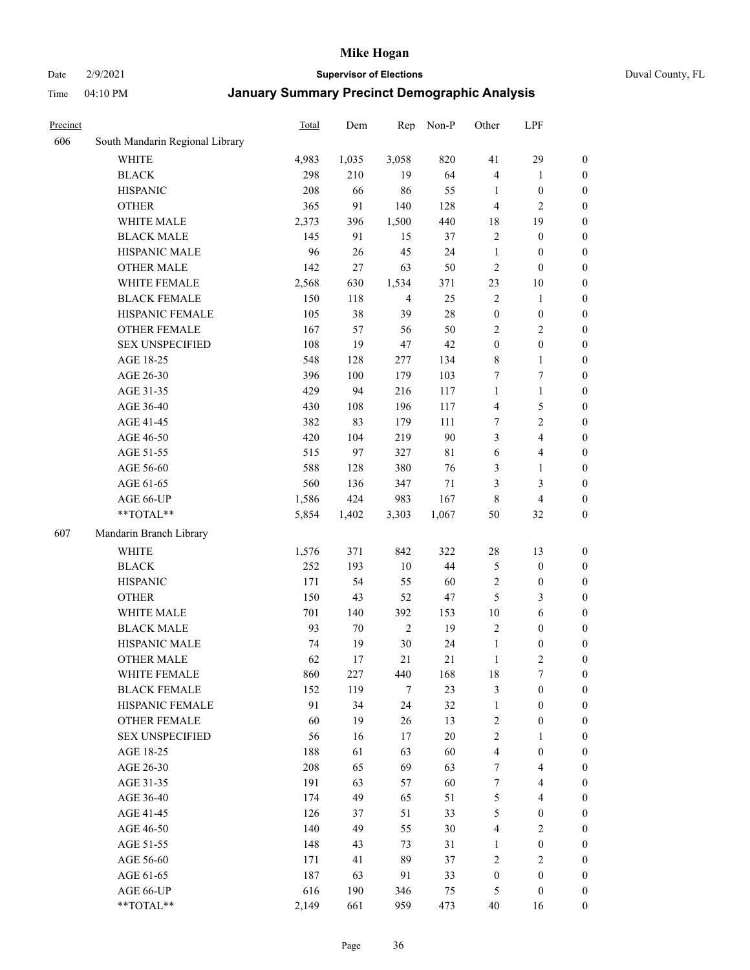#### Date 2/9/2021 **Supervisor of Elections** Duval County, FL

| Precinct |                                 | Total     | Dem    | Rep            | Non-P     | Other                        | LPF                              |                                      |
|----------|---------------------------------|-----------|--------|----------------|-----------|------------------------------|----------------------------------|--------------------------------------|
| 606      | South Mandarin Regional Library |           |        |                |           |                              |                                  |                                      |
|          | <b>WHITE</b>                    | 4,983     | 1,035  | 3,058          | 820       | 41                           | 29                               | $\boldsymbol{0}$                     |
|          | <b>BLACK</b>                    | 298       | 210    | 19             | 64        | $\overline{4}$               | $\mathbf{1}$                     | $\boldsymbol{0}$                     |
|          | <b>HISPANIC</b>                 | 208       | 66     | 86             | 55        | $\mathbf{1}$                 | $\boldsymbol{0}$                 | $\boldsymbol{0}$                     |
|          | <b>OTHER</b>                    | 365       | 91     | 140            | 128       | 4                            | $\mathbf{2}$                     | $\boldsymbol{0}$                     |
|          | WHITE MALE                      | 2,373     | 396    | 1,500          | 440       | 18                           | 19                               | $\boldsymbol{0}$                     |
|          | <b>BLACK MALE</b>               | 145       | 91     | 15             | 37        | $\mathfrak{2}$               | $\boldsymbol{0}$                 | $\boldsymbol{0}$                     |
|          | HISPANIC MALE                   | 96        | 26     | 45             | 24        | $\mathbf{1}$                 | $\boldsymbol{0}$                 | $\boldsymbol{0}$                     |
|          | <b>OTHER MALE</b>               | 142       | 27     | 63             | 50        | $\overline{c}$               | $\boldsymbol{0}$                 | $\boldsymbol{0}$                     |
|          | WHITE FEMALE                    | 2,568     | 630    | 1,534          | 371       | 23                           | $10\,$                           | $\boldsymbol{0}$                     |
|          | <b>BLACK FEMALE</b>             | 150       | 118    | $\overline{4}$ | 25        | $\sqrt{2}$                   | $\mathbf{1}$                     | 0                                    |
|          | HISPANIC FEMALE                 | 105       | 38     | 39             | $28\,$    | $\boldsymbol{0}$             | $\boldsymbol{0}$                 | 0                                    |
|          | <b>OTHER FEMALE</b>             | 167       | 57     | 56             | 50        | $\mathbf{2}$                 | $\sqrt{2}$                       | $\boldsymbol{0}$                     |
|          | <b>SEX UNSPECIFIED</b>          | 108       | 19     | 47             | 42        | $\boldsymbol{0}$             | $\boldsymbol{0}$                 | $\boldsymbol{0}$                     |
|          | AGE 18-25                       | 548       | 128    | 277            | 134       | 8                            | $\mathbf{1}$                     | $\boldsymbol{0}$                     |
|          | AGE 26-30                       | 396       | 100    | 179            | 103       | 7                            | $\tau$                           | $\boldsymbol{0}$                     |
|          | AGE 31-35                       | 429       | 94     | 216            | 117       | $\mathbf{1}$                 | $\mathbf{1}$                     | $\boldsymbol{0}$                     |
|          | AGE 36-40                       | 430       | 108    | 196            | 117       | 4                            | $\mathfrak s$                    | $\boldsymbol{0}$                     |
|          | AGE 41-45                       | 382       | 83     | 179            | 111       | 7                            | $\overline{2}$                   | $\boldsymbol{0}$                     |
|          | AGE 46-50                       | 420       | 104    | 219            | 90        | 3                            | $\overline{4}$                   | $\boldsymbol{0}$                     |
|          | AGE 51-55                       | 515       | 97     | 327            | 81        | 6                            | $\overline{\mathbf{4}}$          | $\boldsymbol{0}$                     |
|          | AGE 56-60                       | 588       | 128    | 380            | 76        | 3                            | $\mathbf{1}$                     | 0                                    |
|          | AGE 61-65                       | 560       | 136    | 347            | $71\,$    | 3                            | $\mathfrak{Z}$                   | $\boldsymbol{0}$                     |
|          | AGE 66-UP                       | 1,586     | 424    | 983            | 167       | 8                            | $\overline{4}$                   | $\boldsymbol{0}$                     |
|          | $**TOTAL**$                     | 5,854     | 1,402  | 3,303          | 1,067     | 50                           | 32                               | $\boldsymbol{0}$                     |
| 607      | Mandarin Branch Library         |           |        |                |           |                              |                                  |                                      |
|          | <b>WHITE</b>                    | 1,576     | 371    | 842            | 322       | 28                           | 13                               | $\boldsymbol{0}$                     |
|          | <b>BLACK</b>                    | 252       | 193    | $10\,$         | 44        | 5                            | $\boldsymbol{0}$                 | $\boldsymbol{0}$                     |
|          | <b>HISPANIC</b>                 | 171       | 54     | 55             | 60        | 2                            | $\boldsymbol{0}$                 | $\boldsymbol{0}$                     |
|          | <b>OTHER</b>                    | 150       | 43     | 52             | 47        | 5                            | $\mathfrak{Z}$                   | $\boldsymbol{0}$                     |
|          | WHITE MALE                      |           | 140    | 392            |           | 10                           | $\sqrt{6}$                       |                                      |
|          | <b>BLACK MALE</b>               | 701<br>93 | $70\,$ | $\mathbf{2}$   | 153<br>19 | $\overline{c}$               | $\boldsymbol{0}$                 | $\boldsymbol{0}$<br>$\boldsymbol{0}$ |
|          | HISPANIC MALE                   |           | 19     | $30\,$         | 24        |                              |                                  |                                      |
|          | <b>OTHER MALE</b>               | 74<br>62  | 17     | 21             | 21        | $\mathbf{1}$<br>$\mathbf{1}$ | $\boldsymbol{0}$<br>$\mathbf{2}$ | $\boldsymbol{0}$<br>$\boldsymbol{0}$ |
|          |                                 |           |        |                |           |                              |                                  |                                      |
|          | WHITE FEMALE                    | 860       | 227    | 440            | 168       | 18                           | 7                                | 0                                    |
|          | <b>BLACK FEMALE</b>             | 152       | 119    | $\tau$         | 23        | 3                            | $\boldsymbol{0}$                 | $\overline{0}$                       |
|          | HISPANIC FEMALE                 | 91        | 34     | 24             | 32        | $\mathbf{1}$                 | $\boldsymbol{0}$                 | $\overline{0}$                       |
|          | OTHER FEMALE                    | 60        | 19     | 26             | 13        | 2                            | $\boldsymbol{0}$                 | $\overline{0}$                       |
|          | <b>SEX UNSPECIFIED</b>          | 56        | 16     | 17             | $20\,$    | 2                            | $\mathbf{1}$                     | 0<br>$\theta$                        |
|          | AGE 18-25<br>AGE 26-30          | 188       | 61     | 63             | 60        | 4                            | $\boldsymbol{0}$                 |                                      |
|          |                                 | 208       | 65     | 69             | 63        | 7                            | $\overline{\mathbf{4}}$          | 0                                    |
|          | AGE 31-35                       | 191       | 63     | 57             | 60        | 7                            | $\overline{4}$                   | 0                                    |
|          | AGE 36-40                       | 174       | 49     | 65             | 51        | 5                            | $\overline{4}$                   | 0                                    |
|          | AGE 41-45                       | 126       | 37     | 51             | 33        | 5                            | $\boldsymbol{0}$                 | 0                                    |
|          | AGE 46-50                       | 140       | 49     | 55             | 30        | 4                            | $\mathbf{2}$                     | 0                                    |
|          | AGE 51-55                       | 148       | 43     | 73             | 31        | 1                            | $\boldsymbol{0}$                 | 0                                    |
|          | AGE 56-60                       | 171       | 41     | 89             | 37        | $\overline{c}$               | $\mathbf{2}$                     | $\overline{0}$                       |
|          | AGE 61-65                       | 187       | 63     | 91             | 33        | $\boldsymbol{0}$             | $\boldsymbol{0}$                 | $\overline{0}$                       |
|          | AGE 66-UP                       | 616       | 190    | 346            | 75        | 5                            | $\boldsymbol{0}$                 | $\boldsymbol{0}$                     |
|          | **TOTAL**                       | 2,149     | 661    | 959            | 473       | 40                           | 16                               | $\boldsymbol{0}$                     |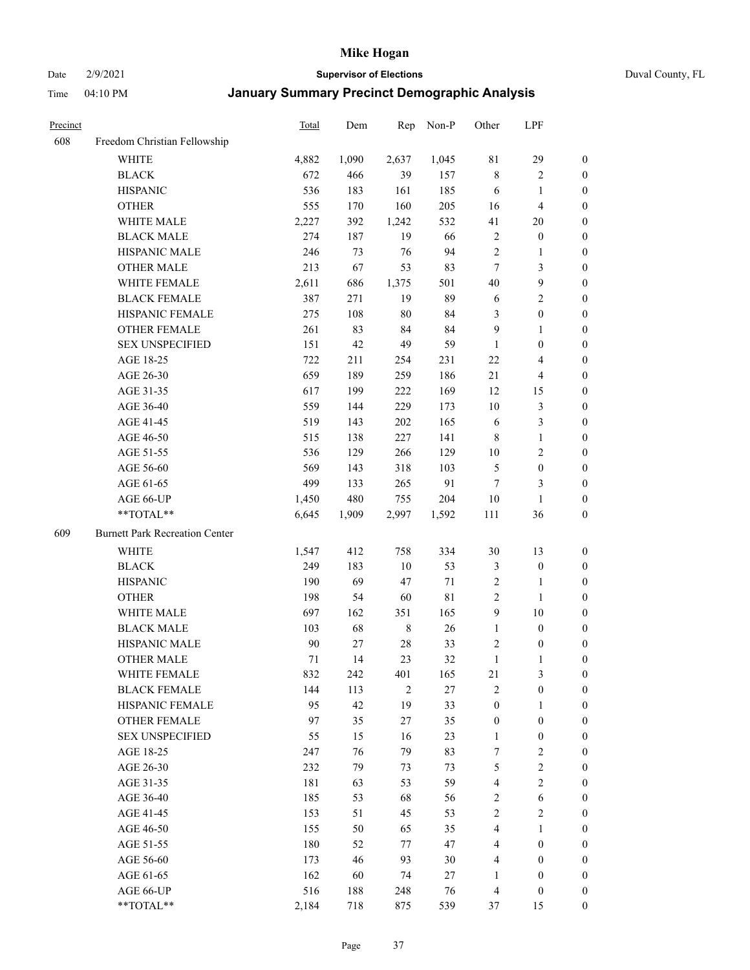Date 2/9/2021 **Supervisor of Elections** Duval County, FL

| Precinct |                                       | Total | Dem   | Rep            | Non-P | Other            | LPF                     |                  |
|----------|---------------------------------------|-------|-------|----------------|-------|------------------|-------------------------|------------------|
| 608      | Freedom Christian Fellowship          |       |       |                |       |                  |                         |                  |
|          | <b>WHITE</b>                          | 4,882 | 1,090 | 2,637          | 1,045 | $8\sqrt{1}$      | 29                      | $\boldsymbol{0}$ |
|          | <b>BLACK</b>                          | 672   | 466   | 39             | 157   | $\,$ 8 $\,$      | $\sqrt{2}$              | $\boldsymbol{0}$ |
|          | <b>HISPANIC</b>                       | 536   | 183   | 161            | 185   | 6                | $\mathbf{1}$            | $\boldsymbol{0}$ |
|          | <b>OTHER</b>                          | 555   | 170   | 160            | 205   | 16               | $\overline{\mathbf{4}}$ | $\boldsymbol{0}$ |
|          | WHITE MALE                            | 2,227 | 392   | 1,242          | 532   | 41               | 20                      | $\boldsymbol{0}$ |
|          | <b>BLACK MALE</b>                     | 274   | 187   | 19             | 66    | 2                | $\boldsymbol{0}$        | $\boldsymbol{0}$ |
|          | HISPANIC MALE                         | 246   | 73    | 76             | 94    | $\mathfrak{2}$   | $\mathbf{1}$            | $\boldsymbol{0}$ |
|          | <b>OTHER MALE</b>                     | 213   | 67    | 53             | 83    | $\tau$           | $\mathfrak{Z}$          | $\boldsymbol{0}$ |
|          | WHITE FEMALE                          | 2,611 | 686   | 1,375          | 501   | $40\,$           | $\boldsymbol{9}$        | $\boldsymbol{0}$ |
|          | <b>BLACK FEMALE</b>                   | 387   | 271   | 19             | 89    | 6                | $\sqrt{2}$              | 0                |
|          | HISPANIC FEMALE                       | 275   | 108   | $80\,$         | 84    | 3                | $\boldsymbol{0}$        | 0                |
|          | OTHER FEMALE                          | 261   | 83    | 84             | 84    | 9                | $\mathbf{1}$            | $\boldsymbol{0}$ |
|          | <b>SEX UNSPECIFIED</b>                | 151   | 42    | 49             | 59    | $\mathbf{1}$     | $\boldsymbol{0}$        | $\boldsymbol{0}$ |
|          | AGE 18-25                             | 722   | 211   | 254            | 231   | 22               | $\overline{\mathbf{4}}$ | $\boldsymbol{0}$ |
|          | AGE 26-30                             | 659   | 189   | 259            | 186   | $21\,$           | $\overline{4}$          | $\boldsymbol{0}$ |
|          | AGE 31-35                             | 617   | 199   | 222            | 169   | 12               | 15                      | $\boldsymbol{0}$ |
|          | AGE 36-40                             | 559   | 144   | 229            | 173   | 10               | $\mathfrak{Z}$          | $\boldsymbol{0}$ |
|          | AGE 41-45                             | 519   | 143   | 202            | 165   | 6                | $\mathfrak{Z}$          | $\boldsymbol{0}$ |
|          | AGE 46-50                             | 515   | 138   | 227            | 141   | $\,8\,$          | $\mathbf{1}$            | $\boldsymbol{0}$ |
|          | AGE 51-55                             | 536   | 129   | 266            | 129   | 10               | $\sqrt{2}$              | 0                |
|          | AGE 56-60                             | 569   | 143   | 318            | 103   | 5                | $\boldsymbol{0}$        | 0                |
|          | AGE 61-65                             | 499   | 133   | 265            | 91    | $\tau$           | 3                       | 0                |
|          | AGE 66-UP                             | 1,450 | 480   | 755            | 204   | 10               | $\mathbf{1}$            | $\boldsymbol{0}$ |
|          | **TOTAL**                             | 6,645 | 1,909 | 2,997          | 1,592 | 111              | 36                      | $\boldsymbol{0}$ |
| 609      | <b>Burnett Park Recreation Center</b> |       |       |                |       |                  |                         |                  |
|          | <b>WHITE</b>                          | 1,547 | 412   | 758            | 334   | 30               | 13                      | $\boldsymbol{0}$ |
|          | <b>BLACK</b>                          | 249   | 183   | $10\,$         | 53    | 3                | $\boldsymbol{0}$        | $\boldsymbol{0}$ |
|          | <b>HISPANIC</b>                       | 190   | 69    | 47             | 71    | 2                | $\mathbf{1}$            | $\boldsymbol{0}$ |
|          | <b>OTHER</b>                          | 198   | 54    | 60             | 81    | $\sqrt{2}$       | $\mathbf{1}$            | $\boldsymbol{0}$ |
|          | WHITE MALE                            | 697   | 162   | 351            | 165   | $\overline{9}$   | $10\,$                  | $\boldsymbol{0}$ |
|          | <b>BLACK MALE</b>                     | 103   | 68    | $\,$ 8 $\,$    | 26    | $\mathbf{1}$     | $\boldsymbol{0}$        | $\boldsymbol{0}$ |
|          | HISPANIC MALE                         | 90    | 27    | $28\,$         | 33    | 2                | $\boldsymbol{0}$        | 0                |
|          | <b>OTHER MALE</b>                     | 71    | 14    | 23             | 32    | $\mathbf{1}$     | 1                       | 0                |
|          | WHITE FEMALE                          | 832   | 242   | 401            | 165   | 21               | 3                       | 0                |
|          | <b>BLACK FEMALE</b>                   | 144   | 113   | $\overline{2}$ | 27    | $\mathbf{2}$     | $\boldsymbol{0}$        | $\overline{0}$   |
|          | HISPANIC FEMALE                       | 95    | 42    | 19             | 33    | $\boldsymbol{0}$ | $\mathbf{1}$            | $\overline{0}$   |
|          | <b>OTHER FEMALE</b>                   | 97    | 35    | $27\,$         | 35    | $\boldsymbol{0}$ | $\boldsymbol{0}$        | 0                |
|          | <b>SEX UNSPECIFIED</b>                | 55    | 15    | 16             | 23    | $\mathbf{1}$     | $\boldsymbol{0}$        | 0                |
|          | AGE 18-25                             | 247   | 76    | 79             | 83    | 7                | $\sqrt{2}$              | 0                |
|          | AGE 26-30                             | 232   | 79    | 73             | 73    | $\mathfrak{S}$   | $\sqrt{2}$              | 0                |
|          | AGE 31-35                             | 181   | 63    | 53             | 59    | 4                | $\overline{2}$          | 0                |
|          | AGE 36-40                             | 185   | 53    | 68             | 56    | $\sqrt{2}$       | $\sqrt{6}$              | 0                |
|          | AGE 41-45                             | 153   | 51    | 45             | 53    | $\mathfrak{2}$   | $\overline{2}$          | 0                |
|          | AGE 46-50                             | 155   | 50    | 65             | 35    | 4                | $\mathbf{1}$            | 0                |
|          | AGE 51-55                             | 180   | 52    | 77             | 47    | 4                | $\boldsymbol{0}$        | 0                |
|          | AGE 56-60                             | 173   | 46    | 93             | 30    | 4                | $\boldsymbol{0}$        | 0                |
|          | AGE 61-65                             | 162   | 60    | 74             | 27    | 1                | $\boldsymbol{0}$        | 0                |
|          | AGE 66-UP                             | 516   | 188   | 248            | 76    | $\overline{4}$   | $\boldsymbol{0}$        | 0                |
|          | **TOTAL**                             | 2,184 | 718   | 875            | 539   | 37               | 15                      | $\boldsymbol{0}$ |
|          |                                       |       |       |                |       |                  |                         |                  |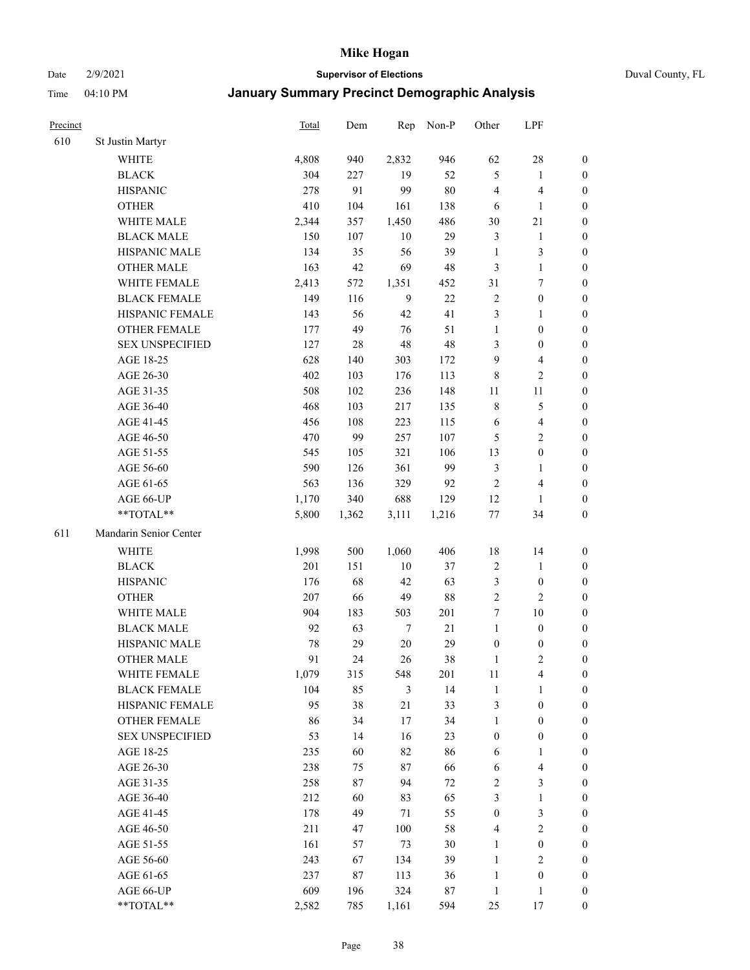#### Date 2/9/2021 **Supervisor of Elections** Duval County, FL

| Precinct |                        | <b>Total</b> | Dem   | Rep    | Non-P  | Other            | LPF                     |                  |
|----------|------------------------|--------------|-------|--------|--------|------------------|-------------------------|------------------|
| 610      | St Justin Martyr       |              |       |        |        |                  |                         |                  |
|          | <b>WHITE</b>           | 4,808        | 940   | 2,832  | 946    | 62               | $28\,$                  | 0                |
|          | <b>BLACK</b>           | 304          | 227   | 19     | 52     | 5                | $\mathbf{1}$            | 0                |
|          | <b>HISPANIC</b>        | 278          | 91    | 99     | $80\,$ | 4                | $\overline{\mathbf{4}}$ | $\boldsymbol{0}$ |
|          | <b>OTHER</b>           | 410          | 104   | 161    | 138    | 6                | $\mathbf{1}$            | $\boldsymbol{0}$ |
|          | WHITE MALE             | 2,344        | 357   | 1,450  | 486    | 30               | 21                      | $\boldsymbol{0}$ |
|          | <b>BLACK MALE</b>      | 150          | 107   | 10     | 29     | 3                | $\mathbf{1}$            | $\boldsymbol{0}$ |
|          | HISPANIC MALE          | 134          | 35    | 56     | 39     | $\mathbf{1}$     | $\mathfrak{Z}$          | $\boldsymbol{0}$ |
|          | <b>OTHER MALE</b>      | 163          | 42    | 69     | 48     | 3                | $\mathbf{1}$            | $\boldsymbol{0}$ |
|          | WHITE FEMALE           | 2,413        | 572   | 1,351  | 452    | 31               | $\boldsymbol{7}$        | $\boldsymbol{0}$ |
|          | <b>BLACK FEMALE</b>    | 149          | 116   | 9      | $22\,$ | 2                | $\boldsymbol{0}$        | 0                |
|          | HISPANIC FEMALE        | 143          | 56    | 42     | 41     | 3                | $\mathbf{1}$            | 0                |
|          | OTHER FEMALE           | 177          | 49    | 76     | 51     | $\mathbf{1}$     | $\boldsymbol{0}$        | $\boldsymbol{0}$ |
|          | <b>SEX UNSPECIFIED</b> | 127          | 28    | 48     | 48     | 3                | $\boldsymbol{0}$        | $\boldsymbol{0}$ |
|          | AGE 18-25              | 628          | 140   | 303    | 172    | 9                | $\overline{\mathbf{4}}$ | $\boldsymbol{0}$ |
|          | AGE 26-30              | 402          | 103   | 176    | 113    | 8                | $\sqrt{2}$              | $\boldsymbol{0}$ |
|          | AGE 31-35              | 508          | 102   | 236    | 148    | 11               | $11\,$                  | $\boldsymbol{0}$ |
|          | AGE 36-40              | 468          | 103   | 217    | 135    | $\,8\,$          | $\mathfrak s$           | $\boldsymbol{0}$ |
|          | AGE 41-45              | 456          | 108   | 223    | 115    | 6                | $\overline{4}$          | $\boldsymbol{0}$ |
|          | AGE 46-50              | 470          | 99    | 257    | 107    | 5                | $\overline{2}$          | $\boldsymbol{0}$ |
|          | AGE 51-55              | 545          | 105   | 321    | 106    | 13               | $\boldsymbol{0}$        | $\boldsymbol{0}$ |
|          | AGE 56-60              | 590          | 126   | 361    | 99     | 3                | $\mathbf{1}$            | 0                |
|          | AGE 61-65              | 563          | 136   | 329    | 92     | $\sqrt{2}$       | $\overline{\mathbf{4}}$ | 0                |
|          | AGE 66-UP              | 1,170        | 340   | 688    | 129    | 12               | $\mathbf{1}$            | $\boldsymbol{0}$ |
|          | **TOTAL**              | 5,800        | 1,362 | 3,111  | 1,216  | $77\,$           | 34                      | $\boldsymbol{0}$ |
| 611      | Mandarin Senior Center |              |       |        |        |                  |                         |                  |
|          | <b>WHITE</b>           | 1,998        | 500   | 1,060  | 406    | 18               | 14                      | $\boldsymbol{0}$ |
|          | <b>BLACK</b>           | 201          | 151   | $10\,$ | 37     | $\boldsymbol{2}$ | $\mathbf{1}$            | $\boldsymbol{0}$ |
|          | <b>HISPANIC</b>        | 176          | 68    | 42     | 63     | 3                | $\boldsymbol{0}$        | $\boldsymbol{0}$ |
|          | <b>OTHER</b>           | 207          | 66    | 49     | 88     | $\overline{c}$   | $\overline{c}$          | $\boldsymbol{0}$ |
|          | WHITE MALE             | 904          | 183   | 503    | 201    | 7                | $10\,$                  | $\boldsymbol{0}$ |
|          | <b>BLACK MALE</b>      | 92           | 63    | $\tau$ | $21\,$ | $\mathbf{1}$     | $\boldsymbol{0}$        | $\boldsymbol{0}$ |
|          | HISPANIC MALE          | 78           | 29    | $20\,$ | 29     | $\boldsymbol{0}$ | $\boldsymbol{0}$        | 0                |
|          | <b>OTHER MALE</b>      | 91           | 24    | 26     | 38     | $\mathbf{1}$     | $\mathfrak{2}$          | $\boldsymbol{0}$ |
|          | WHITE FEMALE           | 1,079        | 315   | 548    | 201    | 11               | 4                       | 0                |
|          | <b>BLACK FEMALE</b>    | 104          | 85    | 3      | 14     | $\mathbf{1}$     | $\mathbf{1}$            | $\overline{0}$   |
|          | HISPANIC FEMALE        | 95           | 38    | 21     | 33     | $\mathfrak{Z}$   | $\boldsymbol{0}$        | $\overline{0}$   |
|          | OTHER FEMALE           | 86           | 34    | $17\,$ | 34     | $\mathbf{1}$     | $\boldsymbol{0}$        | 0                |
|          | <b>SEX UNSPECIFIED</b> | 53           | 14    | 16     | 23     | $\boldsymbol{0}$ | $\boldsymbol{0}$        | 0                |
|          | AGE 18-25              | 235          | 60    | 82     | 86     | 6                | $\mathbf{1}$            | 0                |
|          | AGE 26-30              | 238          | 75    | $87\,$ | 66     | 6                | $\overline{\mathbf{4}}$ | 0                |
|          | AGE 31-35              | 258          | 87    | 94     | 72     | 2                | $\mathfrak{Z}$          | 0                |
|          | AGE 36-40              | 212          | 60    | 83     | 65     | 3                | $\mathbf{1}$            | 0                |
|          | AGE 41-45              | 178          | 49    | 71     | 55     | $\boldsymbol{0}$ | $\mathfrak{Z}$          | 0                |
|          | AGE 46-50              | 211          | 47    | 100    | 58     | 4                | $\sqrt{2}$              | 0                |
|          | AGE 51-55              | 161          | 57    | 73     | 30     | $\mathbf{1}$     | $\boldsymbol{0}$        | 0                |
|          | AGE 56-60              | 243          | 67    | 134    | 39     | $\mathbf{1}$     | $\mathfrak{2}$          | 0                |
|          | AGE 61-65              | 237          | 87    | 113    | 36     | $\mathbf{1}$     | $\boldsymbol{0}$        | $\overline{0}$   |
|          | AGE 66-UP              | 609          | 196   | 324    | 87     | $\mathbf{1}$     | $\mathbf{1}$            | 0                |
|          | **TOTAL**              | 2,582        | 785   | 1,161  | 594    | 25               | 17                      | $\boldsymbol{0}$ |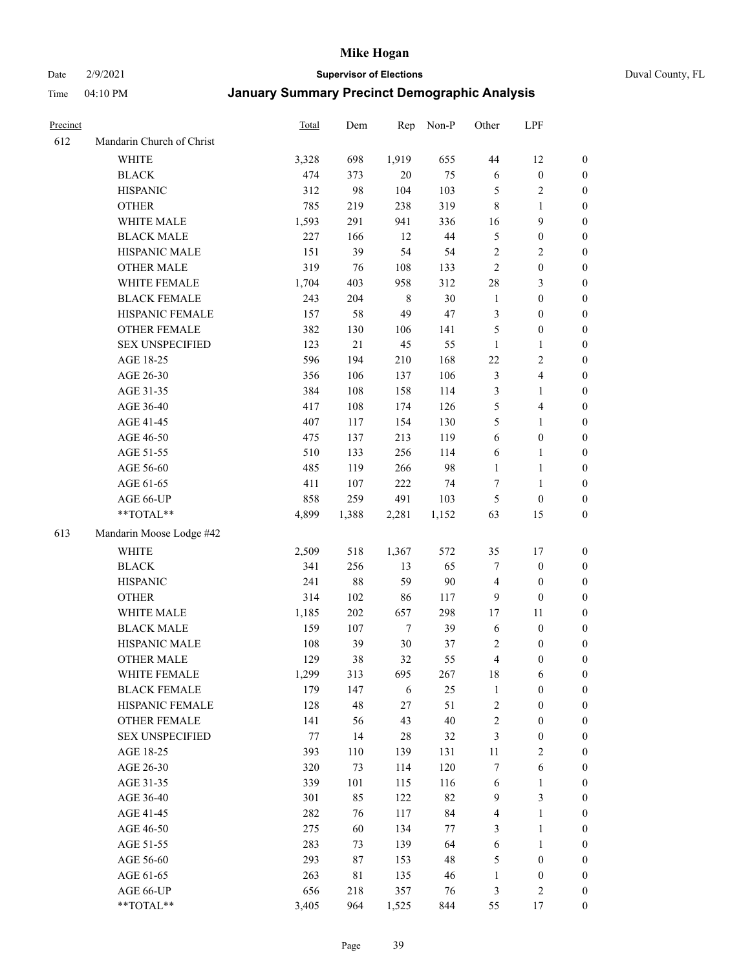Date 2/9/2021 **Supervisor of Elections** Duval County, FL

| Precinct |                           | Total | Dem   | Rep         | Non-P  | Other                   | LPF                     |                  |
|----------|---------------------------|-------|-------|-------------|--------|-------------------------|-------------------------|------------------|
| 612      | Mandarin Church of Christ |       |       |             |        |                         |                         |                  |
|          | <b>WHITE</b>              | 3,328 | 698   | 1,919       | 655    | 44                      | 12                      | 0                |
|          | <b>BLACK</b>              | 474   | 373   | $20\,$      | 75     | 6                       | $\boldsymbol{0}$        | $\boldsymbol{0}$ |
|          | <b>HISPANIC</b>           | 312   | 98    | 104         | 103    | $\mathfrak{S}$          | $\sqrt{2}$              | $\boldsymbol{0}$ |
|          | <b>OTHER</b>              | 785   | 219   | 238         | 319    | $\,8\,$                 | 1                       | $\boldsymbol{0}$ |
|          | WHITE MALE                | 1,593 | 291   | 941         | 336    | 16                      | 9                       | $\boldsymbol{0}$ |
|          | <b>BLACK MALE</b>         | 227   | 166   | 12          | $44\,$ | 5                       | $\boldsymbol{0}$        | $\boldsymbol{0}$ |
|          | HISPANIC MALE             | 151   | 39    | 54          | 54     | 2                       | $\sqrt{2}$              | $\boldsymbol{0}$ |
|          | <b>OTHER MALE</b>         | 319   | 76    | 108         | 133    | $\mathfrak{2}$          | $\boldsymbol{0}$        | $\boldsymbol{0}$ |
|          | WHITE FEMALE              | 1,704 | 403   | 958         | 312    | 28                      | $\mathfrak{Z}$          | $\boldsymbol{0}$ |
|          | <b>BLACK FEMALE</b>       | 243   | 204   | $\,$ 8 $\,$ | 30     | $\mathbf{1}$            | $\boldsymbol{0}$        | $\boldsymbol{0}$ |
|          | HISPANIC FEMALE           | 157   | 58    | 49          | 47     | 3                       | $\boldsymbol{0}$        | 0                |
|          | OTHER FEMALE              | 382   | 130   | 106         | 141    | 5                       | $\boldsymbol{0}$        | $\boldsymbol{0}$ |
|          | <b>SEX UNSPECIFIED</b>    | 123   | 21    | 45          | 55     | $\mathbf{1}$            | $\mathbf{1}$            | $\boldsymbol{0}$ |
|          | AGE 18-25                 | 596   | 194   | 210         | 168    | $22\,$                  | $\sqrt{2}$              | $\boldsymbol{0}$ |
|          | AGE 26-30                 | 356   | 106   | 137         | 106    | 3                       | $\overline{\mathbf{4}}$ | $\boldsymbol{0}$ |
|          | AGE 31-35                 | 384   | 108   | 158         | 114    | 3                       | $\mathbf{1}$            | $\boldsymbol{0}$ |
|          | AGE 36-40                 | 417   | 108   | 174         | 126    | 5                       | $\overline{\mathbf{4}}$ | $\boldsymbol{0}$ |
|          | AGE 41-45                 | 407   | 117   | 154         | 130    | 5                       | $\mathbf{1}$            | $\boldsymbol{0}$ |
|          | AGE 46-50                 | 475   | 137   | 213         | 119    | 6                       | $\boldsymbol{0}$        | $\boldsymbol{0}$ |
|          | AGE 51-55                 | 510   | 133   | 256         | 114    | 6                       | $\mathbf{1}$            | $\boldsymbol{0}$ |
|          | AGE 56-60                 | 485   | 119   | 266         | 98     | $\mathbf{1}$            | $\mathbf{1}$            | 0                |
|          | AGE 61-65                 | 411   | 107   | 222         | 74     | $\tau$                  | $\mathbf{1}$            | 0                |
|          | AGE 66-UP                 | 858   | 259   | 491         | 103    | 5                       | $\boldsymbol{0}$        | $\boldsymbol{0}$ |
|          | $**TOTAL**$               | 4,899 | 1,388 | 2,281       | 1,152  | 63                      | 15                      | $\boldsymbol{0}$ |
| 613      | Mandarin Moose Lodge #42  |       |       |             |        |                         |                         |                  |
|          | <b>WHITE</b>              | 2,509 | 518   | 1,367       | 572    | 35                      | 17                      | $\boldsymbol{0}$ |
|          | <b>BLACK</b>              | 341   | 256   | 13          | 65     | 7                       | $\boldsymbol{0}$        | $\boldsymbol{0}$ |
|          | <b>HISPANIC</b>           | 241   | 88    | 59          | 90     | $\overline{4}$          | $\boldsymbol{0}$        | $\boldsymbol{0}$ |
|          | <b>OTHER</b>              | 314   | 102   | 86          | 117    | 9                       | $\boldsymbol{0}$        | $\boldsymbol{0}$ |
|          | WHITE MALE                | 1,185 | 202   | 657         | 298    | 17                      | $11\,$                  | $\boldsymbol{0}$ |
|          | <b>BLACK MALE</b>         | 159   | 107   | $\tau$      | 39     | 6                       | $\boldsymbol{0}$        | $\boldsymbol{0}$ |
|          | HISPANIC MALE             | 108   | 39    | $30\,$      | 37     | 2                       | $\boldsymbol{0}$        | $\boldsymbol{0}$ |
|          | <b>OTHER MALE</b>         | 129   | 38    | 32          | 55     | $\overline{\mathbf{4}}$ | $\boldsymbol{0}$        | $\boldsymbol{0}$ |
|          | WHITE FEMALE              | 1,299 | 313   | 695         | 267    | 18                      | 6                       | 0                |
|          | <b>BLACK FEMALE</b>       | 179   | 147   | 6           | 25     | $\mathbf{1}$            | $\boldsymbol{0}$        | $\boldsymbol{0}$ |
|          | HISPANIC FEMALE           | 128   | 48    | $27\,$      | 51     | $\sqrt{2}$              | $\boldsymbol{0}$        | $\overline{0}$   |
|          | OTHER FEMALE              | 141   | 56    | 43          | 40     | $\sqrt{2}$              | $\boldsymbol{0}$        | $\overline{0}$   |
|          | <b>SEX UNSPECIFIED</b>    | 77    | 14    | 28          | 32     | 3                       | $\boldsymbol{0}$        | 0                |
|          | AGE 18-25                 | 393   | 110   | 139         | 131    | $11\,$                  | $\sqrt{2}$              | 0                |
|          | AGE 26-30                 | 320   | 73    | 114         | 120    | 7                       | $\sqrt{6}$              | 0                |
|          | AGE 31-35                 | 339   | 101   | 115         | 116    | 6                       | $\mathbf{1}$            | 0                |
|          | AGE 36-40                 | 301   | 85    | 122         | 82     | 9                       | $\mathfrak{Z}$          | 0                |
|          | AGE 41-45                 | 282   | 76    | 117         | 84     | 4                       | $\mathbf{1}$            | 0                |
|          | AGE 46-50                 | 275   | 60    | 134         | 77     | 3                       | $\mathbf{1}$            | 0                |
|          | AGE 51-55                 | 283   | 73    | 139         | 64     | 6                       | $\mathbf{1}$            | 0                |
|          | AGE 56-60                 | 293   | 87    | 153         | 48     | 5                       | $\boldsymbol{0}$        | 0                |
|          | AGE 61-65                 | 263   | 81    | 135         | 46     | $\mathbf{1}$            | $\boldsymbol{0}$        | 0                |
|          | AGE 66-UP                 | 656   | 218   | 357         | 76     | 3                       | $\sqrt{2}$              | 0                |
|          | **TOTAL**                 | 3,405 | 964   | 1,525       | 844    | 55                      | 17                      | $\boldsymbol{0}$ |
|          |                           |       |       |             |        |                         |                         |                  |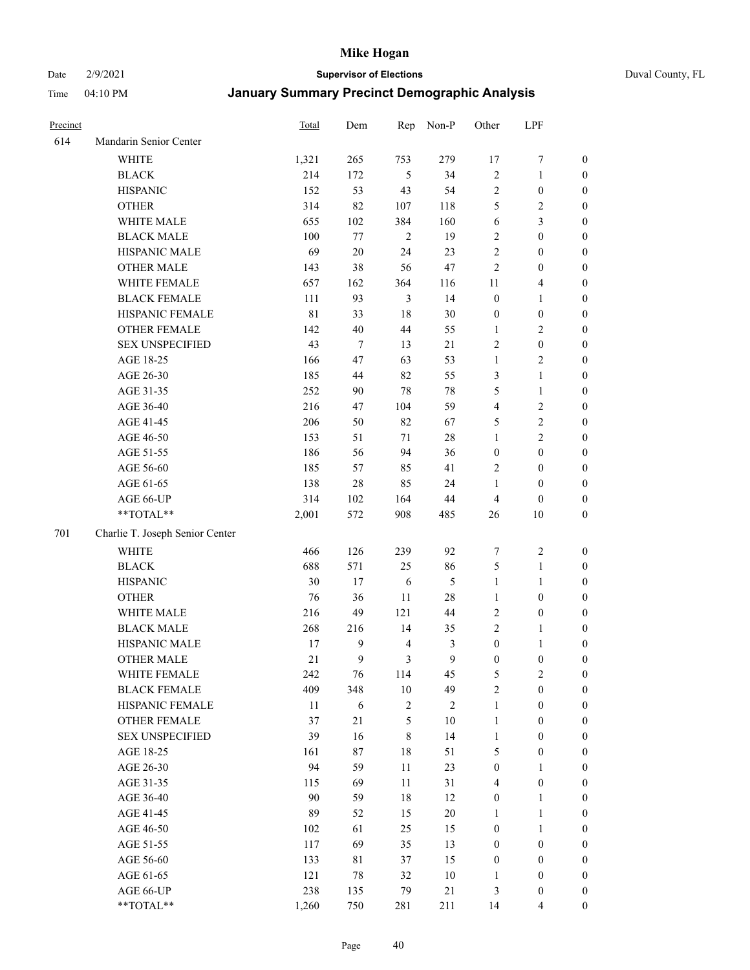Date 2/9/2021 **Supervisor of Elections** Duval County, FL

| Precinct |                                 | Total       | Dem    | Rep            | Non-P        | Other            | LPF                     |                  |
|----------|---------------------------------|-------------|--------|----------------|--------------|------------------|-------------------------|------------------|
| 614      | Mandarin Senior Center          |             |        |                |              |                  |                         |                  |
|          | WHITE                           | 1,321       | 265    | 753            | 279          | 17               | $\boldsymbol{7}$        | 0                |
|          | <b>BLACK</b>                    | 214         | 172    | 5              | 34           | $\sqrt{2}$       | $\mathbf{1}$            | $\boldsymbol{0}$ |
|          | <b>HISPANIC</b>                 | 152         | 53     | 43             | 54           | $\sqrt{2}$       | $\boldsymbol{0}$        | $\boldsymbol{0}$ |
|          | <b>OTHER</b>                    | 314         | 82     | 107            | 118          | 5                | $\sqrt{2}$              | $\boldsymbol{0}$ |
|          | WHITE MALE                      | 655         | 102    | 384            | 160          | 6                | $\mathfrak{Z}$          | $\boldsymbol{0}$ |
|          | <b>BLACK MALE</b>               | 100         | 77     | $\overline{2}$ | 19           | $\sqrt{2}$       | $\boldsymbol{0}$        | $\boldsymbol{0}$ |
|          | HISPANIC MALE                   | 69          | $20\,$ | 24             | 23           | $\overline{c}$   | $\boldsymbol{0}$        | $\boldsymbol{0}$ |
|          | <b>OTHER MALE</b>               | 143         | 38     | 56             | 47           | $\mathfrak{2}$   | $\boldsymbol{0}$        | $\boldsymbol{0}$ |
|          | WHITE FEMALE                    | 657         | 162    | 364            | 116          | 11               | $\overline{\mathbf{4}}$ | $\boldsymbol{0}$ |
|          | <b>BLACK FEMALE</b>             | 111         | 93     | 3              | 14           | $\boldsymbol{0}$ | $\mathbf{1}$            | $\boldsymbol{0}$ |
|          | HISPANIC FEMALE                 | $8\sqrt{1}$ | 33     | 18             | 30           | $\boldsymbol{0}$ | $\boldsymbol{0}$        | 0                |
|          | OTHER FEMALE                    | 142         | $40\,$ | 44             | 55           | $\mathbf{1}$     | $\overline{c}$          | 0                |
|          | <b>SEX UNSPECIFIED</b>          | 43          | $\tau$ | 13             | 21           | $\sqrt{2}$       | $\boldsymbol{0}$        | $\boldsymbol{0}$ |
|          | AGE 18-25                       | 166         | 47     | 63             | 53           | $\mathbf{1}$     | $\sqrt{2}$              | $\boldsymbol{0}$ |
|          | AGE 26-30                       | 185         | 44     | 82             | 55           | 3                | $\mathbf{1}$            | $\boldsymbol{0}$ |
|          | AGE 31-35                       | 252         | 90     | 78             | $78\,$       | 5                | $\mathbf{1}$            | $\boldsymbol{0}$ |
|          | AGE 36-40                       | 216         | 47     | 104            | 59           | 4                | $\sqrt{2}$              | $\boldsymbol{0}$ |
|          | AGE 41-45                       | 206         | 50     | 82             | 67           | 5                | $\sqrt{2}$              | $\boldsymbol{0}$ |
|          | AGE 46-50                       | 153         | 51     | 71             | $28\,$       | $\mathbf{1}$     | $\overline{2}$          | $\boldsymbol{0}$ |
|          | AGE 51-55                       | 186         | 56     | 94             | 36           | $\boldsymbol{0}$ | $\boldsymbol{0}$        | $\boldsymbol{0}$ |
|          | AGE 56-60                       | 185         | 57     | 85             | 41           | $\overline{c}$   | $\boldsymbol{0}$        | 0                |
|          | AGE 61-65                       | 138         | 28     | 85             | 24           | $\mathbf{1}$     | $\boldsymbol{0}$        | 0                |
|          | AGE 66-UP                       | 314         | 102    | 164            | $44\,$       | $\overline{4}$   | $\boldsymbol{0}$        | $\boldsymbol{0}$ |
|          | **TOTAL**                       | 2,001       | 572    | 908            | 485          | 26               | $10\,$                  | $\boldsymbol{0}$ |
|          |                                 |             |        |                |              |                  |                         |                  |
| 701      | Charlie T. Joseph Senior Center |             |        |                |              |                  |                         |                  |
|          | <b>WHITE</b>                    | 466         | 126    | 239            | 92           | 7                | $\sqrt{2}$              | $\boldsymbol{0}$ |
|          | <b>BLACK</b>                    | 688         | 571    | 25             | 86           | 5                | $\mathbf{1}$            | $\boldsymbol{0}$ |
|          | <b>HISPANIC</b>                 | 30          | 17     | 6              | 5            | $\mathbf{1}$     | $\mathbf{1}$            | $\boldsymbol{0}$ |
|          | <b>OTHER</b>                    | 76          | 36     | $11\,$         | $28\,$       | $\mathbf{1}$     | $\boldsymbol{0}$        | $\boldsymbol{0}$ |
|          | WHITE MALE                      | 216         | 49     | 121            | $44\,$       | $\sqrt{2}$       | $\boldsymbol{0}$        | $\boldsymbol{0}$ |
|          | <b>BLACK MALE</b>               | 268         | 216    | 14             | 35           | $\overline{2}$   | $\mathbf{1}$            | $\boldsymbol{0}$ |
|          | HISPANIC MALE                   | 17          | 9      | $\overline{4}$ | 3            | $\boldsymbol{0}$ | 1                       | 0                |
|          | <b>OTHER MALE</b>               | 21          | 9      | 3              | $\mathbf{9}$ | $\boldsymbol{0}$ | $\boldsymbol{0}$        | 0                |
|          | WHITE FEMALE                    | 242         | 76     | 114            | 45           | 5                | 2                       | 0                |
|          | <b>BLACK FEMALE</b>             | 409         | 348    | 10             | 49           | $\overline{c}$   | $\boldsymbol{0}$        | $\overline{0}$   |
|          | HISPANIC FEMALE                 | 11          | 6      | $\sqrt{2}$     | $\sqrt{2}$   | $\mathbf{1}$     | $\boldsymbol{0}$        | $\overline{0}$   |
|          | OTHER FEMALE                    | 37          | 21     | 5              | $10\,$       | $\mathbf{1}$     | $\boldsymbol{0}$        | $\overline{0}$   |
|          | <b>SEX UNSPECIFIED</b>          | 39          | 16     | $\,$ 8 $\,$    | 14           | $\mathbf{1}$     | $\boldsymbol{0}$        | 0                |
|          | AGE 18-25                       | 161         | 87     | 18             | 51           | 5                | $\boldsymbol{0}$        | 0                |
|          | AGE 26-30                       | 94          | 59     | 11             | 23           | $\boldsymbol{0}$ | $\mathbf{1}$            | 0                |
|          | AGE 31-35                       | 115         | 69     | $11\,$         | 31           | 4                | $\boldsymbol{0}$        | 0                |
|          | AGE 36-40                       | $90\,$      | 59     | 18             | 12           | $\boldsymbol{0}$ | $\mathbf{1}$            | 0                |
|          | AGE 41-45                       | 89          | 52     | 15             | $20\,$       | $\mathbf{1}$     | $\mathbf{1}$            | 0                |
|          | AGE 46-50                       | 102         | 61     | 25             | 15           | $\boldsymbol{0}$ | $\mathbf{1}$            | 0                |
|          | AGE 51-55                       | 117         | 69     | 35             | 13           | $\boldsymbol{0}$ | $\boldsymbol{0}$        | 0                |
|          | AGE 56-60                       | 133         | 81     | 37             | 15           | $\boldsymbol{0}$ | $\boldsymbol{0}$        | $\overline{0}$   |
|          | AGE 61-65                       | 121         | 78     | 32             | $10\,$       | 1                | $\boldsymbol{0}$        | $\overline{0}$   |
|          | AGE 66-UP                       | 238         | 135    | 79             | 21           | 3                | $\boldsymbol{0}$        | 0                |
|          | **TOTAL**                       | 1,260       | 750    | 281            | 211          | 14               | $\overline{4}$          | $\boldsymbol{0}$ |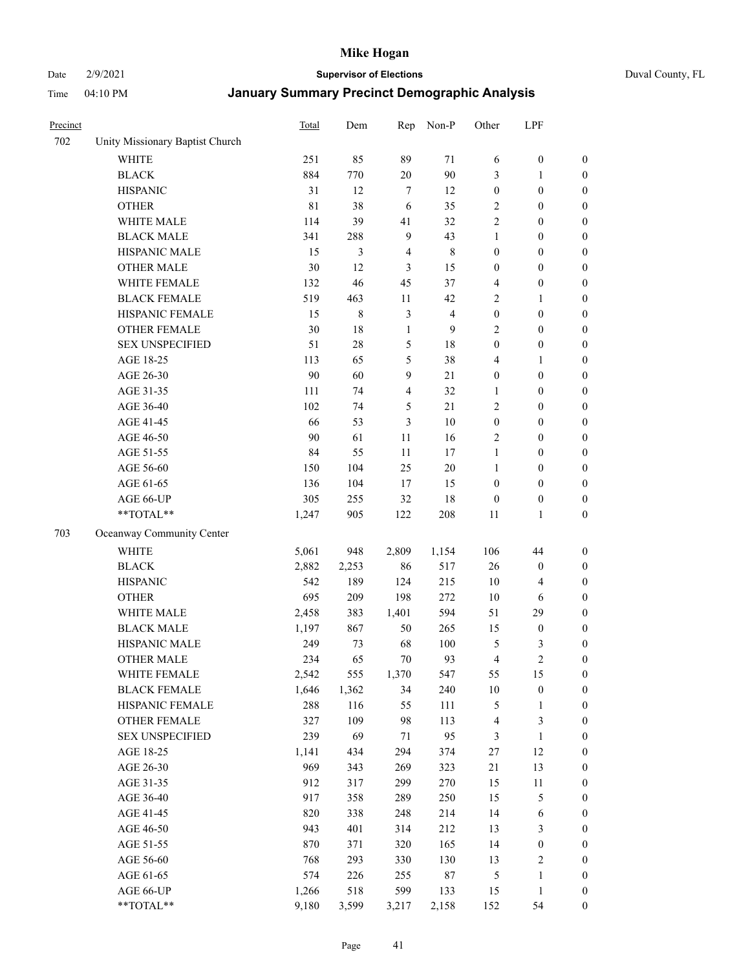Date 2/9/2021 **Supervisor of Elections** Duval County, FL

| Precinct |                                 | <b>Total</b> | Dem   | Rep            | Non-P          | Other            | LPF                     |                  |
|----------|---------------------------------|--------------|-------|----------------|----------------|------------------|-------------------------|------------------|
| 702      | Unity Missionary Baptist Church |              |       |                |                |                  |                         |                  |
|          | <b>WHITE</b>                    | 251          | 85    | 89             | 71             | 6                | $\boldsymbol{0}$        | 0                |
|          | <b>BLACK</b>                    | 884          | 770   | $20\,$         | 90             | 3                | $\mathbf{1}$            | $\boldsymbol{0}$ |
|          | <b>HISPANIC</b>                 | 31           | 12    | $\tau$         | 12             | $\boldsymbol{0}$ | $\boldsymbol{0}$        | $\boldsymbol{0}$ |
|          | <b>OTHER</b>                    | $8\sqrt{1}$  | 38    | 6              | 35             | 2                | $\boldsymbol{0}$        | $\boldsymbol{0}$ |
|          | WHITE MALE                      | 114          | 39    | 41             | 32             | 2                | $\boldsymbol{0}$        | $\boldsymbol{0}$ |
|          | <b>BLACK MALE</b>               | 341          | 288   | $\overline{9}$ | 43             | $\mathbf{1}$     | $\boldsymbol{0}$        | $\boldsymbol{0}$ |
|          | HISPANIC MALE                   | 15           | 3     | $\overline{4}$ | $\,$ 8 $\,$    | $\boldsymbol{0}$ | $\boldsymbol{0}$        | $\boldsymbol{0}$ |
|          | <b>OTHER MALE</b>               | 30           | 12    | 3              | 15             | $\boldsymbol{0}$ | $\boldsymbol{0}$        | $\boldsymbol{0}$ |
|          | WHITE FEMALE                    | 132          | 46    | 45             | 37             | 4                | $\boldsymbol{0}$        | $\boldsymbol{0}$ |
|          | <b>BLACK FEMALE</b>             | 519          | 463   | 11             | 42             | $\sqrt{2}$       | $\mathbf{1}$            | $\boldsymbol{0}$ |
|          | HISPANIC FEMALE                 | 15           | 8     | $\mathfrak{Z}$ | $\overline{4}$ | $\boldsymbol{0}$ | $\boldsymbol{0}$        | $\boldsymbol{0}$ |
|          | <b>OTHER FEMALE</b>             | 30           | 18    | $\mathbf{1}$   | 9              | $\mathbf{2}$     | $\boldsymbol{0}$        | $\boldsymbol{0}$ |
|          | <b>SEX UNSPECIFIED</b>          | 51           | 28    | $\mathfrak{S}$ | $18\,$         | $\boldsymbol{0}$ | $\boldsymbol{0}$        | $\boldsymbol{0}$ |
|          | AGE 18-25                       | 113          | 65    | 5              | 38             | 4                | $\mathbf{1}$            | $\boldsymbol{0}$ |
|          | AGE 26-30                       | 90           | 60    | 9              | 21             | $\boldsymbol{0}$ | $\boldsymbol{0}$        | $\boldsymbol{0}$ |
|          | AGE 31-35                       | 111          | 74    | $\overline{4}$ | 32             | $\mathbf{1}$     | $\boldsymbol{0}$        | $\boldsymbol{0}$ |
|          | AGE 36-40                       | 102          | 74    | $\mathfrak{S}$ | 21             | $\overline{c}$   | $\boldsymbol{0}$        | $\boldsymbol{0}$ |
|          | AGE 41-45                       | 66           | 53    | 3              | $10\,$         | $\boldsymbol{0}$ | $\boldsymbol{0}$        | $\boldsymbol{0}$ |
|          | AGE 46-50                       | 90           | 61    | 11             | 16             | $\mathfrak{2}$   | $\boldsymbol{0}$        | $\boldsymbol{0}$ |
|          | AGE 51-55                       | 84           | 55    | 11             | 17             | $\mathbf{1}$     | $\boldsymbol{0}$        | $\boldsymbol{0}$ |
|          | AGE 56-60                       | 150          | 104   | 25             | 20             | $\mathbf{1}$     | $\boldsymbol{0}$        | 0                |
|          | AGE 61-65                       | 136          | 104   | 17             | 15             | $\boldsymbol{0}$ | $\boldsymbol{0}$        | $\boldsymbol{0}$ |
|          | AGE 66-UP                       | 305          | 255   | 32             | 18             | $\boldsymbol{0}$ | $\boldsymbol{0}$        | $\boldsymbol{0}$ |
|          | **TOTAL**                       | 1,247        | 905   | 122            | 208            | 11               | $\mathbf{1}$            | $\boldsymbol{0}$ |
| 703      | Oceanway Community Center       |              |       |                |                |                  |                         |                  |
|          | <b>WHITE</b>                    | 5,061        | 948   | 2,809          | 1,154          | 106              | 44                      | $\boldsymbol{0}$ |
|          | <b>BLACK</b>                    | 2,882        | 2,253 | 86             | 517            | 26               | $\boldsymbol{0}$        | $\boldsymbol{0}$ |
|          | <b>HISPANIC</b>                 | 542          | 189   | 124            | 215            | 10               | $\overline{\mathbf{4}}$ | $\boldsymbol{0}$ |
|          | <b>OTHER</b>                    | 695          | 209   | 198            | 272            | 10               | 6                       | $\boldsymbol{0}$ |
|          | WHITE MALE                      | 2,458        | 383   | 1,401          | 594            | 51               | 29                      | $\boldsymbol{0}$ |
|          | <b>BLACK MALE</b>               | 1,197        | 867   | 50             | 265            | 15               | $\boldsymbol{0}$        | $\boldsymbol{0}$ |
|          | HISPANIC MALE                   | 249          | 73    | 68             | 100            | 5                | 3                       | $\boldsymbol{0}$ |
|          | <b>OTHER MALE</b>               | 234          | 65    | 70             | 93             | $\overline{4}$   | $\overline{c}$          | $\boldsymbol{0}$ |
|          | WHITE FEMALE                    | 2,542        | 555   | 1,370          | 547            | 55               | 15                      | 0                |
|          | <b>BLACK FEMALE</b>             | 1,646        | 1,362 | 34             | 240            | $10\,$           | $\boldsymbol{0}$        | $\boldsymbol{0}$ |
|          | HISPANIC FEMALE                 | 288          | 116   | 55             | 111            | 5                | $\mathbf{1}$            | $\boldsymbol{0}$ |
|          | OTHER FEMALE                    | 327          | 109   | 98             | 113            | 4                | $\mathfrak{Z}$          | $\overline{0}$   |
|          | <b>SEX UNSPECIFIED</b>          | 239          | 69    | 71             | 95             | 3                | $\mathbf{1}$            | 0                |
|          | AGE 18-25                       | 1,141        | 434   | 294            | 374            | $27\,$           | 12                      | 0                |
|          | AGE 26-30                       | 969          | 343   | 269            | 323            | 21               | 13                      | 0                |
|          | AGE 31-35                       | 912          | 317   | 299            | 270            | 15               | $11\,$                  | 0                |
|          | AGE 36-40                       | 917          | 358   | 289            | 250            | 15               | $\mathfrak{S}$          | 0                |
|          | AGE 41-45                       | 820          | 338   | 248            | 214            | 14               | 6                       | 0                |
|          | AGE 46-50                       | 943          | 401   | 314            | 212            | 13               | 3                       | 0                |
|          | AGE 51-55                       | 870          | 371   | 320            | 165            | 14               | $\boldsymbol{0}$        | 0                |
|          | AGE 56-60                       | 768          | 293   | 330            | 130            | 13               | $\sqrt{2}$              | 0                |
|          | AGE 61-65                       | 574          | 226   | 255            | $87\,$         | 5                | $\mathbf{1}$            | $\boldsymbol{0}$ |
|          | AGE 66-UP                       | 1,266        | 518   | 599            | 133            | 15               | $\mathbf{1}$            | $\boldsymbol{0}$ |
|          | **TOTAL**                       | 9,180        | 3,599 | 3,217          | 2,158          | 152              | 54                      | $\boldsymbol{0}$ |
|          |                                 |              |       |                |                |                  |                         |                  |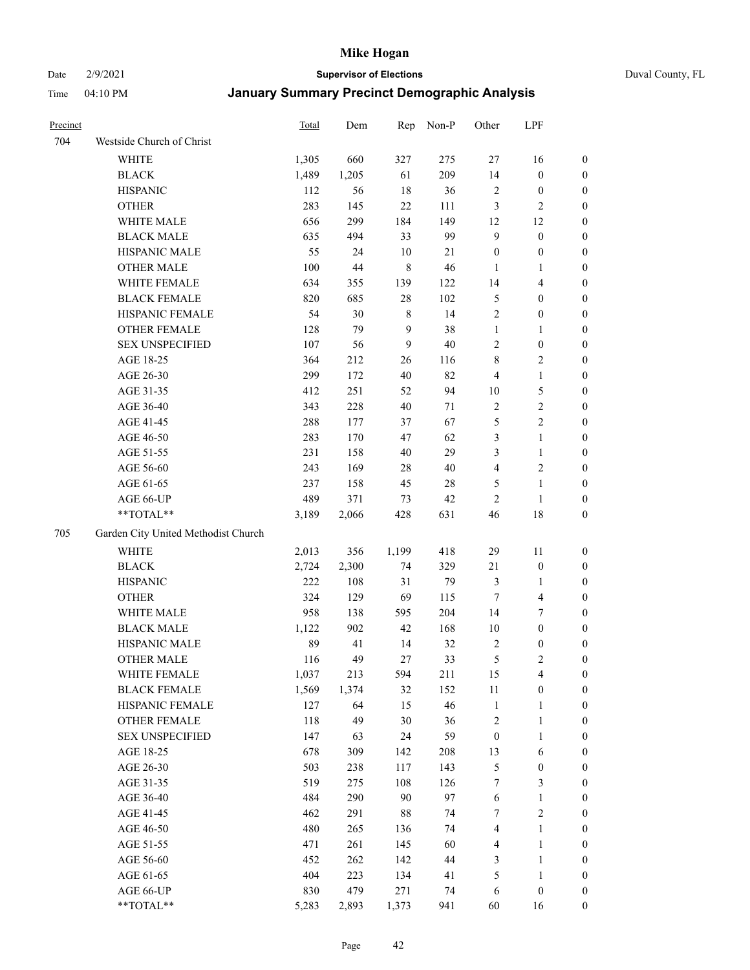Date 2/9/2021 **Supervisor of Elections** Duval County, FL

| Precinct |                                     | Total | Dem    | Rep         | Non-P  | Other            | LPF                     |                  |
|----------|-------------------------------------|-------|--------|-------------|--------|------------------|-------------------------|------------------|
| 704      | Westside Church of Christ           |       |        |             |        |                  |                         |                  |
|          | WHITE                               | 1,305 | 660    | 327         | 275    | 27               | 16                      | 0                |
|          | <b>BLACK</b>                        | 1,489 | 1,205  | 61          | 209    | 14               | $\boldsymbol{0}$        | 0                |
|          | <b>HISPANIC</b>                     | 112   | 56     | 18          | 36     | $\sqrt{2}$       | $\boldsymbol{0}$        | 0                |
|          | <b>OTHER</b>                        | 283   | 145    | $22\,$      | 111    | 3                | $\mathfrak{2}$          | $\boldsymbol{0}$ |
|          | WHITE MALE                          | 656   | 299    | 184         | 149    | 12               | 12                      | $\boldsymbol{0}$ |
|          | <b>BLACK MALE</b>                   | 635   | 494    | 33          | 99     | $\mathbf{9}$     | $\boldsymbol{0}$        | $\boldsymbol{0}$ |
|          | HISPANIC MALE                       | 55    | 24     | 10          | 21     | $\boldsymbol{0}$ | $\boldsymbol{0}$        | $\boldsymbol{0}$ |
|          | <b>OTHER MALE</b>                   | 100   | $44\,$ | $\,$ 8 $\,$ | 46     | $\mathbf{1}$     | $\mathbf{1}$            | $\boldsymbol{0}$ |
|          | WHITE FEMALE                        | 634   | 355    | 139         | 122    | 14               | $\overline{\mathbf{4}}$ | $\boldsymbol{0}$ |
|          | <b>BLACK FEMALE</b>                 | 820   | 685    | $28\,$      | 102    | 5                | $\boldsymbol{0}$        | 0                |
|          | HISPANIC FEMALE                     | 54    | 30     | $\,$ 8 $\,$ | 14     | $\sqrt{2}$       | $\boldsymbol{0}$        | 0                |
|          | OTHER FEMALE                        | 128   | 79     | 9           | 38     | $\mathbf{1}$     | $\mathbf{1}$            | 0                |
|          | <b>SEX UNSPECIFIED</b>              | 107   | 56     | 9           | $40\,$ | $\sqrt{2}$       | $\boldsymbol{0}$        | $\boldsymbol{0}$ |
|          | AGE 18-25                           | 364   | 212    | 26          | 116    | 8                | $\sqrt{2}$              | $\boldsymbol{0}$ |
|          | AGE 26-30                           | 299   | 172    | 40          | 82     | 4                | $\mathbf{1}$            | $\boldsymbol{0}$ |
|          | AGE 31-35                           | 412   | 251    | 52          | 94     | $10\,$           | $\mathfrak{S}$          | $\boldsymbol{0}$ |
|          | AGE 36-40                           | 343   | 228    | $40\,$      | $71\,$ | $\sqrt{2}$       | $\sqrt{2}$              | $\boldsymbol{0}$ |
|          | AGE 41-45                           | 288   | 177    | 37          | 67     | 5                | $\overline{2}$          | $\boldsymbol{0}$ |
|          | AGE 46-50                           | 283   | 170    | 47          | 62     | 3                | $\mathbf{1}$            | $\boldsymbol{0}$ |
|          | AGE 51-55                           | 231   | 158    | 40          | 29     | 3                | $\mathbf{1}$            | 0                |
|          | AGE 56-60                           | 243   | 169    | $28\,$      | $40\,$ | $\overline{4}$   | $\sqrt{2}$              | 0                |
|          | AGE 61-65                           | 237   | 158    | 45          | 28     | 5                | $\mathbf{1}$            | 0                |
|          | AGE 66-UP                           | 489   | 371    | 73          | 42     | $\sqrt{2}$       | $\mathbf{1}$            | 0                |
|          | $**TOTAL**$                         | 3,189 | 2,066  | 428         | 631    | 46               | $18\,$                  | $\boldsymbol{0}$ |
| 705      | Garden City United Methodist Church |       |        |             |        |                  |                         |                  |
|          |                                     |       |        |             |        |                  |                         |                  |
|          | <b>WHITE</b>                        | 2,013 | 356    | 1,199       | 418    | 29               | 11                      | $\boldsymbol{0}$ |
|          | <b>BLACK</b>                        | 2,724 | 2,300  | 74          | 329    | $21\,$           | $\boldsymbol{0}$        | $\boldsymbol{0}$ |
|          | <b>HISPANIC</b>                     | 222   | 108    | 31          | 79     | 3                | $\mathbf{1}$            | $\boldsymbol{0}$ |
|          | <b>OTHER</b>                        | 324   | 129    | 69          | 115    | $\tau$           | $\overline{\mathbf{4}}$ | $\boldsymbol{0}$ |
|          | WHITE MALE                          | 958   | 138    | 595         | 204    | 14               | $\boldsymbol{7}$        | $\boldsymbol{0}$ |
|          | <b>BLACK MALE</b>                   | 1,122 | 902    | 42          | 168    | $10\,$           | $\boldsymbol{0}$        | $\boldsymbol{0}$ |
|          | HISPANIC MALE                       | 89    | 41     | 14          | 32     | $\sqrt{2}$       | $\boldsymbol{0}$        | 0                |
|          | <b>OTHER MALE</b>                   | 116   | 49     | 27          | 33     | $\mathfrak{S}$   | $\mathbf{2}$            | 0                |
|          | WHITE FEMALE                        | 1,037 | 213    | 594         | 211    | 15               | 4                       | 0                |
|          | <b>BLACK FEMALE</b>                 | 1,569 | 1,374  | 32          | 152    | 11               | $\boldsymbol{0}$        | $\boldsymbol{0}$ |
|          | HISPANIC FEMALE                     | 127   | 64     | 15          | 46     | $\mathbf{1}$     | $\mathbf{1}$            | $\boldsymbol{0}$ |
|          | <b>OTHER FEMALE</b>                 | 118   | 49     | $30\,$      | 36     | $\sqrt{2}$       | $\mathbf{1}$            | $\overline{0}$   |
|          | <b>SEX UNSPECIFIED</b>              | 147   | 63     | 24          | 59     | $\boldsymbol{0}$ | $\mathbf{1}$            | 0                |
|          | AGE 18-25                           | 678   | 309    | 142         | 208    | 13               | 6                       | 0                |
|          | AGE 26-30                           | 503   | 238    | 117         | 143    | 5                | $\boldsymbol{0}$        | 0                |
|          | AGE 31-35                           | 519   | 275    | 108         | 126    | 7                | $\mathfrak{Z}$          | 0                |
|          | AGE 36-40                           | 484   | 290    | 90          | 97     | 6                | $\mathbf{1}$            | 0                |
|          | AGE 41-45                           | 462   | 291    | $88\,$      | 74     | 7                | $\sqrt{2}$              | 0                |
|          | AGE 46-50                           | 480   | 265    | 136         | 74     | 4                | $\mathbf{1}$            | 0                |
|          | AGE 51-55                           | 471   | 261    | 145         | 60     | 4                | $\mathbf{1}$            | 0                |
|          | AGE 56-60                           | 452   | 262    | 142         | 44     | 3                | $\mathbf{1}$            | $\boldsymbol{0}$ |
|          | AGE 61-65                           | 404   | 223    | 134         | 41     | 5                | $\mathbf{1}$            | $\boldsymbol{0}$ |
|          | AGE 66-UP                           | 830   | 479    | 271         | 74     | 6                | $\boldsymbol{0}$        | $\boldsymbol{0}$ |
|          | **TOTAL**                           | 5,283 | 2,893  | 1,373       | 941    | 60               | 16                      | $\boldsymbol{0}$ |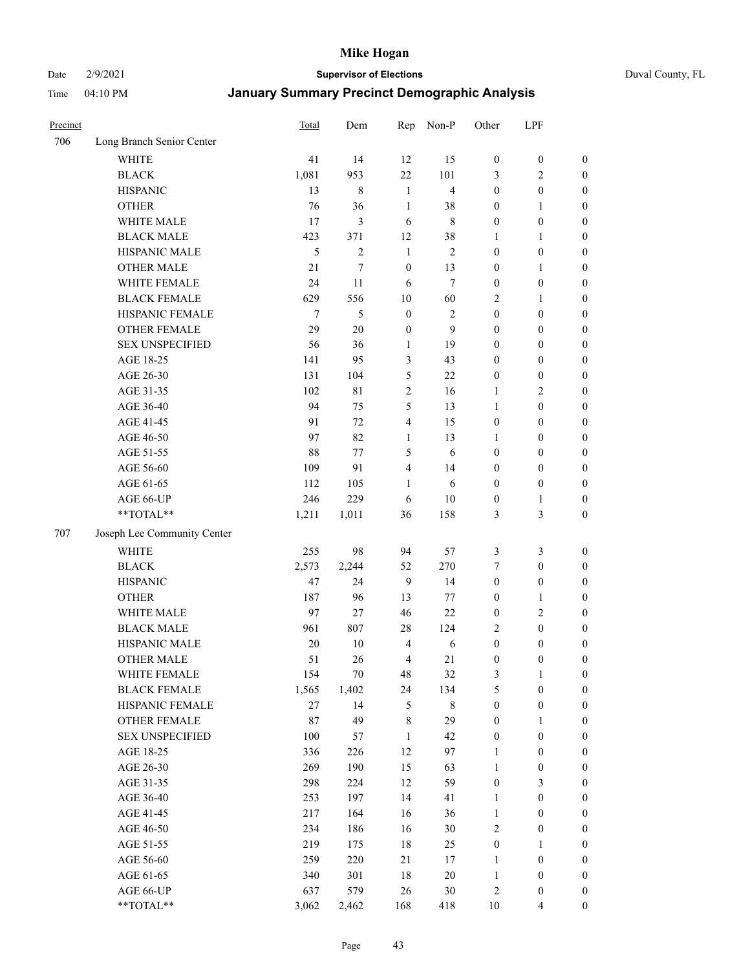Date 2/9/2021 **Supervisor of Elections** Duval County, FL

| Precinct |                             | <b>Total</b> | Dem            | Rep              | Non-P          | Other                            | LPF                                  |                  |
|----------|-----------------------------|--------------|----------------|------------------|----------------|----------------------------------|--------------------------------------|------------------|
| 706      | Long Branch Senior Center   |              |                |                  |                |                                  |                                      |                  |
|          | <b>WHITE</b>                | 41           | 14             | 12               | 15             | $\boldsymbol{0}$                 | $\boldsymbol{0}$                     | $\boldsymbol{0}$ |
|          | <b>BLACK</b>                | 1,081        | 953            | 22               | 101            | 3                                | $\overline{2}$                       | $\boldsymbol{0}$ |
|          | <b>HISPANIC</b>             | 13           | 8              | $\mathbf{1}$     | $\overline{4}$ | $\boldsymbol{0}$                 | $\boldsymbol{0}$                     | $\boldsymbol{0}$ |
|          | <b>OTHER</b>                | 76           | 36             | $\mathbf{1}$     | 38             | $\boldsymbol{0}$                 | $\mathbf{1}$                         | $\boldsymbol{0}$ |
|          | WHITE MALE                  | 17           | 3              | 6                | $\,$ 8 $\,$    | $\boldsymbol{0}$                 | $\boldsymbol{0}$                     | $\boldsymbol{0}$ |
|          | <b>BLACK MALE</b>           | 423          | 371            | 12               | 38             | 1                                | $\mathbf{1}$                         | $\boldsymbol{0}$ |
|          | HISPANIC MALE               | 5            | $\overline{2}$ | $\mathbf{1}$     | 2              | $\boldsymbol{0}$                 | $\boldsymbol{0}$                     | $\boldsymbol{0}$ |
|          | <b>OTHER MALE</b>           | 21           | 7              | $\boldsymbol{0}$ | 13             | $\boldsymbol{0}$                 | $\mathbf{1}$                         | $\boldsymbol{0}$ |
|          | WHITE FEMALE                | 24           | 11             | 6                | $\tau$         | $\boldsymbol{0}$                 | $\boldsymbol{0}$                     | $\boldsymbol{0}$ |
|          | <b>BLACK FEMALE</b>         | 629          | 556            | $10\,$           | 60             | $\overline{c}$                   | $\mathbf{1}$                         | $\boldsymbol{0}$ |
|          | HISPANIC FEMALE             | $\tau$       | 5              | $\boldsymbol{0}$ | $\mathbf{2}$   | $\boldsymbol{0}$                 | $\boldsymbol{0}$                     | 0                |
|          | <b>OTHER FEMALE</b>         | 29           | 20             | $\boldsymbol{0}$ | 9              | $\boldsymbol{0}$                 | $\boldsymbol{0}$                     | $\boldsymbol{0}$ |
|          | <b>SEX UNSPECIFIED</b>      | 56           | 36             | $\mathbf{1}$     | 19             | $\boldsymbol{0}$                 | $\boldsymbol{0}$                     | $\boldsymbol{0}$ |
|          | AGE 18-25                   | 141          | 95             | 3                | 43             | $\boldsymbol{0}$                 | $\boldsymbol{0}$                     | $\boldsymbol{0}$ |
|          | AGE 26-30                   | 131          | 104            | 5                | 22             | $\boldsymbol{0}$                 | $\boldsymbol{0}$                     | $\boldsymbol{0}$ |
|          | AGE 31-35                   | 102          | 81             | $\sqrt{2}$       | 16             | $\mathbf{1}$                     | $\sqrt{2}$                           | $\boldsymbol{0}$ |
|          | AGE 36-40                   | 94           | 75             | $\mathfrak s$    | 13             | $\mathbf{1}$                     | $\boldsymbol{0}$                     | $\boldsymbol{0}$ |
|          | AGE 41-45                   | 91           | 72             | $\overline{4}$   | 15             | $\boldsymbol{0}$                 | $\boldsymbol{0}$                     | $\boldsymbol{0}$ |
|          | AGE 46-50                   | 97           | 82             | $\mathbf{1}$     | 13             | 1                                | $\boldsymbol{0}$                     | $\boldsymbol{0}$ |
|          | AGE 51-55                   | 88           | 77             | 5                | 6              | $\boldsymbol{0}$                 | $\boldsymbol{0}$                     | $\boldsymbol{0}$ |
|          | AGE 56-60                   | 109          | 91             | $\overline{4}$   | 14             | $\boldsymbol{0}$                 | $\boldsymbol{0}$                     | 0                |
|          | AGE 61-65                   | 112          | 105            | 1                | 6              | $\boldsymbol{0}$                 | $\boldsymbol{0}$                     | 0                |
|          | AGE 66-UP                   | 246          | 229            | 6                | $10\,$         | $\boldsymbol{0}$                 | $\mathbf{1}$                         | $\boldsymbol{0}$ |
|          | $**TOTAL**$                 | 1,211        | 1,011          | 36               | 158            | 3                                | $\mathfrak{Z}$                       | $\boldsymbol{0}$ |
| 707      | Joseph Lee Community Center |              |                |                  |                |                                  |                                      |                  |
|          |                             |              |                |                  |                |                                  |                                      |                  |
|          | <b>WHITE</b>                | 255          | 98             | 94               | 57             | 3                                | $\mathfrak{Z}$                       | $\boldsymbol{0}$ |
|          | <b>BLACK</b>                | 2,573        | 2,244          | 52               | 270            | 7                                | $\boldsymbol{0}$                     | $\boldsymbol{0}$ |
|          | <b>HISPANIC</b>             | 47           | 24             | 9                | 14             | $\boldsymbol{0}$                 | $\boldsymbol{0}$                     | $\boldsymbol{0}$ |
|          | <b>OTHER</b>                | 187          | 96             | 13               | 77             | $\boldsymbol{0}$                 | $\mathbf{1}$                         | $\boldsymbol{0}$ |
|          | WHITE MALE                  | 97           | 27             | 46               | 22             | $\boldsymbol{0}$                 | $\mathfrak{2}$                       | $\boldsymbol{0}$ |
|          | <b>BLACK MALE</b>           | 961          | 807            | $28\,$           | 124            | $\overline{c}$                   | $\boldsymbol{0}$                     | $\boldsymbol{0}$ |
|          | HISPANIC MALE               | 20           | $10\,$         | $\overline{4}$   | 6              | $\boldsymbol{0}$                 | $\boldsymbol{0}$                     | $\boldsymbol{0}$ |
|          | <b>OTHER MALE</b>           | 51           | 26             | $\overline{4}$   | 21             | $\boldsymbol{0}$                 | $\boldsymbol{0}$                     | $\boldsymbol{0}$ |
|          | WHITE FEMALE                | 154          | 70             | 48               | 32             | 3                                | 1                                    | 0                |
|          | <b>BLACK FEMALE</b>         | 1,565        | 1,402          | 24               | 134            | 5                                | $\boldsymbol{0}$                     | $\boldsymbol{0}$ |
|          | HISPANIC FEMALE             | $27\,$       | 14             | $\mathfrak{S}$   | $8\,$          | $\boldsymbol{0}$                 | $\boldsymbol{0}$                     | $\overline{0}$   |
|          | OTHER FEMALE                | 87           | 49             | $8\,$            | 29             | $\boldsymbol{0}$                 | $\mathbf{1}$                         | $\overline{0}$   |
|          | <b>SEX UNSPECIFIED</b>      | 100          | 57             | $\mathbf{1}$     | 42             | $\boldsymbol{0}$                 | $\boldsymbol{0}$                     | $\overline{0}$   |
|          | AGE 18-25                   | 336          | 226            | 12               | 97             | $\mathbf{1}$                     | $\boldsymbol{0}$                     | $\overline{0}$   |
|          | AGE 26-30                   | 269          | 190<br>224     | 15<br>12         | 63<br>59       | $\mathbf{1}$<br>$\boldsymbol{0}$ | $\boldsymbol{0}$<br>$\mathfrak{Z}$   | 0                |
|          | AGE 31-35                   | 298          |                |                  |                |                                  |                                      | 0                |
|          | AGE 36-40                   | 253<br>217   | 197<br>164     | 14<br>16         | 41<br>36       | $\mathbf{1}$<br>$\mathbf{1}$     | $\boldsymbol{0}$<br>$\boldsymbol{0}$ | 0                |
|          | AGE 41-45                   |              |                |                  |                |                                  |                                      | 0                |
|          | AGE 46-50                   | 234          | 186            | 16               | 30             | $\sqrt{2}$                       | $\boldsymbol{0}$                     | 0                |
|          | AGE 51-55                   | 219          | 175            | 18               | 25             | $\boldsymbol{0}$                 | $\mathbf{1}$                         | $\boldsymbol{0}$ |
|          | AGE 56-60                   | 259          | 220            | 21               | 17             | 1                                | $\boldsymbol{0}$                     | $\boldsymbol{0}$ |
|          | AGE 61-65                   | 340          | 301            | $18\,$           | 20             | $\mathbf{1}$                     | $\boldsymbol{0}$                     | $\boldsymbol{0}$ |
|          | AGE 66-UP                   | 637          | 579            | 26               | 30             | $\overline{c}$                   | $\boldsymbol{0}$                     | $\boldsymbol{0}$ |
|          | **TOTAL**                   | 3,062        | 2,462          | 168              | 418            | 10                               | $\overline{4}$                       | $\boldsymbol{0}$ |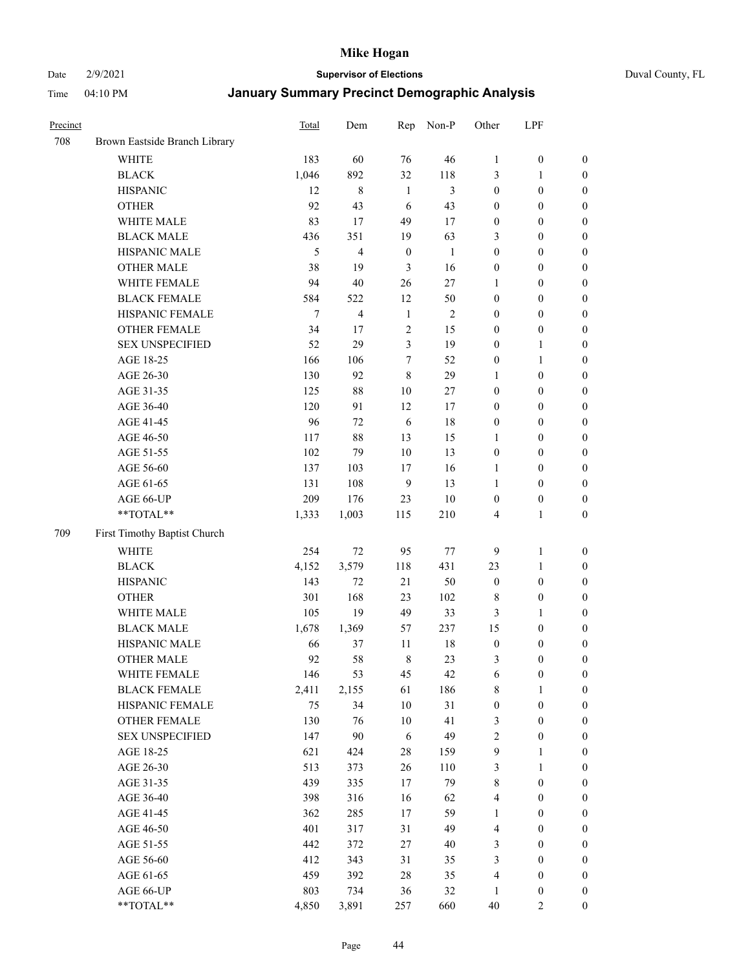Date 2/9/2021 **Supervisor of Elections** Duval County, FL

| Precinct |                               | Total  | Dem         | Rep              | Non-P          | Other            | LPF              |                  |
|----------|-------------------------------|--------|-------------|------------------|----------------|------------------|------------------|------------------|
| 708      | Brown Eastside Branch Library |        |             |                  |                |                  |                  |                  |
|          | <b>WHITE</b>                  | 183    | 60          | 76               | 46             | $\mathbf{1}$     | $\boldsymbol{0}$ | $\boldsymbol{0}$ |
|          | <b>BLACK</b>                  | 1,046  | 892         | 32               | 118            | 3                | $\mathbf{1}$     | $\boldsymbol{0}$ |
|          | <b>HISPANIC</b>               | 12     | $\,$ 8 $\,$ | $\mathbf{1}$     | $\mathfrak{Z}$ | $\boldsymbol{0}$ | $\boldsymbol{0}$ | $\boldsymbol{0}$ |
|          | <b>OTHER</b>                  | 92     | 43          | 6                | 43             | $\boldsymbol{0}$ | $\boldsymbol{0}$ | $\boldsymbol{0}$ |
|          | WHITE MALE                    | 83     | 17          | 49               | 17             | $\boldsymbol{0}$ | $\boldsymbol{0}$ | $\boldsymbol{0}$ |
|          | <b>BLACK MALE</b>             | 436    | 351         | 19               | 63             | 3                | $\boldsymbol{0}$ | $\boldsymbol{0}$ |
|          | HISPANIC MALE                 | 5      | 4           | $\boldsymbol{0}$ | 1              | $\boldsymbol{0}$ | $\boldsymbol{0}$ | $\boldsymbol{0}$ |
|          | <b>OTHER MALE</b>             | 38     | 19          | 3                | 16             | $\boldsymbol{0}$ | $\boldsymbol{0}$ | $\boldsymbol{0}$ |
|          | WHITE FEMALE                  | 94     | $40\,$      | 26               | 27             | 1                | $\boldsymbol{0}$ | $\boldsymbol{0}$ |
|          | <b>BLACK FEMALE</b>           | 584    | 522         | 12               | 50             | $\boldsymbol{0}$ | $\boldsymbol{0}$ | $\boldsymbol{0}$ |
|          | HISPANIC FEMALE               | $\tau$ | 4           | $\mathbf{1}$     | $\sqrt{2}$     | $\boldsymbol{0}$ | $\boldsymbol{0}$ | 0                |
|          | <b>OTHER FEMALE</b>           | 34     | 17          | $\overline{2}$   | 15             | $\boldsymbol{0}$ | $\boldsymbol{0}$ | $\boldsymbol{0}$ |
|          | <b>SEX UNSPECIFIED</b>        | 52     | 29          | $\mathfrak{Z}$   | 19             | $\boldsymbol{0}$ | $\mathbf{1}$     | $\boldsymbol{0}$ |
|          | AGE 18-25                     | 166    | 106         | $\tau$           | 52             | $\boldsymbol{0}$ | $\mathbf{1}$     | $\boldsymbol{0}$ |
|          | AGE 26-30                     | 130    | 92          | $\,8\,$          | 29             | $\mathbf{1}$     | $\boldsymbol{0}$ | $\boldsymbol{0}$ |
|          | AGE 31-35                     | 125    | 88          | 10               | 27             | $\boldsymbol{0}$ | $\boldsymbol{0}$ | $\boldsymbol{0}$ |
|          | AGE 36-40                     | 120    | 91          | 12               | 17             | $\boldsymbol{0}$ | $\boldsymbol{0}$ | $\boldsymbol{0}$ |
|          | AGE 41-45                     | 96     | 72          | $\sqrt{6}$       | 18             | $\boldsymbol{0}$ | $\boldsymbol{0}$ | $\boldsymbol{0}$ |
|          | AGE 46-50                     | 117    | 88          | 13               | 15             | 1                | $\boldsymbol{0}$ | $\boldsymbol{0}$ |
|          | AGE 51-55                     | 102    | 79          | 10               | 13             | $\boldsymbol{0}$ | $\boldsymbol{0}$ | $\boldsymbol{0}$ |
|          | AGE 56-60                     | 137    | 103         | 17               | 16             | 1                | $\boldsymbol{0}$ | 0                |
|          | AGE 61-65                     | 131    | 108         | 9                | 13             | 1                | $\boldsymbol{0}$ | 0                |
|          | AGE 66-UP                     | 209    | 176         | 23               | $10\,$         | $\boldsymbol{0}$ | $\boldsymbol{0}$ | $\boldsymbol{0}$ |
|          | $**TOTAL**$                   | 1,333  | 1,003       | 115              | 210            | 4                | $\mathbf{1}$     | $\boldsymbol{0}$ |
| 709      | First Timothy Baptist Church  |        |             |                  |                |                  |                  |                  |
|          | WHITE                         | 254    | $72\,$      | 95               | $77\,$         | 9                | $\mathbf{1}$     | $\boldsymbol{0}$ |
|          | <b>BLACK</b>                  | 4,152  | 3,579       | 118              | 431            | 23               | $\mathbf{1}$     | $\boldsymbol{0}$ |
|          | <b>HISPANIC</b>               | 143    | 72          | 21               | 50             | $\boldsymbol{0}$ | $\boldsymbol{0}$ | $\boldsymbol{0}$ |
|          | <b>OTHER</b>                  | 301    | 168         | 23               | 102            | $\,$ 8 $\,$      | $\boldsymbol{0}$ | $\boldsymbol{0}$ |
|          | WHITE MALE                    | 105    | 19          | 49               | 33             | 3                | $\mathbf{1}$     | $\boldsymbol{0}$ |
|          | <b>BLACK MALE</b>             | 1,678  | 1,369       | 57               | 237            | 15               | $\boldsymbol{0}$ | $\boldsymbol{0}$ |
|          | HISPANIC MALE                 | 66     | 37          | 11               | 18             | $\boldsymbol{0}$ | $\boldsymbol{0}$ | $\boldsymbol{0}$ |
|          | <b>OTHER MALE</b>             | 92     | 58          | $\,8\,$          | 23             | 3                | $\boldsymbol{0}$ | $\boldsymbol{0}$ |
|          | WHITE FEMALE                  | 146    | 53          | 45               | 42             | 6                | $\boldsymbol{0}$ | 0                |
|          | <b>BLACK FEMALE</b>           | 2,411  | 2,155       | 61               | 186            | 8                | $\mathbf{1}$     | $\boldsymbol{0}$ |
|          | HISPANIC FEMALE               | 75     | 34          | $10\,$           | 31             | $\boldsymbol{0}$ | $\boldsymbol{0}$ | $\overline{0}$   |
|          | OTHER FEMALE                  | 130    | 76          | 10               | 41             | 3                | $\boldsymbol{0}$ | $\overline{0}$   |
|          | <b>SEX UNSPECIFIED</b>        | 147    | 90          | 6                | 49             | 2                | $\boldsymbol{0}$ | $\overline{0}$   |
|          | AGE 18-25                     | 621    | 424         | $28\,$           | 159            | 9                | $\mathbf{1}$     | $\overline{0}$   |
|          | AGE 26-30                     | 513    | 373         | 26               | 110            | 3                | $\mathbf{1}$     | $\overline{0}$   |
|          | AGE 31-35                     | 439    | 335         | 17               | 79             | $\,$ $\,$        | $\boldsymbol{0}$ | 0                |
|          | AGE 36-40                     | 398    | 316         | 16               | 62             | 4                | $\boldsymbol{0}$ | 0                |
|          | AGE 41-45                     | 362    | 285         | 17               | 59             | $\mathbf{1}$     | $\boldsymbol{0}$ | 0                |
|          | AGE 46-50                     | 401    | 317         | 31               | 49             | 4                | $\boldsymbol{0}$ | 0                |
|          | AGE 51-55                     | 442    | 372         | 27               | $40\,$         | 3                | $\boldsymbol{0}$ | $\boldsymbol{0}$ |
|          | AGE 56-60                     | 412    | 343         | 31               | 35             | 3                | $\boldsymbol{0}$ | $\boldsymbol{0}$ |
|          | AGE 61-65                     | 459    | 392         | 28               | 35             | 4                | $\boldsymbol{0}$ | $\boldsymbol{0}$ |
|          | AGE 66-UP                     | 803    | 734         | 36               | 32             | $\mathbf{1}$     | $\boldsymbol{0}$ | $\boldsymbol{0}$ |
|          | **TOTAL**                     | 4,850  | 3,891       | 257              | 660            | $40\,$           | $\mathbf{2}$     | $\boldsymbol{0}$ |
|          |                               |        |             |                  |                |                  |                  |                  |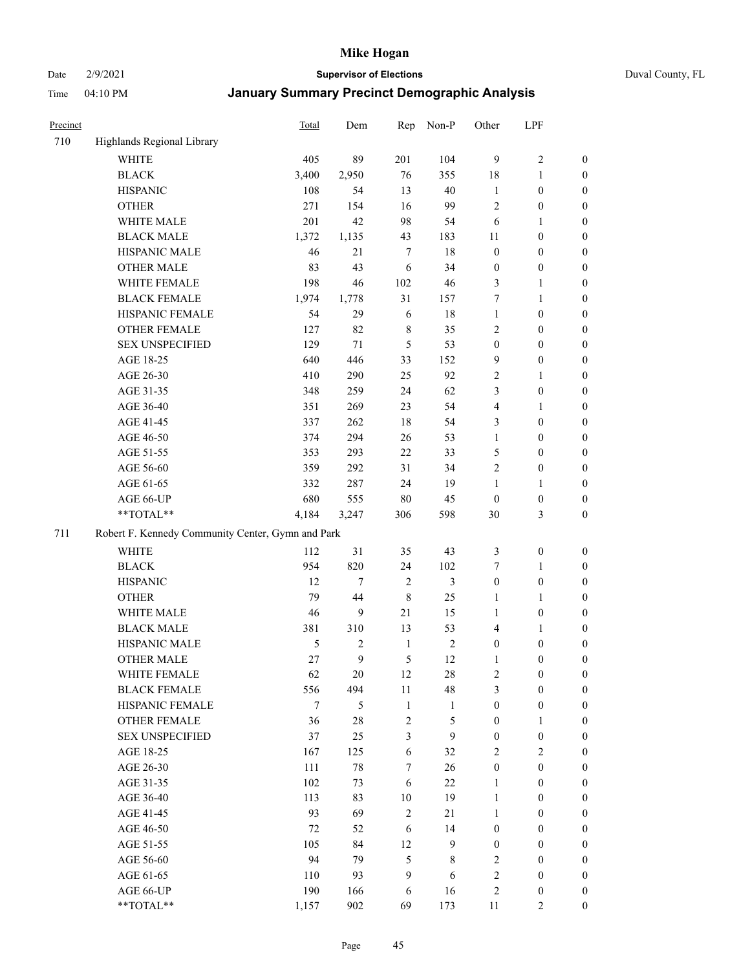Date 2/9/2021 **Supervisor of Elections** Duval County, FL

| Precinct |                                                   | <b>Total</b>  | Dem            | Rep                          | Non-P        | Other                            | LPF                                  |                                      |
|----------|---------------------------------------------------|---------------|----------------|------------------------------|--------------|----------------------------------|--------------------------------------|--------------------------------------|
| 710      | Highlands Regional Library                        |               |                |                              |              |                                  |                                      |                                      |
|          | <b>WHITE</b>                                      | 405           | 89             | 201                          | 104          | 9                                | $\sqrt{2}$                           | 0                                    |
|          | <b>BLACK</b>                                      | 3,400         | 2,950          | 76                           | 355          | 18                               | $\mathbf{1}$                         | 0                                    |
|          | <b>HISPANIC</b>                                   | 108           | 54             | 13                           | 40           | $\mathbf{1}$                     | $\boldsymbol{0}$                     | $\boldsymbol{0}$                     |
|          | <b>OTHER</b>                                      | 271           | 154            | 16                           | 99           | $\overline{c}$                   | $\boldsymbol{0}$                     | $\boldsymbol{0}$                     |
|          | WHITE MALE                                        | 201           | 42             | 98                           | 54           | 6                                | $\mathbf{1}$                         | $\boldsymbol{0}$                     |
|          | <b>BLACK MALE</b>                                 | 1,372         | 1,135          | 43                           | 183          | 11                               | $\boldsymbol{0}$                     | $\boldsymbol{0}$                     |
|          | HISPANIC MALE                                     | 46            | 21             | $\tau$                       | $18\,$       | $\boldsymbol{0}$                 | $\boldsymbol{0}$                     | $\boldsymbol{0}$                     |
|          | <b>OTHER MALE</b>                                 | 83            | 43             | 6                            | 34           | $\boldsymbol{0}$                 | $\boldsymbol{0}$                     | $\boldsymbol{0}$                     |
|          | WHITE FEMALE                                      | 198           | 46             | 102                          | 46           | 3                                | $\mathbf{1}$                         | $\boldsymbol{0}$                     |
|          | <b>BLACK FEMALE</b>                               | 1,974         | 1,778          | 31                           | 157          | 7                                | $\mathbf{1}$                         | $\boldsymbol{0}$                     |
|          | HISPANIC FEMALE                                   | 54            | 29             | 6                            | 18           | $\mathbf{1}$                     | $\boldsymbol{0}$                     | 0                                    |
|          | <b>OTHER FEMALE</b>                               | 127           | 82             | $\,$ 8 $\,$                  | 35           | $\mathbf{2}$                     | $\boldsymbol{0}$                     | $\boldsymbol{0}$                     |
|          | <b>SEX UNSPECIFIED</b>                            | 129           | 71             | 5                            | 53           | $\boldsymbol{0}$                 | $\boldsymbol{0}$                     | $\boldsymbol{0}$                     |
|          | AGE 18-25                                         | 640           | 446            | 33                           | 152          | 9                                | $\boldsymbol{0}$                     | $\boldsymbol{0}$                     |
|          | AGE 26-30                                         | 410           | 290            | 25                           | 92           | 2                                | $\mathbf{1}$                         | $\boldsymbol{0}$                     |
|          | AGE 31-35                                         | 348           | 259            | 24                           | 62           | 3                                | $\boldsymbol{0}$                     | $\boldsymbol{0}$                     |
|          | AGE 36-40                                         | 351           | 269            | 23                           | 54           | 4                                | $\mathbf{1}$                         | $\boldsymbol{0}$                     |
|          | AGE 41-45                                         | 337           | 262            | 18                           | 54           | 3                                | $\boldsymbol{0}$                     | $\boldsymbol{0}$                     |
|          | AGE 46-50                                         | 374           | 294            | 26                           | 53           | $\mathbf{1}$                     | $\boldsymbol{0}$                     | $\boldsymbol{0}$                     |
|          | AGE 51-55                                         | 353           | 293            | 22                           | 33           | 5                                | $\boldsymbol{0}$                     | $\boldsymbol{0}$                     |
|          | AGE 56-60                                         | 359           | 292            | 31                           | 34           | $\overline{c}$                   | $\boldsymbol{0}$                     | 0                                    |
|          | AGE 61-65                                         | 332           | 287            | 24                           | 19           | $\mathbf{1}$                     | $\mathbf{1}$                         | 0                                    |
|          | AGE 66-UP                                         | 680           | 555            | $80\,$                       | 45           | $\boldsymbol{0}$                 | $\boldsymbol{0}$                     | $\boldsymbol{0}$                     |
|          | $**TOTAL**$                                       | 4,184         | 3,247          | 306                          | 598          | 30                               | $\mathfrak{Z}$                       | $\boldsymbol{0}$                     |
| 711      | Robert F. Kennedy Community Center, Gymn and Park |               |                |                              |              |                                  |                                      |                                      |
|          | WHITE                                             | 112           | 31             | 35                           | 43           | 3                                | $\boldsymbol{0}$                     | $\boldsymbol{0}$                     |
|          | <b>BLACK</b>                                      | 954           | 820            | 24                           | 102          | 7                                | $\mathbf{1}$                         | $\boldsymbol{0}$                     |
|          | <b>HISPANIC</b>                                   | 12            | $\tau$         | $\sqrt{2}$                   | 3            | $\boldsymbol{0}$                 | $\boldsymbol{0}$                     | $\boldsymbol{0}$                     |
|          |                                                   | 79            | 44             | $\,$ 8 $\,$                  | 25           | $\mathbf{1}$                     | $\mathbf{1}$                         | $\boldsymbol{0}$                     |
|          | <b>OTHER</b><br>WHITE MALE                        | 46            | 9              | 21                           | 15           |                                  | $\boldsymbol{0}$                     |                                      |
|          | <b>BLACK MALE</b>                                 | 381           | 310            | 13                           | 53           | $\mathbf{1}$<br>4                |                                      | $\boldsymbol{0}$<br>$\boldsymbol{0}$ |
|          | HISPANIC MALE                                     | $\mathfrak s$ | $\overline{c}$ |                              | $\sqrt{2}$   |                                  | $\mathbf{1}$                         |                                      |
|          | <b>OTHER MALE</b>                                 | 27            | 9              | $\mathbf{1}$<br>5            | 12           | $\boldsymbol{0}$<br>$\mathbf{1}$ | $\boldsymbol{0}$<br>$\boldsymbol{0}$ | $\boldsymbol{0}$<br>$\boldsymbol{0}$ |
|          |                                                   |               |                |                              |              |                                  |                                      |                                      |
|          | WHITE FEMALE                                      | 62            | 20             | 12                           | 28           | 2                                | $\boldsymbol{0}$                     | 0                                    |
|          | <b>BLACK FEMALE</b>                               | 556           | 494            | 11                           | 48           | 3                                | $\boldsymbol{0}$                     | $\overline{0}$                       |
|          | HISPANIC FEMALE                                   | 7             | 5              | $\mathbf{1}$                 | $\mathbf{1}$ | $\boldsymbol{0}$                 | $\boldsymbol{0}$                     | $\overline{0}$                       |
|          | <b>OTHER FEMALE</b>                               | 36            | 28             | $\sqrt{2}$<br>$\mathfrak{Z}$ | 5<br>9       | $\boldsymbol{0}$                 | $\mathbf{1}$                         | $\overline{0}$                       |
|          | <b>SEX UNSPECIFIED</b>                            | 37            | 25             |                              |              | $\boldsymbol{0}$                 | $\boldsymbol{0}$                     | $\overline{0}$                       |
|          | AGE 18-25                                         | 167           | 125            | 6                            | 32           | $\mathbf{2}$                     | $\mathbf{2}$                         | $\overline{0}$                       |
|          | AGE 26-30                                         | 111           | 78             | 7                            | 26           | $\boldsymbol{0}$                 | $\boldsymbol{0}$                     | $\overline{0}$                       |
|          | AGE 31-35                                         | 102           | 73             | 6                            | 22           | $\mathbf{1}$                     | $\boldsymbol{0}$                     | 0                                    |
|          | AGE 36-40                                         | 113           | 83             | $10\,$                       | 19           | $\mathbf{1}$                     | $\boldsymbol{0}$                     | 0                                    |
|          | AGE 41-45                                         | 93            | 69             | $\mathbf{2}$                 | 21           | $\mathbf{1}$                     | $\boldsymbol{0}$                     | 0                                    |
|          | AGE 46-50                                         | 72            | 52             | 6                            | 14           | $\boldsymbol{0}$                 | $\boldsymbol{0}$                     | 0                                    |
|          | AGE 51-55                                         | 105           | 84             | 12                           | 9            | $\boldsymbol{0}$                 | $\boldsymbol{0}$                     | $\boldsymbol{0}$                     |
|          | AGE 56-60                                         | 94            | 79             | 5                            | 8            | $\mathbf{2}$                     | $\boldsymbol{0}$                     | $\boldsymbol{0}$                     |
|          | AGE 61-65                                         | 110           | 93             | 9                            | 6            | 2                                | $\boldsymbol{0}$                     | $\boldsymbol{0}$                     |
|          | AGE 66-UP                                         | 190           | 166            | 6                            | 16           | 2                                | $\boldsymbol{0}$                     | $\boldsymbol{0}$                     |
|          | **TOTAL**                                         | 1,157         | 902            | 69                           | 173          | 11                               | $\overline{2}$                       | $\boldsymbol{0}$                     |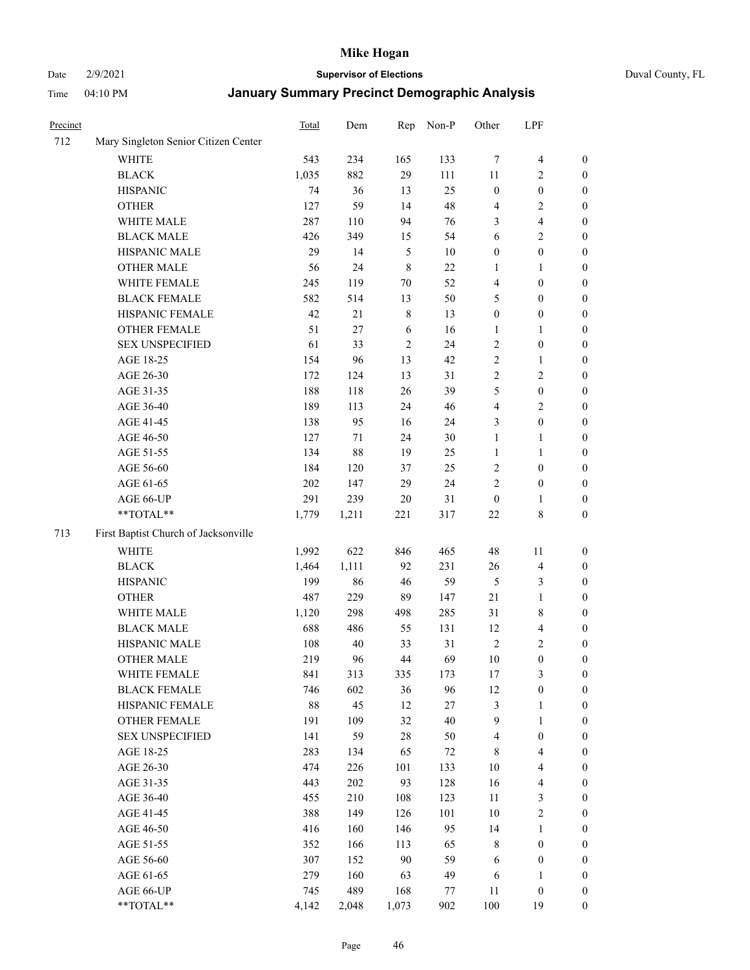Date 2/9/2021 **Supervisor of Elections** Duval County, FL

| Precinct |                                      | <b>Total</b> | Dem   | Rep         | Non-P  | Other            | LPF                     |                  |
|----------|--------------------------------------|--------------|-------|-------------|--------|------------------|-------------------------|------------------|
| 712      | Mary Singleton Senior Citizen Center |              |       |             |        |                  |                         |                  |
|          | <b>WHITE</b>                         | 543          | 234   | 165         | 133    | $\tau$           | $\overline{\mathbf{4}}$ | 0                |
|          | <b>BLACK</b>                         | 1,035        | 882   | 29          | 111    | 11               | $\overline{c}$          | 0                |
|          | <b>HISPANIC</b>                      | 74           | 36    | 13          | 25     | $\boldsymbol{0}$ | $\boldsymbol{0}$        | $\boldsymbol{0}$ |
|          | <b>OTHER</b>                         | 127          | 59    | 14          | 48     | 4                | $\sqrt{2}$              | $\boldsymbol{0}$ |
|          | WHITE MALE                           | 287          | 110   | 94          | 76     | 3                | $\overline{\mathbf{4}}$ | $\boldsymbol{0}$ |
|          | <b>BLACK MALE</b>                    | 426          | 349   | 15          | 54     | 6                | $\sqrt{2}$              | $\boldsymbol{0}$ |
|          | HISPANIC MALE                        | 29           | 14    | $\sqrt{5}$  | 10     | $\boldsymbol{0}$ | $\boldsymbol{0}$        | $\boldsymbol{0}$ |
|          | <b>OTHER MALE</b>                    | 56           | 24    | $\,$ 8 $\,$ | 22     | $\mathbf{1}$     | $\mathbf{1}$            | $\boldsymbol{0}$ |
|          | WHITE FEMALE                         | 245          | 119   | $70\,$      | 52     | 4                | $\boldsymbol{0}$        | $\boldsymbol{0}$ |
|          | <b>BLACK FEMALE</b>                  | 582          | 514   | 13          | 50     | 5                | $\boldsymbol{0}$        | 0                |
|          | HISPANIC FEMALE                      | 42           | 21    | $\,$ 8 $\,$ | 13     | $\boldsymbol{0}$ | $\boldsymbol{0}$        | 0                |
|          | OTHER FEMALE                         | 51           | 27    | 6           | 16     | 1                | $\mathbf{1}$            | 0                |
|          | <b>SEX UNSPECIFIED</b>               | 61           | 33    | $\sqrt{2}$  | 24     | $\sqrt{2}$       | $\boldsymbol{0}$        | $\boldsymbol{0}$ |
|          | AGE 18-25                            | 154          | 96    | 13          | 42     | $\sqrt{2}$       | $\mathbf{1}$            | $\boldsymbol{0}$ |
|          | AGE 26-30                            | 172          | 124   | 13          | 31     | $\overline{c}$   | $\sqrt{2}$              | $\boldsymbol{0}$ |
|          | AGE 31-35                            | 188          | 118   | 26          | 39     | 5                | $\boldsymbol{0}$        | $\boldsymbol{0}$ |
|          | AGE 36-40                            | 189          | 113   | 24          | 46     | 4                | $\sqrt{2}$              | $\boldsymbol{0}$ |
|          | AGE 41-45                            | 138          | 95    | 16          | 24     | 3                | $\boldsymbol{0}$        | $\boldsymbol{0}$ |
|          | AGE 46-50                            | 127          | 71    | 24          | 30     | $\mathbf{1}$     | $\mathbf{1}$            | $\boldsymbol{0}$ |
|          | AGE 51-55                            | 134          | 88    | 19          | 25     | 1                | $\mathbf{1}$            | 0                |
|          | AGE 56-60                            | 184          | 120   | 37          | 25     | $\sqrt{2}$       | $\boldsymbol{0}$        | 0                |
|          | AGE 61-65                            | 202          | 147   | 29          | 24     | $\mathfrak{2}$   | $\boldsymbol{0}$        | 0                |
|          | AGE 66-UP                            | 291          | 239   | $20\,$      | 31     | $\boldsymbol{0}$ | $\mathbf{1}$            | 0                |
|          | **TOTAL**                            | 1,779        | 1,211 | 221         | 317    | 22               | $\,$ 8 $\,$             | $\boldsymbol{0}$ |
|          |                                      |              |       |             |        |                  |                         |                  |
| 713      | First Baptist Church of Jacksonville |              |       |             |        |                  |                         |                  |
|          | <b>WHITE</b>                         | 1,992        | 622   | 846         | 465    | 48               | 11                      | $\boldsymbol{0}$ |
|          | <b>BLACK</b>                         | 1,464        | 1,111 | 92          | 231    | 26               | $\overline{\mathbf{4}}$ | $\boldsymbol{0}$ |
|          | <b>HISPANIC</b>                      | 199          | 86    | 46          | 59     | 5                | $\mathfrak{Z}$          | $\boldsymbol{0}$ |
|          | <b>OTHER</b>                         | 487          | 229   | 89          | 147    | $21\,$           | $\mathbf{1}$            | $\boldsymbol{0}$ |
|          | WHITE MALE                           | 1,120        | 298   | 498         | 285    | 31               | $\,$ 8 $\,$             | $\boldsymbol{0}$ |
|          | <b>BLACK MALE</b>                    | 688          | 486   | 55          | 131    | 12               | $\overline{\mathbf{4}}$ | $\boldsymbol{0}$ |
|          | HISPANIC MALE                        | 108          | 40    | 33          | 31     | $\sqrt{2}$       | $\sqrt{2}$              | $\boldsymbol{0}$ |
|          | <b>OTHER MALE</b>                    | 219          | 96    | $44\,$      | 69     | 10               | $\boldsymbol{0}$        | 0                |
|          | WHITE FEMALE                         | 841          | 313   | 335         | 173    | 17               | 3                       | 0                |
|          | <b>BLACK FEMALE</b>                  | 746          | 602   | 36          | 96     | 12               | $\boldsymbol{0}$        | $\boldsymbol{0}$ |
|          | HISPANIC FEMALE                      | 88           | 45    | 12          | $27\,$ | 3                | $\mathbf{1}$            | $\overline{0}$   |
|          | OTHER FEMALE                         | 191          | 109   | 32          | 40     | 9                | $\mathbf{1}$            | $\overline{0}$   |
|          | <b>SEX UNSPECIFIED</b>               | 141          | 59    | $28\,$      | 50     | $\overline{4}$   | $\boldsymbol{0}$        | 0                |
|          | AGE 18-25                            | 283          | 134   | 65          | 72     | $\,$ 8 $\,$      | $\overline{\mathbf{4}}$ | 0                |
|          | AGE 26-30                            | 474          | 226   | 101         | 133    | 10               | $\overline{\mathbf{4}}$ | 0                |
|          | AGE 31-35                            | 443          | 202   | 93          | 128    | 16               | $\overline{\mathbf{4}}$ | 0                |
|          | AGE 36-40                            | 455          | 210   | 108         | 123    | $11\,$           | $\mathfrak{Z}$          | 0                |
|          | AGE 41-45                            | 388          | 149   | 126         | 101    | 10               | $\sqrt{2}$              | 0                |
|          | AGE 46-50                            | 416          | 160   | 146         | 95     | 14               | $\mathbf{1}$            | 0                |
|          | AGE 51-55                            | 352          | 166   | 113         | 65     | 8                | $\boldsymbol{0}$        | 0                |
|          | AGE 56-60                            | 307          | 152   | $90\,$      | 59     | 6                | $\boldsymbol{0}$        | $\overline{0}$   |
|          | AGE 61-65                            | 279          | 160   | 63          | 49     | 6                | 1                       | $\overline{0}$   |
|          | AGE 66-UP                            | 745          | 489   | 168         | 77     | 11               | $\boldsymbol{0}$        | 0                |
|          | **TOTAL**                            | 4,142        | 2,048 | 1,073       | 902    | 100              | 19                      | $\boldsymbol{0}$ |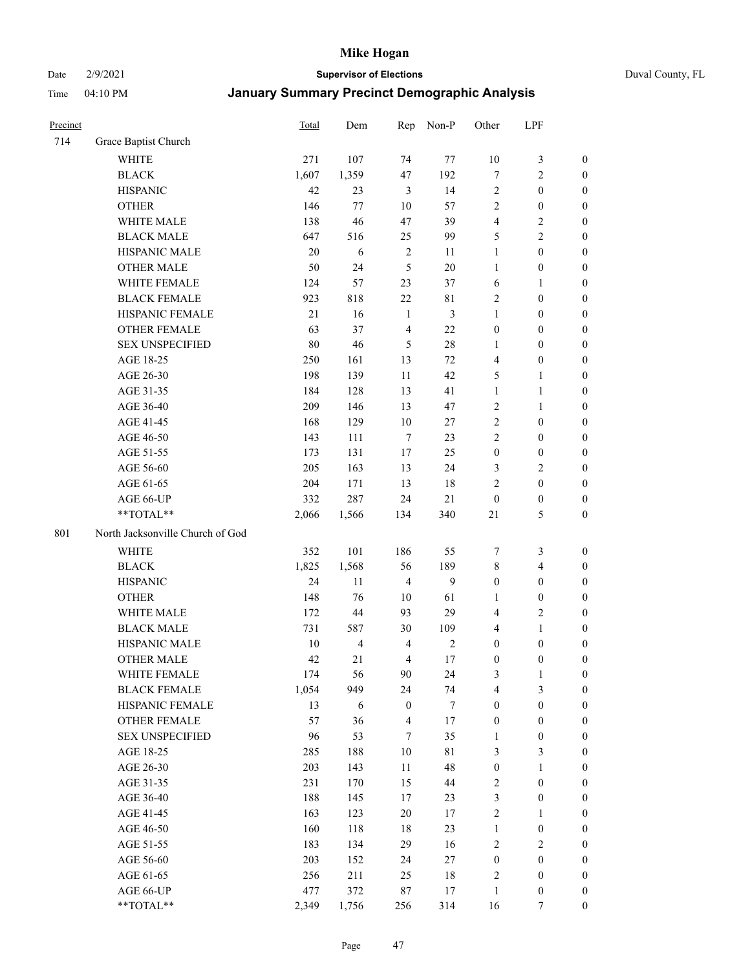#### Date 2/9/2021 **Supervisor of Elections** Duval County, FL

| Precinct |                                     | Total        | Dem                  | Rep                              | Non-P                | Other                            | LPF                                |                                    |
|----------|-------------------------------------|--------------|----------------------|----------------------------------|----------------------|----------------------------------|------------------------------------|------------------------------------|
| 714      | Grace Baptist Church                |              |                      |                                  |                      |                                  |                                    |                                    |
|          | <b>WHITE</b>                        | 271          | 107                  | 74                               | 77                   | $10\,$                           | $\mathfrak{Z}$                     | $\boldsymbol{0}$                   |
|          | <b>BLACK</b>                        | 1,607        | 1,359                | 47                               | 192                  | $\tau$                           | $\sqrt{2}$                         | $\boldsymbol{0}$                   |
|          | <b>HISPANIC</b>                     | 42           | 23                   | 3                                | 14                   | $\sqrt{2}$                       | $\boldsymbol{0}$                   | $\boldsymbol{0}$                   |
|          | <b>OTHER</b>                        | 146          | 77                   | 10                               | 57                   | $\mathbf{2}$                     | $\boldsymbol{0}$                   | $\boldsymbol{0}$                   |
|          | WHITE MALE                          | 138          | 46                   | 47                               | 39                   | 4                                | $\sqrt{2}$                         | $\boldsymbol{0}$                   |
|          | <b>BLACK MALE</b>                   | 647          | 516                  | 25                               | 99                   | 5                                | $\sqrt{2}$                         | $\boldsymbol{0}$                   |
|          | HISPANIC MALE                       | 20           | 6                    | $\sqrt{2}$                       | 11                   | 1                                | $\boldsymbol{0}$                   | $\boldsymbol{0}$                   |
|          | <b>OTHER MALE</b>                   | 50           | 24                   | 5                                | $20\,$               | $\mathbf{1}$                     | $\boldsymbol{0}$                   | $\boldsymbol{0}$                   |
|          | WHITE FEMALE                        | 124          | 57                   | 23                               | 37                   | 6                                | $\mathbf{1}$                       | $\boldsymbol{0}$                   |
|          | <b>BLACK FEMALE</b>                 | 923          | 818                  | $22\,$                           | 81                   | $\sqrt{2}$                       | $\boldsymbol{0}$                   | 0                                  |
|          | HISPANIC FEMALE                     | 21           | 16                   | $\mathbf{1}$                     | $\mathfrak{Z}$       | $\mathbf{1}$                     | $\boldsymbol{0}$                   | 0                                  |
|          | OTHER FEMALE                        | 63           | 37                   | $\overline{4}$                   | 22                   | $\boldsymbol{0}$                 | $\boldsymbol{0}$                   | $\boldsymbol{0}$                   |
|          | <b>SEX UNSPECIFIED</b>              | $80\,$       | 46                   | 5                                | $28\,$               | $\mathbf{1}$                     | $\boldsymbol{0}$                   | $\boldsymbol{0}$                   |
|          | AGE 18-25                           | 250          | 161                  | 13                               | 72                   | 4                                | $\boldsymbol{0}$                   | $\boldsymbol{0}$                   |
|          | AGE 26-30                           | 198          | 139                  | 11                               | 42                   | 5                                | $\mathbf{1}$                       | $\boldsymbol{0}$                   |
|          | AGE 31-35                           | 184          | 128                  | 13                               | 41                   | $\mathbf{1}$                     | $\mathbf{1}$                       | $\boldsymbol{0}$                   |
|          | AGE 36-40                           | 209          | 146                  | 13                               | 47                   | $\mathfrak{2}$                   | $\mathbf{1}$                       | $\boldsymbol{0}$                   |
|          | AGE 41-45                           | 168          | 129                  | 10                               | 27                   | $\mathfrak{2}$                   | $\boldsymbol{0}$                   | $\boldsymbol{0}$                   |
|          | AGE 46-50                           | 143          | 111                  | $\tau$                           | 23                   | $\mathfrak{2}$                   | $\boldsymbol{0}$                   | $\boldsymbol{0}$                   |
|          | AGE 51-55                           | 173          | 131                  | 17                               | 25                   | $\boldsymbol{0}$                 | $\boldsymbol{0}$                   | $\boldsymbol{0}$                   |
|          | AGE 56-60                           | 205          | 163                  | 13                               | 24                   | 3                                | $\sqrt{2}$                         | 0                                  |
|          | AGE 61-65                           | 204          | 171                  | 13                               | 18                   | $\mathfrak{2}$                   | $\boldsymbol{0}$                   | 0                                  |
|          | AGE 66-UP                           | 332          | 287                  | 24                               | 21                   | $\boldsymbol{0}$                 | $\boldsymbol{0}$                   | $\boldsymbol{0}$                   |
|          | **TOTAL**                           | 2,066        | 1,566                | 134                              | 340                  | 21                               | $\mathfrak{S}$                     | $\boldsymbol{0}$                   |
| 801      | North Jacksonville Church of God    |              |                      |                                  |                      |                                  |                                    |                                    |
|          | <b>WHITE</b>                        | 352          | 101                  | 186                              |                      |                                  | $\mathfrak{Z}$                     |                                    |
|          |                                     |              |                      |                                  | 55                   | 7                                |                                    | $\boldsymbol{0}$                   |
|          | <b>BLACK</b>                        | 1,825        | 1,568                | 56                               | 189                  | 8                                | $\overline{\mathbf{4}}$            | $\boldsymbol{0}$                   |
|          | <b>HISPANIC</b>                     | 24           | 11                   | $\overline{4}$                   | 9                    | $\boldsymbol{0}$                 | $\boldsymbol{0}$                   | $\boldsymbol{0}$                   |
|          | <b>OTHER</b>                        | 148          | 76                   | 10                               | 61                   | 1                                | $\boldsymbol{0}$                   | $\boldsymbol{0}$                   |
|          | WHITE MALE                          | 172          | 44                   | 93                               | 29                   | $\overline{4}$                   | $\mathfrak{2}$                     | $\boldsymbol{0}$                   |
|          | <b>BLACK MALE</b>                   | 731          | 587                  | 30                               | 109                  | 4                                | $\mathbf{1}$                       | $\boldsymbol{0}$                   |
|          | HISPANIC MALE                       | $10\,$<br>42 | $\overline{4}$<br>21 | $\overline{4}$<br>$\overline{4}$ | $\sqrt{2}$<br>$17\,$ | $\boldsymbol{0}$                 | $\boldsymbol{0}$                   | 0                                  |
|          | <b>OTHER MALE</b>                   |              |                      |                                  |                      | $\boldsymbol{0}$                 | $\boldsymbol{0}$                   | $\boldsymbol{0}$                   |
|          | WHITE FEMALE<br><b>BLACK FEMALE</b> | 174          | 56<br>949            | 90<br>24                         | 24                   | 3<br>4                           | 1                                  | 0                                  |
|          | HISPANIC FEMALE                     | 1,054<br>13  |                      | $\boldsymbol{0}$                 | 74<br>$\tau$         | $\boldsymbol{0}$                 | 3<br>$\boldsymbol{0}$              | $\boldsymbol{0}$<br>$\overline{0}$ |
|          | OTHER FEMALE                        | 57           | 6<br>36              | $\overline{4}$                   | $17\,$               |                                  | $\boldsymbol{0}$                   | $\overline{0}$                     |
|          | <b>SEX UNSPECIFIED</b>              | 96           | 53                   | 7                                | 35                   | $\boldsymbol{0}$<br>$\mathbf{1}$ | $\boldsymbol{0}$                   | 0                                  |
|          | AGE 18-25                           | 285          | 188                  | 10                               | 81                   | 3                                | $\mathfrak{Z}$                     | $\theta$                           |
|          | AGE 26-30                           | 203          | 143                  | $11\,$                           | 48                   | $\boldsymbol{0}$                 | $\mathbf{1}$                       | 0                                  |
|          | AGE 31-35                           | 231          | 170                  | 15                               | 44                   | 2                                | $\boldsymbol{0}$                   | 0                                  |
|          | AGE 36-40                           | 188          | 145                  | 17                               | 23                   | 3                                | $\boldsymbol{0}$                   | 0                                  |
|          | AGE 41-45                           | 163          | 123                  | 20                               | 17                   | 2                                | $\mathbf{1}$                       | 0                                  |
|          |                                     | 160          |                      | 18                               | 23                   | $\mathbf{1}$                     |                                    |                                    |
|          | AGE 46-50<br>AGE 51-55              | 183          | 118<br>134           | 29                               | 16                   | $\sqrt{2}$                       | $\boldsymbol{0}$<br>$\overline{2}$ | 0<br>0                             |
|          | AGE 56-60                           | 203          | 152                  | 24                               | 27                   | $\boldsymbol{0}$                 | $\boldsymbol{0}$                   | $\overline{0}$                     |
|          | AGE 61-65                           | 256          | 211                  | 25                               | $18\,$               | 2                                | $\boldsymbol{0}$                   | $\overline{0}$                     |
|          | AGE 66-UP                           | 477          | 372                  | 87                               | 17                   | $\mathbf{1}$                     | $\boldsymbol{0}$                   | 0                                  |
|          | **TOTAL**                           | 2,349        | 1,756                | 256                              | 314                  | 16                               | 7                                  | $\boldsymbol{0}$                   |
|          |                                     |              |                      |                                  |                      |                                  |                                    |                                    |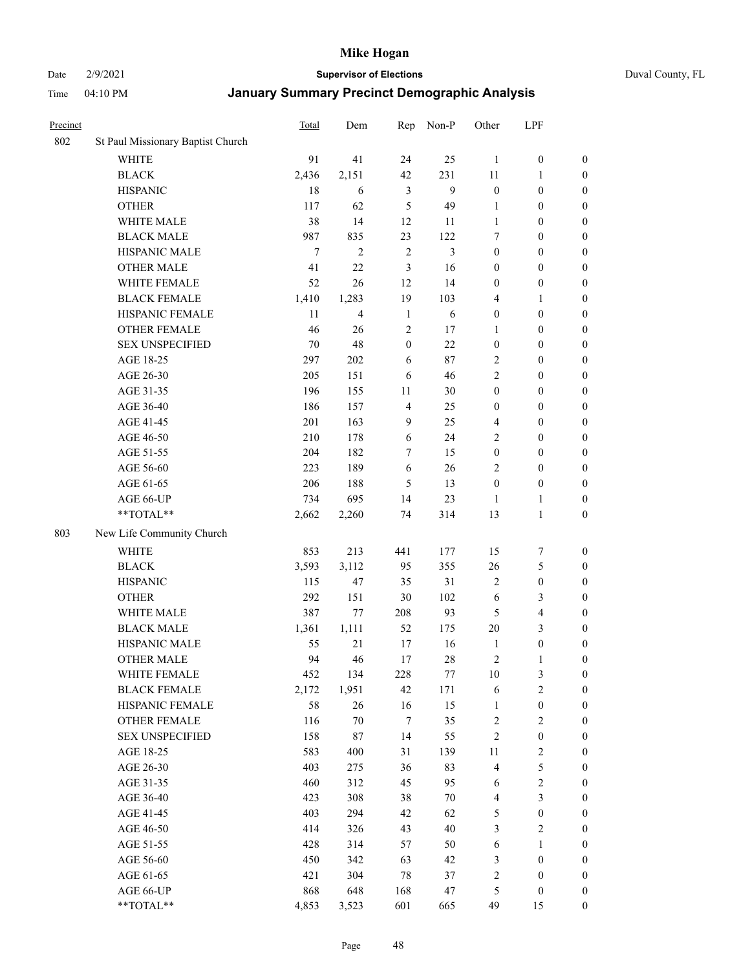Date 2/9/2021 **Supervisor of Elections** Duval County, FL

| Precinct |                                   | <b>Total</b> | Dem            | Rep              | Non-P  | Other                   | LPF              |                  |
|----------|-----------------------------------|--------------|----------------|------------------|--------|-------------------------|------------------|------------------|
| 802      | St Paul Missionary Baptist Church |              |                |                  |        |                         |                  |                  |
|          | <b>WHITE</b>                      | 91           | 41             | 24               | 25     | $\mathbf{1}$            | $\boldsymbol{0}$ | 0                |
|          | $\operatorname{BLACK}$            | 2,436        | 2,151          | 42               | 231    | 11                      | $\mathbf{1}$     | $\boldsymbol{0}$ |
|          | <b>HISPANIC</b>                   | 18           | 6              | 3                | 9      | $\boldsymbol{0}$        | $\boldsymbol{0}$ | $\boldsymbol{0}$ |
|          | <b>OTHER</b>                      | 117          | 62             | 5                | 49     | 1                       | $\boldsymbol{0}$ | $\boldsymbol{0}$ |
|          | WHITE MALE                        | 38           | 14             | 12               | 11     | 1                       | $\boldsymbol{0}$ | $\boldsymbol{0}$ |
|          | <b>BLACK MALE</b>                 | 987          | 835            | 23               | 122    | 7                       | $\boldsymbol{0}$ | $\boldsymbol{0}$ |
|          | HISPANIC MALE                     | $\tau$       | $\overline{2}$ | $\sqrt{2}$       | 3      | $\boldsymbol{0}$        | $\boldsymbol{0}$ | $\boldsymbol{0}$ |
|          | <b>OTHER MALE</b>                 | 41           | 22             | 3                | 16     | $\boldsymbol{0}$        | $\boldsymbol{0}$ | $\boldsymbol{0}$ |
|          | WHITE FEMALE                      | 52           | 26             | 12               | 14     | $\boldsymbol{0}$        | $\boldsymbol{0}$ | $\boldsymbol{0}$ |
|          | <b>BLACK FEMALE</b>               | 1,410        | 1,283          | 19               | 103    | 4                       | $\mathbf{1}$     | $\boldsymbol{0}$ |
|          | HISPANIC FEMALE                   | 11           | $\overline{4}$ | $\mathbf{1}$     | 6      | $\boldsymbol{0}$        | $\boldsymbol{0}$ | 0                |
|          | <b>OTHER FEMALE</b>               | 46           | 26             | $\mathfrak{2}$   | 17     | 1                       | $\boldsymbol{0}$ | $\boldsymbol{0}$ |
|          | <b>SEX UNSPECIFIED</b>            | 70           | 48             | $\boldsymbol{0}$ | 22     | $\boldsymbol{0}$        | $\boldsymbol{0}$ | $\boldsymbol{0}$ |
|          | AGE 18-25                         | 297          | 202            | 6                | 87     | $\sqrt{2}$              | $\boldsymbol{0}$ | $\boldsymbol{0}$ |
|          | AGE 26-30                         | 205          | 151            | 6                | 46     | 2                       | $\boldsymbol{0}$ | $\boldsymbol{0}$ |
|          | AGE 31-35                         | 196          | 155            | 11               | 30     | $\boldsymbol{0}$        | $\boldsymbol{0}$ | $\boldsymbol{0}$ |
|          | AGE 36-40                         | 186          | 157            | $\overline{4}$   | 25     | $\boldsymbol{0}$        | $\boldsymbol{0}$ | $\boldsymbol{0}$ |
|          | AGE 41-45                         | 201          | 163            | 9                | 25     | $\overline{4}$          | $\boldsymbol{0}$ | $\boldsymbol{0}$ |
|          | AGE 46-50                         | 210          | 178            | 6                | 24     | 2                       | $\boldsymbol{0}$ | $\boldsymbol{0}$ |
|          | AGE 51-55                         | 204          | 182            | 7                | 15     | $\boldsymbol{0}$        | $\boldsymbol{0}$ | $\boldsymbol{0}$ |
|          | AGE 56-60                         | 223          | 189            | 6                | 26     | $\mathfrak{2}$          | $\boldsymbol{0}$ | 0                |
|          | AGE 61-65                         | 206          | 188            | 5                | 13     | $\boldsymbol{0}$        | $\boldsymbol{0}$ | $\boldsymbol{0}$ |
|          | AGE 66-UP                         | 734          | 695            | 14               | 23     | $\mathbf{1}$            | $\mathbf{1}$     | $\boldsymbol{0}$ |
|          | **TOTAL**                         | 2,662        | 2,260          | 74               | 314    | 13                      | $\mathbf{1}$     | $\boldsymbol{0}$ |
| 803      | New Life Community Church         |              |                |                  |        |                         |                  |                  |
|          | <b>WHITE</b>                      | 853          | 213            | 441              | 177    | 15                      | $\boldsymbol{7}$ | $\boldsymbol{0}$ |
|          | <b>BLACK</b>                      | 3,593        | 3,112          | 95               | 355    | 26                      | $\mathfrak{S}$   | $\boldsymbol{0}$ |
|          | <b>HISPANIC</b>                   | 115          | 47             | 35               | 31     | 2                       | $\boldsymbol{0}$ | $\boldsymbol{0}$ |
|          | <b>OTHER</b>                      | 292          | 151            | 30               | 102    | 6                       | $\mathfrak{Z}$   | $\boldsymbol{0}$ |
|          | WHITE MALE                        | 387          | 77             | 208              | 93     | 5                       | $\overline{4}$   | $\boldsymbol{0}$ |
|          | <b>BLACK MALE</b>                 | 1,361        | 1,111          | 52               | 175    | $20\,$                  | 3                | $\boldsymbol{0}$ |
|          | HISPANIC MALE                     | 55           | 21             | 17               | 16     | $\mathbf{1}$            | $\boldsymbol{0}$ | $\boldsymbol{0}$ |
|          | <b>OTHER MALE</b>                 | 94           | 46             | 17               | 28     | $\overline{c}$          | $\mathbf{1}$     | $\boldsymbol{0}$ |
|          | WHITE FEMALE                      | 452          | 134            | 228              | 77     | 10                      | 3                | 0                |
|          | <b>BLACK FEMALE</b>               | 2,172        | 1,951          | 42               | 171    | 6                       | $\sqrt{2}$       | $\boldsymbol{0}$ |
|          | HISPANIC FEMALE                   | 58           | 26             | 16               | 15     | $\mathbf{1}$            | $\boldsymbol{0}$ | $\overline{0}$   |
|          | OTHER FEMALE                      | 116          | $70\,$         | 7                | 35     | $\overline{c}$          | $\sqrt{2}$       | $\overline{0}$   |
|          | <b>SEX UNSPECIFIED</b>            | 158          | 87             | 14               | 55     | 2                       | $\boldsymbol{0}$ | 0                |
|          | AGE 18-25                         | 583          | 400            | 31               | 139    | 11                      | $\sqrt{2}$       | 0                |
|          | AGE 26-30                         | 403          | 275            | 36               | 83     | 4                       | $\mathfrak s$    | 0                |
|          | AGE 31-35                         | 460          | 312            | 45               | 95     | 6                       | $\sqrt{2}$       | 0                |
|          | AGE 36-40                         | 423          | 308            | 38               | $70\,$ | $\overline{\mathbf{4}}$ | $\mathfrak{Z}$   | 0                |
|          | AGE 41-45                         | 403          | 294            | 42               | 62     | 5                       | $\boldsymbol{0}$ | 0                |
|          | AGE 46-50                         | 414          | 326            | 43               | 40     | 3                       | $\sqrt{2}$       | 0                |
|          | AGE 51-55                         | 428          | 314            | 57               | 50     | 6                       | $\mathbf{1}$     | $\boldsymbol{0}$ |
|          | AGE 56-60                         | 450          | 342            | 63               | 42     | 3                       | $\boldsymbol{0}$ | $\boldsymbol{0}$ |
|          | AGE 61-65                         | 421          | 304            | 78               | 37     | $\overline{c}$          | $\boldsymbol{0}$ | $\boldsymbol{0}$ |
|          | AGE 66-UP                         | 868          | 648            | 168              | 47     | 5                       | $\boldsymbol{0}$ | 0                |
|          | **TOTAL**                         | 4,853        | 3,523          | 601              | 665    | 49                      | 15               | $\boldsymbol{0}$ |
|          |                                   |              |                |                  |        |                         |                  |                  |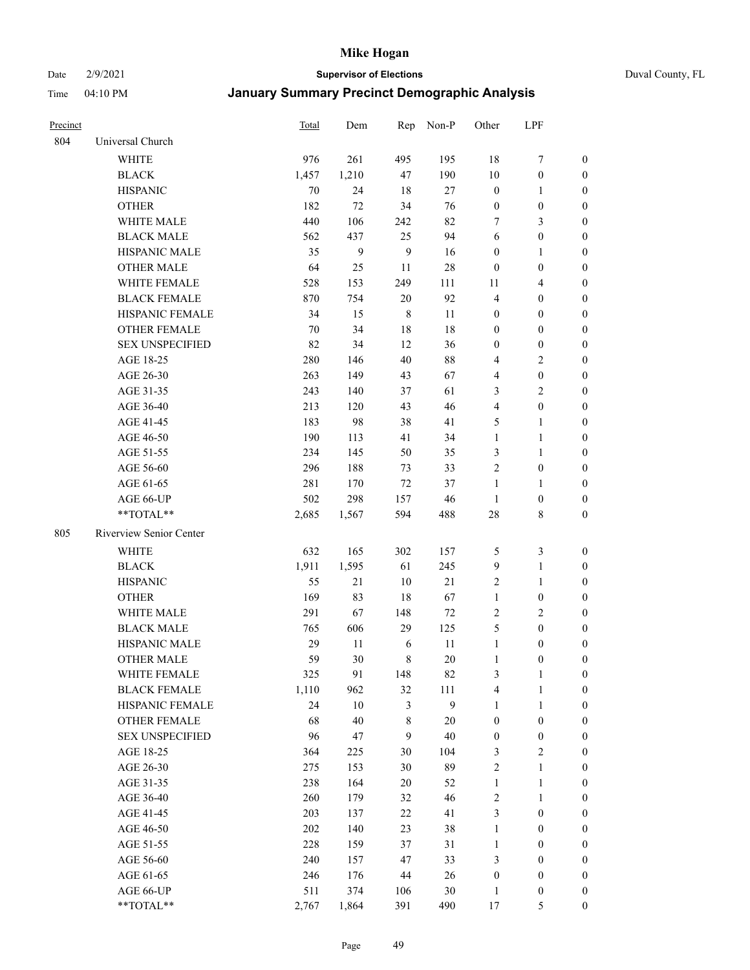#### Date 2/9/2021 **Supervisor of Elections** Duval County, FL

| Precinct |                         | <b>Total</b> | Dem    | Rep            | Non-P  | Other            | LPF                     |                  |
|----------|-------------------------|--------------|--------|----------------|--------|------------------|-------------------------|------------------|
| 804      | Universal Church        |              |        |                |        |                  |                         |                  |
|          | <b>WHITE</b>            | 976          | 261    | 495            | 195    | 18               | $\boldsymbol{7}$        | 0                |
|          | <b>BLACK</b>            | 1,457        | 1,210  | 47             | 190    | $10\,$           | $\boldsymbol{0}$        | 0                |
|          | <b>HISPANIC</b>         | 70           | 24     | 18             | 27     | $\boldsymbol{0}$ | $\mathbf{1}$            | 0                |
|          | <b>OTHER</b>            | 182          | 72     | 34             | 76     | $\boldsymbol{0}$ | $\boldsymbol{0}$        | $\boldsymbol{0}$ |
|          | WHITE MALE              | 440          | 106    | 242            | 82     | 7                | 3                       | $\boldsymbol{0}$ |
|          | <b>BLACK MALE</b>       | 562          | 437    | 25             | 94     | 6                | $\boldsymbol{0}$        | $\boldsymbol{0}$ |
|          | <b>HISPANIC MALE</b>    | 35           | 9      | $\overline{9}$ | 16     | $\boldsymbol{0}$ | $\mathbf{1}$            | $\boldsymbol{0}$ |
|          | <b>OTHER MALE</b>       | 64           | 25     | 11             | $28\,$ | $\boldsymbol{0}$ | $\boldsymbol{0}$        | $\boldsymbol{0}$ |
|          | WHITE FEMALE            | 528          | 153    | 249            | 111    | 11               | $\overline{\mathbf{4}}$ | $\boldsymbol{0}$ |
|          | <b>BLACK FEMALE</b>     | 870          | 754    | 20             | 92     | 4                | $\boldsymbol{0}$        | 0                |
|          | HISPANIC FEMALE         | 34           | 15     | $\,$ 8 $\,$    | 11     | $\boldsymbol{0}$ | $\boldsymbol{0}$        | 0                |
|          | <b>OTHER FEMALE</b>     | 70           | 34     | 18             | $18\,$ | $\boldsymbol{0}$ | $\boldsymbol{0}$        | 0                |
|          | <b>SEX UNSPECIFIED</b>  | 82           | 34     | 12             | 36     | $\boldsymbol{0}$ | $\boldsymbol{0}$        | $\boldsymbol{0}$ |
|          | AGE 18-25               | 280          | 146    | 40             | $88\,$ | 4                | $\sqrt{2}$              | $\boldsymbol{0}$ |
|          | AGE 26-30               | 263          | 149    | 43             | 67     | 4                | $\boldsymbol{0}$        | $\boldsymbol{0}$ |
|          | AGE 31-35               | 243          | 140    | 37             | 61     | 3                | $\sqrt{2}$              | $\boldsymbol{0}$ |
|          | AGE 36-40               | 213          | 120    | 43             | 46     | 4                | $\boldsymbol{0}$        | $\boldsymbol{0}$ |
|          | AGE 41-45               | 183          | 98     | 38             | 41     | 5                | $\mathbf{1}$            | $\boldsymbol{0}$ |
|          | AGE 46-50               | 190          | 113    | 41             | 34     | $\mathbf{1}$     | $\mathbf{1}$            | $\boldsymbol{0}$ |
|          | AGE 51-55               | 234          | 145    | 50             | 35     | 3                | $\mathbf{1}$            | 0                |
|          | AGE 56-60               | 296          | 188    | 73             | 33     | $\mathbf{2}$     | $\boldsymbol{0}$        | 0                |
|          | AGE 61-65               | 281          | 170    | 72             | 37     | $\mathbf{1}$     | $\mathbf{1}$            | 0                |
|          | AGE 66-UP               | 502          | 298    | 157            | 46     | $\mathbf{1}$     | $\boldsymbol{0}$        | 0                |
|          | **TOTAL**               | 2,685        | 1,567  | 594            | 488    | 28               | $8\,$                   | $\boldsymbol{0}$ |
| 805      | Riverview Senior Center |              |        |                |        |                  |                         |                  |
|          | <b>WHITE</b>            | 632          | 165    | 302            | 157    | 5                | $\mathfrak{Z}$          | $\boldsymbol{0}$ |
|          | <b>BLACK</b>            | 1,911        | 1,595  | 61             | 245    | $\overline{9}$   | $\mathbf{1}$            | $\boldsymbol{0}$ |
|          | <b>HISPANIC</b>         | 55           | 21     | 10             | $21\,$ | $\sqrt{2}$       | $\mathbf{1}$            | $\boldsymbol{0}$ |
|          | <b>OTHER</b>            | 169          | 83     | 18             | 67     | $\mathbf{1}$     | $\boldsymbol{0}$        | $\boldsymbol{0}$ |
|          | WHITE MALE              | 291          | 67     | 148            | $72\,$ | $\mathbf{2}$     | $\overline{2}$          | $\boldsymbol{0}$ |
|          | <b>BLACK MALE</b>       | 765          | 606    | 29             | 125    | 5                | $\boldsymbol{0}$        | $\boldsymbol{0}$ |
|          | HISPANIC MALE           | 29           | 11     | 6              | 11     | $\mathbf{1}$     | $\boldsymbol{0}$        | 0                |
|          | <b>OTHER MALE</b>       | 59           | 30     | $\,$ 8 $\,$    | 20     | $\mathbf{1}$     | $\boldsymbol{0}$        | 0                |
|          | WHITE FEMALE            | 325          | 91     | 148            | 82     | 3                | 1                       | 0                |
|          | <b>BLACK FEMALE</b>     | 1,110        | 962    | 32             | 111    | 4                | $\mathbf{1}$            | $\boldsymbol{0}$ |
|          | HISPANIC FEMALE         | 24           | $10\,$ | 3              | 9      | $\mathbf{1}$     | $\mathbf{1}$            | $\overline{0}$   |
|          | OTHER FEMALE            | 68           | 40     | $\,$ 8 $\,$    | $20\,$ | $\boldsymbol{0}$ | $\boldsymbol{0}$        | $\overline{0}$   |
|          | <b>SEX UNSPECIFIED</b>  | 96           | 47     | 9              | $40\,$ | $\boldsymbol{0}$ | $\boldsymbol{0}$        | 0                |
|          | AGE 18-25               | 364          | 225    | 30             | 104    | 3                | $\sqrt{2}$              | 0                |
|          | AGE 26-30               | 275          | 153    | 30             | 89     | 2                | $\mathbf{1}$            | 0                |
|          | AGE 31-35               | 238          | 164    | 20             | 52     | $\mathbf{1}$     | $\mathbf{1}$            | 0                |
|          | AGE 36-40               | 260          | 179    | 32             | 46     | 2                | $\mathbf{1}$            | 0                |
|          | AGE 41-45               | 203          | 137    | 22             | 41     | 3                | $\boldsymbol{0}$        | 0                |
|          | AGE 46-50               | 202          | 140    | 23             | 38     | $\mathbf{1}$     | $\boldsymbol{0}$        | 0                |
|          | AGE 51-55               | 228          | 159    | 37             | 31     | $\mathbf{1}$     | $\boldsymbol{0}$        | 0                |
|          | AGE 56-60               | 240          | 157    | 47             | 33     | 3                | $\boldsymbol{0}$        | $\overline{0}$   |
|          | AGE 61-65               | 246          | 176    | 44             | 26     | $\boldsymbol{0}$ | $\boldsymbol{0}$        | $\overline{0}$   |
|          | AGE 66-UP               | 511          | 374    | 106            | 30     | $\mathbf{1}$     | $\boldsymbol{0}$        | 0                |
|          | **TOTAL**               | 2,767        | 1,864  | 391            | 490    | 17               | 5                       | $\boldsymbol{0}$ |
|          |                         |              |        |                |        |                  |                         |                  |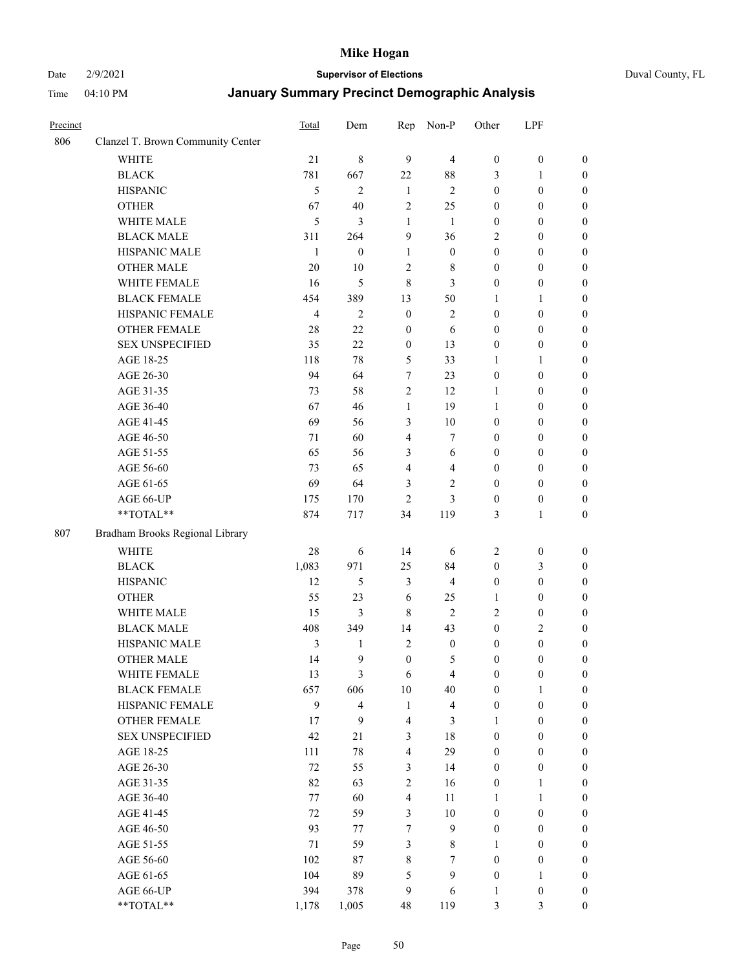#### Date 2/9/2021 **Supervisor of Elections** Duval County, FL

| Precinct |                                   | <b>Total</b>   | Dem                     | Rep                     | Non-P                   | Other            | LPF              |                  |
|----------|-----------------------------------|----------------|-------------------------|-------------------------|-------------------------|------------------|------------------|------------------|
| 806      | Clanzel T. Brown Community Center |                |                         |                         |                         |                  |                  |                  |
|          | <b>WHITE</b>                      | 21             | $\,8\,$                 | 9                       | $\overline{4}$          | $\boldsymbol{0}$ | $\boldsymbol{0}$ | $\boldsymbol{0}$ |
|          | <b>BLACK</b>                      | 781            | 667                     | 22                      | $88\,$                  | 3                | 1                | $\boldsymbol{0}$ |
|          | <b>HISPANIC</b>                   | 5              | $\mathbf{2}$            | $\mathbf{1}$            | $\overline{2}$          | $\boldsymbol{0}$ | $\boldsymbol{0}$ | $\boldsymbol{0}$ |
|          | <b>OTHER</b>                      | 67             | 40                      | $\overline{2}$          | 25                      | $\boldsymbol{0}$ | $\boldsymbol{0}$ | $\boldsymbol{0}$ |
|          | WHITE MALE                        | 5              | 3                       | $\mathbf{1}$            | $\mathbf{1}$            | $\boldsymbol{0}$ | $\boldsymbol{0}$ | $\boldsymbol{0}$ |
|          | <b>BLACK MALE</b>                 | 311            | 264                     | 9                       | 36                      | 2                | $\boldsymbol{0}$ | $\boldsymbol{0}$ |
|          | HISPANIC MALE                     | $\mathbf{1}$   | $\boldsymbol{0}$        | $\mathbf{1}$            | $\boldsymbol{0}$        | $\boldsymbol{0}$ | $\boldsymbol{0}$ | $\boldsymbol{0}$ |
|          | OTHER MALE                        | 20             | 10                      | $\overline{c}$          | $8\,$                   | $\boldsymbol{0}$ | $\boldsymbol{0}$ | $\boldsymbol{0}$ |
|          | WHITE FEMALE                      | 16             | 5                       | $\,$ 8 $\,$             | 3                       | $\boldsymbol{0}$ | $\boldsymbol{0}$ | $\boldsymbol{0}$ |
|          | <b>BLACK FEMALE</b>               | 454            | 389                     | 13                      | 50                      | 1                | $\mathbf{1}$     | $\boldsymbol{0}$ |
|          | HISPANIC FEMALE                   | $\overline{4}$ | $\mathbf{2}$            | $\boldsymbol{0}$        | $\sqrt{2}$              | $\boldsymbol{0}$ | $\boldsymbol{0}$ | 0                |
|          | <b>OTHER FEMALE</b>               | 28             | 22                      | $\mathbf{0}$            | 6                       | $\boldsymbol{0}$ | $\boldsymbol{0}$ | 0                |
|          | <b>SEX UNSPECIFIED</b>            | 35             | 22                      | $\boldsymbol{0}$        | 13                      | $\boldsymbol{0}$ | $\boldsymbol{0}$ | $\boldsymbol{0}$ |
|          | AGE 18-25                         | 118            | 78                      | 5                       | 33                      | 1                | 1                | $\boldsymbol{0}$ |
|          | AGE 26-30                         | 94             | 64                      | 7                       | 23                      | $\boldsymbol{0}$ | $\boldsymbol{0}$ | $\boldsymbol{0}$ |
|          | AGE 31-35                         | 73             | 58                      | $\sqrt{2}$              | 12                      | $\mathbf{1}$     | $\boldsymbol{0}$ | $\boldsymbol{0}$ |
|          | AGE 36-40                         | 67             | 46                      | $\mathbf{1}$            | 19                      | 1                | $\boldsymbol{0}$ | $\boldsymbol{0}$ |
|          | AGE 41-45                         | 69             | 56                      | 3                       | $10\,$                  | $\boldsymbol{0}$ | $\boldsymbol{0}$ | $\boldsymbol{0}$ |
|          | AGE 46-50                         | 71             | 60                      | $\overline{4}$          | $\tau$                  | $\boldsymbol{0}$ | $\boldsymbol{0}$ | $\boldsymbol{0}$ |
|          | AGE 51-55                         | 65             | 56                      | $\mathfrak{Z}$          | 6                       | $\boldsymbol{0}$ | $\boldsymbol{0}$ | $\boldsymbol{0}$ |
|          | AGE 56-60                         | 73             | 65                      | $\overline{4}$          | $\overline{4}$          | $\boldsymbol{0}$ | $\boldsymbol{0}$ | 0                |
|          | AGE 61-65                         | 69             | 64                      | 3                       | $\mathbf{2}$            | $\boldsymbol{0}$ | $\boldsymbol{0}$ | 0                |
|          | AGE 66-UP                         | 175            | 170                     | $\overline{c}$          | 3                       | $\boldsymbol{0}$ | $\boldsymbol{0}$ | $\boldsymbol{0}$ |
|          | **TOTAL**                         | 874            | 717                     | 34                      | 119                     | 3                | $\mathbf{1}$     | $\boldsymbol{0}$ |
|          |                                   |                |                         |                         |                         |                  |                  |                  |
| 807      | Bradham Brooks Regional Library   |                |                         |                         |                         |                  |                  |                  |
|          | <b>WHITE</b>                      | 28             | 6                       | 14                      | 6                       | $\overline{c}$   | $\boldsymbol{0}$ | $\boldsymbol{0}$ |
|          | <b>BLACK</b>                      | 1,083          | 971                     | 25                      | 84                      | $\boldsymbol{0}$ | $\mathfrak{Z}$   | $\boldsymbol{0}$ |
|          | <b>HISPANIC</b>                   | 12             | 5                       | 3                       | $\overline{4}$          | $\boldsymbol{0}$ | $\boldsymbol{0}$ | $\boldsymbol{0}$ |
|          | <b>OTHER</b>                      | 55             | 23                      | 6                       | 25                      | 1                | $\boldsymbol{0}$ | $\boldsymbol{0}$ |
|          | WHITE MALE                        | 15             | 3                       | 8                       | $\mathbf{2}$            | 2                | $\boldsymbol{0}$ | $\boldsymbol{0}$ |
|          | <b>BLACK MALE</b>                 | 408            | 349                     | 14                      | 43                      | $\boldsymbol{0}$ | $\mathbf{2}$     | $\boldsymbol{0}$ |
|          | HISPANIC MALE                     | 3              | $\mathbf{1}$            | $\sqrt{2}$              | $\boldsymbol{0}$        | $\boldsymbol{0}$ | $\boldsymbol{0}$ | $\boldsymbol{0}$ |
|          | <b>OTHER MALE</b>                 | 14             | 9                       | $\boldsymbol{0}$        | 5                       | $\boldsymbol{0}$ | $\boldsymbol{0}$ | $\boldsymbol{0}$ |
|          | WHITE FEMALE                      | 13             | 3                       | 6                       | 4                       | 0                | $\boldsymbol{0}$ | 0                |
|          | <b>BLACK FEMALE</b>               | 657            | 606                     | 10                      | 40                      | $\boldsymbol{0}$ | $\mathbf{1}$     | $\overline{0}$   |
|          | HISPANIC FEMALE                   | 9              | $\overline{\mathbf{4}}$ | $\mathbf{1}$            | $\overline{\mathbf{4}}$ | $\boldsymbol{0}$ | $\boldsymbol{0}$ | $\overline{0}$   |
|          | <b>OTHER FEMALE</b>               | 17             | 9                       | 4                       | 3                       | 1                | $\boldsymbol{0}$ | $\overline{0}$   |
|          | <b>SEX UNSPECIFIED</b>            | 42             | 21                      | 3                       | 18                      | $\boldsymbol{0}$ | $\boldsymbol{0}$ | $\overline{0}$   |
|          | AGE 18-25                         | 111            | $78\,$                  | 4                       | 29                      | $\boldsymbol{0}$ | $\boldsymbol{0}$ | $\overline{0}$   |
|          | AGE 26-30                         | 72             | 55                      | $\mathfrak{Z}$          | 14                      | $\boldsymbol{0}$ | $\boldsymbol{0}$ | $\overline{0}$   |
|          | AGE 31-35                         | 82             | 63                      | $\sqrt{2}$              | 16                      | $\boldsymbol{0}$ | 1                | 0                |
|          | AGE 36-40                         | 77             | 60                      | $\overline{\mathbf{4}}$ | 11                      | 1                | $\mathbf{1}$     | 0                |
|          | AGE 41-45                         | 72             | 59                      | 3                       | 10                      | $\boldsymbol{0}$ | $\boldsymbol{0}$ | 0                |
|          | AGE 46-50                         | 93             | 77                      | 7                       | 9                       | $\boldsymbol{0}$ | $\boldsymbol{0}$ | $\boldsymbol{0}$ |
|          | AGE 51-55                         | 71             | 59                      | 3                       | 8                       | 1                | $\boldsymbol{0}$ | $\boldsymbol{0}$ |
|          | AGE 56-60                         | 102            | 87                      | 8                       | 7                       | $\boldsymbol{0}$ | $\boldsymbol{0}$ | $\boldsymbol{0}$ |
|          | AGE 61-65                         | 104            | 89                      | 5                       | 9                       | $\boldsymbol{0}$ | $\mathbf{1}$     | $\boldsymbol{0}$ |
|          | AGE 66-UP                         | 394            | 378                     | 9                       | 6                       | $\mathbf{1}$     | $\boldsymbol{0}$ | $\boldsymbol{0}$ |
|          | **TOTAL**                         | 1,178          | 1,005                   | 48                      | 119                     | 3                | $\mathfrak{Z}$   | $\boldsymbol{0}$ |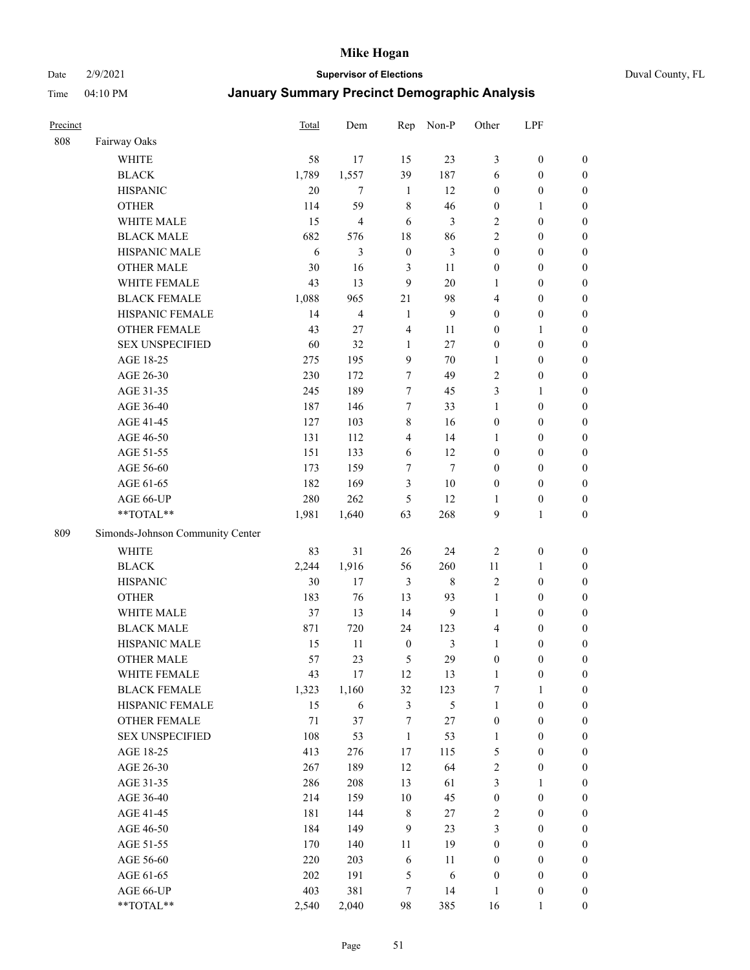Date 2/9/2021 **Supervisor of Elections** Duval County, FL

| Precinct |                                        | Total       | Dem   | Rep              | Non-P                | Other                    | LPF                              |                  |
|----------|----------------------------------------|-------------|-------|------------------|----------------------|--------------------------|----------------------------------|------------------|
| 808      | Fairway Oaks                           |             |       |                  |                      |                          |                                  |                  |
|          | <b>WHITE</b>                           | 58          | 17    | 15               | 23                   | 3                        | $\boldsymbol{0}$                 | $\boldsymbol{0}$ |
|          | <b>BLACK</b>                           | 1,789       | 1,557 | 39               | 187                  | 6                        | $\boldsymbol{0}$                 | $\boldsymbol{0}$ |
|          | <b>HISPANIC</b>                        | 20          | 7     | $\mathbf{1}$     | 12                   | $\boldsymbol{0}$         | $\boldsymbol{0}$                 | $\boldsymbol{0}$ |
|          | <b>OTHER</b>                           | 114         | 59    | $\,8\,$          | 46                   | $\boldsymbol{0}$         | $\mathbf{1}$                     | $\boldsymbol{0}$ |
|          | WHITE MALE                             | 15          | 4     | 6                | 3                    | $\overline{c}$           | $\boldsymbol{0}$                 | $\boldsymbol{0}$ |
|          | <b>BLACK MALE</b>                      | 682         | 576   | 18               | 86                   | $\mathfrak{2}$           | $\boldsymbol{0}$                 | $\boldsymbol{0}$ |
|          | HISPANIC MALE                          | 6           | 3     | $\boldsymbol{0}$ | 3                    | $\boldsymbol{0}$         | $\boldsymbol{0}$                 | $\boldsymbol{0}$ |
|          | <b>OTHER MALE</b>                      | 30          | 16    | 3                | 11                   | $\boldsymbol{0}$         | $\boldsymbol{0}$                 | $\boldsymbol{0}$ |
|          | WHITE FEMALE                           | 43          | 13    | $\mathbf{9}$     | 20                   | 1                        | $\boldsymbol{0}$                 | $\boldsymbol{0}$ |
|          | <b>BLACK FEMALE</b>                    | 1,088       | 965   | $21\,$           | 98                   | 4                        | $\boldsymbol{0}$                 | $\boldsymbol{0}$ |
|          | HISPANIC FEMALE                        | 14          | 4     | 1                | $\mathbf{9}$         | $\boldsymbol{0}$         | $\boldsymbol{0}$                 | 0                |
|          | <b>OTHER FEMALE</b>                    | 43          | 27    | $\overline{4}$   | 11                   | $\boldsymbol{0}$         | $\mathbf{1}$                     | $\boldsymbol{0}$ |
|          | <b>SEX UNSPECIFIED</b>                 | 60          | 32    | $\mathbf{1}$     | 27                   | $\boldsymbol{0}$         | $\boldsymbol{0}$                 | $\boldsymbol{0}$ |
|          | AGE 18-25                              | 275         | 195   | 9                | 70                   | 1                        | $\boldsymbol{0}$                 | $\boldsymbol{0}$ |
|          | AGE 26-30                              | 230         | 172   | 7                | 49                   | $\overline{c}$           | $\boldsymbol{0}$                 | $\boldsymbol{0}$ |
|          | AGE 31-35                              | 245         | 189   | $\tau$           | 45                   | 3                        | $\mathbf{1}$                     | $\boldsymbol{0}$ |
|          | AGE 36-40                              | 187         | 146   | $\tau$           | 33                   | $\mathbf{1}$             | $\boldsymbol{0}$                 | $\boldsymbol{0}$ |
|          | AGE 41-45                              | 127         | 103   | $\,$ 8 $\,$      | 16                   | $\boldsymbol{0}$         | $\boldsymbol{0}$                 | $\boldsymbol{0}$ |
|          | AGE 46-50                              | 131         | 112   | $\overline{4}$   | 14                   | 1                        | $\boldsymbol{0}$                 | $\boldsymbol{0}$ |
|          | AGE 51-55                              | 151         | 133   | 6                | 12                   | $\boldsymbol{0}$         | $\boldsymbol{0}$                 | $\boldsymbol{0}$ |
|          | AGE 56-60                              | 173         | 159   | $\tau$           | $\tau$               | $\boldsymbol{0}$         | $\boldsymbol{0}$                 | 0                |
|          | AGE 61-65                              | 182         | 169   | $\mathfrak{Z}$   | $10\,$               | $\boldsymbol{0}$         | $\boldsymbol{0}$                 | $\boldsymbol{0}$ |
|          | AGE 66-UP                              | 280         | 262   | 5                | 12                   | 1                        | $\boldsymbol{0}$                 | $\boldsymbol{0}$ |
|          | **TOTAL**                              | 1,981       | 1,640 | 63               | 268                  | 9                        | $\mathbf{1}$                     | $\boldsymbol{0}$ |
| 809      | Simonds-Johnson Community Center       |             |       |                  |                      |                          |                                  |                  |
|          | <b>WHITE</b>                           | 83          | 31    | 26               | 24                   |                          | $\boldsymbol{0}$                 |                  |
|          |                                        |             | 1,916 |                  |                      | $\overline{2}$           |                                  | $\boldsymbol{0}$ |
|          | <b>BLACK</b><br><b>HISPANIC</b>        | 2,244<br>30 | 17    | 56<br>3          | 260<br>$\,$ 8 $\,$   | $11\,$<br>$\overline{c}$ | $\mathbf{1}$<br>$\boldsymbol{0}$ | $\boldsymbol{0}$ |
|          |                                        |             |       |                  |                      |                          |                                  | $\boldsymbol{0}$ |
|          | <b>OTHER</b>                           | 183         | 76    | 13               | 93                   | $\mathbf{1}$             | $\boldsymbol{0}$                 | $\boldsymbol{0}$ |
|          | WHITE MALE<br><b>BLACK MALE</b>        | 37          | 13    | 14               | 9                    | $\mathbf{1}$             | $\boldsymbol{0}$                 | $\boldsymbol{0}$ |
|          |                                        | 871         | 720   | 24               | 123                  | $\overline{4}$           | $\boldsymbol{0}$                 | $\boldsymbol{0}$ |
|          | HISPANIC MALE                          | 15          | 11    | $\boldsymbol{0}$ | $\mathfrak{Z}$<br>29 | $\mathbf{1}$             | $\boldsymbol{0}$                 | $\boldsymbol{0}$ |
|          | <b>OTHER MALE</b>                      | 57          | 23    | 5                |                      | $\boldsymbol{0}$         | $\boldsymbol{0}$                 | $\boldsymbol{0}$ |
|          | WHITE FEMALE                           | 43          | 17    | 12               | 13                   | 1                        | $\boldsymbol{0}$                 | 0                |
|          | <b>BLACK FEMALE</b>                    | 1,323       | 1,160 | 32               | 123                  | 7                        | $\mathbf{1}$                     | $\boldsymbol{0}$ |
|          | HISPANIC FEMALE<br><b>OTHER FEMALE</b> | 15          | 6     | $\mathfrak{Z}$   | 5                    | $\mathbf{1}$             | $\boldsymbol{0}$                 | $\overline{0}$   |
|          |                                        | $71\,$      | 37    | 7                | 27                   | $\boldsymbol{0}$         | $\boldsymbol{0}$                 | $\overline{0}$   |
|          | <b>SEX UNSPECIFIED</b>                 | 108         | 53    | $\mathbf{1}$     | 53                   | $\mathbf{1}$             | $\boldsymbol{0}$                 | $\overline{0}$   |
|          | AGE 18-25                              | 413         | 276   | $17\,$           | 115                  | 5                        | $\boldsymbol{0}$                 | $\overline{0}$   |
|          | AGE 26-30                              | 267         | 189   | 12               | 64                   | $\sqrt{2}$               | $\boldsymbol{0}$                 | 0                |
|          | AGE 31-35                              | 286         | 208   | 13               | 61                   | 3                        | $\mathbf{1}$                     | 0                |
|          | AGE 36-40                              | 214         | 159   | $10\,$           | 45                   | $\boldsymbol{0}$         | $\boldsymbol{0}$                 | 0                |
|          | AGE 41-45                              | 181         | 144   | $\,$ 8 $\,$      | 27                   | $\overline{c}$           | $\boldsymbol{0}$                 | 0                |
|          | AGE 46-50                              | 184         | 149   | 9                | 23                   | 3                        | $\boldsymbol{0}$                 | 0                |
|          | AGE 51-55                              | 170         | 140   | 11               | 19                   | $\boldsymbol{0}$         | $\boldsymbol{0}$                 | $\boldsymbol{0}$ |
|          | AGE 56-60                              | 220         | 203   | 6                | 11                   | $\boldsymbol{0}$         | $\boldsymbol{0}$                 | $\boldsymbol{0}$ |
|          | AGE 61-65                              | 202         | 191   | $\mathfrak{S}$   | 6                    | $\boldsymbol{0}$         | $\boldsymbol{0}$                 | $\boldsymbol{0}$ |
|          | AGE 66-UP                              | 403         | 381   | 7                | 14                   | $\mathbf{1}$             | $\boldsymbol{0}$                 | $\boldsymbol{0}$ |
|          | **TOTAL**                              | 2,540       | 2,040 | 98               | 385                  | 16                       | $\mathbf{1}$                     | $\boldsymbol{0}$ |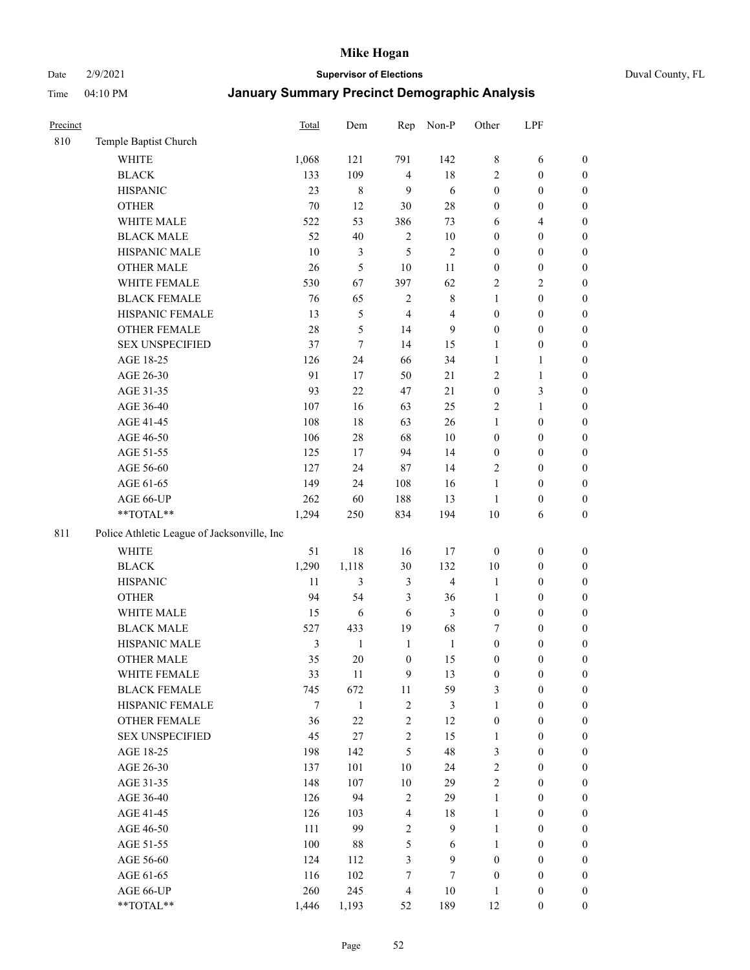#### Date 2/9/2021 **Supervisor of Elections** Duval County, FL

| Precinct |                                             | <b>Total</b>   | Dem          | Rep              | Non-P                   | Other            | LPF              |                  |
|----------|---------------------------------------------|----------------|--------------|------------------|-------------------------|------------------|------------------|------------------|
| 810      | Temple Baptist Church                       |                |              |                  |                         |                  |                  |                  |
|          | <b>WHITE</b>                                | 1,068          | 121          | 791              | 142                     | 8                | 6                | 0                |
|          | <b>BLACK</b>                                | 133            | 109          | $\overline{4}$   | $18\,$                  | 2                | $\boldsymbol{0}$ | $\boldsymbol{0}$ |
|          | <b>HISPANIC</b>                             | 23             | $\,$ 8 $\,$  | 9                | 6                       | $\boldsymbol{0}$ | $\boldsymbol{0}$ | $\boldsymbol{0}$ |
|          | <b>OTHER</b>                                | 70             | 12           | 30               | $28\,$                  | $\boldsymbol{0}$ | $\boldsymbol{0}$ | $\boldsymbol{0}$ |
|          | WHITE MALE                                  | 522            | 53           | 386              | 73                      | 6                | $\overline{4}$   | $\boldsymbol{0}$ |
|          | <b>BLACK MALE</b>                           | 52             | 40           | $\sqrt{2}$       | $10\,$                  | $\boldsymbol{0}$ | $\boldsymbol{0}$ | $\boldsymbol{0}$ |
|          | HISPANIC MALE                               | 10             | 3            | 5                | $\sqrt{2}$              | $\boldsymbol{0}$ | $\boldsymbol{0}$ | $\boldsymbol{0}$ |
|          | OTHER MALE                                  | 26             | 5            | 10               | 11                      | $\boldsymbol{0}$ | $\boldsymbol{0}$ | $\boldsymbol{0}$ |
|          | WHITE FEMALE                                | 530            | 67           | 397              | 62                      | 2                | $\overline{2}$   | $\boldsymbol{0}$ |
|          | <b>BLACK FEMALE</b>                         | 76             | 65           | $\sqrt{2}$       | $\,$ 8 $\,$             | $\mathbf{1}$     | $\boldsymbol{0}$ | $\boldsymbol{0}$ |
|          | HISPANIC FEMALE                             | 13             | 5            | $\overline{4}$   | $\overline{4}$          | $\boldsymbol{0}$ | $\boldsymbol{0}$ | $\boldsymbol{0}$ |
|          | <b>OTHER FEMALE</b>                         | 28             | 5            | 14               | 9                       | $\boldsymbol{0}$ | $\boldsymbol{0}$ | $\boldsymbol{0}$ |
|          | <b>SEX UNSPECIFIED</b>                      | 37             | $\tau$       | 14               | 15                      | $\mathbf{1}$     | $\boldsymbol{0}$ | $\boldsymbol{0}$ |
|          | AGE 18-25                                   | 126            | 24           | 66               | 34                      | $\mathbf{1}$     | $\mathbf{1}$     | $\boldsymbol{0}$ |
|          | AGE 26-30                                   | 91             | 17           | 50               | $21\,$                  | 2                | $\mathbf{1}$     | $\boldsymbol{0}$ |
|          | AGE 31-35                                   | 93             | 22           | 47               | 21                      | $\boldsymbol{0}$ | $\mathfrak{Z}$   | $\boldsymbol{0}$ |
|          | AGE 36-40                                   | 107            | 16           | 63               | 25                      | 2                | $\mathbf{1}$     | $\boldsymbol{0}$ |
|          | AGE 41-45                                   | 108            | $18\,$       | 63               | 26                      | $\mathbf{1}$     | $\boldsymbol{0}$ | $\boldsymbol{0}$ |
|          | AGE 46-50                                   | 106            | $28\,$       | 68               | $10\,$                  | $\boldsymbol{0}$ | $\boldsymbol{0}$ | $\boldsymbol{0}$ |
|          | AGE 51-55                                   | 125            | 17           | 94               | 14                      | $\boldsymbol{0}$ | $\boldsymbol{0}$ | $\boldsymbol{0}$ |
|          | AGE 56-60                                   | 127            | 24           | 87               | 14                      | $\mathbf{2}$     | $\boldsymbol{0}$ | 0                |
|          | AGE 61-65                                   | 149            | 24           | 108              | 16                      | $\mathbf{1}$     | $\boldsymbol{0}$ | 0                |
|          | AGE 66-UP                                   | 262            | 60           | 188              | 13                      | $\mathbf{1}$     | $\boldsymbol{0}$ | $\boldsymbol{0}$ |
|          | **TOTAL**                                   | 1,294          | 250          | 834              | 194                     | 10               | 6                | $\boldsymbol{0}$ |
| 811      | Police Athletic League of Jacksonville, Inc |                |              |                  |                         |                  |                  |                  |
|          | WHITE                                       | 51             | $18\,$       | 16               | 17                      | $\boldsymbol{0}$ | $\boldsymbol{0}$ | $\boldsymbol{0}$ |
|          | <b>BLACK</b>                                | 1,290          | 1,118        | 30               | 132                     | 10               | $\boldsymbol{0}$ | $\boldsymbol{0}$ |
|          | <b>HISPANIC</b>                             | 11             | 3            | $\mathfrak{Z}$   | $\overline{\mathbf{4}}$ | $\mathbf{1}$     | $\boldsymbol{0}$ | $\boldsymbol{0}$ |
|          | <b>OTHER</b>                                | 94             | 54           | 3                | 36                      | $\mathbf{1}$     | $\boldsymbol{0}$ | $\boldsymbol{0}$ |
|          | WHITE MALE                                  | 15             | $\sqrt{6}$   | 6                | 3                       | $\boldsymbol{0}$ | $\boldsymbol{0}$ | $\boldsymbol{0}$ |
|          | <b>BLACK MALE</b>                           | 527            | 433          | 19               | 68                      | 7                | $\boldsymbol{0}$ | $\boldsymbol{0}$ |
|          | HISPANIC MALE                               | $\mathfrak{Z}$ | $\mathbf{1}$ | $\mathbf{1}$     | $\mathbf{1}$            | $\boldsymbol{0}$ | $\boldsymbol{0}$ | $\boldsymbol{0}$ |
|          | OTHER MALE                                  | 35             | 20           | $\boldsymbol{0}$ | 15                      | $\boldsymbol{0}$ | $\boldsymbol{0}$ | $\boldsymbol{0}$ |
|          | WHITE FEMALE                                | 33             | 11           | 9                | 13                      | $\boldsymbol{0}$ | $\boldsymbol{0}$ | 0                |
|          | <b>BLACK FEMALE</b>                         | 745            | 672          | $11\,$           | 59                      | 3                | $\boldsymbol{0}$ | $\boldsymbol{0}$ |
|          | HISPANIC FEMALE                             | 7              | $\mathbf{1}$ | $\sqrt{2}$       | 3                       | $\mathbf{1}$     | $\boldsymbol{0}$ | $\overline{0}$   |
|          | OTHER FEMALE                                | 36             | $22\,$       | $\sqrt{2}$       | 12                      | $\boldsymbol{0}$ | $\boldsymbol{0}$ | $\overline{0}$   |
|          | <b>SEX UNSPECIFIED</b>                      | 45             | 27           | $\sqrt{2}$       | 15                      | $\mathbf{1}$     | $\boldsymbol{0}$ | $\overline{0}$   |
|          | AGE 18-25                                   | 198            | 142          | $\mathfrak s$    | 48                      | 3                | $\boldsymbol{0}$ | $\overline{0}$   |
|          | AGE 26-30                                   | 137            | 101          | $10\,$           | 24                      | $\overline{2}$   | $\boldsymbol{0}$ | $\overline{0}$   |
|          | AGE 31-35                                   | 148            | 107          | $10\,$           | 29                      | $\overline{c}$   | $\boldsymbol{0}$ | 0                |
|          | AGE 36-40                                   | 126            | 94           | $\sqrt{2}$       | 29                      | $\mathbf{1}$     | $\boldsymbol{0}$ | 0                |
|          | AGE 41-45                                   | 126            | 103          | $\overline{4}$   | 18                      | $\mathbf{1}$     | $\boldsymbol{0}$ | 0                |
|          | AGE 46-50                                   | 111            | 99           | $\sqrt{2}$       | 9                       | $\mathbf{1}$     | $\boldsymbol{0}$ | 0                |
|          | AGE 51-55                                   | 100            | 88           | 5                | 6                       | $\mathbf{1}$     | $\boldsymbol{0}$ | $\boldsymbol{0}$ |
|          | AGE 56-60                                   | 124            | 112          | 3                | 9                       | $\boldsymbol{0}$ | $\boldsymbol{0}$ | $\boldsymbol{0}$ |
|          | AGE 61-65                                   | 116            | 102          | 7                | $\tau$                  | $\boldsymbol{0}$ | $\boldsymbol{0}$ | $\boldsymbol{0}$ |
|          | AGE 66-UP                                   | 260            | 245          | $\overline{4}$   | $10\,$                  | $\mathbf{1}$     | $\boldsymbol{0}$ | $\boldsymbol{0}$ |
|          | **TOTAL**                                   | 1,446          | 1,193        | 52               | 189                     | 12               | $\boldsymbol{0}$ | $\boldsymbol{0}$ |
|          |                                             |                |              |                  |                         |                  |                  |                  |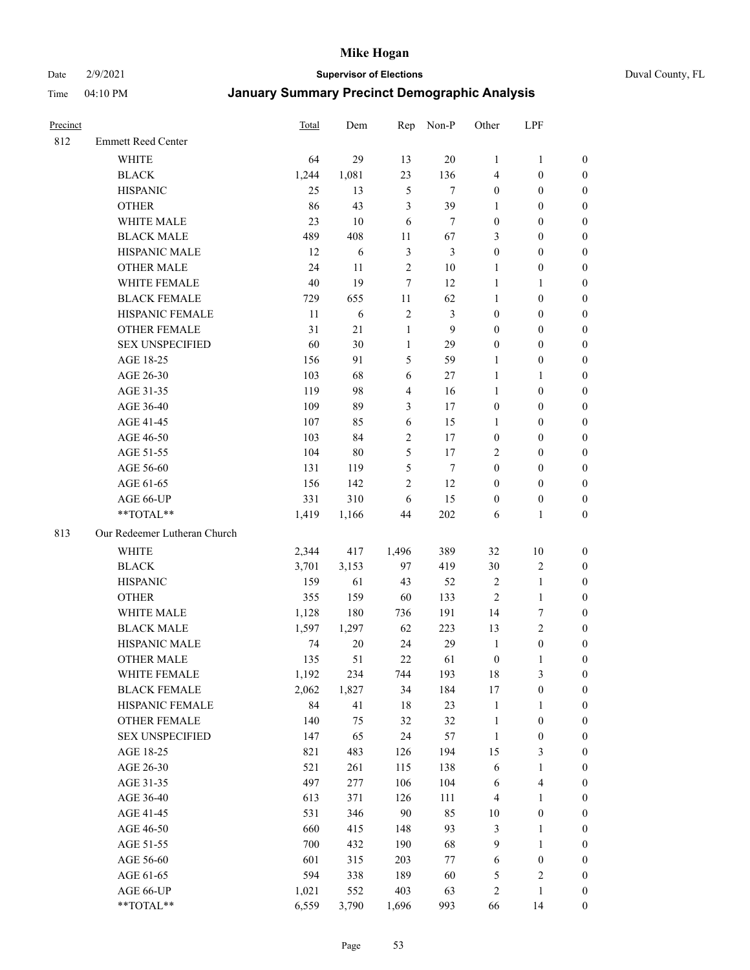#### Date 2/9/2021 **Supervisor of Elections** Duval County, FL

| Precinct |                              | <b>Total</b> | Dem    | Rep            | Non-P          | Other            | LPF                     |                  |
|----------|------------------------------|--------------|--------|----------------|----------------|------------------|-------------------------|------------------|
| 812      | <b>Emmett Reed Center</b>    |              |        |                |                |                  |                         |                  |
|          | <b>WHITE</b>                 | 64           | 29     | 13             | 20             | 1                | $\mathbf{1}$            | 0                |
|          | <b>BLACK</b>                 | 1,244        | 1,081  | 23             | 136            | 4                | $\boldsymbol{0}$        | 0                |
|          | <b>HISPANIC</b>              | 25           | 13     | $\mathfrak{S}$ | $\tau$         | $\boldsymbol{0}$ | $\boldsymbol{0}$        | $\boldsymbol{0}$ |
|          | <b>OTHER</b>                 | 86           | 43     | 3              | 39             | 1                | $\boldsymbol{0}$        | $\boldsymbol{0}$ |
|          | WHITE MALE                   | 23           | 10     | 6              | $\tau$         | $\boldsymbol{0}$ | $\boldsymbol{0}$        | $\boldsymbol{0}$ |
|          | <b>BLACK MALE</b>            | 489          | 408    | 11             | 67             | 3                | $\boldsymbol{0}$        | $\boldsymbol{0}$ |
|          | HISPANIC MALE                | 12           | 6      | $\mathfrak{Z}$ | $\mathfrak{Z}$ | $\boldsymbol{0}$ | $\boldsymbol{0}$        | $\boldsymbol{0}$ |
|          | <b>OTHER MALE</b>            | 24           | 11     | $\sqrt{2}$     | $10\,$         | $\mathbf{1}$     | $\boldsymbol{0}$        | $\boldsymbol{0}$ |
|          | WHITE FEMALE                 | $40\,$       | 19     | $\tau$         | 12             | $\mathbf{1}$     | $\mathbf{1}$            | $\boldsymbol{0}$ |
|          | <b>BLACK FEMALE</b>          | 729          | 655    | 11             | 62             | $\mathbf{1}$     | $\boldsymbol{0}$        | 0                |
|          | HISPANIC FEMALE              | 11           | 6      | $\sqrt{2}$     | $\mathfrak{Z}$ | $\boldsymbol{0}$ | $\boldsymbol{0}$        | 0                |
|          | <b>OTHER FEMALE</b>          | 31           | 21     | $\mathbf{1}$   | 9              | $\boldsymbol{0}$ | $\boldsymbol{0}$        | $\boldsymbol{0}$ |
|          | <b>SEX UNSPECIFIED</b>       | 60           | 30     | $\mathbf{1}$   | 29             | $\boldsymbol{0}$ | $\boldsymbol{0}$        | $\boldsymbol{0}$ |
|          | AGE 18-25                    | 156          | 91     | 5              | 59             | 1                | $\boldsymbol{0}$        | $\boldsymbol{0}$ |
|          | AGE 26-30                    | 103          | 68     | 6              | 27             | $\mathbf{1}$     | $\mathbf{1}$            | $\boldsymbol{0}$ |
|          | AGE 31-35                    | 119          | 98     | $\overline{4}$ | 16             | $\mathbf{1}$     | $\boldsymbol{0}$        | $\boldsymbol{0}$ |
|          | AGE 36-40                    | 109          | 89     | $\mathfrak{Z}$ | 17             | $\boldsymbol{0}$ | $\boldsymbol{0}$        | $\boldsymbol{0}$ |
|          | AGE 41-45                    | 107          | 85     | 6              | 15             | $\mathbf{1}$     | $\boldsymbol{0}$        | $\boldsymbol{0}$ |
|          | AGE 46-50                    | 103          | 84     | $\sqrt{2}$     | $17\,$         | $\boldsymbol{0}$ | $\boldsymbol{0}$        | $\boldsymbol{0}$ |
|          | AGE 51-55                    | 104          | $80\,$ | 5              | 17             | $\overline{2}$   | $\boldsymbol{0}$        | $\boldsymbol{0}$ |
|          | AGE 56-60                    | 131          | 119    | 5              | $\tau$         | $\boldsymbol{0}$ | $\boldsymbol{0}$        | 0                |
|          | AGE 61-65                    | 156          | 142    | $\mathfrak{2}$ | 12             | $\boldsymbol{0}$ | $\boldsymbol{0}$        | 0                |
|          | AGE 66-UP                    | 331          | 310    | 6              | 15             | $\boldsymbol{0}$ | $\boldsymbol{0}$        | $\boldsymbol{0}$ |
|          | **TOTAL**                    | 1,419        | 1,166  | 44             | 202            | 6                | $\mathbf{1}$            | $\boldsymbol{0}$ |
| 813      | Our Redeemer Lutheran Church |              |        |                |                |                  |                         |                  |
|          | <b>WHITE</b>                 | 2,344        | 417    | 1,496          | 389            | 32               | $10\,$                  | $\boldsymbol{0}$ |
|          | <b>BLACK</b>                 | 3,701        | 3,153  | 97             | 419            | 30               | $\sqrt{2}$              | $\boldsymbol{0}$ |
|          | <b>HISPANIC</b>              | 159          | 61     | 43             | 52             | $\sqrt{2}$       | $\mathbf{1}$            | $\boldsymbol{0}$ |
|          | <b>OTHER</b>                 | 355          | 159    | 60             | 133            | $\mathfrak{2}$   | $\mathbf{1}$            | $\boldsymbol{0}$ |
|          | WHITE MALE                   | 1,128        | 180    | 736            | 191            | 14               | $\boldsymbol{7}$        | $\boldsymbol{0}$ |
|          | <b>BLACK MALE</b>            | 1,597        | 1,297  | 62             | 223            | 13               | $\overline{2}$          | $\boldsymbol{0}$ |
|          | HISPANIC MALE                | 74           | $20\,$ | 24             | 29             | $\mathbf{1}$     | $\boldsymbol{0}$        | 0                |
|          | <b>OTHER MALE</b>            | 135          | 51     | 22             | 61             | $\boldsymbol{0}$ | $\mathbf{1}$            | 0                |
|          | WHITE FEMALE                 | 1,192        | 234    | 744            | 193            | 18               | 3                       | 0                |
|          | <b>BLACK FEMALE</b>          | 2,062        | 1,827  | 34             | 184            | 17               | $\boldsymbol{0}$        | $\boldsymbol{0}$ |
|          | HISPANIC FEMALE              | 84           | 41     | 18             | 23             | $\mathbf{1}$     | $\mathbf{1}$            | $\boldsymbol{0}$ |
|          | OTHER FEMALE                 | 140          | 75     | 32             | 32             | $\mathbf{1}$     | $\boldsymbol{0}$        | $\overline{0}$   |
|          | <b>SEX UNSPECIFIED</b>       | 147          | 65     | 24             | 57             | $\mathbf{1}$     | $\boldsymbol{0}$        | 0                |
|          | AGE 18-25                    | 821          | 483    | 126            | 194            | 15               | $\mathfrak{Z}$          | 0                |
|          | AGE 26-30                    | 521          | 261    | 115            | 138            | 6                | $\mathbf{1}$            | 0                |
|          | AGE 31-35                    | 497          | 277    | 106            | 104            | 6                | $\overline{\mathbf{4}}$ | 0                |
|          | AGE 36-40                    | 613          | 371    | 126            | 111            | 4                | $\mathbf{1}$            | 0                |
|          | AGE 41-45                    | 531          | 346    | 90             | 85             | $10\,$           | $\boldsymbol{0}$        | 0                |
|          | AGE 46-50                    | 660          | 415    | 148            | 93             | 3                | $\mathbf{1}$            | 0                |
|          | AGE 51-55                    | 700          | 432    | 190            | 68             | 9                | $\mathbf{1}$            | 0                |
|          | AGE 56-60                    | 601          | 315    | 203            | $77\,$         | 6                | $\boldsymbol{0}$        | 0                |
|          | AGE 61-65                    | 594          | 338    | 189            | 60             | 5                | $\sqrt{2}$              | $\boldsymbol{0}$ |
|          | AGE 66-UP                    | 1,021        | 552    | 403            | 63             | 2                | $\mathbf{1}$            | $\boldsymbol{0}$ |
|          | **TOTAL**                    | 6,559        | 3,790  | 1,696          | 993            | 66               | 14                      | $\boldsymbol{0}$ |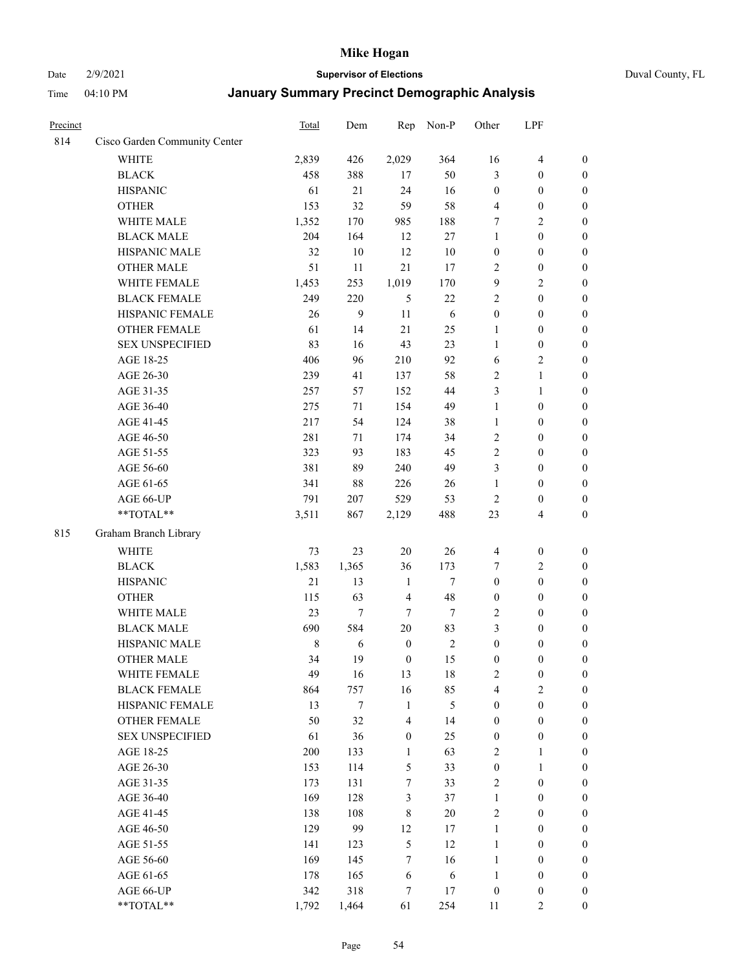#### Date 2/9/2021 **Supervisor of Elections** Duval County, FL

| Precinct |                               | Total       | Dem    | Rep              | Non-P      | Other            | LPF                     |                  |
|----------|-------------------------------|-------------|--------|------------------|------------|------------------|-------------------------|------------------|
| 814      | Cisco Garden Community Center |             |        |                  |            |                  |                         |                  |
|          | <b>WHITE</b>                  | 2,839       | 426    | 2,029            | 364        | 16               | $\overline{4}$          | 0                |
|          | <b>BLACK</b>                  | 458         | 388    | 17               | 50         | 3                | $\boldsymbol{0}$        | $\boldsymbol{0}$ |
|          | <b>HISPANIC</b>               | 61          | 21     | 24               | 16         | $\boldsymbol{0}$ | $\boldsymbol{0}$        | $\boldsymbol{0}$ |
|          | <b>OTHER</b>                  | 153         | 32     | 59               | 58         | 4                | $\boldsymbol{0}$        | $\boldsymbol{0}$ |
|          | WHITE MALE                    | 1,352       | 170    | 985              | 188        | 7                | $\sqrt{2}$              | $\boldsymbol{0}$ |
|          | <b>BLACK MALE</b>             | 204         | 164    | 12               | 27         | $\mathbf{1}$     | $\boldsymbol{0}$        | $\boldsymbol{0}$ |
|          | HISPANIC MALE                 | 32          | $10\,$ | 12               | 10         | $\boldsymbol{0}$ | $\boldsymbol{0}$        | $\boldsymbol{0}$ |
|          | <b>OTHER MALE</b>             | 51          | 11     | 21               | 17         | $\mathbf{2}$     | $\boldsymbol{0}$        | $\boldsymbol{0}$ |
|          | WHITE FEMALE                  | 1,453       | 253    | 1,019            | 170        | 9                | $\overline{2}$          | $\boldsymbol{0}$ |
|          | <b>BLACK FEMALE</b>           | 249         | 220    | 5                | 22         | $\mathbf{2}$     | $\boldsymbol{0}$        | $\boldsymbol{0}$ |
|          | HISPANIC FEMALE               | 26          | 9      | 11               | 6          | $\boldsymbol{0}$ | $\boldsymbol{0}$        | 0                |
|          | <b>OTHER FEMALE</b>           | 61          | 14     | 21               | 25         | $\mathbf{1}$     | $\boldsymbol{0}$        | $\boldsymbol{0}$ |
|          | <b>SEX UNSPECIFIED</b>        | 83          | 16     | 43               | 23         | $\mathbf{1}$     | $\boldsymbol{0}$        | $\boldsymbol{0}$ |
|          | AGE 18-25                     | 406         | 96     | 210              | 92         | 6                | $\sqrt{2}$              | $\boldsymbol{0}$ |
|          | AGE 26-30                     | 239         | 41     | 137              | 58         | 2                | $\mathbf{1}$            | $\boldsymbol{0}$ |
|          | AGE 31-35                     | 257         | 57     | 152              | 44         | 3                | $\mathbf{1}$            | $\boldsymbol{0}$ |
|          | AGE 36-40                     | 275         | 71     | 154              | 49         | $\mathbf{1}$     | $\boldsymbol{0}$        | $\boldsymbol{0}$ |
|          | AGE 41-45                     | 217         | 54     | 124              | 38         | $\mathbf{1}$     | $\boldsymbol{0}$        | $\boldsymbol{0}$ |
|          | AGE 46-50                     | 281         | 71     | 174              | 34         | $\mathbf{2}$     | $\boldsymbol{0}$        | $\boldsymbol{0}$ |
|          | AGE 51-55                     | 323         | 93     | 183              | 45         | $\sqrt{2}$       | $\boldsymbol{0}$        | $\boldsymbol{0}$ |
|          | AGE 56-60                     | 381         | 89     | 240              | 49         | 3                | $\boldsymbol{0}$        | 0                |
|          | AGE 61-65                     | 341         | 88     | 226              | 26         | $\mathbf{1}$     | $\boldsymbol{0}$        | 0                |
|          | AGE 66-UP                     | 791         | 207    | 529              | 53         | $\sqrt{2}$       | $\boldsymbol{0}$        | $\boldsymbol{0}$ |
|          | $**TOTAL**$                   | 3,511       | 867    | 2,129            | 488        | 23               | $\overline{\mathbf{4}}$ | $\boldsymbol{0}$ |
| 815      | Graham Branch Library         |             |        |                  |            |                  |                         |                  |
|          | WHITE                         | 73          | 23     | $20\,$           | 26         | $\overline{4}$   | $\boldsymbol{0}$        | $\boldsymbol{0}$ |
|          | <b>BLACK</b>                  | 1,583       | 1,365  | 36               | 173        | 7                | $\sqrt{2}$              | $\boldsymbol{0}$ |
|          | <b>HISPANIC</b>               | 21          | 13     | $\mathbf{1}$     | $\tau$     | $\boldsymbol{0}$ | $\boldsymbol{0}$        | $\boldsymbol{0}$ |
|          | <b>OTHER</b>                  | 115         | 63     | $\overline{4}$   | 48         | $\boldsymbol{0}$ | $\boldsymbol{0}$        | $\boldsymbol{0}$ |
|          | WHITE MALE                    | 23          | $\tau$ | $\tau$           | $\tau$     | $\mathbf{2}$     | $\boldsymbol{0}$        | $\boldsymbol{0}$ |
|          | <b>BLACK MALE</b>             | 690         | 584    | $20\,$           | 83         | 3                | $\boldsymbol{0}$        | $\boldsymbol{0}$ |
|          | HISPANIC MALE                 | $\,$ 8 $\,$ | 6      | $\boldsymbol{0}$ | $\sqrt{2}$ | $\boldsymbol{0}$ | $\boldsymbol{0}$        | $\boldsymbol{0}$ |
|          | <b>OTHER MALE</b>             | 34          | 19     | $\boldsymbol{0}$ | 15         | $\boldsymbol{0}$ | $\boldsymbol{0}$        | $\boldsymbol{0}$ |
|          | WHITE FEMALE                  | 49          | 16     | 13               | 18         | $\overline{2}$   | $\boldsymbol{0}$        | 0                |
|          | <b>BLACK FEMALE</b>           | 864         | 757    | 16               | 85         | $\overline{4}$   | $\sqrt{2}$              | $\overline{0}$   |
|          | HISPANIC FEMALE               | 13          | 7      | $\mathbf{1}$     | 5          | $\boldsymbol{0}$ | $\boldsymbol{0}$        | $\overline{0}$   |
|          | OTHER FEMALE                  | 50          | 32     | $\overline{4}$   | 14         | $\boldsymbol{0}$ | $\boldsymbol{0}$        | $\overline{0}$   |
|          | <b>SEX UNSPECIFIED</b>        | 61          | 36     | $\boldsymbol{0}$ | 25         | $\boldsymbol{0}$ | $\boldsymbol{0}$        | $\overline{0}$   |
|          | AGE 18-25                     | 200         | 133    | 1                | 63         | $\overline{c}$   | $\mathbf{1}$            | $\overline{0}$   |
|          | AGE 26-30                     | 153         | 114    | $\mathfrak{S}$   | 33         | $\boldsymbol{0}$ | $\mathbf{1}$            | $\overline{0}$   |
|          | AGE 31-35                     | 173         | 131    | $\tau$           | 33         | $\mathfrak{2}$   | $\boldsymbol{0}$        | 0                |
|          | AGE 36-40                     | 169         | 128    | $\mathfrak{Z}$   | 37         | $\mathbf{1}$     | $\boldsymbol{0}$        | 0                |
|          | AGE 41-45                     | 138         | 108    | $\,8\,$          | $20\,$     | $\mathfrak{2}$   | $\boldsymbol{0}$        | 0                |
|          | AGE 46-50                     | 129         | 99     | 12               | 17         | $\mathbf{1}$     | $\boldsymbol{0}$        | 0                |
|          | AGE 51-55                     | 141         | 123    | $\sqrt{5}$       | 12         | $\mathbf{1}$     | $\boldsymbol{0}$        | $\boldsymbol{0}$ |
|          | AGE 56-60                     | 169         | 145    | $\tau$           | 16         | $\mathbf{1}$     | $\boldsymbol{0}$        | $\boldsymbol{0}$ |
|          | AGE 61-65                     | 178         | 165    | 6                | 6          | $\mathbf{1}$     | $\boldsymbol{0}$        | $\boldsymbol{0}$ |
|          | AGE 66-UP                     | 342         | 318    | 7                | 17         | $\boldsymbol{0}$ | $\boldsymbol{0}$        | $\boldsymbol{0}$ |
|          | **TOTAL**                     | 1,792       | 1,464  | 61               | 254        | 11               | $\overline{2}$          | $\boldsymbol{0}$ |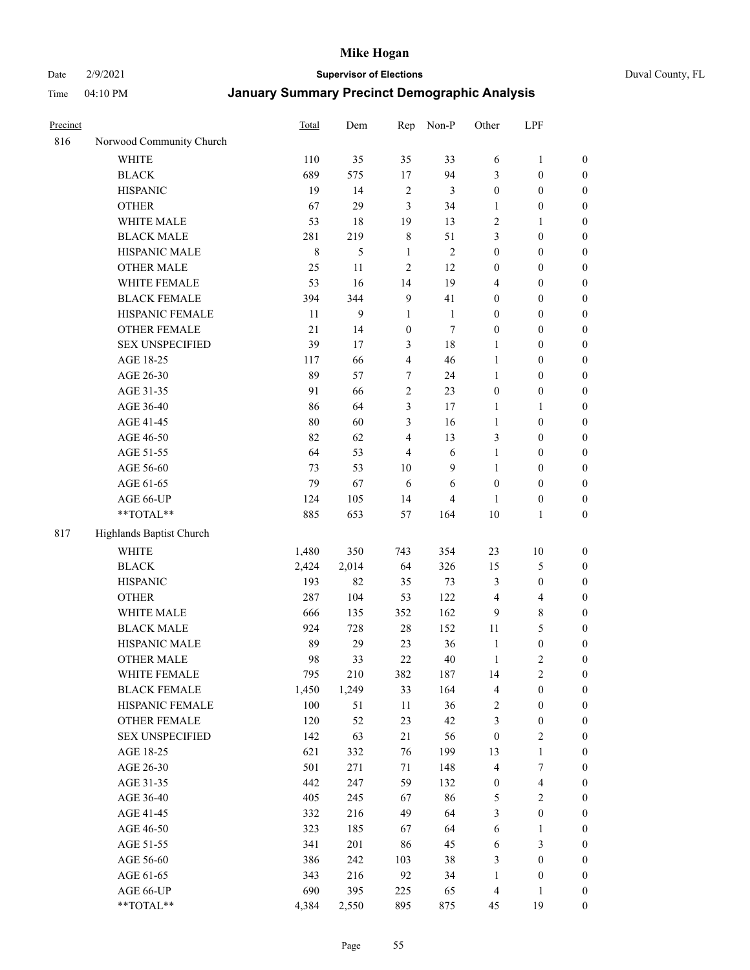Date 2/9/2021 **Supervisor of Elections** Duval County, FL

| Precinct |                          | Total   | Dem   | Rep              | Non-P          | Other            | LPF                     |                  |
|----------|--------------------------|---------|-------|------------------|----------------|------------------|-------------------------|------------------|
| 816      | Norwood Community Church |         |       |                  |                |                  |                         |                  |
|          | <b>WHITE</b>             | 110     | 35    | 35               | 33             | 6                | $\mathbf{1}$            | 0                |
|          | <b>BLACK</b>             | 689     | 575   | 17               | 94             | 3                | $\boldsymbol{0}$        | $\boldsymbol{0}$ |
|          | <b>HISPANIC</b>          | 19      | 14    | $\sqrt{2}$       | 3              | $\boldsymbol{0}$ | $\boldsymbol{0}$        | $\boldsymbol{0}$ |
|          | <b>OTHER</b>             | 67      | 29    | 3                | 34             | 1                | $\boldsymbol{0}$        | $\boldsymbol{0}$ |
|          | WHITE MALE               | 53      | 18    | 19               | 13             | $\overline{c}$   | 1                       | $\boldsymbol{0}$ |
|          | <b>BLACK MALE</b>        | 281     | 219   | $\,$ $\,$        | 51             | 3                | $\boldsymbol{0}$        | $\boldsymbol{0}$ |
|          | HISPANIC MALE            | $\,8\,$ | 5     | $\mathbf{1}$     | $\sqrt{2}$     | $\boldsymbol{0}$ | $\boldsymbol{0}$        | $\boldsymbol{0}$ |
|          | <b>OTHER MALE</b>        | 25      | 11    | $\mathfrak{2}$   | 12             | $\boldsymbol{0}$ | $\boldsymbol{0}$        | $\boldsymbol{0}$ |
|          | WHITE FEMALE             | 53      | 16    | 14               | 19             | 4                | $\boldsymbol{0}$        | $\boldsymbol{0}$ |
|          | <b>BLACK FEMALE</b>      | 394     | 344   | $\overline{9}$   | 41             | $\boldsymbol{0}$ | $\boldsymbol{0}$        | $\boldsymbol{0}$ |
|          | HISPANIC FEMALE          | 11      | 9     | $\mathbf{1}$     | $\mathbf{1}$   | $\boldsymbol{0}$ | $\boldsymbol{0}$        | $\boldsymbol{0}$ |
|          | OTHER FEMALE             | 21      | 14    | $\boldsymbol{0}$ | $\tau$         | $\boldsymbol{0}$ | $\boldsymbol{0}$        | $\boldsymbol{0}$ |
|          | <b>SEX UNSPECIFIED</b>   | 39      | 17    | $\mathfrak{Z}$   | $18\,$         | $\mathbf{1}$     | $\boldsymbol{0}$        | $\boldsymbol{0}$ |
|          | AGE 18-25                | 117     | 66    | $\overline{4}$   | 46             | $\mathbf{1}$     | $\boldsymbol{0}$        | $\boldsymbol{0}$ |
|          | AGE 26-30                | 89      | 57    | $\boldsymbol{7}$ | 24             | $\mathbf{1}$     | $\boldsymbol{0}$        | $\boldsymbol{0}$ |
|          | AGE 31-35                | 91      | 66    | $\sqrt{2}$       | 23             | $\boldsymbol{0}$ | $\boldsymbol{0}$        | $\boldsymbol{0}$ |
|          | AGE 36-40                | 86      | 64    | 3                | 17             | $\mathbf{1}$     | $\mathbf{1}$            | $\boldsymbol{0}$ |
|          | AGE 41-45                | $80\,$  | 60    | $\mathfrak{Z}$   | 16             | $\mathbf{1}$     | $\boldsymbol{0}$        | $\boldsymbol{0}$ |
|          | AGE 46-50                | 82      | 62    | $\overline{4}$   | 13             | 3                | $\boldsymbol{0}$        | $\boldsymbol{0}$ |
|          | AGE 51-55                | 64      | 53    | $\overline{4}$   | $\sqrt{6}$     | $\mathbf{1}$     | $\boldsymbol{0}$        | $\boldsymbol{0}$ |
|          | AGE 56-60                | 73      | 53    | 10               | 9              | 1                | $\boldsymbol{0}$        | 0                |
|          | AGE 61-65                | 79      | 67    | 6                | 6              | $\boldsymbol{0}$ | $\boldsymbol{0}$        | 0                |
|          | AGE 66-UP                | 124     | 105   | 14               | $\overline{4}$ | 1                | $\boldsymbol{0}$        | $\boldsymbol{0}$ |
|          | **TOTAL**                | 885     | 653   | 57               | 164            | 10               | $\mathbf{1}$            | $\boldsymbol{0}$ |
| 817      | Highlands Baptist Church |         |       |                  |                |                  |                         |                  |
|          | <b>WHITE</b>             | 1,480   | 350   | 743              | 354            | 23               | $10\,$                  | $\boldsymbol{0}$ |
|          | <b>BLACK</b>             | 2,424   | 2,014 | 64               | 326            | 15               | $\mathfrak{S}$          | $\boldsymbol{0}$ |
|          | <b>HISPANIC</b>          | 193     | 82    | 35               | 73             | 3                | $\boldsymbol{0}$        | $\boldsymbol{0}$ |
|          | <b>OTHER</b>             | 287     | 104   | 53               | 122            | 4                | $\overline{\mathbf{4}}$ | $\boldsymbol{0}$ |
|          | WHITE MALE               | 666     | 135   | 352              | 162            | 9                | $\,$ 8 $\,$             | $\boldsymbol{0}$ |
|          | <b>BLACK MALE</b>        | 924     | 728   | 28               | 152            | 11               | 5                       | $\boldsymbol{0}$ |
|          | HISPANIC MALE            | 89      | 29    | 23               | 36             | $\mathbf{1}$     | $\boldsymbol{0}$        | $\boldsymbol{0}$ |
|          | <b>OTHER MALE</b>        | 98      | 33    | 22               | 40             | $\mathbf{1}$     | $\mathfrak{2}$          | $\boldsymbol{0}$ |
|          | WHITE FEMALE             | 795     | 210   | 382              | 187            | 14               | 2                       | 0                |
|          | <b>BLACK FEMALE</b>      | 1,450   | 1,249 | 33               | 164            | 4                | $\boldsymbol{0}$        | $\boldsymbol{0}$ |
|          | HISPANIC FEMALE          | 100     | 51    | $11\,$           | 36             | $\sqrt{2}$       | $\boldsymbol{0}$        | $\boldsymbol{0}$ |
|          | OTHER FEMALE             | 120     | 52    | 23               | 42             | 3                | $\boldsymbol{0}$        | $\overline{0}$   |
|          | <b>SEX UNSPECIFIED</b>   | 142     | 63    | 21               | 56             | $\boldsymbol{0}$ | $\sqrt{2}$              | 0                |
|          | AGE 18-25                | 621     | 332   | 76               | 199            | 13               | $\mathbf{1}$            | 0                |
|          | AGE 26-30                | 501     | 271   | 71               | 148            | 4                | $\boldsymbol{7}$        | 0                |
|          | AGE 31-35                | 442     | 247   | 59               | 132            | $\boldsymbol{0}$ | $\overline{\mathbf{4}}$ | 0                |
|          | AGE 36-40                | 405     | 245   | 67               | 86             | 5                | $\sqrt{2}$              | 0                |
|          | AGE 41-45                | 332     | 216   | 49               | 64             | 3                | $\boldsymbol{0}$        | 0                |
|          | AGE 46-50                | 323     | 185   | 67               | 64             | 6                | $\mathbf{1}$            | 0                |
|          | AGE 51-55                | 341     | 201   | 86               | 45             | 6                | $\mathfrak{Z}$          | $\boldsymbol{0}$ |
|          | AGE 56-60                | 386     | 242   | 103              | 38             | 3                | $\boldsymbol{0}$        | $\boldsymbol{0}$ |
|          | AGE 61-65                | 343     | 216   | 92               | 34             | $\mathbf{1}$     | $\boldsymbol{0}$        | $\boldsymbol{0}$ |
|          | AGE 66-UP                | 690     | 395   | 225              | 65             | $\overline{4}$   | $\mathbf{1}$            | $\boldsymbol{0}$ |
|          | **TOTAL**                | 4,384   | 2,550 | 895              | 875            | 45               | 19                      | $\boldsymbol{0}$ |
|          |                          |         |       |                  |                |                  |                         |                  |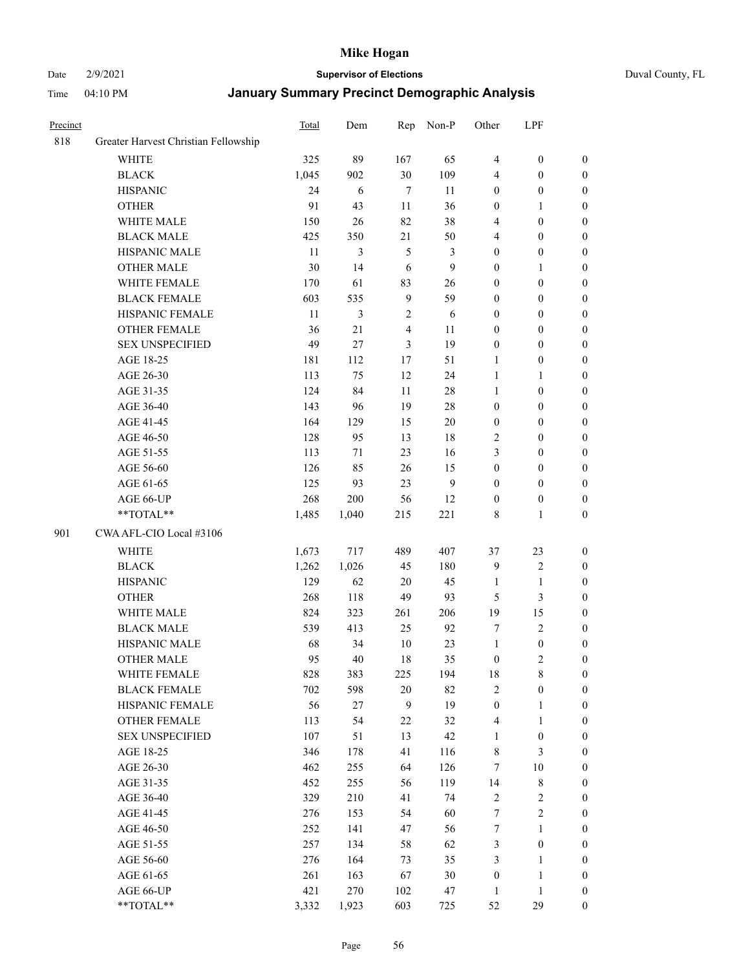#### Date 2/9/2021 **Supervisor of Elections** Duval County, FL

| Precinct |                                      | Total | Dem        | Rep            | Non-P        | Other            | LPF              |                  |
|----------|--------------------------------------|-------|------------|----------------|--------------|------------------|------------------|------------------|
| 818      | Greater Harvest Christian Fellowship |       |            |                |              |                  |                  |                  |
|          | <b>WHITE</b>                         | 325   | 89         | 167            | 65           | $\overline{4}$   | $\boldsymbol{0}$ | 0                |
|          | <b>BLACK</b>                         | 1,045 | 902        | 30             | 109          | 4                | $\boldsymbol{0}$ | 0                |
|          | <b>HISPANIC</b>                      | 24    | $\sqrt{6}$ | $\tau$         | 11           | $\boldsymbol{0}$ | $\boldsymbol{0}$ | $\boldsymbol{0}$ |
|          | <b>OTHER</b>                         | 91    | 43         | 11             | 36           | $\boldsymbol{0}$ | $\mathbf{1}$     | $\boldsymbol{0}$ |
|          | WHITE MALE                           | 150   | 26         | 82             | 38           | 4                | $\boldsymbol{0}$ | $\boldsymbol{0}$ |
|          | <b>BLACK MALE</b>                    | 425   | 350        | 21             | 50           | 4                | $\boldsymbol{0}$ | $\boldsymbol{0}$ |
|          | HISPANIC MALE                        | 11    | 3          | $\sqrt{5}$     | 3            | $\boldsymbol{0}$ | $\boldsymbol{0}$ | $\boldsymbol{0}$ |
|          | <b>OTHER MALE</b>                    | 30    | 14         | 6              | $\mathbf{9}$ | $\boldsymbol{0}$ | $\mathbf{1}$     | $\boldsymbol{0}$ |
|          | WHITE FEMALE                         | 170   | 61         | 83             | 26           | $\boldsymbol{0}$ | $\boldsymbol{0}$ | $\boldsymbol{0}$ |
|          | <b>BLACK FEMALE</b>                  | 603   | 535        | $\overline{9}$ | 59           | $\boldsymbol{0}$ | $\boldsymbol{0}$ | 0                |
|          | HISPANIC FEMALE                      | 11    | 3          | $\sqrt{2}$     | 6            | $\boldsymbol{0}$ | $\boldsymbol{0}$ | 0                |
|          | <b>OTHER FEMALE</b>                  | 36    | 21         | $\overline{4}$ | 11           | $\boldsymbol{0}$ | $\boldsymbol{0}$ | $\boldsymbol{0}$ |
|          | <b>SEX UNSPECIFIED</b>               | 49    | 27         | 3              | 19           | $\boldsymbol{0}$ | $\boldsymbol{0}$ | $\boldsymbol{0}$ |
|          | AGE 18-25                            | 181   | 112        | $17\,$         | 51           | 1                | $\boldsymbol{0}$ | $\boldsymbol{0}$ |
|          | AGE 26-30                            | 113   | 75         | 12             | 24           | $\mathbf{1}$     | $\mathbf{1}$     | $\boldsymbol{0}$ |
|          | AGE 31-35                            | 124   | 84         | 11             | $28\,$       | $\mathbf{1}$     | $\boldsymbol{0}$ | $\boldsymbol{0}$ |
|          | AGE 36-40                            | 143   | 96         | 19             | $28\,$       | $\boldsymbol{0}$ | $\boldsymbol{0}$ | $\boldsymbol{0}$ |
|          | AGE 41-45                            | 164   | 129        | 15             | $20\,$       | $\boldsymbol{0}$ | $\boldsymbol{0}$ | $\boldsymbol{0}$ |
|          | AGE 46-50                            | 128   | 95         | 13             | $18\,$       | $\mathfrak{2}$   | $\boldsymbol{0}$ | $\boldsymbol{0}$ |
|          | AGE 51-55                            | 113   | 71         | 23             | 16           | 3                | $\boldsymbol{0}$ | $\boldsymbol{0}$ |
|          | AGE 56-60                            | 126   | 85         | 26             | 15           | $\boldsymbol{0}$ | $\boldsymbol{0}$ | 0                |
|          | AGE 61-65                            | 125   | 93         | 23             | 9            | $\boldsymbol{0}$ | $\boldsymbol{0}$ | 0                |
|          | AGE 66-UP                            | 268   | 200        | 56             | 12           | $\boldsymbol{0}$ | $\boldsymbol{0}$ | $\boldsymbol{0}$ |
|          | $**TOTAL**$                          | 1,485 | 1,040      | 215            | 221          | 8                | $\mathbf{1}$     | $\boldsymbol{0}$ |
| 901      | CWA AFL-CIO Local #3106              |       |            |                |              |                  |                  |                  |
|          | <b>WHITE</b>                         | 1,673 | 717        | 489            | 407          | 37               | 23               | $\boldsymbol{0}$ |
|          | <b>BLACK</b>                         | 1,262 | 1,026      | 45             | 180          | $\mathbf{9}$     | $\sqrt{2}$       | $\boldsymbol{0}$ |
|          | <b>HISPANIC</b>                      | 129   | 62         | $20\,$         | 45           | $\mathbf{1}$     | $\mathbf{1}$     | $\boldsymbol{0}$ |
|          | <b>OTHER</b>                         | 268   | 118        | 49             | 93           | 5                | $\mathfrak{Z}$   | $\boldsymbol{0}$ |
|          | WHITE MALE                           | 824   | 323        | 261            | 206          | 19               | 15               | $\boldsymbol{0}$ |
|          | <b>BLACK MALE</b>                    | 539   | 413        | 25             | 92           | 7                | $\overline{c}$   | $\boldsymbol{0}$ |
|          | HISPANIC MALE                        | 68    | 34         | $10\,$         | 23           | $\mathbf{1}$     | $\boldsymbol{0}$ | 0                |
|          | <b>OTHER MALE</b>                    | 95    | 40         | 18             | 35           | $\boldsymbol{0}$ | $\mathbf{2}$     | $\boldsymbol{0}$ |
|          | WHITE FEMALE                         | 828   | 383        | 225            | 194          | 18               | 8                | 0                |
|          | <b>BLACK FEMALE</b>                  | 702   | 598        | $20\,$         | 82           | $\sqrt{2}$       | $\boldsymbol{0}$ | $\boldsymbol{0}$ |
|          | HISPANIC FEMALE                      | 56    | 27         | 9              | 19           | $\boldsymbol{0}$ | $\mathbf{1}$     | $\overline{0}$   |
|          | <b>OTHER FEMALE</b>                  | 113   | 54         | $22\,$         | 32           | 4                | $\mathbf{1}$     | $\overline{0}$   |
|          | <b>SEX UNSPECIFIED</b>               | 107   | 51         | 13             | 42           | $\mathbf{1}$     | $\boldsymbol{0}$ | 0                |
|          | AGE 18-25                            | 346   | 178        | 41             | 116          | 8                | $\mathfrak{Z}$   | $\theta$         |
|          | AGE 26-30                            | 462   | 255        | 64             | 126          | $\tau$           | $10\,$           | 0                |
|          | AGE 31-35                            | 452   | 255        | 56             | 119          | 14               | $\,$ 8 $\,$      | 0                |
|          | AGE 36-40                            | 329   | 210        | 41             | 74           | $\sqrt{2}$       | $\sqrt{2}$       | 0                |
|          | AGE 41-45                            | 276   | 153        | 54             | 60           | $\tau$           | $\sqrt{2}$       | 0                |
|          | AGE 46-50                            | 252   | 141        | 47             | 56           | 7                | $\mathbf{1}$     | 0                |
|          | AGE 51-55                            | 257   | 134        | 58             | 62           | 3                | $\boldsymbol{0}$ | $\overline{0}$   |
|          | AGE 56-60                            | 276   | 164        | 73             | 35           | 3                | $\mathbf{1}$     | $\overline{0}$   |
|          | AGE 61-65                            | 261   | 163        | 67             | 30           | $\boldsymbol{0}$ | $\mathbf{1}$     | $\overline{0}$   |
|          | AGE 66-UP                            | 421   | 270        | 102            | 47           | $\mathbf{1}$     | $\mathbf{1}$     | $\boldsymbol{0}$ |
|          | **TOTAL**                            | 3,332 | 1,923      | 603            | 725          | 52               | 29               | $\boldsymbol{0}$ |
|          |                                      |       |            |                |              |                  |                  |                  |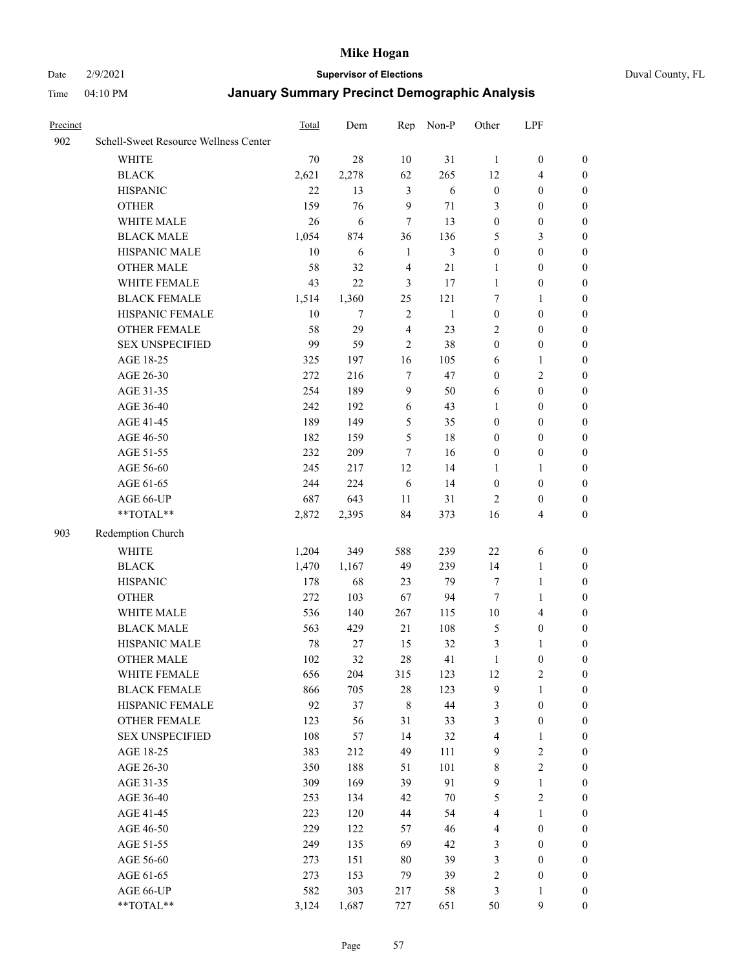#### Date 2/9/2021 **Supervisor of Elections** Duval County, FL

| Precinct |                                       | <b>Total</b> | Dem    | Rep            | Non-P        | Other            | LPF                     |                  |
|----------|---------------------------------------|--------------|--------|----------------|--------------|------------------|-------------------------|------------------|
| 902      | Schell-Sweet Resource Wellness Center |              |        |                |              |                  |                         |                  |
|          | <b>WHITE</b>                          | 70           | 28     | 10             | 31           | $\mathbf{1}$     | $\boldsymbol{0}$        | 0                |
|          | <b>BLACK</b>                          | 2,621        | 2,278  | 62             | 265          | 12               | $\overline{4}$          | 0                |
|          | <b>HISPANIC</b>                       | 22           | 13     | 3              | 6            | $\boldsymbol{0}$ | $\boldsymbol{0}$        | $\boldsymbol{0}$ |
|          | <b>OTHER</b>                          | 159          | 76     | 9              | 71           | 3                | $\boldsymbol{0}$        | $\boldsymbol{0}$ |
|          | WHITE MALE                            | 26           | 6      | 7              | 13           | $\boldsymbol{0}$ | $\boldsymbol{0}$        | $\boldsymbol{0}$ |
|          | <b>BLACK MALE</b>                     | 1,054        | 874    | 36             | 136          | 5                | $\mathfrak{Z}$          | $\boldsymbol{0}$ |
|          | HISPANIC MALE                         | 10           | 6      | $\mathbf{1}$   | 3            | $\boldsymbol{0}$ | $\boldsymbol{0}$        | $\boldsymbol{0}$ |
|          | <b>OTHER MALE</b>                     | 58           | 32     | $\overline{4}$ | 21           | $\mathbf{1}$     | $\boldsymbol{0}$        | $\boldsymbol{0}$ |
|          | WHITE FEMALE                          | 43           | 22     | 3              | 17           | $\mathbf{1}$     | $\boldsymbol{0}$        | $\boldsymbol{0}$ |
|          | <b>BLACK FEMALE</b>                   | 1,514        | 1,360  | 25             | 121          | 7                | $\mathbf{1}$            | 0                |
|          | HISPANIC FEMALE                       | 10           | $\tau$ | $\sqrt{2}$     | $\mathbf{1}$ | $\boldsymbol{0}$ | $\boldsymbol{0}$        | 0                |
|          | <b>OTHER FEMALE</b>                   | 58           | 29     | $\overline{4}$ | 23           | 2                | $\boldsymbol{0}$        | 0                |
|          | <b>SEX UNSPECIFIED</b>                | 99           | 59     | $\mathfrak{2}$ | 38           | $\boldsymbol{0}$ | $\boldsymbol{0}$        | $\boldsymbol{0}$ |
|          | AGE 18-25                             | 325          | 197    | 16             | 105          | 6                | 1                       | $\boldsymbol{0}$ |
|          | AGE 26-30                             | 272          | 216    | 7              | 47           | $\boldsymbol{0}$ | $\sqrt{2}$              | $\boldsymbol{0}$ |
|          | AGE 31-35                             | 254          | 189    | $\overline{9}$ | 50           | 6                | $\boldsymbol{0}$        | $\boldsymbol{0}$ |
|          | AGE 36-40                             | 242          | 192    | 6              | 43           | $\mathbf{1}$     | $\boldsymbol{0}$        | $\boldsymbol{0}$ |
|          | AGE 41-45                             | 189          | 149    | 5              | 35           | $\boldsymbol{0}$ | $\boldsymbol{0}$        | $\boldsymbol{0}$ |
|          | AGE 46-50                             | 182          | 159    | 5              | 18           | $\boldsymbol{0}$ | $\boldsymbol{0}$        | $\boldsymbol{0}$ |
|          | AGE 51-55                             | 232          | 209    | 7              | 16           | $\boldsymbol{0}$ | $\boldsymbol{0}$        | 0                |
|          | AGE 56-60                             | 245          | 217    | 12             | 14           | 1                | 1                       | 0                |
|          | AGE 61-65                             | 244          | 224    | 6              | 14           | $\boldsymbol{0}$ | $\boldsymbol{0}$        | 0                |
|          | AGE 66-UP                             | 687          | 643    | 11             | 31           | $\overline{2}$   | $\boldsymbol{0}$        | 0                |
|          | **TOTAL**                             | 2,872        | 2,395  | 84             | 373          | 16               | $\overline{\mathbf{4}}$ | $\boldsymbol{0}$ |
|          |                                       |              |        |                |              |                  |                         |                  |
| 903      | Redemption Church                     |              |        |                |              |                  |                         |                  |
|          | <b>WHITE</b>                          | 1,204        | 349    | 588            | 239          | $22\,$           | 6                       | $\boldsymbol{0}$ |
|          | <b>BLACK</b>                          | 1,470        | 1,167  | 49             | 239          | 14               | $\mathbf{1}$            | $\boldsymbol{0}$ |
|          | <b>HISPANIC</b>                       | 178          | 68     | 23             | 79           | 7                | $\mathbf{1}$            | $\boldsymbol{0}$ |
|          | <b>OTHER</b>                          | 272          | 103    | 67             | 94           | 7                | $\mathbf{1}$            | $\boldsymbol{0}$ |
|          | WHITE MALE                            | 536          | 140    | 267            | 115          | $10\,$           | $\overline{4}$          | $\boldsymbol{0}$ |
|          | <b>BLACK MALE</b>                     | 563          | 429    | 21             | 108          | 5                | $\boldsymbol{0}$        | $\boldsymbol{0}$ |
|          | HISPANIC MALE                         | 78           | 27     | 15             | 32           | 3                | 1                       | 0                |
|          | OTHER MALE                            | 102          | 32     | 28             | 41           | $\mathbf{1}$     | $\boldsymbol{0}$        | 0                |
|          | WHITE FEMALE                          | 656          | 204    | 315            | 123          | 12               | 2                       | 0                |
|          | <b>BLACK FEMALE</b>                   | 866          | 705    | 28             | 123          | 9                | $\mathbf{1}$            | $\boldsymbol{0}$ |
|          | HISPANIC FEMALE                       | 92           | 37     | $\,8\,$        | 44           | 3                | $\boldsymbol{0}$        | $\overline{0}$   |
|          | OTHER FEMALE                          | 123          | 56     | 31             | 33           | 3                | $\boldsymbol{0}$        | $\overline{0}$   |
|          | <b>SEX UNSPECIFIED</b>                | 108          | 57     | 14             | 32           | 4                | $\mathbf{1}$            | 0                |
|          | AGE 18-25                             | 383          | 212    | 49             | 111          | 9                | $\sqrt{2}$              | 0                |
|          | AGE 26-30                             | 350          | 188    | 51             | 101          | 8                | $\overline{2}$          | 0                |
|          | AGE 31-35                             | 309          | 169    | 39             | 91           | $\mathbf{9}$     | $\mathbf{1}$            | 0                |
|          | AGE 36-40                             | 253          | 134    | 42             | $70\,$       | 5                | $\sqrt{2}$              | 0                |
|          | AGE 41-45                             | 223          | 120    | 44             | 54           | $\overline{4}$   | $\mathbf{1}$            | 0                |
|          | AGE 46-50                             | 229          | 122    | 57             | 46           | 4                | $\boldsymbol{0}$        | 0                |
|          | AGE 51-55                             | 249          | 135    | 69             | 42           | 3                | $\boldsymbol{0}$        | 0                |
|          | AGE 56-60                             | 273          | 151    | 80             | 39           | 3                | $\boldsymbol{0}$        | $\overline{0}$   |
|          | AGE 61-65                             | 273          | 153    | 79             | 39           | 2                | $\boldsymbol{0}$        | $\overline{0}$   |
|          | AGE 66-UP                             | 582          | 303    | 217            | 58           | 3                | $\mathbf{1}$            | 0                |
|          | **TOTAL**                             | 3,124        | 1,687  | 727            | 651          | 50               | 9                       | $\boldsymbol{0}$ |
|          |                                       |              |        |                |              |                  |                         |                  |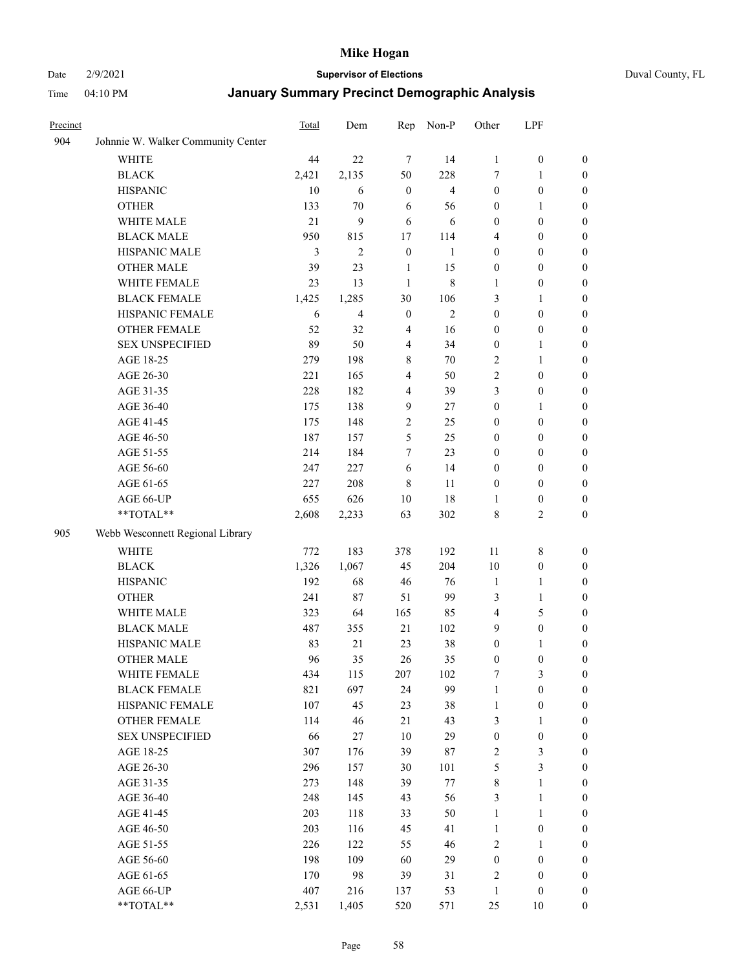#### Date 2/9/2021 **Supervisor of Elections** Duval County, FL

| Precinct |                                    | Total | Dem            | Rep              | Non-P          | Other            | LPF              |                  |
|----------|------------------------------------|-------|----------------|------------------|----------------|------------------|------------------|------------------|
| 904      | Johnnie W. Walker Community Center |       |                |                  |                |                  |                  |                  |
|          | <b>WHITE</b>                       | 44    | 22             | $\tau$           | 14             | $\mathbf{1}$     | $\boldsymbol{0}$ | $\boldsymbol{0}$ |
|          | <b>BLACK</b>                       | 2,421 | 2,135          | 50               | 228            | 7                | $\mathbf{1}$     | $\boldsymbol{0}$ |
|          | <b>HISPANIC</b>                    | 10    | 6              | $\boldsymbol{0}$ | $\overline{4}$ | $\boldsymbol{0}$ | $\boldsymbol{0}$ | $\boldsymbol{0}$ |
|          | <b>OTHER</b>                       | 133   | 70             | 6                | 56             | $\boldsymbol{0}$ | 1                | $\boldsymbol{0}$ |
|          | WHITE MALE                         | 21    | 9              | 6                | 6              | $\boldsymbol{0}$ | $\boldsymbol{0}$ | $\boldsymbol{0}$ |
|          | <b>BLACK MALE</b>                  | 950   | 815            | 17               | 114            | 4                | $\boldsymbol{0}$ | $\boldsymbol{0}$ |
|          | HISPANIC MALE                      | 3     | $\overline{2}$ | $\boldsymbol{0}$ | $\mathbf{1}$   | $\boldsymbol{0}$ | $\boldsymbol{0}$ | $\boldsymbol{0}$ |
|          | <b>OTHER MALE</b>                  | 39    | 23             | 1                | 15             | $\boldsymbol{0}$ | $\boldsymbol{0}$ | 0                |
|          | WHITE FEMALE                       | 23    | 13             | $\mathbf{1}$     | $\,$ 8 $\,$    | 1                | $\boldsymbol{0}$ | 0                |
|          | <b>BLACK FEMALE</b>                | 1,425 | 1,285          | 30               | 106            | 3                | $\mathbf{1}$     | 0                |
|          | HISPANIC FEMALE                    | 6     | 4              | $\boldsymbol{0}$ | 2              | $\boldsymbol{0}$ | $\boldsymbol{0}$ | $\boldsymbol{0}$ |
|          | OTHER FEMALE                       | 52    | 32             | $\overline{4}$   | 16             | $\boldsymbol{0}$ | $\boldsymbol{0}$ | $\boldsymbol{0}$ |
|          | <b>SEX UNSPECIFIED</b>             | 89    | 50             | $\overline{4}$   | 34             | $\boldsymbol{0}$ | $\mathbf{1}$     | $\boldsymbol{0}$ |
|          | AGE 18-25                          | 279   | 198            | 8                | 70             | $\overline{c}$   | $\mathbf{1}$     | $\boldsymbol{0}$ |
|          | AGE 26-30                          | 221   | 165            | $\overline{4}$   | 50             | $\sqrt{2}$       | $\boldsymbol{0}$ | $\boldsymbol{0}$ |
|          | AGE 31-35                          | 228   | 182            | $\overline{4}$   | 39             | 3                | $\boldsymbol{0}$ | $\boldsymbol{0}$ |
|          | AGE 36-40                          | 175   | 138            | 9                | 27             | $\boldsymbol{0}$ | $\mathbf{1}$     | $\boldsymbol{0}$ |
|          | AGE 41-45                          | 175   | 148            | $\sqrt{2}$       | 25             | $\boldsymbol{0}$ | $\boldsymbol{0}$ | $\boldsymbol{0}$ |
|          | AGE 46-50                          | 187   | 157            | 5                | 25             | $\boldsymbol{0}$ | $\boldsymbol{0}$ | $\boldsymbol{0}$ |
|          | AGE 51-55                          | 214   | 184            | $\tau$           | 23             | $\boldsymbol{0}$ | $\boldsymbol{0}$ | 0                |
|          | AGE 56-60                          | 247   | 227            | 6                | 14             | $\boldsymbol{0}$ | $\boldsymbol{0}$ | $\boldsymbol{0}$ |
|          | AGE 61-65                          | 227   | 208            | $\,8\,$          | 11             | $\boldsymbol{0}$ | $\boldsymbol{0}$ | $\boldsymbol{0}$ |
|          | AGE 66-UP                          | 655   | 626            | 10               | 18             | 1                | $\boldsymbol{0}$ | $\boldsymbol{0}$ |
|          | **TOTAL**                          | 2,608 | 2,233          | 63               | 302            | 8                | $\mathfrak{2}$   | $\boldsymbol{0}$ |
| 905      | Webb Wesconnett Regional Library   |       |                |                  |                |                  |                  |                  |
|          | <b>WHITE</b>                       | 772   | 183            | 378              | 192            | 11               | $\,$ 8 $\,$      | $\boldsymbol{0}$ |
|          | <b>BLACK</b>                       | 1,326 | 1,067          | 45               | 204            | 10               | $\boldsymbol{0}$ | $\boldsymbol{0}$ |
|          | <b>HISPANIC</b>                    | 192   | 68             | 46               | 76             | $\mathbf{1}$     | $\mathbf{1}$     | $\boldsymbol{0}$ |
|          | <b>OTHER</b>                       | 241   | 87             | 51               | 99             | 3                | $\mathbf{1}$     | $\boldsymbol{0}$ |
|          | WHITE MALE                         | 323   | 64             | 165              | 85             | 4                | $\mathfrak s$    | $\boldsymbol{0}$ |
|          | <b>BLACK MALE</b>                  | 487   | 355            | 21               | 102            | 9                | $\boldsymbol{0}$ | $\boldsymbol{0}$ |
|          | HISPANIC MALE                      | 83    | 21             | 23               | 38             | $\boldsymbol{0}$ | 1                | 0                |
|          | <b>OTHER MALE</b>                  | 96    | 35             | 26               | 35             | $\boldsymbol{0}$ | $\boldsymbol{0}$ | $\boldsymbol{0}$ |
|          | WHITE FEMALE                       | 434   | 115            | 207              | 102            | 7                | $\mathfrak{Z}$   | $\boldsymbol{0}$ |
|          | <b>BLACK FEMALE</b>                | 821   | 697            | 24               | 99             | $\mathbf{1}$     | $\boldsymbol{0}$ | $\overline{0}$   |
|          | HISPANIC FEMALE                    | 107   | 45             | 23               | 38             | $\mathbf{1}$     | $\boldsymbol{0}$ | $\overline{0}$   |
|          | <b>OTHER FEMALE</b>                | 114   | 46             | 21               | 43             | 3                | $\mathbf{1}$     | 0                |
|          | <b>SEX UNSPECIFIED</b>             | 66    | 27             | $10\,$           | 29             | $\boldsymbol{0}$ | $\boldsymbol{0}$ | $\theta$         |
|          | AGE 18-25                          | 307   | 176            | 39               | 87             | $\sqrt{2}$       | $\mathfrak{Z}$   | 0                |
|          | AGE 26-30                          | 296   | 157            | $30\,$           | 101            | $\mathfrak s$    | $\mathfrak{Z}$   | 0                |
|          | AGE 31-35                          | 273   | 148            | 39               | $77\,$         | 8                | $\mathbf{1}$     | 0                |
|          | AGE 36-40                          | 248   | 145            | 43               | 56             | 3                | $\mathbf{1}$     | 0                |
|          | AGE 41-45                          | 203   | 118            | 33               | 50             | $\mathbf{1}$     | $\mathbf{1}$     | 0                |
|          | AGE 46-50                          | 203   | 116            | 45               | 41             | $\mathbf{1}$     | $\boldsymbol{0}$ | 0                |
|          | AGE 51-55                          | 226   | 122            | 55               | 46             | $\overline{c}$   | $\mathbf{1}$     | $\boldsymbol{0}$ |
|          | AGE 56-60                          | 198   | 109            | 60               | 29             | $\boldsymbol{0}$ | $\boldsymbol{0}$ | $\overline{0}$   |
|          | AGE 61-65                          | 170   | 98             | 39               | 31             | 2                | $\boldsymbol{0}$ | 0                |
|          | AGE 66-UP                          | 407   | 216            | 137              | 53             | $\mathbf{1}$     | $\boldsymbol{0}$ | 0                |
|          | **TOTAL**                          | 2,531 | 1,405          | 520              | 571            | 25               | 10               | $\boldsymbol{0}$ |
|          |                                    |       |                |                  |                |                  |                  |                  |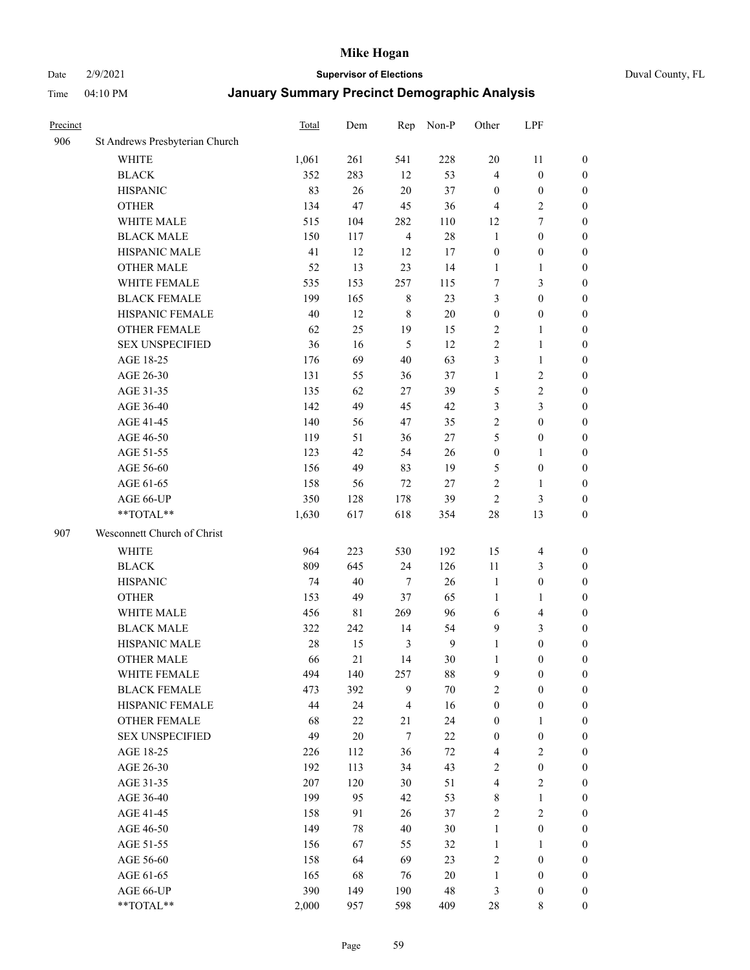#### Date 2/9/2021 **Supervisor of Elections** Duval County, FL

| Precinct |                                | <b>Total</b> | Dem         |                  | Rep Non-P        | Other            | LPF              |                  |
|----------|--------------------------------|--------------|-------------|------------------|------------------|------------------|------------------|------------------|
| 906      | St Andrews Presbyterian Church |              |             |                  |                  |                  |                  |                  |
|          | WHITE                          | 1,061        | 261         | 541              | 228              | 20               | 11               | 0                |
|          | <b>BLACK</b>                   | 352          | 283         | 12               | 53               | 4                | $\boldsymbol{0}$ | 0                |
|          | <b>HISPANIC</b>                | 83           | 26          | $20\,$           | 37               | $\boldsymbol{0}$ | $\boldsymbol{0}$ | $\boldsymbol{0}$ |
|          | <b>OTHER</b>                   | 134          | 47          | 45               | 36               | 4                | $\sqrt{2}$       | $\boldsymbol{0}$ |
|          | WHITE MALE                     | 515          | 104         | 282              | 110              | 12               | $\tau$           | $\boldsymbol{0}$ |
|          | <b>BLACK MALE</b>              | 150          | 117         | $\overline{4}$   | 28               | $\mathbf{1}$     | $\boldsymbol{0}$ | $\boldsymbol{0}$ |
|          | HISPANIC MALE                  | 41           | 12          | 12               | 17               | $\boldsymbol{0}$ | $\boldsymbol{0}$ | $\boldsymbol{0}$ |
|          | <b>OTHER MALE</b>              | 52           | 13          | 23               | 14               | $\mathbf{1}$     | $\mathbf{1}$     | $\boldsymbol{0}$ |
|          | WHITE FEMALE                   | 535          | 153         | 257              | 115              | 7                | $\mathfrak{Z}$   | $\boldsymbol{0}$ |
|          | <b>BLACK FEMALE</b>            | 199          | 165         | $\,$ 8 $\,$      | 23               | 3                | $\boldsymbol{0}$ | 0                |
|          | HISPANIC FEMALE                | 40           | 12          | $\,$ 8 $\,$      | 20               | $\boldsymbol{0}$ | $\boldsymbol{0}$ | 0                |
|          | OTHER FEMALE                   | 62           | 25          | 19               | 15               | 2                | 1                | 0                |
|          | <b>SEX UNSPECIFIED</b>         | 36           | 16          | $\mathfrak s$    | 12               | $\mathbf{2}$     | $\mathbf{1}$     | $\boldsymbol{0}$ |
|          | AGE 18-25                      | 176          | 69          | 40               | 63               | 3                | $\mathbf{1}$     | $\boldsymbol{0}$ |
|          | AGE 26-30                      | 131          | 55          | 36               | 37               | 1                | $\sqrt{2}$       | $\boldsymbol{0}$ |
|          | AGE 31-35                      | 135          | 62          | 27               | 39               | 5                | $\sqrt{2}$       | $\boldsymbol{0}$ |
|          | AGE 36-40                      | 142          | 49          | 45               | 42               | 3                | 3                | $\boldsymbol{0}$ |
|          | AGE 41-45                      | 140          | 56          | 47               | 35               | 2                | $\boldsymbol{0}$ | $\boldsymbol{0}$ |
|          | AGE 46-50                      | 119          | 51          | 36               | $27\,$           | 5                | $\boldsymbol{0}$ | $\boldsymbol{0}$ |
|          | AGE 51-55                      | 123          | 42          | 54               | 26               | $\boldsymbol{0}$ | 1                | 0                |
|          | AGE 56-60                      | 156          | 49          | 83               | 19               | 5                | $\boldsymbol{0}$ | 0                |
|          | AGE 61-65                      | 158          | 56          | 72               | $27\,$           | 2                | 1                | 0                |
|          | AGE 66-UP                      | 350          | 128         | 178              | 39               | $\mathbf{2}$     | $\mathfrak{Z}$   | 0                |
|          | **TOTAL**                      | 1,630        | 617         | 618              | 354              | 28               | 13               | $\boldsymbol{0}$ |
| 907      | Wesconnett Church of Christ    |              |             |                  |                  |                  |                  |                  |
|          | WHITE                          | 964          | 223         | 530              | 192              | 15               | $\overline{4}$   | $\boldsymbol{0}$ |
|          | <b>BLACK</b>                   | 809          | 645         | 24               | 126              | 11               | $\mathfrak{Z}$   | $\boldsymbol{0}$ |
|          | <b>HISPANIC</b>                | 74           | 40          | 7                | 26               | $\mathbf{1}$     | $\boldsymbol{0}$ | $\boldsymbol{0}$ |
|          | <b>OTHER</b>                   | 153          | 49          | 37               | 65               | $\mathbf{1}$     | $\mathbf{1}$     | $\boldsymbol{0}$ |
|          | WHITE MALE                     | 456          | $8\sqrt{1}$ | 269              | 96               | 6                | $\overline{4}$   | $\boldsymbol{0}$ |
|          | <b>BLACK MALE</b>              | 322          | 242         | 14               | 54               | 9                | $\mathfrak{Z}$   | $\boldsymbol{0}$ |
|          | HISPANIC MALE                  | 28           | 15          | 3                | $\boldsymbol{9}$ | 1                | $\boldsymbol{0}$ | $\boldsymbol{0}$ |
|          | <b>OTHER MALE</b>              | 66           | 21          | 14               | $30\,$           | 1                | $\boldsymbol{0}$ | $\boldsymbol{0}$ |
|          | WHITE FEMALE                   | 494          | 140         | 257              | 88               | 9                | $\boldsymbol{0}$ | 0                |
|          | <b>BLACK FEMALE</b>            | 473          | 392         | 9                | $70\,$           | 2                | $\boldsymbol{0}$ | 0                |
|          | HISPANIC FEMALE                | 44           | 24          | $\overline{4}$   | 16               | $\boldsymbol{0}$ | $\boldsymbol{0}$ | $\overline{0}$   |
|          | OTHER FEMALE                   | 68           | $22\,$      | 21               | 24               | $\boldsymbol{0}$ | 1                | $\overline{0}$   |
|          | <b>SEX UNSPECIFIED</b>         | 49           | 20          | $\boldsymbol{7}$ | $22\,$           | $\boldsymbol{0}$ | $\boldsymbol{0}$ | 0                |
|          | AGE 18-25                      | 226          | 112         | 36               | 72               | 4                | $\sqrt{2}$       | 0                |
|          | AGE 26-30                      | 192          | 113         | 34               | 43               | 2                | $\boldsymbol{0}$ | 0                |
|          | AGE 31-35                      | 207          | 120         | 30               | 51               | 4                | $\sqrt{2}$       | $\overline{0}$   |
|          | AGE 36-40                      | 199          | 95          | 42               | 53               | 8                | $\mathbf{1}$     | 0                |
|          | AGE 41-45                      | 158          | 91          | 26               | 37               | 2                | $\sqrt{2}$       | 0                |
|          | AGE 46-50                      | 149          | 78          | 40               | 30               | $\mathbf{1}$     | $\boldsymbol{0}$ | 0                |
|          | AGE 51-55                      | 156          | 67          | 55               | 32               | $\mathbf{1}$     | $\mathbf{1}$     | $\boldsymbol{0}$ |
|          | AGE 56-60                      | 158          | 64          | 69               | 23               | $\overline{c}$   | $\boldsymbol{0}$ | $\boldsymbol{0}$ |
|          | AGE 61-65                      | 165          | 68          | 76               | 20               | $\mathbf{1}$     | $\boldsymbol{0}$ | $\overline{0}$   |
|          | AGE 66-UP                      | 390          | 149         | 190              | 48               | 3                | $\boldsymbol{0}$ | 0                |
|          | **TOTAL**                      | 2,000        | 957         | 598              | 409              | 28               | $\,$ 8 $\,$      | $\boldsymbol{0}$ |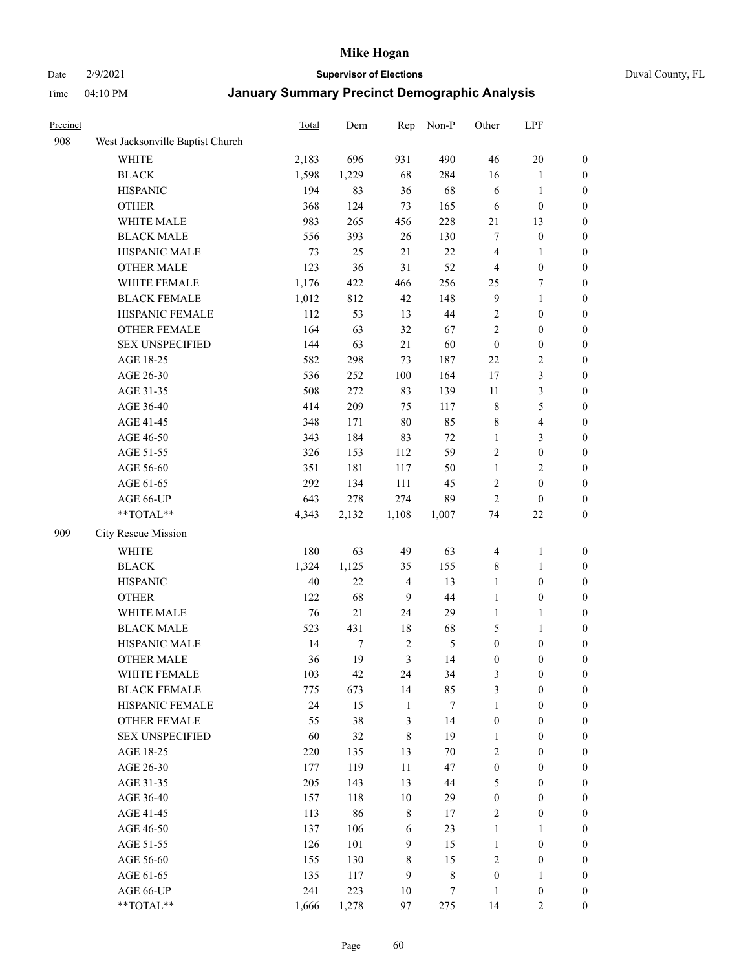Date 2/9/2021 **Supervisor of Elections** Duval County, FL

| Precinct |                                  | Total | Dem   | Rep            | Non-P            | Other            | LPF                     |                  |
|----------|----------------------------------|-------|-------|----------------|------------------|------------------|-------------------------|------------------|
| 908      | West Jacksonville Baptist Church |       |       |                |                  |                  |                         |                  |
|          | <b>WHITE</b>                     | 2,183 | 696   | 931            | 490              | 46               | $20\,$                  | 0                |
|          | <b>BLACK</b>                     | 1,598 | 1,229 | 68             | 284              | 16               | $\mathbf{1}$            | 0                |
|          | <b>HISPANIC</b>                  | 194   | 83    | 36             | 68               | 6                | $\mathbf{1}$            | 0                |
|          | <b>OTHER</b>                     | 368   | 124   | 73             | 165              | 6                | $\boldsymbol{0}$        | $\boldsymbol{0}$ |
|          | WHITE MALE                       | 983   | 265   | 456            | 228              | 21               | 13                      | $\boldsymbol{0}$ |
|          | <b>BLACK MALE</b>                | 556   | 393   | 26             | 130              | 7                | $\boldsymbol{0}$        | $\boldsymbol{0}$ |
|          | HISPANIC MALE                    | 73    | 25    | 21             | 22               | 4                | $\mathbf{1}$            | $\boldsymbol{0}$ |
|          | <b>OTHER MALE</b>                | 123   | 36    | 31             | 52               | $\overline{4}$   | $\boldsymbol{0}$        | $\boldsymbol{0}$ |
|          | WHITE FEMALE                     | 1,176 | 422   | 466            | 256              | 25               | $\boldsymbol{7}$        | $\boldsymbol{0}$ |
|          | <b>BLACK FEMALE</b>              | 1,012 | 812   | 42             | 148              | $\overline{9}$   | $\mathbf{1}$            | $\boldsymbol{0}$ |
|          | HISPANIC FEMALE                  | 112   | 53    | 13             | 44               | 2                | $\boldsymbol{0}$        | 0                |
|          | <b>OTHER FEMALE</b>              | 164   | 63    | 32             | 67               | $\mathbf{2}$     | $\boldsymbol{0}$        | 0                |
|          | <b>SEX UNSPECIFIED</b>           | 144   | 63    | 21             | 60               | $\boldsymbol{0}$ | $\boldsymbol{0}$        | $\boldsymbol{0}$ |
|          | AGE 18-25                        | 582   | 298   | 73             | 187              | $22\,$           | $\sqrt{2}$              | $\boldsymbol{0}$ |
|          | AGE 26-30                        | 536   | 252   | 100            | 164              | 17               | $\mathfrak{Z}$          | $\boldsymbol{0}$ |
|          | AGE 31-35                        | 508   | 272   | 83             | 139              | 11               | $\mathfrak{Z}$          | $\boldsymbol{0}$ |
|          | AGE 36-40                        | 414   | 209   | 75             | 117              | $\,$ 8 $\,$      | $\mathfrak s$           | $\boldsymbol{0}$ |
|          | AGE 41-45                        | 348   | 171   | $80\,$         | 85               | 8                | $\overline{\mathbf{4}}$ | $\boldsymbol{0}$ |
|          | AGE 46-50                        | 343   | 184   | 83             | $72\,$           | $\mathbf{1}$     | $\mathfrak{Z}$          | $\boldsymbol{0}$ |
|          | AGE 51-55                        | 326   | 153   | 112            | 59               | 2                | $\boldsymbol{0}$        | $\boldsymbol{0}$ |
|          | AGE 56-60                        | 351   | 181   | 117            | 50               | $\mathbf{1}$     | $\sqrt{2}$              | 0                |
|          | AGE 61-65                        | 292   | 134   | 111            | 45               | $\sqrt{2}$       | $\boldsymbol{0}$        | 0                |
|          | AGE 66-UP                        | 643   | 278   | 274            | 89               | $\mathbf{2}$     | $\boldsymbol{0}$        | $\boldsymbol{0}$ |
|          | $**TOTAL**$                      | 4,343 | 2,132 | 1,108          | 1,007            | 74               | $22\,$                  | $\boldsymbol{0}$ |
| 909      | City Rescue Mission              |       |       |                |                  |                  |                         |                  |
|          | <b>WHITE</b>                     | 180   | 63    | 49             | 63               | $\overline{4}$   | $\mathbf{1}$            | $\boldsymbol{0}$ |
|          | <b>BLACK</b>                     | 1,324 | 1,125 | 35             | 155              | 8                | $\mathbf{1}$            | $\boldsymbol{0}$ |
|          | <b>HISPANIC</b>                  | 40    | 22    | $\overline{4}$ | 13               | $\mathbf{1}$     | $\boldsymbol{0}$        | $\boldsymbol{0}$ |
|          | <b>OTHER</b>                     | 122   | 68    | 9              | 44               | $\mathbf{1}$     | $\boldsymbol{0}$        | $\boldsymbol{0}$ |
|          | WHITE MALE                       | 76    | 21    | 24             | 29               | $\mathbf{1}$     | $\mathbf{1}$            | $\boldsymbol{0}$ |
|          | <b>BLACK MALE</b>                | 523   | 431   | $18\,$         | 68               | 5                | $\mathbf{1}$            | $\boldsymbol{0}$ |
|          | HISPANIC MALE                    | 14    | 7     | $\sqrt{2}$     | 5                | $\boldsymbol{0}$ | $\boldsymbol{0}$        | 0                |
|          | <b>OTHER MALE</b>                | 36    | 19    | 3              | 14               | $\boldsymbol{0}$ | $\boldsymbol{0}$        | $\boldsymbol{0}$ |
|          | WHITE FEMALE                     | 103   | 42    | 24             | 34               | 3                | $\boldsymbol{0}$        | 0                |
|          | <b>BLACK FEMALE</b>              | 775   | 673   | 14             | 85               | 3                | $\boldsymbol{0}$        | $\overline{0}$   |
|          | HISPANIC FEMALE                  | 24    | 15    | $\mathbf{1}$   | $\tau$           | 1                | $\boldsymbol{0}$        | $\overline{0}$   |
|          | OTHER FEMALE                     | 55    | 38    | $\mathfrak{Z}$ | 14               | $\boldsymbol{0}$ | $\boldsymbol{0}$        | $\overline{0}$   |
|          | <b>SEX UNSPECIFIED</b>           | 60    | 32    | $\,8\,$        | 19               | $\mathbf{1}$     | $\boldsymbol{0}$        | $\overline{0}$   |
|          | AGE 18-25                        | 220   | 135   | 13             | $70\,$           | $\overline{c}$   | $\boldsymbol{0}$        | $\theta$         |
|          | AGE 26-30                        | 177   | 119   | 11             | 47               | $\boldsymbol{0}$ | $\boldsymbol{0}$        | 0                |
|          | AGE 31-35                        | 205   | 143   | 13             | $44\,$           | 5                | $\boldsymbol{0}$        | 0                |
|          | AGE 36-40                        | 157   | 118   | $10\,$         | 29               | $\boldsymbol{0}$ | $\boldsymbol{0}$        | 0                |
|          | AGE 41-45                        | 113   | 86    | $\,8\,$        | 17               | $\overline{2}$   | $\boldsymbol{0}$        | 0                |
|          | AGE 46-50                        | 137   | 106   | 6              | 23               | $\mathbf{1}$     | $\mathbf{1}$            | 0                |
|          | AGE 51-55                        | 126   | 101   | 9              | 15               | $\mathbf{1}$     | $\boldsymbol{0}$        | $\overline{0}$   |
|          | AGE 56-60                        | 155   | 130   | 8              | 15               | $\overline{c}$   | $\boldsymbol{0}$        | $\overline{0}$   |
|          | AGE 61-65                        | 135   | 117   | 9              | 8                | $\boldsymbol{0}$ | $\mathbf{1}$            | $\boldsymbol{0}$ |
|          | AGE 66-UP                        | 241   | 223   | 10             | $\boldsymbol{7}$ | $\mathbf{1}$     | $\boldsymbol{0}$        | $\boldsymbol{0}$ |
|          | **TOTAL**                        | 1,666 | 1,278 | 97             | 275              | 14               | $\overline{2}$          | $\boldsymbol{0}$ |
|          |                                  |       |       |                |                  |                  |                         |                  |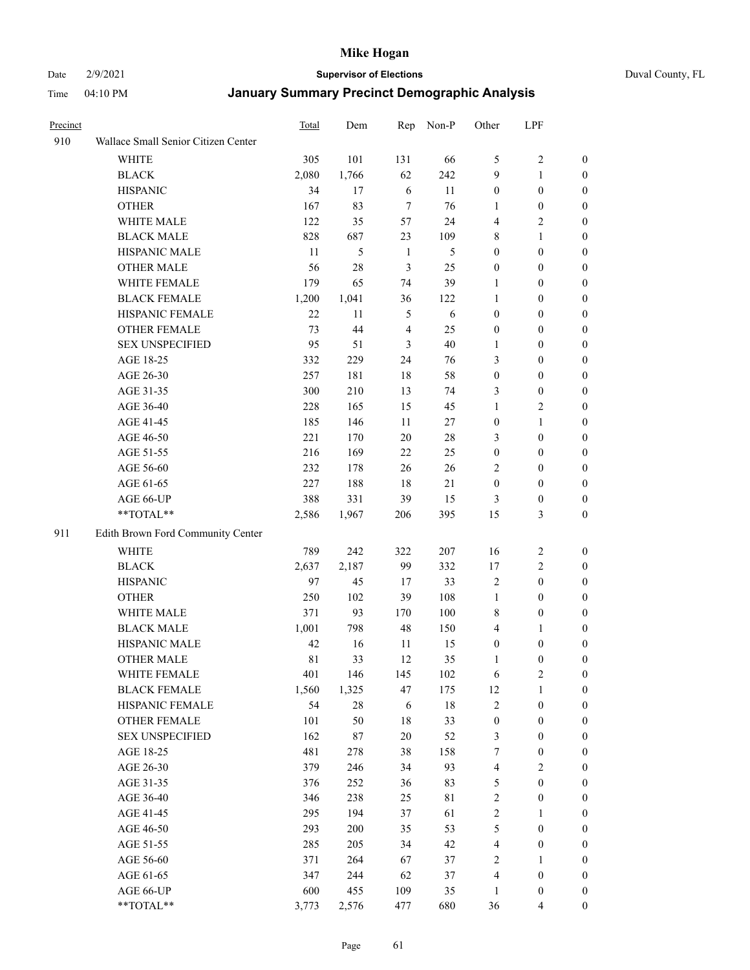#### Date 2/9/2021 **Supervisor of Elections** Duval County, FL

| Precinct |                                     | <b>Total</b> | Dem    | Rep            | Non-P  | Other            | LPF              |                  |
|----------|-------------------------------------|--------------|--------|----------------|--------|------------------|------------------|------------------|
| 910      | Wallace Small Senior Citizen Center |              |        |                |        |                  |                  |                  |
|          | <b>WHITE</b>                        | 305          | 101    | 131            | 66     | 5                | $\sqrt{2}$       | 0                |
|          | <b>BLACK</b>                        | 2,080        | 1,766  | 62             | 242    | 9                | $\mathbf{1}$     | 0                |
|          | <b>HISPANIC</b>                     | 34           | 17     | 6              | 11     | $\boldsymbol{0}$ | $\boldsymbol{0}$ | 0                |
|          | <b>OTHER</b>                        | 167          | 83     | $\overline{7}$ | 76     | 1                | $\boldsymbol{0}$ | $\boldsymbol{0}$ |
|          | WHITE MALE                          | 122          | 35     | 57             | 24     | 4                | $\sqrt{2}$       | $\boldsymbol{0}$ |
|          | <b>BLACK MALE</b>                   | 828          | 687    | 23             | 109    | 8                | $\mathbf{1}$     | $\boldsymbol{0}$ |
|          | HISPANIC MALE                       | 11           | 5      | $\mathbf{1}$   | 5      | $\boldsymbol{0}$ | $\boldsymbol{0}$ | $\boldsymbol{0}$ |
|          | <b>OTHER MALE</b>                   | 56           | 28     | 3              | 25     | $\boldsymbol{0}$ | $\boldsymbol{0}$ | $\boldsymbol{0}$ |
|          | WHITE FEMALE                        | 179          | 65     | 74             | 39     | 1                | $\boldsymbol{0}$ | $\boldsymbol{0}$ |
|          | <b>BLACK FEMALE</b>                 | 1,200        | 1,041  | 36             | 122    | $\mathbf{1}$     | $\boldsymbol{0}$ | 0                |
|          | HISPANIC FEMALE                     | 22           | 11     | 5              | 6      | $\boldsymbol{0}$ | $\boldsymbol{0}$ | 0                |
|          | <b>OTHER FEMALE</b>                 | 73           | 44     | $\overline{4}$ | 25     | $\boldsymbol{0}$ | $\boldsymbol{0}$ | 0                |
|          | <b>SEX UNSPECIFIED</b>              | 95           | 51     | 3              | 40     | $\mathbf{1}$     | $\boldsymbol{0}$ | $\boldsymbol{0}$ |
|          | AGE 18-25                           | 332          | 229    | 24             | 76     | 3                | $\boldsymbol{0}$ | $\boldsymbol{0}$ |
|          | AGE 26-30                           | 257          | 181    | 18             | 58     | $\boldsymbol{0}$ | $\boldsymbol{0}$ | $\boldsymbol{0}$ |
|          | AGE 31-35                           | 300          | 210    | 13             | 74     | 3                | $\boldsymbol{0}$ | $\boldsymbol{0}$ |
|          | AGE 36-40                           | 228          | 165    | 15             | 45     | 1                | $\sqrt{2}$       | $\boldsymbol{0}$ |
|          | AGE 41-45                           | 185          | 146    | 11             | 27     | $\boldsymbol{0}$ | $\mathbf{1}$     | $\boldsymbol{0}$ |
|          | AGE 46-50                           | 221          | 170    | 20             | $28\,$ | 3                | $\boldsymbol{0}$ | $\boldsymbol{0}$ |
|          | AGE 51-55                           | 216          | 169    | 22             | 25     | $\boldsymbol{0}$ | $\boldsymbol{0}$ | 0                |
|          | AGE 56-60                           | 232          | 178    | 26             | 26     | $\overline{2}$   | $\boldsymbol{0}$ | 0                |
|          | AGE 61-65                           | 227          | 188    | 18             | 21     | $\boldsymbol{0}$ | $\boldsymbol{0}$ | 0                |
|          | AGE 66-UP                           | 388          | 331    | 39             | 15     | 3                | $\boldsymbol{0}$ | $\boldsymbol{0}$ |
|          | **TOTAL**                           | 2,586        | 1,967  | 206            | 395    | 15               | $\mathfrak{Z}$   | $\boldsymbol{0}$ |
| 911      | Edith Brown Ford Community Center   |              |        |                |        |                  |                  |                  |
|          | <b>WHITE</b>                        | 789          | 242    | 322            | 207    | 16               | $\sqrt{2}$       | $\boldsymbol{0}$ |
|          | <b>BLACK</b>                        | 2,637        | 2,187  | 99             | 332    | 17               | $\sqrt{2}$       | $\boldsymbol{0}$ |
|          | <b>HISPANIC</b>                     | 97           | 45     | 17             | 33     | $\mathfrak{2}$   | $\boldsymbol{0}$ | $\boldsymbol{0}$ |
|          | <b>OTHER</b>                        | 250          | 102    | 39             | 108    | $\mathbf{1}$     | $\boldsymbol{0}$ | $\boldsymbol{0}$ |
|          | WHITE MALE                          | 371          | 93     | 170            | 100    | 8                | $\boldsymbol{0}$ | $\boldsymbol{0}$ |
|          | <b>BLACK MALE</b>                   | 1,001        | 798    | 48             | 150    | 4                | $\mathbf{1}$     | $\boldsymbol{0}$ |
|          | HISPANIC MALE                       | 42           | 16     | 11             | 15     | $\boldsymbol{0}$ | $\boldsymbol{0}$ | 0                |
|          | <b>OTHER MALE</b>                   | $8\sqrt{1}$  | 33     | 12             | 35     | 1                | $\boldsymbol{0}$ | 0                |
|          | WHITE FEMALE                        | 401          | 146    | 145            | 102    | 6                | 2                | 0                |
|          | <b>BLACK FEMALE</b>                 | 1,560        | 1,325  | 47             | 175    | 12               | $\mathbf{1}$     | $\boldsymbol{0}$ |
|          | HISPANIC FEMALE                     | 54           | $28\,$ | 6              | $18\,$ | 2                | $\boldsymbol{0}$ | $\overline{0}$   |
|          | OTHER FEMALE                        | 101          | 50     | 18             | 33     | $\boldsymbol{0}$ | $\boldsymbol{0}$ | $\overline{0}$   |
|          | <b>SEX UNSPECIFIED</b>              | 162          | 87     | 20             | 52     | 3                | $\boldsymbol{0}$ | 0                |
|          | AGE 18-25                           | 481          | 278    | 38             | 158    | 7                | $\boldsymbol{0}$ | $\theta$         |
|          | AGE 26-30                           | 379          | 246    | 34             | 93     | $\overline{4}$   | $\overline{2}$   | 0                |
|          | AGE 31-35                           | 376          | 252    | 36             | 83     | 5                | $\boldsymbol{0}$ | 0                |
|          | AGE 36-40                           | 346          | 238    | 25             | 81     | 2                | $\boldsymbol{0}$ | 0                |
|          | AGE 41-45                           | 295          | 194    | 37             | 61     | $\overline{c}$   | $\mathbf{1}$     | 0                |
|          | AGE 46-50                           | 293          | 200    | 35             | 53     | 5                | $\boldsymbol{0}$ | 0                |
|          | AGE 51-55                           | 285          | 205    | 34             | 42     | $\overline{4}$   | $\boldsymbol{0}$ | 0                |
|          | AGE 56-60                           | 371          | 264    | 67             | 37     | $\overline{2}$   | 1                | $\overline{0}$   |
|          | AGE 61-65                           | 347          | 244    | 62             | 37     | 4                | $\boldsymbol{0}$ | $\overline{0}$   |
|          | AGE 66-UP                           | 600          | 455    | 109            | 35     | $\mathbf{1}$     | $\boldsymbol{0}$ | 0                |
|          | **TOTAL**                           | 3,773        | 2,576  | 477            | 680    | 36               | $\overline{4}$   | $\boldsymbol{0}$ |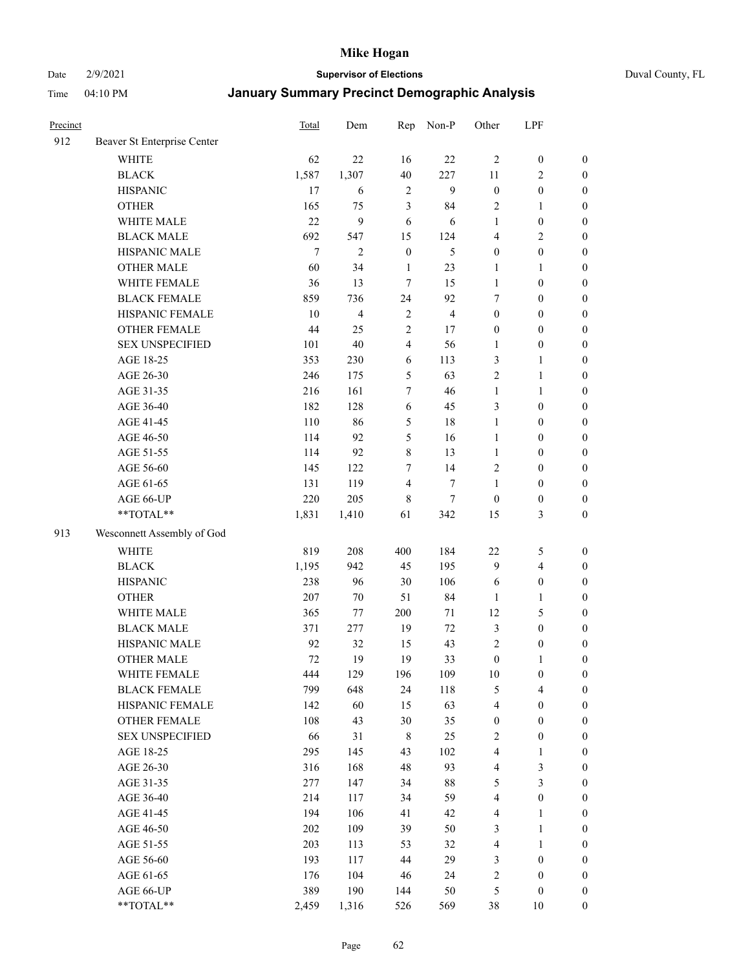Date 2/9/2021 **Supervisor of Elections** Duval County, FL

| Precinct |                             | <b>Total</b>     | Dem            | Rep            | Non-P          | Other            | LPF                     |                  |
|----------|-----------------------------|------------------|----------------|----------------|----------------|------------------|-------------------------|------------------|
| 912      | Beaver St Enterprise Center |                  |                |                |                |                  |                         |                  |
|          | <b>WHITE</b>                | 62               | 22             | 16             | 22             | $\overline{2}$   | $\boldsymbol{0}$        | $\boldsymbol{0}$ |
|          | <b>BLACK</b>                | 1,587            | 1,307          | 40             | 227            | 11               | $\overline{c}$          | $\boldsymbol{0}$ |
|          | <b>HISPANIC</b>             | 17               | 6              | $\sqrt{2}$     | 9              | $\boldsymbol{0}$ | $\boldsymbol{0}$        | $\boldsymbol{0}$ |
|          | <b>OTHER</b>                | 165              | 75             | 3              | 84             | $\mathbf{2}$     | 1                       | $\boldsymbol{0}$ |
|          | WHITE MALE                  | 22               | 9              | 6              | 6              | 1                | $\boldsymbol{0}$        | $\boldsymbol{0}$ |
|          | <b>BLACK MALE</b>           | 692              | 547            | 15             | 124            | 4                | $\mathbf{2}$            | $\boldsymbol{0}$ |
|          | HISPANIC MALE               | $\boldsymbol{7}$ | $\mathbf{2}$   | $\mathbf{0}$   | 5              | $\boldsymbol{0}$ | $\boldsymbol{0}$        | $\boldsymbol{0}$ |
|          | <b>OTHER MALE</b>           | 60               | 34             | $\mathbf{1}$   | 23             | $\mathbf{1}$     | $\mathbf{1}$            | $\boldsymbol{0}$ |
|          | WHITE FEMALE                | 36               | 13             | 7              | 15             | $\mathbf{1}$     | $\boldsymbol{0}$        | $\boldsymbol{0}$ |
|          | <b>BLACK FEMALE</b>         | 859              | 736            | 24             | 92             | 7                | $\boldsymbol{0}$        | $\boldsymbol{0}$ |
|          | HISPANIC FEMALE             | 10               | $\overline{4}$ | $\sqrt{2}$     | $\overline{4}$ | $\boldsymbol{0}$ | $\boldsymbol{0}$        | $\boldsymbol{0}$ |
|          | <b>OTHER FEMALE</b>         | 44               | 25             | $\overline{2}$ | 17             | $\boldsymbol{0}$ | $\boldsymbol{0}$        | $\boldsymbol{0}$ |
|          | <b>SEX UNSPECIFIED</b>      | 101              | 40             | $\overline{4}$ | 56             | $\mathbf{1}$     | $\boldsymbol{0}$        | $\boldsymbol{0}$ |
|          | AGE 18-25                   | 353              | 230            | 6              | 113            | 3                | $\mathbf{1}$            | $\boldsymbol{0}$ |
|          | AGE 26-30                   | 246              | 175            | 5              | 63             | 2                | $\mathbf{1}$            | $\boldsymbol{0}$ |
|          | AGE 31-35                   | 216              | 161            | 7              | 46             | $\mathbf{1}$     | $\mathbf{1}$            | $\boldsymbol{0}$ |
|          | AGE 36-40                   | 182              | 128            | 6              | 45             | 3                | $\boldsymbol{0}$        | $\boldsymbol{0}$ |
|          | AGE 41-45                   | 110              | 86             | 5              | 18             | $\mathbf{1}$     | $\boldsymbol{0}$        | $\boldsymbol{0}$ |
|          | AGE 46-50                   | 114              | 92             | 5              | 16             | $\mathbf{1}$     | $\boldsymbol{0}$        | $\boldsymbol{0}$ |
|          | AGE 51-55                   | 114              | 92             | $\,$ 8 $\,$    | 13             | $\mathbf{1}$     | $\boldsymbol{0}$        | $\boldsymbol{0}$ |
|          | AGE 56-60                   | 145              | 122            | $\tau$         | 14             | $\mathfrak{2}$   | $\boldsymbol{0}$        | 0                |
|          | AGE 61-65                   | 131              | 119            | $\overline{4}$ | $\tau$         | 1                | $\boldsymbol{0}$        | $\boldsymbol{0}$ |
|          | AGE 66-UP                   | 220              | 205            | 8              | $\tau$         | $\boldsymbol{0}$ | $\boldsymbol{0}$        | $\boldsymbol{0}$ |
|          | **TOTAL**                   | 1,831            | 1,410          | 61             | 342            | 15               | $\mathfrak{Z}$          | $\boldsymbol{0}$ |
| 913      | Wesconnett Assembly of God  |                  |                |                |                |                  |                         |                  |
|          | WHITE                       | 819              | 208            | 400            | 184            | $22\,$           | 5                       | $\boldsymbol{0}$ |
|          | <b>BLACK</b>                | 1,195            | 942            | 45             | 195            | 9                | $\overline{\mathbf{4}}$ | $\boldsymbol{0}$ |
|          | <b>HISPANIC</b>             | 238              | 96             | 30             | 106            | 6                | $\boldsymbol{0}$        | $\boldsymbol{0}$ |
|          | <b>OTHER</b>                | 207              | 70             | 51             | 84             | 1                | $\mathbf{1}$            | $\boldsymbol{0}$ |
|          | WHITE MALE                  | 365              | 77             | 200            | 71             | 12               | $\mathfrak{S}$          | $\boldsymbol{0}$ |
|          | <b>BLACK MALE</b>           | 371              | 277            | 19             | 72             | 3                | $\boldsymbol{0}$        | $\boldsymbol{0}$ |
|          | HISPANIC MALE               | 92               | 32             | 15             | 43             | $\sqrt{2}$       | $\boldsymbol{0}$        | $\boldsymbol{0}$ |
|          | OTHER MALE                  | 72               | 19             | 19             | 33             | $\boldsymbol{0}$ | $\mathbf{1}$            | $\boldsymbol{0}$ |
|          | WHITE FEMALE                | 444              | 129            | 196            | 109            | 10               | $\boldsymbol{0}$        | 0                |
|          | <b>BLACK FEMALE</b>         | 799              | 648            | 24             | 118            | 5                | $\overline{4}$          | $\boldsymbol{0}$ |
|          | HISPANIC FEMALE             | 142              | 60             | 15             | 63             | 4                | $\boldsymbol{0}$        | $\overline{0}$   |
|          | OTHER FEMALE                | 108              | 43             | 30             | 35             | $\boldsymbol{0}$ | $\boldsymbol{0}$        | $\overline{0}$   |
|          | <b>SEX UNSPECIFIED</b>      | 66               | 31             | $\,$ 8 $\,$    | 25             | 2                | $\boldsymbol{0}$        | 0                |
|          | AGE 18-25                   | 295              | 145            | 43             | 102            | 4                | $\mathbf{1}$            | $\theta$         |
|          | AGE 26-30                   | 316              | 168            | 48             | 93             | $\overline{4}$   | $\mathfrak{Z}$          | 0                |
|          | AGE 31-35                   | 277              | 147            | 34             | $88\,$         | 5                | $\mathfrak{Z}$          | 0                |
|          | AGE 36-40                   | 214              | 117            | 34             | 59             | 4                | $\boldsymbol{0}$        | 0                |
|          | AGE 41-45                   | 194              | 106            | 41             | 42             | $\overline{4}$   | $\mathbf{1}$            | 0                |
|          | AGE 46-50                   | 202              | 109            | 39             | 50             | 3                | $\mathbf{1}$            | 0                |
|          | AGE 51-55                   | 203              | 113            | 53             | 32             | 4                | $\mathbf{1}$            | 0                |
|          | AGE 56-60                   | 193              | 117            | 44             | 29             | 3                | $\boldsymbol{0}$        | $\overline{0}$   |
|          | AGE 61-65                   | 176              | 104            | 46             | 24             | 2                | $\boldsymbol{0}$        | $\overline{0}$   |
|          | AGE 66-UP                   | 389              | 190            | 144            | 50             | 5                | $\boldsymbol{0}$        | 0                |
|          | **TOTAL**                   | 2,459            | 1,316          | 526            | 569            | 38               | 10                      | $\boldsymbol{0}$ |
|          |                             |                  |                |                |                |                  |                         |                  |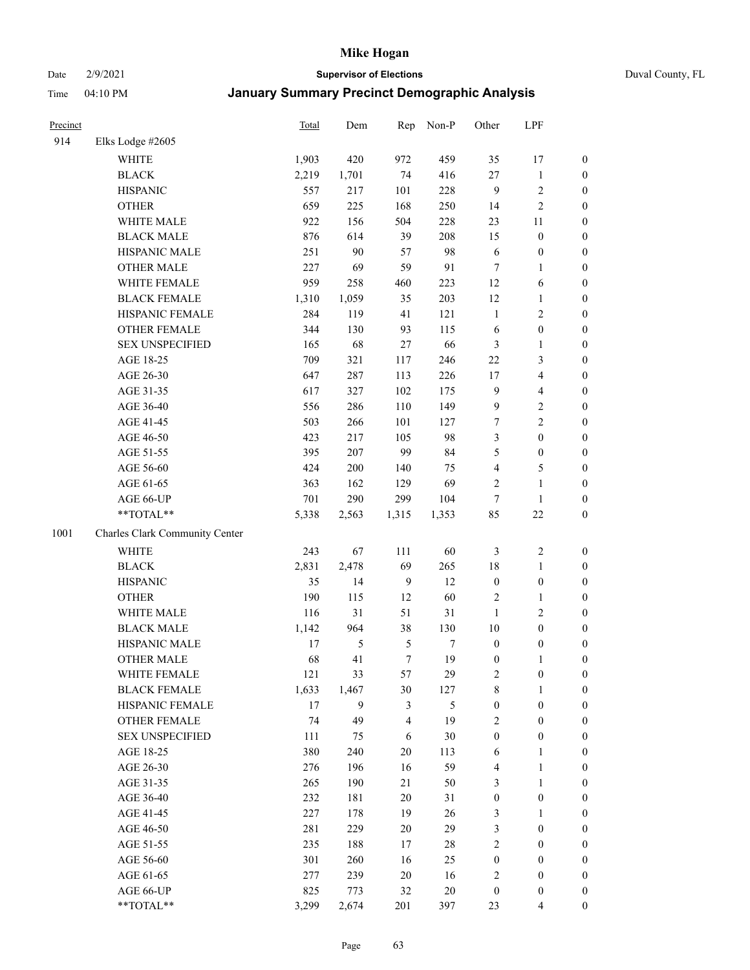#### Date 2/9/2021 **Supervisor of Elections** Duval County, FL

| Precinct |                                | Total | Dem           | Rep          | Non-P | Other            | LPF              |                  |
|----------|--------------------------------|-------|---------------|--------------|-------|------------------|------------------|------------------|
| 914      | Elks Lodge #2605               |       |               |              |       |                  |                  |                  |
|          | <b>WHITE</b>                   | 1,903 | 420           | 972          | 459   | 35               | 17               | 0                |
|          | <b>BLACK</b>                   | 2,219 | 1,701         | 74           | 416   | 27               | $\mathbf{1}$     | 0                |
|          | <b>HISPANIC</b>                | 557   | 217           | 101          | 228   | 9                | $\sqrt{2}$       | $\boldsymbol{0}$ |
|          | <b>OTHER</b>                   | 659   | 225           | 168          | 250   | 14               | $\sqrt{2}$       | $\boldsymbol{0}$ |
|          | WHITE MALE                     | 922   | 156           | 504          | 228   | 23               | 11               | $\boldsymbol{0}$ |
|          | <b>BLACK MALE</b>              | 876   | 614           | 39           | 208   | 15               | $\boldsymbol{0}$ | $\boldsymbol{0}$ |
|          | HISPANIC MALE                  | 251   | 90            | 57           | 98    | 6                | $\boldsymbol{0}$ | $\boldsymbol{0}$ |
|          | <b>OTHER MALE</b>              | 227   | 69            | 59           | 91    | $\tau$           | $\mathbf{1}$     | $\boldsymbol{0}$ |
|          | WHITE FEMALE                   | 959   | 258           | 460          | 223   | 12               | 6                | $\boldsymbol{0}$ |
|          | <b>BLACK FEMALE</b>            | 1,310 | 1,059         | 35           | 203   | 12               | $\mathbf{1}$     | 0                |
|          | HISPANIC FEMALE                | 284   | 119           | 41           | 121   | $\mathbf{1}$     | $\sqrt{2}$       | $\boldsymbol{0}$ |
|          | OTHER FEMALE                   | 344   | 130           | 93           | 115   | 6                | $\boldsymbol{0}$ | $\boldsymbol{0}$ |
|          | <b>SEX UNSPECIFIED</b>         | 165   | 68            | $27\,$       | 66    | 3                | $\mathbf{1}$     | $\boldsymbol{0}$ |
|          | AGE 18-25                      | 709   | 321           | 117          | 246   | $22\,$           | $\mathfrak{Z}$   | $\boldsymbol{0}$ |
|          | AGE 26-30                      | 647   | 287           | 113          | 226   | 17               | $\overline{4}$   | $\boldsymbol{0}$ |
|          | AGE 31-35                      | 617   | 327           | 102          | 175   | 9                | $\overline{4}$   | $\boldsymbol{0}$ |
|          | AGE 36-40                      | 556   | 286           | 110          | 149   | 9                | $\sqrt{2}$       | $\boldsymbol{0}$ |
|          | AGE 41-45                      | 503   | 266           | 101          | 127   | $\boldsymbol{7}$ | $\overline{c}$   | $\boldsymbol{0}$ |
|          | AGE 46-50                      | 423   | 217           | 105          | 98    | 3                | $\boldsymbol{0}$ | $\boldsymbol{0}$ |
|          | AGE 51-55                      | 395   | 207           | 99           | 84    | 5                | $\boldsymbol{0}$ | $\boldsymbol{0}$ |
|          | AGE 56-60                      | 424   | 200           | 140          | 75    | 4                | $\mathfrak s$    | $\boldsymbol{0}$ |
|          | AGE 61-65                      | 363   | 162           | 129          | 69    | $\overline{c}$   | $\mathbf{1}$     | $\boldsymbol{0}$ |
|          | AGE 66-UP                      | 701   | 290           | 299          | 104   | $\tau$           | $\mathbf{1}$     | $\boldsymbol{0}$ |
|          | $**TOTAL**$                    | 5,338 | 2,563         | 1,315        | 1,353 | 85               | $22\,$           | $\boldsymbol{0}$ |
| 1001     | Charles Clark Community Center |       |               |              |       |                  |                  |                  |
|          | WHITE                          | 243   | 67            | 111          | 60    | 3                | $\sqrt{2}$       | $\boldsymbol{0}$ |
|          | <b>BLACK</b>                   | 2,831 | 2,478         | 69           | 265   | 18               | $\mathbf{1}$     | $\boldsymbol{0}$ |
|          | <b>HISPANIC</b>                | 35    | 14            | $\mathbf{9}$ | 12    | $\boldsymbol{0}$ | $\boldsymbol{0}$ | $\boldsymbol{0}$ |
|          | <b>OTHER</b>                   | 190   | 115           | 12           | 60    | 2                | $\mathbf{1}$     | $\boldsymbol{0}$ |
|          | WHITE MALE                     | 116   | 31            | 51           | 31    | $\mathbf{1}$     | $\mathbf{2}$     | $\boldsymbol{0}$ |
|          | <b>BLACK MALE</b>              | 1,142 | 964           | 38           | 130   | $10\,$           | $\boldsymbol{0}$ | $\boldsymbol{0}$ |
|          | HISPANIC MALE                  | 17    | $\mathfrak s$ | 5            | 7     | $\boldsymbol{0}$ | $\boldsymbol{0}$ | 0                |
|          | <b>OTHER MALE</b>              | 68    | 41            | $\tau$       | 19    | $\boldsymbol{0}$ | $\mathbf{1}$     | $\boldsymbol{0}$ |
|          | WHITE FEMALE                   | 121   | 33            | 57           | 29    | 2                | 0                | 0                |
|          | <b>BLACK FEMALE</b>            | 1,633 | 1,467         | 30           | 127   | 8                | $\mathbf{1}$     | $\boldsymbol{0}$ |
|          | HISPANIC FEMALE                | 17    | 9             | 3            | 5     | $\boldsymbol{0}$ | $\boldsymbol{0}$ | $\overline{0}$   |
|          | <b>OTHER FEMALE</b>            | 74    | 49            | 4            | 19    | 2                | $\boldsymbol{0}$ | $\overline{0}$   |
|          | <b>SEX UNSPECIFIED</b>         | 111   | 75            | 6            | 30    | $\boldsymbol{0}$ | $\boldsymbol{0}$ | 0                |
|          | AGE 18-25                      | 380   | 240           | 20           | 113   | 6                | $\mathbf{1}$     | 0                |
|          | AGE 26-30                      | 276   | 196           | 16           | 59    | 4                | $\mathbf{1}$     | 0                |
|          | AGE 31-35                      | 265   | 190           | 21           | 50    | 3                | $\mathbf{1}$     | 0                |
|          | AGE 36-40                      | 232   | 181           | $20\,$       | 31    | $\boldsymbol{0}$ | $\boldsymbol{0}$ | 0                |
|          | AGE 41-45                      | 227   | 178           | 19           | 26    | 3                | 1                | 0                |
|          | AGE 46-50                      | 281   | 229           | 20           | 29    | 3                | $\boldsymbol{0}$ | 0                |
|          | AGE 51-55                      | 235   | 188           | 17           | 28    | 2                | $\boldsymbol{0}$ | 0                |
|          | AGE 56-60                      | 301   | 260           | 16           | 25    | 0                | $\boldsymbol{0}$ | $\overline{0}$   |
|          | AGE 61-65                      | 277   | 239           | 20           | 16    | 2                | $\boldsymbol{0}$ | $\overline{0}$   |
|          | AGE 66-UP                      | 825   | 773           | 32           | 20    | $\boldsymbol{0}$ | $\boldsymbol{0}$ | 0                |
|          | **TOTAL**                      | 3,299 | 2,674         | 201          | 397   | 23               | $\overline{4}$   | $\boldsymbol{0}$ |
|          |                                |       |               |              |       |                  |                  |                  |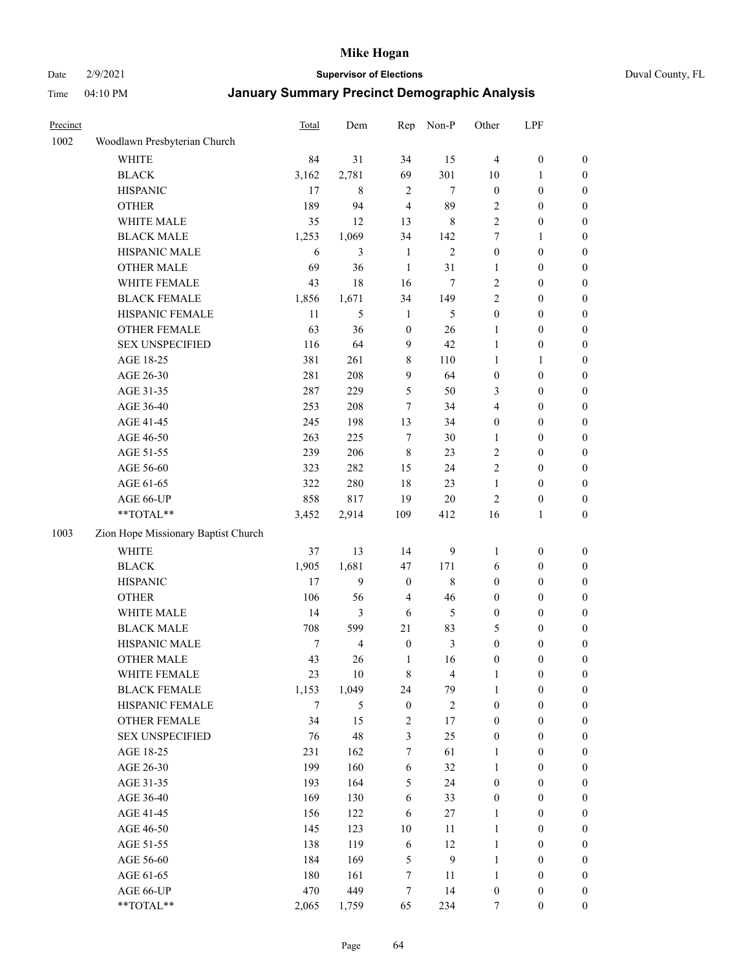Date 2/9/2021 **Supervisor of Elections** Duval County, FL

| Precinct |                                     | <b>Total</b> | Dem            | Rep                     | Non-P            | Other            | LPF              |                  |
|----------|-------------------------------------|--------------|----------------|-------------------------|------------------|------------------|------------------|------------------|
| 1002     | Woodlawn Presbyterian Church        |              |                |                         |                  |                  |                  |                  |
|          | <b>WHITE</b>                        | 84           | 31             | 34                      | 15               | $\overline{4}$   | $\boldsymbol{0}$ | 0                |
|          | <b>BLACK</b>                        | 3,162        | 2,781          | 69                      | 301              | 10               | 1                | 0                |
|          | <b>HISPANIC</b>                     | 17           | 8              | $\overline{2}$          | $\tau$           | $\boldsymbol{0}$ | $\boldsymbol{0}$ | $\boldsymbol{0}$ |
|          | <b>OTHER</b>                        | 189          | 94             | $\overline{4}$          | 89               | 2                | $\boldsymbol{0}$ | $\boldsymbol{0}$ |
|          | WHITE MALE                          | 35           | 12             | 13                      | $\,$ 8 $\,$      | 2                | $\boldsymbol{0}$ | $\boldsymbol{0}$ |
|          | <b>BLACK MALE</b>                   | 1,253        | 1,069          | 34                      | 142              | 7                | 1                | $\boldsymbol{0}$ |
|          | HISPANIC MALE                       | 6            | 3              | $\mathbf{1}$            | $\mathfrak{2}$   | 0                | $\boldsymbol{0}$ | $\boldsymbol{0}$ |
|          | <b>OTHER MALE</b>                   | 69           | 36             | $\mathbf{1}$            | 31               | 1                | $\boldsymbol{0}$ | $\boldsymbol{0}$ |
|          | WHITE FEMALE                        | 43           | 18             | 16                      | 7                | 2                | $\boldsymbol{0}$ | $\boldsymbol{0}$ |
|          | <b>BLACK FEMALE</b>                 | 1,856        | 1,671          | 34                      | 149              | 2                | $\boldsymbol{0}$ | $\boldsymbol{0}$ |
|          | HISPANIC FEMALE                     | 11           | 5              | $\mathbf{1}$            | 5                | $\boldsymbol{0}$ | $\boldsymbol{0}$ | 0                |
|          | OTHER FEMALE                        | 63           | 36             | $\boldsymbol{0}$        | 26               | $\mathbf{1}$     | $\boldsymbol{0}$ | $\boldsymbol{0}$ |
|          | <b>SEX UNSPECIFIED</b>              | 116          | 64             | 9                       | 42               | $\mathbf{1}$     | $\boldsymbol{0}$ | $\boldsymbol{0}$ |
|          | AGE 18-25                           | 381          | 261            | 8                       | 110              | $\mathbf{1}$     | 1                | $\boldsymbol{0}$ |
|          | AGE 26-30                           | 281          | 208            | 9                       | 64               | $\boldsymbol{0}$ | $\boldsymbol{0}$ | $\boldsymbol{0}$ |
|          | AGE 31-35                           | 287          | 229            | 5                       | 50               | 3                | $\boldsymbol{0}$ | $\boldsymbol{0}$ |
|          | AGE 36-40                           | 253          | 208            | $\tau$                  | 34               | 4                | $\boldsymbol{0}$ | $\boldsymbol{0}$ |
|          | AGE 41-45                           | 245          | 198            | 13                      | 34               | $\boldsymbol{0}$ | $\boldsymbol{0}$ | $\boldsymbol{0}$ |
|          | AGE 46-50                           | 263          | 225            | $\boldsymbol{7}$        | 30               | 1                | $\boldsymbol{0}$ | $\boldsymbol{0}$ |
|          | AGE 51-55                           | 239          | 206            | $\,$ 8 $\,$             | 23               | 2                | $\boldsymbol{0}$ | $\boldsymbol{0}$ |
|          | AGE 56-60                           | 323          | 282            | 15                      | 24               | $\overline{c}$   | $\boldsymbol{0}$ | 0                |
|          | AGE 61-65                           | 322          | 280            | 18                      | 23               | $\mathbf{1}$     | $\boldsymbol{0}$ | 0                |
|          | AGE 66-UP                           | 858          | 817            | 19                      | 20               | 2                | $\boldsymbol{0}$ | $\boldsymbol{0}$ |
|          | $**TOTAL**$                         | 3,452        | 2,914          | 109                     | 412              | 16               | $\mathbf{1}$     | $\boldsymbol{0}$ |
| 1003     | Zion Hope Missionary Baptist Church |              |                |                         |                  |                  |                  |                  |
|          | WHITE                               | 37           | 13             | 14                      | 9                | $\mathbf{1}$     | $\boldsymbol{0}$ | $\boldsymbol{0}$ |
|          | <b>BLACK</b>                        | 1,905        | 1,681          | 47                      | 171              | 6                | $\boldsymbol{0}$ | $\boldsymbol{0}$ |
|          | <b>HISPANIC</b>                     | 17           | 9              | $\boldsymbol{0}$        | $\,$ 8 $\,$      | 0                | $\boldsymbol{0}$ | $\boldsymbol{0}$ |
|          | <b>OTHER</b>                        | 106          | 56             | $\overline{4}$          | 46               | 0                | $\boldsymbol{0}$ | $\boldsymbol{0}$ |
|          | WHITE MALE                          | 14           | 3              | 6                       | $\mathfrak s$    | $\boldsymbol{0}$ | $\boldsymbol{0}$ | $\boldsymbol{0}$ |
|          | <b>BLACK MALE</b>                   | 708          | 599            | 21                      | 83               | 5                | $\boldsymbol{0}$ | $\boldsymbol{0}$ |
|          | HISPANIC MALE                       | 7            | $\overline{4}$ | $\boldsymbol{0}$        | $\mathfrak{Z}$   | $\boldsymbol{0}$ | $\boldsymbol{0}$ | 0                |
|          | <b>OTHER MALE</b>                   | 43           | 26             | $\mathbf{1}$            | 16               | $\boldsymbol{0}$ | $\boldsymbol{0}$ | $\boldsymbol{0}$ |
|          | WHITE FEMALE                        | 23           | 10             | 8                       | 4                | 1                | 0                | 0                |
|          | <b>BLACK FEMALE</b>                 | 1,153        | 1,049          | 24                      | 79               | 1                | $\boldsymbol{0}$ | $\overline{0}$   |
|          | HISPANIC FEMALE                     | 7            | $\mathfrak s$  | $\boldsymbol{0}$        | $\sqrt{2}$       | $\boldsymbol{0}$ | $\boldsymbol{0}$ | $\overline{0}$   |
|          | OTHER FEMALE                        | 34           | 15             | $\overline{\mathbf{c}}$ | 17               | $\boldsymbol{0}$ | $\boldsymbol{0}$ | $\overline{0}$   |
|          | <b>SEX UNSPECIFIED</b>              | 76           | 48             | 3                       | 25               | $\boldsymbol{0}$ | $\boldsymbol{0}$ | $\overline{0}$   |
|          | AGE 18-25                           | 231          | 162            | 7                       | 61               | 1                | $\boldsymbol{0}$ | $\overline{0}$   |
|          | AGE 26-30                           | 199          | 160            | 6                       | 32               | $\mathbf{1}$     | $\boldsymbol{0}$ | $\overline{0}$   |
|          | AGE 31-35                           | 193          | 164            | 5                       | 24               | 0                | $\boldsymbol{0}$ | 0                |
|          | AGE 36-40                           | 169          | 130            | 6                       | 33               | 0                | $\boldsymbol{0}$ | 0                |
|          | AGE 41-45                           | 156          | 122            | 6                       | 27               | 1                | $\boldsymbol{0}$ | 0                |
|          | AGE 46-50                           | 145          | 123            | $10\,$                  | 11               | $\mathbf{1}$     | $\boldsymbol{0}$ | 0                |
|          | AGE 51-55                           | 138          | 119            | $\sqrt{6}$              | 12               | $\mathbf{1}$     | $\boldsymbol{0}$ | $\boldsymbol{0}$ |
|          | AGE 56-60                           | 184          | 169            | 5                       | $\boldsymbol{9}$ | $\mathbf{1}$     | $\boldsymbol{0}$ | $\boldsymbol{0}$ |
|          | AGE 61-65                           | 180          | 161            | 7                       | 11               | 1                | $\boldsymbol{0}$ | $\boldsymbol{0}$ |
|          | AGE 66-UP                           | 470          | 449            | $\boldsymbol{7}$        | 14               | $\boldsymbol{0}$ | $\boldsymbol{0}$ | $\boldsymbol{0}$ |
|          | **TOTAL**                           | 2,065        | 1,759          | 65                      | 234              | $\tau$           | $\boldsymbol{0}$ | $\boldsymbol{0}$ |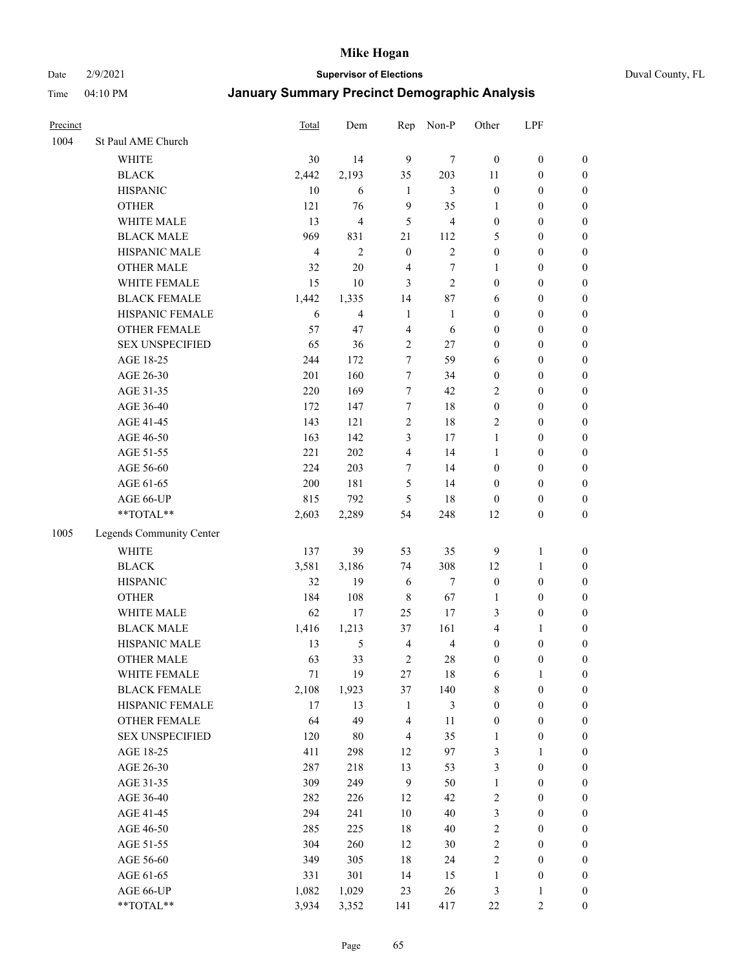#### Date 2/9/2021 **Supervisor of Elections** Duval County, FL

| Precinct |                                 | Total          | Dem                     | Rep              | Non-P          | Other                  | LPF                              |                  |
|----------|---------------------------------|----------------|-------------------------|------------------|----------------|------------------------|----------------------------------|------------------|
| 1004     | St Paul AME Church              |                |                         |                  |                |                        |                                  |                  |
|          | <b>WHITE</b>                    | 30             | 14                      | 9                | 7              | $\boldsymbol{0}$       | $\boldsymbol{0}$                 | $\boldsymbol{0}$ |
|          | <b>BLACK</b>                    | 2,442          | 2,193                   | 35               | 203            | 11                     | $\boldsymbol{0}$                 | $\boldsymbol{0}$ |
|          | <b>HISPANIC</b>                 | 10             | 6                       | $\mathbf{1}$     | 3              | $\boldsymbol{0}$       | $\boldsymbol{0}$                 | $\boldsymbol{0}$ |
|          | <b>OTHER</b>                    | 121            | 76                      | 9                | 35             | 1                      | $\boldsymbol{0}$                 | $\boldsymbol{0}$ |
|          | WHITE MALE                      | 13             | $\overline{\mathbf{4}}$ | 5                | $\overline{4}$ | $\boldsymbol{0}$       | $\boldsymbol{0}$                 | $\boldsymbol{0}$ |
|          | <b>BLACK MALE</b>               | 969            | 831                     | 21               | $112\,$        | 5                      | $\boldsymbol{0}$                 | $\boldsymbol{0}$ |
|          | HISPANIC MALE                   | $\overline{4}$ | $\overline{c}$          | $\mathbf{0}$     | $\overline{c}$ | $\boldsymbol{0}$       | $\boldsymbol{0}$                 | $\boldsymbol{0}$ |
|          | <b>OTHER MALE</b>               | 32             | $20\,$                  | $\overline{4}$   | $\tau$         | $\mathbf{1}$           | $\boldsymbol{0}$                 | $\boldsymbol{0}$ |
|          | WHITE FEMALE                    | 15             | 10                      | 3                | $\overline{2}$ | $\boldsymbol{0}$       | $\boldsymbol{0}$                 | $\boldsymbol{0}$ |
|          | <b>BLACK FEMALE</b>             | 1,442          | 1,335                   | 14               | 87             | 6                      | $\boldsymbol{0}$                 | $\boldsymbol{0}$ |
|          | HISPANIC FEMALE                 | 6              | 4                       | $\mathbf{1}$     | $\mathbf{1}$   | $\boldsymbol{0}$       | $\boldsymbol{0}$                 | 0                |
|          | <b>OTHER FEMALE</b>             | 57             | 47                      | $\overline{4}$   | 6              | $\boldsymbol{0}$       | $\boldsymbol{0}$                 | $\boldsymbol{0}$ |
|          | <b>SEX UNSPECIFIED</b>          | 65             | 36                      | $\sqrt{2}$       | 27             | $\boldsymbol{0}$       | $\boldsymbol{0}$                 | $\boldsymbol{0}$ |
|          | AGE 18-25                       | 244            | 172                     | 7                | 59             | 6                      | $\boldsymbol{0}$                 | $\boldsymbol{0}$ |
|          | AGE 26-30                       | 201            | 160                     | 7                | 34             | $\boldsymbol{0}$       | $\boldsymbol{0}$                 | $\boldsymbol{0}$ |
|          | AGE 31-35                       | 220            | 169                     | $\boldsymbol{7}$ | 42             | $\overline{c}$         | $\boldsymbol{0}$                 | $\boldsymbol{0}$ |
|          | AGE 36-40                       | 172            | 147                     | 7                | 18             | $\boldsymbol{0}$       | $\boldsymbol{0}$                 | $\boldsymbol{0}$ |
|          | AGE 41-45                       | 143            | 121                     | $\sqrt{2}$       | 18             | 2                      | $\boldsymbol{0}$                 | $\boldsymbol{0}$ |
|          | AGE 46-50                       | 163            | 142                     | 3                | 17             | $\mathbf{1}$           | $\boldsymbol{0}$                 | $\boldsymbol{0}$ |
|          | AGE 51-55                       | 221            | 202                     | $\overline{4}$   | 14             | $\mathbf{1}$           | $\boldsymbol{0}$                 | $\boldsymbol{0}$ |
|          | AGE 56-60                       | 224            | 203                     | $\tau$           | 14             | $\boldsymbol{0}$       | $\boldsymbol{0}$                 | 0                |
|          | AGE 61-65                       | 200            | 181                     | 5                | 14             | $\boldsymbol{0}$       | $\boldsymbol{0}$                 | 0                |
|          | AGE 66-UP                       | 815            | 792                     | 5                | 18             | $\boldsymbol{0}$       | $\boldsymbol{0}$                 | $\boldsymbol{0}$ |
|          | **TOTAL**                       | 2,603          | 2,289                   | 54               | 248            | 12                     | $\boldsymbol{0}$                 | $\boldsymbol{0}$ |
| 1005     | Legends Community Center        |                |                         |                  |                |                        |                                  |                  |
|          | WHITE                           | 137            | 39                      | 53               | 35             |                        |                                  |                  |
|          |                                 |                |                         |                  |                | 9                      | $\mathbf{1}$                     | $\boldsymbol{0}$ |
|          | <b>BLACK</b><br><b>HISPANIC</b> | 3,581<br>32    | 3,186<br>19             | 74               | 308<br>$\tau$  | 12<br>$\boldsymbol{0}$ | $\mathbf{1}$<br>$\boldsymbol{0}$ | $\boldsymbol{0}$ |
|          |                                 | 184            |                         | 6                |                |                        |                                  | $\boldsymbol{0}$ |
|          | <b>OTHER</b>                    |                | 108                     | $\,$ 8 $\,$      | 67             | 1                      | $\boldsymbol{0}$                 | $\boldsymbol{0}$ |
|          | WHITE MALE<br><b>BLACK MALE</b> | 62             | 17                      | 25               | 17             | 3                      | $\boldsymbol{0}$                 | $\boldsymbol{0}$ |
|          |                                 | 1,416          | 1,213                   | 37               | 161            | 4                      | 1                                | $\boldsymbol{0}$ |
|          | HISPANIC MALE                   | 13             | 5                       | $\overline{4}$   | $\overline{4}$ | $\boldsymbol{0}$       | $\boldsymbol{0}$                 | $\boldsymbol{0}$ |
|          | OTHER MALE                      | 63             | 33                      | $\overline{2}$   | $28\,$         | $\boldsymbol{0}$       | $\boldsymbol{0}$                 | $\boldsymbol{0}$ |
|          | WHITE FEMALE                    | 71             | 19                      | 27               | 18             | 6                      | 1                                | 0                |
|          | <b>BLACK FEMALE</b>             | 2,108          | 1,923                   | 37               | 140            | 8                      | $\boldsymbol{0}$                 | $\boldsymbol{0}$ |
|          | HISPANIC FEMALE                 | 17             | 13                      | $\mathbf{1}$     | $\mathfrak{Z}$ | $\boldsymbol{0}$       | $\boldsymbol{0}$                 | $\boldsymbol{0}$ |
|          | OTHER FEMALE                    | 64             | 49                      | 4                | 11             | $\boldsymbol{0}$       | $\boldsymbol{0}$                 | $\overline{0}$   |
|          | <b>SEX UNSPECIFIED</b>          | 120            | $80\,$                  | $\overline{4}$   | 35             | $\mathbf{1}$           | $\boldsymbol{0}$                 | 0                |
|          | AGE 18-25                       | 411            | 298                     | 12               | 97             | 3                      | $\mathbf{1}$                     | $\overline{0}$   |
|          | AGE 26-30                       | 287            | 218                     | 13               | 53             | 3                      | $\boldsymbol{0}$                 | 0                |
|          | AGE 31-35                       | 309            | 249                     | $\overline{9}$   | 50             | $\mathbf{1}$           | $\boldsymbol{0}$                 | 0                |
|          | AGE 36-40                       | 282            | 226                     | 12               | 42             | 2                      | $\boldsymbol{0}$                 | 0                |
|          | AGE 41-45                       | 294            | 241                     | 10               | 40             | 3                      | $\boldsymbol{0}$                 | 0                |
|          | AGE 46-50                       | 285            | 225                     | 18               | $40\,$         | 2                      | $\boldsymbol{0}$                 | 0                |
|          | AGE 51-55                       | 304            | 260                     | 12               | $30\,$         | 2                      | $\boldsymbol{0}$                 | $\boldsymbol{0}$ |
|          | AGE 56-60                       | 349            | 305                     | 18               | 24             | 2                      | $\boldsymbol{0}$                 | $\boldsymbol{0}$ |
|          | AGE 61-65                       | 331            | 301                     | 14               | 15             | $\mathbf{1}$           | $\boldsymbol{0}$                 | $\boldsymbol{0}$ |
|          | AGE 66-UP                       | 1,082          | 1,029                   | 23               | 26             | 3                      | $\mathbf{1}$                     | $\boldsymbol{0}$ |
|          | **TOTAL**                       | 3,934          | 3,352                   | 141              | 417            | $22\,$                 | $\sqrt{2}$                       | $\boldsymbol{0}$ |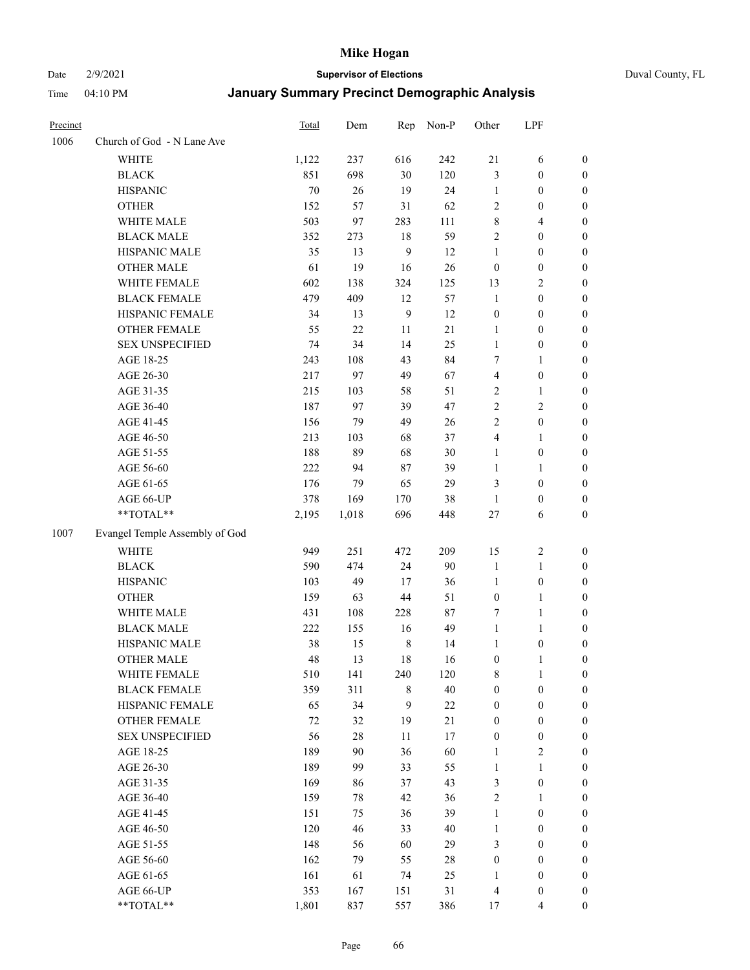Date 2/9/2021 **Supervisor of Elections** Duval County, FL

| Precinct |                                                             | <b>Total</b> | Dem   |                | Rep Non-P | Other            | LPF              |                  |
|----------|-------------------------------------------------------------|--------------|-------|----------------|-----------|------------------|------------------|------------------|
| 1006     | Church of God - N Lane Ave                                  |              |       |                |           |                  |                  |                  |
|          | <b>WHITE</b>                                                | 1,122        | 237   | 616            | 242       | 21               | 6                | 0                |
|          | <b>BLACK</b>                                                | 851          | 698   | 30             | 120       | 3                | $\boldsymbol{0}$ | 0                |
|          | <b>HISPANIC</b>                                             | 70           | 26    | 19             | 24        | $\mathbf{1}$     | $\boldsymbol{0}$ | $\boldsymbol{0}$ |
|          | <b>OTHER</b>                                                | 152          | 57    | 31             | 62        | 2                | $\boldsymbol{0}$ | $\boldsymbol{0}$ |
|          | WHITE MALE                                                  | 503          | 97    | 283            | 111       | 8                | $\overline{4}$   | $\boldsymbol{0}$ |
|          | <b>BLACK MALE</b>                                           | 352          | 273   | 18             | 59        | $\overline{c}$   | $\boldsymbol{0}$ | $\boldsymbol{0}$ |
|          | HISPANIC MALE                                               | 35           | 13    | 9              | 12        | $\mathbf{1}$     | $\boldsymbol{0}$ | $\boldsymbol{0}$ |
|          | <b>OTHER MALE</b>                                           | 61           | 19    | 16             | 26        | $\boldsymbol{0}$ | $\boldsymbol{0}$ | $\boldsymbol{0}$ |
|          | WHITE FEMALE                                                | 602          | 138   | 324            | 125       | 13               | $\sqrt{2}$       | $\boldsymbol{0}$ |
|          | <b>BLACK FEMALE</b>                                         | 479          | 409   | 12             | 57        | $\mathbf{1}$     | $\boldsymbol{0}$ | 0                |
|          | HISPANIC FEMALE                                             | 34           | 13    | $\overline{9}$ | 12        | $\boldsymbol{0}$ | $\boldsymbol{0}$ | 0                |
|          | OTHER FEMALE                                                | 55           | 22    | 11             | 21        | $\mathbf{1}$     | $\boldsymbol{0}$ | 0                |
|          | <b>SEX UNSPECIFIED</b>                                      | 74           | 34    | 14             | 25        | $\mathbf{1}$     | $\boldsymbol{0}$ | $\boldsymbol{0}$ |
|          | AGE 18-25                                                   | 243          | 108   | 43             | 84        | 7                | 1                | $\boldsymbol{0}$ |
|          | AGE 26-30                                                   | 217          | 97    | 49             | 67        | 4                | $\boldsymbol{0}$ | $\boldsymbol{0}$ |
|          | AGE 31-35                                                   | 215          | 103   | 58             | 51        | 2                | 1                | $\boldsymbol{0}$ |
|          | AGE 36-40                                                   | 187          | 97    | 39             | 47        | $\overline{c}$   | $\sqrt{2}$       | $\boldsymbol{0}$ |
|          | AGE 41-45                                                   | 156          | 79    | 49             | 26        | 2                | $\boldsymbol{0}$ | $\boldsymbol{0}$ |
|          | AGE 46-50                                                   | 213          | 103   | 68             | 37        | 4                | 1                | $\boldsymbol{0}$ |
|          | AGE 51-55                                                   | 188          | 89    | 68             | 30        | $\mathbf{1}$     | $\boldsymbol{0}$ | 0                |
|          | AGE 56-60                                                   | 222          | 94    | 87             | 39        | $\mathbf{1}$     | 1                | 0                |
|          | AGE 61-65                                                   | 176          | 79    | 65             | 29        | 3                | $\boldsymbol{0}$ | 0                |
|          | AGE 66-UP                                                   | 378          | 169   | 170            | 38        | $\mathbf{1}$     | $\boldsymbol{0}$ | $\boldsymbol{0}$ |
|          | $\mathrm{*}\mathrm{*} \mathrm{TOTAL} \mathrm{*} \mathrm{*}$ | 2,195        | 1,018 | 696            | 448       | 27               | 6                | $\boldsymbol{0}$ |
| 1007     | Evangel Temple Assembly of God                              |              |       |                |           |                  |                  |                  |
|          | <b>WHITE</b>                                                | 949          | 251   | 472            | 209       | 15               | $\sqrt{2}$       | $\boldsymbol{0}$ |
|          | <b>BLACK</b>                                                | 590          | 474   | 24             | 90        | $\mathbf{1}$     | $\mathbf{1}$     | $\boldsymbol{0}$ |
|          | <b>HISPANIC</b>                                             | 103          | 49    | 17             | 36        | $\mathbf{1}$     | $\boldsymbol{0}$ | $\boldsymbol{0}$ |
|          | <b>OTHER</b>                                                | 159          | 63    | 44             | 51        | $\boldsymbol{0}$ | $\mathbf{1}$     | $\boldsymbol{0}$ |
|          | WHITE MALE                                                  | 431          | 108   | 228            | 87        | 7                | $\mathbf{1}$     | $\boldsymbol{0}$ |
|          | <b>BLACK MALE</b>                                           | 222          | 155   | 16             | 49        | $\mathbf{1}$     | 1                | $\boldsymbol{0}$ |
|          | HISPANIC MALE                                               | 38           | 15    | $\,$ 8 $\,$    | 14        | 1                | $\boldsymbol{0}$ | 0                |
|          | <b>OTHER MALE</b>                                           | 48           | 13    | 18             | 16        | 0                | 1                | $\boldsymbol{0}$ |
|          | WHITE FEMALE                                                | 510          | 141   | 240            | 120       | 8                | $\mathbf{1}$     | 0                |
|          | <b>BLACK FEMALE</b>                                         | 359          | 311   | 8              | $40\,$    | $\boldsymbol{0}$ | $\boldsymbol{0}$ | 0                |
|          | HISPANIC FEMALE                                             | 65           | 34    | 9              | 22        | $\boldsymbol{0}$ | $\boldsymbol{0}$ | $\overline{0}$   |
|          | OTHER FEMALE                                                | 72           | 32    | 19             | $21\,$    | $\boldsymbol{0}$ | $\boldsymbol{0}$ | $\overline{0}$   |
|          | <b>SEX UNSPECIFIED</b>                                      | 56           | 28    | 11             | 17        | $\boldsymbol{0}$ | $\boldsymbol{0}$ | 0                |
|          | AGE 18-25                                                   | 189          | 90    | 36             | 60        | 1                | $\sqrt{2}$       | 0                |
|          | AGE 26-30                                                   | 189          | 99    | 33             | 55        | $\mathbf{1}$     | $\mathbf{1}$     | 0                |
|          | AGE 31-35                                                   | 169          | 86    | 37             | 43        | 3                | $\boldsymbol{0}$ | 0                |
|          | AGE 36-40                                                   | 159          | 78    | 42             | 36        | 2                | $\mathbf{1}$     | 0                |
|          | AGE 41-45                                                   | 151          | 75    | 36             | 39        | $\mathbf{1}$     | $\boldsymbol{0}$ | 0                |
|          | AGE 46-50                                                   | 120          | 46    | 33             | 40        | $\mathbf{1}$     | $\boldsymbol{0}$ | 0                |
|          | AGE 51-55                                                   | 148          | 56    | 60             | 29        | 3                | $\boldsymbol{0}$ | $\boldsymbol{0}$ |
|          | AGE 56-60                                                   | 162          | 79    | 55             | 28        | $\boldsymbol{0}$ | $\boldsymbol{0}$ | $\overline{0}$   |
|          | AGE 61-65                                                   | 161          | 61    | 74             | 25        | $\mathbf{1}$     | $\boldsymbol{0}$ | $\overline{0}$   |
|          | AGE 66-UP                                                   | 353          | 167   | 151            | 31        | 4                | $\boldsymbol{0}$ | 0                |
|          | **TOTAL**                                                   | 1,801        | 837   | 557            | 386       | 17               | $\overline{4}$   | $\boldsymbol{0}$ |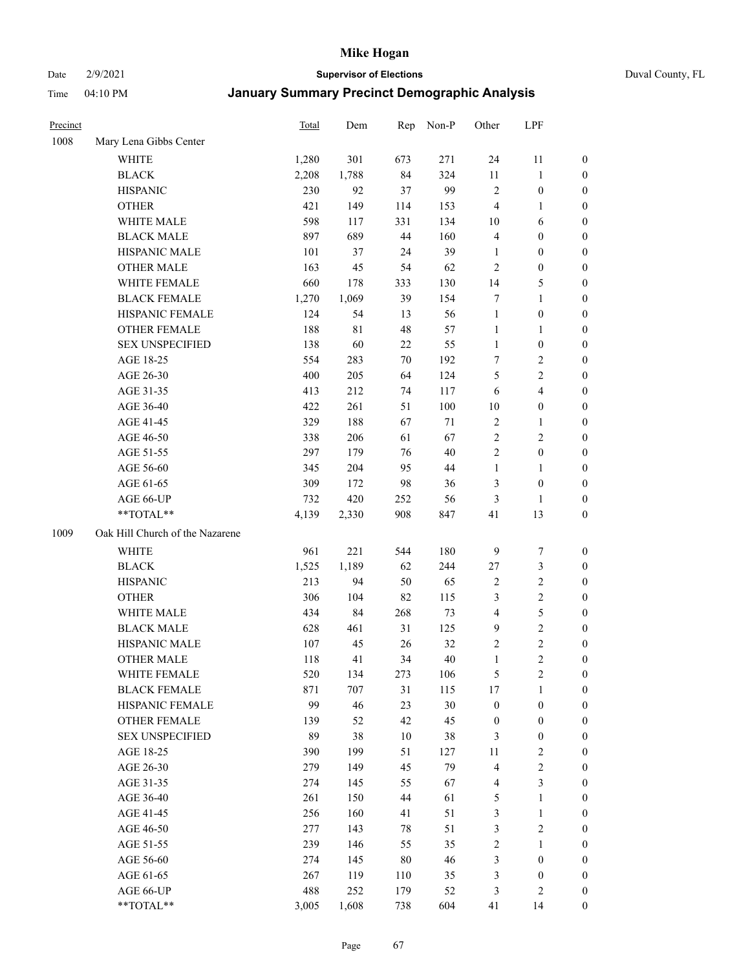Date 2/9/2021 **Supervisor of Elections** Duval County, FL

| Precinct |                                 | <b>Total</b> | Dem   | Rep | Non-P  | Other            | LPF                     |                  |
|----------|---------------------------------|--------------|-------|-----|--------|------------------|-------------------------|------------------|
| 1008     | Mary Lena Gibbs Center          |              |       |     |        |                  |                         |                  |
|          | <b>WHITE</b>                    | 1,280        | 301   | 673 | 271    | 24               | 11                      | 0                |
|          | <b>BLACK</b>                    | 2,208        | 1,788 | 84  | 324    | 11               | $\mathbf{1}$            | 0                |
|          | <b>HISPANIC</b>                 | 230          | 92    | 37  | 99     | $\mathfrak{2}$   | $\boldsymbol{0}$        | $\boldsymbol{0}$ |
|          | <b>OTHER</b>                    | 421          | 149   | 114 | 153    | 4                | 1                       | $\boldsymbol{0}$ |
|          | WHITE MALE                      | 598          | 117   | 331 | 134    | 10               | 6                       | $\boldsymbol{0}$ |
|          | <b>BLACK MALE</b>               | 897          | 689   | 44  | 160    | 4                | $\boldsymbol{0}$        | $\boldsymbol{0}$ |
|          | HISPANIC MALE                   | 101          | 37    | 24  | 39     | $\mathbf{1}$     | $\boldsymbol{0}$        | $\boldsymbol{0}$ |
|          | <b>OTHER MALE</b>               | 163          | 45    | 54  | 62     | $\mathfrak{2}$   | $\boldsymbol{0}$        | $\boldsymbol{0}$ |
|          | WHITE FEMALE                    | 660          | 178   | 333 | 130    | 14               | $\mathfrak{S}$          | $\boldsymbol{0}$ |
|          | <b>BLACK FEMALE</b>             | 1,270        | 1,069 | 39  | 154    | 7                | $\mathbf{1}$            | 0                |
|          | HISPANIC FEMALE                 | 124          | 54    | 13  | 56     | $\mathbf{1}$     | $\boldsymbol{0}$        | 0                |
|          | <b>OTHER FEMALE</b>             | 188          | 81    | 48  | 57     | $\mathbf{1}$     | $\mathbf{1}$            | 0                |
|          | <b>SEX UNSPECIFIED</b>          | 138          | 60    | 22  | 55     | $\mathbf{1}$     | $\boldsymbol{0}$        | $\boldsymbol{0}$ |
|          | AGE 18-25                       | 554          | 283   | 70  | 192    | 7                | $\sqrt{2}$              | $\boldsymbol{0}$ |
|          | AGE 26-30                       | 400          | 205   | 64  | 124    | 5                | $\sqrt{2}$              | $\boldsymbol{0}$ |
|          | AGE 31-35                       | 413          | 212   | 74  | 117    | 6                | $\overline{\mathbf{4}}$ | $\boldsymbol{0}$ |
|          | AGE 36-40                       | 422          | 261   | 51  | 100    | 10               | $\boldsymbol{0}$        | $\boldsymbol{0}$ |
|          | AGE 41-45                       | 329          | 188   | 67  | $71\,$ | $\sqrt{2}$       | $\mathbf{1}$            | $\boldsymbol{0}$ |
|          | AGE 46-50                       | 338          | 206   | 61  | 67     | $\overline{2}$   | $\mathfrak{2}$          | $\boldsymbol{0}$ |
|          | AGE 51-55                       | 297          | 179   | 76  | $40\,$ | 2                | $\boldsymbol{0}$        | 0                |
|          | AGE 56-60                       | 345          | 204   | 95  | 44     | $\mathbf{1}$     | 1                       | 0                |
|          | AGE 61-65                       | 309          | 172   | 98  | 36     | 3                | $\boldsymbol{0}$        | 0                |
|          | AGE 66-UP                       | 732          | 420   | 252 | 56     | 3                | 1                       | $\boldsymbol{0}$ |
|          | **TOTAL**                       | 4,139        | 2,330 | 908 | 847    | 41               | 13                      | $\boldsymbol{0}$ |
| 1009     | Oak Hill Church of the Nazarene |              |       |     |        |                  |                         |                  |
|          | <b>WHITE</b>                    | 961          | 221   | 544 | 180    | 9                | $\boldsymbol{7}$        | $\boldsymbol{0}$ |
|          | <b>BLACK</b>                    | 1,525        | 1,189 | 62  | 244    | $27\,$           | $\mathfrak{Z}$          | $\boldsymbol{0}$ |
|          | <b>HISPANIC</b>                 | 213          | 94    | 50  | 65     | 2                | $\sqrt{2}$              | $\boldsymbol{0}$ |
|          | <b>OTHER</b>                    | 306          | 104   | 82  | 115    | 3                | $\sqrt{2}$              | $\boldsymbol{0}$ |
|          | WHITE MALE                      | 434          | 84    | 268 | 73     | $\overline{4}$   | $\mathfrak{S}$          | $\boldsymbol{0}$ |
|          | <b>BLACK MALE</b>               | 628          | 461   | 31  | 125    | $\mathbf{9}$     | $\overline{2}$          | $\boldsymbol{0}$ |
|          | HISPANIC MALE                   | 107          | 45    | 26  | 32     | 2                | $\sqrt{2}$              | 0                |
|          | <b>OTHER MALE</b>               | 118          | 41    | 34  | $40\,$ | $\mathbf{1}$     | $\overline{c}$          | $\boldsymbol{0}$ |
|          | WHITE FEMALE                    | 520          | 134   | 273 | 106    | 5                | 2                       | 0                |
|          | <b>BLACK FEMALE</b>             | 871          | 707   | 31  | 115    | 17               | $\mathbf{1}$            | $\boldsymbol{0}$ |
|          | HISPANIC FEMALE                 | 99           | 46    | 23  | $30\,$ | $\boldsymbol{0}$ | $\boldsymbol{0}$        | $\overline{0}$   |
|          | OTHER FEMALE                    | 139          | 52    | 42  | 45     | $\boldsymbol{0}$ | $\boldsymbol{0}$        | $\overline{0}$   |
|          | <b>SEX UNSPECIFIED</b>          | 89           | 38    | 10  | 38     | 3                | $\boldsymbol{0}$        | 0                |
|          | AGE 18-25                       | 390          | 199   | 51  | 127    | 11               | $\sqrt{2}$              | 0                |
|          | AGE 26-30                       | 279          | 149   | 45  | 79     | 4                | $\sqrt{2}$              | 0                |
|          | AGE 31-35                       | 274          | 145   | 55  | 67     | 4                | $\mathfrak{Z}$          | 0                |
|          | AGE 36-40                       | 261          | 150   | 44  | 61     | 5                | $\mathbf{1}$            | 0                |
|          | AGE 41-45                       | 256          | 160   | 41  | 51     | 3                | $\mathbf{1}$            | 0                |
|          | AGE 46-50                       | 277          | 143   | 78  | 51     | 3                | $\sqrt{2}$              | 0                |
|          | AGE 51-55                       | 239          | 146   | 55  | 35     | 2                | $\mathbf{1}$            | 0                |
|          | AGE 56-60                       | 274          | 145   | 80  | 46     | 3                | $\boldsymbol{0}$        | 0                |
|          | AGE 61-65                       | 267          | 119   | 110 | 35     | 3                | $\boldsymbol{0}$        | 0                |
|          | AGE 66-UP                       | 488          | 252   | 179 | 52     | 3                | $\mathbf{2}$            | 0                |
|          | **TOTAL**                       | 3,005        | 1,608 | 738 | 604    | 41               | 14                      | $\boldsymbol{0}$ |
|          |                                 |              |       |     |        |                  |                         |                  |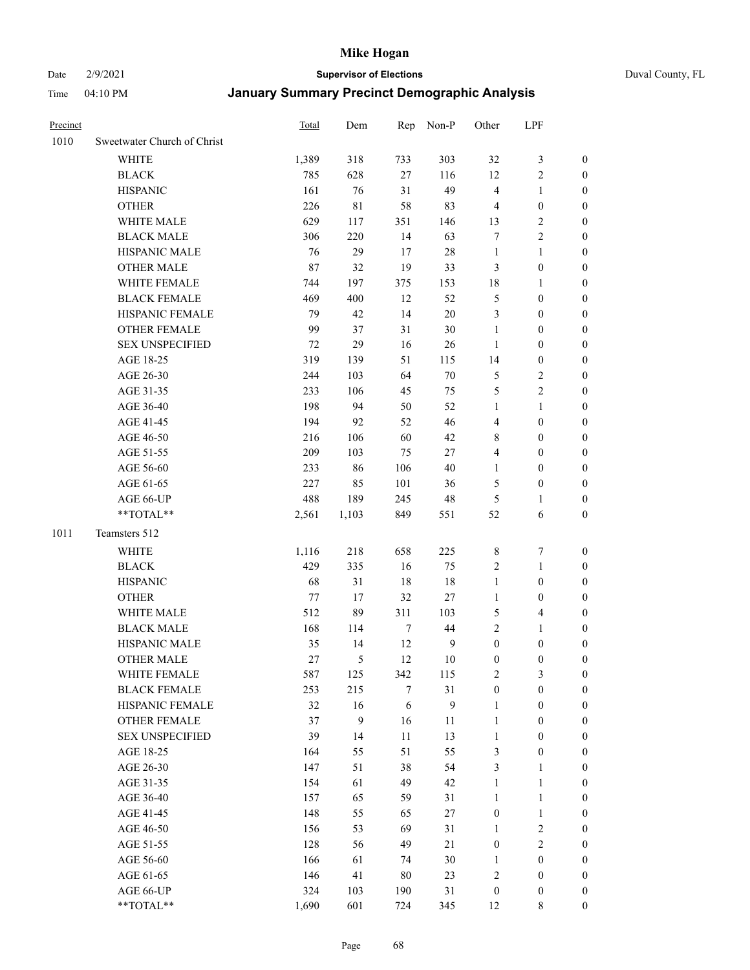#### Date 2/9/2021 **Supervisor of Elections** Duval County, FL

| Precinct |                             | <b>Total</b> | Dem         |                  | Rep Non-P        | Other            | LPF              |                  |
|----------|-----------------------------|--------------|-------------|------------------|------------------|------------------|------------------|------------------|
| 1010     | Sweetwater Church of Christ |              |             |                  |                  |                  |                  |                  |
|          | <b>WHITE</b>                | 1,389        | 318         | 733              | 303              | 32               | $\mathfrak{Z}$   | 0                |
|          | <b>BLACK</b>                | 785          | 628         | 27               | 116              | 12               | $\sqrt{2}$       | 0                |
|          | <b>HISPANIC</b>             | 161          | 76          | 31               | 49               | 4                | $\mathbf{1}$     | 0                |
|          | <b>OTHER</b>                | 226          | $8\sqrt{1}$ | 58               | 83               | 4                | $\boldsymbol{0}$ | $\boldsymbol{0}$ |
|          | WHITE MALE                  | 629          | 117         | 351              | 146              | 13               | $\sqrt{2}$       | $\boldsymbol{0}$ |
|          | <b>BLACK MALE</b>           | 306          | 220         | 14               | 63               | 7                | $\sqrt{2}$       | $\boldsymbol{0}$ |
|          | HISPANIC MALE               | 76           | 29          | 17               | 28               | $\mathbf{1}$     | $\mathbf{1}$     | $\boldsymbol{0}$ |
|          | <b>OTHER MALE</b>           | 87           | 32          | 19               | 33               | 3                | $\boldsymbol{0}$ | $\boldsymbol{0}$ |
|          | WHITE FEMALE                | 744          | 197         | 375              | 153              | 18               | $\mathbf{1}$     | $\boldsymbol{0}$ |
|          | <b>BLACK FEMALE</b>         | 469          | 400         | 12               | 52               | 5                | $\boldsymbol{0}$ | 0                |
|          | HISPANIC FEMALE             | 79           | 42          | 14               | 20               | 3                | $\boldsymbol{0}$ | 0                |
|          | OTHER FEMALE                | 99           | 37          | 31               | $30\,$           | $\mathbf{1}$     | $\boldsymbol{0}$ | 0                |
|          | <b>SEX UNSPECIFIED</b>      | 72           | 29          | 16               | 26               | $\mathbf{1}$     | $\boldsymbol{0}$ | $\boldsymbol{0}$ |
|          | AGE 18-25                   | 319          | 139         | 51               | 115              | 14               | $\boldsymbol{0}$ | $\boldsymbol{0}$ |
|          | AGE 26-30                   | 244          | 103         | 64               | $70\,$           | 5                | $\sqrt{2}$       | $\boldsymbol{0}$ |
|          | AGE 31-35                   | 233          | 106         | 45               | 75               | 5                | $\sqrt{2}$       | $\boldsymbol{0}$ |
|          | AGE 36-40                   | 198          | 94          | 50               | 52               | $\mathbf{1}$     | $\mathbf{1}$     | $\boldsymbol{0}$ |
|          | AGE 41-45                   | 194          | 92          | 52               | 46               | $\overline{4}$   | $\boldsymbol{0}$ | $\boldsymbol{0}$ |
|          | AGE 46-50                   | 216          | 106         | 60               | 42               | 8                | $\boldsymbol{0}$ | $\boldsymbol{0}$ |
|          | AGE 51-55                   | 209          | 103         | 75               | 27               | 4                | $\boldsymbol{0}$ | $\boldsymbol{0}$ |
|          | AGE 56-60                   | 233          | 86          | 106              | 40               | $\mathbf{1}$     | $\boldsymbol{0}$ | 0                |
|          | AGE 61-65                   | 227          | 85          | 101              | 36               | 5                | $\boldsymbol{0}$ | 0                |
|          | AGE 66-UP                   | 488          | 189         | 245              | 48               | 5                | $\mathbf{1}$     | 0                |
|          | **TOTAL**                   | 2,561        | 1,103       | 849              | 551              | 52               | 6                | $\boldsymbol{0}$ |
| 1011     | Teamsters 512               |              |             |                  |                  |                  |                  |                  |
|          | <b>WHITE</b>                | 1,116        | 218         | 658              | 225              | 8                | $\boldsymbol{7}$ | $\boldsymbol{0}$ |
|          | <b>BLACK</b>                | 429          | 335         | 16               | 75               | $\sqrt{2}$       | $\mathbf{1}$     | $\boldsymbol{0}$ |
|          | <b>HISPANIC</b>             | 68           | 31          | 18               | 18               | $\mathbf{1}$     | $\boldsymbol{0}$ | $\boldsymbol{0}$ |
|          | <b>OTHER</b>                | 77           | 17          | 32               | 27               | $\mathbf{1}$     | $\boldsymbol{0}$ | $\boldsymbol{0}$ |
|          | WHITE MALE                  | 512          | 89          | 311              | 103              | 5                | $\overline{4}$   | $\boldsymbol{0}$ |
|          | <b>BLACK MALE</b>           | 168          | 114         | $\boldsymbol{7}$ | 44               | $\overline{2}$   | $\mathbf{1}$     | $\boldsymbol{0}$ |
|          | HISPANIC MALE               | 35           | 14          | 12               | $\overline{9}$   | $\boldsymbol{0}$ | $\boldsymbol{0}$ | 0                |
|          | <b>OTHER MALE</b>           | 27           | 5           | 12               | 10               | $\boldsymbol{0}$ | $\boldsymbol{0}$ | 0                |
|          | WHITE FEMALE                | 587          | 125         | 342              | 115              | 2                | 3                | 0                |
|          | <b>BLACK FEMALE</b>         | 253          | 215         | 7                | 31               | $\boldsymbol{0}$ | $\boldsymbol{0}$ | $\overline{0}$   |
|          | HISPANIC FEMALE             | 32           | 16          | 6                | $\boldsymbol{9}$ | $\mathbf{1}$     | $\boldsymbol{0}$ | $\overline{0}$   |
|          | OTHER FEMALE                | 37           | 9           | 16               | 11               | $\mathbf{1}$     | $\boldsymbol{0}$ | 0                |
|          | <b>SEX UNSPECIFIED</b>      | 39           | 14          | $11\,$           | 13               | $\mathbf{1}$     | $\boldsymbol{0}$ | 0                |
|          | AGE 18-25                   | 164          | 55          | 51               | 55               | 3                | $\boldsymbol{0}$ | 0                |
|          | AGE 26-30                   | 147          | 51          | 38               | 54               | 3                | $\mathbf{1}$     | 0                |
|          | AGE 31-35                   | 154          | 61          | 49               | 42               | $\mathbf{1}$     | $\mathbf{1}$     | 0                |
|          | AGE 36-40                   | 157          | 65          | 59               | 31               | $\mathbf{1}$     | $\mathbf{1}$     | 0                |
|          | AGE 41-45                   | 148          | 55          | 65               | 27               | $\boldsymbol{0}$ | $\mathbf{1}$     | 0                |
|          | AGE 46-50                   | 156          | 53          | 69               | 31               | $\mathbf{1}$     | $\sqrt{2}$       | 0                |
|          | AGE 51-55                   | 128          | 56          | 49               | 21               | $\boldsymbol{0}$ | $\sqrt{2}$       | 0                |
|          | AGE 56-60                   | 166          | 61          | 74               | $30\,$           | 1                | $\boldsymbol{0}$ | 0                |
|          | AGE 61-65                   | 146          | 41          | 80               | 23               | 2                | $\boldsymbol{0}$ | 0                |
|          | AGE 66-UP                   | 324          | 103         | 190              | 31               | $\boldsymbol{0}$ | $\boldsymbol{0}$ | 0                |
|          | **TOTAL**                   | 1,690        | 601         | 724              | 345              | 12               | 8                | $\boldsymbol{0}$ |
|          |                             |              |             |                  |                  |                  |                  |                  |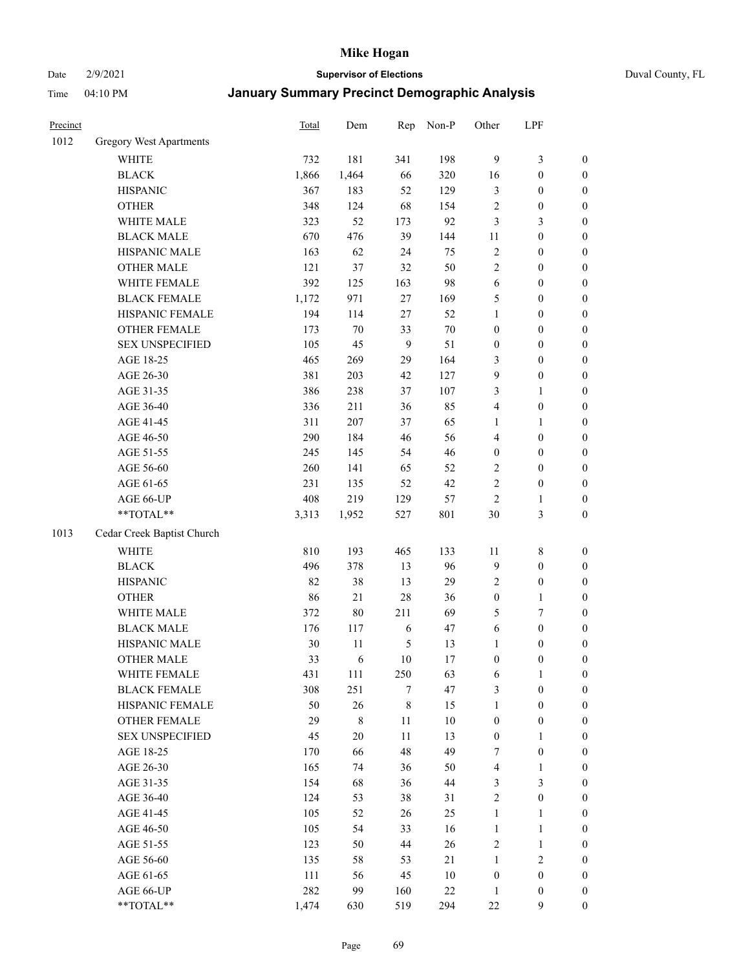Date 2/9/2021 **Supervisor of Elections** Duval County, FL

| Precinct |                                | <b>Total</b> | Dem    | Rep       | Non-P  | Other            | LPF              |                  |
|----------|--------------------------------|--------------|--------|-----------|--------|------------------|------------------|------------------|
| 1012     | <b>Gregory West Apartments</b> |              |        |           |        |                  |                  |                  |
|          | WHITE                          | 732          | 181    | 341       | 198    | $\overline{9}$   | $\mathfrak{Z}$   | 0                |
|          | <b>BLACK</b>                   | 1,866        | 1,464  | 66        | 320    | 16               | $\boldsymbol{0}$ | $\boldsymbol{0}$ |
|          | <b>HISPANIC</b>                | 367          | 183    | 52        | 129    | 3                | $\boldsymbol{0}$ | $\boldsymbol{0}$ |
|          | <b>OTHER</b>                   | 348          | 124    | 68        | 154    | $\overline{c}$   | $\boldsymbol{0}$ | $\boldsymbol{0}$ |
|          | WHITE MALE                     | 323          | 52     | 173       | 92     | 3                | $\mathfrak{Z}$   | $\boldsymbol{0}$ |
|          | <b>BLACK MALE</b>              | 670          | 476    | 39        | 144    | 11               | $\boldsymbol{0}$ | $\boldsymbol{0}$ |
|          | HISPANIC MALE                  | 163          | 62     | 24        | 75     | 2                | $\boldsymbol{0}$ | $\boldsymbol{0}$ |
|          | <b>OTHER MALE</b>              | 121          | 37     | 32        | 50     | $\overline{c}$   | $\boldsymbol{0}$ | $\boldsymbol{0}$ |
|          | WHITE FEMALE                   | 392          | 125    | 163       | 98     | 6                | $\boldsymbol{0}$ | $\boldsymbol{0}$ |
|          | <b>BLACK FEMALE</b>            | 1,172        | 971    | $27\,$    | 169    | 5                | $\boldsymbol{0}$ | $\boldsymbol{0}$ |
|          | HISPANIC FEMALE                | 194          | 114    | 27        | 52     | $\mathbf{1}$     | $\boldsymbol{0}$ | $\boldsymbol{0}$ |
|          | <b>OTHER FEMALE</b>            | 173          | $70\,$ | 33        | $70\,$ | $\boldsymbol{0}$ | $\boldsymbol{0}$ | $\boldsymbol{0}$ |
|          | <b>SEX UNSPECIFIED</b>         | 105          | 45     | 9         | 51     | $\boldsymbol{0}$ | $\boldsymbol{0}$ | $\boldsymbol{0}$ |
|          | AGE 18-25                      | 465          | 269    | 29        | 164    | 3                | $\boldsymbol{0}$ | $\boldsymbol{0}$ |
|          | AGE 26-30                      | 381          | 203    | 42        | 127    | 9                | $\boldsymbol{0}$ | $\boldsymbol{0}$ |
|          | AGE 31-35                      | 386          | 238    | 37        | 107    | 3                | $\mathbf{1}$     | $\boldsymbol{0}$ |
|          | AGE 36-40                      | 336          | 211    | 36        | 85     | 4                | $\boldsymbol{0}$ | $\boldsymbol{0}$ |
|          | AGE 41-45                      | 311          | 207    | 37        | 65     | $\mathbf{1}$     | $\mathbf{1}$     | $\boldsymbol{0}$ |
|          | AGE 46-50                      | 290          | 184    | 46        | 56     | 4                | $\boldsymbol{0}$ | $\boldsymbol{0}$ |
|          | AGE 51-55                      | 245          | 145    | 54        | 46     | $\boldsymbol{0}$ | $\boldsymbol{0}$ | $\boldsymbol{0}$ |
|          | AGE 56-60                      | 260          | 141    | 65        | 52     | 2                | $\boldsymbol{0}$ | $\boldsymbol{0}$ |
|          | AGE 61-65                      | 231          | 135    | 52        | 42     | $\overline{c}$   | $\boldsymbol{0}$ | $\boldsymbol{0}$ |
|          | AGE 66-UP                      | 408          | 219    | 129       | 57     | $\sqrt{2}$       | 1                | $\boldsymbol{0}$ |
|          | **TOTAL**                      | 3,313        | 1,952  | 527       | 801    | 30               | $\mathfrak{Z}$   | $\boldsymbol{0}$ |
| 1013     | Cedar Creek Baptist Church     |              |        |           |        |                  |                  |                  |
|          | <b>WHITE</b>                   | 810          | 193    | 465       | 133    | $11\,$           | $\,$ $\,$        | $\boldsymbol{0}$ |
|          | <b>BLACK</b>                   | 496          | 378    | 13        | 96     | 9                | $\boldsymbol{0}$ | $\boldsymbol{0}$ |
|          | <b>HISPANIC</b>                | 82           | 38     | 13        | 29     | 2                | $\boldsymbol{0}$ | $\boldsymbol{0}$ |
|          | <b>OTHER</b>                   | 86           | 21     | 28        | 36     | $\boldsymbol{0}$ | $\mathbf{1}$     | $\boldsymbol{0}$ |
|          | WHITE MALE                     | 372          | $80\,$ | 211       | 69     | 5                | 7                | $\boldsymbol{0}$ |
|          | <b>BLACK MALE</b>              | 176          | 117    | 6         | 47     | $\sqrt{6}$       | $\boldsymbol{0}$ | $\boldsymbol{0}$ |
|          | HISPANIC MALE                  | 30           | 11     | 5         | 13     | $\mathbf{1}$     | $\boldsymbol{0}$ | $\boldsymbol{0}$ |
|          | <b>OTHER MALE</b>              | 33           | 6      | 10        | 17     | $\boldsymbol{0}$ | $\boldsymbol{0}$ | $\boldsymbol{0}$ |
|          | WHITE FEMALE                   | 431          | 111    | 250       | 63     | 6                | 1                | 0                |
|          | <b>BLACK FEMALE</b>            | 308          | 251    | 7         | 47     | 3                | $\boldsymbol{0}$ | $\overline{0}$   |
|          | HISPANIC FEMALE                | 50           | 26     | $\,$ $\,$ | 15     | $\mathbf{1}$     | $\boldsymbol{0}$ | $\overline{0}$   |
|          | <b>OTHER FEMALE</b>            | 29           | $8\,$  | 11        | $10\,$ | $\boldsymbol{0}$ | $\boldsymbol{0}$ | $\overline{0}$   |
|          | <b>SEX UNSPECIFIED</b>         | 45           | $20\,$ | 11        | 13     | $\boldsymbol{0}$ | $\mathbf{1}$     | 0                |
|          | AGE 18-25                      | 170          | 66     | 48        | 49     | 7                | $\boldsymbol{0}$ | 0                |
|          | AGE 26-30                      | 165          | 74     | 36        | 50     | 4                | $\mathbf{1}$     | 0                |
|          | AGE 31-35                      | 154          | 68     | 36        | 44     | 3                | $\mathfrak{Z}$   | 0                |
|          | AGE 36-40                      | 124          | 53     | 38        | 31     | $\overline{c}$   | $\boldsymbol{0}$ | 0                |
|          | AGE 41-45                      | 105          | 52     | 26        | 25     | $\mathbf{1}$     | $\mathbf{1}$     | 0                |
|          | AGE 46-50                      | 105          | 54     | 33        | 16     | $\mathbf{1}$     | $\mathbf{1}$     | 0                |
|          | AGE 51-55                      | 123          | 50     | 44        | 26     | 2                | $\mathbf{1}$     | 0                |
|          | AGE 56-60                      | 135          | 58     | 53        | 21     | $\mathbf{1}$     | $\sqrt{2}$       | 0                |
|          | AGE 61-65                      | 111          | 56     | 45        | $10\,$ | $\boldsymbol{0}$ | $\boldsymbol{0}$ | $\overline{0}$   |
|          | AGE 66-UP                      | 282          | 99     | 160       | $22\,$ | $\mathbf{1}$     | $\boldsymbol{0}$ | 0                |
|          | **TOTAL**                      | 1,474        | 630    | 519       | 294    | $22\,$           | 9                | $\boldsymbol{0}$ |
|          |                                |              |        |           |        |                  |                  |                  |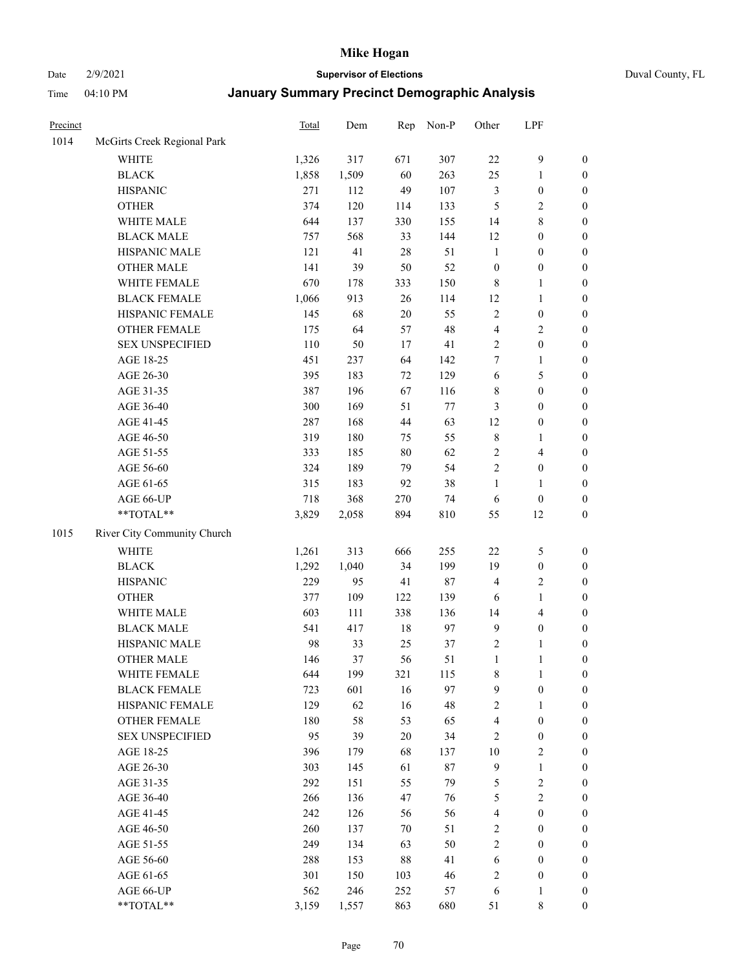Date 2/9/2021 **Supervisor of Elections** Duval County, FL

| Precinct |                             | Total | Dem   | Rep    | Non-P  | Other                   | LPF                     |                  |
|----------|-----------------------------|-------|-------|--------|--------|-------------------------|-------------------------|------------------|
| 1014     | McGirts Creek Regional Park |       |       |        |        |                         |                         |                  |
|          | <b>WHITE</b>                | 1,326 | 317   | 671    | 307    | $22\,$                  | $\mathbf{9}$            | 0                |
|          | <b>BLACK</b>                | 1,858 | 1,509 | 60     | 263    | 25                      | $\mathbf{1}$            | $\boldsymbol{0}$ |
|          | <b>HISPANIC</b>             | 271   | 112   | 49     | 107    | 3                       | $\boldsymbol{0}$        | $\boldsymbol{0}$ |
|          | <b>OTHER</b>                | 374   | 120   | 114    | 133    | 5                       | $\sqrt{2}$              | $\boldsymbol{0}$ |
|          | WHITE MALE                  | 644   | 137   | 330    | 155    | 14                      | $8\,$                   | $\boldsymbol{0}$ |
|          | <b>BLACK MALE</b>           | 757   | 568   | 33     | 144    | 12                      | $\boldsymbol{0}$        | $\boldsymbol{0}$ |
|          | HISPANIC MALE               | 121   | 41    | 28     | 51     | $\mathbf{1}$            | $\boldsymbol{0}$        | $\boldsymbol{0}$ |
|          | <b>OTHER MALE</b>           | 141   | 39    | 50     | 52     | $\boldsymbol{0}$        | $\boldsymbol{0}$        | $\boldsymbol{0}$ |
|          | WHITE FEMALE                | 670   | 178   | 333    | 150    | 8                       | $\mathbf{1}$            | $\boldsymbol{0}$ |
|          | <b>BLACK FEMALE</b>         | 1,066 | 913   | 26     | 114    | 12                      | $\mathbf{1}$            | $\boldsymbol{0}$ |
|          | HISPANIC FEMALE             | 145   | 68    | $20\,$ | 55     | $\sqrt{2}$              | $\boldsymbol{0}$        | 0                |
|          | OTHER FEMALE                | 175   | 64    | 57     | 48     | 4                       | $\sqrt{2}$              | $\boldsymbol{0}$ |
|          | <b>SEX UNSPECIFIED</b>      | 110   | 50    | 17     | 41     | $\sqrt{2}$              | $\boldsymbol{0}$        | $\boldsymbol{0}$ |
|          | AGE 18-25                   | 451   | 237   | 64     | 142    | 7                       | $\mathbf{1}$            | $\boldsymbol{0}$ |
|          | AGE 26-30                   | 395   | 183   | 72     | 129    | 6                       | $\mathfrak{S}$          | $\boldsymbol{0}$ |
|          | AGE 31-35                   | 387   | 196   | 67     | 116    | $\,$ $\,$               | $\boldsymbol{0}$        | $\boldsymbol{0}$ |
|          | AGE 36-40                   | 300   | 169   | 51     | 77     | 3                       | $\boldsymbol{0}$        | $\boldsymbol{0}$ |
|          | AGE 41-45                   | 287   | 168   | 44     | 63     | 12                      | $\boldsymbol{0}$        | $\boldsymbol{0}$ |
|          | AGE 46-50                   | 319   | 180   | 75     | 55     | 8                       | 1                       | $\boldsymbol{0}$ |
|          | AGE 51-55                   | 333   | 185   | $80\,$ | 62     | $\sqrt{2}$              | $\overline{\mathbf{4}}$ | $\boldsymbol{0}$ |
|          | AGE 56-60                   | 324   | 189   | 79     | 54     | $\overline{2}$          | $\boldsymbol{0}$        | 0                |
|          | AGE 61-65                   | 315   | 183   | 92     | 38     | $\mathbf{1}$            | $\mathbf{1}$            | $\boldsymbol{0}$ |
|          | AGE 66-UP                   | 718   | 368   | 270    | 74     | 6                       | $\boldsymbol{0}$        | $\boldsymbol{0}$ |
|          | **TOTAL**                   | 3,829 | 2,058 | 894    | 810    | 55                      | 12                      | $\boldsymbol{0}$ |
| 1015     | River City Community Church |       |       |        |        |                         |                         |                  |
|          | <b>WHITE</b>                | 1,261 | 313   | 666    | 255    | $22\,$                  | 5                       | $\boldsymbol{0}$ |
|          | <b>BLACK</b>                | 1,292 | 1,040 | 34     | 199    | 19                      | $\boldsymbol{0}$        | $\boldsymbol{0}$ |
|          | <b>HISPANIC</b>             | 229   | 95    | 41     | $87\,$ | 4                       | $\mathfrak{2}$          | $\boldsymbol{0}$ |
|          | <b>OTHER</b>                | 377   | 109   | 122    | 139    | 6                       | $\mathbf{1}$            | $\boldsymbol{0}$ |
|          | WHITE MALE                  | 603   | 111   | 338    | 136    | 14                      | $\overline{\mathbf{4}}$ | $\boldsymbol{0}$ |
|          | <b>BLACK MALE</b>           | 541   | 417   | $18\,$ | 97     | $\overline{9}$          | $\boldsymbol{0}$        | $\boldsymbol{0}$ |
|          | HISPANIC MALE               | 98    | 33    | 25     | 37     | $\sqrt{2}$              | 1                       | $\boldsymbol{0}$ |
|          | <b>OTHER MALE</b>           | 146   | 37    | 56     | 51     | $\mathbf{1}$            | $\mathbf{1}$            | $\boldsymbol{0}$ |
|          | WHITE FEMALE                | 644   | 199   | 321    | 115    | 8                       | 1                       | 0                |
|          | <b>BLACK FEMALE</b>         | 723   | 601   | 16     | 97     | 9                       | $\boldsymbol{0}$        | $\overline{0}$   |
|          | HISPANIC FEMALE             | 129   | 62    | 16     | 48     | 2                       | 1                       | $\overline{0}$   |
|          | <b>OTHER FEMALE</b>         | 180   | 58    | 53     | 65     | 4                       | $\boldsymbol{0}$        | $\overline{0}$   |
|          | <b>SEX UNSPECIFIED</b>      | 95    | 39    | $20\,$ | 34     | 2                       | $\boldsymbol{0}$        | 0                |
|          | AGE 18-25                   | 396   | 179   | 68     | 137    | 10                      | $\sqrt{2}$              | 0                |
|          | AGE 26-30                   | 303   | 145   | 61     | $87\,$ | 9                       | $\mathbf{1}$            | 0                |
|          | AGE 31-35                   | 292   | 151   | 55     | 79     | 5                       | $\sqrt{2}$              | 0                |
|          | AGE 36-40                   | 266   | 136   | 47     | 76     | 5                       | $\sqrt{2}$              | 0                |
|          | AGE 41-45                   | 242   | 126   | 56     | 56     | $\overline{\mathbf{4}}$ | $\boldsymbol{0}$        | 0                |
|          | AGE 46-50                   | 260   | 137   | 70     | 51     | 2                       | $\boldsymbol{0}$        | 0                |
|          | AGE 51-55                   | 249   | 134   | 63     | 50     | $\overline{2}$          | $\boldsymbol{0}$        | 0                |
|          | AGE 56-60                   | 288   | 153   | 88     | 41     | 6                       | $\boldsymbol{0}$        | $\overline{0}$   |
|          | AGE 61-65                   | 301   | 150   | 103    | 46     | 2                       | $\boldsymbol{0}$        | $\overline{0}$   |
|          | AGE 66-UP                   | 562   | 246   | 252    | 57     | 6                       | $\mathbf{1}$            | 0                |
|          | **TOTAL**                   | 3,159 | 1,557 | 863    | 680    | 51                      | 8                       | $\boldsymbol{0}$ |
|          |                             |       |       |        |        |                         |                         |                  |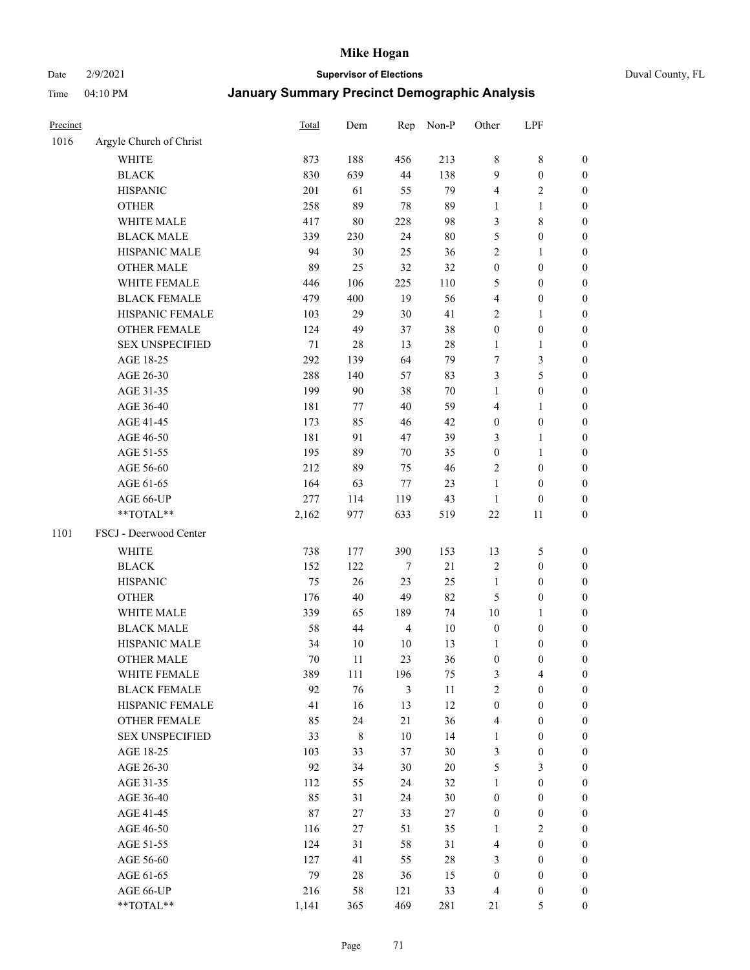# Date 2/9/2021 **Supervisor of Elections** Duval County, FL

| Precinct |                         | <b>Total</b> | Dem         | Rep            | Non-P  | Other            | LPF              |                  |
|----------|-------------------------|--------------|-------------|----------------|--------|------------------|------------------|------------------|
| 1016     | Argyle Church of Christ |              |             |                |        |                  |                  |                  |
|          | <b>WHITE</b>            | 873          | 188         | 456            | 213    | 8                | $\,$ 8 $\,$      | 0                |
|          | <b>BLACK</b>            | 830          | 639         | 44             | 138    | 9                | $\boldsymbol{0}$ | 0                |
|          | <b>HISPANIC</b>         | 201          | 61          | 55             | 79     | 4                | $\overline{2}$   | $\boldsymbol{0}$ |
|          | <b>OTHER</b>            | 258          | 89          | 78             | 89     | 1                | 1                | $\boldsymbol{0}$ |
|          | WHITE MALE              | 417          | $80\,$      | 228            | 98     | 3                | $\,$ 8 $\,$      | $\boldsymbol{0}$ |
|          | <b>BLACK MALE</b>       | 339          | 230         | 24             | $80\,$ | 5                | $\boldsymbol{0}$ | $\boldsymbol{0}$ |
|          | HISPANIC MALE           | 94           | 30          | 25             | 36     | 2                | $\mathbf{1}$     | $\boldsymbol{0}$ |
|          | <b>OTHER MALE</b>       | 89           | 25          | 32             | 32     | $\boldsymbol{0}$ | $\boldsymbol{0}$ | $\boldsymbol{0}$ |
|          | WHITE FEMALE            | 446          | 106         | 225            | 110    | 5                | $\boldsymbol{0}$ | $\boldsymbol{0}$ |
|          | <b>BLACK FEMALE</b>     | 479          | 400         | 19             | 56     | 4                | $\boldsymbol{0}$ | 0                |
|          | HISPANIC FEMALE         | 103          | 29          | 30             | 41     | $\overline{2}$   | $\mathbf{1}$     | 0                |
|          | <b>OTHER FEMALE</b>     | 124          | 49          | 37             | 38     | $\boldsymbol{0}$ | $\boldsymbol{0}$ | 0                |
|          | <b>SEX UNSPECIFIED</b>  | $71\,$       | 28          | 13             | $28\,$ | $\mathbf{1}$     | $\mathbf{1}$     | $\boldsymbol{0}$ |
|          | AGE 18-25               | 292          | 139         | 64             | 79     | 7                | $\mathfrak{Z}$   | $\boldsymbol{0}$ |
|          | AGE 26-30               | 288          | 140         | 57             | 83     | 3                | $\mathfrak{S}$   | $\boldsymbol{0}$ |
|          | AGE 31-35               | 199          | 90          | 38             | $70\,$ | $\mathbf{1}$     | $\boldsymbol{0}$ | $\boldsymbol{0}$ |
|          | AGE 36-40               | 181          | 77          | $40\,$         | 59     | 4                | $\mathbf{1}$     | $\boldsymbol{0}$ |
|          | AGE 41-45               | 173          | 85          | 46             | 42     | $\boldsymbol{0}$ | $\boldsymbol{0}$ | $\boldsymbol{0}$ |
|          | AGE 46-50               | 181          | 91          | 47             | 39     | 3                | $\mathbf{1}$     | $\boldsymbol{0}$ |
|          | AGE 51-55               | 195          | 89          | 70             | 35     | $\boldsymbol{0}$ | $\mathbf{1}$     | $\boldsymbol{0}$ |
|          | AGE 56-60               | 212          | 89          | 75             | 46     | $\sqrt{2}$       | $\boldsymbol{0}$ | 0                |
|          | AGE 61-65               | 164          | 63          | $77\,$         | 23     | $\mathbf{1}$     | $\boldsymbol{0}$ | 0                |
|          | AGE 66-UP               | 277          | 114         | 119            | 43     | $\mathbf{1}$     | $\boldsymbol{0}$ | $\boldsymbol{0}$ |
|          | **TOTAL**               | 2,162        | 977         | 633            | 519    | $22\,$           | 11               | $\boldsymbol{0}$ |
| 1101     | FSCJ - Deerwood Center  |              |             |                |        |                  |                  |                  |
|          | <b>WHITE</b>            | 738          | 177         | 390            | 153    | 13               | 5                | $\boldsymbol{0}$ |
|          | <b>BLACK</b>            | 152          | 122         | $\tau$         | $21\,$ | 2                | $\boldsymbol{0}$ | $\boldsymbol{0}$ |
|          | <b>HISPANIC</b>         | 75           | 26          | 23             | 25     | $\mathbf{1}$     | $\boldsymbol{0}$ | $\boldsymbol{0}$ |
|          | <b>OTHER</b>            | 176          | 40          | 49             | 82     | 5                | $\boldsymbol{0}$ | $\boldsymbol{0}$ |
|          | WHITE MALE              | 339          | 65          | 189            | 74     | $10\,$           | $\mathbf{1}$     | $\boldsymbol{0}$ |
|          | <b>BLACK MALE</b>       | 58           | 44          | $\overline{4}$ | $10\,$ | $\boldsymbol{0}$ | $\boldsymbol{0}$ | $\boldsymbol{0}$ |
|          | HISPANIC MALE           | 34           | $10\,$      | 10             | 13     | 1                | $\boldsymbol{0}$ | 0                |
|          | <b>OTHER MALE</b>       | 70           | 11          | 23             | 36     | $\boldsymbol{0}$ | $\boldsymbol{0}$ | $\boldsymbol{0}$ |
|          | WHITE FEMALE            | 389          | 111         | 196            | 75     | 3                | 4                | 0                |
|          | <b>BLACK FEMALE</b>     | 92           | 76          | $\mathfrak{Z}$ | 11     | $\overline{c}$   | $\boldsymbol{0}$ | $\overline{0}$   |
|          | HISPANIC FEMALE         | 41           | 16          | 13             | 12     | $\boldsymbol{0}$ | $\boldsymbol{0}$ | $\overline{0}$   |
|          | OTHER FEMALE            | 85           | 24          | 21             | 36     | 4                | $\boldsymbol{0}$ | $\overline{0}$   |
|          | <b>SEX UNSPECIFIED</b>  | 33           | $\,$ 8 $\,$ | 10             | 14     | $\mathbf{1}$     | $\boldsymbol{0}$ | 0                |
|          | AGE 18-25               | 103          | 33          | 37             | $30\,$ | 3                | $\boldsymbol{0}$ | 0                |
|          | AGE 26-30               | 92           | 34          | 30             | $20\,$ | 5                | $\mathfrak{Z}$   | 0                |
|          | AGE 31-35               | 112          | 55          | 24             | 32     | $\mathbf{1}$     | $\boldsymbol{0}$ | 0                |
|          | AGE 36-40               | 85           | 31          | 24             | $30\,$ | $\boldsymbol{0}$ | $\boldsymbol{0}$ | 0                |
|          | AGE 41-45               | 87           | 27          | 33             | 27     | $\boldsymbol{0}$ | $\boldsymbol{0}$ | 0                |
|          | AGE 46-50               | 116          | 27          | 51             | 35     | $\mathbf{1}$     | $\overline{c}$   | 0                |
|          | AGE 51-55               | 124          | 31          | 58             | 31     | $\overline{4}$   | $\boldsymbol{0}$ | 0                |
|          | AGE 56-60               | 127          | 41          | 55             | $28\,$ | 3                | $\boldsymbol{0}$ | $\overline{0}$   |
|          | AGE 61-65               | 79           | $28\,$      | 36             | 15     | $\boldsymbol{0}$ | $\boldsymbol{0}$ | $\overline{0}$   |
|          | AGE 66-UP               | 216          | 58          | 121            | 33     | 4                | $\boldsymbol{0}$ | 0                |
|          | **TOTAL**               | 1,141        | 365         | 469            | 281    | 21               | 5                | $\boldsymbol{0}$ |
|          |                         |              |             |                |        |                  |                  |                  |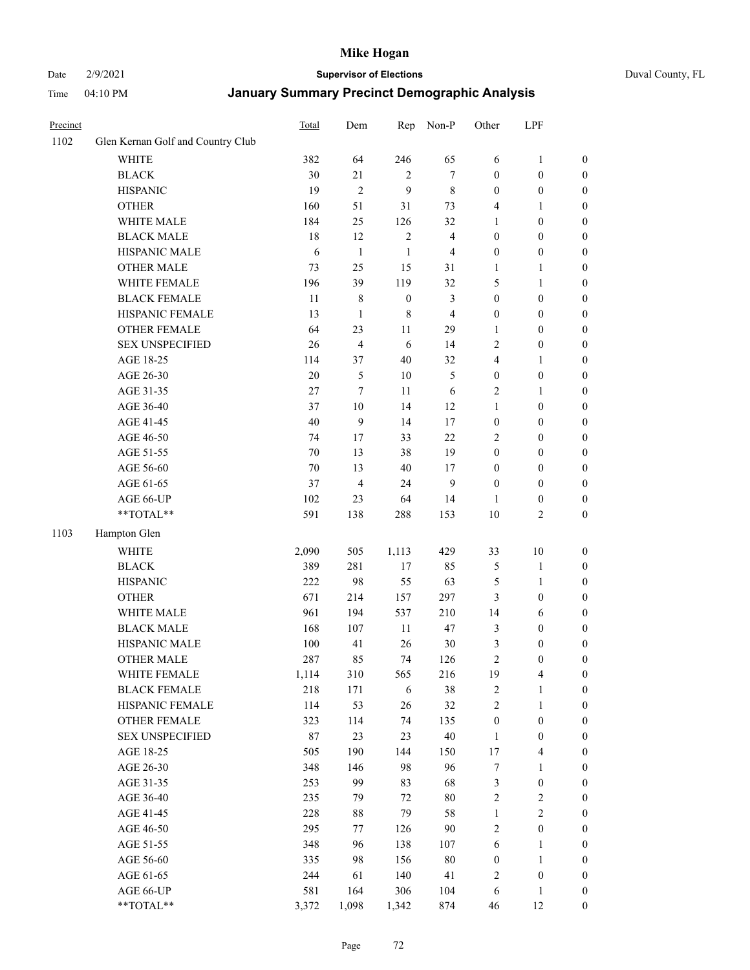#### Date 2/9/2021 **Supervisor of Elections** Duval County, FL

| Precinct |                                   | <b>Total</b> | Dem                     | Rep              | Non-P                   | Other            | LPF              |                  |
|----------|-----------------------------------|--------------|-------------------------|------------------|-------------------------|------------------|------------------|------------------|
| 1102     | Glen Kernan Golf and Country Club |              |                         |                  |                         |                  |                  |                  |
|          | <b>WHITE</b>                      | 382          | 64                      | 246              | 65                      | 6                | $\mathbf{1}$     | 0                |
|          | <b>BLACK</b>                      | 30           | 21                      | $\overline{2}$   | $\tau$                  | $\boldsymbol{0}$ | $\boldsymbol{0}$ | 0                |
|          | <b>HISPANIC</b>                   | 19           | $\overline{c}$          | 9                | $\,$ 8 $\,$             | $\boldsymbol{0}$ | $\boldsymbol{0}$ | $\boldsymbol{0}$ |
|          | <b>OTHER</b>                      | 160          | 51                      | 31               | 73                      | 4                | 1                | $\boldsymbol{0}$ |
|          | WHITE MALE                        | 184          | 25                      | 126              | 32                      | 1                | $\boldsymbol{0}$ | $\boldsymbol{0}$ |
|          | <b>BLACK MALE</b>                 | 18           | 12                      | $\sqrt{2}$       | $\overline{\mathbf{4}}$ | $\boldsymbol{0}$ | $\boldsymbol{0}$ | $\boldsymbol{0}$ |
|          | HISPANIC MALE                     | 6            | $\mathbf{1}$            | $\mathbf{1}$     | $\overline{\mathbf{4}}$ | $\boldsymbol{0}$ | $\boldsymbol{0}$ | $\boldsymbol{0}$ |
|          | <b>OTHER MALE</b>                 | 73           | 25                      | 15               | 31                      | $\mathbf{1}$     | $\mathbf{1}$     | $\boldsymbol{0}$ |
|          | WHITE FEMALE                      | 196          | 39                      | 119              | 32                      | 5                | $\mathbf{1}$     | $\boldsymbol{0}$ |
|          | <b>BLACK FEMALE</b>               | 11           | 8                       | $\boldsymbol{0}$ | $\mathfrak{Z}$          | $\boldsymbol{0}$ | $\boldsymbol{0}$ | $\boldsymbol{0}$ |
|          | HISPANIC FEMALE                   | 13           | $\mathbf{1}$            | $\,$ 8 $\,$      | $\overline{\mathbf{4}}$ | $\boldsymbol{0}$ | $\boldsymbol{0}$ | $\boldsymbol{0}$ |
|          | <b>OTHER FEMALE</b>               | 64           | 23                      | 11               | 29                      | $\mathbf{1}$     | $\boldsymbol{0}$ | $\boldsymbol{0}$ |
|          | <b>SEX UNSPECIFIED</b>            | 26           | $\overline{\mathbf{4}}$ | 6                | 14                      | 2                | $\boldsymbol{0}$ | $\boldsymbol{0}$ |
|          | AGE 18-25                         | 114          | 37                      | 40               | 32                      | 4                | 1                | $\boldsymbol{0}$ |
|          | AGE 26-30                         | $20\,$       | $\mathfrak{S}$          | 10               | $\mathfrak{S}$          | $\boldsymbol{0}$ | $\boldsymbol{0}$ | $\boldsymbol{0}$ |
|          | AGE 31-35                         | 27           | $\boldsymbol{7}$        | 11               | 6                       | $\overline{c}$   | $\mathbf{1}$     | $\boldsymbol{0}$ |
|          | AGE 36-40                         | 37           | 10                      | 14               | 12                      | $\mathbf{1}$     | $\boldsymbol{0}$ | $\boldsymbol{0}$ |
|          | AGE 41-45                         | $40\,$       | $\boldsymbol{9}$        | 14               | 17                      | $\boldsymbol{0}$ | $\boldsymbol{0}$ | $\boldsymbol{0}$ |
|          | AGE 46-50                         | 74           | 17                      | 33               | 22                      | 2                | $\boldsymbol{0}$ | $\boldsymbol{0}$ |
|          | AGE 51-55                         | $70\,$       | 13                      | 38               | 19                      | $\boldsymbol{0}$ | $\boldsymbol{0}$ | $\boldsymbol{0}$ |
|          | AGE 56-60                         | 70           | 13                      | 40               | 17                      | $\boldsymbol{0}$ | $\boldsymbol{0}$ | 0                |
|          | AGE 61-65                         | 37           | $\overline{4}$          | 24               | 9                       | $\boldsymbol{0}$ | $\boldsymbol{0}$ | 0                |
|          | AGE 66-UP                         | 102          | 23                      | 64               | 14                      | 1                | $\boldsymbol{0}$ | $\boldsymbol{0}$ |
|          | $**TOTAL**$                       | 591          | 138                     | 288              | 153                     | 10               | $\sqrt{2}$       | $\boldsymbol{0}$ |
| 1103     | Hampton Glen                      |              |                         |                  |                         |                  |                  |                  |
|          | <b>WHITE</b>                      | 2,090        | 505                     | 1,113            | 429                     | 33               | 10               | $\boldsymbol{0}$ |
|          | <b>BLACK</b>                      | 389          | 281                     | 17               | 85                      | 5                | $\mathbf{1}$     | $\boldsymbol{0}$ |
|          | <b>HISPANIC</b>                   | 222          | 98                      | 55               | 63                      | 5                | $\mathbf{1}$     | $\boldsymbol{0}$ |
|          | <b>OTHER</b>                      | 671          | 214                     | 157              | 297                     | 3                | $\boldsymbol{0}$ | $\boldsymbol{0}$ |
|          | WHITE MALE                        | 961          | 194                     | 537              | 210                     | 14               | 6                | $\boldsymbol{0}$ |
|          | <b>BLACK MALE</b>                 | 168          | 107                     | 11               | 47                      | 3                | $\boldsymbol{0}$ | $\boldsymbol{0}$ |
|          | HISPANIC MALE                     | $100\,$      | 41                      | 26               | $30\,$                  | 3                | $\boldsymbol{0}$ | $\boldsymbol{0}$ |
|          | <b>OTHER MALE</b>                 | 287          | 85                      | 74               | 126                     | $\overline{c}$   | $\boldsymbol{0}$ | $\boldsymbol{0}$ |
|          | WHITE FEMALE                      | 1,114        | 310                     | 565              | 216                     | 19               | 4                | 0                |
|          | <b>BLACK FEMALE</b>               | 218          | 171                     | 6                | 38                      | 2                | $\mathbf{1}$     | $\boldsymbol{0}$ |
|          | HISPANIC FEMALE                   | 114          | 53                      | 26               | 32                      | $\overline{c}$   | $\mathbf{1}$     | $\boldsymbol{0}$ |
|          | OTHER FEMALE                      | 323          | 114                     | 74               | 135                     | $\boldsymbol{0}$ | $\boldsymbol{0}$ | $\overline{0}$   |
|          | <b>SEX UNSPECIFIED</b>            | 87           | 23                      | 23               | $40\,$                  | $\mathbf{1}$     | $\boldsymbol{0}$ | 0                |
|          | AGE 18-25                         | 505          | 190                     | 144              | 150                     | $17\,$           | $\overline{4}$   | 0                |
|          | AGE 26-30                         | 348          | 146                     | 98               | 96                      | 7                | $\mathbf{1}$     | 0                |
|          | AGE 31-35                         | 253          | 99                      | 83               | 68                      | 3                | $\boldsymbol{0}$ | 0                |
|          | AGE 36-40                         | 235          | 79                      | $72\,$           | $80\,$                  | 2                | $\sqrt{2}$       | 0                |
|          | AGE 41-45                         | 228          | 88                      | 79               | 58                      | $\mathbf{1}$     | $\overline{c}$   | 0                |
|          | AGE 46-50                         | 295          | 77                      | 126              | $90\,$                  | 2                | $\boldsymbol{0}$ | 0                |
|          | AGE 51-55                         | 348          | 96                      | 138              | 107                     | 6                | $\mathbf{1}$     | $\boldsymbol{0}$ |
|          | AGE 56-60                         | 335          | 98                      | 156              | $80\,$                  | $\boldsymbol{0}$ | $\mathbf{1}$     | $\boldsymbol{0}$ |
|          | AGE 61-65                         | 244          | 61                      | 140              | 41                      | 2                | $\boldsymbol{0}$ | $\boldsymbol{0}$ |
|          | AGE 66-UP                         | 581          | 164                     | 306              | 104                     | 6                | $\mathbf{1}$     | 0                |
|          | **TOTAL**                         | 3,372        | 1,098                   | 1,342            | 874                     | 46               | 12               | $\boldsymbol{0}$ |
|          |                                   |              |                         |                  |                         |                  |                  |                  |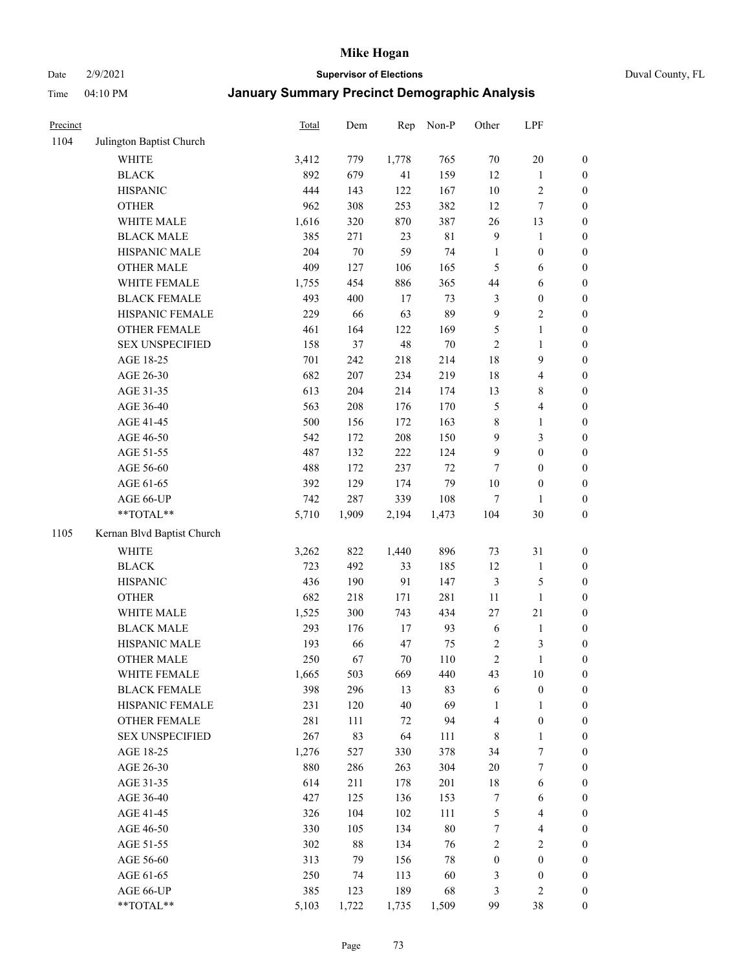Date 2/9/2021 **Supervisor of Elections** Duval County, FL

| Precinct |                            | Total | Dem    | Rep   | Non-P  | Other            | LPF                     |                  |
|----------|----------------------------|-------|--------|-------|--------|------------------|-------------------------|------------------|
| 1104     | Julington Baptist Church   |       |        |       |        |                  |                         |                  |
|          | <b>WHITE</b>               | 3,412 | 779    | 1,778 | 765    | 70               | $20\,$                  | 0                |
|          | <b>BLACK</b>               | 892   | 679    | 41    | 159    | 12               | $\mathbf{1}$            | $\boldsymbol{0}$ |
|          | <b>HISPANIC</b>            | 444   | 143    | 122   | 167    | $10\,$           | $\sqrt{2}$              | $\boldsymbol{0}$ |
|          | <b>OTHER</b>               | 962   | 308    | 253   | 382    | 12               | $\boldsymbol{7}$        | $\boldsymbol{0}$ |
|          | WHITE MALE                 | 1,616 | 320    | 870   | 387    | 26               | 13                      | $\boldsymbol{0}$ |
|          | <b>BLACK MALE</b>          | 385   | 271    | 23    | 81     | $\mathbf{9}$     | 1                       | $\boldsymbol{0}$ |
|          | HISPANIC MALE              | 204   | $70\,$ | 59    | 74     | $\mathbf{1}$     | $\boldsymbol{0}$        | $\boldsymbol{0}$ |
|          | <b>OTHER MALE</b>          | 409   | 127    | 106   | 165    | 5                | 6                       | $\boldsymbol{0}$ |
|          | WHITE FEMALE               | 1,755 | 454    | 886   | 365    | $44\,$           | 6                       | $\boldsymbol{0}$ |
|          | <b>BLACK FEMALE</b>        | 493   | 400    | $17$  | 73     | 3                | $\boldsymbol{0}$        | $\boldsymbol{0}$ |
|          | HISPANIC FEMALE            | 229   | 66     | 63    | 89     | $\mathbf{9}$     | $\sqrt{2}$              | $\boldsymbol{0}$ |
|          | OTHER FEMALE               | 461   | 164    | 122   | 169    | 5                | $\mathbf{1}$            | $\boldsymbol{0}$ |
|          | <b>SEX UNSPECIFIED</b>     | 158   | 37     | 48    | $70\,$ | $\mathbf{2}$     | $\mathbf{1}$            | $\boldsymbol{0}$ |
|          | AGE 18-25                  | 701   | 242    | 218   | 214    | 18               | 9                       | $\boldsymbol{0}$ |
|          | AGE 26-30                  | 682   | 207    | 234   | 219    | 18               | $\overline{\mathbf{4}}$ | $\boldsymbol{0}$ |
|          | AGE 31-35                  | 613   | 204    | 214   | 174    | 13               | $8\,$                   | $\boldsymbol{0}$ |
|          | AGE 36-40                  | 563   | 208    | 176   | 170    | 5                | $\overline{\mathbf{4}}$ | $\boldsymbol{0}$ |
|          | AGE 41-45                  | 500   | 156    | 172   | 163    | 8                | $\mathbf{1}$            | $\boldsymbol{0}$ |
|          | AGE 46-50                  | 542   | 172    | 208   | 150    | $\mathbf{9}$     | $\mathfrak{Z}$          | $\boldsymbol{0}$ |
|          | AGE 51-55                  | 487   | 132    | 222   | 124    | $\mathbf{9}$     | $\boldsymbol{0}$        | $\boldsymbol{0}$ |
|          | AGE 56-60                  | 488   | 172    | 237   | 72     | 7                | $\boldsymbol{0}$        | $\boldsymbol{0}$ |
|          | AGE 61-65                  | 392   | 129    | 174   | 79     | $10\,$           | $\boldsymbol{0}$        | $\boldsymbol{0}$ |
|          | AGE 66-UP                  | 742   | 287    | 339   | 108    | 7                | 1                       | $\boldsymbol{0}$ |
|          | **TOTAL**                  | 5,710 | 1,909  | 2,194 | 1,473  | 104              | 30                      | $\boldsymbol{0}$ |
| 1105     | Kernan Blvd Baptist Church |       |        |       |        |                  |                         |                  |
|          | <b>WHITE</b>               | 3,262 | 822    | 1,440 | 896    | 73               | 31                      | $\boldsymbol{0}$ |
|          | <b>BLACK</b>               | 723   | 492    | 33    | 185    | 12               | $\mathbf{1}$            | $\boldsymbol{0}$ |
|          | <b>HISPANIC</b>            | 436   | 190    | 91    | 147    | 3                | $\mathfrak{S}$          | $\boldsymbol{0}$ |
|          | <b>OTHER</b>               | 682   | 218    | 171   | 281    | $11\,$           | $\mathbf{1}$            | $\boldsymbol{0}$ |
|          | WHITE MALE                 | 1,525 | 300    | 743   | 434    | 27               | 21                      | $\boldsymbol{0}$ |
|          | <b>BLACK MALE</b>          | 293   | 176    | 17    | 93     | $\sqrt{6}$       | $\mathbf{1}$            | $\boldsymbol{0}$ |
|          | HISPANIC MALE              | 193   | 66     | 47    | 75     | $\sqrt{2}$       | 3                       | 0                |
|          | <b>OTHER MALE</b>          | 250   | 67     | 70    | 110    | $\overline{c}$   | $\mathbf{1}$            | $\boldsymbol{0}$ |
|          | WHITE FEMALE               | 1,665 | 503    | 669   | 440    | 43               | 10                      | 0                |
|          | <b>BLACK FEMALE</b>        | 398   | 296    | 13    | 83     | 6                | $\boldsymbol{0}$        | $\boldsymbol{0}$ |
|          | HISPANIC FEMALE            | 231   | 120    | 40    | 69     | 1                | $\mathbf{1}$            | $\overline{0}$   |
|          | <b>OTHER FEMALE</b>        | 281   | 111    | 72    | 94     | 4                | $\boldsymbol{0}$        | $\overline{0}$   |
|          | <b>SEX UNSPECIFIED</b>     | 267   | 83     | 64    | 111    | 8                | $\mathbf{1}$            | 0                |
|          | AGE 18-25                  | 1,276 | 527    | 330   | 378    | 34               | 7                       | $\theta$         |
|          | AGE 26-30                  | 880   | 286    | 263   | 304    | $20\,$           | $\boldsymbol{7}$        | 0                |
|          | AGE 31-35                  | 614   | 211    | 178   | 201    | 18               | 6                       | 0                |
|          | AGE 36-40                  | 427   | 125    | 136   | 153    | 7                | 6                       | 0                |
|          | AGE 41-45                  | 326   | 104    | 102   | 111    | 5                | $\overline{4}$          | 0                |
|          | AGE 46-50                  | 330   | 105    | 134   | $80\,$ | $\boldsymbol{7}$ | $\overline{4}$          | 0                |
|          | AGE 51-55                  | 302   | 88     | 134   | 76     | 2                | $\overline{2}$          | 0                |
|          | AGE 56-60                  | 313   | 79     | 156   | $78\,$ | $\boldsymbol{0}$ | $\boldsymbol{0}$        | $\overline{0}$   |
|          | AGE 61-65                  | 250   | 74     | 113   | 60     | 3                | $\boldsymbol{0}$        | $\overline{0}$   |
|          | AGE 66-UP                  | 385   | 123    | 189   | 68     | 3                | $\mathbf{2}$            | 0                |
|          | $**TOTAL**$                | 5,103 | 1,722  | 1,735 | 1,509  | 99               | 38                      | $\boldsymbol{0}$ |
|          |                            |       |        |       |        |                  |                         |                  |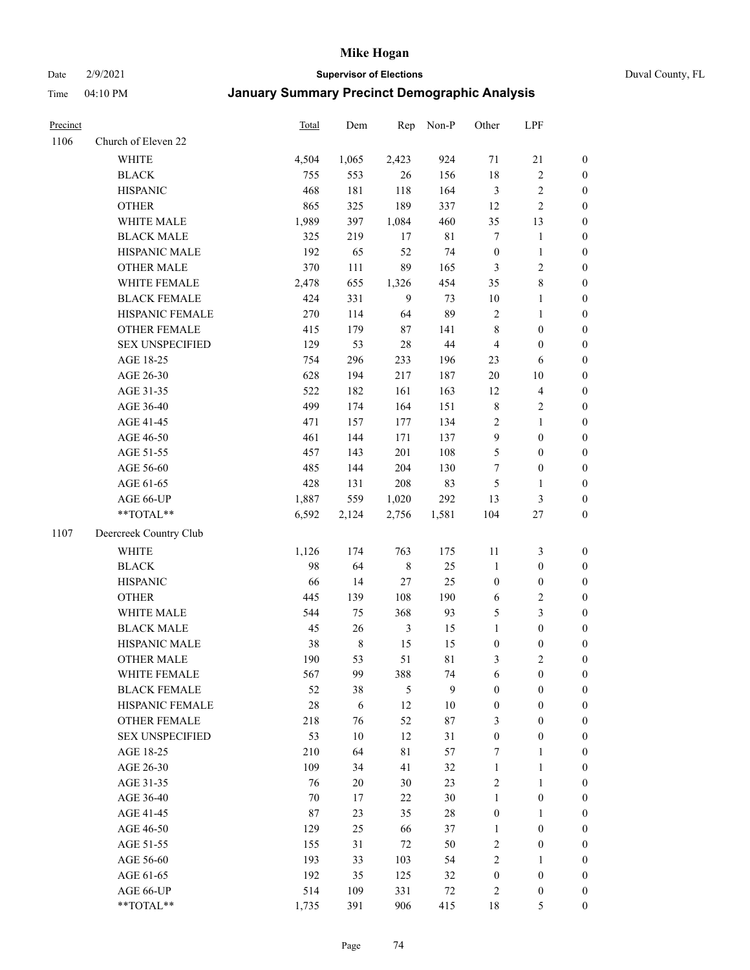#### Date 2/9/2021 **Supervisor of Elections** Duval County, FL

| Precinct |                                     | Total     | Dem               | Rep            | Non-P       | Other                                | LPF                                  |                     |
|----------|-------------------------------------|-----------|-------------------|----------------|-------------|--------------------------------------|--------------------------------------|---------------------|
| 1106     | Church of Eleven 22                 |           |                   |                |             |                                      |                                      |                     |
|          | <b>WHITE</b>                        | 4,504     | 1,065             | 2,423          | 924         | 71                                   | $21\,$                               | $\boldsymbol{0}$    |
|          | <b>BLACK</b>                        | 755       | 553               | 26             | 156         | 18                                   | $\sqrt{2}$                           | $\boldsymbol{0}$    |
|          | <b>HISPANIC</b>                     | 468       | 181               | 118            | 164         | $\mathfrak{Z}$                       | $\sqrt{2}$                           | $\boldsymbol{0}$    |
|          | <b>OTHER</b>                        | 865       | 325               | 189            | 337         | 12                                   | $\sqrt{2}$                           | $\boldsymbol{0}$    |
|          | WHITE MALE                          | 1,989     | 397               | 1,084          | 460         | 35                                   | 13                                   | $\boldsymbol{0}$    |
|          | <b>BLACK MALE</b>                   | 325       | 219               | 17             | $8\sqrt{1}$ | 7                                    | $\mathbf{1}$                         | $\boldsymbol{0}$    |
|          | HISPANIC MALE                       | 192       | 65                | 52             | 74          | $\boldsymbol{0}$                     | $\mathbf{1}$                         | $\boldsymbol{0}$    |
|          | <b>OTHER MALE</b>                   | 370       | 111               | 89             | 165         | $\mathfrak{Z}$                       | $\overline{2}$                       | $\boldsymbol{0}$    |
|          | WHITE FEMALE                        | 2,478     | 655               | 1,326          | 454         | 35                                   | $\,8\,$                              | $\boldsymbol{0}$    |
|          | <b>BLACK FEMALE</b>                 | 424       | 331               | 9              | 73          | 10                                   | $\mathbf{1}$                         | 0                   |
|          | HISPANIC FEMALE                     | 270       | 114               | 64             | 89          | $\overline{c}$                       | $\mathbf{1}$                         | 0                   |
|          | OTHER FEMALE                        | 415       | 179               | $87\,$         | 141         | $\,$ 8 $\,$                          | $\boldsymbol{0}$                     | 0                   |
|          | <b>SEX UNSPECIFIED</b>              | 129       | 53                | 28             | 44          | $\overline{4}$                       | $\boldsymbol{0}$                     | $\boldsymbol{0}$    |
|          | AGE 18-25                           | 754       | 296               | 233            | 196         | 23                                   | 6                                    | $\boldsymbol{0}$    |
|          | AGE 26-30                           | 628       | 194               | 217            | 187         | $20\,$                               | $10\,$                               | $\boldsymbol{0}$    |
|          | AGE 31-35                           | 522       | 182               | 161            | 163         | 12                                   | $\overline{\mathbf{4}}$              | $\boldsymbol{0}$    |
|          | AGE 36-40                           | 499       | 174               | 164            | 151         | $\,$ 8 $\,$                          | $\sqrt{2}$                           | $\boldsymbol{0}$    |
|          | AGE 41-45                           | 471       | 157               | 177            | 134         | $\sqrt{2}$                           | $\mathbf{1}$                         | $\boldsymbol{0}$    |
|          | AGE 46-50                           | 461       | 144               | 171            | 137         | $\overline{9}$                       | $\boldsymbol{0}$                     | $\boldsymbol{0}$    |
|          | AGE 51-55                           | 457       | 143               | 201            | 108         | 5                                    | $\boldsymbol{0}$                     | $\boldsymbol{0}$    |
|          | AGE 56-60                           | 485       | 144               | 204            | 130         | 7                                    | $\boldsymbol{0}$                     | 0                   |
|          | AGE 61-65                           | 428       | 131               | 208            | 83          | 5                                    | $\mathbf{1}$                         | 0                   |
|          | AGE 66-UP                           | 1,887     | 559               | 1,020          | 292         | 13                                   | $\mathfrak{Z}$                       | $\boldsymbol{0}$    |
|          | $**TOTAL**$                         | 6,592     | 2,124             | 2,756          | 1,581       | 104                                  | $27\,$                               | $\boldsymbol{0}$    |
| 1107     | Deercreek Country Club              |           |                   |                |             |                                      |                                      |                     |
|          | <b>WHITE</b>                        |           |                   | 763            | 175         |                                      |                                      |                     |
|          |                                     | 1,126     | 174               |                |             | 11                                   | 3                                    | $\boldsymbol{0}$    |
|          | <b>BLACK</b>                        | 98        | 64                | $\,$ 8 $\,$    | 25          | $\mathbf{1}$                         | $\boldsymbol{0}$                     | $\boldsymbol{0}$    |
|          | <b>HISPANIC</b>                     | 66        | 14                | $27\,$         | 25          | $\boldsymbol{0}$                     | $\boldsymbol{0}$                     | $\boldsymbol{0}$    |
|          | <b>OTHER</b>                        | 445       | 139               | 108            | 190         | 6                                    | $\sqrt{2}$                           | $\boldsymbol{0}$    |
|          | WHITE MALE                          | 544       | 75                | 368            | 93          | 5                                    | $\mathfrak{Z}$                       | $\boldsymbol{0}$    |
|          | <b>BLACK MALE</b>                   | 45        | 26                | $\mathfrak{Z}$ | 15          | $\mathbf{1}$                         | $\boldsymbol{0}$                     | $\boldsymbol{0}$    |
|          | HISPANIC MALE                       | 38<br>190 | $\,$ 8 $\,$<br>53 | 15<br>51       | 15<br>81    | $\boldsymbol{0}$                     | $\boldsymbol{0}$<br>$\mathbf{2}$     | $\boldsymbol{0}$    |
|          | <b>OTHER MALE</b>                   |           |                   |                |             | 3                                    |                                      | $\boldsymbol{0}$    |
|          | WHITE FEMALE<br><b>BLACK FEMALE</b> | 567       | 99                | 388<br>5       | 74<br>9     | 6                                    | $\boldsymbol{0}$<br>$\boldsymbol{0}$ | 0<br>$\overline{0}$ |
|          | HISPANIC FEMALE                     | 52<br>28  | 38<br>6           | 12             | $10\,$      | $\boldsymbol{0}$<br>$\boldsymbol{0}$ | $\boldsymbol{0}$                     | $\overline{0}$      |
|          | <b>OTHER FEMALE</b>                 | 218       |                   | 52             | 87          |                                      | $\boldsymbol{0}$                     | $\overline{0}$      |
|          | <b>SEX UNSPECIFIED</b>              | 53        | 76<br>10          | 12             | 31          | 3<br>$\boldsymbol{0}$                | $\boldsymbol{0}$                     | 0                   |
|          | AGE 18-25                           | 210       | 64                | $8\sqrt{1}$    | 57          | 7                                    | $\mathbf{1}$                         | 0                   |
|          | AGE 26-30                           | 109       | 34                | 41             | 32          | $\mathbf{1}$                         | $\mathbf{1}$                         | 0                   |
|          | AGE 31-35                           | 76        | 20                | $30\,$         | 23          | $\mathfrak{2}$                       | $\mathbf{1}$                         | 0                   |
|          | AGE 36-40                           | 70        | 17                | 22             | 30          | $\mathbf{1}$                         | $\boldsymbol{0}$                     | 0                   |
|          | AGE 41-45                           | 87        | 23                | 35             | 28          | $\boldsymbol{0}$                     | $\mathbf{1}$                         | 0                   |
|          |                                     | 129       | 25                | 66             |             | $\mathbf{1}$                         | $\boldsymbol{0}$                     |                     |
|          | AGE 46-50<br>AGE 51-55              | 155       | 31                | 72             | 37<br>50    | $\sqrt{2}$                           | $\boldsymbol{0}$                     | 0<br>0              |
|          | AGE 56-60                           | 193       | 33                | 103            | 54          | $\mathfrak{2}$                       | $\mathbf{1}$                         | $\overline{0}$      |
|          | AGE 61-65                           | 192       | 35                | 125            | 32          | $\boldsymbol{0}$                     | $\boldsymbol{0}$                     | $\overline{0}$      |
|          | AGE 66-UP                           | 514       | 109               | 331            | 72          | 2                                    | $\boldsymbol{0}$                     | 0                   |
|          | **TOTAL**                           | 1,735     | 391               | 906            | 415         | 18                                   | 5                                    | $\boldsymbol{0}$    |
|          |                                     |           |                   |                |             |                                      |                                      |                     |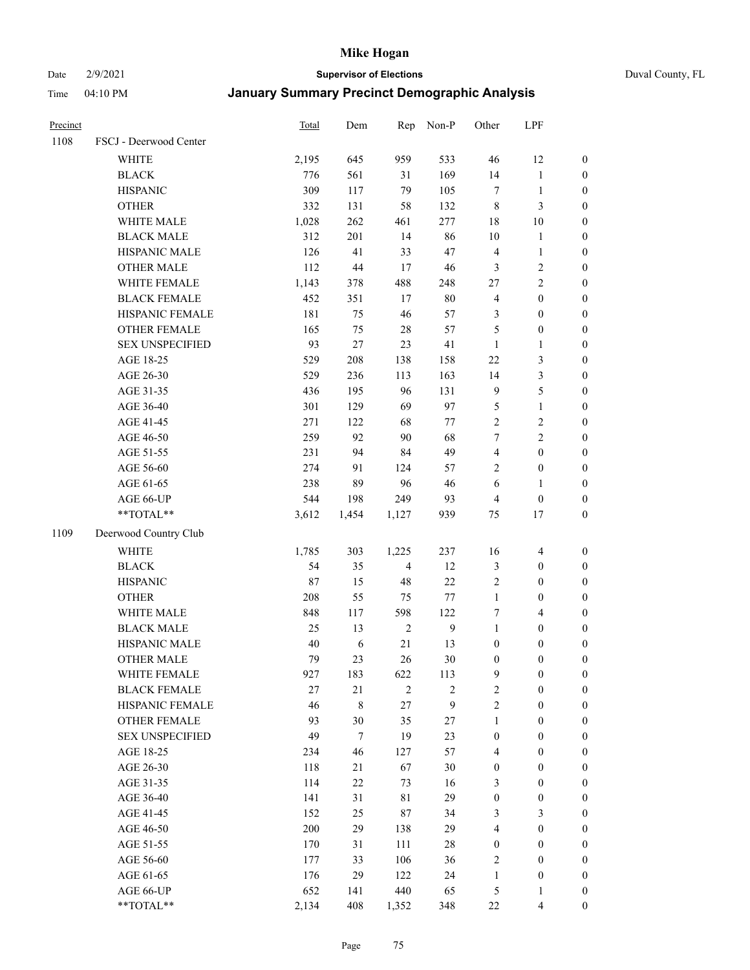#### Date 2/9/2021 **Supervisor of Elections** Duval County, FL

| Precinct |                        | <b>Total</b> | Dem        | Rep            | Non-P      | Other            | LPF                     |                  |
|----------|------------------------|--------------|------------|----------------|------------|------------------|-------------------------|------------------|
| 1108     | FSCJ - Deerwood Center |              |            |                |            |                  |                         |                  |
|          | <b>WHITE</b>           | 2,195        | 645        | 959            | 533        | 46               | 12                      | 0                |
|          | <b>BLACK</b>           | 776          | 561        | 31             | 169        | 14               | $\mathbf{1}$            | $\boldsymbol{0}$ |
|          | <b>HISPANIC</b>        | 309          | 117        | 79             | 105        | $\tau$           | $\mathbf{1}$            | $\boldsymbol{0}$ |
|          | <b>OTHER</b>           | 332          | 131        | 58             | 132        | 8                | $\mathfrak{Z}$          | $\boldsymbol{0}$ |
|          | WHITE MALE             | 1,028        | 262        | 461            | 277        | 18               | 10                      | $\boldsymbol{0}$ |
|          | <b>BLACK MALE</b>      | 312          | 201        | 14             | 86         | $10\,$           | 1                       | $\boldsymbol{0}$ |
|          | HISPANIC MALE          | 126          | 41         | 33             | 47         | 4                | $\mathbf{1}$            | $\boldsymbol{0}$ |
|          | <b>OTHER MALE</b>      | 112          | $44\,$     | 17             | 46         | 3                | $\sqrt{2}$              | $\boldsymbol{0}$ |
|          | WHITE FEMALE           | 1,143        | 378        | 488            | 248        | 27               | $\overline{c}$          | $\boldsymbol{0}$ |
|          | <b>BLACK FEMALE</b>    | 452          | 351        | 17             | $80\,$     | 4                | $\boldsymbol{0}$        | $\boldsymbol{0}$ |
|          | HISPANIC FEMALE        | 181          | 75         | 46             | 57         | 3                | $\boldsymbol{0}$        | 0                |
|          | <b>OTHER FEMALE</b>    | 165          | 75         | 28             | 57         | 5                | $\boldsymbol{0}$        | $\boldsymbol{0}$ |
|          | <b>SEX UNSPECIFIED</b> | 93           | 27         | 23             | 41         | $\mathbf{1}$     | $\mathbf{1}$            | $\boldsymbol{0}$ |
|          | AGE 18-25              | 529          | 208        | 138            | 158        | $22\,$           | $\mathfrak{Z}$          | $\boldsymbol{0}$ |
|          | AGE 26-30              | 529          | 236        | 113            | 163        | 14               | $\mathfrak{Z}$          | $\boldsymbol{0}$ |
|          | AGE 31-35              | 436          | 195        | 96             | 131        | 9                | 5                       | $\boldsymbol{0}$ |
|          | AGE 36-40              | 301          | 129        | 69             | 97         | 5                | $\mathbf{1}$            | $\boldsymbol{0}$ |
|          | AGE 41-45              | 271          | 122        | 68             | $77\,$     | $\overline{2}$   | $\sqrt{2}$              | $\boldsymbol{0}$ |
|          | AGE 46-50              | 259          | 92         | 90             | 68         | 7                | $\overline{c}$          | $\boldsymbol{0}$ |
|          | AGE 51-55              | 231          | 94         | 84             | 49         | 4                | $\boldsymbol{0}$        | $\boldsymbol{0}$ |
|          | AGE 56-60              | 274          | 91         | 124            | 57         | $\overline{2}$   | $\boldsymbol{0}$        | 0                |
|          | AGE 61-65              | 238          | 89         | 96             | 46         | 6                | $\mathbf{1}$            | $\boldsymbol{0}$ |
|          | AGE 66-UP              | 544          | 198        | 249            | 93         | 4                | $\boldsymbol{0}$        | $\boldsymbol{0}$ |
|          | $**TOTAL**$            | 3,612        | 1,454      | 1,127          | 939        | 75               | 17                      | $\boldsymbol{0}$ |
| 1109     | Deerwood Country Club  |              |            |                |            |                  |                         |                  |
|          | <b>WHITE</b>           | 1,785        | 303        | 1,225          | 237        | 16               | $\overline{4}$          | $\boldsymbol{0}$ |
|          | <b>BLACK</b>           | 54           | 35         | $\overline{4}$ | 12         | 3                | $\boldsymbol{0}$        | $\boldsymbol{0}$ |
|          | <b>HISPANIC</b>        | 87           | 15         | 48             | 22         | 2                | $\boldsymbol{0}$        | $\boldsymbol{0}$ |
|          | <b>OTHER</b>           | 208          | 55         | 75             | 77         | $\mathbf{1}$     | $\boldsymbol{0}$        | $\boldsymbol{0}$ |
|          | WHITE MALE             | 848          | 117        | 598            | 122        | 7                | $\overline{4}$          | $\boldsymbol{0}$ |
|          | <b>BLACK MALE</b>      | 25           | 13         | $\sqrt{2}$     | 9          | $\mathbf{1}$     | $\boldsymbol{0}$        | $\boldsymbol{0}$ |
|          | HISPANIC MALE          | 40           | $\sqrt{6}$ | 21             | 13         | $\boldsymbol{0}$ | $\boldsymbol{0}$        | $\boldsymbol{0}$ |
|          | <b>OTHER MALE</b>      | 79           | 23         | 26             | $30\,$     | $\boldsymbol{0}$ | $\boldsymbol{0}$        | $\boldsymbol{0}$ |
|          | WHITE FEMALE           | 927          | 183        | 622            | 113        | 9                | 0                       | 0                |
|          | <b>BLACK FEMALE</b>    | 27           | $21\,$     | $\mathfrak{2}$ | $\sqrt{2}$ | $\overline{c}$   | $\boldsymbol{0}$        | $\overline{0}$   |
|          | HISPANIC FEMALE        | 46           | $\,$ $\,$  | 27             | 9          | $\overline{2}$   | $\boldsymbol{0}$        | $\overline{0}$   |
|          | <b>OTHER FEMALE</b>    | 93           | 30         | 35             | 27         | $\mathbf{1}$     | $\boldsymbol{0}$        | $\overline{0}$   |
|          | <b>SEX UNSPECIFIED</b> | 49           | $\tau$     | 19             | 23         | $\boldsymbol{0}$ | $\boldsymbol{0}$        | 0                |
|          | AGE 18-25              | 234          | 46         | 127            | 57         | 4                | $\boldsymbol{0}$        | $\theta$         |
|          | AGE 26-30              | 118          | 21         | 67             | $30\,$     | $\boldsymbol{0}$ | $\boldsymbol{0}$        | 0                |
|          | AGE 31-35              | 114          | 22         | 73             | 16         | 3                | $\boldsymbol{0}$        | 0                |
|          | AGE 36-40              | 141          | 31         | 81             | 29         | $\boldsymbol{0}$ | $\boldsymbol{0}$        | 0                |
|          | AGE 41-45              | 152          | 25         | 87             | 34         | 3                | $\mathfrak{Z}$          | 0                |
|          | AGE 46-50              | 200          | 29         | 138            | 29         | 4                | $\boldsymbol{0}$        | 0                |
|          | AGE 51-55              | 170          | 31         | 111            | $28\,$     | $\boldsymbol{0}$ | $\boldsymbol{0}$        | $\overline{0}$   |
|          | AGE 56-60              | 177          | 33         | 106            | 36         | 2                | $\boldsymbol{0}$        | $\overline{0}$   |
|          | AGE 61-65              | 176          | 29         | 122            | 24         | $\mathbf{1}$     | $\boldsymbol{0}$        | $\overline{0}$   |
|          | AGE 66-UP              | 652          | 141        | 440            | 65         | 5                | $\mathbf{1}$            | 0                |
|          | **TOTAL**              | 2,134        | 408        | 1,352          | 348        | $22\,$           | $\overline{\mathbf{4}}$ | $\boldsymbol{0}$ |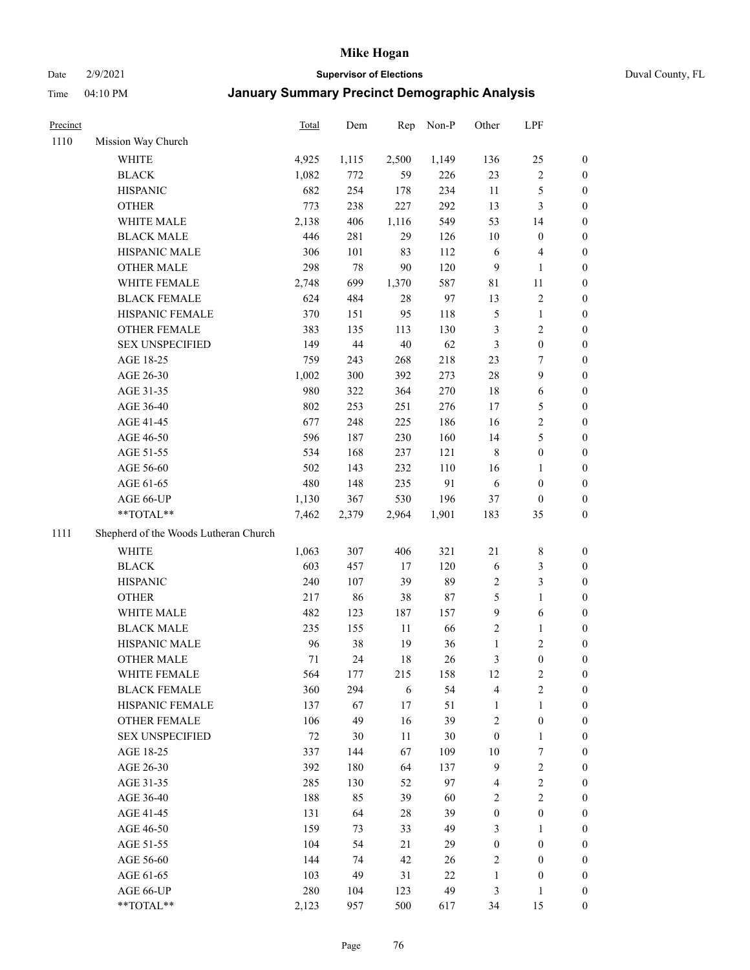Date 2/9/2021 **Supervisor of Elections** Duval County, FL

| Precinct |                                       | Total | Dem    | Rep    | Non-P  | Other            | LPF                     |                  |
|----------|---------------------------------------|-------|--------|--------|--------|------------------|-------------------------|------------------|
| 1110     | Mission Way Church                    |       |        |        |        |                  |                         |                  |
|          | WHITE                                 | 4,925 | 1,115  | 2,500  | 1,149  | 136              | 25                      | 0                |
|          | <b>BLACK</b>                          | 1,082 | 772    | 59     | 226    | 23               | $\sqrt{2}$              | 0                |
|          | <b>HISPANIC</b>                       | 682   | 254    | 178    | 234    | 11               | $\mathfrak s$           | $\boldsymbol{0}$ |
|          | <b>OTHER</b>                          | 773   | 238    | 227    | 292    | 13               | $\mathfrak{Z}$          | $\boldsymbol{0}$ |
|          | WHITE MALE                            | 2,138 | 406    | 1,116  | 549    | 53               | 14                      | $\boldsymbol{0}$ |
|          | <b>BLACK MALE</b>                     | 446   | 281    | 29     | 126    | 10               | $\boldsymbol{0}$        | $\boldsymbol{0}$ |
|          | HISPANIC MALE                         | 306   | 101    | 83     | 112    | 6                | $\overline{\mathbf{4}}$ | $\boldsymbol{0}$ |
|          | <b>OTHER MALE</b>                     | 298   | $78\,$ | 90     | 120    | $\overline{9}$   | $\mathbf{1}$            | $\boldsymbol{0}$ |
|          | WHITE FEMALE                          | 2,748 | 699    | 1,370  | 587    | 81               | 11                      | 0                |
|          | <b>BLACK FEMALE</b>                   | 624   | 484    | 28     | 97     | 13               | $\sqrt{2}$              | 0                |
|          | HISPANIC FEMALE                       | 370   | 151    | 95     | 118    | 5                | $\mathbf{1}$            | 0                |
|          | OTHER FEMALE                          | 383   | 135    | 113    | 130    | 3                | $\sqrt{2}$              | 0                |
|          | <b>SEX UNSPECIFIED</b>                | 149   | $44\,$ | 40     | 62     | 3                | $\boldsymbol{0}$        | $\boldsymbol{0}$ |
|          | AGE 18-25                             | 759   | 243    | 268    | 218    | 23               | $\tau$                  | $\boldsymbol{0}$ |
|          | AGE 26-30                             | 1,002 | 300    | 392    | 273    | 28               | $\boldsymbol{9}$        | $\boldsymbol{0}$ |
|          | AGE 31-35                             | 980   | 322    | 364    | 270    | 18               | 6                       | $\boldsymbol{0}$ |
|          | AGE 36-40                             | 802   | 253    | 251    | 276    | 17               | $\mathfrak{S}$          | $\boldsymbol{0}$ |
|          | AGE 41-45                             | 677   | 248    | 225    | 186    | 16               | $\sqrt{2}$              | $\boldsymbol{0}$ |
|          | AGE 46-50                             | 596   | 187    | 230    | 160    | 14               | $\mathfrak s$           | $\boldsymbol{0}$ |
|          | AGE 51-55                             | 534   | 168    | 237    | 121    | $\,$ 8 $\,$      | $\boldsymbol{0}$        | 0                |
|          | AGE 56-60                             | 502   | 143    | 232    | 110    | 16               | $\mathbf{1}$            | 0                |
|          | AGE 61-65                             | 480   | 148    | 235    | 91     | 6                | $\boldsymbol{0}$        | 0                |
|          | AGE 66-UP                             | 1,130 | 367    | 530    | 196    | 37               | $\boldsymbol{0}$        | 0                |
|          | **TOTAL**                             | 7,462 | 2,379  | 2,964  | 1,901  | 183              | 35                      | $\boldsymbol{0}$ |
| 1111     | Shepherd of the Woods Lutheran Church |       |        |        |        |                  |                         |                  |
|          | <b>WHITE</b>                          | 1,063 | 307    | 406    | 321    | 21               | $\,$ 8 $\,$             | $\boldsymbol{0}$ |
|          | <b>BLACK</b>                          | 603   | 457    | 17     | 120    | 6                | $\mathfrak{Z}$          | $\boldsymbol{0}$ |
|          | <b>HISPANIC</b>                       | 240   | 107    | 39     | 89     | $\sqrt{2}$       | $\mathfrak{Z}$          | $\boldsymbol{0}$ |
|          | <b>OTHER</b>                          | 217   | 86     | 38     | 87     | 5                | $\mathbf{1}$            | $\boldsymbol{0}$ |
|          | WHITE MALE                            | 482   | 123    | 187    | 157    | 9                | $\sqrt{6}$              | $\boldsymbol{0}$ |
|          | <b>BLACK MALE</b>                     | 235   | 155    | $11\,$ | 66     | $\sqrt{2}$       | $\mathbf{1}$            | $\boldsymbol{0}$ |
|          | HISPANIC MALE                         | 96    | 38     | 19     | 36     | $\mathbf{1}$     | $\sqrt{2}$              | 0                |
|          | <b>OTHER MALE</b>                     | 71    | 24     | 18     | 26     | 3                | $\boldsymbol{0}$        | 0                |
|          | WHITE FEMALE                          | 564   | 177    | 215    | 158    | 12               | 2                       | 0                |
|          | <b>BLACK FEMALE</b>                   | 360   | 294    | 6      | 54     | 4                | $\sqrt{2}$              | $\boldsymbol{0}$ |
|          | HISPANIC FEMALE                       | 137   | 67     | $17$   | 51     | $\mathbf{1}$     | $\mathbf{1}$            | $\overline{0}$   |
|          | OTHER FEMALE                          | 106   | 49     | 16     | 39     | $\overline{c}$   | $\boldsymbol{0}$        | $\overline{0}$   |
|          | <b>SEX UNSPECIFIED</b>                | 72    | 30     | 11     | 30     | $\boldsymbol{0}$ | $\mathbf{1}$            | 0                |
|          | AGE 18-25                             | 337   | 144    | 67     | 109    | 10               | $\boldsymbol{7}$        | 0                |
|          | AGE 26-30                             | 392   | 180    | 64     | 137    | 9                | $\sqrt{2}$              | 0                |
|          | AGE 31-35                             | 285   | 130    | 52     | 97     | 4                | $\sqrt{2}$              | 0                |
|          | AGE 36-40                             | 188   | 85     | 39     | 60     | 2                | $\sqrt{2}$              | 0                |
|          | AGE 41-45                             | 131   | 64     | 28     | 39     | $\boldsymbol{0}$ | $\boldsymbol{0}$        | 0                |
|          | AGE 46-50                             | 159   | 73     | 33     | 49     | 3                | $\mathbf{1}$            | 0                |
|          | AGE 51-55                             | 104   | 54     | 21     | 29     | $\boldsymbol{0}$ | $\boldsymbol{0}$        | 0                |
|          | AGE 56-60                             | 144   | 74     | 42     | 26     | $\overline{c}$   | $\boldsymbol{0}$        | $\overline{0}$   |
|          | AGE 61-65                             | 103   | 49     | 31     | $22\,$ | $\mathbf{1}$     | $\boldsymbol{0}$        | $\overline{0}$   |
|          | AGE 66-UP                             | 280   | 104    | 123    | 49     | 3                | $\mathbf{1}$            | $\boldsymbol{0}$ |
|          | **TOTAL**                             | 2,123 | 957    | 500    | 617    | 34               | 15                      | $\boldsymbol{0}$ |
|          |                                       |       |        |        |        |                  |                         |                  |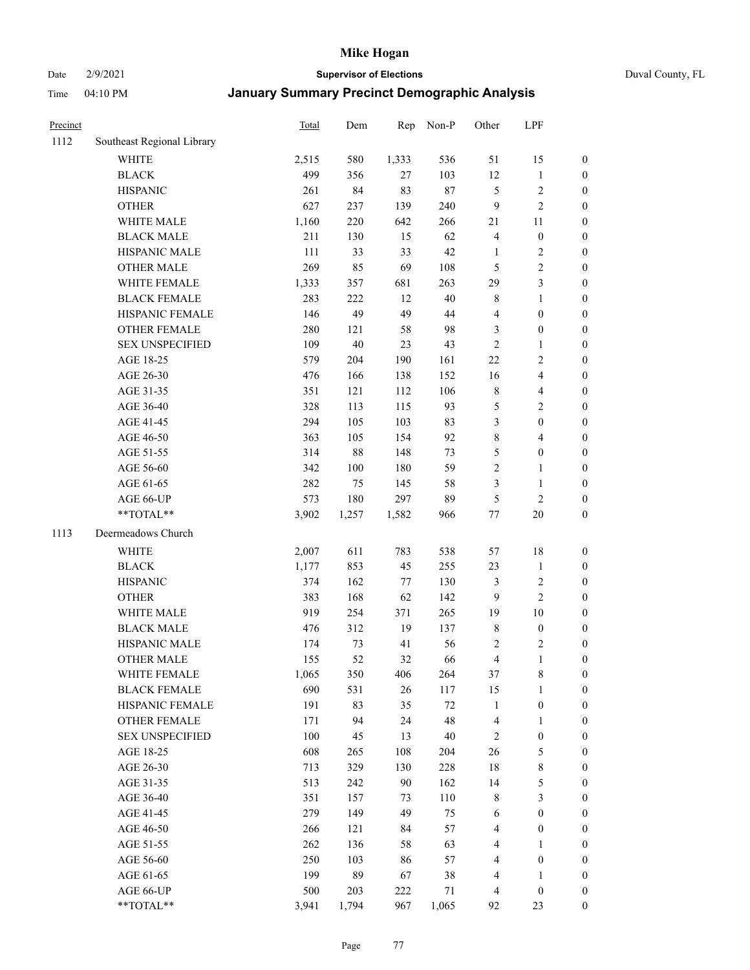Date 2/9/2021 **Supervisor of Elections** Duval County, FL

| Precinct |                            | Total | Dem    | Rep   | Non-P  | Other                   | LPF              |                  |
|----------|----------------------------|-------|--------|-------|--------|-------------------------|------------------|------------------|
| 1112     | Southeast Regional Library |       |        |       |        |                         |                  |                  |
|          | <b>WHITE</b>               | 2,515 | 580    | 1,333 | 536    | 51                      | 15               | 0                |
|          | <b>BLACK</b>               | 499   | 356    | 27    | 103    | 12                      | $\mathbf{1}$     | 0                |
|          | <b>HISPANIC</b>            | 261   | 84     | 83    | $87\,$ | 5                       | $\sqrt{2}$       | $\boldsymbol{0}$ |
|          | <b>OTHER</b>               | 627   | 237    | 139   | 240    | 9                       | $\overline{c}$   | $\boldsymbol{0}$ |
|          | WHITE MALE                 | 1,160 | 220    | 642   | 266    | 21                      | 11               | $\boldsymbol{0}$ |
|          | <b>BLACK MALE</b>          | 211   | 130    | 15    | 62     | 4                       | $\boldsymbol{0}$ | $\boldsymbol{0}$ |
|          | HISPANIC MALE              | 111   | 33     | 33    | 42     | $\mathbf{1}$            | $\sqrt{2}$       | $\boldsymbol{0}$ |
|          | <b>OTHER MALE</b>          | 269   | 85     | 69    | 108    | 5                       | $\overline{c}$   | $\boldsymbol{0}$ |
|          | WHITE FEMALE               | 1,333 | 357    | 681   | 263    | 29                      | $\mathfrak{Z}$   | $\boldsymbol{0}$ |
|          | <b>BLACK FEMALE</b>        | 283   | 222    | 12    | $40\,$ | 8                       | $\mathbf{1}$     | $\boldsymbol{0}$ |
|          | HISPANIC FEMALE            | 146   | 49     | 49    | 44     | 4                       | $\boldsymbol{0}$ | $\boldsymbol{0}$ |
|          | <b>OTHER FEMALE</b>        | 280   | 121    | 58    | 98     | 3                       | $\boldsymbol{0}$ | $\boldsymbol{0}$ |
|          | <b>SEX UNSPECIFIED</b>     | 109   | $40\,$ | 23    | 43     | $\mathfrak{2}$          | $\mathbf{1}$     | $\boldsymbol{0}$ |
|          | AGE 18-25                  | 579   | 204    | 190   | 161    | $22\,$                  | $\sqrt{2}$       | $\boldsymbol{0}$ |
|          | AGE 26-30                  | 476   | 166    | 138   | 152    | 16                      | $\overline{4}$   | $\boldsymbol{0}$ |
|          | AGE 31-35                  | 351   | 121    | 112   | 106    | $\,$ $\,$               | $\overline{4}$   | $\boldsymbol{0}$ |
|          | AGE 36-40                  | 328   | 113    | 115   | 93     | 5                       | $\sqrt{2}$       | $\boldsymbol{0}$ |
|          | AGE 41-45                  | 294   | 105    | 103   | 83     | 3                       | $\boldsymbol{0}$ | $\boldsymbol{0}$ |
|          | AGE 46-50                  | 363   | 105    | 154   | 92     | $\,$ $\,$               | $\overline{4}$   | $\boldsymbol{0}$ |
|          | AGE 51-55                  | 314   | $88\,$ | 148   | 73     | 5                       | $\boldsymbol{0}$ | $\boldsymbol{0}$ |
|          | AGE 56-60                  | 342   | 100    | 180   | 59     | $\overline{c}$          | $\mathbf{1}$     | 0                |
|          | AGE 61-65                  | 282   | 75     | 145   | 58     | 3                       | $\mathbf{1}$     | $\boldsymbol{0}$ |
|          | AGE 66-UP                  | 573   | 180    | 297   | 89     | 5                       | $\sqrt{2}$       | $\boldsymbol{0}$ |
|          | $**TOTAL**$                | 3,902 | 1,257  | 1,582 | 966    | $77 \,$                 | $20\,$           | $\boldsymbol{0}$ |
| 1113     | Deermeadows Church         |       |        |       |        |                         |                  |                  |
|          | <b>WHITE</b>               | 2,007 | 611    | 783   | 538    | 57                      | 18               | $\boldsymbol{0}$ |
|          | <b>BLACK</b>               | 1,177 | 853    | 45    | 255    | 23                      | $\mathbf{1}$     | $\boldsymbol{0}$ |
|          | <b>HISPANIC</b>            | 374   | 162    | 77    | 130    | 3                       | $\sqrt{2}$       | $\boldsymbol{0}$ |
|          | <b>OTHER</b>               | 383   | 168    | 62    | 142    | 9                       | $\overline{2}$   | $\boldsymbol{0}$ |
|          | WHITE MALE                 | 919   | 254    | 371   | 265    | 19                      | 10               | $\boldsymbol{0}$ |
|          | <b>BLACK MALE</b>          | 476   | 312    | 19    | 137    | 8                       | $\boldsymbol{0}$ | $\boldsymbol{0}$ |
|          | HISPANIC MALE              | 174   | 73     | 41    | 56     | 2                       | $\sqrt{2}$       | $\boldsymbol{0}$ |
|          | <b>OTHER MALE</b>          | 155   | 52     | 32    | 66     | $\overline{\mathbf{4}}$ | $\mathbf{1}$     | $\boldsymbol{0}$ |
|          | WHITE FEMALE               | 1,065 | 350    | 406   | 264    | 37                      | 8                | 0                |
|          | <b>BLACK FEMALE</b>        | 690   | 531    | 26    | 117    | 15                      | $\mathbf{1}$     | $\boldsymbol{0}$ |
|          | HISPANIC FEMALE            | 191   | 83     | 35    | $72\,$ | $\mathbf{1}$            | $\boldsymbol{0}$ | $\overline{0}$   |
|          | <b>OTHER FEMALE</b>        | 171   | 94     | 24    | 48     | 4                       | $\mathbf{1}$     | $\overline{0}$   |
|          | <b>SEX UNSPECIFIED</b>     | 100   | 45     | 13    | $40\,$ | 2                       | $\boldsymbol{0}$ | 0                |
|          | AGE 18-25                  | 608   | 265    | 108   | 204    | 26                      | $\mathfrak s$    | 0                |
|          | AGE 26-30                  | 713   | 329    | 130   | 228    | 18                      | $\,$ $\,$        | 0                |
|          | AGE 31-35                  | 513   | 242    | 90    | 162    | 14                      | 5                | 0                |
|          | AGE 36-40                  | 351   | 157    | 73    | 110    | 8                       | $\mathfrak{Z}$   | 0                |
|          | AGE 41-45                  | 279   | 149    | 49    | 75     | 6                       | $\boldsymbol{0}$ | 0                |
|          | AGE 46-50                  | 266   | 121    | 84    | 57     | 4                       | $\boldsymbol{0}$ | 0                |
|          | AGE 51-55                  | 262   | 136    | 58    | 63     | 4                       | 1                | 0                |
|          | AGE 56-60                  | 250   | 103    | 86    | 57     | 4                       | $\boldsymbol{0}$ | $\overline{0}$   |
|          | AGE 61-65                  | 199   | 89     | 67    | 38     | 4                       | 1                | $\boldsymbol{0}$ |
|          | AGE 66-UP                  | 500   | 203    | 222   | 71     | 4                       | $\boldsymbol{0}$ | 0                |
|          | **TOTAL**                  | 3,941 | 1,794  | 967   | 1,065  | 92                      | 23               | $\boldsymbol{0}$ |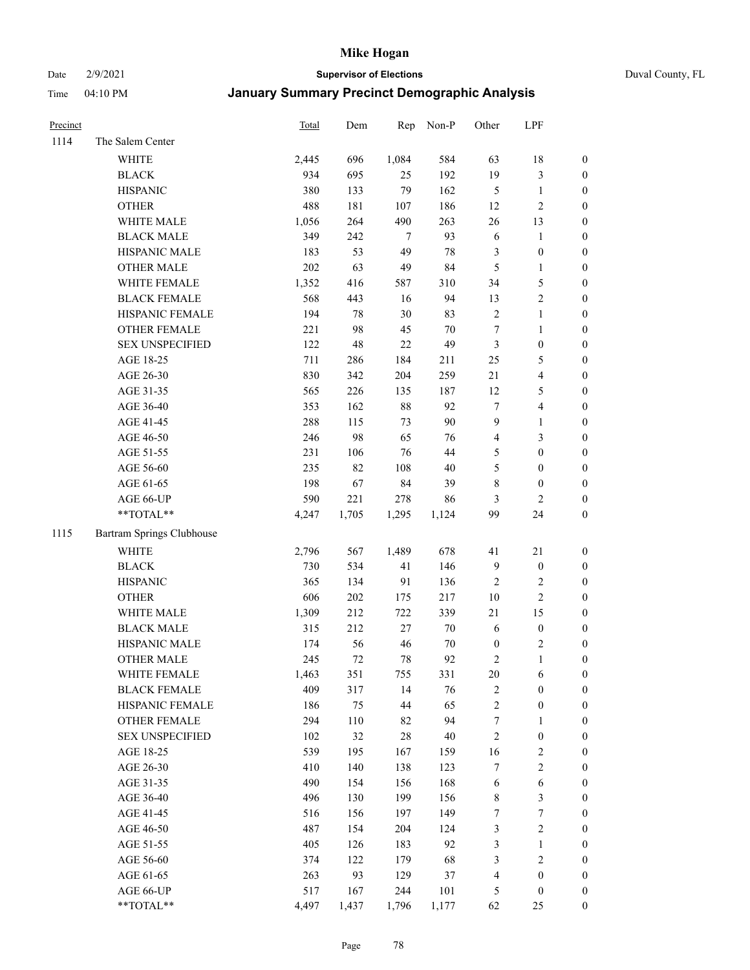#### Date 2/9/2021 **Supervisor of Elections** Duval County, FL

| Precinct |                           | <b>Total</b> | Dem   |        | Rep Non-P | Other            | LPF              |                  |
|----------|---------------------------|--------------|-------|--------|-----------|------------------|------------------|------------------|
| 1114     | The Salem Center          |              |       |        |           |                  |                  |                  |
|          | <b>WHITE</b>              | 2,445        | 696   | 1,084  | 584       | 63               | 18               | 0                |
|          | <b>BLACK</b>              | 934          | 695   | 25     | 192       | 19               | $\mathfrak{Z}$   | 0                |
|          | <b>HISPANIC</b>           | 380          | 133   | 79     | 162       | $\mathfrak{S}$   | $\mathbf{1}$     | $\boldsymbol{0}$ |
|          | <b>OTHER</b>              | 488          | 181   | 107    | 186       | 12               | $\sqrt{2}$       | $\boldsymbol{0}$ |
|          | WHITE MALE                | 1,056        | 264   | 490    | 263       | 26               | 13               | $\boldsymbol{0}$ |
|          | <b>BLACK MALE</b>         | 349          | 242   | 7      | 93        | $\sqrt{6}$       | 1                | $\boldsymbol{0}$ |
|          | HISPANIC MALE             | 183          | 53    | 49     | $78\,$    | 3                | $\boldsymbol{0}$ | $\boldsymbol{0}$ |
|          | <b>OTHER MALE</b>         | 202          | 63    | 49     | 84        | 5                | $\mathbf{1}$     | $\boldsymbol{0}$ |
|          | WHITE FEMALE              | 1,352        | 416   | 587    | 310       | 34               | $\mathfrak s$    | $\boldsymbol{0}$ |
|          | <b>BLACK FEMALE</b>       | 568          | 443   | 16     | 94        | 13               | $\sqrt{2}$       | 0                |
|          | HISPANIC FEMALE           | 194          | 78    | 30     | 83        | $\sqrt{2}$       | $\mathbf{1}$     | 0                |
|          | OTHER FEMALE              | 221          | 98    | 45     | $70\,$    | $\boldsymbol{7}$ | $\mathbf{1}$     | $\boldsymbol{0}$ |
|          | <b>SEX UNSPECIFIED</b>    | 122          | 48    | $22\,$ | 49        | 3                | $\boldsymbol{0}$ | $\boldsymbol{0}$ |
|          | AGE 18-25                 | 711          | 286   | 184    | 211       | $25\,$           | $\mathfrak s$    | $\boldsymbol{0}$ |
|          | AGE 26-30                 | 830          | 342   | 204    | 259       | 21               | $\overline{4}$   | $\boldsymbol{0}$ |
|          | AGE 31-35                 | 565          | 226   | 135    | 187       | 12               | $\mathfrak s$    | $\boldsymbol{0}$ |
|          | AGE 36-40                 | 353          | 162   | $88\,$ | 92        | $\boldsymbol{7}$ | $\overline{4}$   | $\boldsymbol{0}$ |
|          | AGE 41-45                 | 288          | 115   | 73     | 90        | 9                | $\mathbf{1}$     | $\boldsymbol{0}$ |
|          | AGE 46-50                 | 246          | 98    | 65     | 76        | 4                | $\mathfrak{Z}$   | $\boldsymbol{0}$ |
|          | AGE 51-55                 | 231          | 106   | 76     | 44        | 5                | $\boldsymbol{0}$ | $\boldsymbol{0}$ |
|          | AGE 56-60                 | 235          | 82    | 108    | 40        | 5                | $\boldsymbol{0}$ | 0                |
|          | AGE 61-65                 | 198          | 67    | 84     | 39        | 8                | $\boldsymbol{0}$ | 0                |
|          | AGE 66-UP                 | 590          | 221   | 278    | 86        | 3                | $\mathfrak{2}$   | $\boldsymbol{0}$ |
|          | $**TOTAL**$               | 4,247        | 1,705 | 1,295  | 1,124     | 99               | 24               | $\boldsymbol{0}$ |
| 1115     | Bartram Springs Clubhouse |              |       |        |           |                  |                  |                  |
|          | <b>WHITE</b>              | 2,796        | 567   | 1,489  | 678       | 41               | 21               | $\boldsymbol{0}$ |
|          | <b>BLACK</b>              | 730          | 534   | 41     | 146       | 9                | $\boldsymbol{0}$ | $\boldsymbol{0}$ |
|          | <b>HISPANIC</b>           | 365          | 134   | 91     | 136       | $\sqrt{2}$       | $\mathfrak{2}$   | $\boldsymbol{0}$ |
|          | <b>OTHER</b>              | 606          | 202   | 175    | 217       | $10\,$           | $\sqrt{2}$       | $\boldsymbol{0}$ |
|          | WHITE MALE                | 1,309        | 212   | 722    | 339       | 21               | 15               | $\boldsymbol{0}$ |
|          | <b>BLACK MALE</b>         | 315          | 212   | $27\,$ | $70\,$    | $\sqrt{6}$       | $\boldsymbol{0}$ | $\boldsymbol{0}$ |
|          | HISPANIC MALE             | 174          | 56    | 46     | $70\,$    | $\boldsymbol{0}$ | $\overline{c}$   | 0                |
|          | <b>OTHER MALE</b>         | 245          | 72    | 78     | 92        | 2                | $\mathbf{1}$     | $\boldsymbol{0}$ |
|          | WHITE FEMALE              | 1,463        | 351   | 755    | 331       | 20               | 6                | 0                |
|          | <b>BLACK FEMALE</b>       | 409          | 317   | 14     | 76        | 2                | $\boldsymbol{0}$ | $\boldsymbol{0}$ |
|          | HISPANIC FEMALE           | 186          | 75    | 44     | 65        | $\overline{c}$   | $\boldsymbol{0}$ | $\overline{0}$   |
|          | <b>OTHER FEMALE</b>       | 294          | 110   | 82     | 94        | 7                | $\mathbf{1}$     | $\overline{0}$   |
|          | <b>SEX UNSPECIFIED</b>    | 102          | 32    | 28     | $40\,$    | $\overline{c}$   | $\boldsymbol{0}$ | 0                |
|          | AGE 18-25                 | 539          | 195   | 167    | 159       | 16               | $\sqrt{2}$       | 0                |
|          | AGE 26-30                 | 410          | 140   | 138    | 123       | 7                | $\mathfrak{2}$   | 0                |
|          | AGE 31-35                 | 490          | 154   | 156    | 168       | 6                | 6                | 0                |
|          | AGE 36-40                 | 496          | 130   | 199    | 156       | 8                | $\mathfrak{Z}$   | 0                |
|          | AGE 41-45                 | 516          | 156   | 197    | 149       | 7                | $\boldsymbol{7}$ | 0                |
|          | AGE 46-50                 | 487          | 154   | 204    | 124       | 3                | $\sqrt{2}$       | 0                |
|          | AGE 51-55                 | 405          | 126   | 183    | 92        | 3                | $\mathbf{1}$     | $\boldsymbol{0}$ |
|          | AGE 56-60                 | 374          | 122   | 179    | 68        | 3                | $\sqrt{2}$       | $\overline{0}$   |
|          | AGE 61-65                 | 263          | 93    | 129    | 37        | 4                | $\boldsymbol{0}$ | $\boldsymbol{0}$ |
|          | AGE 66-UP                 | 517          | 167   | 244    | 101       | 5                | $\boldsymbol{0}$ | $\boldsymbol{0}$ |
|          | **TOTAL**                 | 4,497        | 1,437 | 1,796  | 1,177     | 62               | 25               | $\boldsymbol{0}$ |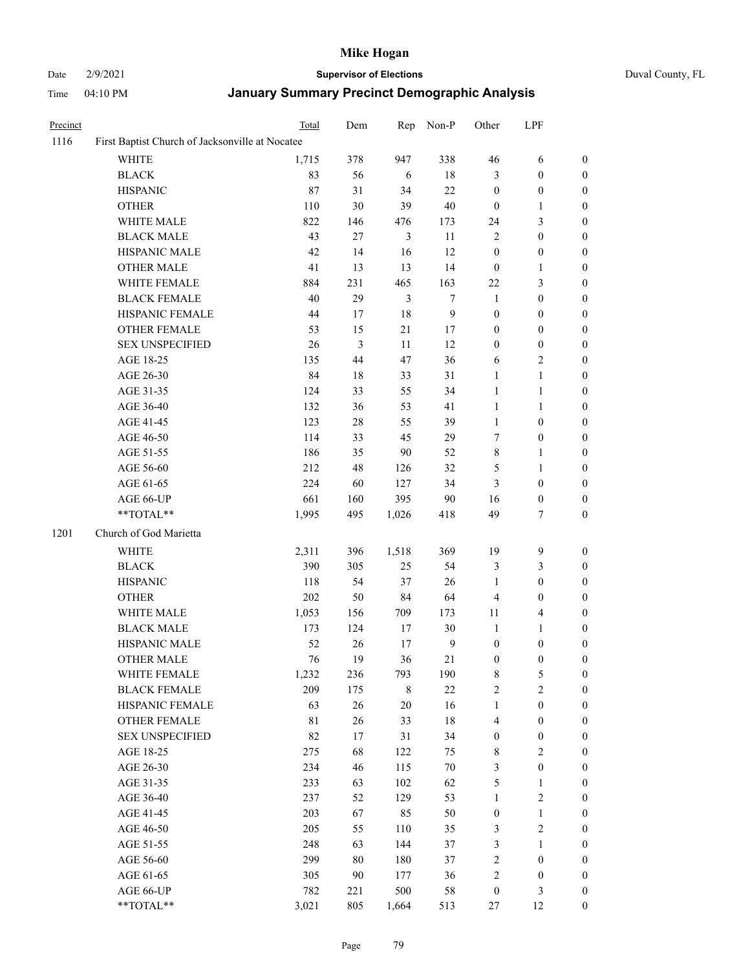## Date 2/9/2021 **Supervisor of Elections** Duval County, FL

| 1116<br>First Baptist Church of Jacksonville at Nocatee<br><b>WHITE</b><br>1,715<br>378<br><b>BLACK</b><br>83<br>56<br><b>HISPANIC</b><br>87<br>31<br>30<br><b>OTHER</b><br>110 | 338<br>947<br>18<br>6<br>22<br>34<br>40<br>39<br>476<br>173<br>$\mathfrak{Z}$<br>11 | 46<br>3<br>$\boldsymbol{0}$<br>$\boldsymbol{0}$ | 6<br>$\boldsymbol{0}$ | 0                |
|---------------------------------------------------------------------------------------------------------------------------------------------------------------------------------|-------------------------------------------------------------------------------------|-------------------------------------------------|-----------------------|------------------|
|                                                                                                                                                                                 |                                                                                     |                                                 |                       |                  |
|                                                                                                                                                                                 |                                                                                     |                                                 |                       |                  |
|                                                                                                                                                                                 |                                                                                     |                                                 |                       | $\boldsymbol{0}$ |
|                                                                                                                                                                                 |                                                                                     |                                                 | $\boldsymbol{0}$      | $\boldsymbol{0}$ |
|                                                                                                                                                                                 |                                                                                     |                                                 | 1                     | $\boldsymbol{0}$ |
| 822<br>WHITE MALE<br>146                                                                                                                                                        |                                                                                     | 24                                              | $\mathfrak{Z}$        | $\boldsymbol{0}$ |
| <b>BLACK MALE</b><br>43<br>27                                                                                                                                                   |                                                                                     | 2                                               | $\boldsymbol{0}$      | $\boldsymbol{0}$ |
| HISPANIC MALE<br>42<br>14                                                                                                                                                       | 12<br>16                                                                            | $\boldsymbol{0}$                                | $\boldsymbol{0}$      | $\boldsymbol{0}$ |
| 41<br>13<br><b>OTHER MALE</b>                                                                                                                                                   | 13<br>14                                                                            | $\boldsymbol{0}$                                | 1                     | $\boldsymbol{0}$ |
| 884<br>231<br>WHITE FEMALE                                                                                                                                                      | 163<br>465                                                                          | 22                                              | $\mathfrak{Z}$        | $\boldsymbol{0}$ |
| <b>BLACK FEMALE</b><br>40<br>29                                                                                                                                                 | 3<br>$\tau$                                                                         | $\mathbf{1}$                                    | $\boldsymbol{0}$      | 0                |
| HISPANIC FEMALE<br>44<br>17                                                                                                                                                     | 18<br>$\mathbf{9}$                                                                  | $\boldsymbol{0}$                                | $\boldsymbol{0}$      | $\boldsymbol{0}$ |
| OTHER FEMALE<br>53<br>15                                                                                                                                                        | 21<br>17                                                                            | $\boldsymbol{0}$                                | $\boldsymbol{0}$      | $\boldsymbol{0}$ |
| $\mathfrak{Z}$<br><b>SEX UNSPECIFIED</b><br>26                                                                                                                                  | $11\,$<br>12                                                                        | $\boldsymbol{0}$                                | $\boldsymbol{0}$      | $\boldsymbol{0}$ |
| 44<br>AGE 18-25<br>135                                                                                                                                                          | 47<br>36                                                                            | 6                                               | $\sqrt{2}$            | $\boldsymbol{0}$ |
| AGE 26-30<br>84<br>18                                                                                                                                                           | 33<br>31                                                                            | $\mathbf{1}$                                    | $\mathbf{1}$          | $\boldsymbol{0}$ |
| 124<br>33<br>AGE 31-35                                                                                                                                                          | 34<br>55                                                                            | $\mathbf{1}$                                    | $\mathbf{1}$          | $\boldsymbol{0}$ |
| AGE 36-40<br>132<br>36                                                                                                                                                          | 53<br>41                                                                            | $\mathbf{1}$                                    | $\mathbf{1}$          | $\boldsymbol{0}$ |
| 123<br>$28\,$                                                                                                                                                                   | 55<br>39                                                                            |                                                 |                       |                  |
| AGE 41-45                                                                                                                                                                       |                                                                                     | $\mathbf{1}$                                    | $\boldsymbol{0}$      | $\boldsymbol{0}$ |
| 114<br>33<br>AGE 46-50                                                                                                                                                          | 45<br>29                                                                            | 7                                               | $\boldsymbol{0}$      | 0                |
| 186<br>AGE 51-55<br>35                                                                                                                                                          | 90<br>52                                                                            | 8                                               | $\mathbf{1}$          | 0                |
| AGE 56-60<br>212<br>48                                                                                                                                                          | 32<br>126                                                                           | 5                                               | $\mathbf{1}$          | 0                |
| 224<br>AGE 61-65<br>60                                                                                                                                                          | 127<br>34                                                                           | 3                                               | $\boldsymbol{0}$      | $\boldsymbol{0}$ |
| 661<br>AGE 66-UP<br>160                                                                                                                                                         | 395<br>90                                                                           | 16                                              | $\boldsymbol{0}$      | $\boldsymbol{0}$ |
| $**TOTAL**$<br>1,995<br>495<br>1,026                                                                                                                                            | 418                                                                                 | 49                                              | $\tau$                | $\boldsymbol{0}$ |
| 1201<br>Church of God Marietta                                                                                                                                                  |                                                                                     |                                                 |                       |                  |
| 2,311<br>WHITE<br>396<br>1,518                                                                                                                                                  | 369                                                                                 | 19                                              | $\boldsymbol{9}$      | $\boldsymbol{0}$ |
| 390<br><b>BLACK</b><br>305                                                                                                                                                      | 54<br>25                                                                            | 3                                               | $\mathfrak{Z}$        | $\boldsymbol{0}$ |
| 54<br><b>HISPANIC</b><br>118                                                                                                                                                    | 26<br>37                                                                            | $\mathbf{1}$                                    | $\boldsymbol{0}$      | $\boldsymbol{0}$ |
| 202<br>50<br><b>OTHER</b>                                                                                                                                                       | 84<br>64                                                                            | 4                                               | $\boldsymbol{0}$      | $\boldsymbol{0}$ |
| 1,053<br>156<br>WHITE MALE                                                                                                                                                      | 709<br>173                                                                          | $11\,$                                          | $\overline{4}$        | $\boldsymbol{0}$ |
| 173<br><b>BLACK MALE</b><br>124                                                                                                                                                 | 30<br>17                                                                            | $\mathbf{1}$                                    | $\mathbf{1}$          | $\boldsymbol{0}$ |
| HISPANIC MALE<br>52<br>26                                                                                                                                                       | $\boldsymbol{9}$<br>17                                                              | $\boldsymbol{0}$                                | $\boldsymbol{0}$      | 0                |
| 76<br><b>OTHER MALE</b><br>19                                                                                                                                                   | 36<br>21                                                                            | 0                                               | $\boldsymbol{0}$      | $\boldsymbol{0}$ |
| WHITE FEMALE<br>1,232<br>236                                                                                                                                                    | 793<br>190                                                                          | 8                                               | 5                     | $\overline{0}$   |
| <b>BLACK FEMALE</b><br>209<br>175                                                                                                                                               | 8<br>$22\,$                                                                         | $\overline{c}$                                  | $\sqrt{2}$            | $\overline{0}$   |
| 63<br>26<br>HISPANIC FEMALE                                                                                                                                                     | 20<br>16                                                                            | $\mathbf{1}$                                    | $\boldsymbol{0}$      | $\overline{0}$   |
| OTHER FEMALE<br>81<br>26                                                                                                                                                        | 33<br>18                                                                            | 4                                               | $\boldsymbol{0}$      | 0                |
| 82<br><b>SEX UNSPECIFIED</b><br>17                                                                                                                                              | 31<br>34                                                                            | 0                                               | $\boldsymbol{0}$      | 0                |
| 68<br>AGE 18-25<br>275                                                                                                                                                          | 122<br>75                                                                           | 8                                               | $\sqrt{2}$            | 0                |
| AGE 26-30<br>234<br>46                                                                                                                                                          | $70\,$<br>115                                                                       | 3                                               | $\boldsymbol{0}$      | 0                |
| 233<br>AGE 31-35<br>63                                                                                                                                                          | 102<br>62                                                                           | 5                                               | $\mathbf{1}$          | 0                |
| 237<br>AGE 36-40<br>52                                                                                                                                                          | 129<br>53                                                                           | $\mathbf{1}$                                    | $\sqrt{2}$            | 0                |
| 203<br>67<br>AGE 41-45                                                                                                                                                          | 85<br>50                                                                            | $\boldsymbol{0}$                                | $\mathbf{1}$          | 0                |
| 205<br>AGE 46-50<br>55                                                                                                                                                          | 110<br>35                                                                           | 3                                               | $\sqrt{2}$            | 0                |
| 248<br>AGE 51-55<br>63                                                                                                                                                          | 144<br>37                                                                           | 3                                               | 1                     | 0                |
| 299<br>AGE 56-60<br>80                                                                                                                                                          | 180<br>37                                                                           | 2                                               | $\boldsymbol{0}$      | $\boldsymbol{0}$ |
| 90<br>AGE 61-65<br>305                                                                                                                                                          | 177<br>36                                                                           | $\overline{\mathbf{c}}$                         | $\boldsymbol{0}$      | 0                |
| 782<br>AGE 66-UP<br>221                                                                                                                                                         | 500<br>58                                                                           | $\boldsymbol{0}$                                | $\mathfrak{Z}$        | 0                |
| **TOTAL**<br>3,021<br>805<br>1,664                                                                                                                                              | 513                                                                                 | 27                                              | 12                    | $\boldsymbol{0}$ |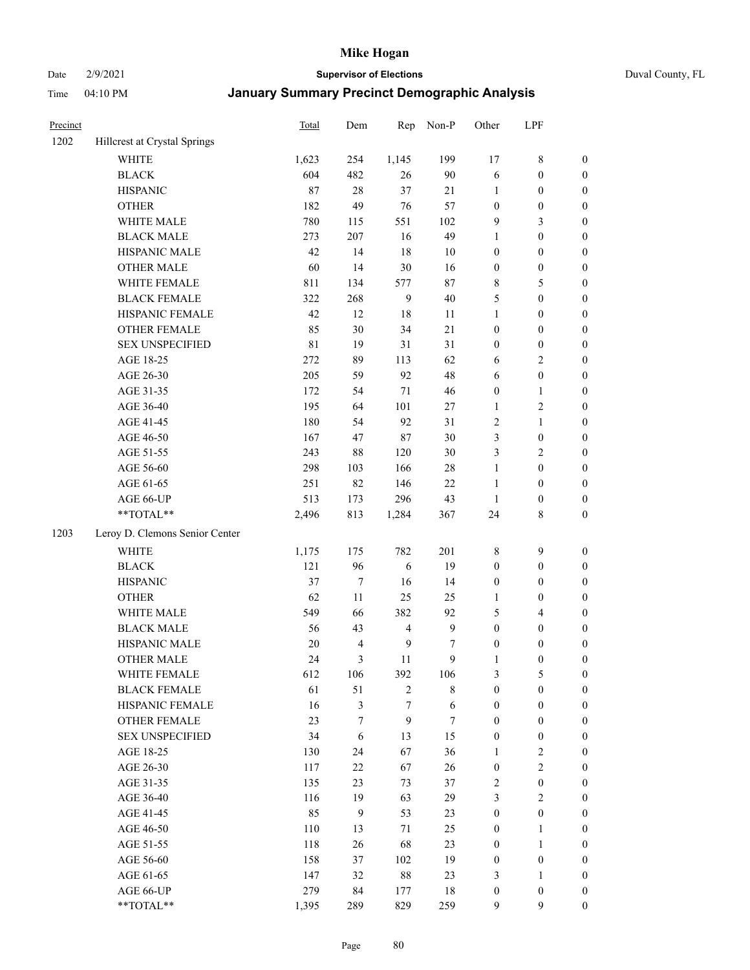#### Date 2/9/2021 **Supervisor of Elections** Duval County, FL

| Precinct |                                 | Total      | Dem                      | Rep              | Non-P        | Other                 | LPF                                  |                  |
|----------|---------------------------------|------------|--------------------------|------------------|--------------|-----------------------|--------------------------------------|------------------|
| 1202     | Hillcrest at Crystal Springs    |            |                          |                  |              |                       |                                      |                  |
|          | <b>WHITE</b>                    | 1,623      | 254                      | 1,145            | 199          | 17                    | $8\,$                                | 0                |
|          | <b>BLACK</b>                    | 604        | 482                      | 26               | 90           | 6                     | $\boldsymbol{0}$                     | $\boldsymbol{0}$ |
|          | <b>HISPANIC</b>                 | 87         | $28\,$                   | 37               | 21           | 1                     | $\boldsymbol{0}$                     | $\boldsymbol{0}$ |
|          | <b>OTHER</b>                    | 182        | 49                       | 76               | 57           | $\boldsymbol{0}$      | $\boldsymbol{0}$                     | $\boldsymbol{0}$ |
|          | WHITE MALE                      | 780        | 115                      | 551              | 102          | 9                     | $\mathfrak{Z}$                       | $\boldsymbol{0}$ |
|          | <b>BLACK MALE</b>               | 273        | 207                      | 16               | 49           | $\mathbf{1}$          | $\boldsymbol{0}$                     | $\boldsymbol{0}$ |
|          | HISPANIC MALE                   | 42         | 14                       | 18               | 10           | $\boldsymbol{0}$      | $\boldsymbol{0}$                     | $\boldsymbol{0}$ |
|          | <b>OTHER MALE</b>               | 60         | 14                       | 30               | 16           | $\boldsymbol{0}$      | $\boldsymbol{0}$                     | $\boldsymbol{0}$ |
|          | WHITE FEMALE                    | 811        | 134                      | 577              | $87\,$       | 8                     | 5                                    | $\boldsymbol{0}$ |
|          | <b>BLACK FEMALE</b>             | 322        | 268                      | $\mathbf{9}$     | $40\,$       | 5                     | $\boldsymbol{0}$                     | $\boldsymbol{0}$ |
|          | HISPANIC FEMALE                 | 42         | 12                       | 18               | 11           | $\mathbf{1}$          | $\boldsymbol{0}$                     | 0                |
|          | OTHER FEMALE                    | 85         | 30                       | 34               | 21           | $\boldsymbol{0}$      | $\boldsymbol{0}$                     | 0                |
|          | <b>SEX UNSPECIFIED</b>          | 81         | 19                       | 31               | 31           | $\boldsymbol{0}$      | $\boldsymbol{0}$                     | $\boldsymbol{0}$ |
|          | AGE 18-25                       | 272        | 89                       | 113              | 62           | 6                     | $\sqrt{2}$                           | $\boldsymbol{0}$ |
|          | AGE 26-30                       | 205        | 59                       | 92               | 48           | 6                     | $\boldsymbol{0}$                     | $\boldsymbol{0}$ |
|          | AGE 31-35                       | 172        | 54                       | 71               | 46           | $\boldsymbol{0}$      | $\mathbf{1}$                         | $\boldsymbol{0}$ |
|          | AGE 36-40                       | 195        | 64                       | 101              | 27           | $\mathbf{1}$          | $\sqrt{2}$                           | $\boldsymbol{0}$ |
|          | AGE 41-45                       | 180        | 54                       | 92               | 31           | $\mathfrak{2}$        | $\mathbf{1}$                         | $\boldsymbol{0}$ |
|          | AGE 46-50                       | 167        | 47                       | 87               | $30\,$       | 3                     | $\boldsymbol{0}$                     | $\boldsymbol{0}$ |
|          | AGE 51-55                       | 243        | 88                       | 120              | $30\,$       | 3                     | $\sqrt{2}$                           | $\boldsymbol{0}$ |
|          | AGE 56-60                       | 298        | 103                      | 166              | $28\,$       | $\mathbf{1}$          | $\boldsymbol{0}$                     | 0                |
|          | AGE 61-65                       | 251        | 82                       | 146              | 22           | $\mathbf{1}$          | $\boldsymbol{0}$                     | 0                |
|          | AGE 66-UP                       | 513        | 173                      | 296              | 43           | $\mathbf{1}$          | $\boldsymbol{0}$                     | $\boldsymbol{0}$ |
|          | **TOTAL**                       | 2,496      | 813                      | 1,284            | 367          | 24                    | $8\,$                                | $\boldsymbol{0}$ |
| 1203     | Leroy D. Clemons Senior Center  |            |                          |                  |              |                       |                                      |                  |
|          | <b>WHITE</b>                    |            |                          | 782              | 201          |                       | $\mathbf{9}$                         |                  |
|          |                                 | 1,175      | 175                      |                  |              | 8                     |                                      | $\boldsymbol{0}$ |
|          | <b>BLACK</b><br><b>HISPANIC</b> | 121<br>37  | 96<br>$\boldsymbol{7}$   | $\sqrt{6}$<br>16 | 19           | $\boldsymbol{0}$      | $\boldsymbol{0}$<br>$\boldsymbol{0}$ | $\boldsymbol{0}$ |
|          |                                 |            |                          |                  | 14           | $\boldsymbol{0}$      |                                      | $\boldsymbol{0}$ |
|          | <b>OTHER</b>                    | 62         | 11                       | 25               | 25           | $\mathbf{1}$          | $\boldsymbol{0}$                     | $\boldsymbol{0}$ |
|          | WHITE MALE<br><b>BLACK MALE</b> | 549        | 66                       | 382              | 92           | 5                     | $\overline{4}$                       | $\boldsymbol{0}$ |
|          |                                 | 56         | 43                       | $\overline{4}$   | $\mathbf{9}$ | $\boldsymbol{0}$      | $\boldsymbol{0}$                     | $\boldsymbol{0}$ |
|          | HISPANIC MALE                   | 20         | $\overline{\mathcal{L}}$ | $\overline{9}$   | 7            | $\boldsymbol{0}$      | $\boldsymbol{0}$                     | $\boldsymbol{0}$ |
|          | OTHER MALE                      | 24         | 3                        | 11               | 9            | $\mathbf{1}$          | $\boldsymbol{0}$                     | $\boldsymbol{0}$ |
|          | WHITE FEMALE                    | 612        | 106                      | 392              | 106          | 3                     | 5                                    | 0                |
|          | <b>BLACK FEMALE</b>             | 61         | 51                       | $\overline{c}$   | $\,$ 8 $\,$  | $\boldsymbol{0}$      | $\boldsymbol{0}$                     | $\overline{0}$   |
|          | HISPANIC FEMALE                 | 16         | 3                        | $\tau$<br>9      | $\sqrt{6}$   | $\boldsymbol{0}$      | $\boldsymbol{0}$                     | $\overline{0}$   |
|          | OTHER FEMALE                    | 23         | 7                        |                  | $\tau$       | $\boldsymbol{0}$      | $\boldsymbol{0}$                     | $\overline{0}$   |
|          | <b>SEX UNSPECIFIED</b>          | 34         | 6                        | 13               | 15           | $\boldsymbol{0}$      | $\boldsymbol{0}$                     | 0                |
|          | AGE 18-25<br>AGE 26-30          | 130        | 24                       | 67               | 36           | 1                     | $\sqrt{2}$                           | 0                |
|          |                                 | 117<br>135 | $22\,$                   | 67               | 26<br>37     | $\boldsymbol{0}$<br>2 | $\overline{2}$<br>$\boldsymbol{0}$   | 0                |
|          | AGE 31-35                       |            | 23                       | 73               |              |                       |                                      | 0                |
|          | AGE 36-40                       | 116<br>85  | 19<br>9                  | 63<br>53         | 29<br>23     | 3<br>$\boldsymbol{0}$ | $\sqrt{2}$<br>$\boldsymbol{0}$       | 0<br>0           |
|          | AGE 41-45                       |            |                          |                  |              |                       |                                      |                  |
|          | AGE 46-50                       | 110        | 13                       | 71               | 25           | $\boldsymbol{0}$      | $\mathbf{1}$                         | 0                |
|          | AGE 51-55                       | 118        | 26                       | 68               | 23           | $\boldsymbol{0}$      | $\mathbf{1}$                         | 0                |
|          | AGE 56-60                       | 158        | 37                       | 102              | 19           | $\boldsymbol{0}$      | $\boldsymbol{0}$                     | $\overline{0}$   |
|          | AGE 61-65                       | 147        | 32                       | $88\,$           | 23           | 3                     | $\mathbf{1}$                         | $\overline{0}$   |
|          | AGE 66-UP                       | 279        | 84                       | 177              | 18           | $\boldsymbol{0}$      | $\boldsymbol{0}$                     | 0                |
|          | **TOTAL**                       | 1,395      | 289                      | 829              | 259          | 9                     | 9                                    | $\boldsymbol{0}$ |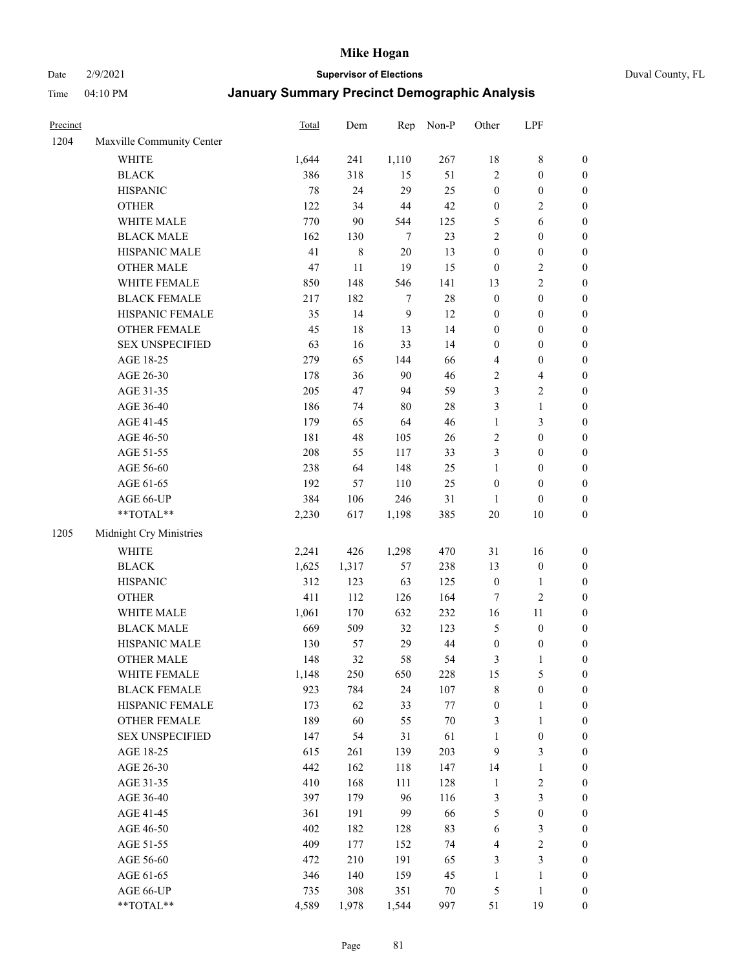Date 2/9/2021 **Supervisor of Elections** Duval County, FL

| Precinct |                           | Total  | Dem    | Rep            | Non-P  | Other            | LPF                     |                  |
|----------|---------------------------|--------|--------|----------------|--------|------------------|-------------------------|------------------|
| 1204     | Maxville Community Center |        |        |                |        |                  |                         |                  |
|          | <b>WHITE</b>              | 1,644  | 241    | 1,110          | 267    | 18               | $8\,$                   | 0                |
|          | <b>BLACK</b>              | 386    | 318    | 15             | 51     | $\sqrt{2}$       | $\boldsymbol{0}$        | $\boldsymbol{0}$ |
|          | <b>HISPANIC</b>           | $78\,$ | 24     | 29             | 25     | $\boldsymbol{0}$ | $\boldsymbol{0}$        | $\boldsymbol{0}$ |
|          | <b>OTHER</b>              | 122    | 34     | 44             | 42     | $\boldsymbol{0}$ | $\sqrt{2}$              | $\boldsymbol{0}$ |
|          | WHITE MALE                | 770    | 90     | 544            | 125    | 5                | 6                       | $\boldsymbol{0}$ |
|          | <b>BLACK MALE</b>         | 162    | 130    | $\tau$         | 23     | $\overline{c}$   | $\boldsymbol{0}$        | $\boldsymbol{0}$ |
|          | HISPANIC MALE             | 41     | $8\,$  | 20             | 13     | $\boldsymbol{0}$ | $\boldsymbol{0}$        | $\boldsymbol{0}$ |
|          | <b>OTHER MALE</b>         | 47     | 11     | 19             | 15     | $\boldsymbol{0}$ | $\sqrt{2}$              | $\boldsymbol{0}$ |
|          | WHITE FEMALE              | 850    | 148    | 546            | 141    | 13               | $\overline{2}$          | $\boldsymbol{0}$ |
|          | <b>BLACK FEMALE</b>       | 217    | 182    | 7              | $28\,$ | $\boldsymbol{0}$ | $\boldsymbol{0}$        | $\boldsymbol{0}$ |
|          | HISPANIC FEMALE           | 35     | 14     | $\overline{9}$ | 12     | $\boldsymbol{0}$ | $\boldsymbol{0}$        | 0                |
|          | OTHER FEMALE              | 45     | $18\,$ | 13             | 14     | $\boldsymbol{0}$ | $\boldsymbol{0}$        | $\boldsymbol{0}$ |
|          | <b>SEX UNSPECIFIED</b>    | 63     | 16     | 33             | 14     | $\boldsymbol{0}$ | $\boldsymbol{0}$        | $\boldsymbol{0}$ |
|          | AGE 18-25                 | 279    | 65     | 144            | 66     | 4                | $\boldsymbol{0}$        | $\boldsymbol{0}$ |
|          | AGE 26-30                 | 178    | 36     | 90             | 46     | 2                | $\overline{\mathbf{4}}$ | $\boldsymbol{0}$ |
|          | AGE 31-35                 | 205    | 47     | 94             | 59     | 3                | $\sqrt{2}$              | $\boldsymbol{0}$ |
|          | AGE 36-40                 | 186    | 74     | 80             | $28\,$ | 3                | $\mathbf{1}$            | $\boldsymbol{0}$ |
|          | AGE 41-45                 | 179    | 65     | 64             | 46     | $\mathbf{1}$     | $\mathfrak{Z}$          | $\boldsymbol{0}$ |
|          | AGE 46-50                 | 181    | 48     | 105            | 26     | $\sqrt{2}$       | $\boldsymbol{0}$        | $\boldsymbol{0}$ |
|          | AGE 51-55                 | 208    | 55     | 117            | 33     | 3                | $\boldsymbol{0}$        | $\boldsymbol{0}$ |
|          | AGE 56-60                 | 238    | 64     | 148            | 25     | $\mathbf{1}$     | $\boldsymbol{0}$        | 0                |
|          | AGE 61-65                 | 192    | 57     | 110            | 25     | $\boldsymbol{0}$ | $\boldsymbol{0}$        | 0                |
|          | AGE 66-UP                 | 384    | 106    | 246            | 31     | $\mathbf{1}$     | $\boldsymbol{0}$        | $\boldsymbol{0}$ |
|          | **TOTAL**                 | 2,230  | 617    | 1,198          | 385    | $20\,$           | $10\,$                  | $\boldsymbol{0}$ |
| 1205     | Midnight Cry Ministries   |        |        |                |        |                  |                         |                  |
|          | <b>WHITE</b>              | 2,241  | 426    | 1,298          | 470    | 31               | 16                      | $\boldsymbol{0}$ |
|          | <b>BLACK</b>              | 1,625  | 1,317  | 57             | 238    | 13               | $\boldsymbol{0}$        | $\boldsymbol{0}$ |
|          | <b>HISPANIC</b>           | 312    | 123    | 63             | 125    | $\boldsymbol{0}$ | $\mathbf{1}$            | $\boldsymbol{0}$ |
|          | <b>OTHER</b>              | 411    | 112    | 126            | 164    | 7                | $\sqrt{2}$              | $\boldsymbol{0}$ |
|          | WHITE MALE                | 1,061  | 170    | 632            | 232    | 16               | $11\,$                  | $\boldsymbol{0}$ |
|          | <b>BLACK MALE</b>         | 669    | 509    | 32             | 123    | 5                | $\boldsymbol{0}$        | $\boldsymbol{0}$ |
|          | HISPANIC MALE             | 130    | 57     | 29             | 44     | $\boldsymbol{0}$ | $\boldsymbol{0}$        | 0                |
|          | <b>OTHER MALE</b>         | 148    | 32     | 58             | 54     | 3                | $\mathbf{1}$            | $\boldsymbol{0}$ |
|          | WHITE FEMALE              | 1,148  | 250    | 650            | 228    | 15               | 5                       | 0                |
|          | <b>BLACK FEMALE</b>       | 923    | 784    | 24             | 107    | 8                | $\boldsymbol{0}$        | $\boldsymbol{0}$ |
|          | HISPANIC FEMALE           | 173    | 62     | 33             | $77\,$ | $\boldsymbol{0}$ | $\mathbf{1}$            | $\overline{0}$   |
|          | OTHER FEMALE              | 189    | 60     | 55             | $70\,$ | 3                | $\mathbf{1}$            | $\overline{0}$   |
|          | <b>SEX UNSPECIFIED</b>    | 147    | 54     | 31             | 61     | $\mathbf{1}$     | $\boldsymbol{0}$        | 0                |
|          | AGE 18-25                 | 615    | 261    | 139            | 203    | 9                | $\mathfrak{Z}$          | 0                |
|          | AGE 26-30                 | 442    | 162    | 118            | 147    | 14               | $\mathbf{1}$            | 0                |
|          | AGE 31-35                 | 410    | 168    | 111            | 128    | $\mathbf{1}$     | $\sqrt{2}$              | 0                |
|          | AGE 36-40                 | 397    | 179    | 96             | 116    | 3                | $\mathfrak{Z}$          | 0                |
|          | AGE 41-45                 | 361    | 191    | 99             | 66     | 5                | $\boldsymbol{0}$        | 0                |
|          | AGE 46-50                 | 402    | 182    | 128            | 83     | 6                | 3                       | 0                |
|          | AGE 51-55                 | 409    | 177    | 152            | 74     | 4                | $\sqrt{2}$              | $\overline{0}$   |
|          | AGE 56-60                 | 472    | 210    | 191            | 65     | 3                | $\mathfrak{Z}$          | $\overline{0}$   |
|          | AGE 61-65                 | 346    | 140    | 159            | 45     | $\mathbf{1}$     | $\mathbf{1}$            | $\boldsymbol{0}$ |
|          | AGE 66-UP                 | 735    | 308    | 351            | 70     | 5                | $\mathbf{1}$            | 0                |
|          | **TOTAL**                 | 4,589  | 1,978  | 1,544          | 997    | 51               | 19                      | $\boldsymbol{0}$ |
|          |                           |        |        |                |        |                  |                         |                  |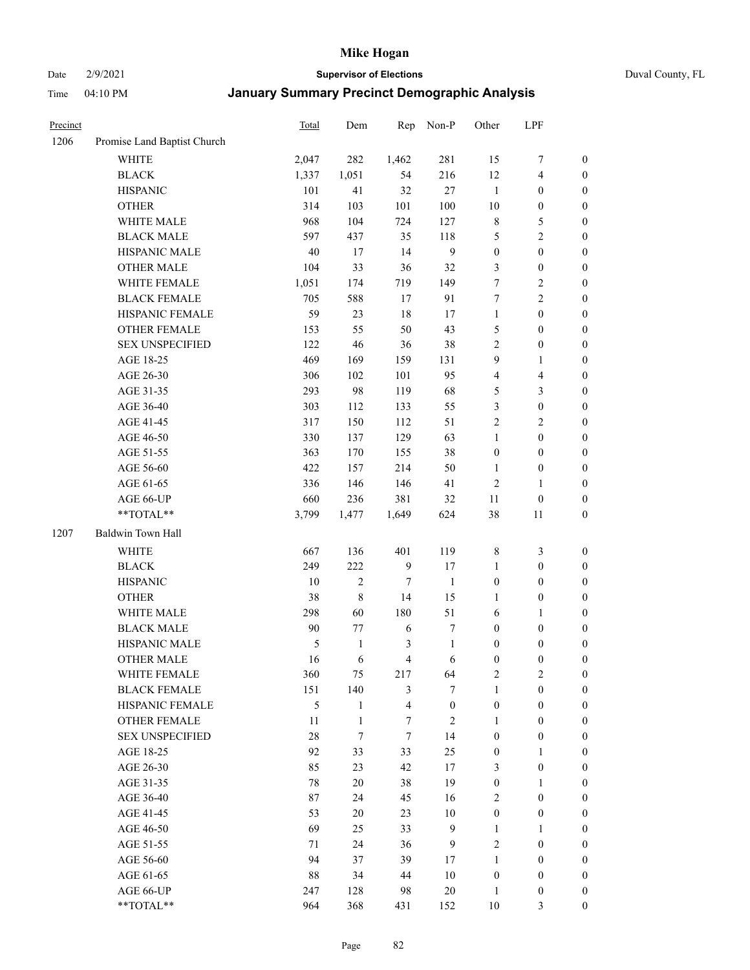Date 2/9/2021 **Supervisor of Elections** Duval County, FL

| Precinct |                             | <b>Total</b> | Dem            | Rep                     | Non-P            | Other            | LPF                     |                  |
|----------|-----------------------------|--------------|----------------|-------------------------|------------------|------------------|-------------------------|------------------|
| 1206     | Promise Land Baptist Church |              |                |                         |                  |                  |                         |                  |
|          | <b>WHITE</b>                | 2,047        | 282            | 1,462                   | 281              | 15               | $\boldsymbol{7}$        | 0                |
|          | <b>BLACK</b>                | 1,337        | 1,051          | 54                      | 216              | 12               | $\overline{\mathbf{4}}$ | $\boldsymbol{0}$ |
|          | <b>HISPANIC</b>             | 101          | 41             | 32                      | 27               | $\mathbf{1}$     | $\boldsymbol{0}$        | $\boldsymbol{0}$ |
|          | <b>OTHER</b>                | 314          | 103            | 101                     | 100              | 10               | $\boldsymbol{0}$        | $\boldsymbol{0}$ |
|          | WHITE MALE                  | 968          | 104            | 724                     | 127              | 8                | 5                       | $\boldsymbol{0}$ |
|          | <b>BLACK MALE</b>           | 597          | 437            | 35                      | $118\,$          | 5                | $\sqrt{2}$              | $\boldsymbol{0}$ |
|          | HISPANIC MALE               | 40           | 17             | 14                      | $\overline{9}$   | $\boldsymbol{0}$ | $\boldsymbol{0}$        | $\boldsymbol{0}$ |
|          | <b>OTHER MALE</b>           | 104          | 33             | 36                      | 32               | 3                | $\boldsymbol{0}$        | $\boldsymbol{0}$ |
|          | WHITE FEMALE                | 1,051        | 174            | 719                     | 149              | 7                | $\sqrt{2}$              | $\boldsymbol{0}$ |
|          | <b>BLACK FEMALE</b>         | 705          | 588            | 17                      | 91               | 7                | $\sqrt{2}$              | $\boldsymbol{0}$ |
|          | HISPANIC FEMALE             | 59           | 23             | 18                      | 17               | $\mathbf{1}$     | $\boldsymbol{0}$        | $\boldsymbol{0}$ |
|          | <b>OTHER FEMALE</b>         | 153          | 55             | 50                      | 43               | 5                | $\boldsymbol{0}$        | $\boldsymbol{0}$ |
|          | <b>SEX UNSPECIFIED</b>      | 122          | 46             | 36                      | 38               | $\overline{2}$   | $\boldsymbol{0}$        | $\boldsymbol{0}$ |
|          | AGE 18-25                   | 469          | 169            | 159                     | 131              | 9                | $\mathbf{1}$            | $\boldsymbol{0}$ |
|          | AGE 26-30                   | 306          | 102            | 101                     | 95               | 4                | $\overline{\mathbf{4}}$ | $\boldsymbol{0}$ |
|          | AGE 31-35                   | 293          | 98             | 119                     | 68               | 5                | $\mathfrak{Z}$          | $\boldsymbol{0}$ |
|          | AGE 36-40                   | 303          | 112            | 133                     | 55               | 3                | $\boldsymbol{0}$        | $\boldsymbol{0}$ |
|          | AGE 41-45                   | 317          | 150            | 112                     | 51               | $\overline{c}$   | $\overline{2}$          | $\boldsymbol{0}$ |
|          | AGE 46-50                   | 330          | 137            | 129                     | 63               | $\mathbf{1}$     | $\boldsymbol{0}$        | $\boldsymbol{0}$ |
|          | AGE 51-55                   | 363          | 170            | 155                     | 38               | $\boldsymbol{0}$ | $\boldsymbol{0}$        | $\boldsymbol{0}$ |
|          | AGE 56-60                   | 422          | 157            | 214                     | 50               | 1                | $\boldsymbol{0}$        | 0                |
|          | AGE 61-65                   | 336          | 146            | 146                     | 41               | $\mathfrak{2}$   | $\mathbf{1}$            | 0                |
|          | AGE 66-UP                   | 660          | 236            | 381                     | 32               | 11               | $\boldsymbol{0}$        | $\boldsymbol{0}$ |
|          | **TOTAL**                   | 3,799        | 1,477          | 1,649                   | 624              | 38               | 11                      | $\boldsymbol{0}$ |
| 1207     | Baldwin Town Hall           |              |                |                         |                  |                  |                         |                  |
|          | <b>WHITE</b>                | 667          | 136            | 401                     | 119              | $\,$ 8 $\,$      | $\mathfrak{Z}$          | $\boldsymbol{0}$ |
|          | <b>BLACK</b>                | 249          | 222            | $\overline{9}$          | 17               | $\mathbf{1}$     | $\boldsymbol{0}$        | $\boldsymbol{0}$ |
|          | <b>HISPANIC</b>             | 10           | $\overline{c}$ | 7                       | $\mathbf{1}$     | $\boldsymbol{0}$ | $\boldsymbol{0}$        | $\boldsymbol{0}$ |
|          | <b>OTHER</b>                | 38           | $\,$ $\,$      | 14                      | 15               | $\mathbf{1}$     | $\boldsymbol{0}$        | $\boldsymbol{0}$ |
|          | WHITE MALE                  | 298          | 60             | 180                     | 51               | 6                | $\mathbf{1}$            | $\boldsymbol{0}$ |
|          | <b>BLACK MALE</b>           | 90           | 77             | 6                       | $\boldsymbol{7}$ | $\boldsymbol{0}$ | $\boldsymbol{0}$        | $\boldsymbol{0}$ |
|          | HISPANIC MALE               | 5            | $\mathbf{1}$   | 3                       | $\mathbf{1}$     | $\boldsymbol{0}$ | $\boldsymbol{0}$        | $\boldsymbol{0}$ |
|          | OTHER MALE                  | 16           | 6              | $\overline{4}$          | 6                | $\boldsymbol{0}$ | $\boldsymbol{0}$        | $\boldsymbol{0}$ |
|          | WHITE FEMALE                | 360          | 75             | 217                     | 64               | 2                | 2                       | 0                |
|          | <b>BLACK FEMALE</b>         | 151          | 140            | 3                       | $\tau$           | $\mathbf{1}$     | $\boldsymbol{0}$        | $\overline{0}$   |
|          | HISPANIC FEMALE             | 5            | $\mathbf{1}$   | $\overline{\mathbf{4}}$ | $\boldsymbol{0}$ | $\boldsymbol{0}$ | $\boldsymbol{0}$        | $\overline{0}$   |
|          | OTHER FEMALE                | 11           | $\mathbf{1}$   | 7                       | $\sqrt{2}$       | $\mathbf{1}$     | $\boldsymbol{0}$        | $\overline{0}$   |
|          | <b>SEX UNSPECIFIED</b>      | 28           | $\tau$         | $\tau$                  | 14               | $\boldsymbol{0}$ | $\boldsymbol{0}$        | 0                |
|          | AGE 18-25                   | 92           | 33             | 33                      | 25               | $\boldsymbol{0}$ | $\mathbf{1}$            | $\theta$         |
|          | AGE 26-30                   | 85           | 23             | 42                      | 17               | 3                | $\boldsymbol{0}$        | 0                |
|          | AGE 31-35                   | 78           | $20\,$         | 38                      | 19               | $\boldsymbol{0}$ | $\mathbf{1}$            | 0                |
|          | AGE 36-40                   | 87           | 24             | 45                      | 16               | 2                | $\boldsymbol{0}$        | 0                |
|          | AGE 41-45                   | 53           | 20             | 23                      | $10\,$           | $\boldsymbol{0}$ | $\boldsymbol{0}$        | 0                |
|          | AGE 46-50                   | 69           | 25             | 33                      | 9                | $\mathbf{1}$     | $\mathbf{1}$            | 0                |
|          | AGE 51-55                   | 71           | 24             | 36                      | 9                | 2                | $\boldsymbol{0}$        | $\overline{0}$   |
|          | AGE 56-60                   | 94           | 37             | 39                      | 17               | $\mathbf{1}$     | $\boldsymbol{0}$        | $\overline{0}$   |
|          | AGE 61-65                   | 88           | 34             | 44                      | $10\,$           | $\boldsymbol{0}$ | $\boldsymbol{0}$        | $\overline{0}$   |
|          | AGE 66-UP                   | 247          | 128            | 98                      | $20\,$           | $\mathbf{1}$     | $\boldsymbol{0}$        | 0                |
|          | **TOTAL**                   | 964          | 368            | 431                     | 152              | $10\,$           | 3                       | $\boldsymbol{0}$ |
|          |                             |              |                |                         |                  |                  |                         |                  |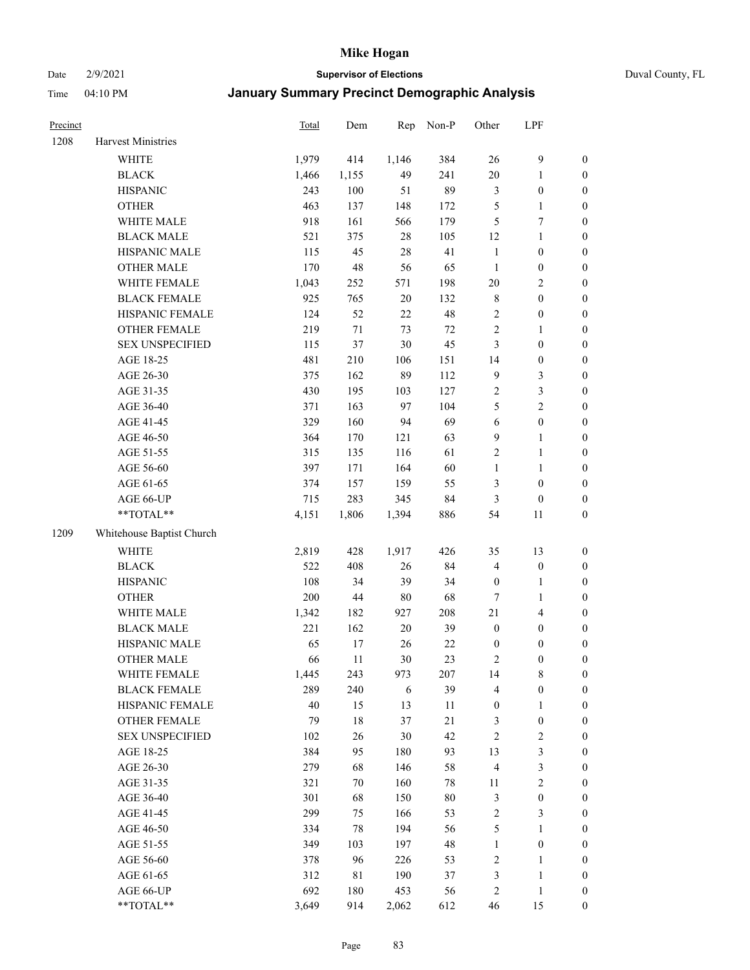#### Date 2/9/2021 **Supervisor of Elections** Duval County, FL

| Precinct |                           | <b>Total</b> | Dem    | Rep    | Non-P  | Other            | LPF              |                  |
|----------|---------------------------|--------------|--------|--------|--------|------------------|------------------|------------------|
| 1208     | Harvest Ministries        |              |        |        |        |                  |                  |                  |
|          | <b>WHITE</b>              | 1,979        | 414    | 1,146  | 384    | 26               | $\boldsymbol{9}$ | 0                |
|          | <b>BLACK</b>              | 1,466        | 1,155  | 49     | 241    | $20\,$           | $\mathbf{1}$     | 0                |
|          | <b>HISPANIC</b>           | 243          | 100    | 51     | 89     | 3                | $\boldsymbol{0}$ | $\boldsymbol{0}$ |
|          | <b>OTHER</b>              | 463          | 137    | 148    | 172    | 5                | 1                | $\boldsymbol{0}$ |
|          | WHITE MALE                | 918          | 161    | 566    | 179    | 5                | $\boldsymbol{7}$ | $\boldsymbol{0}$ |
|          | <b>BLACK MALE</b>         | 521          | 375    | 28     | 105    | 12               | $\mathbf{1}$     | $\boldsymbol{0}$ |
|          | HISPANIC MALE             | 115          | 45     | $28\,$ | 41     | $\mathbf{1}$     | $\boldsymbol{0}$ | $\boldsymbol{0}$ |
|          | <b>OTHER MALE</b>         | 170          | 48     | 56     | 65     | $\mathbf{1}$     | $\boldsymbol{0}$ | $\boldsymbol{0}$ |
|          | WHITE FEMALE              | 1,043        | 252    | 571    | 198    | $20\,$           | $\sqrt{2}$       | $\boldsymbol{0}$ |
|          | <b>BLACK FEMALE</b>       | 925          | 765    | $20\,$ | 132    | 8                | $\boldsymbol{0}$ | $\boldsymbol{0}$ |
|          | HISPANIC FEMALE           | 124          | 52     | 22     | 48     | $\overline{c}$   | $\boldsymbol{0}$ | $\boldsymbol{0}$ |
|          | <b>OTHER FEMALE</b>       | 219          | $71\,$ | 73     | $72\,$ | $\overline{2}$   | $\mathbf{1}$     | $\boldsymbol{0}$ |
|          | <b>SEX UNSPECIFIED</b>    | 115          | 37     | 30     | 45     | 3                | $\boldsymbol{0}$ | $\boldsymbol{0}$ |
|          | AGE 18-25                 | 481          | 210    | 106    | 151    | 14               | $\boldsymbol{0}$ | $\boldsymbol{0}$ |
|          | AGE 26-30                 | 375          | 162    | 89     | 112    | 9                | $\mathfrak{Z}$   | $\boldsymbol{0}$ |
|          | AGE 31-35                 | 430          | 195    | 103    | 127    | $\overline{c}$   | $\sqrt{3}$       | $\boldsymbol{0}$ |
|          | AGE 36-40                 | 371          | 163    | 97     | 104    | 5                | $\overline{2}$   | $\boldsymbol{0}$ |
|          | AGE 41-45                 | 329          | 160    | 94     | 69     | $\sqrt{6}$       | $\boldsymbol{0}$ | $\boldsymbol{0}$ |
|          | AGE 46-50                 | 364          | 170    | 121    | 63     | 9                | $\mathbf{1}$     | $\boldsymbol{0}$ |
|          | AGE 51-55                 | 315          | 135    | 116    | 61     | 2                | $\mathbf{1}$     | $\boldsymbol{0}$ |
|          | AGE 56-60                 | 397          | 171    | 164    | 60     | $\mathbf{1}$     | 1                | 0                |
|          | AGE 61-65                 | 374          | 157    | 159    | 55     | 3                | $\boldsymbol{0}$ | $\boldsymbol{0}$ |
|          | AGE 66-UP                 | 715          | 283    | 345    | 84     | 3                | $\boldsymbol{0}$ | $\boldsymbol{0}$ |
|          | $**TOTAL**$               | 4,151        | 1,806  | 1,394  | 886    | 54               | 11               | $\boldsymbol{0}$ |
| 1209     | Whitehouse Baptist Church |              |        |        |        |                  |                  |                  |
|          | <b>WHITE</b>              | 2,819        | 428    | 1,917  | 426    | 35               | 13               | $\boldsymbol{0}$ |
|          | <b>BLACK</b>              | 522          | 408    | 26     | 84     | 4                | $\boldsymbol{0}$ | $\boldsymbol{0}$ |
|          | <b>HISPANIC</b>           | 108          | 34     | 39     | 34     | $\boldsymbol{0}$ | $\mathbf{1}$     | $\boldsymbol{0}$ |
|          | <b>OTHER</b>              | 200          | $44\,$ | $80\,$ | 68     | $\boldsymbol{7}$ | $\mathbf{1}$     | $\boldsymbol{0}$ |
|          | WHITE MALE                | 1,342        | 182    | 927    | 208    | 21               | $\overline{4}$   | $\boldsymbol{0}$ |
|          | <b>BLACK MALE</b>         | 221          | 162    | 20     | 39     | $\boldsymbol{0}$ | $\boldsymbol{0}$ | $\boldsymbol{0}$ |
|          | HISPANIC MALE             | 65           | 17     | $26\,$ | $22\,$ | $\boldsymbol{0}$ | $\boldsymbol{0}$ | $\boldsymbol{0}$ |
|          | <b>OTHER MALE</b>         | 66           | 11     | 30     | 23     | 2                | $\boldsymbol{0}$ | $\boldsymbol{0}$ |
|          | WHITE FEMALE              | 1,445        | 243    | 973    | 207    | 14               | 8                | 0                |
|          | <b>BLACK FEMALE</b>       | 289          | 240    | 6      | 39     | 4                | $\boldsymbol{0}$ | $\overline{0}$   |
|          | HISPANIC FEMALE           | 40           | 15     | 13     | 11     | $\boldsymbol{0}$ | 1                | $\overline{0}$   |
|          | <b>OTHER FEMALE</b>       | 79           | $18\,$ | 37     | $21\,$ | 3                | $\boldsymbol{0}$ | 0                |
|          | <b>SEX UNSPECIFIED</b>    | 102          | $26\,$ | 30     | 42     | 2                | $\sqrt{2}$       | 0                |
|          | AGE 18-25                 | 384          | 95     | 180    | 93     | 13               | 3                | 0                |
|          | AGE 26-30                 | 279          | 68     | 146    | 58     | 4                | $\mathfrak z$    | 0                |
|          | AGE 31-35                 | 321          | 70     | 160    | $78\,$ | 11               | $\sqrt{2}$       | 0                |
|          | AGE 36-40                 | 301          | 68     | 150    | $80\,$ | 3                | $\boldsymbol{0}$ | 0                |
|          | AGE 41-45                 | 299          | 75     | 166    | 53     | 2                | 3                | 0                |
|          | AGE 46-50                 | 334          | 78     | 194    | 56     | 5                | $\mathbf{1}$     | 0                |
|          | AGE 51-55                 | 349          | 103    | 197    | 48     | $\mathbf{1}$     | $\boldsymbol{0}$ | 0                |
|          | AGE 56-60                 | 378          | 96     | 226    | 53     | 2                | $\mathbf{1}$     | 0                |
|          | AGE 61-65                 | 312          | 81     | 190    | 37     | 3                | $\mathbf{1}$     | 0                |
|          | AGE 66-UP                 | 692          | 180    | 453    | 56     | 2                | $\mathbf{1}$     | 0                |
|          | **TOTAL**                 | 3,649        | 914    | 2,062  | 612    | 46               | 15               | $\boldsymbol{0}$ |
|          |                           |              |        |        |        |                  |                  |                  |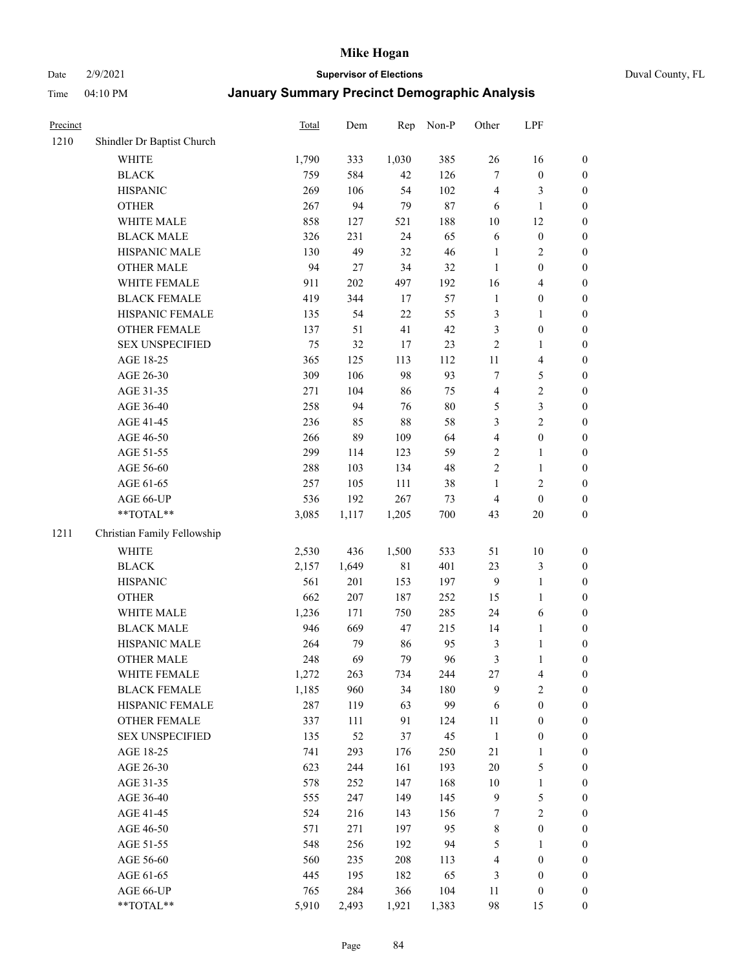Date 2/9/2021 **Supervisor of Elections** Duval County, FL

| Precinct |                             | Total | Dem   | Rep         | Non-P  | Other                   | LPF                     |                  |
|----------|-----------------------------|-------|-------|-------------|--------|-------------------------|-------------------------|------------------|
| 1210     | Shindler Dr Baptist Church  |       |       |             |        |                         |                         |                  |
|          | WHITE                       | 1,790 | 333   | 1,030       | 385    | 26                      | 16                      | 0                |
|          | <b>BLACK</b>                | 759   | 584   | 42          | 126    | 7                       | $\boldsymbol{0}$        | 0                |
|          | <b>HISPANIC</b>             | 269   | 106   | 54          | 102    | 4                       | 3                       | $\boldsymbol{0}$ |
|          | <b>OTHER</b>                | 267   | 94    | 79          | $87\,$ | 6                       | $\mathbf{1}$            | $\boldsymbol{0}$ |
|          | WHITE MALE                  | 858   | 127   | 521         | 188    | 10                      | 12                      | $\boldsymbol{0}$ |
|          | <b>BLACK MALE</b>           | 326   | 231   | 24          | 65     | 6                       | $\boldsymbol{0}$        | $\boldsymbol{0}$ |
|          | HISPANIC MALE               | 130   | 49    | 32          | 46     | $\mathbf{1}$            | $\sqrt{2}$              | $\boldsymbol{0}$ |
|          | <b>OTHER MALE</b>           | 94    | 27    | 34          | 32     | $\mathbf{1}$            | $\boldsymbol{0}$        | $\boldsymbol{0}$ |
|          | WHITE FEMALE                | 911   | 202   | 497         | 192    | 16                      | $\overline{\mathbf{4}}$ | $\boldsymbol{0}$ |
|          | <b>BLACK FEMALE</b>         | 419   | 344   | 17          | 57     | $\mathbf{1}$            | $\boldsymbol{0}$        | $\boldsymbol{0}$ |
|          | HISPANIC FEMALE             | 135   | 54    | 22          | 55     | 3                       | $\mathbf{1}$            | 0                |
|          | OTHER FEMALE                | 137   | 51    | 41          | 42     | 3                       | $\boldsymbol{0}$        | $\boldsymbol{0}$ |
|          | <b>SEX UNSPECIFIED</b>      | 75    | 32    | 17          | 23     | $\sqrt{2}$              | $\mathbf{1}$            | $\boldsymbol{0}$ |
|          | AGE 18-25                   | 365   | 125   | 113         | 112    | 11                      | $\overline{\mathbf{4}}$ | $\boldsymbol{0}$ |
|          | AGE 26-30                   | 309   | 106   | 98          | 93     | 7                       | $\mathfrak{S}$          | $\boldsymbol{0}$ |
|          | AGE 31-35                   | 271   | 104   | 86          | 75     | 4                       | $\sqrt{2}$              | $\boldsymbol{0}$ |
|          | AGE 36-40                   | 258   | 94    | 76          | $80\,$ | 5                       | $\mathfrak{Z}$          | $\boldsymbol{0}$ |
|          | AGE 41-45                   | 236   | 85    | 88          | 58     | 3                       | $\overline{2}$          | $\boldsymbol{0}$ |
|          | AGE 46-50                   | 266   | 89    | 109         | 64     | $\overline{\mathbf{4}}$ | $\boldsymbol{0}$        | $\boldsymbol{0}$ |
|          | AGE 51-55                   | 299   | 114   | 123         | 59     | $\sqrt{2}$              | $\mathbf{1}$            | $\boldsymbol{0}$ |
|          | AGE 56-60                   | 288   | 103   | 134         | 48     | $\sqrt{2}$              | $\mathbf{1}$            | 0                |
|          | AGE 61-65                   | 257   | 105   | 111         | 38     | $\mathbf{1}$            | $\sqrt{2}$              | 0                |
|          | AGE 66-UP                   | 536   | 192   | 267         | 73     | $\overline{4}$          | $\boldsymbol{0}$        | $\boldsymbol{0}$ |
|          | **TOTAL**                   | 3,085 | 1,117 | 1,205       | 700    | 43                      | $20\,$                  | $\boldsymbol{0}$ |
| 1211     | Christian Family Fellowship |       |       |             |        |                         |                         |                  |
|          | WHITE                       | 2,530 | 436   | 1,500       | 533    | 51                      | $10\,$                  | $\boldsymbol{0}$ |
|          | <b>BLACK</b>                | 2,157 | 1,649 | $8\sqrt{1}$ | 401    | 23                      | $\mathfrak{Z}$          | $\boldsymbol{0}$ |
|          | <b>HISPANIC</b>             | 561   | 201   | 153         | 197    | 9                       | $\mathbf{1}$            | $\boldsymbol{0}$ |
|          | <b>OTHER</b>                | 662   | 207   | 187         | 252    | 15                      | $\mathbf{1}$            | $\boldsymbol{0}$ |
|          | WHITE MALE                  | 1,236 | 171   | 750         | 285    | 24                      | $\sqrt{6}$              | $\boldsymbol{0}$ |
|          | <b>BLACK MALE</b>           | 946   | 669   | 47          | 215    | 14                      | $\mathbf{1}$            | $\boldsymbol{0}$ |
|          | HISPANIC MALE               | 264   | 79    | 86          | 95     | 3                       | 1                       | 0                |
|          | <b>OTHER MALE</b>           | 248   | 69    | 79          | 96     | $\mathfrak{Z}$          | $\mathbf{1}$            | $\boldsymbol{0}$ |
|          | WHITE FEMALE                | 1,272 | 263   | 734         | 244    | 27                      | 4                       | 0                |
|          | <b>BLACK FEMALE</b>         | 1,185 | 960   | 34          | 180    | 9                       | $\sqrt{2}$              | $\overline{0}$   |
|          | HISPANIC FEMALE             | 287   | 119   | 63          | 99     | 6                       | $\boldsymbol{0}$        | $\overline{0}$   |
|          | OTHER FEMALE                | 337   | 111   | 91          | 124    | $11\,$                  | $\boldsymbol{0}$        | $\overline{0}$   |
|          | <b>SEX UNSPECIFIED</b>      | 135   | 52    | 37          | 45     | $\mathbf{1}$            | $\boldsymbol{0}$        | 0                |
|          | AGE 18-25                   | 741   | 293   | 176         | 250    | 21                      | $\mathbf{1}$            | 0                |
|          | AGE 26-30                   | 623   | 244   | 161         | 193    | 20                      | $\mathfrak{S}$          | 0                |
|          | AGE 31-35                   | 578   | 252   | 147         | 168    | $10\,$                  | $\mathbf{1}$            | 0                |
|          | AGE 36-40                   | 555   | 247   | 149         | 145    | $\overline{9}$          | $\mathfrak{S}$          | 0                |
|          | AGE 41-45                   | 524   | 216   | 143         | 156    | 7                       | $\sqrt{2}$              | 0                |
|          | AGE 46-50                   | 571   | 271   | 197         | 95     | $\,$ 8 $\,$             | $\boldsymbol{0}$        | 0                |
|          | AGE 51-55                   | 548   | 256   | 192         | 94     | 5                       | $\mathbf{1}$            | 0                |
|          | AGE 56-60                   | 560   | 235   | 208         | 113    | 4                       | $\boldsymbol{0}$        | $\boldsymbol{0}$ |
|          | AGE 61-65                   | 445   | 195   | 182         | 65     | 3                       | $\boldsymbol{0}$        | $\boldsymbol{0}$ |
|          | AGE 66-UP                   | 765   | 284   | 366         | 104    | 11                      | $\boldsymbol{0}$        | 0                |
|          | **TOTAL**                   | 5,910 | 2,493 | 1,921       | 1,383  | 98                      | 15                      | $\boldsymbol{0}$ |
|          |                             |       |       |             |        |                         |                         |                  |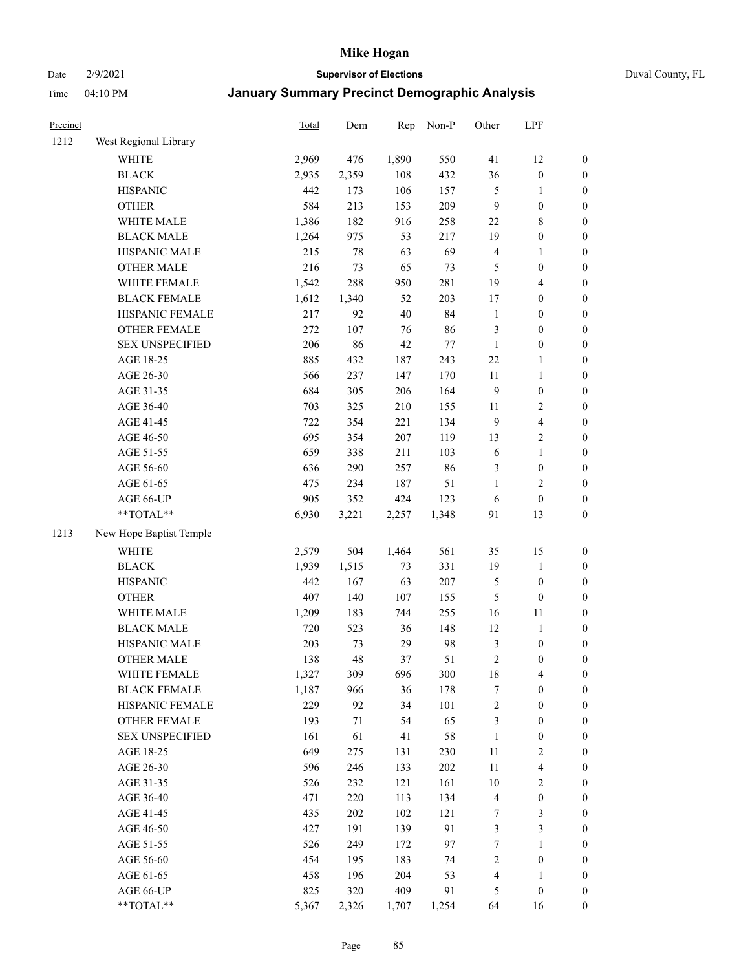Date 2/9/2021 **Supervisor of Elections** Duval County, FL

| Precinct |                          | <b>Total</b> | Dem   | Rep        | Non-P  | Other                   | LPF                     |                  |
|----------|--------------------------|--------------|-------|------------|--------|-------------------------|-------------------------|------------------|
| 1212     | West Regional Library    |              |       |            |        |                         |                         |                  |
|          | <b>WHITE</b>             | 2,969        | 476   | 1,890      | 550    | 41                      | 12                      | 0                |
|          | <b>BLACK</b>             | 2,935        | 2,359 | 108        | 432    | 36                      | $\boldsymbol{0}$        | $\boldsymbol{0}$ |
|          | <b>HISPANIC</b>          | 442          | 173   | 106        | 157    | 5                       | 1                       | $\boldsymbol{0}$ |
|          | <b>OTHER</b>             | 584          | 213   | 153        | 209    | 9                       | $\boldsymbol{0}$        | $\boldsymbol{0}$ |
|          | WHITE MALE               | 1,386        | 182   | 916        | 258    | 22                      | $\,$ 8 $\,$             | $\boldsymbol{0}$ |
|          | <b>BLACK MALE</b>        | 1,264        | 975   | 53         | 217    | 19                      | $\boldsymbol{0}$        | $\boldsymbol{0}$ |
|          | HISPANIC MALE            | 215          | 78    | 63         | 69     | 4                       | $\mathbf{1}$            | $\boldsymbol{0}$ |
|          | <b>OTHER MALE</b>        | 216          | 73    | 65         | 73     | $\mathfrak{S}$          | $\boldsymbol{0}$        | $\boldsymbol{0}$ |
|          | WHITE FEMALE             | 1,542        | 288   | 950        | 281    | 19                      | $\overline{\mathbf{4}}$ | $\boldsymbol{0}$ |
|          | <b>BLACK FEMALE</b>      | 1,612        | 1,340 | 52         | 203    | 17                      | $\boldsymbol{0}$        | $\boldsymbol{0}$ |
|          | HISPANIC FEMALE          | 217          | 92    | 40         | 84     | $\mathbf{1}$            | $\boldsymbol{0}$        | 0                |
|          | OTHER FEMALE             | 272          | 107   | 76         | 86     | 3                       | $\boldsymbol{0}$        | $\boldsymbol{0}$ |
|          | <b>SEX UNSPECIFIED</b>   | 206          | 86    | 42         | $77\,$ | $\mathbf{1}$            | $\boldsymbol{0}$        | $\boldsymbol{0}$ |
|          | AGE 18-25                | 885          | 432   | 187        | 243    | $22\,$                  | 1                       | $\boldsymbol{0}$ |
|          | AGE 26-30                | 566          | 237   | 147        | 170    | $11\,$                  | $\mathbf{1}$            | $\boldsymbol{0}$ |
|          | AGE 31-35                | 684          | 305   | 206        | 164    | 9                       | $\boldsymbol{0}$        | $\boldsymbol{0}$ |
|          | AGE 36-40                | 703          | 325   | 210        | 155    | 11                      | $\sqrt{2}$              | $\boldsymbol{0}$ |
|          | AGE 41-45                | 722          | 354   | 221        | 134    | $\overline{9}$          | $\overline{\mathbf{4}}$ | $\boldsymbol{0}$ |
|          | AGE 46-50                | 695          | 354   | 207        | 119    | 13                      | $\sqrt{2}$              | $\boldsymbol{0}$ |
|          | AGE 51-55                | 659          | 338   | 211        | 103    | 6                       | $\mathbf{1}$            | $\boldsymbol{0}$ |
|          | AGE 56-60                | 636          | 290   | 257        | 86     | 3                       | $\boldsymbol{0}$        | 0                |
|          | AGE 61-65                | 475          | 234   | 187        | 51     | 1                       | $\overline{2}$          | 0                |
|          | AGE 66-UP                | 905          | 352   | 424        | 123    | 6                       | $\boldsymbol{0}$        | $\boldsymbol{0}$ |
|          | **TOTAL**                | 6,930        | 3,221 | 2,257      | 1,348  | 91                      | 13                      | $\boldsymbol{0}$ |
| 1213     | New Hope Baptist Temple  |              |       |            |        |                         |                         |                  |
|          | <b>WHITE</b>             | 2,579        | 504   | 1,464      | 561    | 35                      | 15                      | $\boldsymbol{0}$ |
|          | <b>BLACK</b>             | 1,939        | 1,515 | 73         | 331    | 19                      | $\mathbf{1}$            | $\boldsymbol{0}$ |
|          | <b>HISPANIC</b>          | 442          | 167   | 63         | 207    | 5                       | $\boldsymbol{0}$        | $\boldsymbol{0}$ |
|          | <b>OTHER</b>             | 407          | 140   | 107        | 155    | 5                       | $\boldsymbol{0}$        | $\boldsymbol{0}$ |
|          | WHITE MALE               | 1,209        | 183   | 744        | 255    | 16                      | $11\,$                  | $\boldsymbol{0}$ |
|          | <b>BLACK MALE</b>        | 720          | 523   | 36         | 148    | 12                      | $\mathbf{1}$            | $\boldsymbol{0}$ |
|          | HISPANIC MALE            | 203          | 73    | 29         | 98     | 3                       | $\boldsymbol{0}$        | $\boldsymbol{0}$ |
|          | <b>OTHER MALE</b>        | 138          | 48    | 37         | 51     | $\overline{c}$          | $\boldsymbol{0}$        | $\boldsymbol{0}$ |
|          | WHITE FEMALE             | 1,327        | 309   | 696        | 300    | 18                      | 4                       | 0                |
|          | <b>BLACK FEMALE</b>      | 1,187        | 966   | 36         | 178    | 7                       | $\boldsymbol{0}$        | $\boldsymbol{0}$ |
|          | HISPANIC FEMALE          | 229          | 92    | 34         | 101    | $\overline{c}$          | $\boldsymbol{0}$        | $\overline{0}$   |
|          | <b>OTHER FEMALE</b>      | 193          | 71    | 54         | 65     | 3                       | $\boldsymbol{0}$        | $\overline{0}$   |
|          | <b>SEX UNSPECIFIED</b>   | 161          | 61    | 41         | 58     | $\mathbf{1}$            | $\boldsymbol{0}$        | 0                |
|          | AGE 18-25                | 649          | 275   | 131        | 230    | $11\,$                  | $\sqrt{2}$              | 0                |
|          | AGE 26-30                | 596          | 246   | 133        | 202    | $11\,$                  | $\overline{\mathbf{4}}$ | 0                |
|          | AGE 31-35                | 526          | 232   | 121        | 161    | $10\,$                  | $\sqrt{2}$              | 0                |
|          | AGE 36-40                | 471          | 220   |            | 134    | $\overline{\mathbf{4}}$ | $\boldsymbol{0}$        |                  |
|          | AGE 41-45                | 435          | 202   | 113<br>102 | 121    | 7                       | 3                       | 0                |
|          |                          |              |       |            |        |                         |                         | 0                |
|          | AGE 46-50                | 427          | 191   | 139        | 91     | 3                       | $\mathfrak{Z}$          | 0                |
|          | AGE 51-55                | 526          | 249   | 172        | 97     | $\boldsymbol{7}$        | $\mathbf{1}$            | 0                |
|          | AGE 56-60                | 454          | 195   | 183        | 74     | 2                       | $\boldsymbol{0}$        | $\boldsymbol{0}$ |
|          | AGE 61-65                | 458          | 196   | 204        | 53     | 4                       | 1                       | $\boldsymbol{0}$ |
|          | AGE 66-UP<br>$**TOTAL**$ | 825          | 320   | 409        | 91     | 5                       | $\boldsymbol{0}$        | 0                |
|          |                          | 5,367        | 2,326 | 1,707      | 1,254  | 64                      | 16                      | $\boldsymbol{0}$ |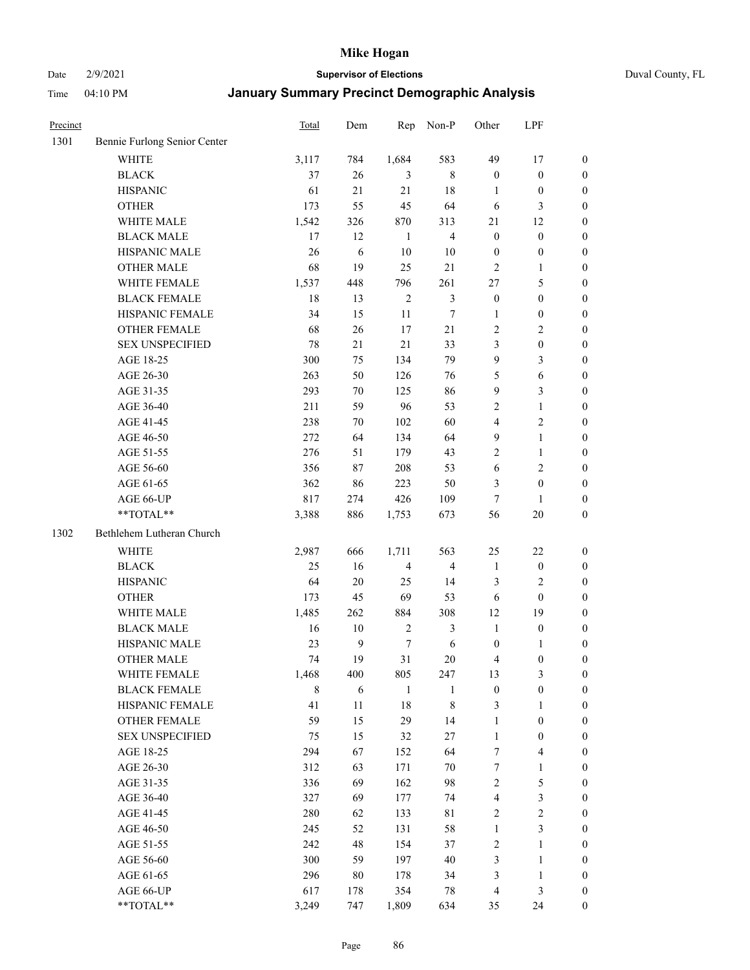Date 2/9/2021 **Supervisor of Elections** Duval County, FL

| Precinct |                              | Total       | Dem    | Rep            | Non-P                   | Other                   | LPF                     |                  |
|----------|------------------------------|-------------|--------|----------------|-------------------------|-------------------------|-------------------------|------------------|
| 1301     | Bennie Furlong Senior Center |             |        |                |                         |                         |                         |                  |
|          | <b>WHITE</b>                 | 3,117       | 784    | 1,684          | 583                     | 49                      | 17                      | $\boldsymbol{0}$ |
|          | <b>BLACK</b>                 | 37          | 26     | 3              | 8                       | $\boldsymbol{0}$        | $\boldsymbol{0}$        | $\boldsymbol{0}$ |
|          | <b>HISPANIC</b>              | 61          | 21     | 21             | 18                      | 1                       | $\boldsymbol{0}$        | $\boldsymbol{0}$ |
|          | <b>OTHER</b>                 | 173         | 55     | 45             | 64                      | 6                       | $\mathfrak{Z}$          | $\boldsymbol{0}$ |
|          | WHITE MALE                   | 1,542       | 326    | 870            | 313                     | 21                      | 12                      | $\boldsymbol{0}$ |
|          | <b>BLACK MALE</b>            | 17          | 12     | -1             | $\overline{4}$          | $\boldsymbol{0}$        | $\boldsymbol{0}$        | $\boldsymbol{0}$ |
|          | HISPANIC MALE                | 26          | 6      | 10             | 10                      | $\boldsymbol{0}$        | $\boldsymbol{0}$        | $\boldsymbol{0}$ |
|          | OTHER MALE                   | 68          | 19     | 25             | 21                      | $\mathbf{2}$            | $\mathbf{1}$            | $\boldsymbol{0}$ |
|          | WHITE FEMALE                 | 1,537       | 448    | 796            | 261                     | 27                      | $\mathfrak s$           | $\boldsymbol{0}$ |
|          | <b>BLACK FEMALE</b>          | 18          | 13     | $\overline{2}$ | 3                       | $\boldsymbol{0}$        | $\boldsymbol{0}$        | 0                |
|          | HISPANIC FEMALE              | 34          | 15     | 11             | $\tau$                  | $\mathbf{1}$            | $\boldsymbol{0}$        | $\boldsymbol{0}$ |
|          | OTHER FEMALE                 | 68          | 26     | 17             | 21                      | $\sqrt{2}$              | $\sqrt{2}$              | $\boldsymbol{0}$ |
|          | <b>SEX UNSPECIFIED</b>       | 78          | 21     | 21             | 33                      | 3                       | $\boldsymbol{0}$        | $\boldsymbol{0}$ |
|          | AGE 18-25                    | 300         | 75     | 134            | 79                      | 9                       | $\mathfrak{Z}$          | $\boldsymbol{0}$ |
|          | AGE 26-30                    | 263         | 50     | 126            | 76                      | 5                       | 6                       | $\boldsymbol{0}$ |
|          | AGE 31-35                    | 293         | $70\,$ | 125            | 86                      | 9                       | $\mathfrak{Z}$          | $\boldsymbol{0}$ |
|          | AGE 36-40                    | 211         | 59     | 96             | 53                      | 2                       | $\mathbf{1}$            | $\boldsymbol{0}$ |
|          | AGE 41-45                    | 238         | 70     | 102            | 60                      | $\overline{4}$          | $\sqrt{2}$              | $\boldsymbol{0}$ |
|          | AGE 46-50                    | 272         | 64     | 134            | 64                      | 9                       | $\mathbf{1}$            | $\boldsymbol{0}$ |
|          | AGE 51-55                    | 276         | 51     | 179            | 43                      | 2                       | $\mathbf{1}$            | 0                |
|          | AGE 56-60                    | 356         | 87     | 208            | 53                      | $\sqrt{6}$              | $\sqrt{2}$              | 0                |
|          | AGE 61-65                    | 362         | 86     | 223            | 50                      | 3                       | $\boldsymbol{0}$        | $\boldsymbol{0}$ |
|          | AGE 66-UP                    | 817         | 274    | 426            | 109                     | 7                       | 1                       | $\boldsymbol{0}$ |
|          | **TOTAL**                    | 3,388       | 886    | 1,753          | 673                     | 56                      | $20\,$                  | $\boldsymbol{0}$ |
| 1302     | Bethlehem Lutheran Church    |             |        |                |                         |                         |                         |                  |
|          | WHITE                        | 2,987       | 666    | 1,711          | 563                     | 25                      | 22                      | $\boldsymbol{0}$ |
|          | <b>BLACK</b>                 | 25          | 16     | $\overline{4}$ | $\overline{\mathbf{4}}$ | $\mathbf{1}$            | $\boldsymbol{0}$        | $\boldsymbol{0}$ |
|          | <b>HISPANIC</b>              | 64          | 20     | 25             | 14                      | 3                       | $\sqrt{2}$              | $\boldsymbol{0}$ |
|          | <b>OTHER</b>                 | 173         | 45     | 69             | 53                      | 6                       | $\boldsymbol{0}$        | $\boldsymbol{0}$ |
|          | WHITE MALE                   | 1,485       | 262    | 884            | 308                     | 12                      | 19                      | $\boldsymbol{0}$ |
|          | <b>BLACK MALE</b>            | 16          | $10\,$ | $\sqrt{2}$     | $\mathfrak{Z}$          | $\mathbf{1}$            | $\boldsymbol{0}$        | $\boldsymbol{0}$ |
|          | HISPANIC MALE                | 23          | 9      | $\tau$         | $\sqrt{6}$              | $\boldsymbol{0}$        | 1                       | 0                |
|          | <b>OTHER MALE</b>            | 74          | 19     | 31             | 20                      | 4                       | $\boldsymbol{0}$        | $\boldsymbol{0}$ |
|          | WHITE FEMALE                 | 1,468       | 400    | 805            | 247                     | 13                      | 3                       | $\overline{0}$   |
|          | <b>BLACK FEMALE</b>          | $\,$ 8 $\,$ | 6      | $\mathbf{1}$   | 1                       | $\boldsymbol{0}$        | $\boldsymbol{0}$        | $\overline{0}$   |
|          | HISPANIC FEMALE              | 41          | 11     | 18             | $\,$ $\,$               | 3                       | $\mathbf{1}$            | $\overline{0}$   |
|          | <b>OTHER FEMALE</b>          | 59          | 15     | 29             | 14                      | $\mathbf{1}$            | $\boldsymbol{0}$        | 0                |
|          | <b>SEX UNSPECIFIED</b>       | 75          | 15     | 32             | $27\,$                  | $\mathbf{1}$            | $\boldsymbol{0}$        | 0                |
|          | AGE 18-25                    | 294         | 67     | 152            | 64                      | 7                       | $\overline{\mathbf{4}}$ | 0                |
|          | AGE 26-30                    | 312         | 63     | 171            | $70\,$                  | 7                       | $\mathbf{1}$            | 0                |
|          | AGE 31-35                    | 336         | 69     | 162            | 98                      | $\overline{c}$          | $\mathfrak s$           | 0                |
|          | AGE 36-40                    | 327         | 69     | 177            | 74                      | $\overline{\mathbf{4}}$ | $\mathfrak{Z}$          | 0                |
|          | AGE 41-45                    | 280         | 62     | 133            | $8\sqrt{1}$             | 2                       | $\sqrt{2}$              | 0                |
|          | AGE 46-50                    | 245         | 52     | 131            | 58                      | $\mathbf{1}$            | $\mathfrak{Z}$          | 0                |
|          | AGE 51-55                    | 242         | 48     | 154            | 37                      | $\sqrt{2}$              | $\mathbf{1}$            | $\boldsymbol{0}$ |
|          | AGE 56-60                    | 300         | 59     | 197            | $40\,$                  | 3                       | $\mathbf{1}$            | $\boldsymbol{0}$ |
|          | AGE 61-65                    | 296         | 80     | 178            | 34                      | 3                       | $\mathbf{1}$            | 0                |
|          | AGE 66-UP                    | 617         | 178    | 354            | 78                      | 4                       | $\mathfrak{Z}$          | 0                |
|          | **TOTAL**                    | 3,249       | 747    | 1,809          | 634                     | 35                      | 24                      | $\overline{0}$   |
|          |                              |             |        |                |                         |                         |                         |                  |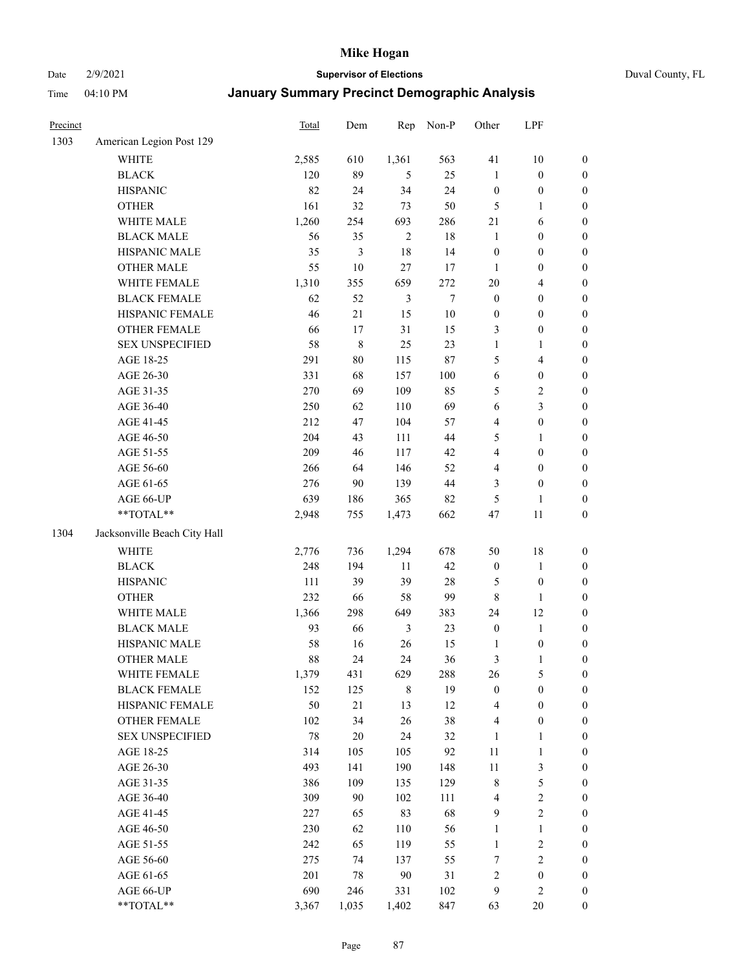Date 2/9/2021 **Supervisor of Elections** Duval County, FL

| Precinct |                              | Total | Dem            | Rep            | Non-P  | Other            | LPF              |                  |
|----------|------------------------------|-------|----------------|----------------|--------|------------------|------------------|------------------|
| 1303     | American Legion Post 129     |       |                |                |        |                  |                  |                  |
|          | WHITE                        | 2,585 | 610            | 1,361          | 563    | 41               | $10\,$           | $\boldsymbol{0}$ |
|          | <b>BLACK</b>                 | 120   | 89             | 5              | 25     | $\mathbf{1}$     | $\boldsymbol{0}$ | $\boldsymbol{0}$ |
|          | <b>HISPANIC</b>              | 82    | 24             | 34             | 24     | $\boldsymbol{0}$ | $\boldsymbol{0}$ | 0                |
|          | <b>OTHER</b>                 | 161   | 32             | 73             | 50     | 5                | $\mathbf{1}$     | $\boldsymbol{0}$ |
|          | WHITE MALE                   | 1,260 | 254            | 693            | 286    | $21\,$           | 6                | $\boldsymbol{0}$ |
|          | <b>BLACK MALE</b>            | 56    | 35             | $\sqrt{2}$     | 18     | $\mathbf{1}$     | $\boldsymbol{0}$ | $\boldsymbol{0}$ |
|          | HISPANIC MALE                | 35    | $\mathfrak{Z}$ | 18             | 14     | $\boldsymbol{0}$ | $\boldsymbol{0}$ | $\boldsymbol{0}$ |
|          | <b>OTHER MALE</b>            | 55    | 10             | 27             | 17     | 1                | $\boldsymbol{0}$ | $\boldsymbol{0}$ |
|          | WHITE FEMALE                 | 1,310 | 355            | 659            | 272    | $20\,$           | $\overline{4}$   | $\boldsymbol{0}$ |
|          | <b>BLACK FEMALE</b>          | 62    | 52             | $\mathfrak{Z}$ | $\tau$ | $\boldsymbol{0}$ | $\boldsymbol{0}$ | $\boldsymbol{0}$ |
|          | HISPANIC FEMALE              | 46    | $21\,$         | 15             | 10     | $\boldsymbol{0}$ | $\boldsymbol{0}$ | $\boldsymbol{0}$ |
|          | OTHER FEMALE                 | 66    | 17             | 31             | 15     | 3                | $\boldsymbol{0}$ | 0                |
|          | <b>SEX UNSPECIFIED</b>       | 58    | $\,8\,$        | 25             | 23     | $\mathbf{1}$     | 1                | $\boldsymbol{0}$ |
|          | AGE 18-25                    | 291   | 80             | 115            | 87     | 5                | $\overline{4}$   | $\boldsymbol{0}$ |
|          | AGE 26-30                    | 331   | 68             | 157            | 100    | 6                | $\boldsymbol{0}$ | $\boldsymbol{0}$ |
|          | AGE 31-35                    | 270   | 69             | 109            | 85     | 5                | $\sqrt{2}$       | $\boldsymbol{0}$ |
|          | AGE 36-40                    | 250   | 62             | 110            | 69     | 6                | 3                | $\boldsymbol{0}$ |
|          | AGE 41-45                    | 212   | 47             | 104            | 57     | 4                | $\boldsymbol{0}$ | $\boldsymbol{0}$ |
|          | AGE 46-50                    | 204   | 43             | 111            | 44     | 5                | $\mathbf{1}$     | $\boldsymbol{0}$ |
|          | AGE 51-55                    | 209   | 46             | 117            | 42     | 4                | $\boldsymbol{0}$ | $\boldsymbol{0}$ |
|          | AGE 56-60                    | 266   | 64             | 146            | 52     | 4                | $\boldsymbol{0}$ | 0                |
|          | AGE 61-65                    | 276   | 90             | 139            | 44     | 3                | $\boldsymbol{0}$ | 0                |
|          | AGE 66-UP                    | 639   | 186            | 365            | 82     | 5                | $\mathbf{1}$     | 0                |
|          | $**TOTAL**$                  | 2,948 | 755            | 1,473          | 662    | 47               | 11               | $\boldsymbol{0}$ |
| 1304     | Jacksonville Beach City Hall |       |                |                |        |                  |                  |                  |
|          | <b>WHITE</b>                 | 2,776 | 736            | 1,294          | 678    | 50               | 18               | $\boldsymbol{0}$ |
|          | <b>BLACK</b>                 | 248   | 194            | 11             | 42     | $\boldsymbol{0}$ | $\mathbf{1}$     | $\boldsymbol{0}$ |
|          | <b>HISPANIC</b>              | 111   | 39             | 39             | 28     | 5                | $\boldsymbol{0}$ | $\boldsymbol{0}$ |
|          | <b>OTHER</b>                 | 232   | 66             | 58             | 99     | 8                | $\mathbf{1}$     | $\boldsymbol{0}$ |
|          | WHITE MALE                   | 1,366 | 298            | 649            | 383    | 24               | 12               | $\boldsymbol{0}$ |
|          | <b>BLACK MALE</b>            | 93    | 66             | 3              | 23     | $\boldsymbol{0}$ | $\mathbf{1}$     | $\boldsymbol{0}$ |
|          | HISPANIC MALE                | 58    | 16             | 26             | 15     | $\mathbf{1}$     | $\boldsymbol{0}$ | $\boldsymbol{0}$ |
|          | <b>OTHER MALE</b>            | 88    | 24             | 24             | 36     | 3                | 1                | $\boldsymbol{0}$ |
|          | WHITE FEMALE                 | 1,379 | 431            | 629            | 288    | 26               | $\mathfrak s$    | 0                |
|          | <b>BLACK FEMALE</b>          | 152   | 125            | $\,$ 8 $\,$    | 19     | $\boldsymbol{0}$ | $\boldsymbol{0}$ | 0                |
|          | HISPANIC FEMALE              | 50    | $21\,$         | 13             | 12     | 4                | $\boldsymbol{0}$ | 0                |
|          | <b>OTHER FEMALE</b>          | 102   | 34             | 26             | 38     | 4                | $\boldsymbol{0}$ | 0                |
|          | <b>SEX UNSPECIFIED</b>       | 78    | 20             | 24             | 32     | $\mathbf{1}$     | $\mathbf{1}$     | $\boldsymbol{0}$ |
|          | AGE 18-25                    | 314   | 105            | 105            | 92     | 11               | $\mathbf{1}$     | 0                |
|          | AGE 26-30                    | 493   | 141            | 190            | 148    | 11               | $\mathfrak z$    | 0                |
|          | AGE 31-35                    | 386   | 109            | 135            | 129    | 8                | $\mathfrak s$    | 0                |
|          | AGE 36-40                    | 309   | 90             | 102            | 111    | 4                | $\sqrt{2}$       | 0                |
|          | AGE 41-45                    | 227   | 65             | 83             | 68     | 9                | $\sqrt{2}$       | 0                |
|          | AGE 46-50                    | 230   | 62             | 110            | 56     | $\mathbf{1}$     | $\mathbf{1}$     | 0                |
|          | AGE 51-55                    | 242   | 65             | 119            | 55     | $\mathbf{1}$     | $\sqrt{2}$       | 0                |
|          | AGE 56-60                    | 275   | 74             | 137            | 55     | 7                | $\sqrt{2}$       | 0                |
|          | AGE 61-65                    | 201   | 78             | 90             | $31\,$ | 2                | $\boldsymbol{0}$ | 0                |
|          | AGE 66-UP                    | 690   | 246            | 331            | 102    | 9                | $\sqrt{2}$       | $\boldsymbol{0}$ |
|          | **TOTAL**                    | 3,367 | 1,035          | 1,402          | 847    | 63               | 20               | $\boldsymbol{0}$ |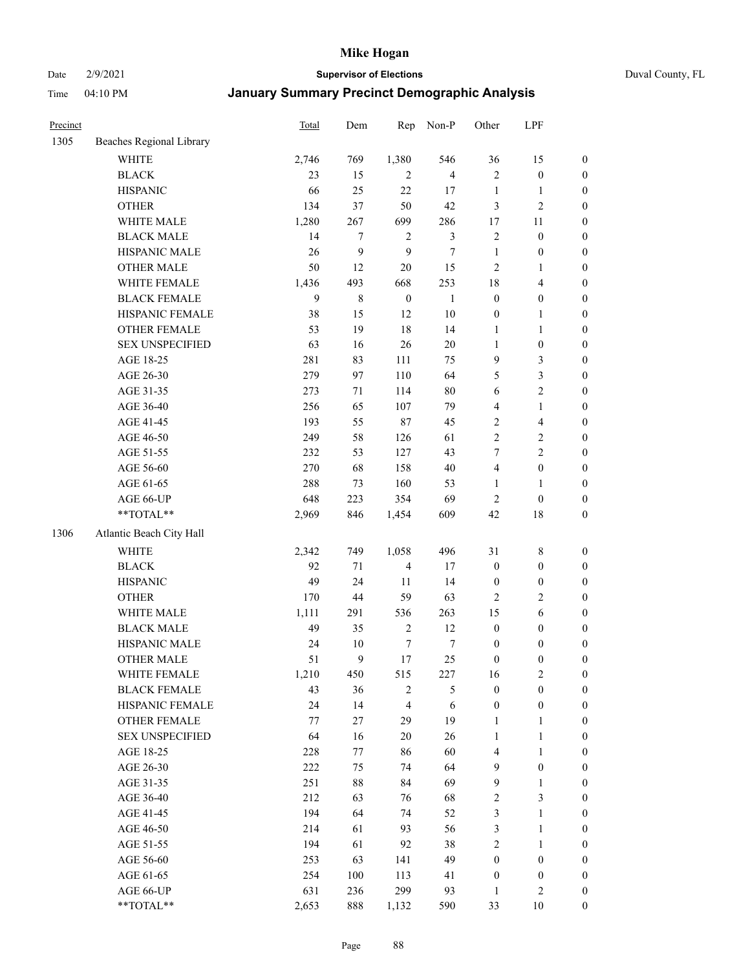Date 2/9/2021 **Supervisor of Elections** Duval County, FL

| Precinct |                          | Total | Dem         | Rep              | Non-P          | Other            | LPF                     |                  |
|----------|--------------------------|-------|-------------|------------------|----------------|------------------|-------------------------|------------------|
| 1305     | Beaches Regional Library |       |             |                  |                |                  |                         |                  |
|          | <b>WHITE</b>             | 2,746 | 769         | 1,380            | 546            | 36               | 15                      | 0                |
|          | <b>BLACK</b>             | 23    | 15          | 2                | $\overline{4}$ | $\mathfrak{2}$   | $\boldsymbol{0}$        | $\boldsymbol{0}$ |
|          | <b>HISPANIC</b>          | 66    | 25          | 22               | 17             | $\mathbf{1}$     | $\mathbf{1}$            | $\boldsymbol{0}$ |
|          | <b>OTHER</b>             | 134   | 37          | 50               | 42             | 3                | $\sqrt{2}$              | $\boldsymbol{0}$ |
|          | WHITE MALE               | 1,280 | 267         | 699              | 286            | 17               | 11                      | $\boldsymbol{0}$ |
|          | <b>BLACK MALE</b>        | 14    | $\tau$      | $\sqrt{2}$       | $\mathfrak{Z}$ | $\sqrt{2}$       | $\boldsymbol{0}$        | $\boldsymbol{0}$ |
|          | HISPANIC MALE            | 26    | 9           | 9                | $\tau$         | $\mathbf{1}$     | $\boldsymbol{0}$        | $\boldsymbol{0}$ |
|          | OTHER MALE               | 50    | 12          | 20               | 15             | $\mathbf{2}$     | $\mathbf{1}$            | $\boldsymbol{0}$ |
|          | WHITE FEMALE             | 1,436 | 493         | 668              | 253            | 18               | $\overline{\mathbf{4}}$ | $\boldsymbol{0}$ |
|          | <b>BLACK FEMALE</b>      | 9     | $\,$ 8 $\,$ | $\boldsymbol{0}$ | $\mathbf{1}$   | $\boldsymbol{0}$ | $\boldsymbol{0}$        | 0                |
|          | HISPANIC FEMALE          | 38    | 15          | 12               | $10\,$         | $\boldsymbol{0}$ | $\mathbf{1}$            | 0                |
|          | <b>OTHER FEMALE</b>      | 53    | 19          | 18               | 14             | $\mathbf{1}$     | $\mathbf{1}$            | $\boldsymbol{0}$ |
|          | <b>SEX UNSPECIFIED</b>   | 63    | 16          | 26               | $20\,$         | $\mathbf{1}$     | $\boldsymbol{0}$        | $\boldsymbol{0}$ |
|          | AGE 18-25                | 281   | 83          | 111              | 75             | 9                | $\mathfrak{Z}$          | $\boldsymbol{0}$ |
|          | AGE 26-30                | 279   | 97          | 110              | 64             | 5                | $\mathfrak{Z}$          | $\boldsymbol{0}$ |
|          | AGE 31-35                | 273   | 71          | 114              | 80             | 6                | $\sqrt{2}$              | $\boldsymbol{0}$ |
|          | AGE 36-40                | 256   | 65          | 107              | 79             | 4                | $\mathbf{1}$            | $\boldsymbol{0}$ |
|          | AGE 41-45                | 193   | 55          | 87               | 45             | $\overline{c}$   | $\overline{\mathbf{4}}$ | $\boldsymbol{0}$ |
|          | AGE 46-50                | 249   | 58          | 126              | 61             | $\overline{2}$   | $\sqrt{2}$              | $\boldsymbol{0}$ |
|          | AGE 51-55                | 232   | 53          | 127              | 43             | 7                | $\sqrt{2}$              | $\boldsymbol{0}$ |
|          | AGE 56-60                | 270   | 68          | 158              | $40\,$         | 4                | $\boldsymbol{0}$        | 0                |
|          | AGE 61-65                | 288   | 73          | 160              | 53             | $\mathbf{1}$     | $\mathbf{1}$            | $\boldsymbol{0}$ |
|          | AGE 66-UP                | 648   | 223         | 354              | 69             | $\mathbf{2}$     | $\boldsymbol{0}$        | $\boldsymbol{0}$ |
|          | **TOTAL**                | 2,969 | 846         | 1,454            | 609            | 42               | $18\,$                  | $\boldsymbol{0}$ |
| 1306     |                          |       |             |                  |                |                  |                         |                  |
|          | Atlantic Beach City Hall |       |             |                  |                |                  |                         |                  |
|          | WHITE                    | 2,342 | 749         | 1,058            | 496            | 31               | $\,$ 8 $\,$             | $\boldsymbol{0}$ |
|          | <b>BLACK</b>             | 92    | 71          | $\overline{4}$   | 17             | $\boldsymbol{0}$ | $\boldsymbol{0}$        | $\boldsymbol{0}$ |
|          | <b>HISPANIC</b>          | 49    | 24          | 11               | 14             | $\boldsymbol{0}$ | $\boldsymbol{0}$        | $\boldsymbol{0}$ |
|          | <b>OTHER</b>             | 170   | 44          | 59               | 63             | 2                | $\sqrt{2}$              | $\boldsymbol{0}$ |
|          | WHITE MALE               | 1,111 | 291         | 536              | 263            | 15               | $\sqrt{6}$              | $\boldsymbol{0}$ |
|          | <b>BLACK MALE</b>        | 49    | 35          | $\sqrt{2}$       | 12             | $\boldsymbol{0}$ | $\boldsymbol{0}$        | $\boldsymbol{0}$ |
|          | HISPANIC MALE            | 24    | $10\,$      | $\boldsymbol{7}$ | 7              | $\boldsymbol{0}$ | $\boldsymbol{0}$        | $\boldsymbol{0}$ |
|          | OTHER MALE               | 51    | 9           | $17\,$           | 25             | $\boldsymbol{0}$ | $\boldsymbol{0}$        | $\boldsymbol{0}$ |
|          | WHITE FEMALE             | 1,210 | 450         | 515              | 227            | 16               | 2                       | 0                |
|          | <b>BLACK FEMALE</b>      | 43    | 36          | $\overline{c}$   | 5              | $\boldsymbol{0}$ | $\boldsymbol{0}$        | $\boldsymbol{0}$ |
|          | HISPANIC FEMALE          | 24    | 14          | $\overline{4}$   | 6              | $\boldsymbol{0}$ | $\boldsymbol{0}$        | $\overline{0}$   |
|          | OTHER FEMALE             | 77    | 27          | 29               | 19             | $\mathbf{1}$     | $\mathbf{1}$            | $\overline{0}$   |
|          | <b>SEX UNSPECIFIED</b>   | 64    | 16          | 20               | 26             | $\mathbf{1}$     | $\mathbf{1}$            | 0                |
|          | AGE 18-25                | 228   | 77          | 86               | 60             | 4                | $\mathbf{1}$            | 0                |
|          | AGE 26-30                | 222   | 75          | 74               | 64             | 9                | $\boldsymbol{0}$        | 0                |
|          | AGE 31-35                | 251   | $88\,$      | 84               | 69             | 9                | $\mathbf{1}$            | 0                |
|          | AGE 36-40                | 212   | 63          | 76               | 68             | 2                | $\mathfrak{Z}$          | 0                |
|          | AGE 41-45                | 194   | 64          | 74               | 52             | 3                | $\mathbf{1}$            | 0                |
|          | AGE 46-50                | 214   | 61          | 93               | 56             | 3                | $\mathbf{1}$            | 0                |
|          | AGE 51-55                | 194   | 61          | 92               | 38             | 2                | $\mathbf{1}$            | 0                |
|          | AGE 56-60                | 253   | 63          | 141              | 49             | $\boldsymbol{0}$ | $\boldsymbol{0}$        | 0                |
|          | AGE 61-65                | 254   | 100         | 113              | 41             | $\boldsymbol{0}$ | $\boldsymbol{0}$        | 0                |
|          | AGE 66-UP                | 631   | 236         | 299              | 93             | $\mathbf{1}$     | $\mathbf{2}$            | 0                |
|          | **TOTAL**                | 2,653 | 888         | 1,132            | 590            | 33               | 10                      | $\boldsymbol{0}$ |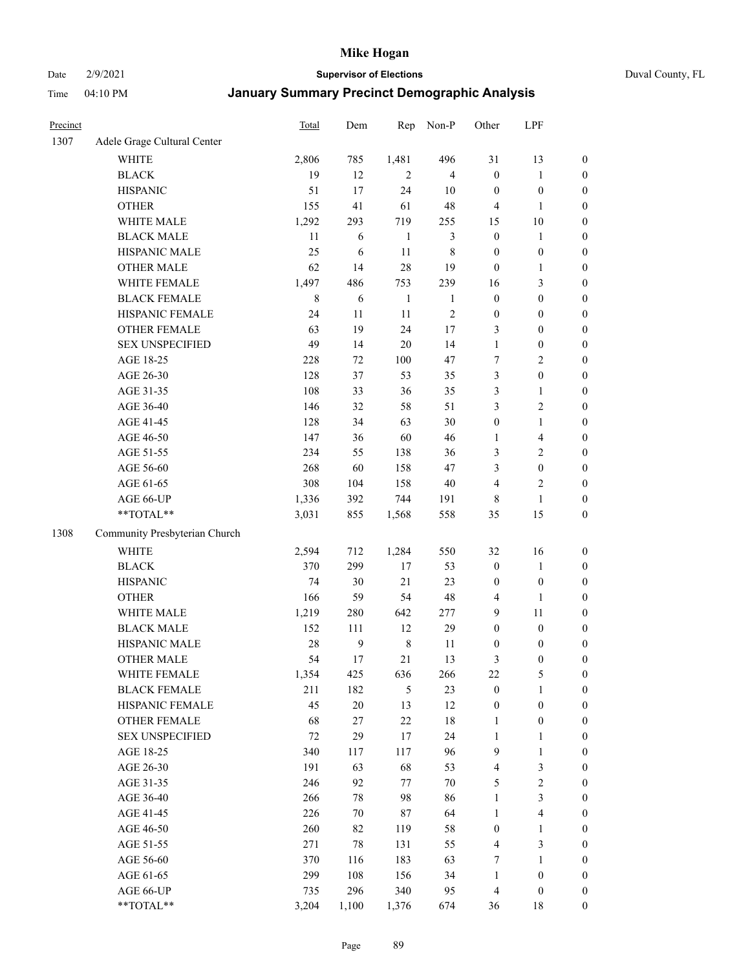Date 2/9/2021 **Supervisor of Elections** Duval County, FL

| Precinct |                               | Total | Dem          | Rep            | Non-P          | Other                   | LPF                     |                  |
|----------|-------------------------------|-------|--------------|----------------|----------------|-------------------------|-------------------------|------------------|
| 1307     | Adele Grage Cultural Center   |       |              |                |                |                         |                         |                  |
|          | WHITE                         | 2,806 | 785          | 1,481          | 496            | 31                      | 13                      | 0                |
|          | <b>BLACK</b>                  | 19    | 12           | $\overline{2}$ | $\overline{4}$ | $\boldsymbol{0}$        | $\mathbf{1}$            | 0                |
|          | <b>HISPANIC</b>               | 51    | 17           | 24             | 10             | $\boldsymbol{0}$        | $\boldsymbol{0}$        | $\boldsymbol{0}$ |
|          | <b>OTHER</b>                  | 155   | 41           | 61             | 48             | 4                       | $\mathbf{1}$            | $\boldsymbol{0}$ |
|          | WHITE MALE                    | 1,292 | 293          | 719            | 255            | 15                      | $10\,$                  | $\boldsymbol{0}$ |
|          | <b>BLACK MALE</b>             | 11    | 6            | $\mathbf{1}$   | $\mathfrak{Z}$ | $\boldsymbol{0}$        | $\mathbf{1}$            | $\boldsymbol{0}$ |
|          | HISPANIC MALE                 | 25    | 6            | 11             | 8              | $\boldsymbol{0}$        | $\boldsymbol{0}$        | $\boldsymbol{0}$ |
|          | <b>OTHER MALE</b>             | 62    | 14           | 28             | 19             | $\boldsymbol{0}$        | $\mathbf{1}$            | $\boldsymbol{0}$ |
|          | WHITE FEMALE                  | 1,497 | 486          | 753            | 239            | 16                      | $\mathfrak{Z}$          | $\boldsymbol{0}$ |
|          | <b>BLACK FEMALE</b>           | 8     | 6            | $\mathbf{1}$   | $\mathbf{1}$   | $\boldsymbol{0}$        | $\boldsymbol{0}$        | $\boldsymbol{0}$ |
|          | HISPANIC FEMALE               | 24    | 11           | 11             | $\sqrt{2}$     | $\boldsymbol{0}$        | $\boldsymbol{0}$        | 0                |
|          | OTHER FEMALE                  | 63    | 19           | 24             | 17             | 3                       | $\boldsymbol{0}$        | $\boldsymbol{0}$ |
|          | <b>SEX UNSPECIFIED</b>        | 49    | 14           | 20             | 14             | $\mathbf{1}$            | $\boldsymbol{0}$        | $\boldsymbol{0}$ |
|          | AGE 18-25                     | 228   | 72           | 100            | 47             | 7                       | $\sqrt{2}$              | $\boldsymbol{0}$ |
|          | AGE 26-30                     | 128   | 37           | 53             | 35             | 3                       | $\boldsymbol{0}$        | $\boldsymbol{0}$ |
|          | AGE 31-35                     | 108   | 33           | 36             | 35             | 3                       | $\mathbf{1}$            | $\boldsymbol{0}$ |
|          | AGE 36-40                     | 146   | 32           | 58             | 51             | 3                       | $\sqrt{2}$              | $\boldsymbol{0}$ |
|          | AGE 41-45                     | 128   | 34           | 63             | 30             | $\boldsymbol{0}$        | $\mathbf{1}$            | $\boldsymbol{0}$ |
|          | AGE 46-50                     | 147   | 36           | 60             | 46             | 1                       | $\overline{\mathbf{4}}$ | $\boldsymbol{0}$ |
|          | AGE 51-55                     | 234   | 55           | 138            | 36             | 3                       | $\sqrt{2}$              | $\boldsymbol{0}$ |
|          | AGE 56-60                     | 268   | 60           | 158            | 47             | 3                       | $\boldsymbol{0}$        | 0                |
|          | AGE 61-65                     | 308   | 104          | 158            | $40\,$         | 4                       | $\sqrt{2}$              | 0                |
|          | AGE 66-UP                     | 1,336 | 392          | 744            | 191            | 8                       | $\mathbf{1}$            | $\boldsymbol{0}$ |
|          | **TOTAL**                     | 3,031 | 855          | 1,568          | 558            | 35                      | 15                      | $\boldsymbol{0}$ |
| 1308     | Community Presbyterian Church |       |              |                |                |                         |                         |                  |
|          | WHITE                         | 2,594 | 712          | 1,284          | 550            | 32                      | 16                      | $\boldsymbol{0}$ |
|          | <b>BLACK</b>                  | 370   | 299          | 17             | 53             | $\boldsymbol{0}$        | $\mathbf{1}$            | $\boldsymbol{0}$ |
|          | <b>HISPANIC</b>               | 74    | 30           | 21             | 23             | $\boldsymbol{0}$        | $\boldsymbol{0}$        | $\boldsymbol{0}$ |
|          | <b>OTHER</b>                  | 166   | 59           | 54             | 48             | 4                       | $\mathbf{1}$            | $\boldsymbol{0}$ |
|          | WHITE MALE                    | 1,219 | 280          | 642            | 277            | 9                       | 11                      | $\boldsymbol{0}$ |
|          | <b>BLACK MALE</b>             | 152   | 111          | 12             | 29             | $\boldsymbol{0}$        | $\boldsymbol{0}$        | $\boldsymbol{0}$ |
|          | HISPANIC MALE                 | 28    | $\mathbf{9}$ | $\,$ 8 $\,$    | 11             | $\boldsymbol{0}$        | $\boldsymbol{0}$        | $\boldsymbol{0}$ |
|          | <b>OTHER MALE</b>             | 54    | 17           | 21             | 13             | 3                       | $\boldsymbol{0}$        | $\boldsymbol{0}$ |
|          | WHITE FEMALE                  | 1,354 | 425          | 636            | 266            | 22                      | 5                       | 0                |
|          | <b>BLACK FEMALE</b>           | 211   | 182          | $\mathfrak s$  | 23             | $\boldsymbol{0}$        | $\mathbf{1}$            | $\boldsymbol{0}$ |
|          | HISPANIC FEMALE               | 45    | $20\,$       | 13             | 12             | $\boldsymbol{0}$        | $\boldsymbol{0}$        | $\overline{0}$   |
|          | OTHER FEMALE                  | 68    | 27           | $22\,$         | $18\,$         | $\mathbf{1}$            | $\boldsymbol{0}$        | 0                |
|          | <b>SEX UNSPECIFIED</b>        | 72    | 29           | 17             | 24             | $\mathbf{1}$            | $\mathbf{1}$            | 0                |
|          | AGE 18-25                     | 340   | 117          | 117            | 96             | 9                       | $\mathbf{1}$            | 0                |
|          | AGE 26-30                     | 191   | 63           | 68             | 53             | $\overline{\mathbf{4}}$ | $\mathfrak{Z}$          | 0                |
|          | AGE 31-35                     | 246   | 92           | 77             | $70\,$         | 5                       | $\sqrt{2}$              | 0                |
|          | AGE 36-40                     | 266   | 78           | 98             | 86             | $\mathbf{1}$            | $\mathfrak{Z}$          | 0                |
|          | AGE 41-45                     | 226   | 70           | 87             | 64             | $\mathbf{1}$            | $\overline{\mathbf{4}}$ | 0                |
|          | AGE 46-50                     | 260   | 82           | 119            | 58             | $\boldsymbol{0}$        | $\mathbf{1}$            | 0                |
|          | AGE 51-55                     | 271   | 78           | 131            | 55             | $\overline{4}$          | $\mathfrak{Z}$          | 0                |
|          | AGE 56-60                     | 370   | 116          | 183            | 63             | 7                       | 1                       | 0                |
|          | AGE 61-65                     | 299   | 108          | 156            | 34             | $\mathbf{1}$            | $\boldsymbol{0}$        | 0                |
|          | AGE 66-UP                     | 735   | 296          | 340            | 95             | $\overline{4}$          | $\boldsymbol{0}$        | 0                |
|          | **TOTAL**                     | 3,204 | 1,100        | 1,376          | 674            | 36                      | 18                      | $\boldsymbol{0}$ |
|          |                               |       |              |                |                |                         |                         |                  |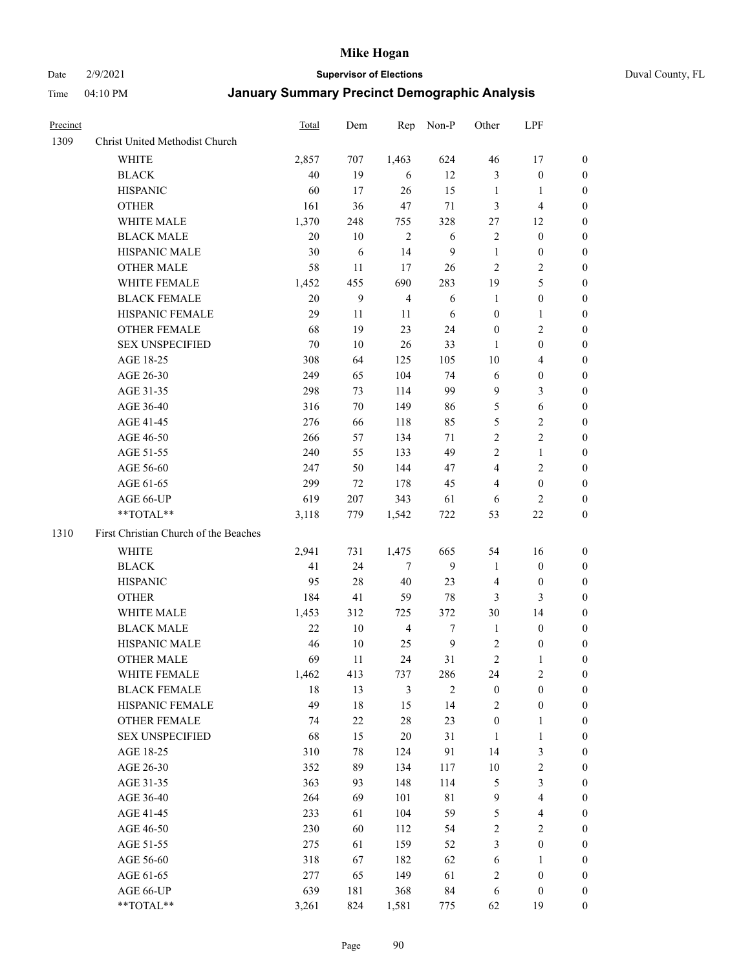Date 2/9/2021 **Supervisor of Elections** Duval County, FL

| Precinct |                                       | Total  | Dem    | Rep            | Non-P            | Other            | LPF                     |                  |
|----------|---------------------------------------|--------|--------|----------------|------------------|------------------|-------------------------|------------------|
| 1309     | Christ United Methodist Church        |        |        |                |                  |                  |                         |                  |
|          | <b>WHITE</b>                          | 2,857  | 707    | 1,463          | 624              | 46               | 17                      | 0                |
|          | <b>BLACK</b>                          | 40     | 19     | 6              | 12               | 3                | $\boldsymbol{0}$        | 0                |
|          | <b>HISPANIC</b>                       | 60     | 17     | 26             | 15               | $\mathbf{1}$     | $\mathbf{1}$            | 0                |
|          | <b>OTHER</b>                          | 161    | 36     | 47             | 71               | 3                | $\overline{\mathbf{4}}$ | $\boldsymbol{0}$ |
|          | WHITE MALE                            | 1,370  | 248    | 755            | 328              | 27               | 12                      | $\boldsymbol{0}$ |
|          | <b>BLACK MALE</b>                     | 20     | 10     | $\overline{2}$ | 6                | $\mathbf{2}$     | $\boldsymbol{0}$        | $\boldsymbol{0}$ |
|          | HISPANIC MALE                         | 30     | 6      | 14             | $\overline{9}$   | $\mathbf{1}$     | $\boldsymbol{0}$        | $\boldsymbol{0}$ |
|          | <b>OTHER MALE</b>                     | 58     | 11     | 17             | 26               | $\mathbf{2}$     | $\overline{2}$          | $\boldsymbol{0}$ |
|          | WHITE FEMALE                          | 1,452  | 455    | 690            | 283              | 19               | 5                       | 0                |
|          | <b>BLACK FEMALE</b>                   | $20\,$ | 9      | $\overline{4}$ | 6                | $\mathbf{1}$     | $\boldsymbol{0}$        | 0                |
|          | HISPANIC FEMALE                       | 29     | 11     | 11             | 6                | $\boldsymbol{0}$ | $\mathbf{1}$            | 0                |
|          | OTHER FEMALE                          | 68     | 19     | 23             | 24               | $\boldsymbol{0}$ | $\sqrt{2}$              | 0                |
|          | <b>SEX UNSPECIFIED</b>                | 70     | 10     | 26             | 33               | 1                | $\boldsymbol{0}$        | $\boldsymbol{0}$ |
|          | AGE 18-25                             | 308    | 64     | 125            | 105              | 10               | $\overline{\mathbf{4}}$ | $\boldsymbol{0}$ |
|          | AGE 26-30                             | 249    | 65     | 104            | 74               | 6                | $\boldsymbol{0}$        | $\boldsymbol{0}$ |
|          | AGE 31-35                             | 298    | 73     | 114            | 99               | 9                | $\mathfrak{Z}$          | $\boldsymbol{0}$ |
|          | AGE 36-40                             | 316    | 70     | 149            | 86               | 5                | $\sqrt{6}$              | $\boldsymbol{0}$ |
|          | AGE 41-45                             | 276    | 66     | 118            | 85               | 5                | $\sqrt{2}$              | $\boldsymbol{0}$ |
|          | AGE 46-50                             | 266    | 57     | 134            | 71               | $\overline{2}$   | $\overline{2}$          | $\boldsymbol{0}$ |
|          | AGE 51-55                             | 240    | 55     | 133            | 49               | $\overline{c}$   | $\mathbf{1}$            | 0                |
|          | AGE 56-60                             | 247    | 50     | 144            | 47               | $\overline{4}$   | $\sqrt{2}$              | 0                |
|          | AGE 61-65                             | 299    | 72     | 178            | 45               | 4                | $\boldsymbol{0}$        | 0                |
|          | AGE 66-UP                             | 619    | 207    | 343            | 61               | 6                | 2                       | 0                |
|          | **TOTAL**                             | 3,118  | 779    | 1,542          | 722              | 53               | $22\,$                  | $\boldsymbol{0}$ |
| 1310     | First Christian Church of the Beaches |        |        |                |                  |                  |                         |                  |
|          | <b>WHITE</b>                          | 2,941  | 731    | 1,475          | 665              | 54               | 16                      | $\boldsymbol{0}$ |
|          | <b>BLACK</b>                          | 41     | 24     | $\tau$         | 9                | $\mathbf{1}$     | $\boldsymbol{0}$        | $\boldsymbol{0}$ |
|          | <b>HISPANIC</b>                       | 95     | $28\,$ | 40             | 23               | 4                | $\boldsymbol{0}$        | 0                |
|          | <b>OTHER</b>                          | 184    | 41     | 59             | 78               | 3                | 3                       | $\boldsymbol{0}$ |
|          | WHITE MALE                            | 1,453  | 312    | 725            | 372              | 30               | 14                      | $\boldsymbol{0}$ |
|          | <b>BLACK MALE</b>                     | 22     | 10     | $\overline{4}$ | $\boldsymbol{7}$ | $\mathbf{1}$     | $\boldsymbol{0}$        | $\boldsymbol{0}$ |
|          | HISPANIC MALE                         | 46     | $10\,$ | 25             | $\overline{9}$   | $\sqrt{2}$       | $\boldsymbol{0}$        | 0                |
|          | <b>OTHER MALE</b>                     | 69     | 11     | 24             | 31               | 2                | 1                       | 0                |
|          | WHITE FEMALE                          | 1,462  | 413    | 737            | 286              | 24               | 2                       | 0                |
|          | <b>BLACK FEMALE</b>                   | 18     | 13     | $\mathfrak{Z}$ | $\overline{2}$   | $\boldsymbol{0}$ | $\boldsymbol{0}$        | $\boldsymbol{0}$ |
|          | HISPANIC FEMALE                       | 49     | $18\,$ | 15             | 14               | 2                | $\boldsymbol{0}$        | $\overline{0}$   |
|          | OTHER FEMALE                          | 74     | $22\,$ | 28             | 23               | $\boldsymbol{0}$ | $\mathbf{1}$            | $\overline{0}$   |
|          | <b>SEX UNSPECIFIED</b>                | 68     | 15     | 20             | 31               | $\mathbf{1}$     | $\mathbf{1}$            | 0                |
|          | AGE 18-25                             | 310    | 78     | 124            | 91               | 14               | $\mathfrak{Z}$          | 0                |
|          | AGE 26-30                             | 352    | 89     | 134            | 117              | $10\,$           | $\sqrt{2}$              | 0                |
|          | AGE 31-35                             | 363    | 93     | 148            | 114              | 5                | $\mathfrak{Z}$          | 0                |
|          | AGE 36-40                             | 264    | 69     | 101            | $8\sqrt{1}$      | $\mathbf{9}$     | $\overline{\mathbf{4}}$ | 0                |
|          | AGE 41-45                             | 233    | 61     | 104            | 59               | 5                | $\overline{\mathbf{4}}$ | 0                |
|          | AGE 46-50                             | 230    | 60     | 112            | 54               | 2                | $\sqrt{2}$              | 0                |
|          | AGE 51-55                             | 275    | 61     | 159            | 52               | 3                | $\boldsymbol{0}$        | $\overline{0}$   |
|          | AGE 56-60                             | 318    | 67     | 182            | 62               | 6                | 1                       | $\boldsymbol{0}$ |
|          | AGE 61-65                             | 277    | 65     | 149            | 61               | 2                | $\boldsymbol{0}$        | 0                |
|          | AGE 66-UP                             | 639    | 181    | 368            | 84               | 6                | $\boldsymbol{0}$        | 0                |
|          | **TOTAL**                             | 3,261  | 824    | 1,581          | 775              | 62               | 19                      | $\boldsymbol{0}$ |
|          |                                       |        |        |                |                  |                  |                         |                  |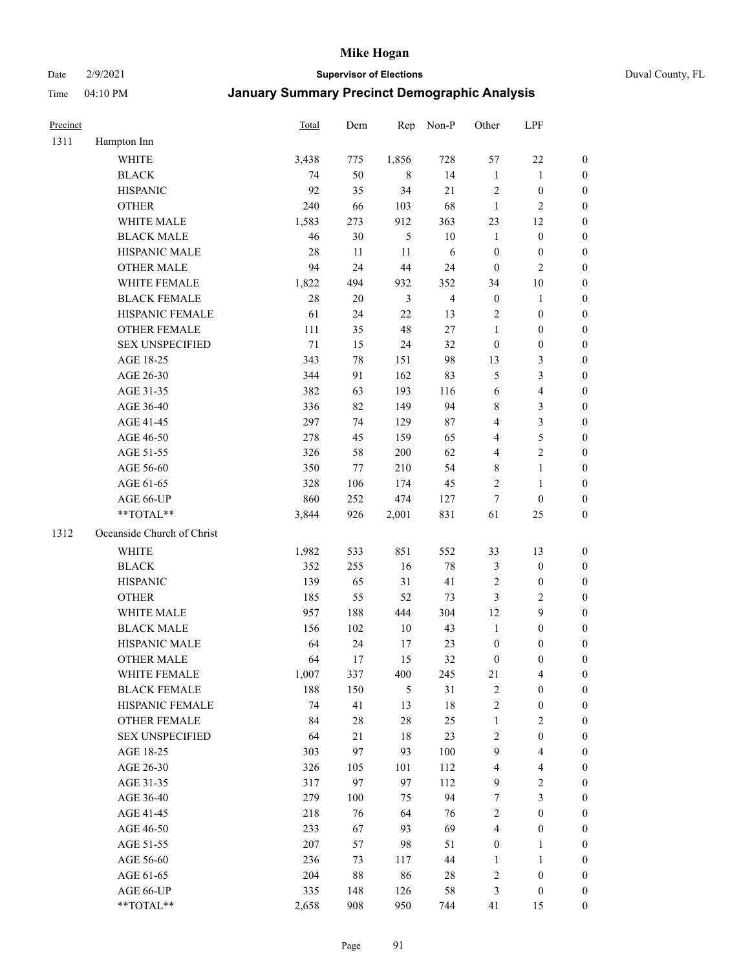Date 2/9/2021 **Supervisor of Elections** Duval County, FL

| Precinct |                            | <b>Total</b> | Dem    | Rep            | Non-P          | Other                   | LPF                     |                  |
|----------|----------------------------|--------------|--------|----------------|----------------|-------------------------|-------------------------|------------------|
| 1311     | Hampton Inn                |              |        |                |                |                         |                         |                  |
|          | <b>WHITE</b>               | 3,438        | 775    | 1,856          | 728            | 57                      | $22\,$                  | 0                |
|          | <b>BLACK</b>               | 74           | 50     | 8              | 14             | $\mathbf{1}$            | $\mathbf{1}$            | 0                |
|          | <b>HISPANIC</b>            | 92           | 35     | 34             | 21             | $\mathbf{2}$            | $\boldsymbol{0}$        | $\boldsymbol{0}$ |
|          | <b>OTHER</b>               | 240          | 66     | 103            | 68             | $\mathbf{1}$            | $\mathbf{2}$            | $\boldsymbol{0}$ |
|          | WHITE MALE                 | 1,583        | 273    | 912            | 363            | 23                      | 12                      | $\boldsymbol{0}$ |
|          | <b>BLACK MALE</b>          | 46           | 30     | 5              | 10             | $\mathbf{1}$            | $\boldsymbol{0}$        | $\boldsymbol{0}$ |
|          | HISPANIC MALE              | 28           | 11     | 11             | 6              | $\boldsymbol{0}$        | $\boldsymbol{0}$        | $\boldsymbol{0}$ |
|          | <b>OTHER MALE</b>          | 94           | 24     | 44             | 24             | $\boldsymbol{0}$        | $\overline{2}$          | $\boldsymbol{0}$ |
|          | WHITE FEMALE               | 1,822        | 494    | 932            | 352            | 34                      | $10\,$                  | $\boldsymbol{0}$ |
|          | <b>BLACK FEMALE</b>        | 28           | 20     | $\mathfrak{Z}$ | $\overline{4}$ | $\boldsymbol{0}$        | $\mathbf{1}$            | 0                |
|          | HISPANIC FEMALE            | 61           | 24     | 22             | 13             | $\sqrt{2}$              | $\boldsymbol{0}$        | 0                |
|          | <b>OTHER FEMALE</b>        | 111          | 35     | 48             | $27\,$         | $\mathbf{1}$            | $\boldsymbol{0}$        | $\boldsymbol{0}$ |
|          | <b>SEX UNSPECIFIED</b>     | 71           | 15     | 24             | 32             | $\boldsymbol{0}$        | $\boldsymbol{0}$        | $\boldsymbol{0}$ |
|          | AGE 18-25                  | 343          | $78\,$ | 151            | 98             | 13                      | $\mathfrak{Z}$          | $\boldsymbol{0}$ |
|          | AGE 26-30                  | 344          | 91     | 162            | 83             | 5                       | $\mathfrak{Z}$          | $\boldsymbol{0}$ |
|          | AGE 31-35                  | 382          | 63     | 193            | 116            | 6                       | $\overline{\mathbf{4}}$ | $\boldsymbol{0}$ |
|          | AGE 36-40                  | 336          | 82     | 149            | 94             | 8                       | $\mathfrak{Z}$          | $\boldsymbol{0}$ |
|          | AGE 41-45                  | 297          | 74     | 129            | 87             | 4                       | $\mathfrak{Z}$          | $\boldsymbol{0}$ |
|          | AGE 46-50                  | 278          | 45     | 159            | 65             | 4                       | $\mathfrak s$           | $\boldsymbol{0}$ |
|          | AGE 51-55                  | 326          | 58     | 200            | 62             | 4                       | $\sqrt{2}$              | 0                |
|          | AGE 56-60                  | 350          | 77     | 210            | 54             | 8                       | $\mathbf{1}$            | 0                |
|          | AGE 61-65                  | 328          | 106    | 174            | 45             | 2                       | $\mathbf{1}$            | 0                |
|          | AGE 66-UP                  | 860          | 252    | 474            | 127            | $\tau$                  | $\boldsymbol{0}$        | $\boldsymbol{0}$ |
|          | **TOTAL**                  | 3,844        | 926    | 2,001          | 831            | 61                      | 25                      | $\boldsymbol{0}$ |
| 1312     | Oceanside Church of Christ |              |        |                |                |                         |                         |                  |
|          | <b>WHITE</b>               | 1,982        | 533    | 851            | 552            | 33                      | 13                      | $\boldsymbol{0}$ |
|          | <b>BLACK</b>               | 352          | 255    | 16             | $78\,$         | 3                       | $\boldsymbol{0}$        | $\boldsymbol{0}$ |
|          | <b>HISPANIC</b>            | 139          | 65     | 31             | 41             | $\sqrt{2}$              | $\boldsymbol{0}$        | $\boldsymbol{0}$ |
|          | <b>OTHER</b>               | 185          | 55     | 52             | 73             | 3                       | $\sqrt{2}$              | $\boldsymbol{0}$ |
|          | WHITE MALE                 | 957          | 188    | 444            | 304            | 12                      | 9                       | $\boldsymbol{0}$ |
|          | <b>BLACK MALE</b>          | 156          | 102    | $10\,$         | 43             | $\mathbf{1}$            | $\boldsymbol{0}$        | $\boldsymbol{0}$ |
|          | HISPANIC MALE              | 64           | 24     | 17             | 23             | $\boldsymbol{0}$        | $\boldsymbol{0}$        | $\boldsymbol{0}$ |
|          | <b>OTHER MALE</b>          | 64           | 17     | 15             | 32             | $\boldsymbol{0}$        | $\boldsymbol{0}$        | $\boldsymbol{0}$ |
|          | WHITE FEMALE               | 1,007        | 337    | 400            | 245            | 21                      | 4                       | 0                |
|          | <b>BLACK FEMALE</b>        | 188          | 150    | $\mathfrak{S}$ | 31             | 2                       | $\boldsymbol{0}$        | $\boldsymbol{0}$ |
|          | HISPANIC FEMALE            | 74           | 41     | 13             | $18\,$         | $\overline{c}$          | $\boldsymbol{0}$        | $\overline{0}$   |
|          | <b>OTHER FEMALE</b>        | 84           | $28\,$ | 28             | 25             | $\mathbf{1}$            | $\sqrt{2}$              | 0                |
|          | <b>SEX UNSPECIFIED</b>     | 64           | 21     | 18             | 23             | 2                       | $\boldsymbol{0}$        | 0                |
|          | AGE 18-25                  | 303          | 97     | 93             | 100            | 9                       | $\overline{\mathbf{4}}$ | 0                |
|          | AGE 26-30                  | 326          | 105    | 101            | 112            | $\overline{\mathbf{4}}$ | $\overline{\mathbf{4}}$ | 0                |
|          | AGE 31-35                  | 317          | 97     | 97             | 112            | 9                       | $\sqrt{2}$              | 0                |
|          | AGE 36-40                  | 279          | 100    | 75             | 94             | 7                       | $\mathfrak{Z}$          | 0                |
|          | AGE 41-45                  | 218          | 76     | 64             | 76             | 2                       | $\boldsymbol{0}$        | 0                |
|          | AGE 46-50                  | 233          | 67     | 93             | 69             | 4                       | $\boldsymbol{0}$        | 0                |
|          | AGE 51-55                  | 207          | 57     | 98             | 51             | $\boldsymbol{0}$        | $\mathbf{1}$            | 0                |
|          | AGE 56-60                  | 236          | 73     | 117            | 44             | 1                       | 1                       | 0                |
|          | AGE 61-65                  | 204          | $88\,$ | 86             | 28             | 2                       | $\boldsymbol{0}$        | 0                |
|          | AGE 66-UP                  | 335          | 148    | 126            | 58             | 3                       | $\boldsymbol{0}$        | 0                |
|          | **TOTAL**                  | 2,658        | 908    | 950            | 744            | 41                      | 15                      | $\boldsymbol{0}$ |
|          |                            |              |        |                |                |                         |                         |                  |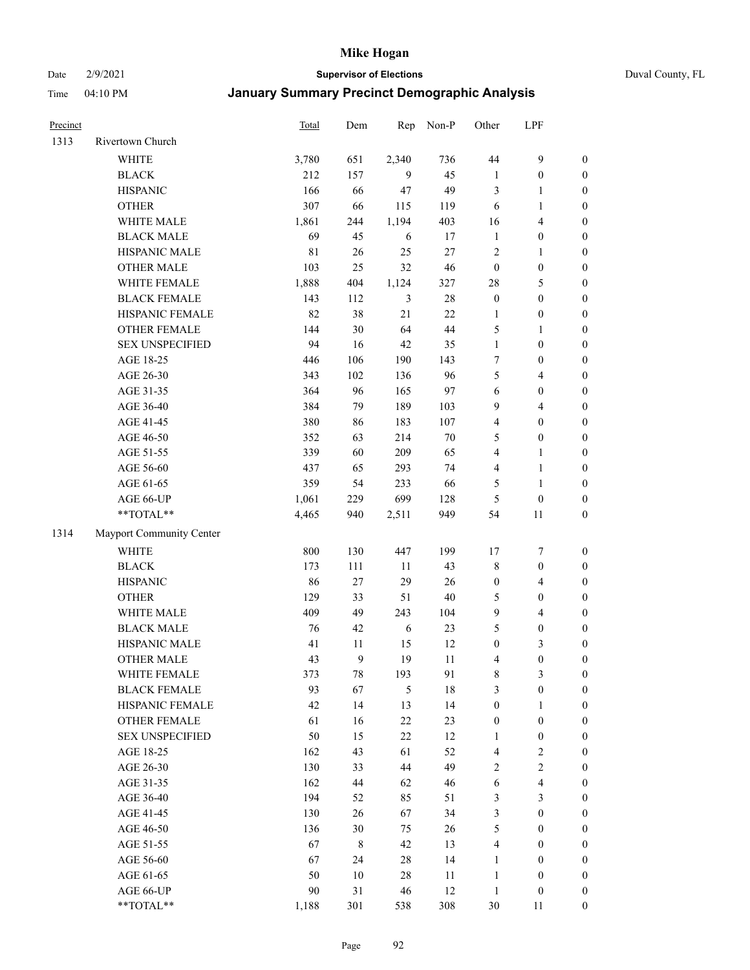#### Date 2/9/2021 **Supervisor of Elections** Duval County, FL

| Precinct |                          | <b>Total</b> | Dem    | Rep        | Non-P  | Other            | LPF              |                  |
|----------|--------------------------|--------------|--------|------------|--------|------------------|------------------|------------------|
| 1313     | Rivertown Church         |              |        |            |        |                  |                  |                  |
|          | <b>WHITE</b>             | 3,780        | 651    | 2,340      | 736    | 44               | $\boldsymbol{9}$ | 0                |
|          | <b>BLACK</b>             | 212          | 157    | 9          | 45     | $\mathbf{1}$     | $\boldsymbol{0}$ | $\boldsymbol{0}$ |
|          | <b>HISPANIC</b>          | 166          | 66     | 47         | 49     | 3                | 1                | $\boldsymbol{0}$ |
|          | <b>OTHER</b>             | 307          | 66     | 115        | 119    | 6                | $\mathbf{1}$     | $\boldsymbol{0}$ |
|          | WHITE MALE               | 1,861        | 244    | 1,194      | 403    | 16               | $\overline{4}$   | $\boldsymbol{0}$ |
|          | <b>BLACK MALE</b>        | 69           | 45     | 6          | 17     | $\mathbf{1}$     | $\boldsymbol{0}$ | $\boldsymbol{0}$ |
|          | HISPANIC MALE            | 81           | 26     | 25         | $27\,$ | 2                | $\mathbf{1}$     | $\boldsymbol{0}$ |
|          | <b>OTHER MALE</b>        | 103          | 25     | 32         | 46     | $\boldsymbol{0}$ | $\boldsymbol{0}$ | $\boldsymbol{0}$ |
|          | WHITE FEMALE             | 1,888        | 404    | 1,124      | 327    | 28               | $\mathfrak s$    | $\boldsymbol{0}$ |
|          | <b>BLACK FEMALE</b>      | 143          | 112    | 3          | $28\,$ | $\boldsymbol{0}$ | $\boldsymbol{0}$ | $\boldsymbol{0}$ |
|          | HISPANIC FEMALE          | 82           | 38     | 21         | 22     | $\mathbf{1}$     | $\boldsymbol{0}$ | 0                |
|          | <b>OTHER FEMALE</b>      | 144          | $30\,$ | 64         | 44     | 5                | $\mathbf{1}$     | $\boldsymbol{0}$ |
|          | <b>SEX UNSPECIFIED</b>   | 94           | 16     | 42         | 35     | $\mathbf{1}$     | $\boldsymbol{0}$ | $\boldsymbol{0}$ |
|          | AGE 18-25                | 446          | 106    | 190        | 143    | 7                | $\boldsymbol{0}$ | $\boldsymbol{0}$ |
|          | AGE 26-30                | 343          | 102    | 136        | 96     | 5                | $\overline{4}$   | $\boldsymbol{0}$ |
|          | AGE 31-35                | 364          | 96     | 165        | 97     | 6                | $\boldsymbol{0}$ | $\boldsymbol{0}$ |
|          | AGE 36-40                | 384          | 79     | 189        | 103    | 9                | $\overline{4}$   | $\boldsymbol{0}$ |
|          | AGE 41-45                | 380          | 86     | 183        | 107    | 4                | $\boldsymbol{0}$ | $\boldsymbol{0}$ |
|          | AGE 46-50                | 352          | 63     | 214        | $70\,$ | 5                | $\boldsymbol{0}$ | $\boldsymbol{0}$ |
|          | AGE 51-55                | 339          | 60     | 209        | 65     | 4                | 1                | $\boldsymbol{0}$ |
|          | AGE 56-60                | 437          | 65     | 293        | 74     | 4                | $\mathbf{1}$     | 0                |
|          | AGE 61-65                | 359          | 54     | 233        | 66     | 5                | $\mathbf{1}$     | 0                |
|          | AGE 66-UP                | 1,061        | 229    | 699        | 128    | 5                | $\boldsymbol{0}$ | $\boldsymbol{0}$ |
|          | **TOTAL**                | 4,465        | 940    | 2,511      | 949    | 54               | 11               | $\boldsymbol{0}$ |
| 1314     | Mayport Community Center |              |        |            |        |                  |                  |                  |
|          | <b>WHITE</b>             | 800          | 130    | 447        | 199    | 17               | $\boldsymbol{7}$ | $\boldsymbol{0}$ |
|          | <b>BLACK</b>             | 173          | 111    | $11\,$     | 43     | 8                | $\boldsymbol{0}$ | $\boldsymbol{0}$ |
|          | <b>HISPANIC</b>          | 86           | $27\,$ | 29         | 26     | $\boldsymbol{0}$ | $\overline{4}$   | $\boldsymbol{0}$ |
|          | <b>OTHER</b>             | 129          | 33     | 51         | $40\,$ | 5                | $\boldsymbol{0}$ | $\boldsymbol{0}$ |
|          | WHITE MALE               | 409          | 49     | 243        | 104    | 9                | $\overline{4}$   | $\boldsymbol{0}$ |
|          | <b>BLACK MALE</b>        | 76           | 42     | $\sqrt{6}$ | 23     | 5                | $\boldsymbol{0}$ | $\boldsymbol{0}$ |
|          | HISPANIC MALE            | 41           | 11     | 15         | 12     | $\boldsymbol{0}$ | $\mathfrak{Z}$   | $\boldsymbol{0}$ |
|          | <b>OTHER MALE</b>        | 43           | 9      | 19         | 11     | 4                | $\boldsymbol{0}$ | $\boldsymbol{0}$ |
|          | WHITE FEMALE             | 373          | 78     | 193        | 91     | 8                | 3                | 0                |
|          | <b>BLACK FEMALE</b>      | 93           | 67     | 5          | 18     | 3                | $\boldsymbol{0}$ | $\boldsymbol{0}$ |
|          | HISPANIC FEMALE          | 42           | 14     | 13         | 14     | $\boldsymbol{0}$ | 1                | $\overline{0}$   |
|          | OTHER FEMALE             | 61           | 16     | $22\,$     | 23     | $\boldsymbol{0}$ | $\boldsymbol{0}$ | 0                |
|          | <b>SEX UNSPECIFIED</b>   | 50           | 15     | 22         | 12     | $\mathbf{1}$     | $\boldsymbol{0}$ | 0                |
|          | AGE 18-25                | 162          | 43     | 61         | 52     | 4                | $\sqrt{2}$       | 0                |
|          | AGE 26-30                | 130          | 33     | 44         | 49     | $\overline{c}$   | $\sqrt{2}$       | 0                |
|          | AGE 31-35                | 162          | 44     | 62         | 46     | 6                | $\overline{4}$   | 0                |
|          | AGE 36-40                | 194          | 52     | 85         | 51     | 3                | $\mathfrak{Z}$   | 0                |
|          | AGE 41-45                | 130          | 26     | 67         | 34     | 3                | $\boldsymbol{0}$ | 0                |
|          | AGE 46-50                | 136          | 30     | 75         | 26     | 5                | $\boldsymbol{0}$ | 0                |
|          | AGE 51-55                | 67           | $8\,$  | 42         | 13     | 4                | $\boldsymbol{0}$ | 0                |
|          | AGE 56-60                | 67           | 24     | 28         | 14     | 1                | $\boldsymbol{0}$ | 0                |
|          | AGE 61-65                | 50           | 10     | $28\,$     | 11     | $\mathbf{1}$     | $\boldsymbol{0}$ | 0                |
|          | AGE 66-UP                | 90           | 31     | 46         | 12     | $\mathbf{1}$     | $\boldsymbol{0}$ | 0                |
|          | **TOTAL**                | 1,188        | 301    | 538        | 308    | 30               | 11               | $\boldsymbol{0}$ |
|          |                          |              |        |            |        |                  |                  |                  |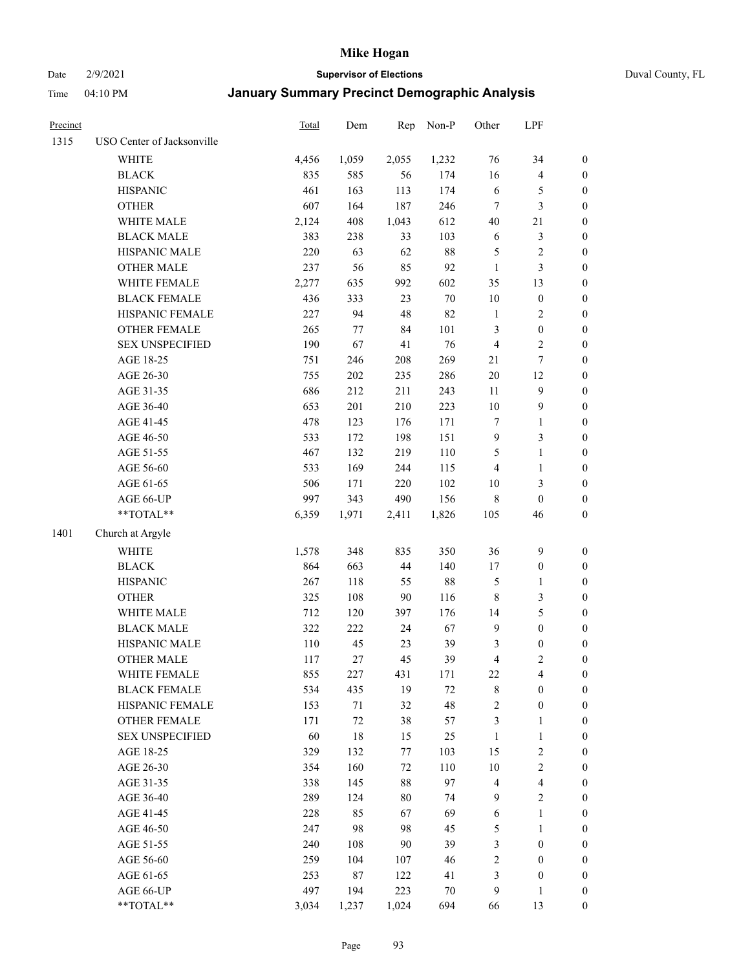# Date 2/9/2021 **Supervisor of Elections** Duval County, FL

| Precinct |                            | Total | Dem    | Rep    | Non-P  | Other            | LPF              |                  |
|----------|----------------------------|-------|--------|--------|--------|------------------|------------------|------------------|
| 1315     | USO Center of Jacksonville |       |        |        |        |                  |                  |                  |
|          | <b>WHITE</b>               | 4,456 | 1,059  | 2,055  | 1,232  | 76               | 34               | 0                |
|          | <b>BLACK</b>               | 835   | 585    | 56     | 174    | 16               | $\overline{4}$   | $\boldsymbol{0}$ |
|          | <b>HISPANIC</b>            | 461   | 163    | 113    | 174    | $\sqrt{6}$       | 5                | $\boldsymbol{0}$ |
|          | <b>OTHER</b>               | 607   | 164    | 187    | 246    | 7                | $\mathfrak{Z}$   | $\boldsymbol{0}$ |
|          | WHITE MALE                 | 2,124 | 408    | 1,043  | 612    | 40               | 21               | $\boldsymbol{0}$ |
|          | <b>BLACK MALE</b>          | 383   | 238    | 33     | 103    | 6                | $\mathfrak{Z}$   | $\boldsymbol{0}$ |
|          | HISPANIC MALE              | 220   | 63     | 62     | $88\,$ | 5                | $\sqrt{2}$       | $\boldsymbol{0}$ |
|          | <b>OTHER MALE</b>          | 237   | 56     | 85     | 92     | $\mathbf{1}$     | $\mathfrak{Z}$   | $\boldsymbol{0}$ |
|          | WHITE FEMALE               | 2,277 | 635    | 992    | 602    | 35               | 13               | $\boldsymbol{0}$ |
|          | <b>BLACK FEMALE</b>        | 436   | 333    | 23     | $70\,$ | $10\,$           | $\boldsymbol{0}$ | 0                |
|          | HISPANIC FEMALE            | 227   | 94     | 48     | 82     | $\mathbf{1}$     | $\sqrt{2}$       | 0                |
|          | OTHER FEMALE               | 265   | 77     | 84     | 101    | 3                | $\boldsymbol{0}$ | 0                |
|          | <b>SEX UNSPECIFIED</b>     | 190   | 67     | 41     | 76     | 4                | $\sqrt{2}$       | $\boldsymbol{0}$ |
|          | AGE 18-25                  | 751   | 246    | 208    | 269    | 21               | $\boldsymbol{7}$ | $\boldsymbol{0}$ |
|          | AGE 26-30                  | 755   | 202    | 235    | 286    | $20\,$           | 12               | $\boldsymbol{0}$ |
|          | AGE 31-35                  | 686   | 212    | 211    | 243    | 11               | $\boldsymbol{9}$ | $\boldsymbol{0}$ |
|          | AGE 36-40                  | 653   | 201    | 210    | 223    | $10\,$           | $\mathbf{9}$     | $\boldsymbol{0}$ |
|          | AGE 41-45                  | 478   | 123    | 176    | 171    | $\boldsymbol{7}$ | $\mathbf{1}$     | $\boldsymbol{0}$ |
|          | AGE 46-50                  | 533   | 172    | 198    | 151    | $\boldsymbol{9}$ | $\mathfrak{Z}$   | $\boldsymbol{0}$ |
|          | AGE 51-55                  | 467   | 132    | 219    | 110    | 5                | $\mathbf{1}$     | $\boldsymbol{0}$ |
|          | AGE 56-60                  | 533   | 169    | 244    | 115    | 4                | $\mathbf{1}$     | 0                |
|          | AGE 61-65                  | 506   | 171    | 220    | 102    | 10               | $\mathfrak{Z}$   | 0                |
|          | AGE 66-UP                  | 997   | 343    | 490    | 156    | 8                | $\boldsymbol{0}$ | $\boldsymbol{0}$ |
|          | $**TOTAL**$                | 6,359 | 1,971  | 2,411  | 1,826  | 105              | 46               | $\boldsymbol{0}$ |
| 1401     | Church at Argyle           |       |        |        |        |                  |                  |                  |
|          | <b>WHITE</b>               | 1,578 | 348    | 835    | 350    | 36               | $\mathbf{9}$     | $\boldsymbol{0}$ |
|          | <b>BLACK</b>               | 864   | 663    | 44     | 140    | 17               | $\boldsymbol{0}$ | $\boldsymbol{0}$ |
|          | <b>HISPANIC</b>            | 267   | 118    | 55     | $88\,$ | 5                | $\mathbf{1}$     | $\boldsymbol{0}$ |
|          | <b>OTHER</b>               | 325   | 108    | $90\,$ | 116    | 8                | 3                | $\boldsymbol{0}$ |
|          | WHITE MALE                 | 712   | 120    | 397    | 176    | 14               | $\mathfrak s$    | $\boldsymbol{0}$ |
|          | <b>BLACK MALE</b>          | 322   | 222    | 24     | 67     | $\mathbf{9}$     | $\boldsymbol{0}$ | $\boldsymbol{0}$ |
|          | HISPANIC MALE              | 110   | 45     | 23     | 39     | 3                | $\boldsymbol{0}$ | $\boldsymbol{0}$ |
|          | <b>OTHER MALE</b>          | 117   | 27     | 45     | 39     | 4                | $\mathfrak{2}$   | $\boldsymbol{0}$ |
|          | WHITE FEMALE               | 855   | 227    | 431    | 171    | 22               | 4                | 0                |
|          | <b>BLACK FEMALE</b>        | 534   | 435    | 19     | 72     | 8                | $\boldsymbol{0}$ | $\boldsymbol{0}$ |
|          | HISPANIC FEMALE            | 153   | $71\,$ | 32     | 48     | $\overline{c}$   | $\boldsymbol{0}$ | $\overline{0}$   |
|          | <b>OTHER FEMALE</b>        | 171   | $72\,$ | 38     | 57     | 3                | $\mathbf{1}$     | $\overline{0}$   |
|          | <b>SEX UNSPECIFIED</b>     | 60    | 18     | 15     | 25     | $\mathbf{1}$     | $\mathbf{1}$     | 0                |
|          | AGE 18-25                  | 329   | 132    | 77     | 103    | 15               | $\sqrt{2}$       | 0                |
|          | AGE 26-30                  | 354   | 160    | 72     | 110    | $10\,$           | $\sqrt{2}$       | 0                |
|          | AGE 31-35                  | 338   | 145    | 88     | 97     | 4                | $\overline{4}$   | 0                |
|          | AGE 36-40                  | 289   | 124    | $80\,$ | 74     | 9                | $\sqrt{2}$       | 0                |
|          | AGE 41-45                  | 228   | 85     | 67     | 69     | 6                | $\mathbf{1}$     | 0                |
|          | AGE 46-50                  | 247   | 98     | 98     | 45     | 5                | $\mathbf{1}$     | 0                |
|          | AGE 51-55                  | 240   | 108    | 90     | 39     | 3                | $\boldsymbol{0}$ | 0                |
|          | AGE 56-60                  | 259   | 104    | 107    | 46     | $\overline{c}$   | $\boldsymbol{0}$ | 0                |
|          | AGE 61-65                  | 253   | $87\,$ | 122    | 41     | 3                | $\boldsymbol{0}$ | $\overline{0}$   |
|          | AGE 66-UP                  | 497   | 194    | 223    | $70\,$ | 9                | $\mathbf{1}$     | 0                |
|          | **TOTAL**                  | 3,034 | 1,237  | 1,024  | 694    | 66               | 13               | $\boldsymbol{0}$ |
|          |                            |       |        |        |        |                  |                  |                  |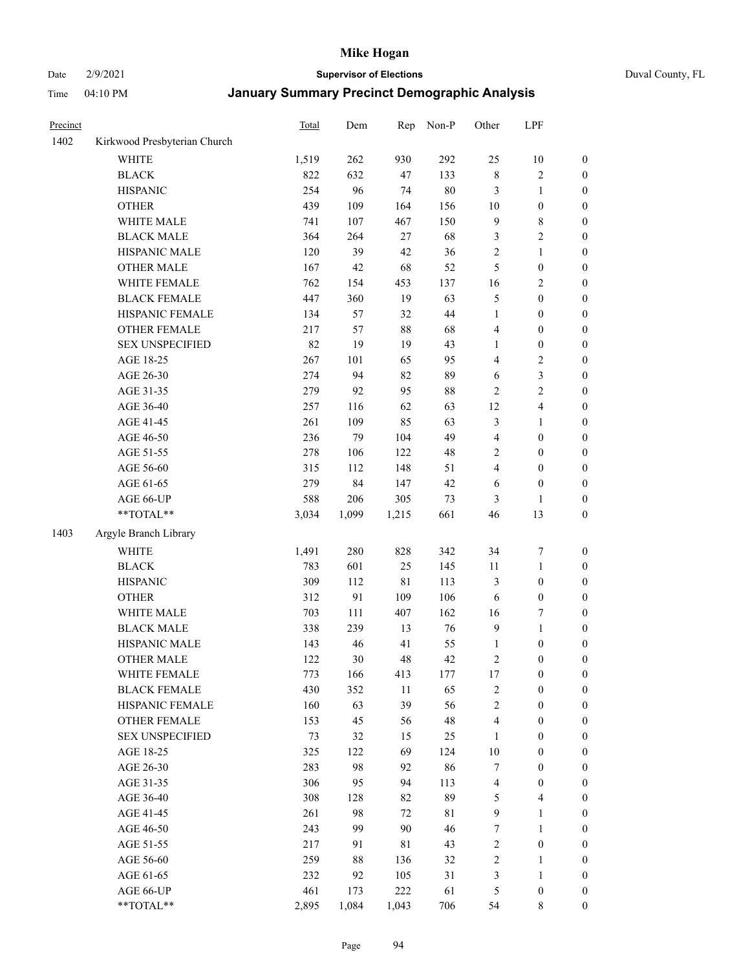Date 2/9/2021 **Supervisor of Elections** Duval County, FL

| Precinct |                              | Total | Dem       | Rep   | Non-P | Other            | LPF              |                                      |
|----------|------------------------------|-------|-----------|-------|-------|------------------|------------------|--------------------------------------|
| 1402     | Kirkwood Presbyterian Church |       |           |       |       |                  |                  |                                      |
|          | <b>WHITE</b>                 | 1,519 | 262       | 930   | 292   | 25               | 10               | 0                                    |
|          | <b>BLACK</b>                 | 822   | 632       | 47    | 133   | $\,$ 8 $\,$      | $\sqrt{2}$       | 0                                    |
|          | <b>HISPANIC</b>              | 254   | 96        | 74    | 80    | 3                | $\mathbf{1}$     | $\boldsymbol{0}$                     |
|          | <b>OTHER</b>                 | 439   | 109       | 164   | 156   | $10\,$           | $\boldsymbol{0}$ | $\boldsymbol{0}$                     |
|          | WHITE MALE                   | 741   | 107       | 467   | 150   | 9                | $\,$ 8 $\,$      | $\boldsymbol{0}$                     |
|          | <b>BLACK MALE</b>            | 364   | 264       | 27    | 68    | 3                | $\sqrt{2}$       | $\boldsymbol{0}$                     |
|          | HISPANIC MALE                | 120   | 39        | 42    | 36    | $\overline{c}$   | $\mathbf{1}$     | $\boldsymbol{0}$                     |
|          | <b>OTHER MALE</b>            | 167   | 42        | 68    | 52    | 5                | $\boldsymbol{0}$ | $\boldsymbol{0}$                     |
|          | WHITE FEMALE                 | 762   | 154       | 453   | 137   | 16               | $\sqrt{2}$       | $\boldsymbol{0}$                     |
|          | <b>BLACK FEMALE</b>          | 447   | 360       | 19    | 63    | 5                | $\boldsymbol{0}$ | $\boldsymbol{0}$                     |
|          | HISPANIC FEMALE              | 134   | 57        | 32    | 44    | $\mathbf{1}$     | $\boldsymbol{0}$ | $\boldsymbol{0}$                     |
|          | OTHER FEMALE                 | 217   | 57        | 88    | 68    | 4                | $\boldsymbol{0}$ | $\boldsymbol{0}$                     |
|          | <b>SEX UNSPECIFIED</b>       | 82    | 19        | 19    | 43    | $\mathbf{1}$     | $\boldsymbol{0}$ | $\boldsymbol{0}$                     |
|          | AGE 18-25                    | 267   | 101       | 65    | 95    | 4                | $\sqrt{2}$       | $\boldsymbol{0}$                     |
|          | AGE 26-30                    | 274   | 94        | 82    | 89    | 6                | 3                | $\boldsymbol{0}$                     |
|          | AGE 31-35                    | 279   | 92        | 95    | 88    | $\overline{c}$   | $\sqrt{2}$       | $\boldsymbol{0}$                     |
|          | AGE 36-40                    | 257   | 116       | 62    | 63    | 12               | $\overline{4}$   | $\boldsymbol{0}$                     |
|          | AGE 41-45                    | 261   | 109       | 85    | 63    | 3                | $\mathbf{1}$     | $\boldsymbol{0}$                     |
|          | AGE 46-50                    | 236   | 79        | 104   | 49    | 4                | $\boldsymbol{0}$ | $\boldsymbol{0}$                     |
|          | AGE 51-55                    | 278   | 106       | 122   | 48    | 2                | $\boldsymbol{0}$ | $\boldsymbol{0}$                     |
|          | AGE 56-60                    | 315   |           | 148   | 51    | 4                | $\boldsymbol{0}$ |                                      |
|          | AGE 61-65                    | 279   | 112<br>84 | 147   | 42    | 6                | $\boldsymbol{0}$ | 0<br>$\boldsymbol{0}$                |
|          |                              | 588   | 206       | 305   | 73    |                  |                  |                                      |
|          | AGE 66-UP<br>$**TOTAL**$     | 3,034 | 1,099     | 1,215 | 661   | 3<br>46          | 1<br>13          | $\boldsymbol{0}$<br>$\boldsymbol{0}$ |
|          |                              |       |           |       |       |                  |                  |                                      |
| 1403     | Argyle Branch Library        |       |           |       |       |                  |                  |                                      |
|          | <b>WHITE</b>                 | 1,491 | 280       | 828   | 342   | 34               | $\boldsymbol{7}$ | $\boldsymbol{0}$                     |
|          | <b>BLACK</b>                 | 783   | 601       | 25    | 145   | 11               | $\mathbf{1}$     | $\boldsymbol{0}$                     |
|          | <b>HISPANIC</b>              | 309   | 112       | 81    | 113   | 3                | $\boldsymbol{0}$ | $\boldsymbol{0}$                     |
|          | <b>OTHER</b>                 | 312   | 91        | 109   | 106   | 6                | $\boldsymbol{0}$ | $\boldsymbol{0}$                     |
|          | WHITE MALE                   | 703   | 111       | 407   | 162   | 16               | $\boldsymbol{7}$ | $\boldsymbol{0}$                     |
|          | <b>BLACK MALE</b>            | 338   | 239       | 13    | 76    | $\boldsymbol{9}$ | $\mathbf{1}$     | $\boldsymbol{0}$                     |
|          | HISPANIC MALE                | 143   | 46        | 41    | 55    | $\mathbf{1}$     | $\boldsymbol{0}$ | 0                                    |
|          | <b>OTHER MALE</b>            | 122   | 30        | 48    | 42    | 2                | $\boldsymbol{0}$ | $\boldsymbol{0}$                     |
|          | WHITE FEMALE                 | 773   | 166       | 413   | 177   | 17               | 0                | 0                                    |
|          | <b>BLACK FEMALE</b>          | 430   | 352       | 11    | 65    | 2                | $\boldsymbol{0}$ | $\overline{0}$                       |
|          | HISPANIC FEMALE              | 160   | 63        | 39    | 56    | $\overline{c}$   | $\boldsymbol{0}$ | $\overline{0}$                       |
|          | OTHER FEMALE                 | 153   | 45        | 56    | 48    | 4                | $\boldsymbol{0}$ | $\overline{0}$                       |
|          | <b>SEX UNSPECIFIED</b>       | 73    | 32        | 15    | 25    | $\mathbf{1}$     | $\boldsymbol{0}$ | 0                                    |
|          | AGE 18-25                    | 325   | 122       | 69    | 124   | 10               | $\boldsymbol{0}$ | 0                                    |
|          | AGE 26-30                    | 283   | 98        | 92    | 86    | 7                | $\boldsymbol{0}$ | 0                                    |
|          | AGE 31-35                    | 306   | 95        | 94    | 113   | 4                | $\boldsymbol{0}$ | 0                                    |
|          | AGE 36-40                    | 308   | 128       | 82    | 89    | 5                | $\overline{4}$   | 0                                    |
|          | AGE 41-45                    | 261   | 98        | 72    | 81    | 9                | $\mathbf{1}$     | 0                                    |
|          | AGE 46-50                    | 243   | 99        | 90    | 46    | 7                | $\mathbf{1}$     | 0                                    |
|          | AGE 51-55                    | 217   | 91        | 81    | 43    | 2                | $\boldsymbol{0}$ | 0                                    |
|          | AGE 56-60                    | 259   | 88        | 136   | 32    | 2                | 1                | 0                                    |
|          | AGE 61-65                    | 232   | 92        | 105   | 31    | 3                | $\mathbf{1}$     | 0                                    |
|          | AGE 66-UP                    | 461   | 173       | 222   | 61    | 5                | $\boldsymbol{0}$ | 0                                    |
|          | **TOTAL**                    | 2,895 | 1,084     | 1,043 | 706   | 54               | 8                | $\boldsymbol{0}$                     |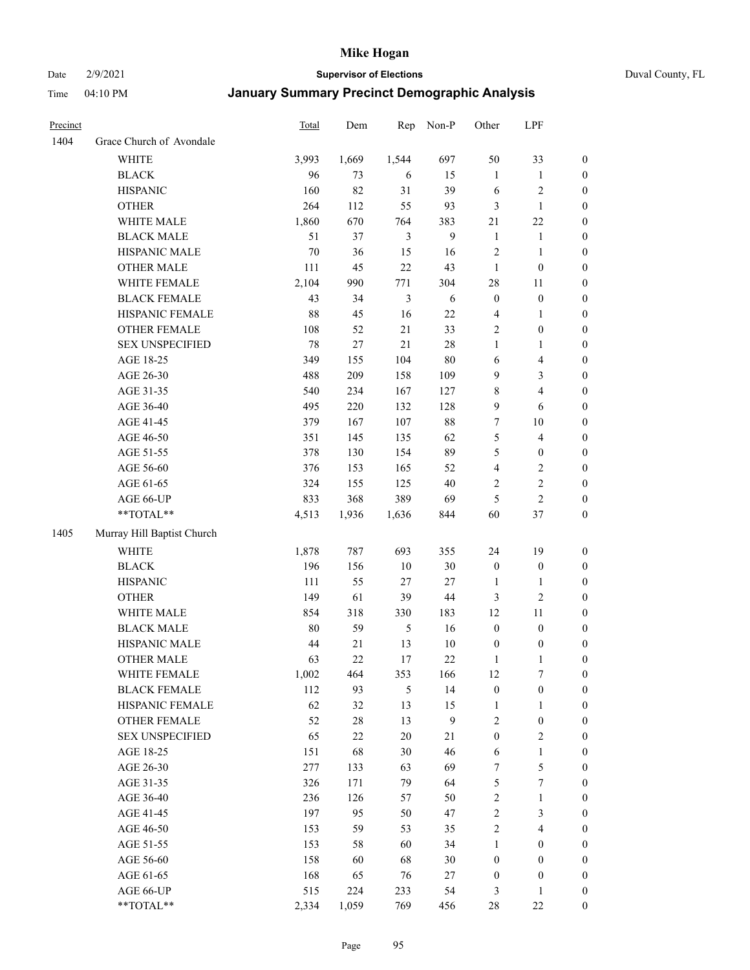Date 2/9/2021 **Supervisor of Elections** Duval County, FL

| Precinct |                            | <b>Total</b> | Dem    | Rep            | Non-P        | Other                   | LPF              |                  |
|----------|----------------------------|--------------|--------|----------------|--------------|-------------------------|------------------|------------------|
| 1404     | Grace Church of Avondale   |              |        |                |              |                         |                  |                  |
|          | <b>WHITE</b>               | 3,993        | 1,669  | 1,544          | 697          | 50                      | 33               | 0                |
|          | <b>BLACK</b>               | 96           | 73     | 6              | 15           | $\mathbf{1}$            | $\mathbf{1}$     | $\boldsymbol{0}$ |
|          | <b>HISPANIC</b>            | 160          | 82     | 31             | 39           | 6                       | $\sqrt{2}$       | $\boldsymbol{0}$ |
|          | <b>OTHER</b>               | 264          | 112    | 55             | 93           | 3                       | $\mathbf{1}$     | $\boldsymbol{0}$ |
|          | WHITE MALE                 | 1,860        | 670    | 764            | 383          | 21                      | $22\,$           | $\boldsymbol{0}$ |
|          | <b>BLACK MALE</b>          | 51           | 37     | 3              | 9            | $\mathbf{1}$            | 1                | $\boldsymbol{0}$ |
|          | HISPANIC MALE              | 70           | 36     | 15             | 16           | 2                       | $\mathbf{1}$     | $\boldsymbol{0}$ |
|          | <b>OTHER MALE</b>          | 111          | 45     | 22             | 43           | $\mathbf{1}$            | $\boldsymbol{0}$ | $\boldsymbol{0}$ |
|          | WHITE FEMALE               | 2,104        | 990    | 771            | 304          | 28                      | 11               | $\boldsymbol{0}$ |
|          | <b>BLACK FEMALE</b>        | 43           | 34     | $\mathfrak{Z}$ | 6            | $\boldsymbol{0}$        | $\boldsymbol{0}$ | 0                |
|          | HISPANIC FEMALE            | $88\,$       | 45     | 16             | 22           | 4                       | $\mathbf{1}$     | 0                |
|          | OTHER FEMALE               | 108          | 52     | 21             | 33           | $\overline{c}$          | $\boldsymbol{0}$ | $\boldsymbol{0}$ |
|          | <b>SEX UNSPECIFIED</b>     | 78           | 27     | 21             | $28\,$       | $\mathbf{1}$            | $\mathbf{1}$     | $\boldsymbol{0}$ |
|          | AGE 18-25                  | 349          | 155    | 104            | $80\,$       | $\sqrt{6}$              | $\overline{4}$   | $\boldsymbol{0}$ |
|          | AGE 26-30                  | 488          | 209    | 158            | 109          | 9                       | $\mathfrak{Z}$   | $\boldsymbol{0}$ |
|          | AGE 31-35                  | 540          | 234    | 167            | 127          | 8                       | $\overline{4}$   | $\boldsymbol{0}$ |
|          | AGE 36-40                  | 495          | 220    | 132            | 128          | 9                       | 6                | $\boldsymbol{0}$ |
|          | AGE 41-45                  | 379          | 167    | 107            | $88\,$       | $\boldsymbol{7}$        | 10               | $\boldsymbol{0}$ |
|          | AGE 46-50                  | 351          | 145    | 135            | 62           | 5                       | $\overline{4}$   | $\boldsymbol{0}$ |
|          | AGE 51-55                  | 378          | 130    | 154            | 89           | 5                       | $\boldsymbol{0}$ | $\boldsymbol{0}$ |
|          | AGE 56-60                  | 376          | 153    | 165            | 52           | $\overline{\mathbf{4}}$ | $\sqrt{2}$       | 0                |
|          | AGE 61-65                  | 324          | 155    | 125            | 40           | 2                       | $\sqrt{2}$       | $\boldsymbol{0}$ |
|          | AGE 66-UP                  | 833          | 368    | 389            | 69           | 5                       | $\mathbf{2}$     | $\boldsymbol{0}$ |
|          | $**TOTAL**$                | 4,513        | 1,936  | 1,636          | 844          | 60                      | $37\,$           | $\boldsymbol{0}$ |
| 1405     | Murray Hill Baptist Church |              |        |                |              |                         |                  |                  |
|          | <b>WHITE</b>               | 1,878        | 787    | 693            | 355          | 24                      | 19               | $\boldsymbol{0}$ |
|          | <b>BLACK</b>               | 196          | 156    | $10\,$         | $30\,$       | $\boldsymbol{0}$        | $\boldsymbol{0}$ | $\boldsymbol{0}$ |
|          | <b>HISPANIC</b>            | 111          | 55     | 27             | $27\,$       | $\mathbf{1}$            | $\mathbf{1}$     | $\boldsymbol{0}$ |
|          | <b>OTHER</b>               | 149          | 61     | 39             | $44\,$       | 3                       | $\overline{2}$   | $\boldsymbol{0}$ |
|          | WHITE MALE                 | 854          | 318    | 330            | 183          | 12                      | 11               | $\boldsymbol{0}$ |
|          | <b>BLACK MALE</b>          | $80\,$       | 59     | $\mathfrak{H}$ | 16           | $\boldsymbol{0}$        | $\boldsymbol{0}$ | $\boldsymbol{0}$ |
|          | HISPANIC MALE              | 44           | 21     | 13             | $10\,$       | $\boldsymbol{0}$        | $\boldsymbol{0}$ | 0                |
|          | <b>OTHER MALE</b>          | 63           | 22     | 17             | 22           | $\mathbf{1}$            | $\mathbf{1}$     | $\boldsymbol{0}$ |
|          | WHITE FEMALE               | 1,002        | 464    | 353            | 166          | 12                      | 7                | 0                |
|          | <b>BLACK FEMALE</b>        | 112          | 93     | 5              | 14           | $\boldsymbol{0}$        | $\boldsymbol{0}$ | $\overline{0}$   |
|          | HISPANIC FEMALE            | 62           | 32     | 13             | 15           | $\mathbf{1}$            | $\mathbf{1}$     | $\overline{0}$   |
|          | <b>OTHER FEMALE</b>        | 52           | $28\,$ | 13             | $\mathbf{9}$ | 2                       | $\boldsymbol{0}$ | 0                |
|          | <b>SEX UNSPECIFIED</b>     | 65           | $22\,$ | $20\,$         | 21           | $\boldsymbol{0}$        | $\mathfrak{2}$   | 0                |
|          | AGE 18-25                  | 151          | 68     | 30             | 46           | 6                       | $\mathbf{1}$     | 0                |
|          | AGE 26-30                  | 277          | 133    | 63             | 69           | 7                       | $\mathfrak s$    | 0                |
|          | AGE 31-35                  | 326          | 171    | 79             | 64           | 5                       | $\boldsymbol{7}$ | 0                |
|          | AGE 36-40                  | 236          | 126    | 57             | 50           | $\overline{\mathbf{c}}$ | $\mathbf{1}$     | 0                |
|          | AGE 41-45                  | 197          | 95     | 50             | 47           | $\overline{c}$          | $\mathfrak{Z}$   | 0                |
|          | AGE 46-50                  | 153          | 59     | 53             | 35           | 2                       | $\overline{4}$   | 0                |
|          | AGE 51-55                  | 153          | 58     | 60             | 34           | $\mathbf{1}$            | $\boldsymbol{0}$ | 0                |
|          | AGE 56-60                  | 158          | 60     | 68             | $30\,$       | $\boldsymbol{0}$        | $\boldsymbol{0}$ | $\overline{0}$   |
|          | AGE 61-65                  | 168          | 65     | 76             | 27           | $\boldsymbol{0}$        | $\boldsymbol{0}$ | $\overline{0}$   |
|          | AGE 66-UP                  | 515          | 224    | 233            | 54           | 3                       | $\mathbf{1}$     | 0                |
|          | **TOTAL**                  | 2,334        | 1,059  | 769            | 456          | 28                      | $22\,$           | $\boldsymbol{0}$ |
|          |                            |              |        |                |              |                         |                  |                  |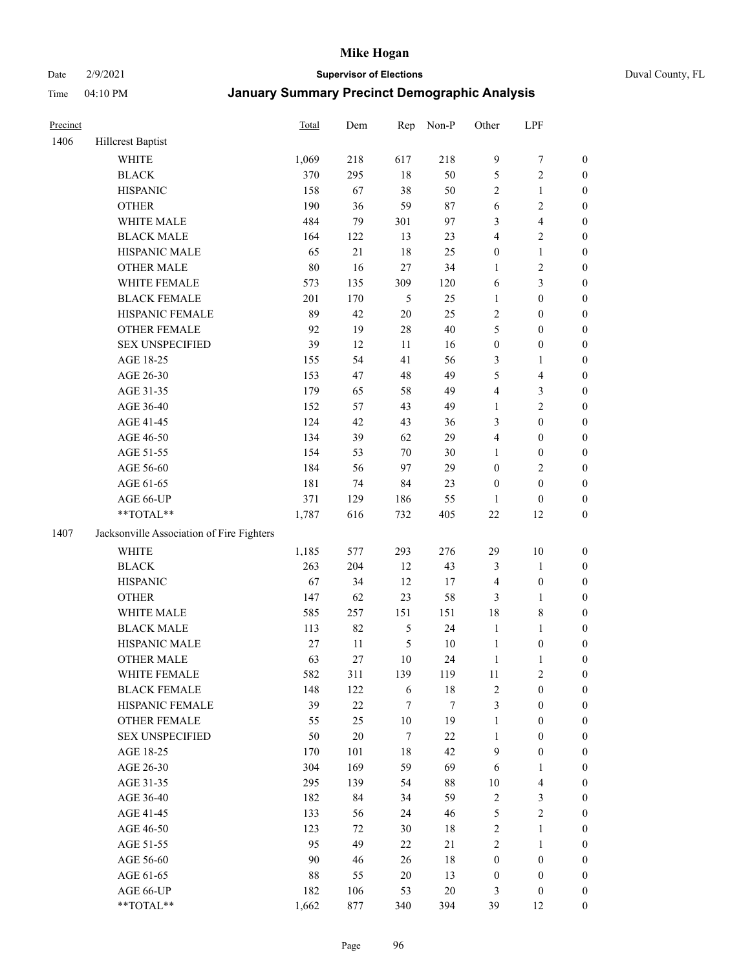#### Date 2/9/2021 **Supervisor of Elections** Duval County, FL

| Precinct |                                           | Total  | Dem    | Rep              | Non-P  | Other            | LPF              |                  |
|----------|-------------------------------------------|--------|--------|------------------|--------|------------------|------------------|------------------|
| 1406     | <b>Hillcrest Baptist</b>                  |        |        |                  |        |                  |                  |                  |
|          | <b>WHITE</b>                              | 1,069  | 218    | 617              | 218    | $\boldsymbol{9}$ | $\tau$           | $\boldsymbol{0}$ |
|          | <b>BLACK</b>                              | 370    | 295    | 18               | 50     | 5                | $\sqrt{2}$       | 0                |
|          | <b>HISPANIC</b>                           | 158    | 67     | 38               | 50     | $\mathbf{2}$     | $\mathbf{1}$     | 0                |
|          | <b>OTHER</b>                              | 190    | 36     | 59               | 87     | 6                | $\sqrt{2}$       | $\boldsymbol{0}$ |
|          | WHITE MALE                                | 484    | 79     | 301              | 97     | 3                | $\overline{4}$   | $\boldsymbol{0}$ |
|          | <b>BLACK MALE</b>                         | 164    | 122    | 13               | 23     | 4                | $\sqrt{2}$       | $\boldsymbol{0}$ |
|          | HISPANIC MALE                             | 65     | $21\,$ | 18               | 25     | $\boldsymbol{0}$ | $\mathbf{1}$     | $\boldsymbol{0}$ |
|          | <b>OTHER MALE</b>                         | $80\,$ | 16     | 27               | 34     | $\mathbf{1}$     | $\sqrt{2}$       | $\boldsymbol{0}$ |
|          | WHITE FEMALE                              | 573    | 135    | 309              | 120    | 6                | 3                | $\boldsymbol{0}$ |
|          | <b>BLACK FEMALE</b>                       | 201    | 170    | $\mathfrak s$    | 25     | $\mathbf{1}$     | $\boldsymbol{0}$ | $\boldsymbol{0}$ |
|          | HISPANIC FEMALE                           | 89     | 42     | $20\,$           | 25     | $\mathbf{2}$     | $\boldsymbol{0}$ | $\boldsymbol{0}$ |
|          | OTHER FEMALE                              | 92     | 19     | 28               | 40     | 5                | $\boldsymbol{0}$ | 0                |
|          | <b>SEX UNSPECIFIED</b>                    | 39     | 12     | 11               | 16     | $\boldsymbol{0}$ | $\boldsymbol{0}$ | $\boldsymbol{0}$ |
|          | AGE 18-25                                 | 155    | 54     | 41               | 56     | 3                | 1                | $\boldsymbol{0}$ |
|          | AGE 26-30                                 | 153    | 47     | 48               | 49     | 5                | $\overline{4}$   | $\boldsymbol{0}$ |
|          | AGE 31-35                                 | 179    | 65     | 58               | 49     | 4                | $\mathfrak{Z}$   | $\boldsymbol{0}$ |
|          | AGE 36-40                                 | 152    | 57     | 43               | 49     | 1                | $\sqrt{2}$       | $\boldsymbol{0}$ |
|          | AGE 41-45                                 | 124    | 42     | 43               | 36     | 3                | $\boldsymbol{0}$ | $\boldsymbol{0}$ |
|          | AGE 46-50                                 | 134    | 39     | 62               | 29     | 4                | $\boldsymbol{0}$ | $\boldsymbol{0}$ |
|          | AGE 51-55                                 | 154    | 53     | $70\,$           | 30     | $\mathbf{1}$     | $\boldsymbol{0}$ | $\boldsymbol{0}$ |
|          | AGE 56-60                                 | 184    | 56     | 97               | 29     | $\boldsymbol{0}$ | $\sqrt{2}$       | $\boldsymbol{0}$ |
|          | AGE 61-65                                 | 181    | 74     | 84               | 23     | $\boldsymbol{0}$ | $\boldsymbol{0}$ | 0                |
|          | AGE 66-UP                                 | 371    | 129    | 186              | 55     | 1                | $\boldsymbol{0}$ | 0                |
|          | **TOTAL**                                 | 1,787  | 616    | 732              | 405    | 22               | 12               | $\boldsymbol{0}$ |
| 1407     | Jacksonville Association of Fire Fighters |        |        |                  |        |                  |                  |                  |
|          | <b>WHITE</b>                              | 1,185  | 577    | 293              | 276    | 29               | $10\,$           | $\boldsymbol{0}$ |
|          | <b>BLACK</b>                              | 263    | 204    | 12               | 43     | 3                | $\mathbf{1}$     | $\boldsymbol{0}$ |
|          | <b>HISPANIC</b>                           | 67     | 34     | 12               | 17     | 4                | $\boldsymbol{0}$ | $\boldsymbol{0}$ |
|          | <b>OTHER</b>                              | 147    | 62     | 23               | 58     | 3                | $\mathbf{1}$     | $\boldsymbol{0}$ |
|          | WHITE MALE                                | 585    | 257    | 151              | 151    | 18               | $\,$ 8 $\,$      | $\boldsymbol{0}$ |
|          | <b>BLACK MALE</b>                         | 113    | 82     | $\mathfrak s$    | 24     | $\,1$            | $\mathbf{1}$     | $\boldsymbol{0}$ |
|          | HISPANIC MALE                             | 27     | 11     | $\mathfrak s$    | $10\,$ | $\mathbf{1}$     | $\boldsymbol{0}$ | $\boldsymbol{0}$ |
|          | <b>OTHER MALE</b>                         | 63     | 27     | 10               | 24     | 1                | 1                | $\boldsymbol{0}$ |
|          | WHITE FEMALE                              | 582    | 311    | 139              | 119    | 11               | $\sqrt{2}$       | 0                |
|          | <b>BLACK FEMALE</b>                       | 148    | 122    | 6                | 18     | 2                | $\boldsymbol{0}$ | 0                |
|          | HISPANIC FEMALE                           | 39     | $22\,$ | 7                | $\tau$ | 3                | $\boldsymbol{0}$ | 0                |
|          | <b>OTHER FEMALE</b>                       | 55     | 25     | $10\,$           | 19     | $\mathbf{1}$     | $\boldsymbol{0}$ | 0                |
|          | <b>SEX UNSPECIFIED</b>                    | 50     | 20     | $\boldsymbol{7}$ | 22     | $\mathbf{1}$     | $\boldsymbol{0}$ | $\overline{0}$   |
|          | AGE 18-25                                 | 170    | 101    | 18               | 42     | 9                | $\boldsymbol{0}$ | 0                |
|          | AGE 26-30                                 | 304    | 169    | 59               | 69     | 6                | $\mathbf{1}$     | 0                |
|          | AGE 31-35                                 | 295    | 139    | 54               | $88\,$ | 10               | $\overline{4}$   | 0                |
|          | AGE 36-40                                 | 182    | 84     | 34               | 59     | 2                | $\sqrt{3}$       | 0                |
|          | AGE 41-45                                 | 133    | 56     | 24               | 46     | 5                | $\sqrt{2}$       | 0                |
|          | AGE 46-50                                 | 123    | 72     | 30               | 18     | $\mathbf{2}$     | $\mathbf{1}$     | 0                |
|          | AGE 51-55                                 | 95     | 49     | 22               | $21\,$ | $\mathbf{2}$     | $\mathbf{1}$     | 0                |
|          | AGE 56-60                                 | 90     | 46     | 26               | 18     | $\boldsymbol{0}$ | $\boldsymbol{0}$ | 0                |
|          | AGE 61-65                                 | 88     | 55     | $20\,$           | 13     | $\boldsymbol{0}$ | $\boldsymbol{0}$ | $\overline{0}$   |
|          | AGE 66-UP                                 | 182    | 106    | 53               | $20\,$ | 3                | $\boldsymbol{0}$ | $\boldsymbol{0}$ |
|          | **TOTAL**                                 | 1,662  | 877    | 340              | 394    | 39               | 12               | $\boldsymbol{0}$ |
|          |                                           |        |        |                  |        |                  |                  |                  |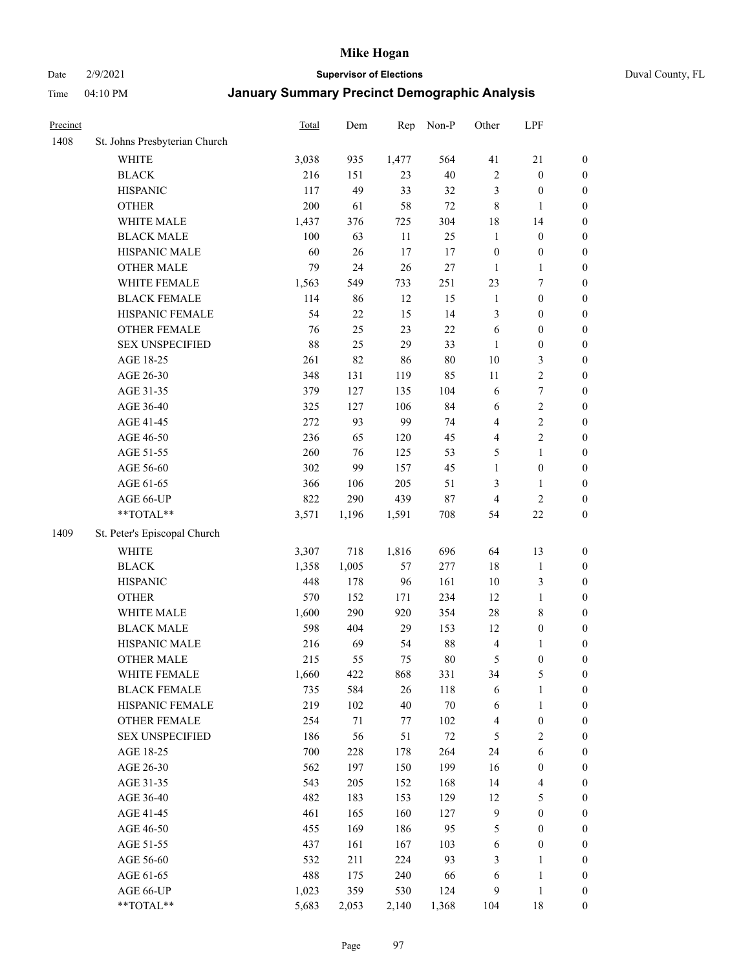Date 2/9/2021 **Supervisor of Elections** Duval County, FL

| Precinct |                               | <b>Total</b> | Dem    | Rep   | Non-P  | Other                   | LPF                     |                  |
|----------|-------------------------------|--------------|--------|-------|--------|-------------------------|-------------------------|------------------|
| 1408     | St. Johns Presbyterian Church |              |        |       |        |                         |                         |                  |
|          | <b>WHITE</b>                  | 3,038        | 935    | 1,477 | 564    | 41                      | $21\,$                  | 0                |
|          | <b>BLACK</b>                  | 216          | 151    | 23    | $40\,$ | $\sqrt{2}$              | $\boldsymbol{0}$        | 0                |
|          | <b>HISPANIC</b>               | 117          | 49     | 33    | 32     | 3                       | $\boldsymbol{0}$        | $\boldsymbol{0}$ |
|          | <b>OTHER</b>                  | 200          | 61     | 58    | $72\,$ | 8                       | $\mathbf{1}$            | $\boldsymbol{0}$ |
|          | WHITE MALE                    | 1,437        | 376    | 725   | 304    | 18                      | 14                      | $\boldsymbol{0}$ |
|          | <b>BLACK MALE</b>             | 100          | 63     | 11    | 25     | $\mathbf{1}$            | $\boldsymbol{0}$        | $\boldsymbol{0}$ |
|          | HISPANIC MALE                 | 60           | 26     | 17    | 17     | $\boldsymbol{0}$        | $\boldsymbol{0}$        | $\boldsymbol{0}$ |
|          | <b>OTHER MALE</b>             | 79           | 24     | 26    | $27\,$ | $\mathbf{1}$            | $\mathbf{1}$            | $\boldsymbol{0}$ |
|          | WHITE FEMALE                  | 1,563        | 549    | 733   | 251    | 23                      | $\boldsymbol{7}$        | $\boldsymbol{0}$ |
|          | <b>BLACK FEMALE</b>           | 114          | 86     | 12    | 15     | $\mathbf{1}$            | $\boldsymbol{0}$        | $\boldsymbol{0}$ |
|          | HISPANIC FEMALE               | 54           | $22\,$ | 15    | 14     | 3                       | $\boldsymbol{0}$        | 0                |
|          | OTHER FEMALE                  | 76           | 25     | 23    | $22\,$ | 6                       | $\boldsymbol{0}$        | $\boldsymbol{0}$ |
|          | <b>SEX UNSPECIFIED</b>        | 88           | 25     | 29    | 33     | $\mathbf{1}$            | $\boldsymbol{0}$        | $\boldsymbol{0}$ |
|          | AGE 18-25                     | 261          | 82     | 86    | $80\,$ | $10\,$                  | $\mathfrak{Z}$          | $\boldsymbol{0}$ |
|          | AGE 26-30                     | 348          | 131    | 119   | 85     | $11\,$                  | $\sqrt{2}$              | $\boldsymbol{0}$ |
|          | AGE 31-35                     | 379          | 127    | 135   | 104    | 6                       | $\boldsymbol{7}$        | $\boldsymbol{0}$ |
|          | AGE 36-40                     | 325          | 127    | 106   | 84     | 6                       | $\sqrt{2}$              | $\boldsymbol{0}$ |
|          | AGE 41-45                     | 272          | 93     | 99    | 74     | $\overline{\mathbf{4}}$ | $\sqrt{2}$              | $\boldsymbol{0}$ |
|          | AGE 46-50                     | 236          | 65     | 120   | 45     | $\overline{\mathbf{4}}$ | $\overline{2}$          | $\boldsymbol{0}$ |
|          | AGE 51-55                     | 260          | 76     | 125   | 53     | 5                       | $\mathbf{1}$            | $\boldsymbol{0}$ |
|          | AGE 56-60                     | 302          | 99     | 157   | 45     | $\mathbf{1}$            | $\boldsymbol{0}$        | 0                |
|          | AGE 61-65                     | 366          | 106    | 205   | 51     | 3                       | $\mathbf{1}$            | 0                |
|          | AGE 66-UP                     | 822          | 290    | 439   | $87\,$ | $\overline{4}$          | $\sqrt{2}$              | $\boldsymbol{0}$ |
|          | **TOTAL**                     | 3,571        | 1,196  | 1,591 | 708    | 54                      | $22\,$                  | $\boldsymbol{0}$ |
| 1409     | St. Peter's Episcopal Church  |              |        |       |        |                         |                         |                  |
|          | <b>WHITE</b>                  | 3,307        | 718    | 1,816 | 696    | 64                      | 13                      | $\boldsymbol{0}$ |
|          | <b>BLACK</b>                  | 1,358        | 1,005  | 57    | 277    | 18                      | $\mathbf{1}$            | $\boldsymbol{0}$ |
|          | <b>HISPANIC</b>               | 448          | 178    | 96    | 161    | 10                      | $\mathfrak{Z}$          | $\boldsymbol{0}$ |
|          | <b>OTHER</b>                  | 570          | 152    | 171   | 234    | 12                      | $\mathbf{1}$            | $\boldsymbol{0}$ |
|          | WHITE MALE                    | 1,600        | 290    | 920   | 354    | $28\,$                  | $8\,$                   | $\boldsymbol{0}$ |
|          | <b>BLACK MALE</b>             | 598          | 404    | 29    | 153    | 12                      | $\boldsymbol{0}$        | $\boldsymbol{0}$ |
|          | HISPANIC MALE                 | 216          | 69     | 54    | $88\,$ | $\overline{\mathbf{4}}$ | 1                       | $\boldsymbol{0}$ |
|          | <b>OTHER MALE</b>             | 215          | 55     | 75    | $80\,$ | 5                       | $\boldsymbol{0}$        | $\boldsymbol{0}$ |
|          | WHITE FEMALE                  | 1,660        | 422    | 868   | 331    | 34                      | 5                       | 0                |
|          | <b>BLACK FEMALE</b>           | 735          | 584    | 26    | 118    | 6                       | $\mathbf{1}$            | $\boldsymbol{0}$ |
|          | HISPANIC FEMALE               | 219          | 102    | 40    | $70\,$ | 6                       | $\mathbf{1}$            | $\boldsymbol{0}$ |
|          | <b>OTHER FEMALE</b>           | 254          | 71     | 77    | 102    | 4                       | $\boldsymbol{0}$        | $\overline{0}$   |
|          | <b>SEX UNSPECIFIED</b>        | 186          | 56     | 51    | $72\,$ | 5                       | $\mathbf{2}$            | 0                |
|          | AGE 18-25                     | 700          | 228    | 178   | 264    | 24                      | $\sqrt{6}$              | $\overline{0}$   |
|          | AGE 26-30                     | 562          | 197    | 150   | 199    | 16                      | $\boldsymbol{0}$        | 0                |
|          | AGE 31-35                     | 543          | 205    | 152   | 168    | 14                      | $\overline{\mathbf{4}}$ | 0                |
|          | AGE 36-40                     | 482          | 183    | 153   | 129    | 12                      | $\mathfrak{S}$          | 0                |
|          | AGE 41-45                     | 461          | 165    | 160   | 127    | 9                       | $\boldsymbol{0}$        | 0                |
|          | AGE 46-50                     | 455          | 169    | 186   | 95     | 5                       | $\boldsymbol{0}$        | 0                |
|          | AGE 51-55                     | 437          | 161    | 167   | 103    | 6                       | $\boldsymbol{0}$        | 0                |
|          | AGE 56-60                     | 532          | 211    | 224   | 93     | 3                       | $\mathbf{1}$            | $\boldsymbol{0}$ |
|          | AGE 61-65                     | 488          | 175    | 240   | 66     | 6                       | $\mathbf{1}$            | $\boldsymbol{0}$ |
|          | AGE 66-UP                     | 1,023        | 359    | 530   | 124    | 9                       | $\mathbf{1}$            | $\boldsymbol{0}$ |
|          | **TOTAL**                     | 5,683        | 2,053  | 2,140 | 1,368  | 104                     | 18                      | $\boldsymbol{0}$ |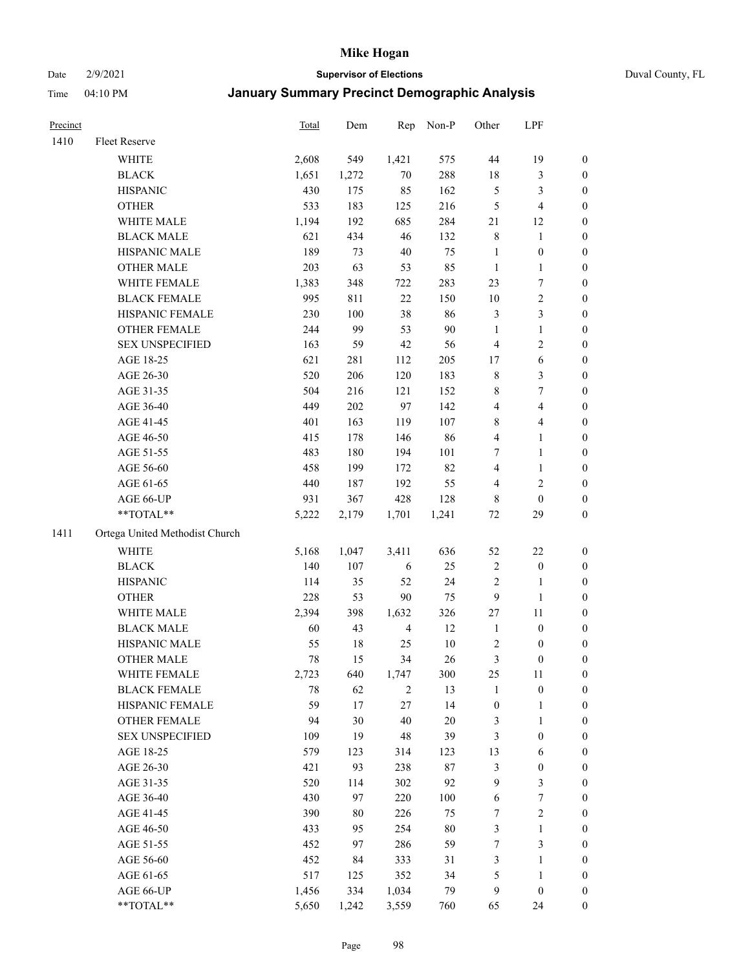#### Date 2/9/2021 **Supervisor of Elections** Duval County, FL

| Precinct |                                | Total | Dem    | Rep            | Non-P  | Other            | LPF              |                  |
|----------|--------------------------------|-------|--------|----------------|--------|------------------|------------------|------------------|
| 1410     | Fleet Reserve                  |       |        |                |        |                  |                  |                  |
|          | <b>WHITE</b>                   | 2,608 | 549    | 1,421          | 575    | 44               | 19               | 0                |
|          | <b>BLACK</b>                   | 1,651 | 1,272  | $70\,$         | 288    | 18               | $\mathfrak{Z}$   | 0                |
|          | <b>HISPANIC</b>                | 430   | 175    | 85             | 162    | 5                | $\mathfrak{Z}$   | $\boldsymbol{0}$ |
|          | <b>OTHER</b>                   | 533   | 183    | 125            | 216    | 5                | $\overline{4}$   | $\boldsymbol{0}$ |
|          | WHITE MALE                     | 1,194 | 192    | 685            | 284    | 21               | 12               | $\boldsymbol{0}$ |
|          | <b>BLACK MALE</b>              | 621   | 434    | 46             | 132    | 8                | 1                | $\boldsymbol{0}$ |
|          | HISPANIC MALE                  | 189   | 73     | $40\,$         | 75     | $\mathbf{1}$     | $\boldsymbol{0}$ | $\boldsymbol{0}$ |
|          | <b>OTHER MALE</b>              | 203   | 63     | 53             | 85     | $\mathbf{1}$     | $\mathbf{1}$     | $\boldsymbol{0}$ |
|          | WHITE FEMALE                   | 1,383 | 348    | 722            | 283    | 23               | $\overline{7}$   | $\boldsymbol{0}$ |
|          | <b>BLACK FEMALE</b>            | 995   | 811    | $22\,$         | 150    | $10\,$           | $\sqrt{2}$       | 0                |
|          | HISPANIC FEMALE                | 230   | 100    | 38             | 86     | 3                | $\mathfrak{Z}$   | 0                |
|          | OTHER FEMALE                   | 244   | 99     | 53             | 90     | $\mathbf{1}$     | $\mathbf{1}$     | 0                |
|          | <b>SEX UNSPECIFIED</b>         | 163   | 59     | 42             | 56     | $\overline{4}$   | $\sqrt{2}$       | $\boldsymbol{0}$ |
|          | AGE 18-25                      | 621   | 281    | 112            | 205    | $17\,$           | 6                | $\boldsymbol{0}$ |
|          | AGE 26-30                      | 520   | 206    | 120            | 183    | 8                | $\mathfrak{Z}$   | $\boldsymbol{0}$ |
|          | AGE 31-35                      | 504   | 216    | 121            | 152    | 8                | $\boldsymbol{7}$ | $\boldsymbol{0}$ |
|          | AGE 36-40                      | 449   | 202    | 97             | 142    | 4                | $\overline{4}$   | $\boldsymbol{0}$ |
|          | AGE 41-45                      | 401   | 163    | 119            | 107    | 8                | $\overline{4}$   | $\boldsymbol{0}$ |
|          | AGE 46-50                      | 415   | 178    | 146            | 86     | 4                | $\mathbf{1}$     | $\boldsymbol{0}$ |
|          | AGE 51-55                      | 483   | 180    | 194            | 101    | 7                | $\mathbf{1}$     | 0                |
|          | AGE 56-60                      | 458   | 199    | 172            | 82     | 4                | 1                | 0                |
|          | AGE 61-65                      | 440   | 187    | 192            | 55     | 4                | $\sqrt{2}$       | 0                |
|          | AGE 66-UP                      | 931   | 367    | 428            | 128    | 8                | $\boldsymbol{0}$ | $\boldsymbol{0}$ |
|          | $**TOTAL**$                    | 5,222 | 2,179  | 1,701          | 1,241  | $72\,$           | 29               | $\boldsymbol{0}$ |
| 1411     | Ortega United Methodist Church |       |        |                |        |                  |                  |                  |
|          | <b>WHITE</b>                   | 5,168 | 1,047  | 3,411          | 636    | 52               | $22\,$           | $\boldsymbol{0}$ |
|          | <b>BLACK</b>                   | 140   | 107    | 6              | 25     | 2                | $\boldsymbol{0}$ | $\boldsymbol{0}$ |
|          | <b>HISPANIC</b>                | 114   | 35     | 52             | 24     | 2                | $\mathbf{1}$     | $\boldsymbol{0}$ |
|          | <b>OTHER</b>                   | 228   | 53     | 90             | 75     | 9                | $\mathbf{1}$     | $\boldsymbol{0}$ |
|          | WHITE MALE                     | 2,394 | 398    | 1,632          | 326    | 27               | 11               | $\boldsymbol{0}$ |
|          | <b>BLACK MALE</b>              | 60    | 43     | $\overline{4}$ | 12     | $\mathbf{1}$     | $\boldsymbol{0}$ | $\boldsymbol{0}$ |
|          | HISPANIC MALE                  | 55    | $18\,$ | 25             | $10\,$ | 2                | $\boldsymbol{0}$ | 0                |
|          | <b>OTHER MALE</b>              | 78    | 15     | 34             | 26     | 3                | $\boldsymbol{0}$ | $\boldsymbol{0}$ |
|          | WHITE FEMALE                   | 2,723 | 640    | 1,747          | 300    | 25               | 11               | 0                |
|          | <b>BLACK FEMALE</b>            | 78    | 62     | 2              | 13     | $\mathbf{1}$     | $\boldsymbol{0}$ | $\boldsymbol{0}$ |
|          | HISPANIC FEMALE                | 59    | 17     | 27             | 14     | $\boldsymbol{0}$ | $\mathbf{1}$     | $\boldsymbol{0}$ |
|          | OTHER FEMALE                   | 94    | 30     | 40             | 20     | 3                | $\mathbf{1}$     | $\overline{0}$   |
|          | <b>SEX UNSPECIFIED</b>         | 109   | 19     | 48             | 39     | 3                | $\boldsymbol{0}$ | 0                |
|          | AGE 18-25                      | 579   | 123    | 314            | 123    | 13               | 6                | 0                |
|          | AGE 26-30                      | 421   | 93     | 238            | 87     | 3                | $\boldsymbol{0}$ | 0                |
|          | AGE 31-35                      | 520   | 114    | 302            | 92     | 9                | $\mathfrak{Z}$   | 0                |
|          | AGE 36-40                      | 430   | 97     | 220            | 100    | 6                | $\boldsymbol{7}$ | 0                |
|          | AGE 41-45                      | 390   | 80     | 226            | 75     | $\boldsymbol{7}$ | $\sqrt{2}$       | 0                |
|          | AGE 46-50                      | 433   | 95     | 254            | 80     | 3                | $\mathbf{1}$     | 0                |
|          | AGE 51-55                      | 452   | 97     | 286            | 59     | 7                | 3                | 0                |
|          | AGE 56-60                      | 452   | 84     | 333            | 31     | 3                | 1                | 0                |
|          | AGE 61-65                      | 517   | 125    | 352            | 34     | 5                | $\mathbf{1}$     | 0                |
|          | AGE 66-UP                      | 1,456 | 334    | 1,034          | 79     | 9                | $\boldsymbol{0}$ | 0                |
|          | **TOTAL**                      | 5,650 | 1,242  | 3,559          | 760    | 65               | 24               | $\boldsymbol{0}$ |
|          |                                |       |        |                |        |                  |                  |                  |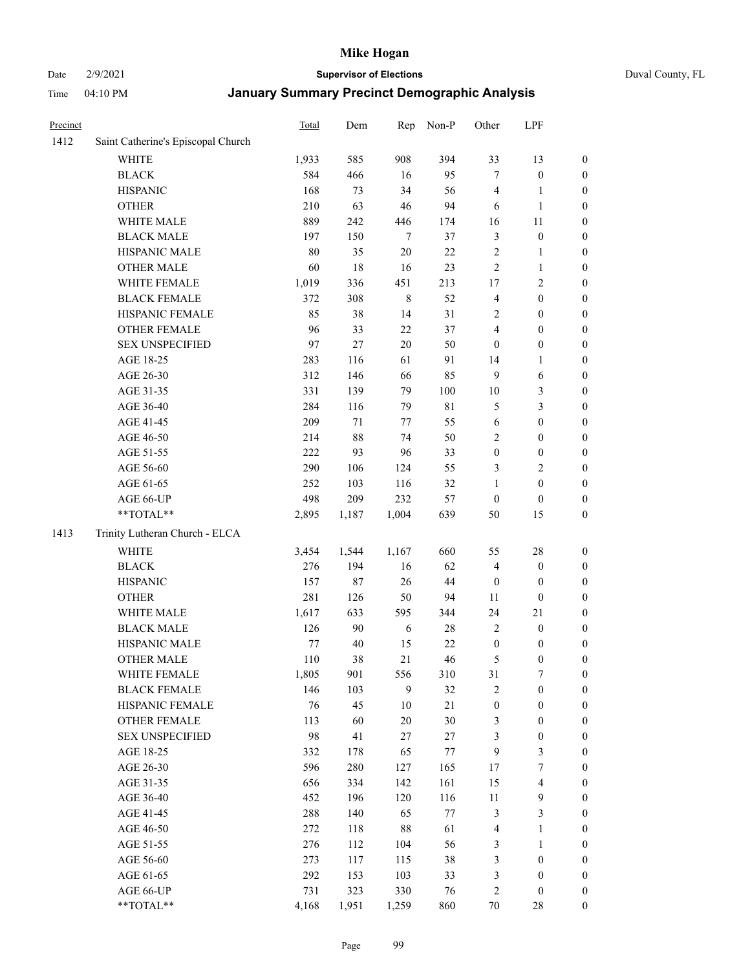#### Date 2/9/2021 **Supervisor of Elections** Duval County, FL

| Precinct |                                    | <b>Total</b> | Dem    | Rep         | Non-P  | Other                   | LPF                     |                  |
|----------|------------------------------------|--------------|--------|-------------|--------|-------------------------|-------------------------|------------------|
| 1412     | Saint Catherine's Episcopal Church |              |        |             |        |                         |                         |                  |
|          | <b>WHITE</b>                       | 1,933        | 585    | 908         | 394    | 33                      | 13                      | 0                |
|          | <b>BLACK</b>                       | 584          | 466    | 16          | 95     | $\tau$                  | $\boldsymbol{0}$        | 0                |
|          | <b>HISPANIC</b>                    | 168          | 73     | 34          | 56     | 4                       | $\mathbf{1}$            | $\boldsymbol{0}$ |
|          | <b>OTHER</b>                       | 210          | 63     | 46          | 94     | 6                       | $\mathbf{1}$            | $\boldsymbol{0}$ |
|          | WHITE MALE                         | 889          | 242    | 446         | 174    | 16                      | 11                      | $\boldsymbol{0}$ |
|          | <b>BLACK MALE</b>                  | 197          | 150    | 7           | 37     | 3                       | $\boldsymbol{0}$        | $\boldsymbol{0}$ |
|          | HISPANIC MALE                      | 80           | 35     | 20          | 22     | 2                       | $\mathbf{1}$            | $\boldsymbol{0}$ |
|          | <b>OTHER MALE</b>                  | 60           | $18\,$ | 16          | 23     | $\mathfrak{2}$          | $\mathbf{1}$            | $\boldsymbol{0}$ |
|          | WHITE FEMALE                       | 1,019        | 336    | 451         | 213    | 17                      | $\overline{2}$          | $\boldsymbol{0}$ |
|          | <b>BLACK FEMALE</b>                | 372          | 308    | $\,$ 8 $\,$ | 52     | $\overline{\mathbf{4}}$ | $\boldsymbol{0}$        | $\boldsymbol{0}$ |
|          | HISPANIC FEMALE                    | 85           | 38     | 14          | 31     | $\overline{2}$          | $\boldsymbol{0}$        | $\boldsymbol{0}$ |
|          | OTHER FEMALE                       | 96           | 33     | 22          | 37     | 4                       | $\boldsymbol{0}$        | $\boldsymbol{0}$ |
|          | <b>SEX UNSPECIFIED</b>             | 97           | 27     | 20          | 50     | $\boldsymbol{0}$        | $\boldsymbol{0}$        | $\boldsymbol{0}$ |
|          | AGE 18-25                          | 283          | 116    | 61          | 91     | 14                      | 1                       | $\boldsymbol{0}$ |
|          | AGE 26-30                          | 312          | 146    | 66          | 85     | 9                       | 6                       | $\boldsymbol{0}$ |
|          | AGE 31-35                          | 331          | 139    | 79          | 100    | $10\,$                  | $\mathfrak{Z}$          | $\boldsymbol{0}$ |
|          | AGE 36-40                          | 284          | 116    | 79          | 81     | 5                       | 3                       | $\boldsymbol{0}$ |
|          | AGE 41-45                          | 209          | 71     | 77          | 55     | $\sqrt{6}$              | $\boldsymbol{0}$        | $\boldsymbol{0}$ |
|          | AGE 46-50                          | 214          | $88\,$ | 74          | 50     | $\overline{2}$          | $\boldsymbol{0}$        | $\boldsymbol{0}$ |
|          | AGE 51-55                          | 222          | 93     | 96          | 33     | $\boldsymbol{0}$        | $\boldsymbol{0}$        | $\boldsymbol{0}$ |
|          | AGE 56-60                          | 290          | 106    | 124         | 55     | 3                       | $\overline{2}$          | 0                |
|          | AGE 61-65                          | 252          | 103    | 116         | 32     | 1                       | $\boldsymbol{0}$        | $\boldsymbol{0}$ |
|          | AGE 66-UP                          | 498          | 209    | 232         | 57     | $\boldsymbol{0}$        | $\boldsymbol{0}$        | $\boldsymbol{0}$ |
|          | **TOTAL**                          | 2,895        | 1,187  | 1,004       | 639    | 50                      | 15                      | $\boldsymbol{0}$ |
| 1413     | Trinity Lutheran Church - ELCA     |              |        |             |        |                         |                         |                  |
|          | <b>WHITE</b>                       | 3,454        | 1,544  | 1,167       | 660    | 55                      | $28\,$                  | $\boldsymbol{0}$ |
|          | <b>BLACK</b>                       | 276          | 194    | 16          | 62     | 4                       | $\boldsymbol{0}$        | $\boldsymbol{0}$ |
|          | <b>HISPANIC</b>                    | 157          | 87     | 26          | $44\,$ | $\boldsymbol{0}$        | $\boldsymbol{0}$        | $\boldsymbol{0}$ |
|          | <b>OTHER</b>                       | 281          | 126    | 50          | 94     | 11                      | $\boldsymbol{0}$        | $\boldsymbol{0}$ |
|          | WHITE MALE                         | 1,617        | 633    | 595         | 344    | 24                      | 21                      | $\boldsymbol{0}$ |
|          | <b>BLACK MALE</b>                  | 126          | 90     | 6           | 28     | $\overline{2}$          | $\boldsymbol{0}$        | $\boldsymbol{0}$ |
|          | HISPANIC MALE                      | 77           | 40     | 15          | $22\,$ | $\boldsymbol{0}$        | $\boldsymbol{0}$        | 0                |
|          | <b>OTHER MALE</b>                  | 110          | 38     | 21          | 46     | 5                       | $\boldsymbol{0}$        | $\boldsymbol{0}$ |
|          | WHITE FEMALE                       | 1,805        | 901    | 556         | 310    | 31                      | 7                       | 0                |
|          | <b>BLACK FEMALE</b>                | 146          | 103    | 9           | 32     | 2                       | $\boldsymbol{0}$        | $\boldsymbol{0}$ |
|          | HISPANIC FEMALE                    | 76           | 45     | 10          | 21     | $\boldsymbol{0}$        | $\boldsymbol{0}$        | $\overline{0}$   |
|          | <b>OTHER FEMALE</b>                | 113          | 60     | $20\,$      | $30\,$ | 3                       | $\boldsymbol{0}$        | $\overline{0}$   |
|          | <b>SEX UNSPECIFIED</b>             | 98           | 41     | 27          | $27\,$ | 3                       | $\boldsymbol{0}$        | 0                |
|          | AGE 18-25                          | 332          | 178    | 65          | 77     | 9                       | $\mathfrak{Z}$          | $\theta$         |
|          | AGE 26-30                          | 596          | 280    | 127         | 165    | 17                      | $\boldsymbol{7}$        | 0                |
|          | AGE 31-35                          | 656          | 334    | 142         | 161    | 15                      | $\overline{\mathbf{4}}$ | 0                |
|          | AGE 36-40                          | 452          | 196    | 120         | 116    | 11                      | $\mathbf{9}$            | 0                |
|          | AGE 41-45                          | 288          | 140    | 65          | $77\,$ | 3                       | $\mathfrak{Z}$          | 0                |
|          | AGE 46-50                          | 272          | 118    | 88          | 61     | 4                       | $\mathbf{1}$            | 0                |
|          | AGE 51-55                          | 276          | 112    | 104         | 56     | 3                       | $\mathbf{1}$            | 0                |
|          | AGE 56-60                          | 273          | 117    | 115         | 38     | 3                       | $\boldsymbol{0}$        | 0                |
|          | AGE 61-65                          | 292          | 153    | 103         | 33     | 3                       | $\boldsymbol{0}$        | $\overline{0}$   |
|          | AGE 66-UP                          | 731          | 323    | 330         | 76     | 2                       | $\boldsymbol{0}$        | 0                |
|          | **TOTAL**                          | 4,168        | 1,951  | 1,259       | 860    | 70                      | 28                      | $\boldsymbol{0}$ |